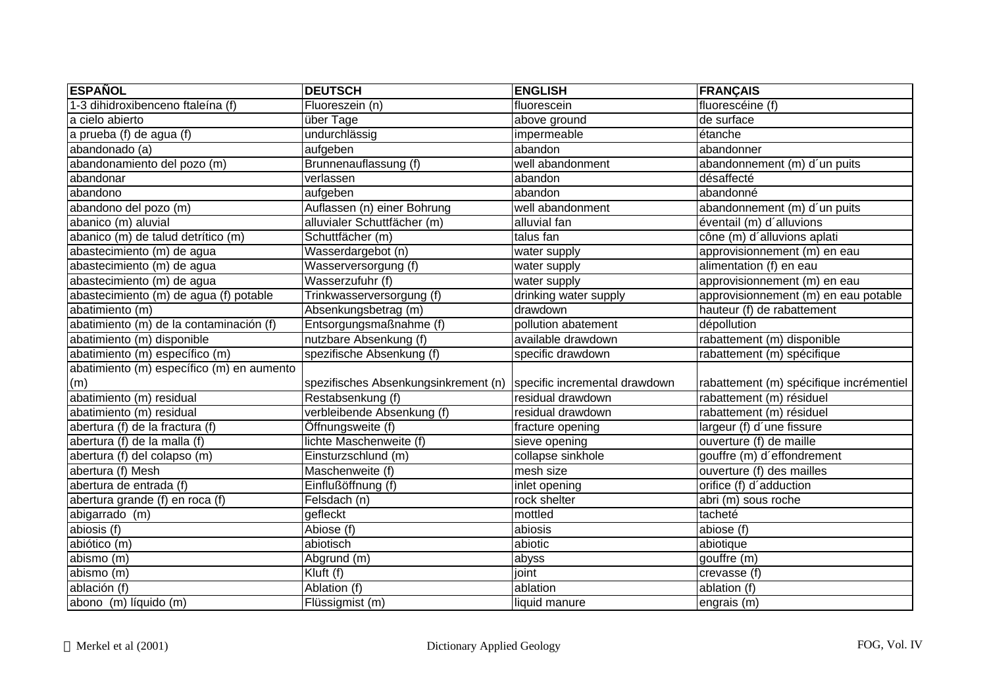| <b>ESPAÑOL</b>                            | <b>DEUTSCH</b>                       | <b>ENGLISH</b>                | <b>FRANÇAIS</b>                         |
|-------------------------------------------|--------------------------------------|-------------------------------|-----------------------------------------|
| 1-3 dihidroxibenceno ftaleína (f)         | Fluoreszein (n)                      | fluorescein                   | fluorescéine (f)                        |
| a cielo abierto                           | über Tage                            | above ground                  | de surface                              |
| a prueba (f) de agua (f)                  | undurchlässig                        | impermeable                   | étanche                                 |
| abandonado (a)                            | aufgeben                             | abandon                       | abandonner                              |
| abandonamiento del pozo (m)               | Brunnenauflassung (f)                | well abandonment              | abandonnement (m) d'un puits            |
| abandonar                                 | verlassen                            | abandon                       | désaffecté                              |
| abandono                                  | aufgeben                             | abandon                       | abandonné                               |
| abandono del pozo (m)                     | Auflassen (n) einer Bohrung          | well abandonment              | abandonnement (m) d'un puits            |
| abanico (m) aluvial                       | alluvialer Schuttfächer (m)          | alluvial fan                  | éventail (m) d'alluvions                |
| abanico (m) de talud detrítico (m)        | Schuttfächer (m)                     | talus fan                     | cône (m) d'alluvions aplati             |
| abastecimiento (m) de agua                | Wasserdargebot (n)                   | water supply                  | approvisionnement (m) en eau            |
| abastecimiento (m) de agua                | Wasserversorgung (f)                 | water supply                  | alimentation (f) en eau                 |
| abastecimiento (m) de agua                | Wasserzufuhr (f)                     | water supply                  | approvisionnement (m) en eau            |
| abastecimiento (m) de agua (f) potable    | Trinkwasserversorgung (f)            | drinking water supply         | approvisionnement (m) en eau potable    |
| abatimiento (m)                           | Absenkungsbetrag (m)                 | drawdown                      | hauteur (f) de rabattement              |
| abatimiento (m) de la contaminación (f)   | Entsorgungsmaßnahme (f)              | pollution abatement           | dépollution                             |
| abatimiento (m) disponible                | nutzbare Absenkung (f)               | available drawdown            | rabattement (m) disponible              |
| abatimiento (m) específico (m)            | spezifische Absenkung (f)            | specific drawdown             | rabattement (m) spécifique              |
| abatimiento (m) específico (m) en aumento |                                      |                               |                                         |
| (m)                                       | spezifisches Absenkungsinkrement (n) | specific incremental drawdown | rabattement (m) spécifique incrémentiel |
| abatimiento (m) residual                  | Restabsenkung (f)                    | residual drawdown             | rabattement (m) résiduel                |
| abatimiento (m) residual                  | verbleibende Absenkung (f)           | residual drawdown             | rabattement (m) résiduel                |
| abertura (f) de la fractura (f)           | Öffnungsweite (f)                    | fracture opening              | largeur (f) d'une fissure               |
| abertura (f) de la malla (f)              | lichte Maschenweite (f)              | sieve opening                 | ouverture (f) de maille                 |
| abertura (f) del colapso (m)              | Einsturzschlund (m)                  | collapse sinkhole             | gouffre (m) d'effondrement              |
| abertura (f) Mesh                         | Maschenweite (f)                     | mesh size                     | ouverture (f) des mailles               |
| abertura de entrada (f)                   | Einflußöffnung (f)                   | inlet opening                 | orifice (f) d'adduction                 |
| abertura grande (f) en roca (f)           | Felsdach (n)                         | rock shelter                  | abri (m) sous roche                     |
| abigarrado (m)                            | gefleckt                             | mottled                       | tacheté                                 |
| abiosis (f)                               | Abiose (f)                           | abiosis                       | abiose (f)                              |
| abiótico (m)                              | abiotisch                            | abiotic                       | abiotique                               |
| abismo(m)                                 | Abgrund (m)                          | abyss                         | gouffre (m)                             |
| abismo (m)                                | Kluft (f)                            | joint                         | crevasse (f)                            |
| ablación (f)                              | Ablation (f)                         | ablation                      | ablation (f)                            |
| abono (m) líquido (m)                     | Flüssigmist (m)                      | liquid manure                 | engrais (m)                             |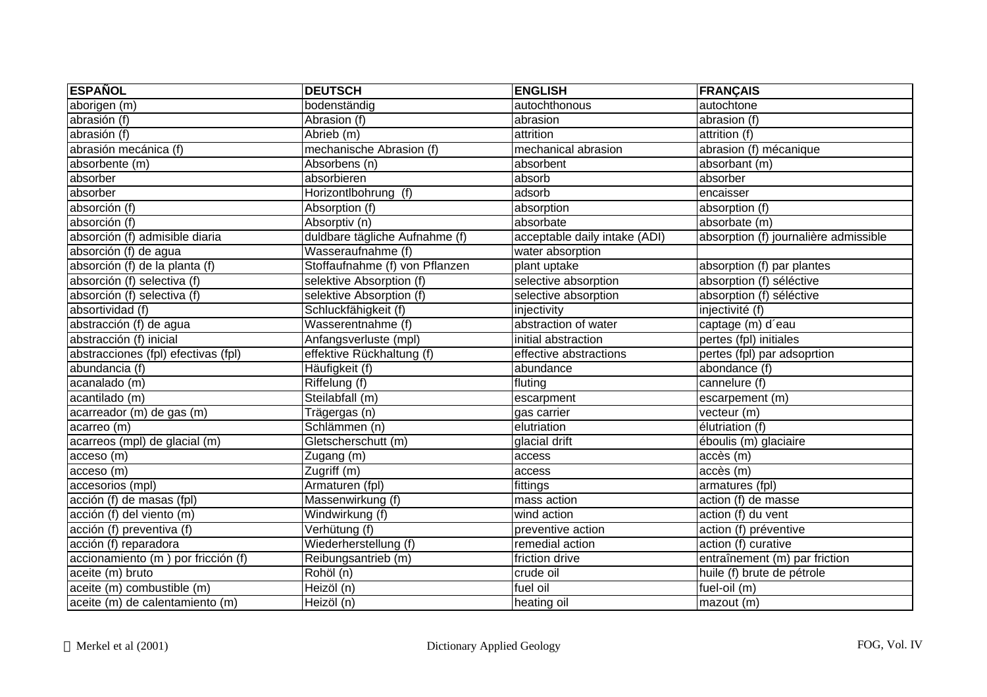| <b>ESPAÑOL</b>                      | <b>DEUTSCH</b>                 | <b>ENGLISH</b>                | <b>FRANÇAIS</b>                       |
|-------------------------------------|--------------------------------|-------------------------------|---------------------------------------|
| aborigen (m)                        | bodenständig                   | autochthonous                 | autochtone                            |
| abrasión (f)                        | Abrasion (f)                   | abrasion                      | abrasion (f)                          |
| abrasión (f)                        | Abrieb (m)                     | attrition                     | attrition (f)                         |
| abrasión mecánica (f)               | mechanische Abrasion (f)       | mechanical abrasion           | abrasion (f) mécanique                |
| absorbente (m)                      | Absorbens (n)                  | absorbent                     | absorbant (m)                         |
| absorber                            | absorbieren                    | absorb                        | absorber                              |
| absorber                            | Horizontlbohrung (f)           | adsorb                        | encaisser                             |
| absorción (f)                       | Absorption (f)                 | absorption                    | absorption (f)                        |
| absorción $(f)$                     | Absorptiv (n)                  | absorbate                     | absorbate (m)                         |
| absorción (f) admisible diaria      | duldbare tägliche Aufnahme (f) | acceptable daily intake (ADI) | absorption (f) journalière admissible |
| absorción (f) de agua               | Wasseraufnahme (f)             | water absorption              |                                       |
| absorción (f) de la planta (f)      | Stoffaufnahme (f) von Pflanzen | plant uptake                  | absorption (f) par plantes            |
| absorción (f) selectiva (f)         | selektive Absorption (f)       | selective absorption          | absorption (f) séléctive              |
| absorción (f) selectiva (f)         | selektive Absorption (f)       | selective absorption          | absorption (f) séléctive              |
| absortividad (f)                    | Schluckfähigkeit (f)           | injectivity                   | injectivité (f)                       |
| abstracción (f) de agua             | Wasserentnahme (f)             | abstraction of water          | captage (m) d'eau                     |
| abstracción (f) inicial             | Anfangsverluste (mpl)          | initial abstraction           | pertes (fpl) initiales                |
| abstracciones (fpl) efectivas (fpl) | effektive Rückhaltung (f)      | effective abstractions        | pertes (fpl) par adsoprtion           |
| abundancia (f)                      | Häufigkeit (f)                 | abundance                     | abondance (f)                         |
| acanalado (m)                       | Riffelung (f)                  | fluting                       | cannelure (f)                         |
| acantilado (m)                      | Steilabfall (m)                | escarpment                    | escarpement (m)                       |
| acarreador (m) de gas (m)           | Trägergas (n)                  | gas carrier                   | vecteur (m)                           |
| acarreo (m)                         | Schlämmen (n)                  | elutriation                   | élutriation (f)                       |
| acarreos (mpl) de glacial (m)       | Gletscherschutt (m)            | glacial drift                 | éboulis (m) glaciaire                 |
| acceso (m)                          | Zugang (m)                     | access                        | accès (m)                             |
| acceso (m)                          | Zugriff (m)                    | access                        | accès (m)                             |
| accesorios (mpl)                    | Armaturen (fpl)                | fittings                      | armatures (fpl)                       |
| acción (f) de masas (fpl)           | Massenwirkung (f)              | mass action                   | action (f) de masse                   |
| acción (f) del viento (m)           | Windwirkung (f)                | wind action                   | action (f) du vent                    |
| acción (f) preventiva (f)           | Verhütung (f)                  | preventive action             | action (f) préventive                 |
| acción (f) reparadora               | Wiederherstellung (f)          | remedial action               | action (f) curative                   |
| accionamiento (m) por fricción (f)  | Reibungsantrieb (m)            | friction drive                | entraînement (m) par friction         |
| aceite (m) bruto                    | Rohöl (n)                      | crude oil                     | huile (f) brute de pétrole            |
| aceite (m) combustible (m)          | Heizöl (n)                     | fuel oil                      | fuel-oil (m)                          |
| aceite (m) de calentamiento (m)     | Heizöl (n)                     | heating oil                   | mazout (m)                            |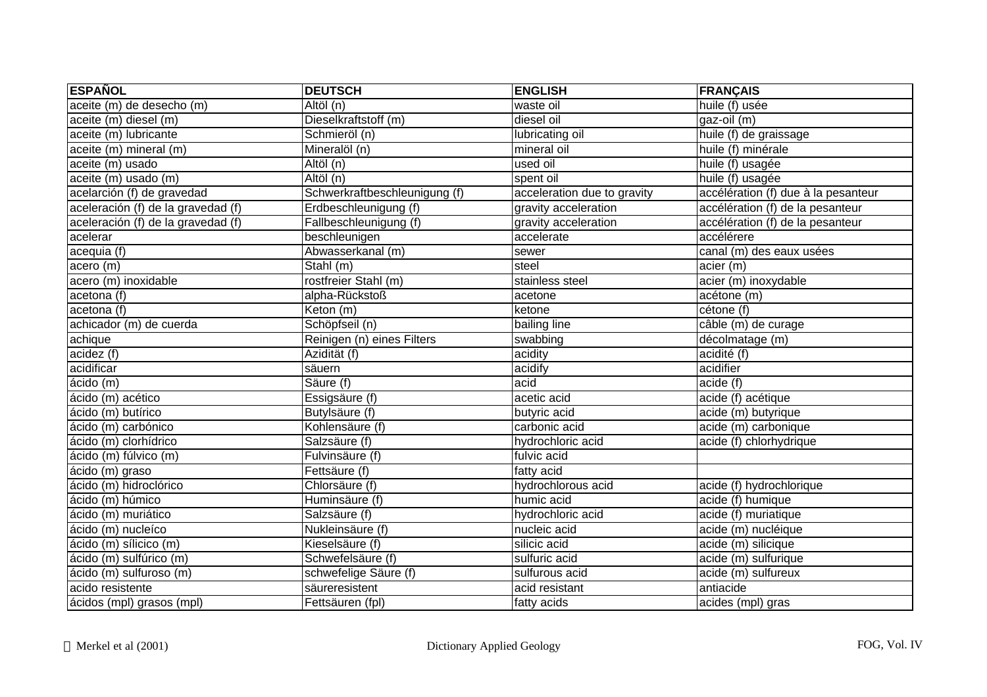| <b>ESPAÑOL</b>                     | <b>DEUTSCH</b>                | <b>ENGLISH</b>              | <b>FRANÇAIS</b>                     |
|------------------------------------|-------------------------------|-----------------------------|-------------------------------------|
| aceite (m) de desecho (m)          | $\overline{Alt\ddot{o}l(n)}$  | waste oil                   | huile (f) usée                      |
| aceite (m) diesel (m)              | Dieselkraftstoff (m)          | diesel oil                  | gaz-oil (m)                         |
| aceite (m) lubricante              | Schmieröl (n)                 | lubricating oil             | huile (f) de graissage              |
| aceite (m) mineral (m)             | Mineralöl (n)                 | mineral oil                 | huile (f) minérale                  |
| aceite (m) usado                   | Altöl (n)                     | used oil                    | huile (f) usagée                    |
| aceite (m) usado (m)               | Altöl (n)                     | spent oil                   | huile (f) usagée                    |
| acelarción (f) de gravedad         | Schwerkraftbeschleunigung (f) | acceleration due to gravity | accélération (f) due à la pesanteur |
| aceleración (f) de la gravedad (f) | Erdbeschleunigung (f)         | gravity acceleration        | accélération (f) de la pesanteur    |
| aceleración (f) de la gravedad (f) | Fallbeschleunigung (f)        | gravity acceleration        | accélération (f) de la pesanteur    |
| acelerar                           | beschleunigen                 | accelerate                  | accélérere                          |
| acequia (f)                        | Abwasserkanal (m)             | sewer                       | canal (m) des eaux usées            |
| acero (m)                          | Stahl (m)                     | steel                       | acier (m)                           |
| acero (m) inoxidable               | rostfreier Stahl (m)          | stainless steel             | acier (m) inoxydable                |
| acetona (f)                        | alpha-Rückstoß                | acetone                     | acétone (m)                         |
| acetona (f)                        | Keton (m)                     | ketone                      | cétone (f)                          |
| achicador (m) de cuerda            | Schöpfseil (n)                | bailing line                | câble (m) de curage                 |
| achique                            | Reinigen (n) eines Filters    | swabbing                    | décolmatage (m)                     |
| acidez (f)                         | $\overline{Az}$ idität (f)    | acidity                     | acidité (f)                         |
| acidificar                         | säuern                        | acidify                     | acidifier                           |
| ácido (m)                          | Säure (f)                     | acid                        | acide (f)                           |
| ácido (m) acético                  | Essigsäure (f)                | acetic acid                 | acide (f) acétique                  |
| ácido (m) butírico                 | Butylsäure (f)                | butyric acid                | acide (m) butyrique                 |
| ácido (m) carbónico                | Kohlensäure (f)               | carbonic acid               | acide (m) carbonique                |
| ácido (m) clorhídrico              | Salzsäure (f)                 | hydrochloric acid           | acide (f) chlorhydrique             |
| ácido (m) fúlvico (m)              | Fulvinsäure (f)               | fulvic acid                 |                                     |
| ácido (m) graso                    | Fettsäure (f)                 | fatty acid                  |                                     |
| ácido (m) hidroclórico             | Chlorsäure (f)                | hydrochlorous acid          | acide (f) hydrochlorique            |
| ácido (m) húmico                   | Huminsäure (f)                | humic acid                  | acide (f) humique                   |
| ácido (m) muriático                | Salzsäure (f)                 | hydrochloric acid           | acide (f) muriatique                |
| ácido (m) nucleíco                 | Nukleinsäure (f)              | nucleic acid                | acide (m) nucléique                 |
| ácido (m) sílicico (m)             | Kieselsäure (f)               | silicic acid                | acide (m) silicique                 |
| ácido (m) sulfúrico (m)            | Schwefelsäure (f)             | sulfuric acid               | acide (m) sulfurique                |
| ácido (m) sulfuroso (m)            | schwefelige Säure (f)         | sulfurous acid              | acide (m) sulfureux                 |
| acido resistente                   | säureresistent                | acid resistant              | antiacide                           |
| ácidos (mpl) grasos (mpl)          | Fettsäuren (fpl)              | fatty acids                 | acides (mpl) gras                   |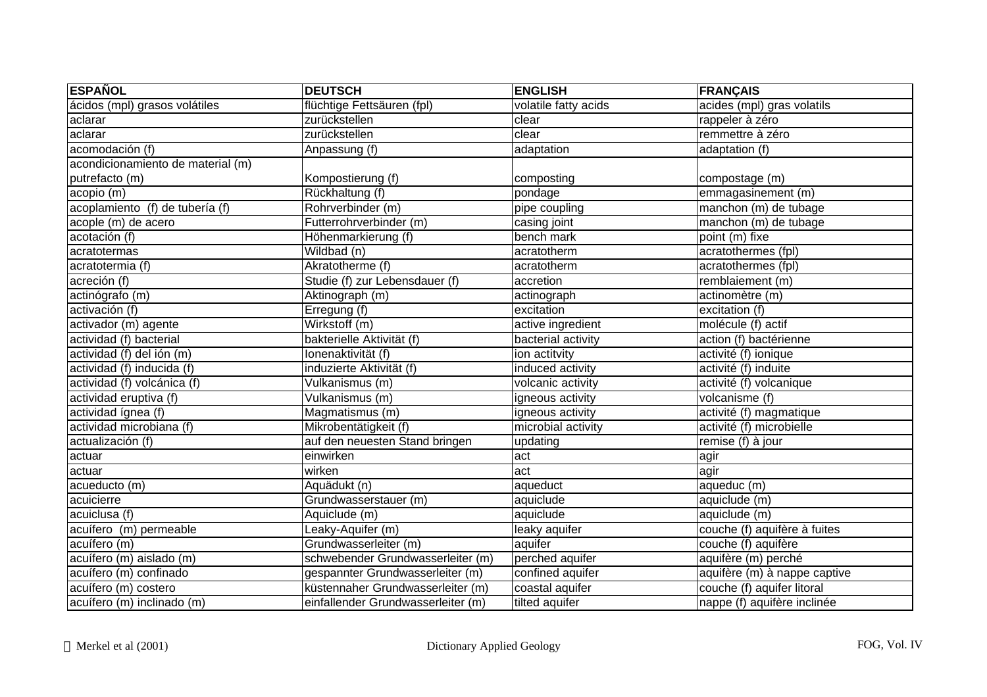| <b>ESPAÑOL</b>                    | <b>DEUTSCH</b>                     | <b>ENGLISH</b>       | <b>FRANÇAIS</b>              |
|-----------------------------------|------------------------------------|----------------------|------------------------------|
| ácidos (mpl) grasos volátiles     | flüchtige Fettsäuren (fpl)         | volatile fatty acids | acides (mpl) gras volatils   |
| aclarar                           | zurückstellen                      | clear                | rappeler à zéro              |
| aclarar                           | zurückstellen                      | clear                | remmettre à zéro             |
| acomodación (f)                   | Anpassung (f)                      | adaptation           | adaptation (f)               |
| acondicionamiento de material (m) |                                    |                      |                              |
| putrefacto (m)                    | Kompostierung (f)                  | composting           | compostage (m)               |
| acopio (m)                        | Rückhaltung (f)                    | pondage              | emmagasinement (m)           |
| acoplamiento (f) de tubería (f)   | Rohrverbinder (m)                  | pipe coupling        | manchon (m) de tubage        |
| acople (m) de acero               | Futterrohrverbinder (m)            | casing joint         | manchon (m) de tubage        |
| acotación (f)                     | Höhenmarkierung (f)                | bench mark           | point (m) fixe               |
| acratotermas                      | Wildbad (n)                        | acratotherm          | acratothermes (fpl)          |
| acratotermia (f)                  | Akratotherme (f)                   | acratotherm          | acratothermes (fpl)          |
| acreción (f)                      | Studie (f) zur Lebensdauer (f)     | accretion            | remblaiement (m)             |
| actinógrafo (m)                   | Aktinograph (m)                    | actinograph          | actinomètre (m)              |
| activación (f)                    | Erregung (f)                       | excitation           | excitation (f)               |
| activador (m) agente              | Wirkstoff (m)                      | active ingredient    | molécule (f) actif           |
| actividad (f) bacterial           | bakterielle Aktivität (f)          | bacterial activity   | action (f) bactérienne       |
| actividad (f) del ión (m)         | Ionenaktivität (f)                 | ion actitvity        | activité (f) ionique         |
| actividad (f) inducida (f)        | induzierte Aktivität (f)           | induced activity     | activité (f) induite         |
| actividad (f) volcánica (f)       | Vulkanismus (m)                    | volcanic activity    | activité (f) volcanique      |
| actividad eruptiva (f)            | Vulkanismus (m)                    | igneous activity     | volcanisme (f)               |
| actividad ígnea (f)               | Magmatismus (m)                    | igneous activity     | activité (f) magmatique      |
| actividad microbiana (f)          | Mikrobentätigkeit (f)              | microbial activity   | activité (f) microbielle     |
| actualización (f)                 | auf den neuesten Stand bringen     | updating             | remise (f) à jour            |
| actuar                            | einwirken                          | act                  | agir                         |
| actuar                            | wirken                             | act                  | agir                         |
| acueducto (m)                     | Aquädukt (n)                       | aqueduct             | aqueduc (m)                  |
| acuicierre                        | Grundwasserstauer (m)              | aquiclude            | aquiclude (m)                |
| acuiclusa (f)                     | Aquiclude (m)                      | aquiclude            | aquiclude (m)                |
| acuífero (m) permeable            | Leaky-Aquifer (m)                  | leaky aquifer        | couche (f) aquifère à fuites |
| acuífero (m)                      | Grundwasserleiter (m)              | aquifer              | couche (f) aquifère          |
| acuífero (m) aislado (m)          | schwebender Grundwasserleiter (m)  | perched aquifer      | aquifère (m) perché          |
| acuífero (m) confinado            | gespannter Grundwasserleiter (m)   | confined aquifer     | aquifère (m) à nappe captive |
| acuífero (m) costero              | küstennaher Grundwasserleiter (m)  | coastal aquifer      | couche (f) aquifer litoral   |
| acuífero (m) inclinado (m)        | einfallender Grundwasserleiter (m) | tilted aquifer       | nappe (f) aquifère inclinée  |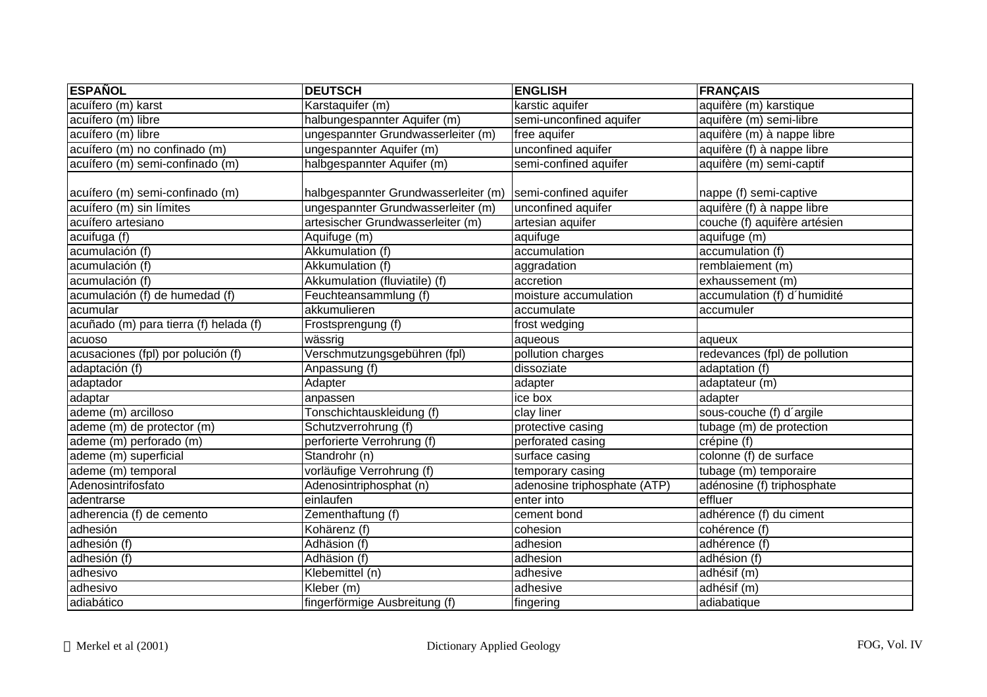| <b>ESPAÑOL</b>                         | <b>DEUTSCH</b>                                               | <b>ENGLISH</b>               | <b>FRANÇAIS</b>               |
|----------------------------------------|--------------------------------------------------------------|------------------------------|-------------------------------|
| acuífero (m) karst                     | Karstaquifer (m)                                             | karstic aquifer              | aquifère (m) karstique        |
| acuífero (m) libre                     | halbungespannter Aquifer (m)                                 | semi-unconfined aquifer      | aquifère (m) semi-libre       |
| acuífero (m) libre                     | ungespannter Grundwasserleiter (m)                           | free aquifer                 | aquifère (m) à nappe libre    |
| acuífero (m) no confinado (m)          | ungespannter Aquifer (m)                                     | unconfined aquifer           | aquifère (f) à nappe libre    |
| acuífero (m) semi-confinado (m)        | halbgespannter Aquifer (m)                                   | semi-confined aquifer        | aquifère (m) semi-captif      |
| acuífero (m) semi-confinado (m)        | halbgespannter Grundwasserleiter (m)   semi-confined aquifer |                              | nappe (f) semi-captive        |
| acuífero (m) sin límites               | ungespannter Grundwasserleiter (m)                           | unconfined aquifer           | aquifère (f) à nappe libre    |
| acuífero artesiano                     | artesischer Grundwasserleiter (m)                            | artesian aquifer             | couche (f) aquifère artésien  |
| acuifuga (f)                           | Aquifuge (m)                                                 | aquifuge                     | aquifuge (m)                  |
| acumulación (f)                        | Akkumulation (f)                                             | accumulation                 | accumulation (f)              |
| acumulación (f)                        | Akkumulation (f)                                             | aggradation                  | remblaiement (m)              |
| acumulación (f)                        | Akkumulation (fluviatile) (f)                                | accretion                    | exhaussement (m)              |
| acumulación (f) de humedad (f)         | Feuchteansammlung (f)                                        | moisture accumulation        | accumulation (f) d'humidité   |
| acumular                               | akkumulieren                                                 | accumulate                   | accumuler                     |
| acuñado (m) para tierra (f) helada (f) | Frostsprengung (f)                                           | frost wedging                |                               |
| acuoso                                 | wässrig                                                      | aqueous                      | aqueux                        |
| acusaciones (fpl) por polución (f)     | Verschmutzungsgebühren (fpl)                                 | pollution charges            | redevances (fpl) de pollution |
| adaptación (f)                         | Anpassung (f)                                                | dissoziate                   | adaptation (f)                |
| adaptador                              | Adapter                                                      | adapter                      | adaptateur (m)                |
| adaptar                                | anpassen                                                     | ice box                      | adapter                       |
| ademe (m) arcilloso                    | Tonschichtauskleidung (f)                                    | clay liner                   | sous-couche (f) d'argile      |
| ademe (m) de protector (m)             | Schutzverrohrung (f)                                         | protective casing            | tubage (m) de protection      |
| ademe (m) perforado (m)                | perforierte Verrohrung (f)                                   | perforated casing            | crépine (f)                   |
| ademe (m) superficial                  | Standrohr (n)                                                | surface casing               | colonne (f) de surface        |
| ademe (m) temporal                     | vorläufige Verrohrung (f)                                    | temporary casing             | tubage (m) temporaire         |
| Adenosintrifosfato                     | Adenosintriphosphat (n)                                      | adenosine triphosphate (ATP) | adénosine (f) triphosphate    |
| adentrarse                             | einlaufen                                                    | enter into                   | effluer                       |
| adherencia (f) de cemento              | Zementhaftung (f)                                            | cement bond                  | adhérence (f) du ciment       |
| adhesión                               | Kohärenz (f)                                                 | cohesion                     | cohérence (f)                 |
| adhesión (f)                           | Adhäsion (f)                                                 | adhesion                     | adhérence (f)                 |
| adhesión (f)                           | Adhäsion (f)                                                 | adhesion                     | adhésion (f)                  |
| adhesivo                               | Klebemittel (n)                                              | adhesive                     | adhésif (m)                   |
| adhesivo                               | Kleber (m)                                                   | adhesive                     | adhésif (m)                   |
| adiabático                             | fingerförmige Ausbreitung (f)                                | fingering                    | adiabatique                   |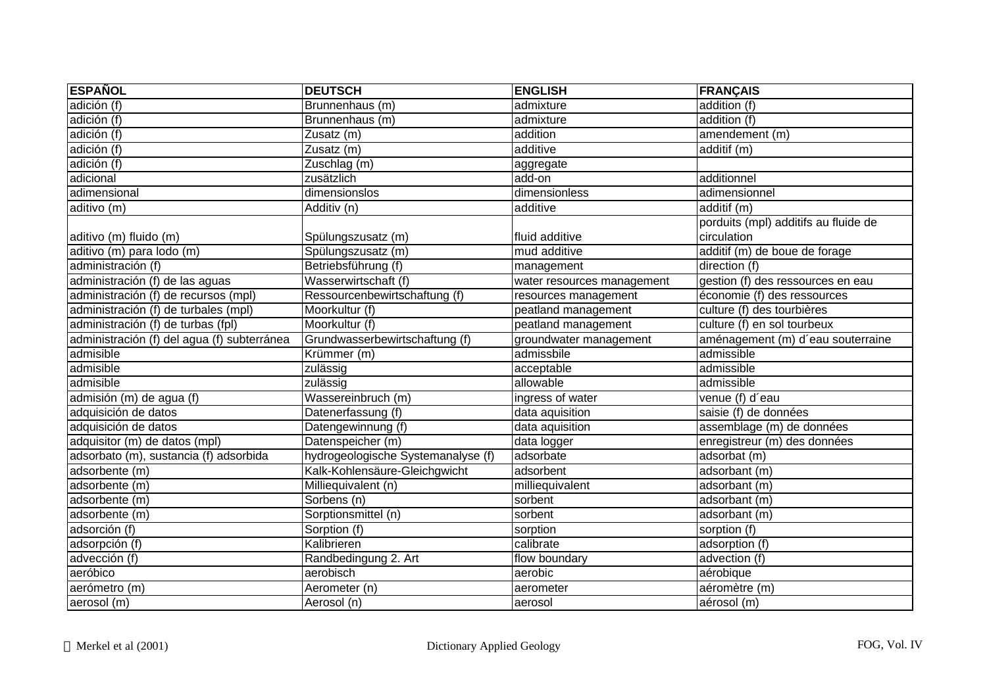| <b>ESPAÑOL</b>                              | <b>DEUTSCH</b>                     | <b>ENGLISH</b>             | <b>FRANÇAIS</b>                      |
|---------------------------------------------|------------------------------------|----------------------------|--------------------------------------|
| adición (f)                                 | Brunnenhaus (m)                    | admixture                  | addition (f)                         |
| adición (f)                                 | Brunnenhaus (m)                    | admixture                  | addition (f)                         |
| adición (f)                                 | Zusatz (m)                         | addition                   | amendement (m)                       |
| adición (f)                                 | Zusatz (m)                         | additive                   | additif (m)                          |
| adición (f)                                 | Zuschlag (m)                       | aggregate                  |                                      |
| adicional                                   | zusätzlich                         | add-on                     | additionnel                          |
| adimensional                                | dimensionslos                      | dimensionless              | adimensionnel                        |
| aditivo (m)                                 | Additiv (n)                        | additive                   | additif (m)                          |
|                                             |                                    |                            | porduits (mpl) additifs au fluide de |
| aditivo (m) fluido (m)                      | Spülungszusatz (m)                 | fluid additive             | circulation                          |
| aditivo (m) para lodo (m)                   | Spülungszusatz (m)                 | mud additive               | additif (m) de boue de forage        |
| administración $(f)$                        | Betriebsführung (f)                | management                 | direction (f)                        |
| administración (f) de las aguas             | Wasserwirtschaft (f)               | water resources management | gestion (f) des ressources en eau    |
| administración (f) de recursos (mpl)        | Ressourcenbewirtschaftung (f)      | resources management       | économie (f) des ressources          |
| administración (f) de turbales (mpl)        | Moorkultur (f)                     | peatland management        | culture (f) des tourbières           |
| administración (f) de turbas (fpl)          | Moorkultur (f)                     | peatland management        | culture (f) en sol tourbeux          |
| administración (f) del agua (f) subterránea | Grundwasserbewirtschaftung (f)     | groundwater management     | aménagement (m) d'eau souterraine    |
| admisible                                   | Krümmer (m)                        | admissbile                 | admissible                           |
| admisible                                   | zulässig                           | acceptable                 | admissible                           |
| admisible                                   | zulässig                           | allowable                  | admissible                           |
| admisión (m) de agua (f)                    | Wassereinbruch (m)                 | ingress of water           | venue (f) d'eau                      |
| adquisición de datos                        | Datenerfassung (f)                 | data aquisition            | saisie (f) de données                |
| adquisición de datos                        | Datengewinnung (f)                 | data aquisition            | assemblage (m) de données            |
| adquisitor (m) de datos (mpl)               | Datenspeicher (m)                  | data logger                | enregistreur (m) des données         |
| adsorbato (m), sustancia (f) adsorbida      | hydrogeologische Systemanalyse (f) | adsorbate                  | adsorbat (m)                         |
| adsorbente (m)                              | Kalk-Kohlensäure-Gleichgwicht      | adsorbent                  | adsorbant (m)                        |
| adsorbente (m)                              | Milliequivalent (n)                | milliequivalent            | adsorbant (m)                        |
| adsorbente (m)                              | Sorbens (n)                        | sorbent                    | adsorbant (m)                        |
| adsorbente (m)                              | Sorptionsmittel (n)                | sorbent                    | adsorbant (m)                        |
| adsorción (f)                               | Sorption (f)                       | sorption                   | sorption (f)                         |
| adsorpción (f)                              | Kalibrieren                        | calibrate                  | adsorption (f)                       |
| advección (f)                               | Randbedingung 2. Art               | flow boundary              | advection (f)                        |
| aeróbico                                    | aerobisch                          | aerobic                    | aérobique                            |
| aerómetro (m)                               | Aerometer (n)                      | aerometer                  | aéromètre (m)                        |
| aerosol (m)                                 | Aerosol (n)                        | aerosol                    | aérosol (m)                          |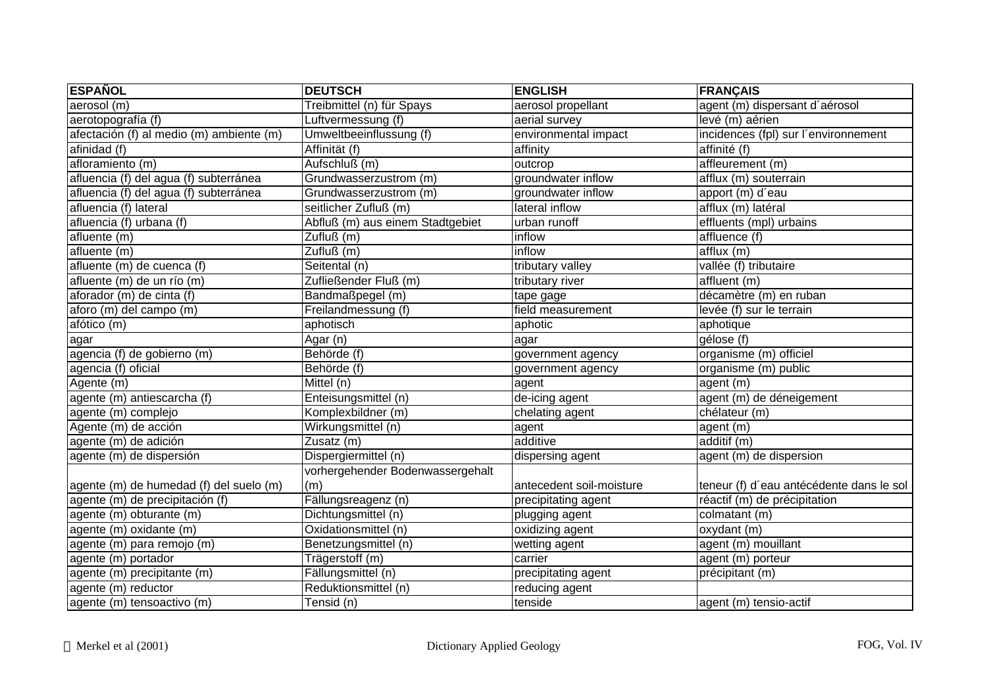| <b>ESPAÑOL</b>                           | <b>DEUTSCH</b>                   | <b>ENGLISH</b>           | <b>FRANÇAIS</b>                          |
|------------------------------------------|----------------------------------|--------------------------|------------------------------------------|
| aerosol (m)                              | Treibmittel (n) für Spays        | aerosol propellant       | agent (m) dispersant d'aérosol           |
| aerotopografía (f)                       | Luftvermessung (f)               | aerial survey            | levé (m) aérien                          |
| afectación (f) al medio (m) ambiente (m) | Umweltbeeinflussung (f)          | environmental impact     | incidences (fpl) sur l'environnement     |
| afinidad (f)                             | Affinität (f)                    | affinity                 | affinité (f)                             |
| afloramiento (m)                         | Aufschluß (m)                    | outcrop                  | affleurement (m)                         |
| afluencia (f) del agua (f) subterránea   | Grundwasserzustrom (m)           | groundwater inflow       | afflux (m) souterrain                    |
| afluencia (f) del agua (f) subterránea   | Grundwasserzustrom (m)           | groundwater inflow       | apport (m) d'eau                         |
| afluencia (f) lateral                    | seitlicher Zufluß (m)            | lateral inflow           | afflux (m) latéral                       |
| afluencia (f) urbana (f)                 | Abfluß (m) aus einem Stadtgebiet | urban runoff             | effluents (mpl) urbains                  |
| afluente (m)                             | Zufluß (m)                       | inflow                   | affluence (f)                            |
| afluente (m)                             | Zufluß (m)                       | inflow                   | afflux(m)                                |
| afluente (m) de cuenca (f)               | Seitental (n)                    | tributary valley         | vallée (f) tributaire                    |
| afluente (m) de un río (m)               | Zufließender Fluß (m)            | tributary river          | affluent (m)                             |
| aforador (m) de cinta (f)                | Bandmaßpegel (m)                 | tape gage                | décamètre (m) en ruban                   |
| aforo (m) del campo (m)                  | Freilandmessung (f)              | field measurement        | levée (f) sur le terrain                 |
| afótico (m)                              | aphotisch                        | aphotic                  | aphotique                                |
| agar                                     | Agar (n)                         | agar                     | gélose (f)                               |
| agencia (f) de gobierno (m)              | Behörde (f)                      | government agency        | organisme (m) officiel                   |
| agencia (f) oficial                      | Behörde (f)                      | government agency        | organisme (m) public                     |
| Agente (m)                               | Mittel (n)                       | agent                    | agent (m)                                |
| agente (m) antiescarcha (f)              | Enteisungsmittel (n)             | de-icing agent           | agent (m) de déneigement                 |
| agente (m) complejo                      | Komplexbildner (m)               | chelating agent          | chélateur (m)                            |
| Agente (m) de acción                     | Wirkungsmittel (n)               | agent                    | agent (m)                                |
| agente (m) de adición                    | Zusatz (m)                       | additive                 | additif (m)                              |
| agente (m) de dispersión                 | Dispergiermittel (n)             | dispersing agent         | agent (m) de dispersion                  |
|                                          | vorhergehender Bodenwassergehalt |                          |                                          |
| agente (m) de humedad (f) del suelo (m)  | (m)                              | antecedent soil-moisture | teneur (f) d'eau antécédente dans le sol |
| agente (m) de precipitación (f)          | Fällungsreagenz (n)              | precipitating agent      | réactif (m) de précipitation             |
| agente (m) obturante (m)                 | Dichtungsmittel (n)              | plugging agent           | $\overline{\text{colmatant}}$ $(m)$      |
| agente (m) oxidante (m)                  | Oxidationsmittel (n)             | oxidizing agent          | oxydant (m)                              |
| agente (m) para remojo (m)               | Benetzungsmittel (n)             | wetting agent            | agent (m) mouillant                      |
| agente (m) portador                      | Trägerstoff (m)                  | carrier                  | agent (m) porteur                        |
| agente (m) precipitante (m)              | Fällungsmittel (n)               | precipitating agent      | précipitant (m)                          |
| agente (m) reductor                      | Reduktionsmittel (n)             | reducing agent           |                                          |
| agente (m) tensoactivo (m)               | Tensid (n)                       | tenside                  | agent (m) tensio-actif                   |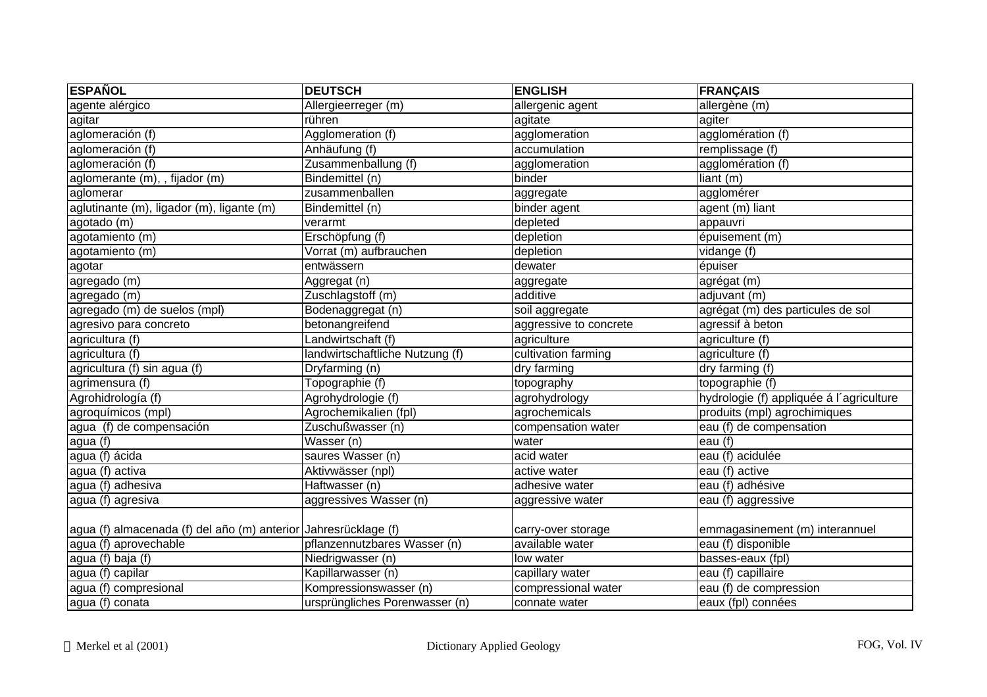| <b>ESPAÑOL</b>                                                  | <b>DEUTSCH</b>                  | <b>ENGLISH</b>         | <b>FRANÇAIS</b>                          |
|-----------------------------------------------------------------|---------------------------------|------------------------|------------------------------------------|
| agente alérgico                                                 | Allergieerreger (m)             | allergenic agent       | allergène (m)                            |
| agitar                                                          | rühren                          | agitate                | agiter                                   |
| aglomeración (f)                                                | Agglomeration (f)               | agglomeration          | agglomération (f)                        |
| aglomeración (f)                                                | Anhäufung (f)                   | accumulation           | remplissage (f)                          |
| aglomeración $(f)$                                              | Zusammenballung (f)             | agglomeration          | agglomération (f)                        |
| aglomerante (m), , fijador (m)                                  | Bindemittel (n)                 | binder                 | liant (m)                                |
| aglomerar                                                       | zusammenballen                  | aggregate              | agglomérer                               |
| aglutinante (m), ligador (m), ligante (m)                       | Bindemittel (n)                 | binder agent           | agent (m) liant                          |
| agotado (m)                                                     | verarmt                         | depleted               | appauvri                                 |
| agotamiento (m)                                                 | Erschöpfung (f)                 | depletion              | épuisement (m)                           |
| agotamiento (m)                                                 | Vorrat (m) aufbrauchen          | depletion              | vidange (f)                              |
| agotar                                                          | entwässern                      | dewater                | épuiser                                  |
| agregado (m)                                                    | Aggregat (n)                    | aggregate              | agrégat (m)                              |
| agregado (m)                                                    | Zuschlagstoff (m)               | additive               | adjuvant (m)                             |
| agregado (m) de suelos (mpl)                                    | Bodenaggregat (n)               | soil aggregate         | agrégat (m) des particules de sol        |
| agresivo para concreto                                          | betonangreifend                 | aggressive to concrete | agressif à beton                         |
| agricultura (f)                                                 | Landwirtschaft (f)              | agriculture            | agriculture (f)                          |
| agricultura (f)                                                 | landwirtschaftliche Nutzung (f) | cultivation farming    | agriculture (f)                          |
| agricultura (f) sin agua (f)                                    | Dryfarming (n)                  | dry farming            | dry farming (f)                          |
| agrimensura (f)                                                 | Topographie (f)                 | topography             | topographie (f)                          |
| Agrohidrología (f)                                              | Agrohydrologie (f)              | agrohydrology          | hydrologie (f) appliquée á l'agriculture |
| agroquímicos (mpl)                                              | Agrochemikalien (fpl)           | agrochemicals          | produits (mpl) agrochimiques             |
| agua (f) de compensación                                        | Zuschußwasser (n)               | compensation water     | eau (f) de compensation                  |
| agua (f)                                                        | Wasser (n)                      | water                  | eau (f)                                  |
| agua (f) ácida                                                  | saures Wasser (n)               | acid water             | eau (f) acidulée                         |
| agua (f) activa                                                 | Aktivwässer (npl)               | active water           | eau (f) active                           |
| agua (f) adhesiva                                               | Haftwasser (n)                  | adhesive water         | eau (f) adhésive                         |
| agua (f) agresiva                                               | aggressives Wasser (n)          | aggressive water       | eau (f) aggressive                       |
|                                                                 |                                 |                        |                                          |
| agua (f) almacenada (f) del año (m) anterior Jahresrücklage (f) |                                 | carry-over storage     | emmagasinement (m) interannuel           |
| agua (f) aprovechable                                           | pflanzennutzbares Wasser (n)    | available water        | eau (f) disponible                       |
| agua (f) baja (f)                                               | Niedrigwasser (n)               | low water              | basses-eaux (fpl)                        |
| agua (f) capilar                                                | Kapillarwasser (n)              | capillary water        | eau (f) capillaire                       |
| agua (f) compresional                                           | Kompressionswasser (n)          | compressional water    | eau (f) de compression                   |
| agua (f) conata                                                 | ursprüngliches Porenwasser (n)  | connate water          | eaux (fpl) connées                       |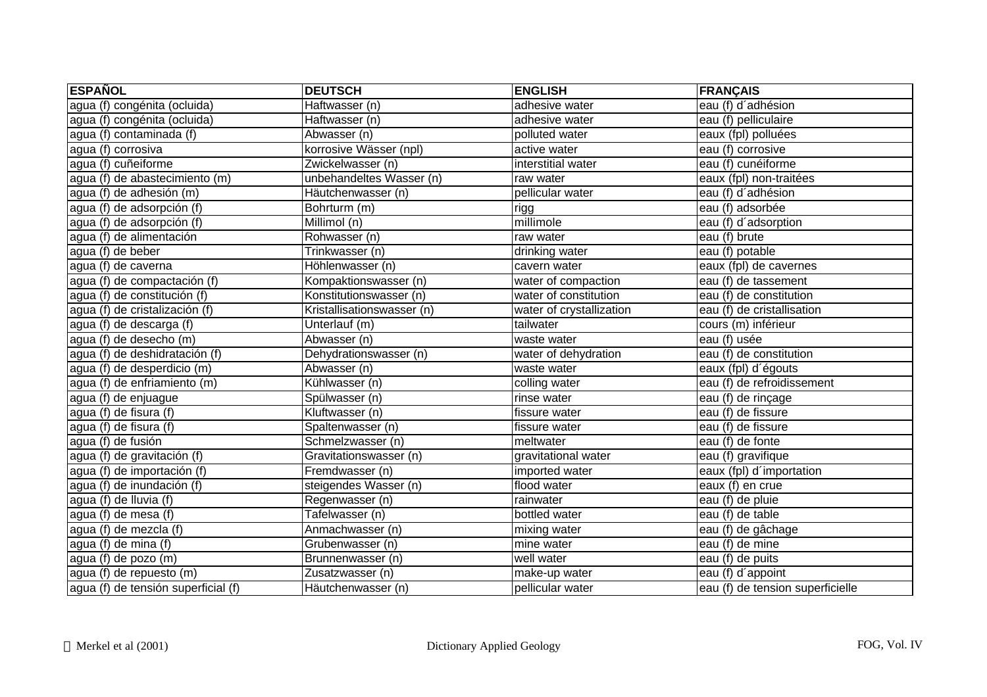| <b>ESPAÑOL</b>                               | <b>DEUTSCH</b>             | <b>ENGLISH</b>           | <b>FRANÇAIS</b>                  |
|----------------------------------------------|----------------------------|--------------------------|----------------------------------|
| agua (f) congénita (ocluida)                 | Haftwasser (n)             | adhesive water           | eau (f) d'adhésion               |
| agua (f) congénita (ocluida)                 | Haftwasser (n)             | adhesive water           | eau (f) pelliculaire             |
| agua (f) contaminada (f)                     | Abwasser (n)               | polluted water           | eaux (fpl) polluées              |
| agua (f) corrosiva                           | korrosive Wässer (npl)     | active water             | eau (f) corrosive                |
| agua (f) cuñeiforme                          | Zwickelwasser (n)          | interstitial water       | eau (f) cunéiforme               |
| agua (f) de abastecimiento (m)               | unbehandeltes Wasser (n)   | raw water                | eaux (fpl) non-traitées          |
| agua (f) de adhesión (m)                     | Häutchenwasser (n)         | pellicular water         | eau (f) d'adhésion               |
| agua (f) de adsorpción (f)                   | Bohrturm (m)               | rigg                     | eau (f) adsorbée                 |
| agua (f) de adsorpción (f)                   | Millimol (n)               | millimole                | eau (f) d'adsorption             |
| agua (f) de alimentación                     | Rohwasser (n)              | raw water                | eau (f) brute                    |
| agua (f) de beber                            | Trinkwasser (n)            | drinking water           | eau (f) potable                  |
| agua (f) de caverna                          | Höhlenwasser (n)           | cavern water             | eaux (fpl) de cavernes           |
| agua (f) de compactación (f)                 | Kompaktionswasser (n)      | water of compaction      | eau (f) de tassement             |
| agua (f) de constitución (f)                 | Konstitutionswasser (n)    | water of constitution    | eau (f) de constitution          |
| agua (f) de cristalización (f)               | Kristallisationswasser (n) | water of crystallization | eau (f) de cristallisation       |
| agua (f) de descarga (f)                     | Unterlauf (m)              | tailwater                | cours (m) inférieur              |
| agua (f) de desecho (m)                      | Abwasser (n)               | waste water              | eau (f) usée                     |
| agua (f) de deshidratación (f)               | Dehydrationswasser (n)     | water of dehydration     | eau (f) de constitution          |
| agua (f) de desperdicio (m)                  | Abwasser (n)               | waste water              | eaux (fpl) d'égouts              |
| agua (f) de enfriamiento (m)                 | Kühlwasser (n)             | colling water            | eau (f) de refroidissement       |
| agua (f) de enjuague                         | Spülwasser (n)             | rinse water              | eau (f) de rinçage               |
| agua (f) de fisura (f)                       | Kluftwasser (n)            | fissure water            | eau (f) de fissure               |
| agua (f) de fisura (f)                       | Spaltenwasser (n)          | fissure water            | eau (f) de fissure               |
| agua (f) de fusión                           | Schmelzwasser (n)          | meltwater                | eau (f) de fonte                 |
| agua (f) de gravitación (f)                  | Gravitationswasser (n)     | gravitational water      | eau (f) gravifique               |
| agua (f) de importación (f)                  | Fremdwasser (n)            | imported water           | eaux (fpl) d'importation         |
| agua (f) de inundación (f)                   | steigendes Wasser (n)      | flood water              | eaux (f) en crue                 |
| agua (f) de Iluvia $\overline{(\mathsf{f})}$ | Regenwasser (n)            | rainwater                | eau (f) de pluie                 |
| agua (f) de mesa (f)                         | Tafelwasser (n)            | bottled water            | eau (f) de table                 |
| agua (f) de mezcla (f)                       | Anmachwasser (n)           | mixing water             | eau (f) de gâchage               |
| agua (f) de mina (f)                         | Grubenwasser (n)           | mine water               | eau (f) de mine                  |
| agua (f) de pozo $(m)$                       | Brunnenwasser (n)          | well water               | eau (f) de puits                 |
| agua (f) de repuesto (m)                     | Zusatzwasser (n)           | make-up water            | eau (f) d'appoint                |
| agua (f) de tensión superficial (f)          | Häutchenwasser (n)         | pellicular water         | eau (f) de tension superficielle |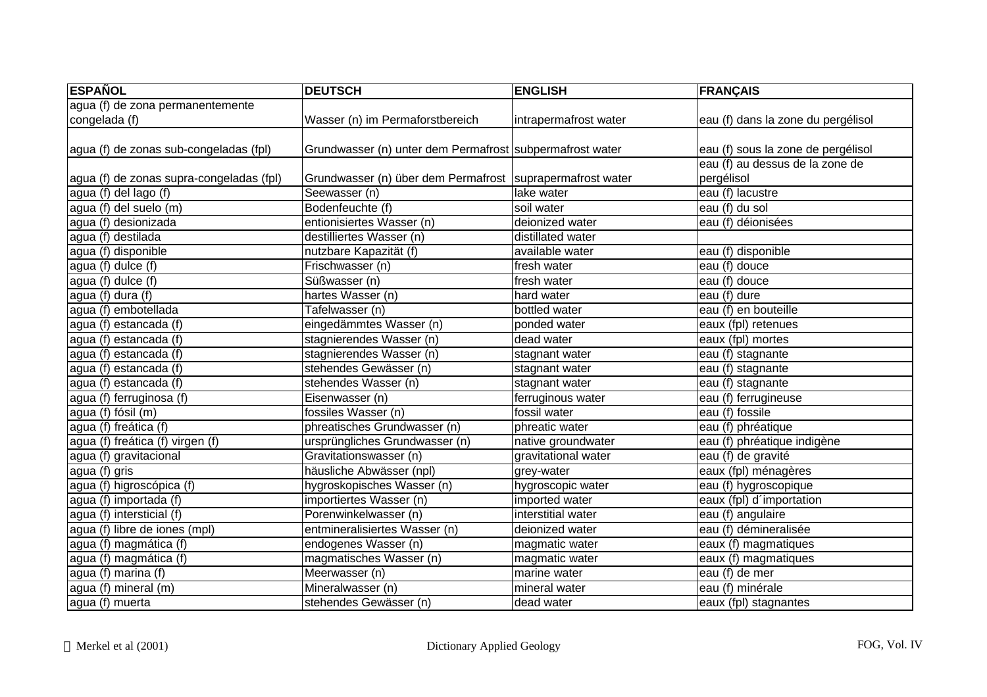| <b>ESPAÑOL</b>                           | <b>DEUTSCH</b>                                              | <b>ENGLISH</b>        | <b>FRANÇAIS</b>                    |
|------------------------------------------|-------------------------------------------------------------|-----------------------|------------------------------------|
| agua (f) de zona permanentemente         |                                                             |                       |                                    |
| congelada (f)                            | Wasser (n) im Permaforstbereich                             | intrapermafrost water | eau (f) dans la zone du pergélisol |
|                                          |                                                             |                       |                                    |
| agua (f) de zonas sub-congeladas (fpl)   | Grundwasser (n) unter dem Permafrost subpermafrost water    |                       | eau (f) sous la zone de pergélisol |
|                                          |                                                             |                       | eau (f) au dessus de la zone de    |
| agua (f) de zonas supra-congeladas (fpl) | Grundwasser (n) über dem Permafrost   suprapermafrost water |                       | pergélisol                         |
| agua (f) del lago (f)                    | Seewasser (n)                                               | lake water            | eau (f) lacustre                   |
| agua (f) del suelo (m)                   | Bodenfeuchte (f)                                            | soil water            | eau (f) du sol                     |
| agua (f) desionizada                     | entionisiertes Wasser (n)                                   | deionized water       | eau (f) déionisées                 |
| agua (f) destilada                       | destilliertes Wasser (n)                                    | distillated water     |                                    |
| agua (f) disponible                      | nutzbare Kapazität (f)                                      | available water       | eau (f) disponible                 |
| agua (f) dulce (f)                       | Frischwasser (n)                                            | fresh water           | eau (f) douce                      |
| agua (f) dulce (f)                       | Süßwasser (n)                                               | fresh water           | eau (f) douce                      |
| agua (f) dura (f)                        | hartes Wasser (n)                                           | hard water            | eau (f) dure                       |
| agua (f) embotellada                     | Tafelwasser (n)                                             | bottled water         | eau (f) en bouteille               |
| agua (f) estancada (f)                   | eingedämmtes Wasser (n)                                     | ponded water          | eaux (fpl) retenues                |
| agua (f) estancada (f)                   | stagnierendes Wasser (n)                                    | dead water            | eaux (fpl) mortes                  |
| agua (f) estancada (f)                   | stagnierendes Wasser (n)                                    | stagnant water        | eau (f) stagnante                  |
| agua (f) estancada (f)                   | stehendes Gewässer (n)                                      | stagnant water        | eau (f) stagnante                  |
| agua (f) estancada (f)                   | stehendes Wasser (n)                                        | stagnant water        | eau (f) stagnante                  |
| agua (f) ferruginosa (f)                 | Eisenwasser (n)                                             | ferruginous water     | eau (f) ferrugineuse               |
| agua (f) fósil (m)                       | fossiles Wasser (n)                                         | fossil water          | eau (f) fossile                    |
| agua (f) freática (f)                    | phreatisches Grundwasser (n)                                | phreatic water        | eau (f) phréatique                 |
| agua (f) freática (f) virgen (f)         | ursprüngliches Grundwasser (n)                              | native groundwater    | eau (f) phréatique indigène        |
| agua (f) gravitacional                   | Gravitationswasser (n)                                      | gravitational water   | eau (f) de gravité                 |
| agua (f) gris                            | häusliche Abwässer (npl)                                    | grey-water            | eaux (fpl) ménagères               |
| agua (f) higroscópica (f)                | hygroskopisches Wasser (n)                                  | hygroscopic water     | eau (f) hygroscopique              |
| agua (f) importada (f)                   | importiertes Wasser (n)                                     | imported water        | eaux (fpl) d'importation           |
| agua (f) intersticial (f)                | Porenwinkelwasser (n)                                       | interstitial water    | eau (f) angulaire                  |
| agua (f) libre de iones (mpl)            | entmineralisiertes Wasser (n)                               | deionized water       | eau (f) démineralisée              |
| agua (f) magmática (f)                   | endogenes Wasser (n)                                        | magmatic water        | eaux (f) magmatiques               |
| agua (f) magmática (f)                   | magmatisches Wasser (n)                                     | magmatic water        | eaux (f) magmatiques               |
| agua (f) marina (f)                      | Meerwasser (n)                                              | marine water          | eau (f) de mer                     |
| agua (f) mineral (m)                     | Mineralwasser (n)                                           | mineral water         | eau (f) minérale                   |
| agua (f) muerta                          | stehendes Gewässer (n)                                      | dead water            | eaux (fpl) stagnantes              |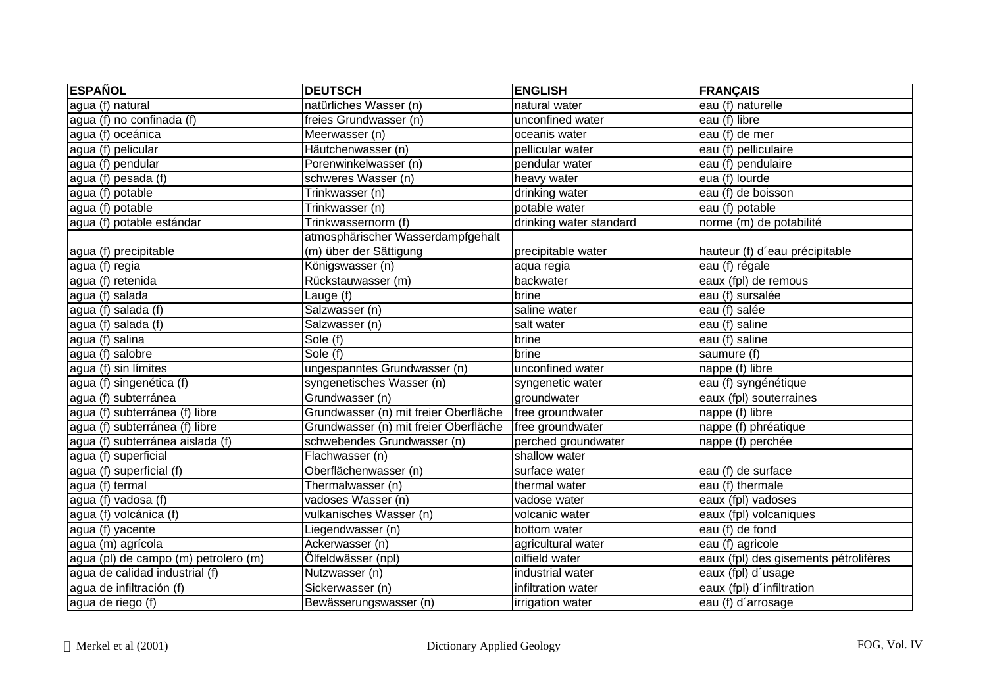| <b>ESPAÑOL</b>                       | <b>DEUTSCH</b>                        | <b>ENGLISH</b>          | <b>FRANÇAIS</b>                       |
|--------------------------------------|---------------------------------------|-------------------------|---------------------------------------|
| agua (f) natural                     | natürliches Wasser (n)                | natural water           | eau (f) naturelle                     |
| agua (f) no confinada (f)            | freies Grundwasser (n)                | unconfined water        | eau (f) libre                         |
| agua (f) oceánica                    | Meerwasser (n)                        | oceanis water           | eau (f) de mer                        |
| agua (f) pelicular                   | Häutchenwasser (n)                    | pellicular water        | eau (f) pelliculaire                  |
| agua (f) pendular                    | Porenwinkelwasser (n)                 | pendular water          | eau (f) pendulaire                    |
| agua (f) pesada (f)                  | schweres Wasser (n)                   | heavy water             | eua (f) lourde                        |
| agua (f) potable                     | Trinkwasser (n)                       | drinking water          | eau (f) de boisson                    |
| agua (f) potable                     | Trinkwasser (n)                       | potable water           | eau (f) potable                       |
| agua (f) potable estándar            | Trinkwassernorm (f)                   | drinking water standard | norme (m) de potabilité               |
|                                      | atmosphärischer Wasserdampfgehalt     |                         |                                       |
| agua (f) precipitable                | (m) über der Sättigung                | precipitable water      | hauteur (f) d'eau précipitable        |
| agua (f) regia                       | Königswasser (n)                      | aqua regia              | eau (f) régale                        |
| agua (f) retenida                    | Rückstauwasser (m)                    | backwater               | eaux (fpl) de remous                  |
| agua (f) salada                      | Lauge (f)                             | brine                   | eau (f) sursalée                      |
| agua (f) salada (f)                  | Salzwasser (n)                        | saline water            | eau (f) salée                         |
| agua (f) salada (f)                  | Salzwasser (n)                        | salt water              | eau (f) saline                        |
| agua (f) salina                      | Sole (f)                              | brine                   | eau (f) saline                        |
| agua (f) salobre                     | Sole(f)                               | brine                   | saumure (f)                           |
| agua (f) sin límites                 | ungespanntes Grundwasser (n)          | unconfined water        | nappe (f) libre                       |
| agua (f) singenética (f)             | syngenetisches Wasser (n)             | syngenetic water        | eau (f) syngénétique                  |
| agua (f) subterránea                 | Grundwasser (n)                       | groundwater             | eaux (fpl) souterraines               |
| agua (f) subterránea (f) libre       | Grundwasser (n) mit freier Oberfläche | free groundwater        | nappe (f) libre                       |
| agua (f) subterránea (f) libre       | Grundwasser (n) mit freier Oberfläche | free groundwater        | nappe (f) phréatique                  |
| agua (f) subterránea aislada (f)     | schwebendes Grundwasser (n)           | perched groundwater     | nappe (f) perchée                     |
| agua (f) superficial                 | Flachwasser (n)                       | shallow water           |                                       |
| agua (f) superficial (f)             | Oberflächenwasser (n)                 | surface water           | eau (f) de surface                    |
| agua (f) termal                      | Thermalwasser (n)                     | thermal water           | eau (f) thermale                      |
| agua (f) vadosa (f)                  | vadoses Wasser (n)                    | vadose water            | eaux (fpl) vadoses                    |
| agua (f) volcánica (f)               | vulkanisches Wasser (n)               | volcanic water          | eaux (fpl) volcaniques                |
| agua (f) yacente                     | Liegendwasser (n)                     | bottom water            | eau (f) de fond                       |
| agua (m) agrícola                    | Ackerwasser (n)                       | agricultural water      | eau (f) agricole                      |
| agua (pl) de campo (m) petrolero (m) | Ölfeldwässer (npl)                    | oilfield water          | eaux (fpl) des gisements pétrolifères |
| agua de calidad industrial (f)       | Nutzwasser (n)                        | industrial water        | eaux (fpl) d'usage                    |
| agua de infiltración (f)             | Sickerwasser (n)                      | infiltration water      | eaux (fpl) d'infiltration             |
| agua de riego (f)                    | Bewässerungswasser (n)                | irrigation water        | eau (f) d'arrosage                    |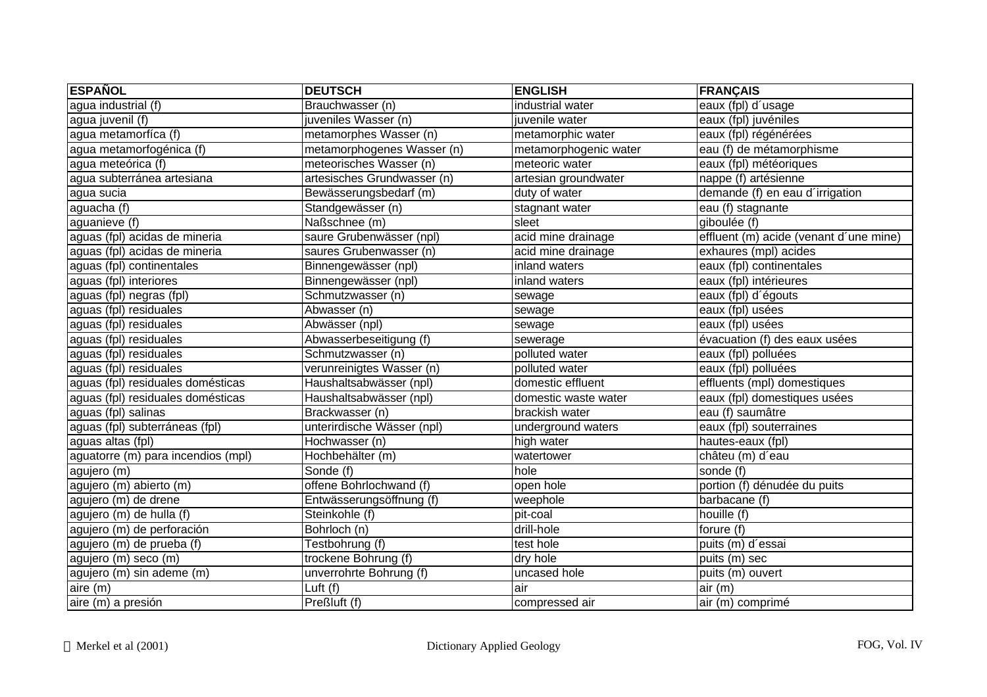| <b>ESPAÑOL</b>                     | <b>DEUTSCH</b>              | <b>ENGLISH</b>        | <b>FRANÇAIS</b>                        |
|------------------------------------|-----------------------------|-----------------------|----------------------------------------|
| agua industrial (f)                | Brauchwasser (n)            | industrial water      | eaux (fpl) d'usage                     |
| agua juvenil (f)                   | juveniles Wasser (n)        | juvenile water        | eaux (fpl) juvéniles                   |
| agua metamorfíca (f)               | metamorphes Wasser (n)      | metamorphic water     | eaux (fpl) régénérées                  |
| agua metamorfogénica (f)           | metamorphogenes Wasser (n)  | metamorphogenic water | eau (f) de métamorphisme               |
| agua meteórica (f)                 | meteorisches Wasser (n)     | meteoric water        | eaux (fpl) météoriques                 |
| agua subterránea artesiana         | artesisches Grundwasser (n) | artesian groundwater  | nappe (f) artésienne                   |
| agua sucia                         | Bewässerungsbedarf (m)      | duty of water         | demande (f) en eau d'irrigation        |
| aguacha (f)                        | Standgewässer (n)           | stagnant water        | eau (f) stagnante                      |
| aguanieve (f)                      | Naßschnee (m)               | sleet                 | giboulée (f)                           |
| aguas (fpl) acidas de mineria      | saure Grubenwässer (npl)    | acid mine drainage    | effluent (m) acide (venant d'une mine) |
| aguas (fpl) acidas de mineria      | saures Grubenwasser (n)     | acid mine drainage    | exhaures (mpl) acides                  |
| aguas (fpl) continentales          | Binnengewässer (npl)        | inland waters         | eaux (fpl) continentales               |
| aguas (fpl) interiores             | Binnengewässer (npl)        | inland waters         | eaux (fpl) intérieures                 |
| aguas (fpl) negras (fpl)           | Schmutzwasser (n)           | sewage                | eaux (fpl) d'égouts                    |
| aguas (fpl) residuales             | Abwasser (n)                | sewage                | eaux (fpl) usées                       |
| aguas (fpl) residuales             | Abwässer (npl)              | sewage                | eaux (fpl) usées                       |
| aguas (fpl) residuales             | Abwasserbeseitigung (f)     | sewerage              | évacuation (f) des eaux usées          |
| aguas (fpl) residuales             | Schmutzwasser (n)           | polluted water        | eaux (fpl) polluées                    |
| aguas (fpl) residuales             | verunreinigtes Wasser (n)   | polluted water        | eaux (fpl) polluées                    |
| aguas (fpl) residuales domésticas  | Haushaltsabwässer (npl)     | domestic effluent     | effluents (mpl) domestiques            |
| aguas (fpl) residuales domésticas  | Haushaltsabwässer (npl)     | domestic waste water  | eaux (fpl) domestiques usées           |
| aguas (fpl) salinas                | Brackwasser (n)             | brackish water        | eau (f) saumâtre                       |
| aguas (fpl) subterráneas (fpl)     | unterirdische Wässer (npl)  | underground waters    | eaux (fpl) souterraines                |
| aguas altas (fpl)                  | Hochwasser (n)              | high water            | hautes-eaux (fpl)                      |
| aguatorre (m) para incendios (mpl) | Hochbehälter (m)            | watertower            | châteu (m) d'eau                       |
| agujero (m)                        | Sonde (f)                   | hole                  | sonde (f)                              |
| agujero (m) abierto (m)            | offene Bohrlochwand (f)     | open hole             | portion (f) dénudée du puits           |
| agujero (m) de drene               | Entwässerungsöffnung (f)    | weephole              | barbacane (f)                          |
| agujero (m) de hulla (f)           | Steinkohle (f)              | pit-coal              | houille (f)                            |
| agujero (m) de perforación         | Bohrloch (n)                | drill-hole            | forure (f)                             |
| agujero (m) de prueba (f)          | Testbohrung (f)             | test hole             | puits (m) d'essai                      |
| agujero (m) seco (m)               | trockene Bohrung (f)        | dry hole              | puits (m) sec                          |
| agujero (m) sin ademe (m)          | unverrohrte Bohrung (f)     | uncased hole          | puits (m) ouvert                       |
| aire (m)                           | Luft (f)                    | air                   | air (m)                                |
| aire (m) a presión                 | Preßluft (f)                | compressed air        | air (m) comprimé                       |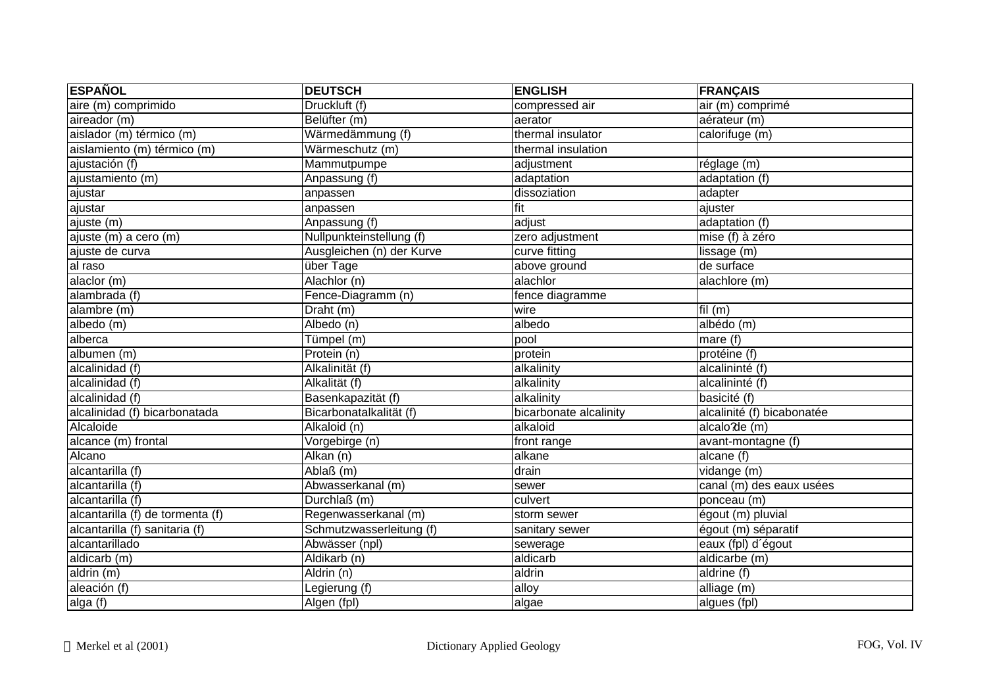| <b>ESPAÑOL</b>                   | <b>DEUTSCH</b>            | <b>ENGLISH</b>         | <b>FRANÇAIS</b>            |
|----------------------------------|---------------------------|------------------------|----------------------------|
| aire (m) comprimido              | Druckluft (f)             | compressed air         | air (m) comprimé           |
| aireador (m)                     | Belüfter (m)              | aerator                | aérateur (m)               |
| aislador (m) térmico (m)         | Wärmedämmung (f)          | thermal insulator      | calorifuge (m)             |
| aislamiento (m) térmico (m)      | Wärmeschutz (m)           | thermal insulation     |                            |
| ajustación (f)                   | Mammutpumpe               | adjustment             | réglage (m)                |
| ajustamiento (m)                 | Anpassung (f)             | adaptation             | adaptation (f)             |
| ajustar                          | anpassen                  | dissoziation           | adapter                    |
| ajustar                          | anpassen                  | fit                    | ajuster                    |
| ajuste (m)                       | Anpassung (f)             | adjust                 | adaptation (f)             |
| ajuste (m) a cero (m)            | Nullpunkteinstellung (f)  | zero adjustment        | mise (f) à zéro            |
| ajuste de curva                  | Ausgleichen (n) der Kurve | curve fitting          | lissage (m)                |
| al raso                          | über Tage                 | above ground           | de surface                 |
| alaclor (m)                      | Alachlor (n)              | alachlor               | alachlore (m)              |
| alambrada (f)                    | Fence-Diagramm (n)        | fence diagramme        |                            |
| alambre (m)                      | Draht (m)                 | wire                   | $\overline{f}$ il (m)      |
| albedo (m)                       | Albedo (n)                | albedo                 | albédo (m)                 |
| alberca                          | Tümpel (m)                | pool                   | mare (f)                   |
| albumen (m)                      | Protein (n)               | protein                | protéine (f)               |
| alcalinidad (f)                  | Alkalinität (f)           | alkalinity             | alcalininté (f)            |
| alcalinidad (f)                  | Alkalität (f)             | alkalinity             | alcalininté (f)            |
| alcalinidad (f)                  | Basenkapazität (f)        | alkalinity             | basicité (f)               |
| alcalinidad (f) bicarbonatada    | Bicarbonatalkalität (f)   | bicarbonate alcalinity | alcalinité (f) bicabonatée |
| Alcaloide                        | Alkaloid (n)              | alkaloid               | alcalo de (m)              |
| alcance (m) frontal              | Vorgebirge (n)            | front range            | avant-montagne (f)         |
| Alcano                           | $\overline{Alkan(n)}$     | alkane                 | alcane (f)                 |
| alcantarilla (f)                 | Ablaß (m)                 | drain                  | vidange (m)                |
| alcantarilla (f)                 | Abwasserkanal (m)         | sewer                  | canal (m) des eaux usées   |
| alcantarilla (f)                 | Durchlaß (m)              | culvert                | ponceau (m)                |
| alcantarilla (f) de tormenta (f) | Regenwasserkanal (m)      | storm sewer            | égout (m) pluvial          |
| alcantarilla (f) sanitaria (f)   | Schmutzwasserleitung (f)  | sanitary sewer         | égout (m) séparatif        |
| alcantarillado                   | Abwässer (npl)            | sewerage               | eaux (fpl) d'égout         |
| aldicarb (m)                     | Aldikarb (n)              | aldicarb               | aldicarbe (m)              |
| aldrin (m)                       | Aldrin (n)                | aldrin                 | aldrine (f)                |
| aleación (f)                     | Legierung (f)             | alloy                  | alliage (m)                |
| alga(f)                          | Algen (fpl)               | algae                  | algues (fpl)               |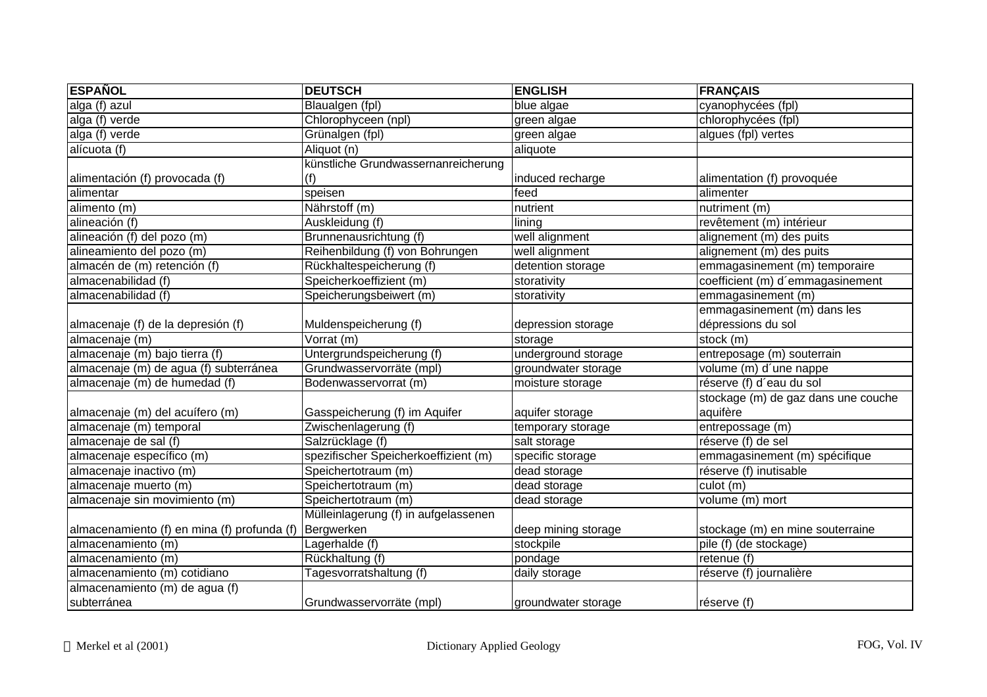| <b>ESPAÑOL</b>                              | <b>DEUTSCH</b>                       | <b>ENGLISH</b>      | <b>FRANÇAIS</b>                     |
|---------------------------------------------|--------------------------------------|---------------------|-------------------------------------|
| alga (f) azul                               | Blaualgen (fpl)                      | blue algae          | cyanophycées (fpl)                  |
| alga (f) verde                              | Chlorophyceen (npl)                  | green algae         | chlorophycées (fpl)                 |
| alga (f) verde                              | Grünalgen (fpl)                      | green algae         | algues (fpl) vertes                 |
| alícuota (f)                                | Aliquot (n)                          | aliquote            |                                     |
|                                             | künstliche Grundwassernanreicherung  |                     |                                     |
| alimentación (f) provocada (f)              | (f)                                  | induced recharge    | alimentation (f) provoquée          |
| alimentar                                   | speisen                              | feed                | alimenter                           |
| alimento (m)                                | Nährstoff (m)                        | nutrient            | nutriment (m)                       |
| alineación (f)                              | Auskleidung (f)                      | lining              | revêtement (m) intérieur            |
| alineación (f) del pozo (m)                 | Brunnenausrichtung (f)               | well alignment      | alignement (m) des puits            |
| alineamiento del pozo (m)                   | Reihenbildung (f) von Bohrungen      | well alignment      | alignement (m) des puits            |
| almacén de (m) retención (f)                | Rückhaltespeicherung (f)             | detention storage   | emmagasinement (m) temporaire       |
| almacenabilidad (f)                         | Speicherkoeffizient (m)              | storativity         | coefficient (m) d'emmagasinement    |
| almacenabilidad (f)                         | Speicherungsbeiwert (m)              | storativity         | emmagasinement (m)                  |
|                                             |                                      |                     | emmagasinement (m) dans les         |
| almacenaje (f) de la depresión (f)          | Muldenspeicherung (f)                | depression storage  | dépressions du sol                  |
| almacenaje (m)                              | Vorrat (m)                           | storage             | stock (m)                           |
| almacenaje (m) bajo tierra (f)              | Untergrundspeicherung (f)            | underground storage | entreposage (m) souterrain          |
| almacenaje (m) de agua (f) subterránea      | Grundwasservorräte (mpl)             | groundwater storage | volume (m) d'une nappe              |
| almacenaje (m) de humedad (f)               | Bodenwasservorrat (m)                | moisture storage    | réserve (f) d'eau du sol            |
|                                             |                                      |                     | stockage (m) de gaz dans une couche |
| almacenaje (m) del acuífero (m)             | Gasspeicherung (f) im Aquifer        | aquifer storage     | aquifère                            |
| almacenaje (m) temporal                     | Zwischenlagerung (f)                 | temporary storage   | entrepossage (m)                    |
| almacenaje de sal (f)                       | Salzrücklage (f)                     | salt storage        | réserve (f) de sel                  |
| almacenaje específico (m)                   | spezifischer Speicherkoeffizient (m) | specific storage    | emmagasinement (m) spécifique       |
| almacenaje inactivo (m)                     | Speichertotraum (m)                  | dead storage        | réserve (f) inutisable              |
| almacenaje muerto (m)                       | Speichertotraum (m)                  | dead storage        | culot (m)                           |
| almacenaje sin movimiento (m)               | Speichertotraum (m)                  | dead storage        | volume (m) mort                     |
|                                             | Mülleinlagerung (f) in aufgelassenen |                     |                                     |
| almacenamiento (f) en mina (f) profunda (f) | Bergwerken                           | deep mining storage | stockage (m) en mine souterraine    |
| almacenamiento (m)                          | Lagerhalde (f)                       | stockpile           | pile (f) (de stockage)              |
| almacenamiento (m)                          | Rückhaltung (f)                      | pondage             | retenue (f)                         |
| almacenamiento (m) cotidiano                | Tagesvorratshaltung (f)              | daily storage       | réserve (f) journalière             |
| almacenamiento (m) de agua (f)              |                                      |                     |                                     |
| subterránea                                 | Grundwasservorräte (mpl)             | groundwater storage | réserve (f)                         |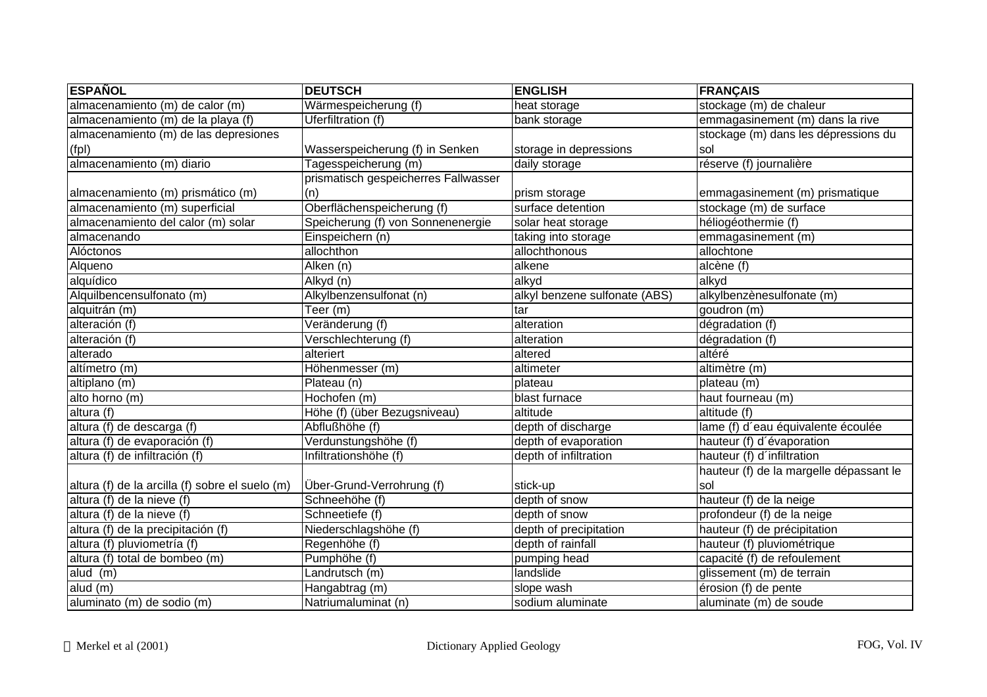| <b>ESPAÑOL</b>                                  | <b>DEUTSCH</b>                       | <b>ENGLISH</b>                | <b>FRANÇAIS</b>                         |
|-------------------------------------------------|--------------------------------------|-------------------------------|-----------------------------------------|
| almacenamiento (m) de calor (m)                 | Wärmespeicherung (f)                 | heat storage                  | stockage (m) de chaleur                 |
| almacenamiento (m) de la playa (f)              | <b>Uferfiltration (f)</b>            | bank storage                  | emmagasinement (m) dans la rive         |
| almacenamiento (m) de las depresiones           |                                      |                               | stockage (m) dans les dépressions du    |
| (fp)                                            | Wasserspeicherung (f) in Senken      | storage in depressions        | sol                                     |
| almacenamiento (m) diario                       | Tagesspeicherung (m)                 | daily storage                 | réserve (f) journalière                 |
|                                                 | prismatisch gespeicherres Fallwasser |                               |                                         |
| almacenamiento (m) prismático (m)               | (n)                                  | prism storage                 | emmagasinement (m) prismatique          |
| almacenamiento (m) superficial                  | Oberflächenspeicherung (f)           | surface detention             | stockage (m) de surface                 |
| almacenamiento del calor (m) solar              | Speicherung (f) von Sonnenenergie    | solar heat storage            | héliogéothermie (f)                     |
| almacenando                                     | Einspeichern (n)                     | taking into storage           | emmagasinement (m)                      |
| Alóctonos                                       | allochthon                           | allochthonous                 | allochtone                              |
| Alqueno                                         | Alken (n)                            | alkene                        | alcène (f)                              |
| alquídico                                       | Alkyd (n)                            | alkyd                         | alkyd                                   |
| Alquilbencensulfonato (m)                       | Alkylbenzensulfonat (n)              | alkyl benzene sulfonate (ABS) | alkylbenzènesulfonate (m)               |
| alquitrán (m)                                   | Teer (m)                             | tar                           | goudron (m)                             |
| alteración (f)                                  | Veränderung (f)                      | alteration                    | dégradation (f)                         |
| alteración (f)                                  | Verschlechterung (f)                 | alteration                    | dégradation (f)                         |
| alterado                                        | alteriert                            | altered                       | altéré                                  |
| altímetro (m)                                   | Höhenmesser (m)                      | altimeter                     | altimètre (m)                           |
| altiplano (m)                                   | Plateau (n)                          | plateau                       | plateau (m)                             |
| alto horno (m)                                  | Hochofen (m)                         | blast furnace                 | haut fourneau (m)                       |
| altura (f)                                      | Höhe (f) (über Bezugsniveau)         | altitude                      | altitude (f)                            |
| altura (f) de descarga (f)                      | Abflußhöhe (f)                       | depth of discharge            | lame (f) d'eau équivalente écoulée      |
| altura (f) de evaporación (f)                   | Verdunstungshöhe (f)                 | depth of evaporation          | hauteur (f) d'évaporation               |
| altura (f) de infiltración (f)                  | Infiltrationshöhe (f)                | depth of infiltration         | hauteur (f) d'infiltration              |
|                                                 |                                      |                               | hauteur (f) de la margelle dépassant le |
| altura (f) de la arcilla (f) sobre el suelo (m) | Über-Grund-Verrohrung (f)            | stick-up                      | sol                                     |
| altura (f) de la nieve (f)                      | Schneehöhe (f)                       | depth of snow                 | hauteur (f) de la neige                 |
| altura (f) de la nieve (f)                      | Schneetiefe (f)                      | depth of snow                 | profondeur (f) de la neige              |
| altura (f) de la precipitación (f)              | Niederschlagshöhe (f)                | depth of precipitation        | hauteur (f) de précipitation            |
| altura (f) pluviometría (f)                     | Regenhöhe (f)                        | depth of rainfall             | hauteur (f) pluviométrique              |
| altura (f) total de bombeo (m)                  | Pumphöhe (f)                         | pumping head                  | capacité (f) de refoulement             |
| alud (m)                                        | Landrutsch (m)                       | landslide                     | glissement (m) de terrain               |
| alud $(m)$                                      | Hangabtrag (m)                       | slope wash                    | érosion (f) de pente                    |
| aluminato (m) de sodio (m)                      | Natriumaluminat (n)                  | sodium aluminate              | aluminate (m) de soude                  |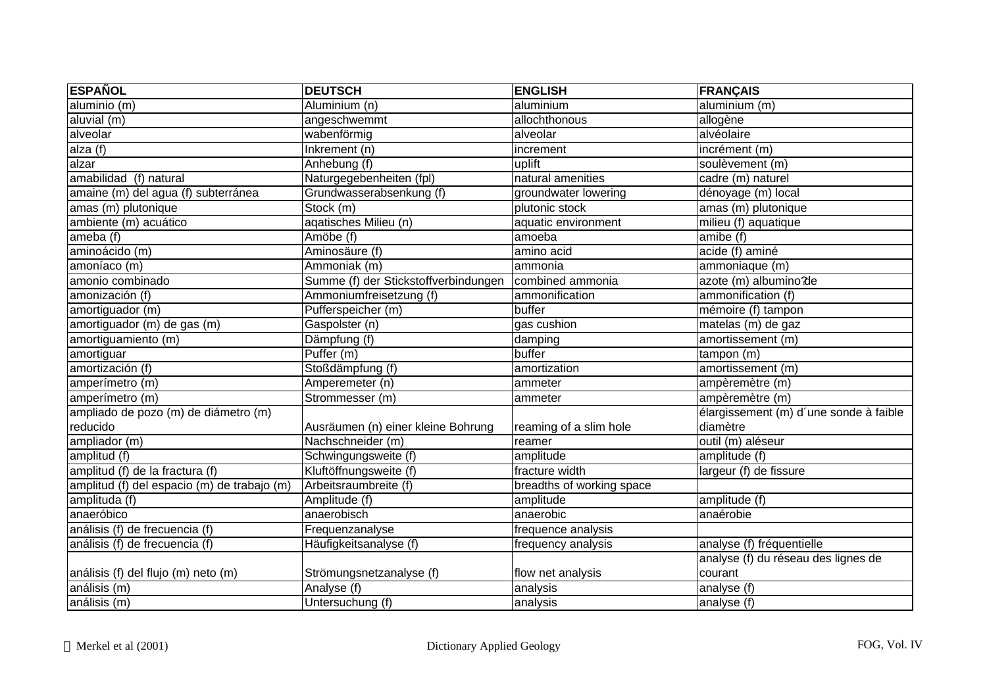| <b>ESPAÑOL</b>                              | <b>DEUTSCH</b>                       | <b>ENGLISH</b>            | <b>FRANÇAIS</b>                        |
|---------------------------------------------|--------------------------------------|---------------------------|----------------------------------------|
| aluminio(m)                                 | Aluminium (n)                        | aluminium                 | aluminium (m)                          |
| aluvial (m)                                 | angeschwemmt                         | allochthonous             | allogène                               |
| alveolar                                    | wabenförmig                          | alveolar                  | alvéolaire                             |
| alza(f)                                     | Inkrement (n)                        | increment                 | incrément (m)                          |
| alzar                                       | Anhebung (f)                         | uplift                    | soulèvement (m)                        |
| amabilidad (f) natural                      | Naturgegebenheiten (fpl)             | natural amenities         | cadre (m) naturel                      |
| amaine (m) del agua (f) subterránea         | Grundwasserabsenkung (f)             | groundwater lowering      | dénoyage (m) local                     |
| amas (m) plutonique                         | Stock (m)                            | plutonic stock            | amas (m) plutonique                    |
| ambiente (m) acuático                       | aqatisches Milieu (n)                | aquatic environment       | milieu (f) aquatique                   |
| ameba (f)                                   | Amöbe (f)                            | amoeba                    | amibe (f)                              |
| aminoácido (m)                              | Aminosäure (f)                       | amino acid                | acide (f) aminé                        |
| amoníaco (m)                                | Ammoniak (m)                         | ammonia                   | ammoniaque (m)                         |
| amonio combinado                            | Summe (f) der Stickstoffverbindungen | combined ammonia          | azote (m) albumino?de                  |
| amonización (f)                             | Ammoniumfreisetzung (f)              | ammonification            | ammonification (f)                     |
| amortiguador (m)                            | Pufferspeicher (m)                   | buffer                    | mémoire (f) tampon                     |
| amortiguador (m) de gas (m)                 | Gaspolster (n)                       | gas cushion               | matelas (m) de gaz                     |
| amortiguamiento (m)                         | Dämpfung (f)                         | damping                   | amortissement (m)                      |
| amortiguar                                  | Puffer (m)                           | buffer                    | $t$ ampon $(m)$                        |
| amortización (f)                            | Stoßdämpfung (f)                     | amortization              | amortissement (m)                      |
| amperímetro (m)                             | Amperemeter (n)                      | ammeter                   | ampèremètre (m)                        |
| amperímetro (m)                             | Strommesser (m)                      | ammeter                   | ampèremètre (m)                        |
| ampliado de pozo (m) de diámetro (m)        |                                      |                           | élargissement (m) d'une sonde à faible |
| reducido                                    | Ausräumen (n) einer kleine Bohrung   | reaming of a slim hole    | diamètre                               |
| ampliador $(m)$                             | Nachschneider (m)                    | reamer                    | $\overline{\text{outil (m)}}$ aléseur  |
| amplitud (f)                                | Schwingungsweite (f)                 | amplitude                 | amplitude (f)                          |
| amplitud (f) de la fractura (f)             | Kluftöffnungsweite (f)               | fracture width            | largeur (f) de fissure                 |
| amplitud (f) del espacio (m) de trabajo (m) | Arbeitsraumbreite (f)                | breadths of working space |                                        |
| amplituda (f)                               | Amplitude (f)                        | amplitude                 | amplitude (f)                          |
| anaeróbico                                  | anaerobisch                          | anaerobic                 | anaérobie                              |
| análisis (f) de frecuencia (f)              | Frequenzanalyse                      | frequence analysis        |                                        |
| análisis (f) de frecuencia (f)              | Häufigkeitsanalyse (f)               | frequency analysis        | analyse (f) fréquentielle              |
|                                             |                                      |                           | analyse (f) du réseau des lignes de    |
| análisis (f) del flujo (m) neto (m)         | Strömungsnetzanalyse (f)             | flow net analysis         | courant                                |
| análisis (m)                                | Analyse (f)                          | analysis                  | analyse (f)                            |
| análisis (m)                                | Untersuchung (f)                     | analysis                  | analyse (f)                            |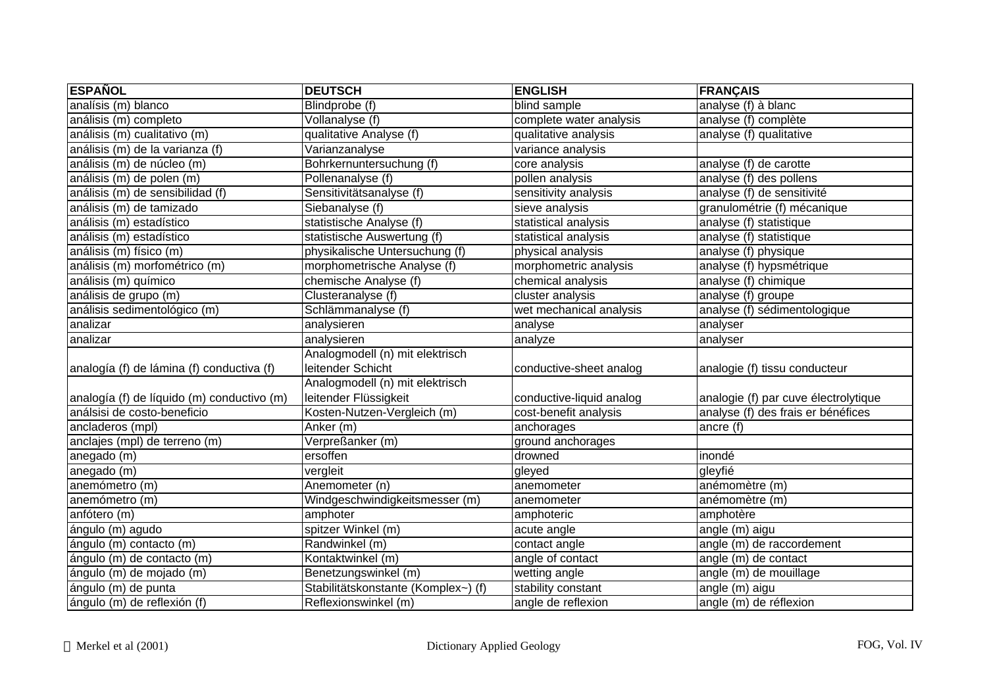| <b>ESPAÑOL</b>                             | <b>DEUTSCH</b>                      | <b>ENGLISH</b>           | <b>FRANÇAIS</b>                      |
|--------------------------------------------|-------------------------------------|--------------------------|--------------------------------------|
| analísis (m) blanco                        | Blindprobe (f)                      | blind sample             | analyse $(f)$ à blanc                |
| análisis (m) completo                      | Vollanalyse (f)                     | complete water analysis  | analyse (f) complète                 |
| análisis (m) cualitativo (m)               | qualitative Analyse (f)             | qualitative analysis     | analyse (f) qualitative              |
| análisis (m) de la varianza (f)            | Varianzanalyse                      | variance analysis        |                                      |
| análisis (m) de núcleo (m)                 | Bohrkernuntersuchung (f)            | core analysis            | analyse (f) de carotte               |
| análisis (m) de polen (m)                  | Pollenanalyse (f)                   | pollen analysis          | analyse (f) des pollens              |
| análisis (m) de sensibilidad (f)           | Sensitivitätsanalyse (f)            | sensitivity analysis     | analyse (f) de sensitivité           |
| análisis (m) de tamizado                   | Siebanalyse (f)                     | sieve analysis           | granulométrie (f) mécanique          |
| análisis (m) estadístico                   | statistische Analyse (f)            | statistical analysis     | analyse (f) statistique              |
| análisis (m) estadístico                   | statistische Auswertung (f)         | statistical analysis     | analyse (f) statistique              |
| análisis (m) físico (m)                    | physikalische Untersuchung (f)      | physical analysis        | analyse (f) physique                 |
| análisis (m) morfométrico (m)              | morphometrische Analyse (f)         | morphometric analysis    | analyse (f) hypsmétrique             |
| análisis (m) químico                       | chemische Analyse (f)               | chemical analysis        | analyse (f) chimique                 |
| análisis de grupo (m)                      | Clusteranalyse (f)                  | cluster analysis         | analyse (f) groupe                   |
| análisis sedimentológico (m)               | Schlämmanalyse (f)                  | wet mechanical analysis  | analyse (f) sédimentologique         |
| analizar                                   | analysieren                         | analyse                  | analyser                             |
| analizar                                   | analysieren                         | analyze                  | analyser                             |
|                                            | Analogmodell (n) mit elektrisch     |                          |                                      |
| analogía (f) de lámina (f) conductiva (f)  | leitender Schicht                   | conductive-sheet analog  | analogie (f) tissu conducteur        |
|                                            | Analogmodell (n) mit elektrisch     |                          |                                      |
| analogía (f) de líquido (m) conductivo (m) | leitender Flüssigkeit               | conductive-liquid analog | analogie (f) par cuve électrolytique |
| análsisi de costo-beneficio                | Kosten-Nutzen-Vergleich (m)         | cost-benefit analysis    | analyse (f) des frais er bénéfices   |
| ancladeros (mpl)                           | Anker (m)                           | anchorages               | ancre (f)                            |
| anclajes (mpl) de terreno (m)              | Verpreßanker (m)                    | ground anchorages        |                                      |
| anegado (m)                                | ersoffen                            | drowned                  | inondé                               |
| anegado (m)                                | vergleit                            | gleyed                   | gleyfié                              |
| anemómetro (m)                             | Anemometer (n)                      | anemometer               | anémomètre (m)                       |
| anemómetro (m)                             | Windgeschwindigkeitsmesser (m)      | anemometer               | anémomètre (m)                       |
| anfótero (m)                               | amphoter                            | amphoteric               | amphotère                            |
| ángulo (m) agudo                           | spitzer Winkel (m)                  | acute angle              | angle (m) aigu                       |
| ángulo (m) contacto (m)                    | Randwinkel (m)                      | contact angle            | angle (m) de raccordement            |
| ángulo (m) de contacto (m)                 | Kontaktwinkel (m)                   | angle of contact         | angle (m) de contact                 |
| ángulo (m) de mojado (m)                   | Benetzungswinkel (m)                | wetting angle            | angle (m) de mouillage               |
| ángulo (m) de punta                        | Stabilitätskonstante (Komplex~) (f) | stability constant       | angle (m) aigu                       |
| ángulo (m) de reflexión (f)                | Reflexionswinkel (m)                | angle de reflexion       | angle (m) de réflexion               |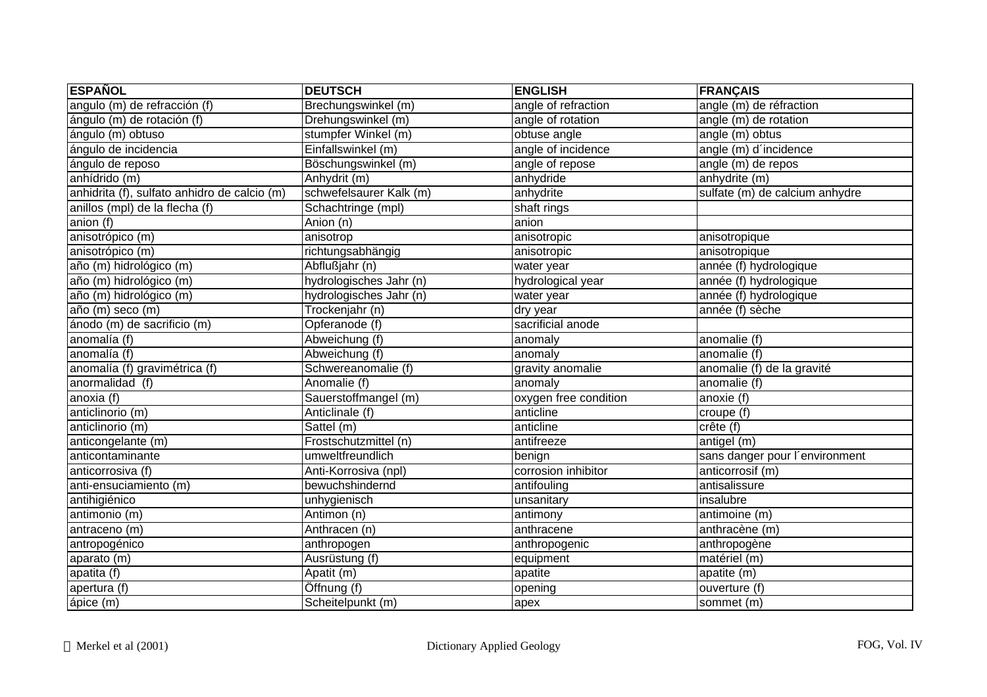| <b>ESPAÑOL</b>                               | <b>DEUTSCH</b>                | <b>ENGLISH</b>        | <b>FRANÇAIS</b>                |
|----------------------------------------------|-------------------------------|-----------------------|--------------------------------|
| angulo (m) de refracción (f)                 | Brechungswinkel (m)           | angle of refraction   | angle (m) de réfraction        |
| ángulo (m) de rotación (f)                   | Drehungswinkel (m)            | angle of rotation     | angle (m) de rotation          |
| ángulo (m) obtuso                            | stumpfer Winkel (m)           | obtuse angle          | angle (m) obtus                |
| ángulo de incidencia                         | Einfallswinkel (m)            | angle of incidence    | angle (m) d'incidence          |
| ángulo de reposo                             | Böschungswinkel (m)           | angle of repose       | angle (m) de repos             |
| anhídrido (m)                                | Anhydrit (m)                  | anhydride             | anhydrite (m)                  |
| anhidrita (f), sulfato anhidro de calcio (m) | schwefelsaurer Kalk (m)       | anhydrite             | sulfate (m) de calcium anhydre |
| anillos (mpl) de la flecha (f)               | Schachtringe (mpl)            | shaft rings           |                                |
| anion (f)                                    | Anion (n)                     | anion                 |                                |
| anisotrópico (m)                             | anisotrop                     | anisotropic           | anisotropique                  |
| anisotrópico (m)                             | richtungsabhängig             | anisotropic           | anisotropique                  |
| año (m) hidrológico (m)                      | Abflußjahr (n)                | water year            | année (f) hydrologique         |
| año (m) hidrológico (m)                      | hydrologisches Jahr (n)       | hydrological year     | année (f) hydrologique         |
| año (m) hidrológico (m)                      | hydrologisches Jahr (n)       | water year            | année (f) hydrologique         |
| año (m) seco (m)                             | Trockenjahr (n)               | dry year              | année (f) sèche                |
| ánodo (m) de sacrificio (m)                  | Opferanode (f)                | sacrificial anode     |                                |
| anomalía (f)                                 | Abweichung (f)                | anomaly               | anomalie (f)                   |
| anomalía (f)                                 | Abweichung (f)                | anomaly               | anomalie (f)                   |
| anomalía (f) gravimétrica (f)                | Schwereanomalie (f)           | gravity anomalie      | anomalie (f) de la gravité     |
| anormalidad (f)                              | Anomalie (f)                  | anomaly               | anomalie (f)                   |
| anoxia (f)                                   | Sauerstoffmangel (m)          | oxygen free condition | anoxie (f)                     |
| anticlinorio (m)                             | Anticlinale (f)               | anticline             | croupe (f)                     |
| anticlinorio (m)                             | $\overline{\text{Satel}}$ (m) | anticline             | crête (f)                      |
| anticongelante (m)                           | Frostschutzmittel (n)         | antifreeze            | antigel (m)                    |
| anticontaminante                             | umweltfreundlich              | benign                | sans danger pour l'environment |
| anticorrosiva (f)                            | Anti-Korrosiva (npl)          | corrosion inhibitor   | anticorrosif (m)               |
| anti-ensuciamiento (m)                       | bewuchshindernd               | antifouling           | antisalissure                  |
| antihigiénico                                | unhygienisch                  | unsanitary            | insalubre                      |
| antimonio (m)                                | Antimon (n)                   | antimony              | antimoine (m)                  |
| antraceno (m)                                | Anthracen (n)                 | anthracene            | anthracène (m)                 |
| antropogénico                                | anthropogen                   | anthropogenic         | anthropogène                   |
| aparato (m)                                  | Ausrüstung (f)                | equipment             | matériel(m)                    |
| apatita (f)                                  | Apatit (m)                    | apatite               | apatite (m)                    |
| apertura (f)                                 | Öffnung (f)                   | opening               | ouverture (f)                  |
| ápice (m)                                    | Scheitelpunkt (m)             | apex                  | sommet (m)                     |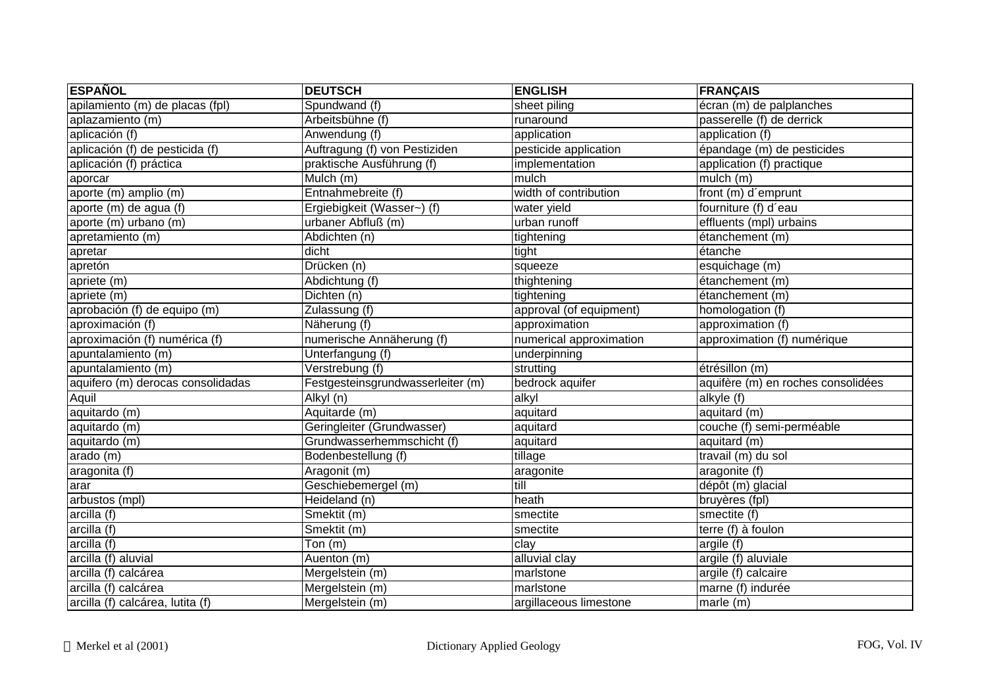| <b>ESPAÑOL</b>                    | <b>DEUTSCH</b>                    | <b>ENGLISH</b>          | <b>FRANÇAIS</b>                    |
|-----------------------------------|-----------------------------------|-------------------------|------------------------------------|
| apilamiento (m) de placas (fpl)   | Spundwand (f)                     | sheet piling            | écran (m) de palplanches           |
| aplazamiento (m)                  | Arbeitsbühne (f)                  | runaround               | passerelle (f) de derrick          |
| aplicación (f)                    | Anwendung (f)                     | application             | application (f)                    |
| aplicación (f) de pesticida (f)   | Auftragung (f) von Pestiziden     | pesticide application   | épandage (m) de pesticides         |
| aplicación (f) práctica           | praktische Ausführung (f)         | implementation          | application (f) practique          |
| aporcar                           | $\overline{\mathsf{M}}$ ulch (m)  | mulch                   | mulch (m)                          |
| aporte (m) amplio (m)             | Entnahmebreite (f)                | width of contribution   | front (m) d'emprunt                |
| aporte (m) de agua (f)            | Ergiebigkeit (Wasser~) (f)        | water yield             | fourniture (f) d'eau               |
| aporte (m) urbano (m)             | urbaner Abfluß (m)                | urban runoff            | effluents (mpl) urbains            |
| apretamiento (m)                  | Abdichten (n)                     | tightening              | étanchement (m)                    |
| apretar                           | dicht                             | tight                   | étanche                            |
| apretón                           | Drücken (n)                       | squeeze                 | esquichage (m)                     |
| apriete (m)                       | Abdichtung (f)                    | thightening             | étanchement (m)                    |
| apriete (m)                       | Dichten (n)                       | tightening              | étanchement (m)                    |
| aprobación (f) de equipo (m)      | Zulassung (f)                     | approval (of equipment) | homologation (f)                   |
| aproximación (f)                  | Näherung (f)                      | approximation           | approximation (f)                  |
| aproximación (f) numérica (f)     | numerische Annäherung (f)         | numerical approximation | approximation (f) numérique        |
| apuntalamiento (m)                | Unterfangung (f)                  | underpinning            |                                    |
| apuntalamiento (m)                | Verstrebung (f)                   | strutting               | étrésillon (m)                     |
| aquifero (m) derocas consolidadas | Festgesteinsgrundwasserleiter (m) | bedrock aquifer         | aquifère (m) en roches consolidées |
| Aquil                             | Alkyl (n)                         | alkyl                   | alkyle (f)                         |
| aquitardo (m)                     | Aquitarde (m)                     | aquitard                | aquitard (m)                       |
| aquitardo (m)                     | Geringleiter (Grundwasser)        | aquitard                | couche (f) semi-perméable          |
| aquitardo (m)                     | Grundwasserhemmschicht (f)        | aquitard                | aquitard (m)                       |
| arado (m)                         | Bodenbestellung (f)               | tillage                 | travail (m) du sol                 |
| aragonita (f)                     | Aragonit (m)                      | aragonite               | aragonite (f)                      |
| arar                              | Geschiebemergel (m)               | till                    | dépôt (m) glacial                  |
| arbustos (mpl)                    | Heideland (n)                     | heath                   | bruyères (fpl)                     |
| arcilla (f)                       | Smektit (m)                       | smectite                | smectite (f)                       |
| arcilla (f)                       | Smektit (m)                       | smectite                | terre $(f)$ à foulon               |
| arcilla(f)                        | Ton $(m)$                         | clay                    | argile (f)                         |
| arcilla (f) aluvial               | Auenton (m)                       | alluvial clay           | argile (f) aluviale                |
| arcilla (f) calcárea              | Mergelstein (m)                   | marlstone               | argile (f) calcaire                |
| arcilla (f) calcárea              | Mergelstein (m)                   | marlstone               | marne (f) indurée                  |
| arcilla (f) calcárea, lutita (f)  | Mergelstein (m)                   | argillaceous limestone  | $\sqrt{\frac{1}{2}}$ marle (m)     |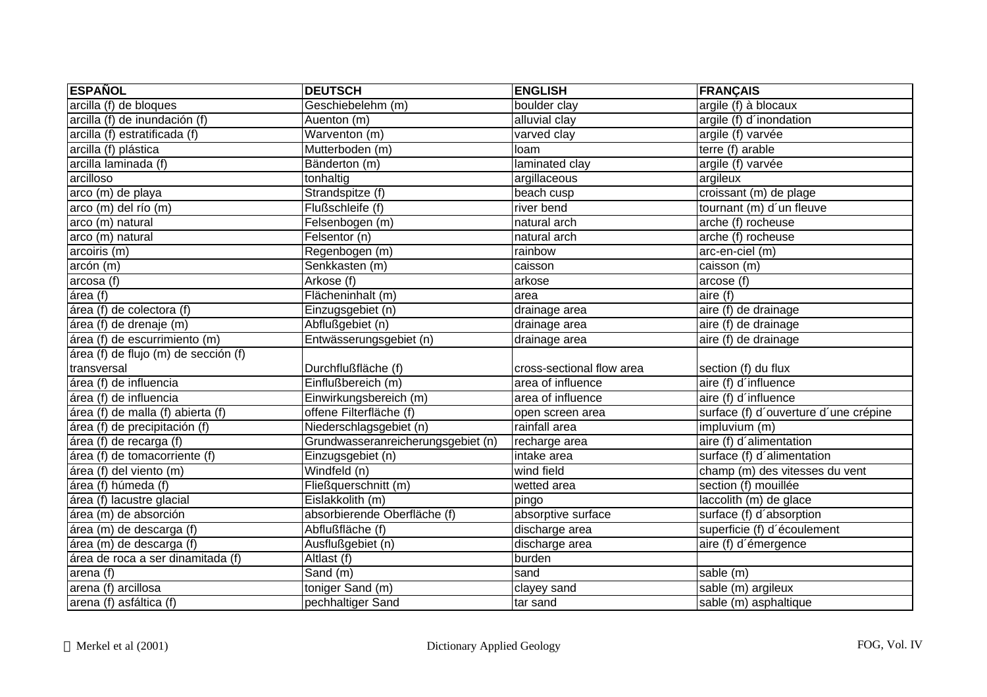| <b>ESPAÑOL</b>                       | <b>DEUTSCH</b>                     | <b>ENGLISH</b>            | <b>FRANÇAIS</b>                       |
|--------------------------------------|------------------------------------|---------------------------|---------------------------------------|
| arcilla (f) de bloques               | Geschiebelehm (m)                  | boulder clay              | argile (f) à blocaux                  |
| arcilla (f) de inundación (f)        | Auenton (m)                        | alluvial clay             | argile (f) d'inondation               |
| arcilla (f) estratificada (f)        | Warventon (m)                      | varved clay               | argile (f) varvée                     |
| arcilla (f) plástica                 | Mutterboden (m)                    | loam                      | terre (f) arable                      |
| arcilla laminada (f)                 | Bänderton (m)                      | laminated clay            | argile (f) varvée                     |
| arcilloso                            | tonhaltig                          | argillaceous              | argileux                              |
| arco (m) de playa                    | Strandspitze (f)                   | beach cusp                | croissant (m) de plage                |
| arco (m) del río (m)                 | Flußschleife (f)                   | river bend                | tournant (m) d'un fleuve              |
| arco (m) natural                     | Felsenbogen (m)                    | natural arch              | arche (f) rocheuse                    |
| arco (m) natural                     | Felsentor (n)                      | natural arch              | arche (f) rocheuse                    |
| arcoiris (m)                         | Regenbogen (m)                     | rainbow                   | arc-en-ciel (m)                       |
| arcón (m)                            | Senkkasten (m)                     | caisson                   | caisson (m)                           |
| arcosa (f)                           | Arkose (f)                         | arkose                    | arcose (f)                            |
| área (f)                             | Flächeninhalt (m)                  | area                      | aire (f)                              |
| área (f) de colectora (f)            | Einzugsgebiet (n)                  | drainage area             | aire (f) de drainage                  |
| área (f) de drenaje (m)              | Abflußgebiet (n)                   | drainage area             | aire (f) de drainage                  |
| área (f) de escurrimiento (m)        | Entwässerungsgebiet (n)            | drainage area             | aire (f) de drainage                  |
| área (f) de flujo (m) de sección (f) |                                    |                           |                                       |
| transversal                          | Durchflußfläche (f)                | cross-sectional flow area | section (f) du flux                   |
| área (f) de influencia               | Einflußbereich (m)                 | area of influence         | aire (f) d'influence                  |
| área (f) de influencia               | Einwirkungsbereich (m)             | area of influence         | aire (f) d'influence                  |
| área (f) de malla (f) abierta (f)    | offene Filterfläche (f)            | open screen area          | surface (f) d'ouverture d'une crépine |
| área (f) de precipitación (f)        | Niederschlagsgebiet (n)            | rainfall area             | impluvium (m)                         |
| área (f) de recarga (f)              | Grundwasseranreicherungsgebiet (n) | recharge area             | aire (f) d'alimentation               |
| área (f) de tomacorriente (f)        | Einzugsgebiet (n)                  | intake area               | surface (f) d'alimentation            |
| área (f) del viento (m)              | Windfeld (n)                       | wind field                | champ (m) des vitesses du vent        |
| área (f) húmeda (f)                  | Fließquerschnitt (m)               | wetted area               | section (f) mouillée                  |
| área (f) lacustre glacial            | Eislakkolith (m)                   | pingo                     | laccolith (m) de glace                |
| área (m) de absorción                | absorbierende Oberfläche (f)       | absorptive surface        | surface (f) d'absorption              |
| área (m) de descarga (f)             | Abflußfläche (f)                   | discharge area            | superficie (f) d'écoulement           |
| área (m) de descarga (f)             | Ausflußgebiet (n)                  | discharge area            | aire (f) d'émergence                  |
| área de roca a ser dinamitada (f)    | Altlast (f)                        | burden                    |                                       |
| area(f)                              | Sand (m)                           | sand                      | sable (m)                             |
| arena (f) arcillosa                  | toniger Sand (m)                   | clayey sand               | sable $(m)$ argileux                  |
| arena (f) asfáltica (f)              | pechhaltiger Sand                  | tar sand                  | sable (m) asphaltique                 |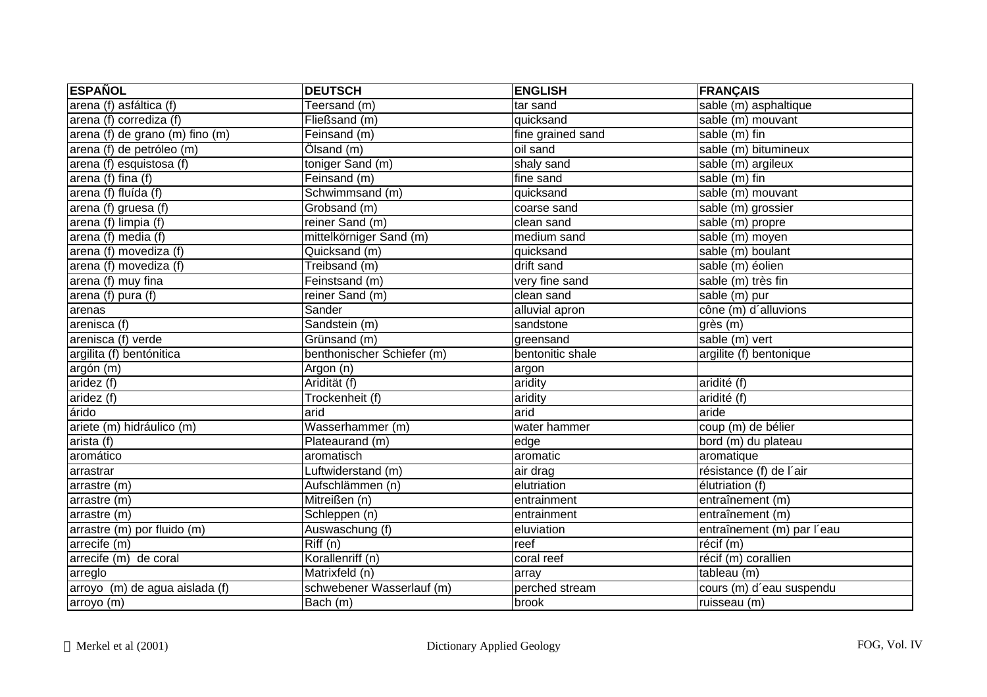| <b>ESPAÑOL</b>                  | <b>DEUTSCH</b>             | <b>ENGLISH</b>    | <b>FRANÇAIS</b>            |
|---------------------------------|----------------------------|-------------------|----------------------------|
| arena (f) asfáltica (f)         | Teersand (m)               | tar sand          | sable (m) asphaltique      |
| arena (f) corrediza (f)         | Fließsand (m)              | quicksand         | sable (m) mouvant          |
| arena (f) de grano (m) fino (m) | Feinsand (m)               | fine grained sand | sable (m) fin              |
| arena (f) de petróleo (m)       | Ölsand (m)                 | oil sand          | sable (m) bitumineux       |
| arena (f) esquistosa (f)        | toniger Sand (m)           | shaly sand        | sable $(m)$ argileux       |
| $area(f)$ fina (f)              | Feinsand (m)               | fine sand         | sable $(m)$ fin            |
| arena (f) fluída (f)            | Schwimmsand (m)            | quicksand         | sable (m) mouvant          |
| arena (f) gruesa (f)            | Grobsand (m)               | coarse sand       | sable (m) grossier         |
| arena (f) limpia (f)            | reiner Sand (m)            | clean sand        | sable (m) propre           |
| arena (f) media (f)             | mittelkörniger Sand (m)    | medium sand       | sable (m) moyen            |
| arena (f) movediza (f)          | Quicksand (m)              | quicksand         | sable (m) boulant          |
| arena (f) movediza (f)          | Treibsand (m)              | drift sand        | sable (m) éolien           |
| arena (f) muy fina              | Feinstsand (m)             | very fine sand    | sable (m) très fin         |
| arena (f) pura (f)              | reiner Sand (m)            | clean sand        | sable (m) pur              |
| arenas                          | Sander                     | alluvial apron    | cône (m) d'alluvions       |
| arenisca $(t)$                  | Sandstein (m)              | sandstone         | grès (m)                   |
| arenisca (f) verde              | Grünsand (m)               | greensand         | sable (m) vert             |
| argilita (f) bentónitica        | benthonischer Schiefer (m) | bentonitic shale  | argilite (f) bentonique    |
| argón (m)                       | Argon (n)                  | argon             |                            |
| aridez (f)                      | Aridität (f)               | aridity           | aridité (f)                |
| aridez (f)                      | Trockenheit (f)            | aridity           | aridité (f)                |
| árido                           | arid                       | arid              | aride                      |
| ariete (m) hidráulico (m)       | Wasserhammer (m)           | water hammer      | coup (m) de bélier         |
| arista (f)                      | Plateaurand (m)            | edge              | bord (m) du plateau        |
| aromático                       | aromatisch                 | aromatic          | aromatique                 |
| arrastrar                       | Luftwiderstand (m)         | air drag          | résistance (f) de l'air    |
| arrastre (m)                    | Aufschlämmen (n)           | elutriation       | élutriation (f)            |
| arrastre (m)                    | Mitreißen (n)              | entrainment       | entraînement (m)           |
| arrastre (m)                    | Schleppen (n)              | entrainment       | entraînement (m)           |
| arrastre (m) por fluido (m)     | Auswaschung (f)            | eluviation        | entraînement (m) par l'eau |
| arrecife (m)                    | Riff(n)                    | reef              | récif (m)                  |
| arrecife (m) de coral           | Korallenriff (n)           | coral reef        | récif (m) corallien        |
| arreglo                         | Matrixfeld (n)             | array             | tableau (m)                |
| arroyo (m) de agua aislada (f)  | schwebener Wasserlauf (m)  | perched stream    | cours (m) d'eau suspendu   |
| arroyo (m)                      | Bach (m)                   | brook             | ruisseau (m)               |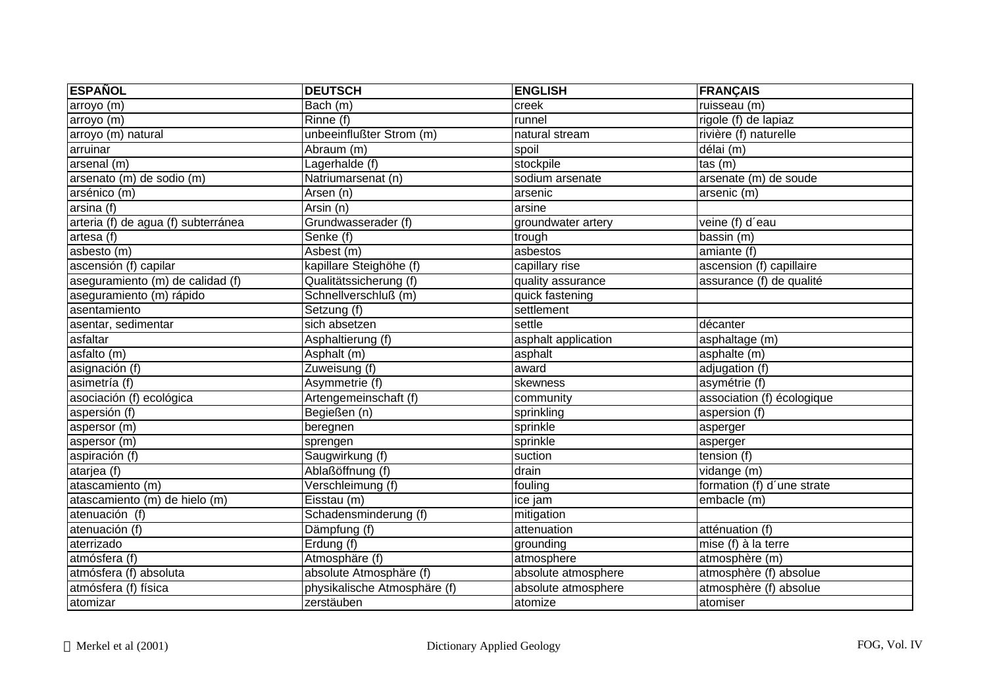| <b>ESPAÑOL</b>                         | <b>DEUTSCH</b>               | <b>ENGLISH</b>      | <b>FRANÇAIS</b>            |
|----------------------------------------|------------------------------|---------------------|----------------------------|
| arroyo (m)                             | Bach (m)                     | creek               | ruisseau (m)               |
| arrow (m)                              | Rinne (f)                    | runnel              | rigole (f) de lapiaz       |
| arroyo (m) natural                     | unbeeinflußter Strom (m)     | natural stream      | rivière (f) naturelle      |
| arruinar                               | Abraum (m)                   | spoil               | délai (m)                  |
| arsenal (m)                            | Lagerhalde (f)               | stockpile           | tas(m)                     |
| arsenato (m) de sodio (m)              | Natriumarsenat (n)           | sodium arsenate     | arsenate (m) de soude      |
| arsénico (m)                           | Arsen (n)                    | arsenic             | arsenic (m)                |
| arsina (f)                             | $\overline{Arsin}$ (n)       | arsine              |                            |
| arteria (f) de agua (f) subterránea    | Grundwasserader (f)          | groundwater artery  | veine (f) d'eau            |
| artesa (f)                             | Senke (f)                    | trough              | bassin (m)                 |
| asbesto (m)                            | Asbest (m)                   | asbestos            | amiante (f)                |
| ascensión (f) capilar                  | kapillare Steighöhe (f)      | capillary rise      | ascension (f) capillaire   |
| aseguramiento (m) de calidad (f)       | Qualitätssicherung (f)       | quality assurance   | assurance (f) de qualité   |
| aseguramiento (m) rápido               | Schnellverschluß (m)         | quick fastening     |                            |
| asentamiento                           | Setzung (f)                  | settlement          |                            |
| asentar, sedimentar                    | sich absetzen                | settle              | décanter                   |
| asfaltar                               | Asphaltierung (f)            | asphalt application | asphaltage (m)             |
| $\overline{a}$ sfalto $\overline{(m)}$ | Asphalt (m)                  | asphalt             | asphalte (m)               |
| asignación (f)                         | Zuweisung (f)                | award               | adjugation (f)             |
| asimetría (f)                          | Asymmetrie (f)               | skewness            | asymétrie (f)              |
| asociación (f) ecológica               | Artengemeinschaft (f)        | community           | association (f) écologique |
| aspersión (f)                          | Begießen (n)                 | sprinkling          | aspersion (f)              |
| aspersor (m)                           | beregnen                     | sprinkle            | asperger                   |
| aspersor (m)                           | sprengen                     | sprinkle            | asperger                   |
| aspiración (f)                         | Saugwirkung (f)              | suction             | tension (f)                |
| atarjea (f)                            | Ablaßöffnung (f)             | drain               | vidange (m)                |
| atascamiento (m)                       | Verschleimung (f)            | fouling             | formation (f) d'une strate |
| atascamiento (m) de hielo (m)          | Eisstau (m)                  | ice jam             | embacle (m)                |
| atenuación $(f)$                       | Schadensminderung (f)        | mitigation          |                            |
| atenuación (f)                         | Dämpfung (f)                 | attenuation         | atténuation (f)            |
| aterrizado                             | Erdung (f)                   | grounding           | mise (f) à la terre        |
| atmósfera (f)                          | Atmosphäre (f)               | atmosphere          | atmosphère (m)             |
| atmósfera (f) absoluta                 | absolute Atmosphäre (f)      | absolute atmosphere | atmosphère (f) absolue     |
| atmósfera (f) física                   | physikalische Atmosphäre (f) | absolute atmosphere | atmosphère (f) absolue     |
| atomizar                               | zerstäuben                   | atomize             | atomiser                   |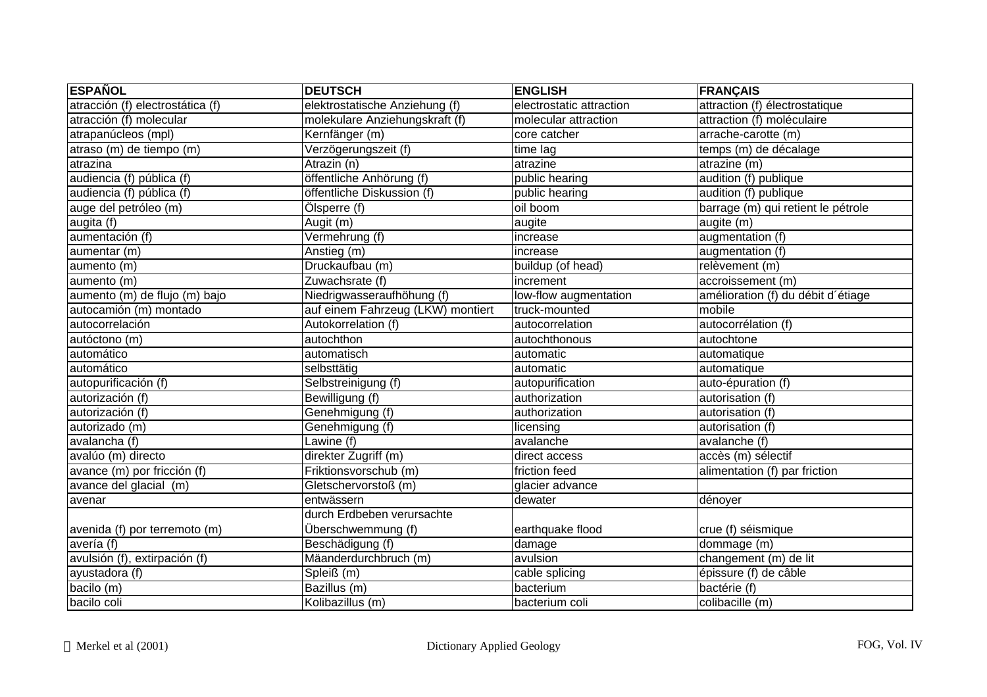| <b>ESPAÑOL</b>                     | <b>DEUTSCH</b>                    | <b>ENGLISH</b>           | <b>FRANÇAIS</b>                    |
|------------------------------------|-----------------------------------|--------------------------|------------------------------------|
| atracción (f) electrostática (f)   | elektrostatische Anziehung (f)    | electrostatic attraction | attraction (f) électrostatique     |
| atracción (f) molecular            | molekulare Anziehungskraft (f)    | molecular attraction     | attraction (f) moléculaire         |
| atrapanúcleos (mpl)                | Kernfänger (m)                    | core catcher             | arrache-carotte (m)                |
| atraso (m) de tiempo (m)           | Verzögerungszeit (f)              | time lag                 | temps (m) de décalage              |
| atrazina                           | Atrazin (n)                       | atrazine                 | atrazine (m)                       |
| audiencia (f) pública (f)          | öffentliche Anhörung (f)          | public hearing           | audition (f) publique              |
| audiencia (f) pública (f)          | öffentliche Diskussion (f)        | public hearing           | audition (f) publique              |
| auge del petróleo (m)              | Ölsperre (f)                      | oil boom                 | barrage (m) qui retient le pétrole |
| augita $\overline{(\mathfrak{f})}$ | Augit (m)                         | augite                   | augite (m)                         |
| aumentación $(f)$                  | Vermehrung (f)                    | increase                 | augmentation (f)                   |
| aumentar (m)                       | Anstieg (m)                       | increase                 | augmentation (f)                   |
| aumento (m)                        | Druckaufbau (m)                   | buildup (of head)        | relèvement (m)                     |
| aumento (m)                        | Zuwachsrate (f)                   | increment                | accroissement (m)                  |
| aumento (m) de flujo (m) bajo      | Niedrigwasseraufhöhung (f)        | low-flow augmentation    | amélioration (f) du débit d'étiage |
| autocamión (m) montado             | auf einem Fahrzeug (LKW) montiert | truck-mounted            | mobile                             |
| autocorrelación                    | Autokorrelation (f)               | autocorrelation          | autocorrélation (f)                |
| autóctono (m)                      | autochthon                        | autochthonous            | autochtone                         |
| automático                         | automatisch                       | automatic                | automatique                        |
| automático                         | selbsttätig                       | automatic                | automatique                        |
| autopurificación (f)               | Selbstreinigung (f)               | autopurification         | auto-épuration (f)                 |
| autorización (f)                   | Bewilligung (f)                   | authorization            | autorisation (f)                   |
| autorización (f)                   | Genehmigung (f)                   | authorization            | autorisation (f)                   |
| autorizado (m)                     | Genehmigung (f)                   | licensing                | autorisation (f)                   |
| avalancha (f)                      | Lawine (f)                        | avalanche                | avalanche (f)                      |
| avalúo (m) directo                 | direkter Zugriff (m)              | direct access            | accès (m) sélectif                 |
| avance (m) por fricción (f)        | Friktionsvorschub (m)             | friction feed            | alimentation (f) par friction      |
| avance del glacial (m)             | Gletschervorstoß (m)              | glacier advance          |                                    |
| avenar                             | entwässern                        | dewater                  | dénoyer                            |
|                                    | durch Erdbeben verursachte        |                          |                                    |
| avenida (f) por terremoto (m)      | Überschwemmung (f)                | earthquake flood         | crue (f) séismique                 |
| avería (f)                         | Beschädigung (f)                  | damage                   | dommage (m)                        |
| avulsión (f), extirpación (f)      | Mäanderdurchbruch (m)             | avulsion                 | changement (m) de lit              |
| ayustadora (f)                     | Spleiß (m)                        | cable splicing           | épissure (f) de câble              |
| bacilo (m)                         | Bazillus (m)                      | bacterium                | bactérie (f)                       |
| bacilo coli                        | Kolibazillus (m)                  | bacterium coli           | colibacille (m)                    |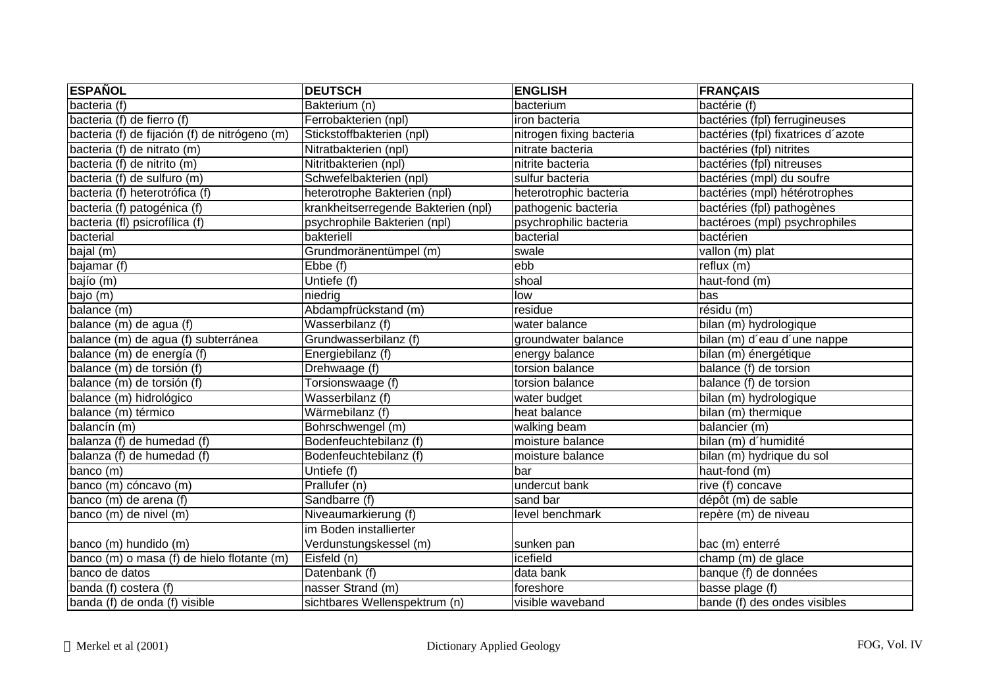| <b>ESPAÑOL</b>                                | <b>DEUTSCH</b>                      | <b>ENGLISH</b>           | <b>FRANÇAIS</b>                    |
|-----------------------------------------------|-------------------------------------|--------------------------|------------------------------------|
| bacteria (f)                                  | Bakterium (n)                       | bacterium                | bactérie (f)                       |
| bacteria (f) de fierro (f)                    | Ferrobakterien (npl)                | iron bacteria            | bactéries (fpl) ferrugineuses      |
| bacteria (f) de fijación (f) de nitrógeno (m) | Stickstoffbakterien (npl)           | nitrogen fixing bacteria | bactéries (fpl) fixatrices d'azote |
| bacteria (f) de nitrato (m)                   | Nitratbakterien (npl)               | nitrate bacteria         | bactéries (fpl) nitrites           |
| bacteria (f) de nitrito (m)                   | Nitritbakterien (npl)               | nitrite bacteria         | bactéries (fpl) nitreuses          |
| bacteria (f) de sulfuro (m)                   | Schwefelbakterien (npl)             | sulfur bacteria          | bactéries (mpl) du soufre          |
| bacteria (f) heterotrófica (f)                | heterotrophe Bakterien (npl)        | heterotrophic bacteria   | bactéries (mpl) hétérotrophes      |
| bacteria (f) patogénica (f)                   | krankheitserregende Bakterien (npl) | pathogenic bacteria      | bactéries (fpl) pathogènes         |
| bacteria (fl) psicrofílica (f)                | psychrophile Bakterien (npl)        | psychrophilic bacteria   | bactéroes (mpl) psychrophiles      |
| bacterial                                     | bakteriell                          | bacterial                | bactérien                          |
| $\overline{b}$ ajal (m)                       | Grundmoränentümpel (m)              | swale                    | vallon (m) plat                    |
| bajamar $(t)$                                 | $E$ <sub>b</sub> $E$ <sub>(f)</sub> | ebb                      | reflux(m)                          |
| bajío (m)                                     | Untiefe (f)                         | shoal                    | haut-fond (m)                      |
| bajo (m)                                      | niedrig                             | low                      | bas                                |
| balance (m)                                   | Abdampfrückstand (m)                | residue                  | résidu (m)                         |
| balance (m) de agua (f)                       | Wasserbilanz (f)                    | water balance            | bilan (m) hydrologique             |
| balance (m) de agua (f) subterránea           | Grundwasserbilanz (f)               | groundwater balance      | bilan (m) d'eau d'une nappe        |
| balance (m) de energía (f)                    | Energiebilanz (f)                   | energy balance           | bilan (m) énergétique              |
| balance (m) de torsión (f)                    | Drehwaage (f)                       | torsion balance          | balance (f) de torsion             |
| balance (m) de torsión (f)                    | Torsionswaage (f)                   | torsion balance          | balance (f) de torsion             |
| balance (m) hidrológico                       | Wasserbilanz (f)                    | water budget             | bilan (m) hydrologique             |
| balance (m) térmico                           | Wärmebilanz (f)                     | heat balance             | bilan (m) thermique                |
| balancín (m)                                  | Bohrschwengel (m)                   | walking beam             | balancier (m)                      |
| balanza (f) de humedad (f)                    | Bodenfeuchtebilanz (f)              | moisture balance         | bilan (m) d'humidité               |
| balanza (f) de humedad (f)                    | Bodenfeuchtebilanz (f)              | moisture balance         | bilan (m) hydrique du sol          |
| banco (m)                                     | Untiefe (f)                         | bar                      | haut-fond (m)                      |
| banco (m) cóncavo (m)                         | Prallufer (n)                       | undercut bank            | rive (f) concave                   |
| banco (m) de arena (f)                        | Sandbarre (f)                       | sand bar                 | dépôt (m) de sable                 |
| banco (m) de nivel (m)                        | Niveaumarkierung (f)                | level benchmark          | repère (m) de niveau               |
|                                               | im Boden installierter              |                          |                                    |
| banco (m) hundido (m)                         | Verdunstungskessel (m)              | sunken pan               | bac (m) enterré                    |
| banco (m) o masa (f) de hielo flotante (m)    | Eisfeld (n)                         | icefield                 | champ (m) de glace                 |
| banco de datos                                | Datenbank (f)                       | data bank                | banque (f) de données              |
| banda (f) costera (f)                         | nasser Strand (m)                   | foreshore                | basse plage (f)                    |
| banda (f) de onda (f) visible                 | sichtbares Wellenspektrum (n)       | visible waveband         | bande (f) des ondes visibles       |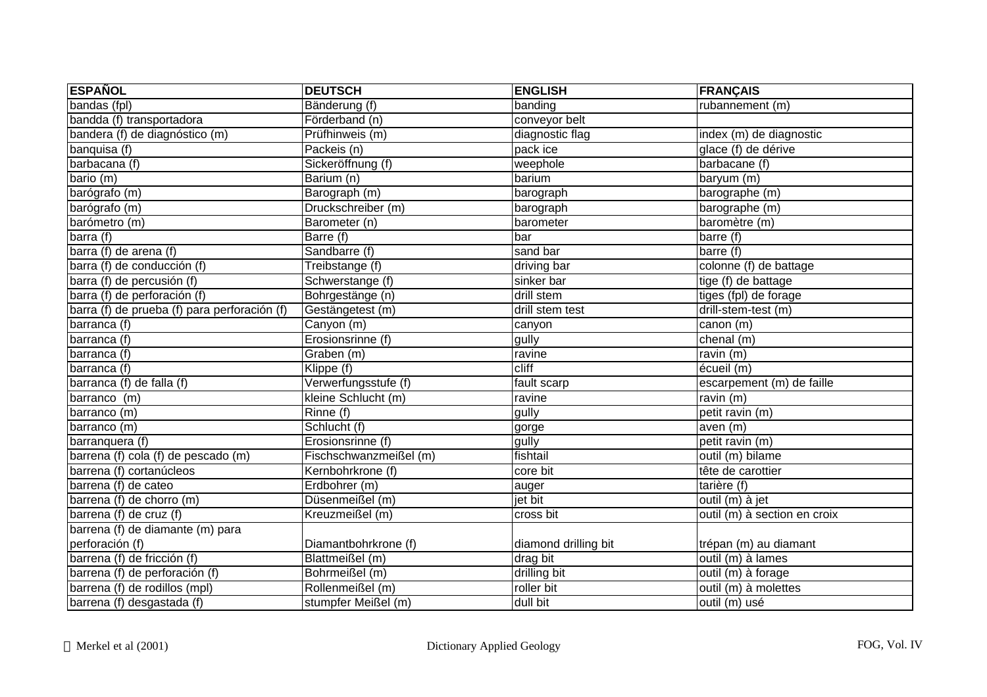| <b>ESPAÑOL</b>                               | <b>DEUTSCH</b>         | <b>ENGLISH</b>       | <b>FRANÇAIS</b>              |
|----------------------------------------------|------------------------|----------------------|------------------------------|
| bandas (fpl)                                 | Bänderung (f)          | banding              | rubannement (m)              |
| bandda (f) transportadora                    | Förderband (n)         | conveyor belt        |                              |
| bandera (f) de diagnóstico (m)               | Prüfhinweis (m)        | diagnostic flag      | index (m) de diagnostic      |
| banquisa (f)                                 | Packeis (n)            | pack ice             | glace (f) de dérive          |
| barbacana (f)                                | Sickeröffnung (f)      | weephole             | barbacane (f)                |
| bario (m)                                    | Barium (n)             | barium               | baryum (m)                   |
| barógrafo (m)                                | Barograph (m)          | barograph            | barographe (m)               |
| barógrafo (m)                                | Druckschreiber (m)     | barograph            | barographe (m)               |
| barómetro (m)                                | Barometer (n)          | barometer            | baromètre (m)                |
| barra $\overline{f}$                         | Barre (f)              | bar                  | barre (f)                    |
| barra (f) de arena (f)                       | Sandbarre (f)          | sand bar             | barre (f)                    |
| barra (f) de conducción (f)                  | Treibstange (f)        | driving bar          | colonne (f) de battage       |
| barra (f) de percusión (f)                   | Schwerstange (f)       | sinker bar           | tige (f) de battage          |
| barra (f) de perforación (f)                 | Bohrgestänge (n)       | drill stem           | tiges (fpl) de forage        |
| barra (f) de prueba (f) para perforación (f) | Gestängetest (m)       | drill stem test      | drill-stem-test (m)          |
| barranca (f)                                 | Canyon (m)             | canyon               | canon (m)                    |
| barranca (f)                                 | Erosionsrinne (f)      | gully                | chenal (m)                   |
| barranca (f)                                 | Graben (m)             | ravine               | ravin $(m)$                  |
| barranca (f)                                 | Klippe (f)             | cliff                | écueil (m)                   |
| barranca $(f)$ de falla $(f)$                | Verwerfungsstufe (f)   | fault scarp          | escarpement (m) de faille    |
| barranco (m)                                 | kleine Schlucht (m)    | ravine               | ravin (m)                    |
| barranco (m)                                 | Rinne (f)              | gully                | petit ravin (m)              |
| barranco (m)                                 | Schlucht (f)           | gorge                | aven (m)                     |
| barranquera (f)                              | Erosionsrinne (f)      | gully                | petit ravin (m)              |
| barrena (f) cola (f) de pescado (m)          | Fischschwanzmeißel (m) | fishtail             | outil (m) bilame             |
| barrena (f) cortanúcleos                     | Kernbohrkrone (f)      | core bit             | tête de carottier            |
| barrena (f) de cateo                         | Erdbohrer (m)          | auger                | tarière (f)                  |
| barrena (f) de chorro (m)                    | Düsenmeißel (m)        | jet bit              | outil (m) à jet              |
| barrena (f) de cruz (f)                      | Kreuzmeißel (m)        | cross bit            | outil (m) à section en croix |
| barrena (f) de diamante (m) para             |                        |                      |                              |
| perforación (f)                              | Diamantbohrkrone (f)   | diamond drilling bit | trépan (m) au diamant        |
| barrena (f) de fricción (f)                  | Blattmeißel (m)        | drag bit             | outil (m) à lames            |
| barrena (f) de perforación (f)               | Bohrmeißel (m)         | drilling bit         | outil (m) à forage           |
| barrena (f) de rodillos (mpl)                | Rollenmeißel (m)       | roller bit           | outil (m) à molettes         |
| barrena (f) desgastada (f)                   | stumpfer Meißel (m)    | dull bit             | outil (m) usé                |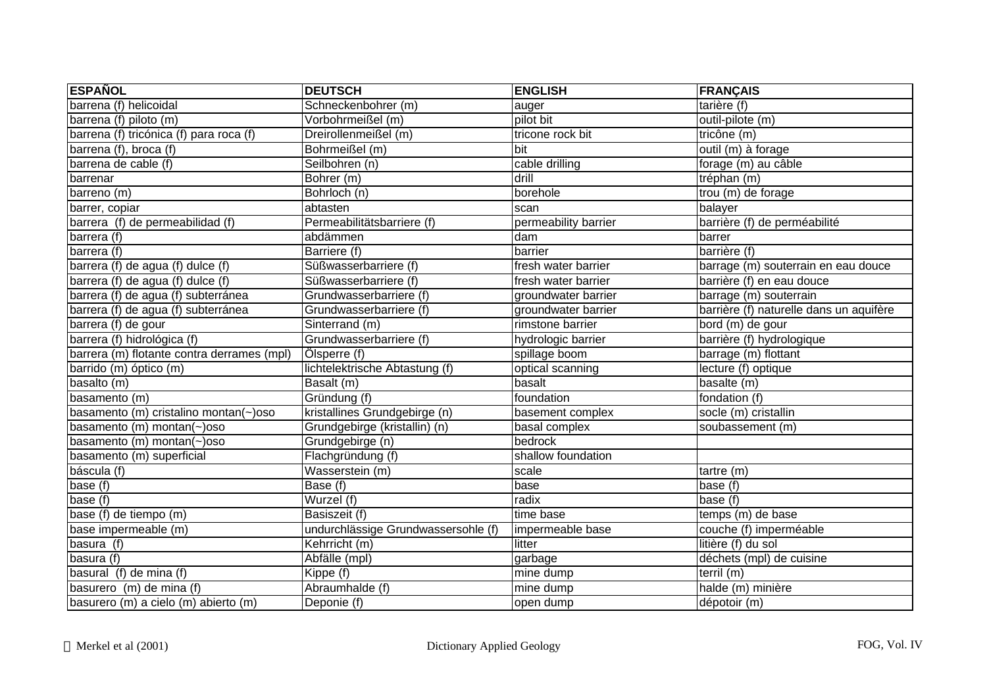| <b>ESPAÑOL</b>                             | <b>DEUTSCH</b>                      | <b>ENGLISH</b>       | <b>FRANÇAIS</b>                         |
|--------------------------------------------|-------------------------------------|----------------------|-----------------------------------------|
| barrena (f) helicoidal                     | Schneckenbohrer (m)                 | auger                | tarière (f)                             |
| barrena (f) piloto (m)                     | Vorbohrmeißel (m)                   | pilot bit            | outil-pilote (m)                        |
| barrena (f) tricónica (f) para roca (f)    | Dreirollenmeißel (m)                | tricone rock bit     | tricône (m)                             |
| barrena (f), broca (f)                     | Bohrmeißel (m)                      | bit                  | $\overline{\text{outil (m)}}$ à forage  |
| barrena de cable (f)                       | Seilbohren (n)                      | cable drilling       | forage (m) au câble                     |
| barrenar                                   | Bohrer (m)                          | drill                | tréphan (m)                             |
| barreno (m)                                | Bohrloch (n)                        | borehole             | trou (m) de forage                      |
| barrer, copiar                             | abtasten                            | scan                 | balayer                                 |
| barrera (f) de permeabilidad (f)           | Permeabilitätsbarriere (f)          | permeability barrier | barrière (f) de perméabilité            |
| barrera (f)                                | abdämmen                            | dam                  | barrer                                  |
| barrera (f)                                | Barriere (f)                        | barrier              | barrière (f)                            |
| barrera (f) de agua (f) dulce (f)          | Süßwasserbarriere (f)               | fresh water barrier  | barrage (m) souterrain en eau douce     |
| barrera (f) de agua (f) dulce (f)          | Süßwasserbarriere (f)               | fresh water barrier  | barrière (f) en eau douce               |
| barrera (f) de agua (f) subterránea        | Grundwasserbarriere (f)             | groundwater barrier  | barrage (m) souterrain                  |
| barrera (f) de agua (f) subterránea        | Grundwasserbarriere (f)             | groundwater barrier  | barrière (f) naturelle dans un aquifère |
| barrera (f) de gour                        | Sinterrand (m)                      | rimstone barrier     | bord (m) de gour                        |
| barrera (f) hidrológica (f)                | Grundwasserbarriere (f)             | hydrologic barrier   | barrière (f) hydrologique               |
| barrera (m) flotante contra derrames (mpl) | Ölsperre (f)                        | spillage boom        | barrage (m) flottant                    |
| barrido (m) óptico (m)                     | lichtelektrische Abtastung (f)      | optical scanning     | lecture (f) optique                     |
| basalto (m)                                | Basalt (m)                          | basalt               | basalte (m)                             |
| basamento (m)                              | Gründung (f)                        | foundation           | fondation (f)                           |
| basamento (m) cristalino montan(~)oso      | kristallines Grundgebirge (n)       | basement complex     | socle (m) cristallin                    |
| basamento (m) montan(~)oso                 | Grundgebirge (kristallin) (n)       | basal complex        | soubassement (m)                        |
| basamento (m) montan(~)oso                 | Grundgebirge (n)                    | bedrock              |                                         |
| basamento (m) superficial                  | Flachgründung (f)                   | shallow foundation   |                                         |
| báscula (f)                                | Wasserstein (m)                     | scale                | tartre (m)                              |
| base (f)                                   | Base (f)                            | base                 | base (f)                                |
| base $(t)$                                 | Wurzel (f)                          | radix                | base (f)                                |
| base (f) de tiempo (m)                     | Basiszeit (f)                       | time base            | temps (m) de base                       |
| base impermeable (m)                       | undurchlässige Grundwassersohle (f) | impermeable base     | couche (f) imperméable                  |
| basura (f)                                 | Kehrricht (m)                       | litter               | litière (f) du sol                      |
| basura (f)                                 | Abfälle (mpl)                       | garbage              | déchets (mpl) de cuisine                |
| basural (f) de mina (f)                    | Kippe (f)                           | mine dump            | terril(m)                               |
| basurero (m) de mina (f)                   | Abraumhalde (f)                     | mine dump            | halde (m) minière                       |
| basurero (m) a cielo (m) abierto (m)       | Deponie (f)                         | open dump            | dépotoir (m)                            |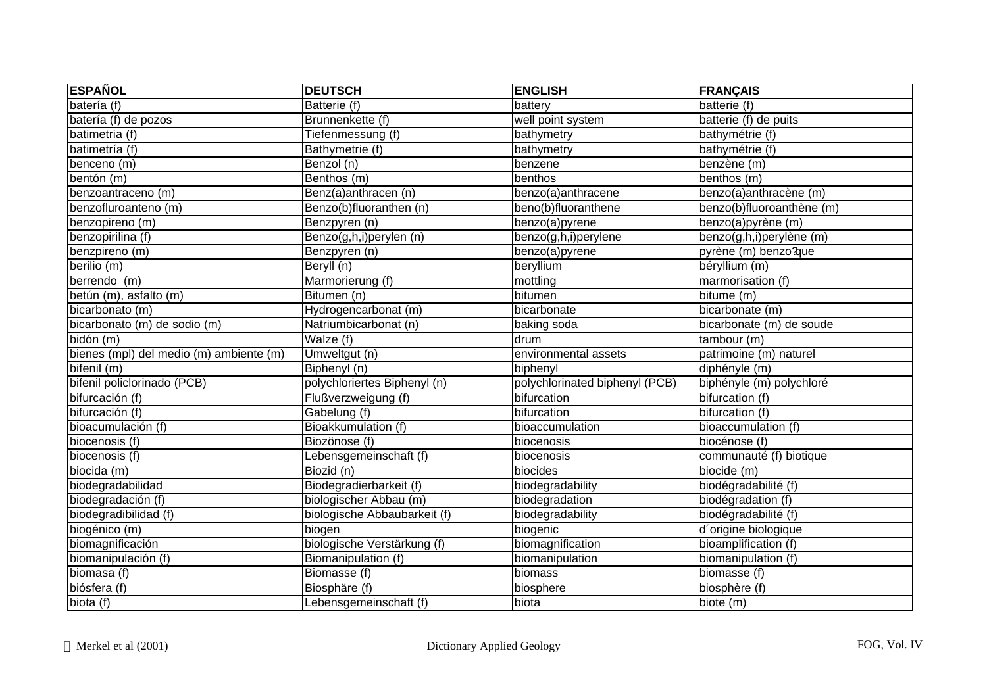| <b>ESPAÑOL</b>                          | <b>DEUTSCH</b>               | <b>ENGLISH</b>                 | <b>FRANÇAIS</b>           |
|-----------------------------------------|------------------------------|--------------------------------|---------------------------|
| batería (f)                             | Batterie (f)                 | battery                        | batterie (f)              |
| batería (f) de pozos                    | Brunnenkette (f)             | well point system              | batterie (f) de puits     |
| batimetria (f)                          | Tiefenmessung (f)            | bathymetry                     | bathymétrie (f)           |
| batimetría (f)                          | Bathymetrie (f)              | bathymetry                     | bathymétrie (f)           |
| benceno (m)                             | Benzol (n)                   | benzene                        | benzène (m)               |
| bentón (m)                              | Benthos (m)                  | benthos                        | benthos (m)               |
| benzoantraceno (m)                      | Benz(a)anthracen (n)         | benzo(a)anthracene             | benzo(a) anthracène (m)   |
| benzofluroanteno (m)                    | Benzo(b)fluoranthen (n)      | beno(b)fluoranthene            | benzo(b)fluoroanthène (m) |
| benzopireno (m)                         | Benzpyren (n)                | benzo(a)pyrene                 | benzo(a)pyrène (m)        |
| benzopirilina (f)                       | Benzo(g,h,i)perylen (n)      | benzo(g,h,i)perylene           | benzo(g,h,i)perylène (m)  |
| benzpireno (m)                          | Benzpyren (n)                | benzo(a)pyrene                 | pyrène (m) benzo?que      |
| berilio (m)                             | Beryll (n)                   | beryllium                      | béryllium (m)             |
| berrendo (m)                            | Marmorierung (f)             | mottling                       | marmorisation (f)         |
| betún (m), asfalto (m)                  | Bitumen (n)                  | bitumen                        | bitume (m)                |
| bicarbonato (m)                         | Hydrogencarbonat (m)         | bicarbonate                    | bicarbonate (m)           |
| bicarbonato (m) de sodio (m)            | Natriumbicarbonat (n)        | baking soda                    | bicarbonate (m) de soude  |
| bidón (m)                               | Walze (f)                    | drum                           | tambour (m)               |
| bienes (mpl) del medio (m) ambiente (m) | Umweltgut (n)                | environmental assets           | patrimoine (m) naturel    |
| bifenil (m)                             | Biphenyl (n)                 | biphenyl                       | diphényle (m)             |
| bifenil policlorinado (PCB)             | polychloriertes Biphenyl (n) | polychlorinated biphenyl (PCB) | biphényle (m) polychloré  |
| bifurcación (f)                         | Flußverzweigung (f)          | bifurcation                    | bifurcation (f)           |
| bifurcación (f)                         | Gabelung (f)                 | bifurcation                    | bifurcation (f)           |
| bioacumulación (f)                      | Bioakkumulation (f)          | bioaccumulation                | bioaccumulation (f)       |
| biocenosis (f)                          | Biozönose (f)                | biocenosis                     | biocénose (f)             |
| biocenosis (f)                          | Lebensgemeinschaft (f)       | biocenosis                     | communauté (f) biotique   |
| biocida (m)                             | Biozid (n)                   | biocides                       | biocide (m)               |
| biodegradabilidad                       | Biodegradierbarkeit (f)      | biodegradability               | biodégradabilité (f)      |
| biodegradación (f)                      | biologischer Abbau (m)       | biodegradation                 | biodégradation (f)        |
| biodegradibilidad (f)                   | biologische Abbaubarkeit (f) | biodegradability               | biodégradabilité (f)      |
| biogénico (m)                           | biogen                       | biogenic                       | d'origine biologique      |
| biomagnificación                        | biologische Verstärkung (f)  | biomagnification               | bioamplification (f)      |
| biomanipulación (f)                     | Biomanipulation (f)          | biomanipulation                | biomanipulation (f)       |
| biomasa (f)                             | Biomasse (f)                 | biomass                        | biomasse (f)              |
| biósfera (f)                            | Biosphäre (f)                | biosphere                      | biosphère (f)             |
| biota (f)                               | Lebensgemeinschaft (f)       | biota                          | biote (m)                 |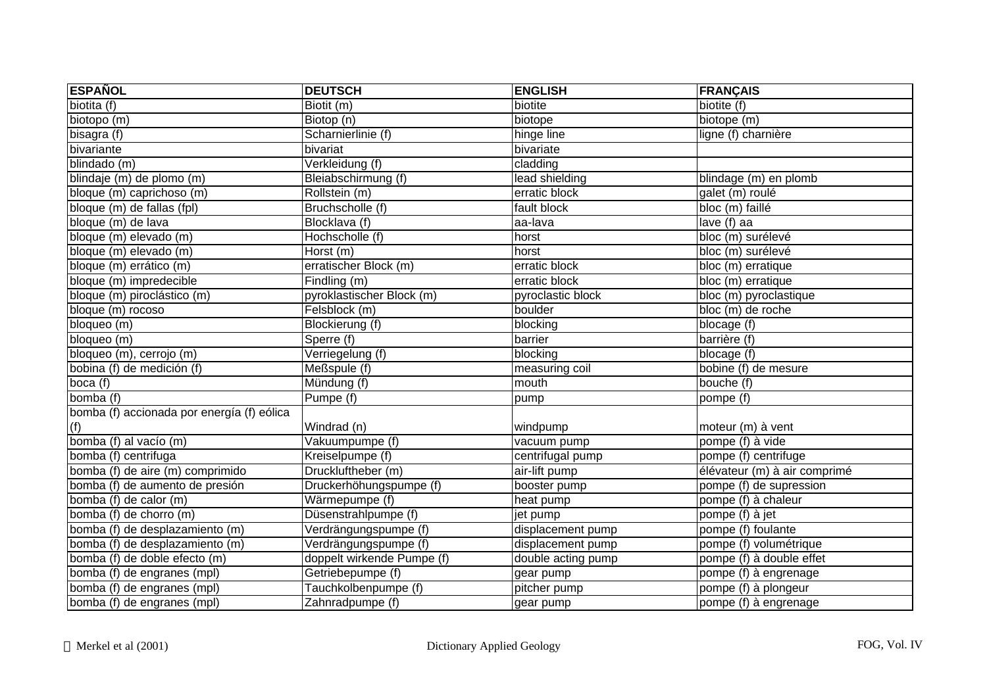| <b>ESPAÑOL</b>                             | <b>DEUTSCH</b>             | <b>ENGLISH</b>     | <b>FRANÇAIS</b>              |
|--------------------------------------------|----------------------------|--------------------|------------------------------|
| biotita (f)                                | Biotit (m)                 | biotite            | biotite (f)                  |
| biotopo (m)                                | Biotop (n)                 | biotope            | biotope (m)                  |
| bisagra (f)                                | Scharnierlinie (f)         | hinge line         | ligne (f) charnière          |
| bivariante                                 | bivariat                   | bivariate          |                              |
| blindado (m)                               | Verkleidung (f)            | cladding           |                              |
| blindaje (m) de plomo (m)                  | Bleiabschirmung (f)        | lead shielding     | blindage (m) en plomb        |
| bloque (m) caprichoso (m)                  | Rollstein (m)              | erratic block      | galet (m) roulé              |
| bloque (m) de fallas (fpl)                 | Bruchscholle (f)           | fault block        | bloc (m) faillé              |
| bloque (m) de lava                         | Blocklava (f)              | aa-lava            | lave (f) aa                  |
| bloque (m) elevado (m)                     | Hochscholle (f)            | horst              | bloc (m) surélevé            |
| bloque (m) elevado (m)                     | Horst (m)                  | horst              | bloc (m) surélevé            |
| bloque (m) errático (m)                    | erratischer Block (m)      | erratic block      | bloc (m) erratique           |
| bloque (m) impredecible                    | Findling (m)               | erratic block      | bloc (m) erratique           |
| bloque (m) piroclástico (m)                | pyroklastischer Block (m)  | pyroclastic block  | bloc (m) pyroclastique       |
| bloque (m) rocoso                          | Felsblock (m)              | boulder            | bloc (m) de roche            |
| bloqueo (m)                                | Blockierung (f)            | blocking           | blocage (f)                  |
| bloqueo (m)                                | Sperre(f)                  | barrier            | barrière (f)                 |
| bloqueo (m), cerrojo (m)                   | Verriegelung (f)           | blocking           | blocage (f)                  |
| bobina (f) de medición (f)                 | Meßspule (f)               | measuring coil     | bobine (f) de mesure         |
| boca (f)                                   | Mündung (f)                | mouth              | bouche (f)                   |
| bomba (f)                                  | Pumpe (f)                  | pump               | pompe (f)                    |
| bomba (f) accionada por energía (f) eólica |                            |                    |                              |
| (f)                                        | Windrad (n)                | windpump           | moteur (m) à vent            |
| bomba (f) al vacío (m)                     | Vakuumpumpe (f)            | vacuum pump        | pompe (f) à vide             |
| bomba $(f)$ centrifuga                     | Kreiselpumpe (f)           | centrifugal pump   | pompe (f) centrifuge         |
| bomba (f) de aire (m) comprimido           | Druckluftheber (m)         | air-lift pump      | élévateur (m) à air comprimé |
| bomba (f) de aumento de presión            | Druckerhöhungspumpe (f)    | booster pump       | pompe (f) de supression      |
| bomba (f) de calor (m)                     | Wärmepumpe (f)             | heat pump          | pompe (f) à chaleur          |
| bomba (f) de chorro (m)                    | Düsenstrahlpumpe (f)       | jet pump           | pompe (f) à jet              |
| bomba (f) de desplazamiento (m)            | Verdrängungspumpe (f)      | displacement pump  | pompe (f) foulante           |
| bomba (f) de desplazamiento (m)            | Verdrängungspumpe (f)      | displacement pump  | pompe (f) volumétrique       |
| bomba (f) de doble efecto (m)              | doppelt wirkende Pumpe (f) | double acting pump | pompe (f) à double effet     |
| bomba (f) de engranes (mpl)                | Getriebepumpe (f)          | gear pump          | pompe (f) à engrenage        |
| bomba (f) de engranes (mpl)                | Tauchkolbenpumpe (f)       | pitcher pump       | pompe (f) à plongeur         |
| bomba (f) de engranes (mpl)                | Zahnradpumpe (f)           | gear pump          | pompe (f) à engrenage        |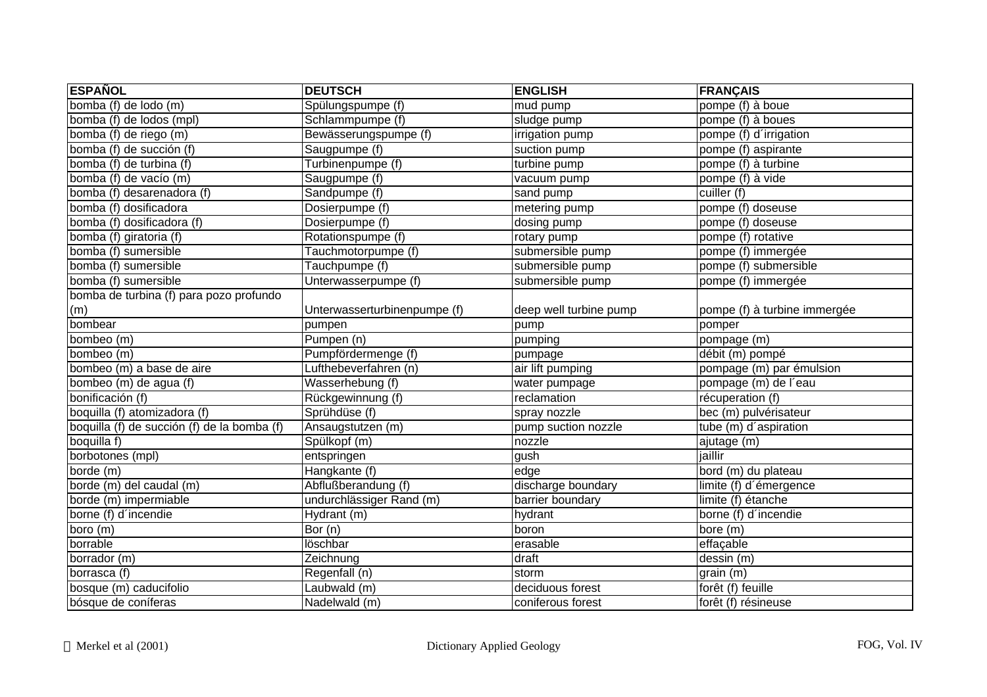| <b>ESPAÑOL</b>                              | <b>DEUTSCH</b>               | <b>ENGLISH</b>         | <b>FRANÇAIS</b>              |
|---------------------------------------------|------------------------------|------------------------|------------------------------|
| bomba (f) de lodo (m)                       | Spülungspumpe (f)            | mud pump               | pompe (f) à boue             |
| bomba (f) de lodos (mpl)                    | Schlammpumpe (f)             | sludge pump            | pompe (f) à boues            |
| bomba (f) de riego (m)                      | Bewässerungspumpe (f)        | irrigation pump        | pompe (f) d'irrigation       |
| bomba (f) de succión (f)                    | Saugpumpe (f)                | suction pump           | pompe (f) aspirante          |
| bomba (f) de turbina (f)                    | Turbinenpumpe (f)            | turbine pump           | pompe (f) à turbine          |
| bomba (f) de vacío (m)                      | Saugpumpe (f)                | vacuum pump            | pompe (f) à vide             |
| bomba (f) desarenadora (f)                  | Sandpumpe (f)                | sand pump              | cuiller (f)                  |
| bomba (f) dosificadora                      | Dosierpumpe (f)              | metering pump          | pompe (f) doseuse            |
| bomba (f) dosificadora (f)                  | Dosierpumpe (f)              | dosing pump            | pompe (f) doseuse            |
| bomba (f) giratoria (f)                     | Rotationspumpe (f)           | rotary pump            | pompe (f) rotative           |
| bomba (f) sumersible                        | Tauchmotorpumpe (f)          | submersible pump       | pompe (f) immergée           |
| bomba (f) sumersible                        | Tauchpumpe (f)               | submersible pump       | pompe (f) submersible        |
| bomba (f) sumersible                        | Unterwasserpumpe (f)         | submersible pump       | pompe (f) immergée           |
| bomba de turbina (f) para pozo profundo     |                              |                        |                              |
| (m)                                         | Unterwasserturbinenpumpe (f) | deep well turbine pump | pompe (f) à turbine immergée |
| bombear                                     | pumpen                       | pump                   | pomper                       |
| bombeo (m)                                  | Pumpen (n)                   | pumping                | pompage (m)                  |
| bombeo (m)                                  | Pumpfördermenge (f)          | pumpage                | débit (m) pompé              |
| bombeo (m) a base de aire                   | Lufthebeverfahren (n)        | air lift pumping       | pompage (m) par émulsion     |
| bombeo (m) de agua (f)                      | Wasserhebung (f)             | water pumpage          | pompage (m) de l'eau         |
| bonificación (f)                            | Rückgewinnung (f)            | reclamation            | récuperation (f)             |
| boquilla (f) atomizadora (f)                | Sprühdüse (f)                | spray nozzle           | bec (m) pulvérisateur        |
| boquilla (f) de succión (f) de la bomba (f) | Ansaugstutzen (m)            | pump suction nozzle    | tube (m) d'aspiration        |
| boquilla f)                                 | Spülkopf (m)                 | nozzle                 | ajutage (m)                  |
| borbotones (mpl)                            | entspringen                  | gush                   | jaillir                      |
| borde (m)                                   | Hangkante (f)                | edge                   | bord (m) du plateau          |
| borde (m) del caudal (m)                    | Abflußberandung (f)          | discharge boundary     | limite (f) d'émergence       |
| borde (m) impermiable                       | undurchlässiger Rand (m)     | barrier boundary       | limite (f) étanche           |
| borne (f) d'incendie                        | Hydrant (m)                  | hydrant                | borne (f) d'incendie         |
| boro (m)                                    | Bor $(n)$                    | boron                  | bore (m)                     |
| borrable                                    | löschbar                     | erasable               | effaçable                    |
| borrador (m)                                | Zeichnung                    | draft                  | dessin (m)                   |
| borrasca (f)                                | Regenfall (n)                | storm                  | grain (m)                    |
| bosque (m) caducifolio                      | Laubwald (m)                 | deciduous forest       | forêt (f) feuille            |
| bósque de coníferas                         | Nadelwald (m)                | coniferous forest      | forêt (f) résineuse          |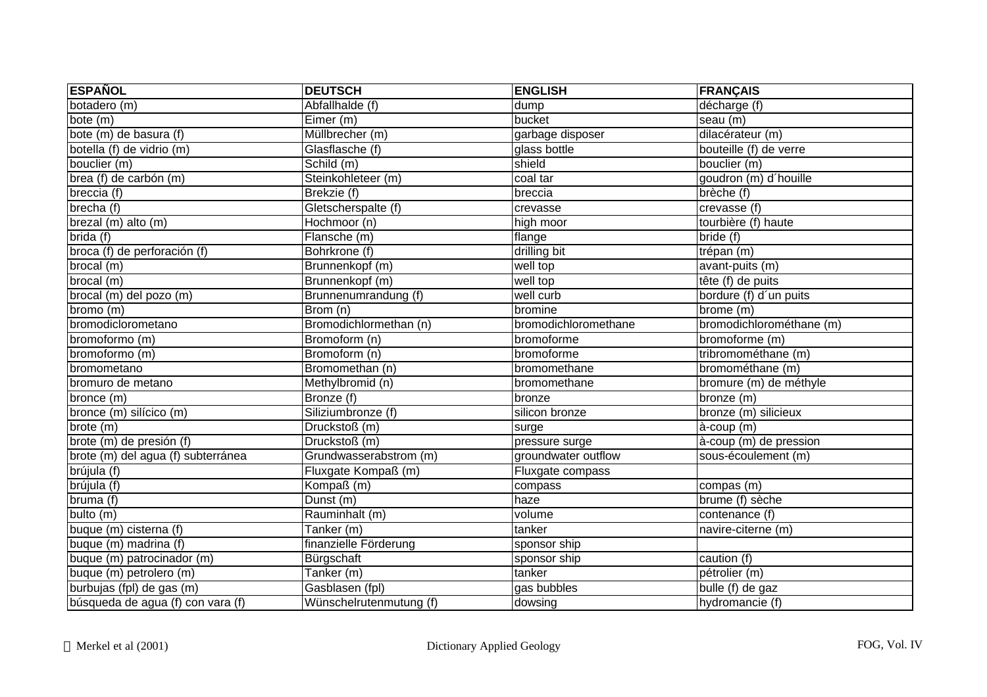| <b>ESPAÑOL</b>                     | <b>DEUTSCH</b>          | <b>ENGLISH</b>       | <b>FRANÇAIS</b>                      |
|------------------------------------|-------------------------|----------------------|--------------------------------------|
| botadero (m)                       | Abfallhalde (f)         | dump                 | décharge (f)                         |
| bote(m)                            | Eimer (m)               | bucket               | seau (m)                             |
| bote (m) de basura (f)             | Müllbrecher (m)         | garbage disposer     | dilacérateur (m)                     |
| botella (f) de vidrio (m)          | Glasflasche (f)         | glass bottle         | bouteille (f) de verre               |
| bouclier (m)                       | Schild (m)              | shield               | bouclier (m)                         |
| brea (f) de carbón (m)             | Steinkohleteer (m)      | coal tar             | goudron (m) d'houille                |
| breccia (f)                        | Brekzie (f)             | breccia              | brèche (f)                           |
| brecha (f)                         | Gletscherspalte (f)     | crevasse             | crevasse (f)                         |
| brezal (m) alto (m)                | Hochmoor (n)            | high moor            | tourbière (f) haute                  |
| brida (f)                          | Flansche (m)            | flange               | bride (f)                            |
| broca (f) de perforación (f)       | Bohrkrone (f)           | drilling bit         | trépan (m)                           |
| brocal (m)                         | Brunnenkopf (m)         | well top             | avant-puits (m)                      |
| brocal (m)                         | Brunnenkopf (m)         | well top             | tête (f) de puits                    |
| brocal (m) del pozo (m)            | Brunnenumrandung (f)    | well curb            | bordure (f) d'un puits               |
| bromo (m)                          | Brom (n)                | bromine              | brome (m)                            |
| bromodiclorometano                 | Bromodichlormethan (n)  | bromodichloromethane | bromodichlorométhane (m)             |
| bromoformo (m)                     | Bromoform (n)           | bromoforme           | bromoforme (m)                       |
| bromoformo (m)                     | Bromoform (n)           | bromoforme           | tribromométhane (m)                  |
| bromometano                        | Bromomethan (n)         | bromomethane         | bromométhane (m)                     |
| bromuro de metano                  | Methylbromid (n)        | bromomethane         | bromure (m) de méthyle               |
| bronce (m)                         | Bronze (f)              | bronze               | bronze (m)                           |
| bronce (m) silícico (m)            | Siliziumbronze (f)      | silicon bronze       | bronze (m) silicieux                 |
| brote(m)                           | Druckstoß (m)           | surge                | à-coup (m)                           |
| brote (m) de presión (f)           | Druckstoß (m)           | pressure surge       | à-coup (m) de pression               |
| brote (m) del agua (f) subterránea | Grundwasserabstrom (m)  | groundwater outflow  | sous-écoulement (m)                  |
| brújula (f)                        | Fluxgate Kompaß (m)     | Fluxgate compass     |                                      |
| brújula (f)                        | Kompaß (m)              | compass              | compas (m)                           |
| bruma (f)                          | Dunst (m)               | haze                 | brume (f) sèche                      |
| bulto $(m)$                        | Rauminhalt (m)          | volume               | contenance (f)                       |
| buque (m) cisterna (f)             | Tanker (m)              | tanker               | navire-citerne (m)                   |
| buque (m) madrina (f)              | finanzielle Förderung   | sponsor ship         |                                      |
| buque (m) patrocinador (m)         | Bürgschaft              | sponsor ship         | caution (f)                          |
| buque (m) petrolero (m)            | Tanker (m)              | tanker               | pétrolier (m)                        |
| burbujas (fpl) de gas (m)          | Gasblasen (fpl)         | gas bubbles          | $\overline{\text{bulle}}$ (f) de gaz |
| búsqueda de agua (f) con vara (f)  | Wünschelrutenmutung (f) | dowsing              | hydromancie (f)                      |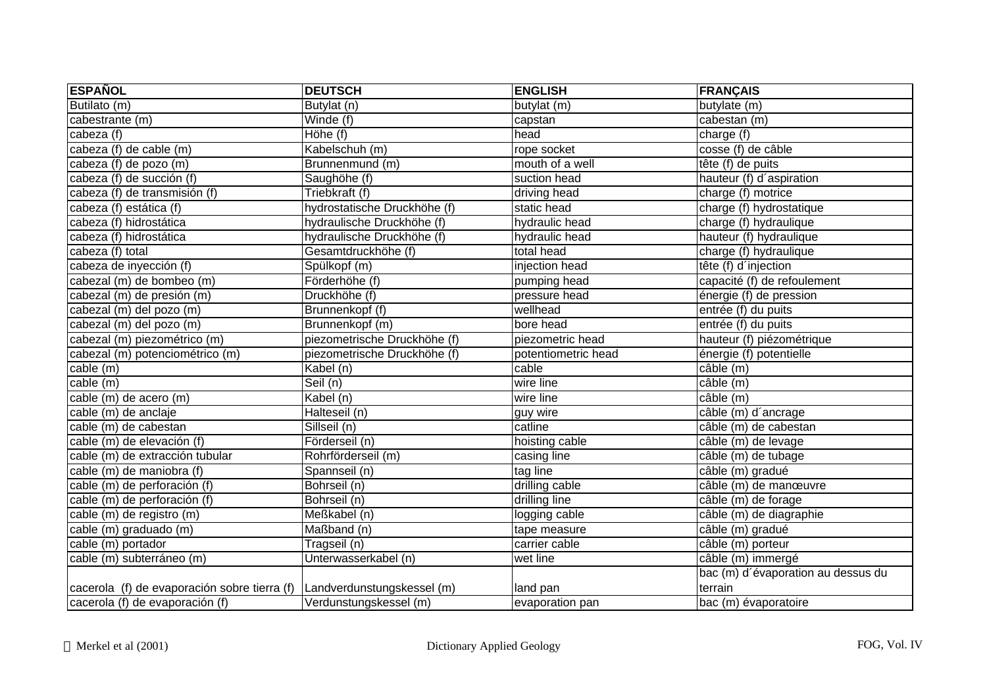| <b>ESPAÑOL</b>                               | <b>DEUTSCH</b>                   | <b>ENGLISH</b>      | <b>FRANÇAIS</b>                    |
|----------------------------------------------|----------------------------------|---------------------|------------------------------------|
| Butilato (m)                                 | Butylat (n)                      | butylat (m)         | butylate (m)                       |
| cabestrante (m)                              | Winde (f)                        | capstan             | cabestan(m)                        |
| cabeza (f)                                   | Höhe (f)                         | head                | charge (f)                         |
| cabeza (f) de cable (m)                      | Kabelschuh (m)                   | rope socket         | cosse (f) de câble                 |
| cabeza (f) de pozo (m)                       | Brunnenmund (m)                  | mouth of a well     | tête (f) de puits                  |
| cabeza (f) de succión (f)                    | Saughöhe (f)                     | suction head        | hauteur (f) d'aspiration           |
| cabeza (f) de transmisión (f)                | Triebkraft (f)                   | driving head        | charge (f) motrice                 |
| cabeza (f) estática (f)                      | hydrostatische Druckhöhe (f)     | static head         | charge (f) hydrostatique           |
| cabeza (f) hidrostática                      | hydraulische Druckhöhe (f)       | hydraulic head      | charge (f) hydraulique             |
| cabeza (f) hidrostática                      | hydraulische Druckhöhe (f)       | hydraulic head      | hauteur (f) hydraulique            |
| cabeza (f) total                             | Gesamtdruckhöhe (f)              | total head          | charge (f) hydraulique             |
| cabeza de inyección (f)                      | Spülkopf (m)                     | injection head      | tête (f) d'injection               |
| cabezal (m) de bombeo (m)                    | Förderhöhe (f)                   | pumping head        | capacité (f) de refoulement        |
| cabezal (m) de presión (m)                   | Druckhöhe (f)                    | pressure head       | énergie (f) de pression            |
| cabezal (m) del pozo (m)                     | Brunnenkopf (f)                  | wellhead            | entrée (f) du puits                |
| cabezal (m) del pozo (m)                     | Brunnenkopf (m)                  | bore head           | entrée (f) du puits                |
| cabezal (m) piezométrico (m)                 | piezometrische Druckhöhe (f)     | piezometric head    | hauteur (f) piézométrique          |
| cabezal (m) potenciométrico (m)              | piezometrische Druckhöhe (f)     | potentiometric head | énergie (f) potentielle            |
| cable (m)                                    | $\overline{\mathsf{K}}$ abel (n) | cable               | câble (m)                          |
| cable (m)                                    | Seil (n)                         | wire line           | câble (m)                          |
| cable (m) de acero (m)                       | Kabel (n)                        | wire line           | câble (m)                          |
| cable (m) de anclaje                         | Halteseil (n)                    | guy wire            | câble (m) d'ancrage                |
| cable (m) de cabestan                        | Sillseil (n)                     | catline             | câble (m) de cabestan              |
| cable (m) de elevación (f)                   | Förderseil (n)                   | hoisting cable      | câble (m) de levage                |
| cable (m) de extracción tubular              | Rohrförderseil (m)               | casing line         | câble (m) de tubage                |
| cable (m) de maniobra (f)                    | Spannseil (n)                    | tag line            | câble (m) gradué                   |
| cable (m) de perforación (f)                 | Bohrseil (n)                     | drilling cable      | câble (m) de manœuvre              |
| cable (m) de perforación (f)                 | Bohrseil (n)                     | drilling line       | câble (m) de forage                |
| cable (m) de registro (m)                    | Meßkabel (n)                     | logging cable       | câble (m) de diagraphie            |
| cable (m) graduado (m)                       | Maßband (n)                      | tape measure        | câble (m) gradué                   |
| cable (m) portador                           | Tragseil (n)                     | carrier cable       | câble (m) porteur                  |
| cable (m) subterráneo (m)                    | Unterwasserkabel (n)             | wet line            | câble (m) immergé                  |
|                                              |                                  |                     | bac (m) d'évaporation au dessus du |
| cacerola (f) de evaporación sobre tierra (f) | Landverdunstungskessel (m)       | land pan            | terrain                            |
| cacerola (f) de evaporación (f)              | Verdunstungskessel (m)           | evaporation pan     | bac (m) évaporatoire               |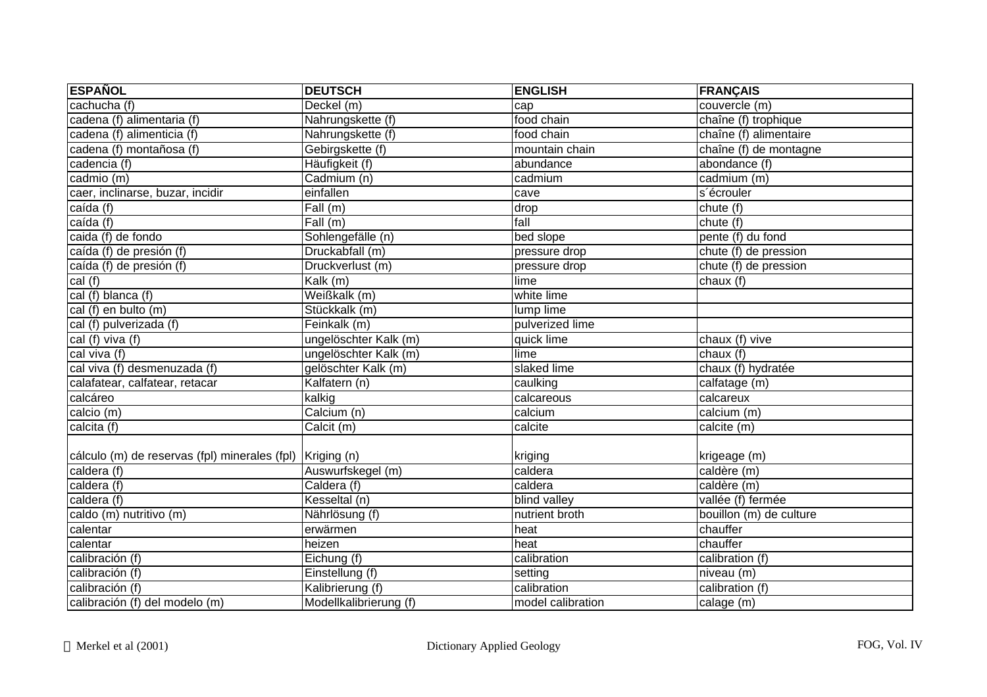| <b>ESPAÑOL</b>                                | <b>DEUTSCH</b>         | <b>ENGLISH</b>    | <b>FRANÇAIS</b>         |
|-----------------------------------------------|------------------------|-------------------|-------------------------|
| cachucha (f)                                  | Deckel(m)              | cap               | couvercle (m)           |
| cadena (f) alimentaria (f)                    | Nahrungskette (f)      | food chain        | chaîne (f) trophique    |
| cadena (f) alimenticia (f)                    | Nahrungskette (f)      | food chain        | chaîne (f) alimentaire  |
| cadena (f) montañosa (f)                      | Gebirgskette (f)       | mountain chain    | chaîne (f) de montagne  |
| cadencia (f)                                  | Häufigkeit (f)         | abundance         | abondance (f)           |
| cadmio (m)                                    | Cadmium (n)            | cadmium           | cadmium (m)             |
| caer, inclinarse, buzar, incidir              | einfallen              | cave              | s'écrouler              |
| caída (f)                                     | Fall(m)                | drop              | chute (f)               |
| caída (f)                                     | Fall(m)                | fall              | chute(f)                |
| caida (f) de fondo                            | Sohlengefälle (n)      | bed slope         | pente (f) du fond       |
| caída (f) de presión (f)                      | Druckabfall (m)        | pressure drop     | chute (f) de pression   |
| caída (f) de presión (f)                      | Druckverlust (m)       | pressure drop     | chute (f) de pression   |
| cal (f)                                       | Kalk (m)               | lime              | chaux (f)               |
| cal (f) blanca (f)                            | Weißkalk (m)           | white lime        |                         |
| cal (f) en bulto (m)                          | Stückkalk (m)          | lump lime         |                         |
| cal (f) pulverizada (f)                       | Feinkalk (m)           | pulverized lime   |                         |
| cal (f) viva (f)                              | ungelöschter Kalk (m)  | quick lime        | chaux (f) vive          |
| cal viva $(f)$                                | ungelöschter Kalk (m)  | lime              | chaux (f)               |
| cal viva (f) desmenuzada (f)                  | gelöschter Kalk (m)    | slaked lime       | chaux (f) hydratée      |
| calafatear, calfatear, retacar                | Kalfatern (n)          | caulking          | calfatage (m)           |
| calcáreo                                      | kalkig                 | calcareous        | calcareux               |
| calcio (m)                                    | Calcium (n)            | calcium           | calcium (m)             |
| calcita (f)                                   | Calcit (m)             | calcite           | calcite (m)             |
| cálculo (m) de reservas (fpl) minerales (fpl) | Kriging (n)            | kriging           | krigeage (m)            |
| caldera (f)                                   | Auswurfskegel (m)      | caldera           | caldère (m)             |
| caldera (f)                                   | Caldera (f)            | caldera           | caldère (m)             |
| caldera (f)                                   | Kesseltal (n)          | blind valley      | vallée (f) fermée       |
| caldo (m) nutritivo (m)                       | Nährlösung (f)         | nutrient broth    | bouillon (m) de culture |
| calentar                                      | erwärmen               | heat              | chauffer                |
| calentar                                      | heizen                 | heat              | chauffer                |
| calibración (f)                               | Eichung(f)             | calibration       | calibration (f)         |
| calibración (f)                               | Einstellung (f)        | setting           | niveau (m)              |
| calibración (f)                               | Kalibrierung (f)       | calibration       | calibration (f)         |
| calibración (f) del modelo (m)                | Modellkalibrierung (f) | model calibration | calage (m)              |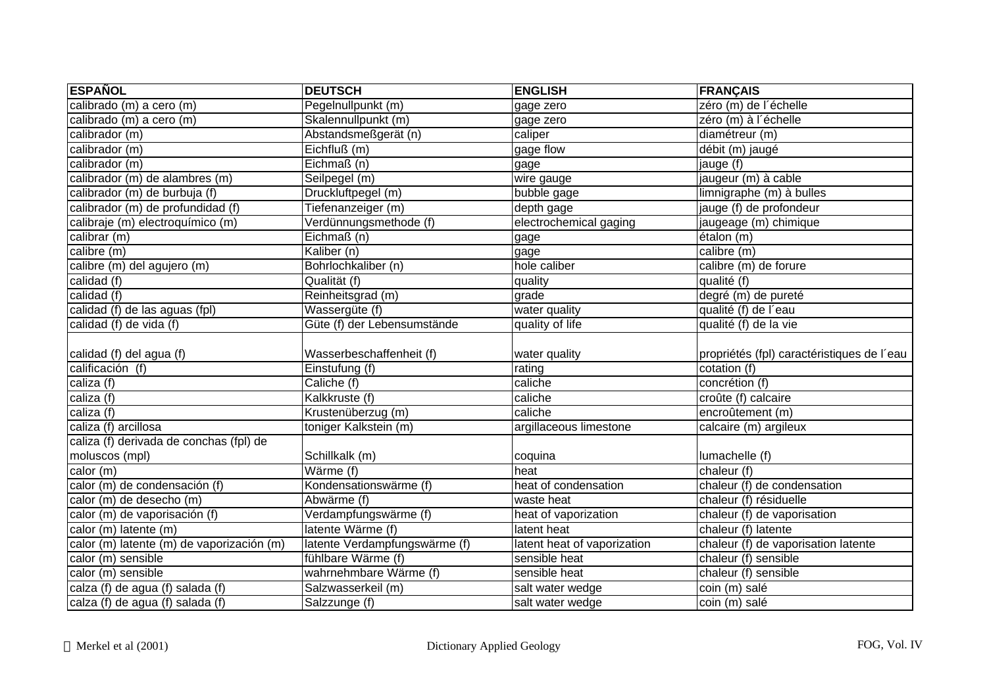| <b>ESPAÑOL</b>                            | <b>DEUTSCH</b>                | <b>ENGLISH</b>              | <b>FRANÇAIS</b>                            |
|-------------------------------------------|-------------------------------|-----------------------------|--------------------------------------------|
| calibrado (m) a cero (m)                  | Pegelnullpunkt (m)            | gage zero                   | zéro (m) de l'échelle                      |
| calibrado (m) a cero (m)                  | Skalennullpunkt (m)           | gage zero                   | zéro (m) à l'échelle                       |
| calibrador (m)                            | Abstandsmeßgerät (n)          | caliper                     | diamétreur (m)                             |
| calibrador (m)                            | Eichfluß (m)                  | gage flow                   | débit (m) jaugé                            |
| calibrador (m)                            | Eichmaß (n)                   | gage                        | jauge (f)                                  |
| calibrador (m) de alambres (m)            | Seilpegel (m)                 | wire gauge                  | jaugeur (m) à cable                        |
| calibrador (m) de burbuja (f)             | Druckluftpegel (m)            | bubble gage                 | limnigraphe (m) à bulles                   |
| calibrador (m) de profundidad (f)         | Tiefenanzeiger (m)            | depth gage                  | jauge (f) de profondeur                    |
| calibraje (m) electroquímico (m)          | Verdünnungsmethode (f)        | electrochemical gaging      | jaugeage (m) chimique                      |
| calibrar (m)                              | Eichmaß (n)                   | gage                        | étalon (m)                                 |
| calibre (m)                               | Kaliber (n)                   | gage                        | calibre (m)                                |
| calibre (m) del agujero (m)               | Bohrlochkaliber (n)           | hole caliber                | calibre (m) de forure                      |
| calidad (f)                               | Qualität (f)                  | quality                     | qualité (f)                                |
| calidad (f)                               | Reinheitsgrad (m)             | grade                       | degré (m) de pureté                        |
| calidad (f) de las aguas (fpl)            | Wassergüte (f)                | water quality               | qualité (f) de l'eau                       |
| calidad (f) de vida (f)                   | Güte (f) der Lebensumstände   | quality of life             | qualité (f) de la vie                      |
|                                           |                               |                             |                                            |
| calidad (f) del agua (f)                  | Wasserbeschaffenheit (f)      | water quality               | propriétés (fpl) caractéristiques de l'eau |
| calificación (f)                          | Einstufung (f)                | rating                      | cotation (f)                               |
| caliza (f)                                | Caliche (f)                   | caliche                     | concrétion (f)                             |
| caliza (f)                                | Kalkkruste (f)                | caliche                     | croûte (f) calcaire                        |
| caliza (f)                                | Krustenüberzug (m)            | caliche                     | encroûtement (m)                           |
| caliza (f) arcillosa                      | toniger Kalkstein (m)         | argillaceous limestone      | calcaire (m) argileux                      |
| caliza (f) derivada de conchas (fpl) de   |                               |                             |                                            |
| moluscos (mpl)                            | Schillkalk (m)                | coquina                     | lumachelle (f)                             |
| calor $(m)$                               | Wärme (f)                     | heat                        | chaleur (f)                                |
| calor (m) de condensación (f)             | Kondensationswärme (f)        | heat of condensation        | chaleur (f) de condensation                |
| calor (m) de desecho (m)                  | Abwärme (f)                   | waste heat                  | chaleur (f) résiduelle                     |
| calor (m) de vaporisación (f)             | Verdampfungswärme (f)         | heat of vaporization        | chaleur (f) de vaporisation                |
| calor (m) latente (m)                     | latente Wärme (f)             | latent heat                 | chaleur (f) latente                        |
| calor (m) latente (m) de vaporización (m) | latente Verdampfungswärme (f) | latent heat of vaporization | chaleur (f) de vaporisation latente        |
| calor $(m)$ sensible                      | fühlbare Wärme (f)            | sensible heat               | chaleur (f) sensible                       |
| calor (m) sensible                        | wahrnehmbare Wärme (f)        | sensible heat               | chaleur (f) sensible                       |
| calza (f) de agua (f) salada (f)          | Salzwasserkeil (m)            | salt water wedge            | coin (m) salé                              |
| calza (f) de agua (f) salada (f)          | Salzzunge (f)                 | salt water wedge            | coin (m) salé                              |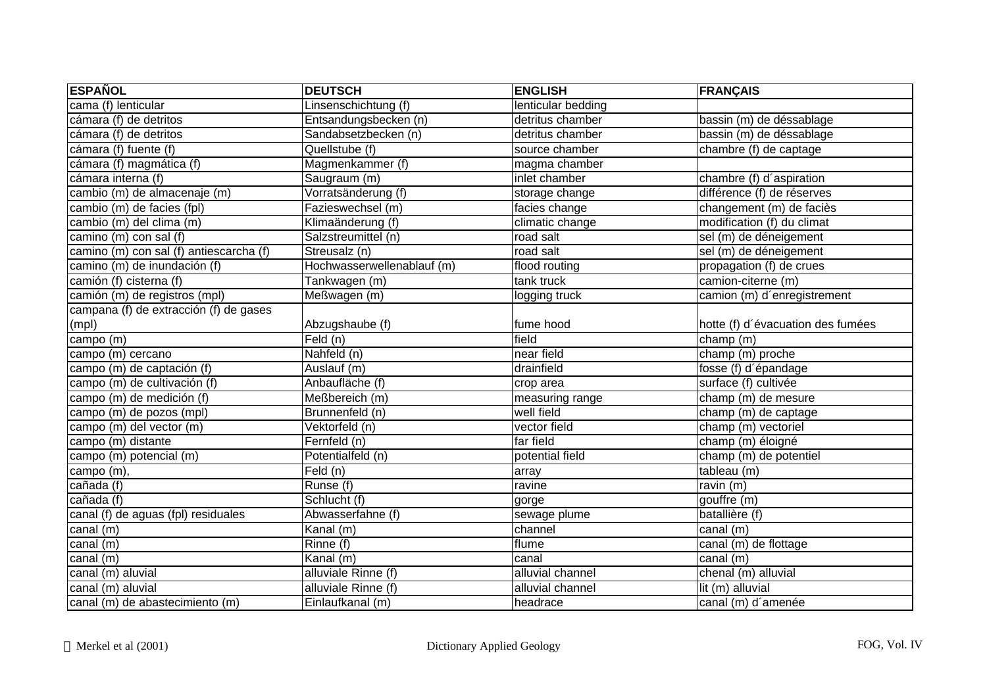| <b>ESPAÑOL</b>                          | <b>DEUTSCH</b>             | <b>ENGLISH</b>     | <b>FRANÇAIS</b>                   |
|-----------------------------------------|----------------------------|--------------------|-----------------------------------|
| cama (f) lenticular                     | Linsenschichtung (f)       | lenticular bedding |                                   |
| cámara (f) de detritos                  | Entsandungsbecken (n)      | detritus chamber   | bassin (m) de déssablage          |
| cámara (f) de detritos                  | Sandabsetzbecken (n)       | detritus chamber   | bassin (m) de déssablage          |
| cámara (f) fuente (f)                   | Quellstube (f)             | source chamber     | chambre (f) de captage            |
| cámara (f) magmática (f)                | Magmenkammer (f)           | magma chamber      |                                   |
| cámara interna (f)                      | Saugraum (m)               | inlet chamber      | chambre (f) d'aspiration          |
| cambio (m) de almacenaje (m)            | Vorratsänderung (f)        | storage change     | différence (f) de réserves        |
| cambio (m) de facies (fpl)              | Fazieswechsel (m)          | facies change      | changement (m) de faciès          |
| cambio (m) del clima (m)                | Klimaänderung (f)          | climatic change    | modification (f) du climat        |
| camino $(m)$ con sal (f)                | Salzstreumittel (n)        | road salt          | sel (m) de déneigement            |
| camino (m) con sal (f) antiescarcha (f) | Streusalz (n)              | road salt          | sel (m) de déneigement            |
| camino (m) de inundación (f)            | Hochwasserwellenablauf (m) | flood routing      | propagation (f) de crues          |
| camión (f) cisterna (f)                 | Tankwagen (m)              | tank truck         | camion-citerne (m)                |
| camión (m) de registros (mpl)           | Meßwagen (m)               | logging truck      | camion (m) d'enregistrement       |
| campana (f) de extracción (f) de gases  |                            |                    |                                   |
| (mpl)                                   | Abzugshaube (f)            | fume hood          | hotte (f) d'évacuation des fumées |
| campo (m)                               | Feld (n)                   | field              | champ (m)                         |
| campo (m) cercano                       | Nahfeld (n)                | near field         | champ (m) proche                  |
| campo (m) de captación (f)              | Auslauf (m)                | drainfield         | fosse (f) d'épandage              |
| campo (m) de cultivación (f)            | Anbaufläche (f)            | crop area          | surface (f) cultivée              |
| campo (m) de medición (f)               | Meßbereich (m)             | measuring range    | champ (m) de mesure               |
| campo (m) de pozos (mpl)                | Brunnenfeld (n)            | well field         | champ (m) de captage              |
| campo (m) del vector (m)                | Vektorfeld (n)             | vector field       | champ (m) vectoriel               |
| campo (m) distante                      | Fernfeld (n)               | far field          | champ (m) éloigné                 |
| campo (m) potencial (m)                 | Potentialfeld (n)          | potential field    | champ (m) de potentiel            |
| campo (m),                              | Field(n)                   | array              | tableau (m)                       |
| cañada (f)                              | Runse (f)                  | ravine             | ravin (m)                         |
| cañada (f)                              | Schlucht (f)               | gorge              | gouffre (m)                       |
| canal (f) de aguas (fpl) residuales     | Abwasserfahne (f)          | sewage plume       | batallière (f)                    |
| canal (m)                               | $\overline{K}$ anal (m)    | channel            | canal (m)                         |
| canal (m)                               | Rinne (f)                  | flume              | canal (m) de flottage             |
| $c$ anal $(m)$                          | Kanal (m)                  | canal              | canal $(m)$                       |
| canal (m) aluvial                       | alluviale Rinne (f)        | alluvial channel   | chenal (m) alluvial               |
| canal (m) aluvial                       | alluviale Rinne (f)        | alluvial channel   | lit (m) alluvial                  |
| canal (m) de abastecimiento (m)         | Einlaufkanal (m)           | headrace           | canal (m) d'amenée                |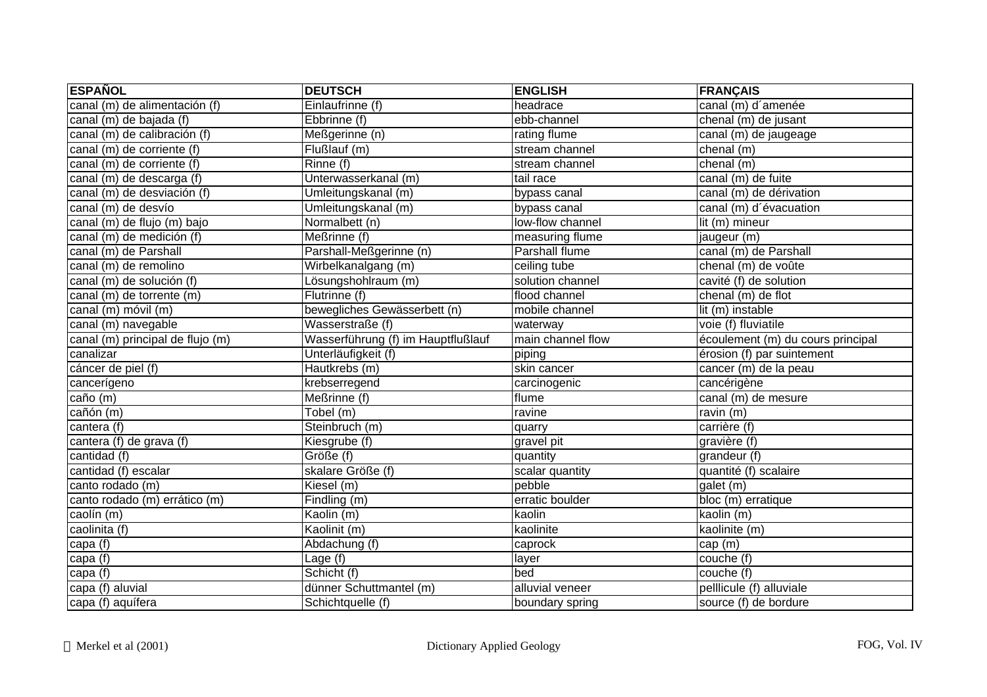| <b>ESPAÑOL</b>                   | <b>DEUTSCH</b>                     | <b>ENGLISH</b>        | FRANÇAIS                          |
|----------------------------------|------------------------------------|-----------------------|-----------------------------------|
| canal (m) de alimentación (f)    | Einlaufrinne (f)                   | headrace              | canal (m) d'amenée                |
| canal (m) de bajada (f)          | Ebbrinne (f)                       | ebb-channel           | chenal (m) de jusant              |
| canal (m) de calibración (f)     | Meßgerinne (n)                     | rating flume          | canal (m) de jaugeage             |
| canal (m) de corriente (f)       | Flußlauf (m)                       | stream channel        | chenal (m)                        |
| canal (m) de corriente (f)       | Rinne (f)                          | stream channel        | chenal (m)                        |
| canal (m) de descarga (f)        | Unterwasserkanal (m)               | tail race             | canal (m) de fuite                |
| canal (m) de desviación (f)      | Umleitungskanal (m)                | bypass canal          | canal (m) de dérivation           |
| canal (m) de desvío              | Umleitungskanal (m)                | bypass canal          | canal (m) d'évacuation            |
| canal (m) de flujo (m) bajo      | Normalbett (n)                     | low-flow channel      | lit (m) mineur                    |
| canal (m) de medición (f)        | Meßrinne (f)                       | measuring flume       | jaugeur (m)                       |
| canal (m) de Parshall            | Parshall-Meßgerinne (n)            | <b>Parshall flume</b> | canal (m) de Parshall             |
| canal (m) de remolino            | Wirbelkanalgang (m)                | ceiling tube          | chenal (m) de voûte               |
| canal (m) de solución (f)        | Lösungshohlraum (m)                | solution channel      | cavité (f) de solution            |
| canal (m) de torrente (m)        | Flutrinne (f)                      | flood channel         | chenal (m) de flot                |
| canal (m) móvil (m)              | bewegliches Gewässerbett (n)       | mobile channel        | lit (m) instable                  |
| canal (m) navegable              | Wasserstraße (f)                   | waterway              | voie (f) fluviatile               |
| canal (m) principal de flujo (m) | Wasserführung (f) im Hauptflußlauf | main channel flow     | écoulement (m) du cours principal |
| canalizar                        | Unterläufigkeit (f)                | piping                | érosion (f) par suintement        |
| cáncer de piel (f)               | Hautkrebs (m)                      | skin cancer           | cancer (m) de la peau             |
| cancerígeno                      | krebserregend                      | carcinogenic          | cancérigène                       |
| $\overline{ca\tilde{no}}$ (m)    | Meßrinne (f)                       | flume                 | canal (m) de mesure               |
| cañón (m)                        | $\overline{\text{Tobel (m)}}$      | ravine                | ravin $(m)$                       |
| cantera (f)                      | Steinbruch (m)                     | quarry                | carrière (f)                      |
| cantera (f) de grava (f)         | Kiesgrube (f)                      | gravel pit            | gravière (f)                      |
| cantidad (f)                     | Größe (f)                          | quantity              | grandeur (f)                      |
| cantidad (f) escalar             | skalare Größe (f)                  | scalar quantity       | quantité (f) scalaire             |
| canto rodado (m)                 | Kiesel (m)                         | pebble                | galet (m)                         |
| canto rodado (m) errático (m)    | Findling (m)                       | erratic boulder       | bloc (m) erratique                |
| caolín (m)                       | Kaolin (m)                         | kaolin                | kaolin (m)                        |
| caolinita (f)                    | Kaolinit (m)                       | kaolinite             | kaolinite (m)                     |
| capa (f)                         | Abdachung (f)                      | caprock               | cap (m)                           |
| capa(f)                          | Lage (f)                           | layer                 | couche $(t)$                      |
| capa (f)                         | Schicht (f)                        | bed                   | couche (f)                        |
| capa (f) aluvial                 | dünner Schuttmantel (m)            | alluvial veneer       | pelllicule (f) alluviale          |
| capa (f) aquífera                | Schichtquelle (f)                  | boundary spring       | source (f) de bordure             |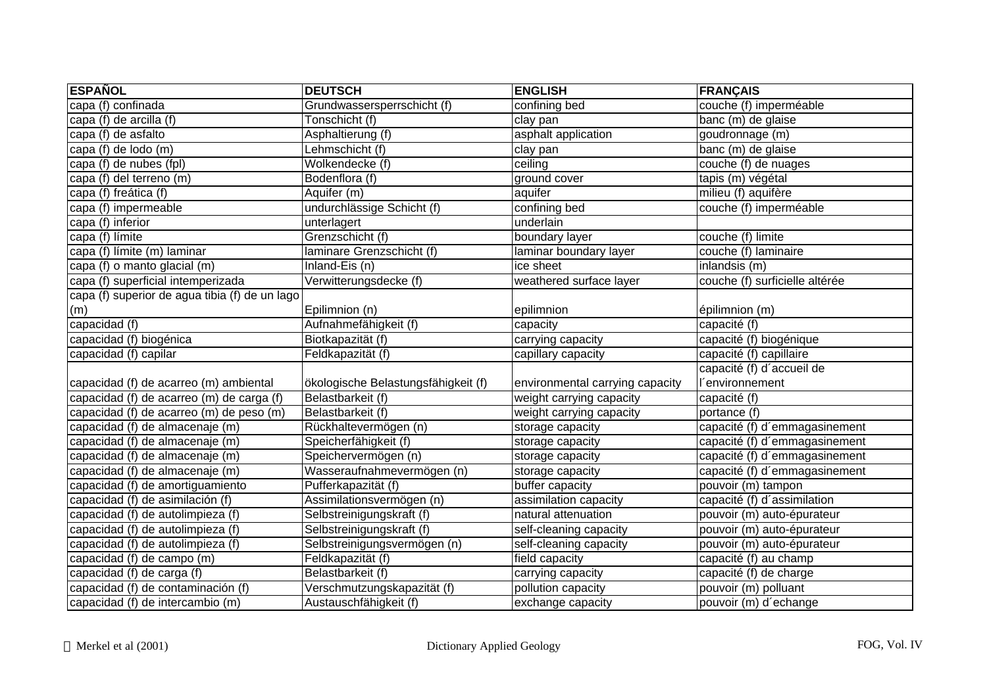| <b>ESPAÑOL</b>                                 | <b>DEUTSCH</b>                      | <b>ENGLISH</b>                  | <b>FRANÇAIS</b>                |
|------------------------------------------------|-------------------------------------|---------------------------------|--------------------------------|
| capa (f) confinada                             | Grundwassersperrschicht (f)         | confining bed                   | couche (f) imperméable         |
| capa (f) de arcilla (f)                        | Tonschicht (f)                      | clay pan                        | banc (m) de glaise             |
| capa (f) de asfalto                            | Asphaltierung (f)                   | asphalt application             | goudronnage (m)                |
| capa (f) de lodo (m)                           | Lehmschicht (f)                     | clay pan                        | banc (m) de glaise             |
| capa (f) de nubes (fpl)                        | Wolkendecke (f)                     | ceiling                         | couche (f) de nuages           |
| capa (f) del terreno (m)                       | Bodenflora (f)                      | ground cover                    | tapis (m) végétal              |
| capa (f) freática (f)                          | Aquifer (m)                         | aquifer                         | milieu (f) aquifère            |
| capa (f) impermeable                           | undurchlässige Schicht (f)          | confining bed                   | couche (f) imperméable         |
| capa (f) inferior                              | unterlagert                         | underlain                       |                                |
| capa (f) límite                                | Grenzschicht (f)                    | boundary layer                  | couche (f) limite              |
| capa (f) límite (m) laminar                    | laminare Grenzschicht (f)           | laminar boundary layer          | couche (f) laminaire           |
| capa (f) o manto glacial (m)                   | Inland-Eis (n)                      | ice sheet                       | inlandsis $(m)$                |
| capa (f) superficial intemperizada             | Verwitterungsdecke (f)              | weathered surface layer         | couche (f) surficielle altérée |
| capa (f) superior de agua tibia (f) de un lago |                                     |                                 |                                |
| (m)                                            | Epilimnion (n)                      | epilimnion                      | épilimnion (m)                 |
| capacidad (f)                                  | Aufnahmefähigkeit (f)               | capacity                        | capacité (f)                   |
| capacidad (f) biogénica                        | Biotkapazität (f)                   | carrying capacity               | capacité (f) biogénique        |
| capacidad (f) capilar                          | Feldkapazität (f)                   | capillary capacity              | capacité (f) capillaire        |
|                                                |                                     |                                 | capacité (f) d'accueil de      |
| capacidad (f) de acarreo (m) ambiental         | ökologische Belastungsfähigkeit (f) | environmental carrying capacity | <i>environnement</i>           |
| capacidad (f) de acarreo (m) de carga (f)      | Belastbarkeit (f)                   | weight carrying capacity        | capacité (f)                   |
| capacidad (f) de acarreo (m) de peso (m)       | Belastbarkeit (f)                   | weight carrying capacity        | portance (f)                   |
| capacidad (f) de almacenaje (m)                | Rückhaltevermögen (n)               | storage capacity                | capacité (f) d'emmagasinement  |
| capacidad (f) de almacenaje (m)                | Speicherfähigkeit (f)               | storage capacity                | capacité (f) d'emmagasinement  |
| capacidad (f) de almacenaje (m)                | Speichervermögen (n)                | storage capacity                | capacité (f) d'emmagasinement  |
| capacidad (f) de almacenaje (m)                | Wasseraufnahmevermögen (n)          | storage capacity                | capacité (f) d'emmagasinement  |
| capacidad (f) de amortiguamiento               | Pufferkapazität (f)                 | buffer capacity                 | pouvoir (m) tampon             |
| capacidad (f) de asimilación (f)               | Assimilationsvermögen (n)           | assimilation capacity           | capacité (f) d'assimilation    |
| capacidad (f) de autolimpieza (f)              | Selbstreinigungskraft (f)           | natural attenuation             | pouvoir (m) auto-épurateur     |
| capacidad (f) de autolimpieza (f)              | Selbstreinigungskraft (f)           | self-cleaning capacity          | pouvoir (m) auto-épurateur     |
| capacidad (f) de autolimpieza (f)              | Selbstreinigungsvermögen (n)        | self-cleaning capacity          | pouvoir (m) auto-épurateur     |
| capacidad (f) de campo (m)                     | Feldkapazität (f)                   | field capacity                  | capacité (f) au champ          |
| capacidad $(f)$ de carga $(f)$                 | Belastbarkeit (f)                   | carrying capacity               | capacité (f) de charge         |
| capacidad (f) de contaminación (f)             | Verschmutzungskapazität (f)         | pollution capacity              | pouvoir (m) polluant           |
| capacidad (f) de intercambio (m)               | Austauschfähigkeit (f)              | exchange capacity               | pouvoir (m) d'echange          |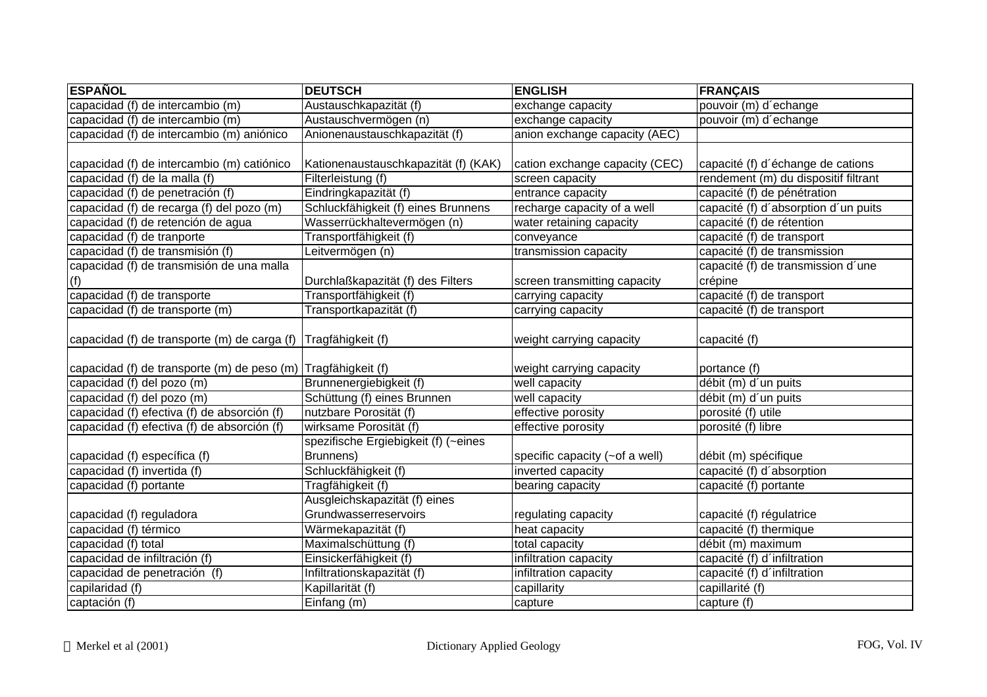| <b>ESPAÑOL</b>                                                | <b>DEUTSCH</b>                       | <b>ENGLISH</b>                 | <b>FRANÇAIS</b>                      |
|---------------------------------------------------------------|--------------------------------------|--------------------------------|--------------------------------------|
| capacidad (f) de intercambio (m)                              | Austauschkapazität (f)               | exchange capacity              | pouvoir (m) d'echange                |
| capacidad (f) de intercambio (m)                              | Austauschvermögen (n)                | exchange capacity              | pouvoir (m) d'echange                |
| capacidad (f) de intercambio (m) aniónico                     | Anionenaustauschkapazität (f)        | anion exchange capacity (AEC)  |                                      |
|                                                               |                                      |                                |                                      |
| capacidad (f) de intercambio (m) catiónico                    | Kationenaustauschkapazität (f) (KAK) | cation exchange capacity (CEC) | capacité (f) d'échange de cations    |
| capacidad (f) de la malla (f)                                 | Filterleistung (f)                   | screen capacity                | rendement (m) du dispositif filtrant |
| capacidad (f) de penetración (f)                              | Eindringkapazität (f)                | entrance capacity              | capacité (f) de pénétration          |
| capacidad (f) de recarga (f) del pozo (m)                     | Schluckfähigkeit (f) eines Brunnens  | recharge capacity of a well    | capacité (f) d'absorption d'un puits |
| capacidad (f) de retención de agua                            | Wasserrückhaltevermögen (n)          | water retaining capacity       | capacité (f) de rétention            |
| capacidad (f) de tranporte                                    | Transportfähigkeit (f)               | conveyance                     | capacité (f) de transport            |
| capacidad (f) de transmisión (f)                              | Leitvermögen (n)                     | transmission capacity          | capacité (f) de transmission         |
| capacidad (f) de transmisión de una malla                     |                                      |                                | capacité (f) de transmission d'une   |
| (f)                                                           | Durchlaßkapazität (f) des Filters    | screen transmitting capacity   | crépine                              |
| capacidad (f) de transporte                                   | Transportfähigkeit (f)               | carrying capacity              | capacité (f) de transport            |
| capacidad (f) de transporte (m)                               | Transportkapazität (f)               | carrying capacity              | capacité (f) de transport            |
|                                                               |                                      |                                |                                      |
| capacidad (f) de transporte (m) de carga (f)                  | Tragfähigkeit (f)                    | weight carrying capacity       | capacité (f)                         |
|                                                               |                                      |                                |                                      |
| capacidad (f) de transporte (m) de peso (m) Tragfähigkeit (f) |                                      | weight carrying capacity       | portance (f)                         |
| capacidad (f) del pozo (m)                                    | Brunnenergiebigkeit (f)              | well capacity                  | débit (m) d'un puits                 |
| capacidad (f) del pozo (m)                                    | Schüttung (f) eines Brunnen          | well capacity                  | débit (m) d'un puits                 |
| capacidad (f) efectiva (f) de absorción (f)                   | nutzbare Porosität (f)               | effective porosity             | porosité (f) utile                   |
| capacidad (f) efectiva (f) de absorción (f)                   | wirksame Porosität (f)               | effective porosity             | porosité (f) libre                   |
|                                                               | spezifische Ergiebigkeit (f) (~eines |                                |                                      |
| capacidad (f) específica (f)                                  | Brunnens)                            | specific capacity (~of a well) | débit (m) spécifique                 |
| capacidad (f) invertida (f)                                   | Schluckfähigkeit (f)                 | inverted capacity              | capacité (f) d'absorption            |
| capacidad (f) portante                                        | Tragfähigkeit (f)                    | bearing capacity               | capacité (f) portante                |
|                                                               | Ausgleichskapazität (f) eines        |                                |                                      |
| capacidad (f) reguladora                                      | Grundwasserreservoirs                | regulating capacity            | capacité (f) régulatrice             |
| capacidad (f) térmico                                         | Wärmekapazität (f)                   | heat capacity                  | capacité (f) thermique               |
| capacidad (f) total                                           | Maximalschüttung (f)                 | total capacity                 | débit (m) maximum                    |
| capacidad de infiltración (f)                                 | Einsickerfähigkeit (f)               | infiltration capacity          | capacité (f) d'infiltration          |
| capacidad de penetración (f)                                  | Infiltrationskapazität (f)           | infiltration capacity          | capacité (f) d'infiltration          |
| capilaridad (f)                                               | Kapillarität (f)                     | capillarity                    | capillarité (f)                      |
| captación $(f)$                                               | Einfang (m)                          | capture                        | capture (f)                          |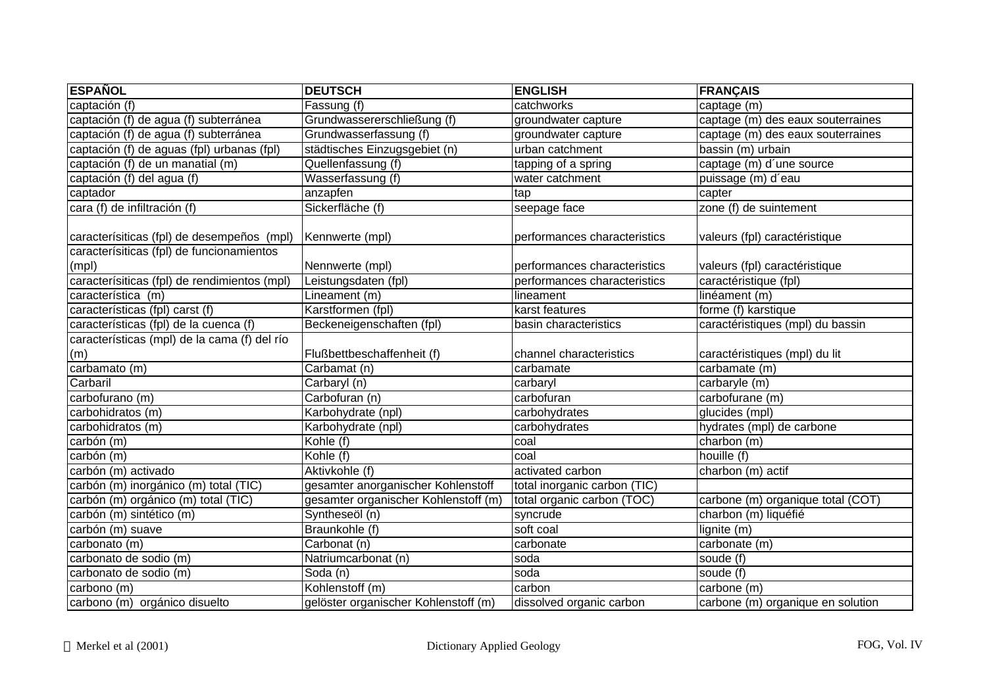| <b>ESPAÑOL</b>                               | <b>DEUTSCH</b>                       | <b>ENGLISH</b>               | <b>FRANÇAIS</b>                   |
|----------------------------------------------|--------------------------------------|------------------------------|-----------------------------------|
| captación (f)                                | Fassung (f)                          | catchworks                   | captage (m)                       |
| captación (f) de agua (f) subterránea        | Grundwassererschließung (f)          | groundwater capture          | captage (m) des eaux souterraines |
| captación (f) de agua (f) subterránea        | Grundwasserfassung (f)               | groundwater capture          | captage (m) des eaux souterraines |
| captación (f) de aguas (fpl) urbanas (fpl)   | städtisches Einzugsgebiet (n)        | urban catchment              | bassin (m) urbain                 |
| captación (f) de un manatial (m)             | Quellenfassung (f)                   | tapping of a spring          | captage (m) d'une source          |
| captación (f) del agua (f)                   | Wasserfassung (f)                    | water catchment              | puissage (m) d'eau                |
| captador                                     | anzapfen                             | tap                          | capter                            |
| cara (f) de infiltración (f)                 | Sickerfläche (f)                     | seepage face                 | zone (f) de suintement            |
| caracterísiticas (fpl) de desempeños (mpl)   | Kennwerte (mpl)                      | performances characteristics | valeurs (fpl) caractéristique     |
| caracterísiticas (fpl) de funcionamientos    |                                      |                              |                                   |
| (mpl)                                        | Nennwerte (mpl)                      | performances characteristics | valeurs (fpl) caractéristique     |
| caracterísiticas (fpl) de rendimientos (mpl) | Leistungsdaten (fpl)                 | performances characteristics | caractéristique (fpl)             |
| característica (m)                           | Lineament (m)                        | lineament                    | linéament (m)                     |
| características (fpl) carst (f)              | Karstformen (fpl)                    | karst features               | forme (f) karstique               |
| características (fpl) de la cuenca (f)       | Beckeneigenschaften (fpl)            | basin characteristics        | caractéristiques (mpl) du bassin  |
| características (mpl) de la cama (f) del río |                                      |                              |                                   |
| (m)                                          | Flußbettbeschaffenheit (f)           | channel characteristics      | caractéristiques (mpl) du lit     |
| carbamato (m)                                | Carbamat (n)                         | carbamate                    | $\overline{\text{carbamate}}$ (m) |
| Carbaril                                     | Carbaryl (n)                         | carbaryl                     | carbaryle (m)                     |
| carbofurano (m)                              | Carbofuran (n)                       | carbofuran                   | carbofurane (m)                   |
| carbohidratos (m)                            | Karbohydrate (npl)                   | carbohydrates                | glucides (mpl)                    |
| carbohidratos (m)                            | Karbohydrate (npl)                   | carbohydrates                | hydrates (mpl) de carbone         |
| carbón (m)                                   | $\overline{\mathsf{Kohle}}$ (f)      | coal                         | charbon (m)                       |
| carbón (m)                                   | Kohle (f)                            | coal                         | houille (f)                       |
| carbón (m) activado                          | Aktivkohle (f)                       | activated carbon             | charbon (m) actif                 |
| carbón (m) inorgánico (m) total (TIC)        | gesamter anorganischer Kohlenstoff   | total inorganic carbon (TIC) |                                   |
| carbón (m) orgánico (m) total (TIC)          | gesamter organischer Kohlenstoff (m) | total organic carbon (TOC)   | carbone (m) organique total (COT) |
| carbón (m) sintético (m)                     | Syntheseöl (n)                       | syncrude                     | charbon (m) liquéfié              |
| carbón (m) suave                             | Braunkohle (f)                       | soft coal                    | lignite (m)                       |
| carbonato (m)                                | Carbonat (n)                         | carbonate                    | carbonate (m)                     |
| carbonato de sodio (m)                       | Natriumcarbonat (n)                  | soda                         | soude (f)                         |
| carbonato de sodio (m)                       | $\overline{Soda}$ (n)                | soda                         | soude (f)                         |
| carbono (m)                                  | Kohlenstoff (m)                      | carbon                       | carbone (m)                       |
| carbono (m) orgánico disuelto                | gelöster organischer Kohlenstoff (m) | dissolved organic carbon     | carbone (m) organique en solution |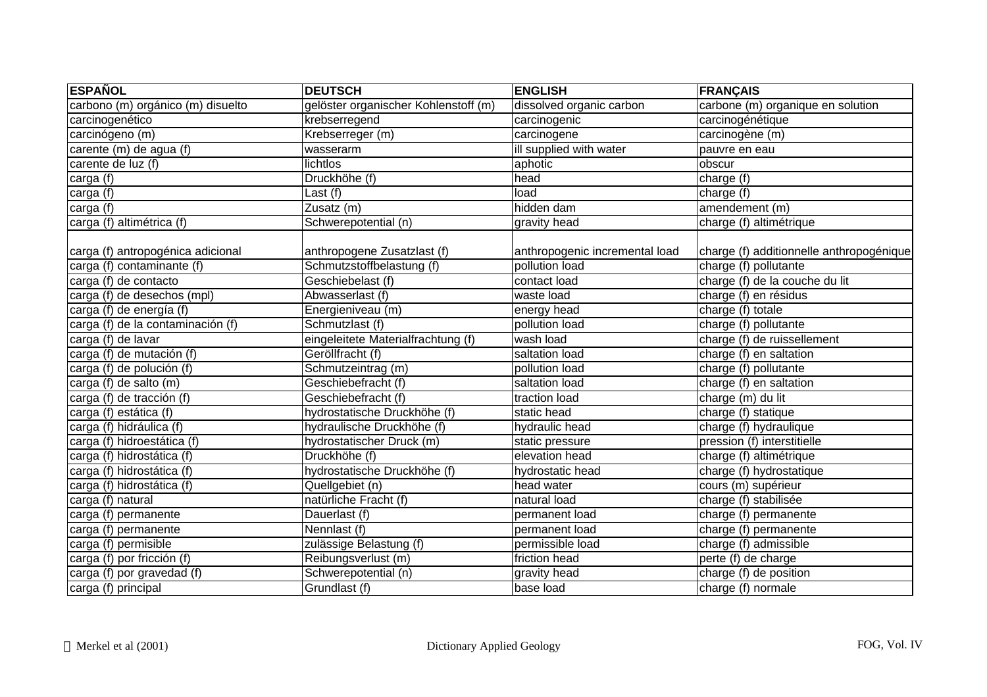| <b>ESPAÑOL</b>                                                  | <b>DEUTSCH</b>                                           | <b>ENGLISH</b>                                   | <b>FRANÇAIS</b>                                                   |
|-----------------------------------------------------------------|----------------------------------------------------------|--------------------------------------------------|-------------------------------------------------------------------|
| carbono (m) orgánico (m) disuelto                               | gelöster organischer Kohlenstoff (m)                     | dissolved organic carbon                         | carbone (m) organique en solution                                 |
| carcinogenético                                                 | krebserregend                                            | carcinogenic                                     | carcinogénétique                                                  |
| carcinógeno (m)                                                 | Krebserreger (m)                                         | carcinogene                                      | carcinogène (m)                                                   |
| carente (m) de agua (f)                                         | wasserarm                                                | ill supplied with water                          | pauvre en eau                                                     |
| carente de luz (f)                                              | lichtlos                                                 | aphotic                                          | obscur                                                            |
| carga (f)                                                       | Druckhöhe (f)                                            | head                                             | charge (f)                                                        |
| carga (f)                                                       | Last (f)                                                 | load                                             | charge (f)                                                        |
| carga (f)                                                       | Zusatz (m)                                               | hidden dam                                       | amendement (m)                                                    |
| carga (f) altimétrica (f)                                       | Schwerepotential (n)                                     | gravity head                                     | charge (f) altimétrique                                           |
| carga (f) antropogénica adicional<br>carga (f) contaminante (f) | anthropogene Zusatzlast (f)<br>Schmutzstoffbelastung (f) | anthropogenic incremental load<br>pollution load | charge (f) additionnelle anthropogénique<br>charge (f) pollutante |
| carga (f) de contacto                                           | Geschiebelast (f)                                        | contact load                                     | charge (f) de la couche du lit                                    |
| carga (f) de desechos (mpl)                                     | Abwasserlast (f)                                         | waste load                                       | charge (f) en résidus                                             |
| carga (f) de energía (f)                                        | Energieniveau (m)                                        | energy head                                      | charge (f) totale                                                 |
| carga (f) de la contaminación (f)                               | Schmutzlast (f)                                          | pollution load                                   | charge (f) pollutante                                             |
| carga (f) de lavar                                              | eingeleitete Materialfrachtung (f)                       | wash load                                        | charge (f) de ruissellement                                       |
| carga (f) de mutación (f)                                       | Geröllfracht (f)                                         | saltation load                                   | charge (f) en saltation                                           |
| carga (f) de polución (f)                                       | Schmutzeintrag (m)                                       | pollution load                                   | charge (f) pollutante                                             |
| carga (f) de salto (m)                                          | Geschiebefracht (f)                                      | saltation load                                   | charge (f) en saltation                                           |
| carga (f) de tracción (f)                                       | Geschiebefracht (f)                                      | traction load                                    | charge (m) du lit                                                 |
| carga (f) estática (f)                                          | hydrostatische Druckhöhe (f)                             | static head                                      | charge (f) statique                                               |
| carga (f) hidráulica (f)                                        | hydraulische Druckhöhe (f)                               | hydraulic head                                   | charge (f) hydraulique                                            |
| carga (f) hidroestática (f)                                     | hydrostatischer Druck (m)                                | static pressure                                  | pression (f) interstitielle                                       |
| carga (f) hidrostática (f)                                      | Druckhöhe (f)                                            | elevation head                                   | charge (f) altimétrique                                           |
| carga (f) hidrostática (f)                                      | hydrostatische Druckhöhe (f)                             | hydrostatic head                                 | charge (f) hydrostatique                                          |
| carga (f) hidrostática (f)                                      | Quellgebiet (n)                                          | head water                                       | cours (m) supérieur                                               |
| carga (f) natural                                               | natürliche Fracht (f)                                    | natural load                                     | charge (f) stabilisée                                             |
| carga (f) permanente                                            | Dauerlast (f)                                            | permanent load                                   | charge (f) permanente                                             |
| carga (f) permanente                                            | Nennlast (f)                                             | permanent load                                   | charge (f) permanente                                             |
| carga (f) permisible                                            | zulässige Belastung (f)                                  | permissible load                                 | charge (f) admissible                                             |
| carga (f) por fricción (f)                                      | Reibungsverlust (m)                                      | friction head                                    | perte (f) de charge                                               |
| carga (f) por gravedad (f)                                      | Schwerepotential (n)                                     | gravity head                                     | charge (f) de position                                            |
| carga (f) principal                                             | Grundlast (f)                                            | base load                                        | charge (f) normale                                                |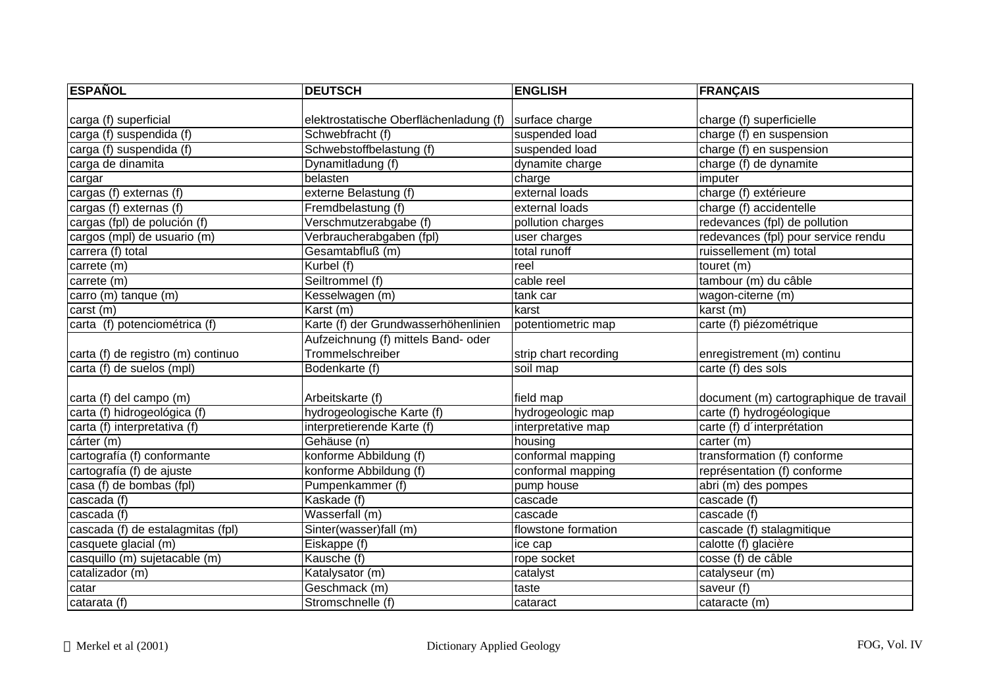| <b>ESPAÑOL</b>                     | <b>DEUTSCH</b>                         | <b>ENGLISH</b>        | FRANÇAIS                               |
|------------------------------------|----------------------------------------|-----------------------|----------------------------------------|
|                                    |                                        |                       |                                        |
| carga (f) superficial              | elektrostatische Oberflächenladung (f) | surface charge        | charge (f) superficielle               |
| carga (f) suspendida (f)           | Schwebfracht (f)                       | suspended load        | charge (f) en suspension               |
| carga (f) suspendida (f)           | Schwebstoffbelastung (f)               | suspended load        | charge (f) en suspension               |
| carga de dinamita                  | Dynamitladung (f)                      | dynamite charge       | charge (f) de dynamite                 |
| cargar                             | belasten                               | charge                | imputer                                |
| cargas (f) externas (f)            | externe Belastung (f)                  | external loads        | charge (f) extérieure                  |
| cargas (f) externas (f)            | Fremdbelastung (f)                     | external loads        | charge (f) accidentelle                |
| cargas (fpl) de polución (f)       | Verschmutzerabgabe (f)                 | pollution charges     | redevances (fpl) de pollution          |
| cargos (mpl) de usuario (m)        | Verbraucherabgaben (fpl)               | user charges          | redevances (fpl) pour service rendu    |
| carrera (f) total                  | Gesamtabfluß (m)                       | total runoff          | ruissellement (m) total                |
| carrete (m)                        | Kurbel (f)                             | reel                  | touret (m)                             |
| carrete (m)                        | Seiltrommel (f)                        | cable reel            | tambour (m) du câble                   |
| carro (m) tanque (m)               | Kesselwagen (m)                        | tank car              | wagon-citerne (m)                      |
| carst (m)                          | Karst (m)                              | karst                 | karst (m)                              |
| carta (f) potenciométrica (f)      | Karte (f) der Grundwasserhöhenlinien   | potentiometric map    | carte (f) piézométrique                |
|                                    | Aufzeichnung (f) mittels Band- oder    |                       |                                        |
| carta (f) de registro (m) continuo | Trommelschreiber                       | strip chart recording | enregistrement (m) continu             |
| carta (f) de suelos (mpl)          | Bodenkarte (f)                         | soil map              | carte (f) des sols                     |
|                                    |                                        |                       |                                        |
| carta (f) del campo (m)            | Arbeitskarte (f)                       | field map             | document (m) cartographique de travail |
| carta (f) hidrogeológica (f)       | hydrogeologische Karte (f)             | hydrogeologic map     | carte (f) hydrogéologique              |
| carta (f) interpretativa (f)       | interpretierende Karte (f)             | interpretative map    | carte (f) d'interprétation             |
| cárter (m)                         | Gehäuse (n)                            | housing               | carter (m)                             |
| cartografía (f) conformante        | konforme Abbildung (f)                 | conformal mapping     | transformation (f) conforme            |
| cartografía (f) de ajuste          | konforme Abbildung (f)                 | conformal mapping     | représentation (f) conforme            |
| casa (f) de bombas (fpl)           | Pumpenkammer (f)                       | pump house            | abri (m) des pompes                    |
| cascada (f)                        | Kaskade (f)                            | cascade               | cascade (f)                            |
| cascada (f)                        | Wasserfall (m)                         | cascade               | cascade (f)                            |
| cascada (f) de estalagmitas (fpl)  | Sinter(wasser)fall (m)                 | flowstone formation   | cascade (f) stalagmitique              |
| casquete glacial (m)               | Eiskappe (f)                           | ice cap               | calotte (f) glacière                   |
| casquillo (m) sujetacable (m)      | Kausche (f)                            | rope socket           | cosse (f) de câble                     |
| catalizador (m)                    | Katalysator (m)                        | catalyst              | catalyseur (m)                         |
| catar                              | Geschmack (m)                          | taste                 | saveur (f)                             |
| catarata (f)                       | Stromschnelle (f)                      | cataract              | cataracte (m)                          |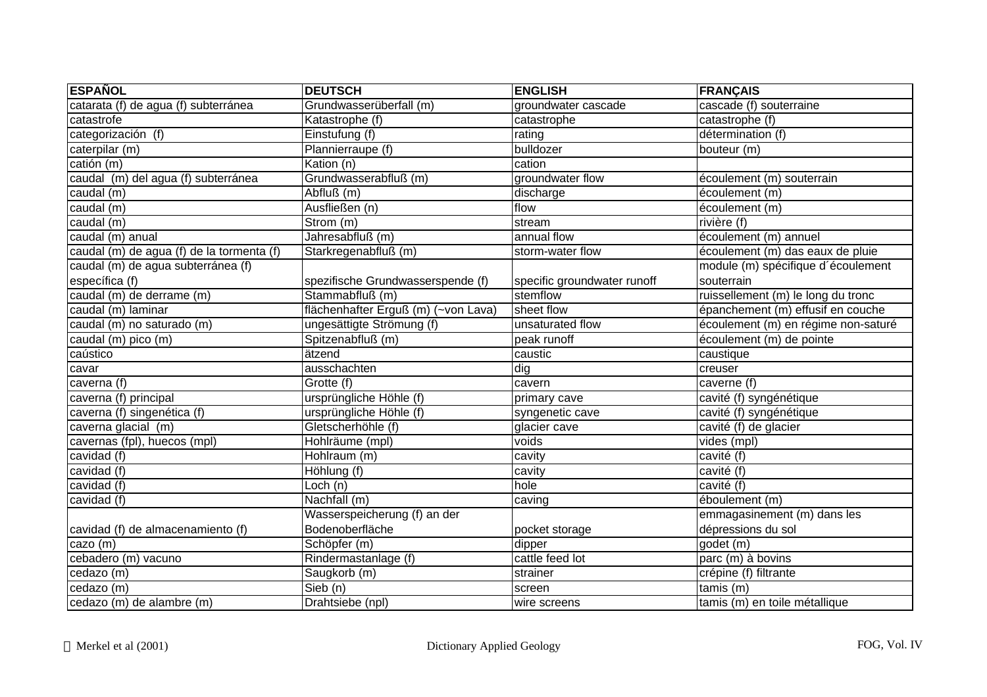| <b>ESPAÑOL</b>                            | <b>DEUTSCH</b>                      | <b>ENGLISH</b>              | <b>FRANÇAIS</b>                     |
|-------------------------------------------|-------------------------------------|-----------------------------|-------------------------------------|
| catarata (f) de agua (f) subterránea      | Grundwasserüberfall (m)             | groundwater cascade         | cascade (f) souterraine             |
| catastrofe                                | Katastrophe (f)                     | catastrophe                 | catastrophe (f)                     |
| categorización (f)                        | Einstufung (f)                      | rating                      | détermination (f)                   |
| caterpilar (m)                            | Plannierraupe (f)                   | bulldozer                   | bouteur (m)                         |
| catión (m)                                | Kation (n)                          | cation                      |                                     |
| caudal (m) del agua (f) subterránea       | Grundwasserabfluß (m)               | groundwater flow            | écoulement (m) souterrain           |
| caudal (m)                                | Abfluß (m)                          | discharge                   | écoulement (m)                      |
| caudal (m)                                | Ausfließen (n)                      | flow                        | écoulement (m)                      |
| caudal (m)                                | Strom (m)                           | stream                      | rivière (f)                         |
| caudal (m) anual                          | Jahresabfluß (m)                    | annual flow                 | écoulement (m) annuel               |
| caudal (m) de agua (f) de la tormenta (f) | Starkregenabfluß (m)                | storm-water flow            | écoulement (m) das eaux de pluie    |
| caudal (m) de agua subterránea (f)        |                                     |                             | module (m) spécifique d'écoulement  |
| específica (f)                            | spezifische Grundwasserspende (f)   | specific groundwater runoff | souterrain                          |
| caudal (m) de derrame (m)                 | Stammabfluß (m)                     | stemflow                    | ruissellement (m) le long du tronc  |
| caudal (m) laminar                        | flächenhafter Erguß (m) (~von Lava) | sheet flow                  | épanchement (m) effusif en couche   |
| caudal (m) no saturado (m)                | ungesättigte Strömung (f)           | unsaturated flow            | écoulement (m) en régime non-saturé |
| caudal (m) pico (m)                       | Spitzenabfluß (m)                   | peak runoff                 | écoulement (m) de pointe            |
| caústico                                  | ätzend                              | caustic                     | caustique                           |
| cavar                                     | ausschachten                        | dig                         | creuser                             |
| caverna (f)                               | Grotte (f)                          | cavern                      | caverne (f)                         |
| caverna (f) principal                     | ursprüngliche Höhle (f)             | primary cave                | cavité (f) syngénétique             |
| caverna (f) singenética (f)               | ursprüngliche Höhle (f)             | syngenetic cave             | cavité (f) syngénétique             |
| caverna glacial (m)                       | Gletscherhöhle (f)                  | glacier cave                | cavité (f) de glacier               |
| cavernas (fpl), huecos (mpl)              | Hohlräume (mpl)                     | voids                       | vides (mpl)                         |
| cavidad (f)                               | Hohlraum (m)                        | cavity                      | cavité (f)                          |
| cavidad (f)                               | Höhlung (f)                         | cavity                      | cavité (f)                          |
| cavidad (f)                               | Loch (n)                            | hole                        | cavité (f)                          |
| cavidad (f)                               | $\overline{\text{Nachfall}}$ (m)    | caving                      | éboulement (m)                      |
|                                           | Wasserspeicherung (f) an der        |                             | emmagasinement (m) dans les         |
| cavidad (f) de almacenamiento (f)         | Bodenoberfläche                     | pocket storage              | dépressions du sol                  |
| cazo (m)                                  | Schöpfer (m)                        | dipper                      | godet (m)                           |
| cebadero (m) vacuno                       | Rindermastanlage (f)                | cattle feed lot             | parc (m) à bovins                   |
| cedazo (m)                                | Saugkorb (m)                        | strainer                    | crépine (f) filtrante               |
| cedazo (m)                                | $\overline{\text{Sieb}}$ (n)        | screen                      | tamis (m)                           |
| cedazo (m) de alambre (m)                 | Drahtsiebe (npl)                    | wire screens                | tamis (m) en toile métallique       |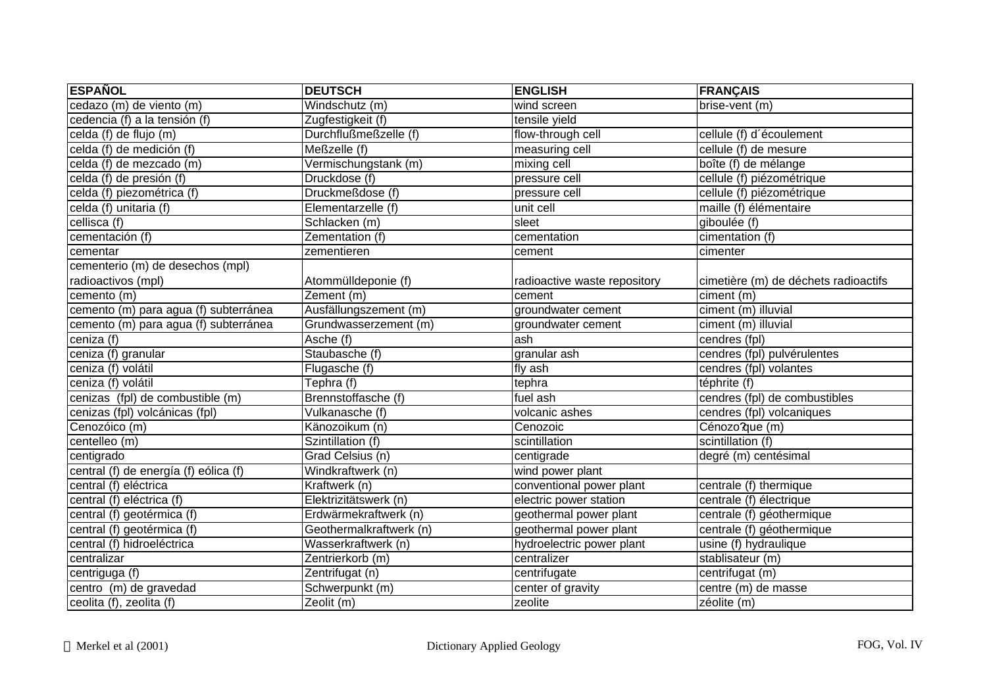| <b>ESPAÑOL</b>                        | <b>DEUTSCH</b>          | <b>ENGLISH</b>               | <b>FRANÇAIS</b>                         |
|---------------------------------------|-------------------------|------------------------------|-----------------------------------------|
| cedazo (m) de viento (m)              | Windschutz (m)          | wind screen                  | brise-vent (m)                          |
| cedencia (f) a la tensión (f)         | Zugfestigkeit (f)       | tensile yield                |                                         |
| celda (f) de flujo (m)                | Durchflußmeßzelle (f)   | flow-through cell            | cellule (f) d'écoulement                |
| celda (f) de medición (f)             | Meßzelle (f)            | measuring cell               | cellule (f) de mesure                   |
| celda (f) de mezcado (m)              | Vermischungstank (m)    | mixing cell                  | boîte (f) de mélange                    |
| celda (f) de presión (f)              | Druckdose (f)           | pressure cell                | cellule (f) piézométrique               |
| celda (f) piezométrica (f)            | Druckmeßdose (f)        | pressure cell                | cellule (f) piézométrique               |
| celda (f) unitaria (f)                | Elementarzelle (f)      | unit cell                    | maille (f) élémentaire                  |
| cellisca (f)                          | Schlacken (m)           | sleet                        | giboulée (f)                            |
| cementación (f)                       | Zementation (f)         | cementation                  | cimentation (f)                         |
| cementar                              | zementieren             | cement                       | cimenter                                |
| cementerio (m) de desechos (mpl)      |                         |                              |                                         |
| radioactivos (mpl)                    | Atommülldeponie (f)     | radioactive waste repository | cimetière (m) de déchets radioactifs    |
| cemento (m)                           | Zement (m)              | cement                       | ciment (m)                              |
| cemento (m) para agua (f) subterránea | Ausfällungszement (m)   | groundwater cement           | ciment (m) illuvial                     |
| cemento (m) para agua (f) subterránea | Grundwasserzement (m)   | groundwater cement           | ciment (m) illuvial                     |
| ceniza (f)                            | Asche (f)               | ash                          | cendres (fpl)                           |
| ceniza (f) granular                   | Staubasche (f)          | granular ash                 | cendres (fpl) pulvérulentes             |
| ceniza (f) volátil                    | Flugasche (f)           | fly ash                      | cendres (fpl) volantes                  |
| ceniza (f) volátil                    | Tephra (f)              | tephra                       | téphrite (f)                            |
| cenizas (fpl) de combustible (m)      | Brennstoffasche (f)     | fuel ash                     | cendres (fpl) de combustibles           |
| cenizas (fpl) volcánicas (fpl)        | Vulkanasche (f)         | volcanic ashes               | cendres (fpl) volcaniques               |
| Cenozóico (m)                         | Känozoikum (n)          | Cenozoic                     | Cénozo?que (m)                          |
| centelleo (m)                         | Szintillation (f)       | scintillation                | scintillation (f)                       |
| centigrado                            | Grad Celsius (n)        | centigrade                   | degré (m) centésimal                    |
| central (f) de energía (f) eólica (f) | Windkraftwerk (n)       | wind power plant             |                                         |
| central (f) eléctrica                 | Kraftwerk (n)           | conventional power plant     | centrale (f) thermique                  |
| central (f) eléctrica (f)             | Elektrizitätswerk (n)   | electric power station       | centrale (f) électrique                 |
| central (f) geotérmica (f)            | Erdwärmekraftwerk (n)   | geothermal power plant       | centrale (f) géothermique               |
| central (f) geotérmica (f)            | Geothermalkraftwerk (n) | geothermal power plant       | centrale (f) géothermique               |
| central (f) hidroeléctrica            | Wasserkraftwerk (n)     | hydroelectric power plant    | usine (f) hydraulique                   |
| centralizar                           | Zentrierkorb (m)        | centralizer                  | stablisateur (m)                        |
| centriguga (f)                        | Zentrifugat (n)         | centrifugate                 | centrifugat (m)                         |
| centro (m) de gravedad                | Schwerpunkt (m)         | center of gravity            | $\overline{\text{centre}}$ (m) de masse |
| ceolita (f), zeolita (f)              | Zeolit (m)              | zeolite                      | zéolite (m)                             |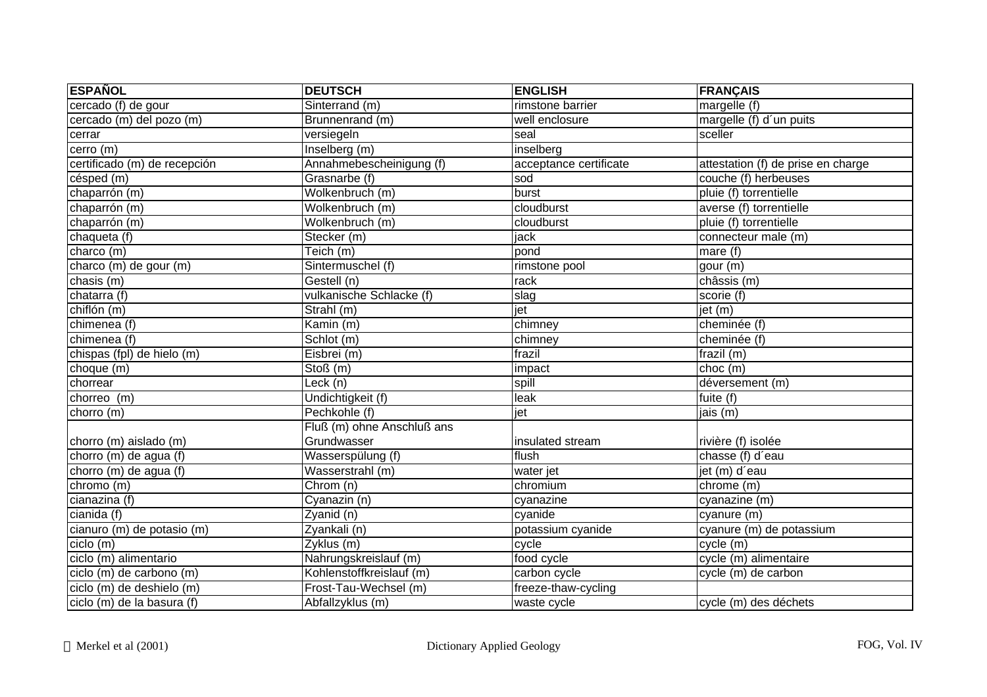| <b>ESPAÑOL</b>               | <b>DEUTSCH</b>             | <b>ENGLISH</b>         | <b>FRANÇAIS</b>                    |
|------------------------------|----------------------------|------------------------|------------------------------------|
| cercado (f) de gour          | Sinterrand (m)             | rimstone barrier       | margelle (f)                       |
| cercado (m) del pozo (m)     | Brunnenrand (m)            | well enclosure         | margelle (f) d'un puits            |
| cerrar                       | versiegeln                 | seal                   | sceller                            |
| $c$ erro $(m)$               | Inselberg (m)              | inselberg              |                                    |
| certificado (m) de recepción | Annahmebescheinigung (f)   | acceptance certificate | attestation (f) de prise en charge |
| césped (m)                   | Grasnarbe (f)              | sod                    | couche (f) herbeuses               |
| chaparrón (m)                | Wolkenbruch (m)            | burst                  | pluie (f) torrentielle             |
| chaparrón (m)                | Wolkenbruch (m)            | cloudburst             | averse (f) torrentielle            |
| chaparrón (m)                | Wolkenbruch (m)            | cloudburst             | pluie (f) torrentielle             |
| chaqueta (f)                 | Stecker (m)                | jack                   | connecteur male (m)                |
| charco (m)                   | Teich (m)                  | pond                   | mare $(f)$                         |
| charco (m) de gour (m)       | Sintermuschel (f)          | rimstone pool          | gour (m)                           |
| chasis (m)                   | Gestell (n)                | rack                   | châssis (m)                        |
| chatarra (f)                 | vulkanische Schlacke (f)   | slag                   | scorie (f)                         |
| chiflón (m)                  | Strahl (m)                 | jet                    | jet(m)                             |
| chimenea (f)                 | Kamin (m)                  | chimney                | cheminée (f)                       |
| chimenea (f)                 | Schlot (m)                 | chimney                | cheminée (f)                       |
| chispas (fpl) de hielo (m)   | Eisbrei(m)                 | frazil                 | frazil $(m)$                       |
| choque (m)                   | Stoß(m)                    | impact                 | choc(m)                            |
| chorrear                     | Leck (n)                   | spill                  | déversement (m)                    |
| chorreo (m)                  | Undichtigkeit (f)          | leak                   | fuite (f)                          |
| chorro (m)                   | Pechkohle (f)              | jet                    | jais (m)                           |
|                              | Fluß (m) ohne Anschluß ans |                        |                                    |
| chorro (m) aislado (m)       | Grundwasser                | insulated stream       | rivière (f) isolée                 |
| chorro (m) de agua (f)       | Wasserspülung (f)          | flush                  | chasse (f) d'eau                   |
| chorro (m) de agua (f)       | Wasserstrahl (m)           | water jet              | jet (m) d'eau                      |
| chromo (m)                   | Chrom (n)                  | chromium               | chrome (m)                         |
| cianazina (f)                | Cyanazin (n)               | cyanazine              | cyanazine (m)                      |
| cianida (f)                  | Zyanid (n)                 | cyanide                | cyanure(m)                         |
| cianuro (m) de potasio (m)   | Zyankali (n)               | potassium cyanide      | cyanure (m) de potassium           |
| ciclo (m)                    | Zyklus (m)                 | cycle                  | cycle (m)                          |
| ciclo (m) alimentario        | Nahrungskreislauf (m)      | food cycle             | cycle (m) alimentaire              |
| ciclo (m) de carbono (m)     | Kohlenstoffkreislauf (m)   | carbon cycle           | cycle (m) de carbon                |
| ciclo (m) de deshielo (m)    | Frost-Tau-Wechsel (m)      | freeze-thaw-cycling    |                                    |
| ciclo (m) de la basura (f)   | Abfallzyklus (m)           | waste cycle            | cycle (m) des déchets              |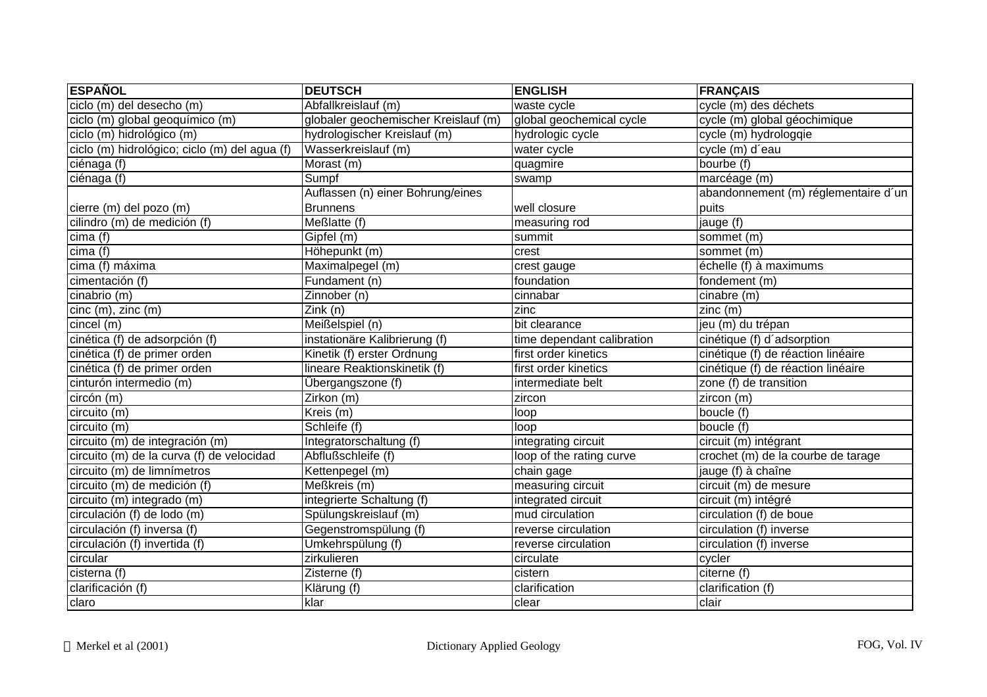| <b>ESPAÑOL</b>                                | <b>DEUTSCH</b>                       | <b>ENGLISH</b>             | <b>FRANÇAIS</b>                      |
|-----------------------------------------------|--------------------------------------|----------------------------|--------------------------------------|
| ciclo (m) del desecho (m)                     | Abfallkreislauf (m)                  | waste cycle                | cycle (m) des déchets                |
| ciclo (m) global geoquímico (m)               | globaler geochemischer Kreislauf (m) | global geochemical cycle   | cycle (m) global géochimique         |
| ciclo (m) hidrológico (m)                     | hydrologischer Kreislauf (m)         | hydrologic cycle           | cycle (m) hydrologqie                |
| ciclo (m) hidrológico; ciclo (m) del agua (f) | Wasserkreislauf (m)                  | water cycle                | cycle (m) d'eau                      |
| ciénaga $\overline{(f)}$                      | Morast (m)                           | quagmire                   | bourbe (f)                           |
| ciénaga (f)                                   | Sumpf                                | swamp                      | marcéage (m)                         |
|                                               | Auflassen (n) einer Bohrung/eines    |                            | abandonnement (m) réglementaire d'un |
| cierre (m) del pozo (m)                       | <b>Brunnens</b>                      | well closure               | puits                                |
| cilindro (m) de medición (f)                  | Meßlatte (f)                         | measuring rod              | jauge (f)                            |
| cima (f)                                      | Gipfel (m)                           | summit                     | sommet (m)                           |
| cima(f)                                       | Höhepunkt (m)                        | crest                      | sommet (m)                           |
| cima (f) máxima                               | Maximalpegel (m)                     | crest gauge                | échelle (f) à maximums               |
| cimentación (f)                               | Fundament (n)                        | foundation                 | fondement (m)                        |
| cinabrio (m)                                  | Zinnober (n)                         | cinnabar                   | cinabre (m)                          |
| $cinc(m)$ , zinc $(m)$                        | Zink (n)                             | zinc                       | zinc(m)                              |
| cincel(m)                                     | Meißelspiel (n)                      | bit clearance              | jeu (m) du trépan                    |
| cinética (f) de adsorpción (f)                | instationäre Kalibrierung (f)        | time dependant calibration | cinétique (f) d'adsorption           |
| cinética (f) de primer orden                  | Kinetik (f) erster Ordnung           | first order kinetics       | cinétique (f) de réaction linéaire   |
| cinética (f) de primer orden                  | lineare Reaktionskinetik (f)         | first order kinetics       | cinétique (f) de réaction linéaire   |
| cinturón intermedio (m)                       | Übergangszone (f)                    | intermediate belt          | zone (f) de transition               |
| circón (m)                                    | $2$ irkon (m)                        | zircon                     | zircon (m)                           |
| circuito (m)                                  | Kreis (m)                            | loop                       | boucle (f)                           |
| circuito (m)                                  | Schleife (f)                         | loop                       | boucle (f)                           |
| circuito (m) de integración (m)               | Integratorschaltung (f)              | integrating circuit        | circuit (m) intégrant                |
| circuito (m) de la curva (f) de velocidad     | Abflußschleife (f)                   | loop of the rating curve   | crochet (m) de la courbe de tarage   |
| circuito (m) de limnímetros                   | Kettenpegel (m)                      | chain gage                 | jauge (f) à chaîne                   |
| circuito (m) de medición (f)                  | Meßkreis (m)                         | measuring circuit          | circuit (m) de mesure                |
| circuito (m) integrado (m)                    | integrierte Schaltung (f)            | integrated circuit         | circuit (m) intégré                  |
| circulación (f) de lodo (m)                   | Spülungskreislauf (m)                | mud circulation            | circulation (f) de boue              |
| circulación (f) inversa (f)                   | Gegenstromspülung (f)                | reverse circulation        | circulation (f) inverse              |
| circulación (f) invertida (f)                 | Umkehrspülung (f)                    | reverse circulation        | circulation (f) inverse              |
| circular                                      | zirkulieren                          | circulate                  | cycler                               |
| cisterna (f)                                  | Zisterne (f)                         | cistern                    | citerne (f)                          |
| clarificación (f)                             | Klärung (f)                          | clarification              | clarification (f)                    |
| claro                                         | klar                                 | clear                      | clair                                |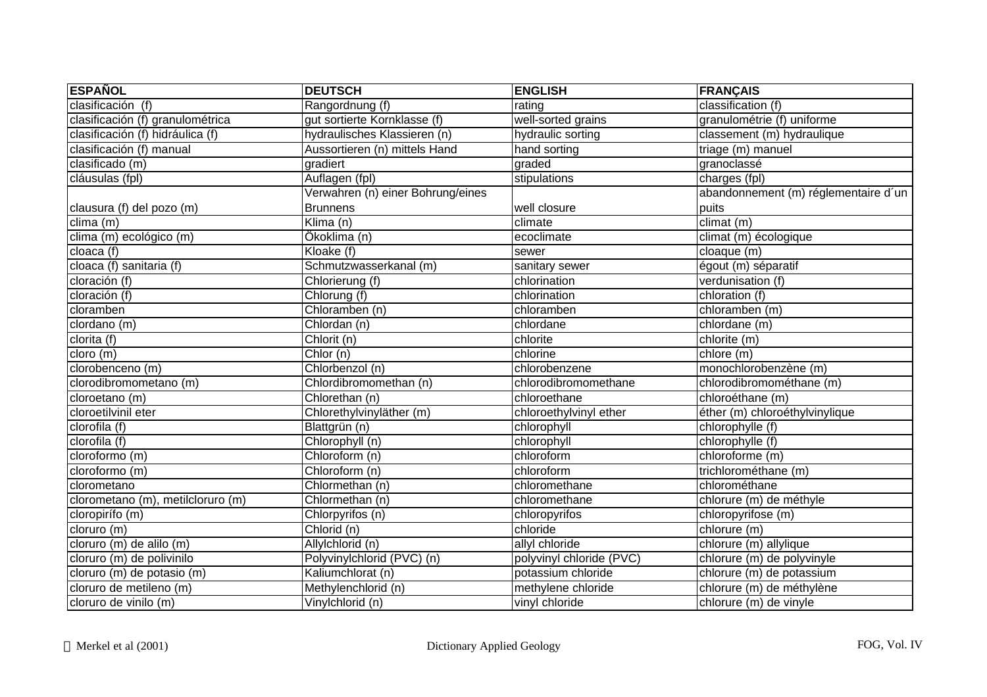| <b>ESPAÑOL</b>                    | <b>DEUTSCH</b>                    | <b>ENGLISH</b>           | <b>FRANÇAIS</b>                      |
|-----------------------------------|-----------------------------------|--------------------------|--------------------------------------|
| clasificación (f)                 | Rangordnung (f)                   | rating                   | classification (f)                   |
| clasificación (f) granulométrica  | gut sortierte Kornklasse (f)      | well-sorted grains       | granulométrie (f) uniforme           |
| clasificación (f) hidráulica (f)  | hydraulisches Klassieren (n)      | hydraulic sorting        | classement (m) hydraulique           |
| clasificación (f) manual          | Aussortieren (n) mittels Hand     | hand sorting             | triage (m) manuel                    |
| clasificado (m)                   | gradiert                          | graded                   | granoclassé                          |
| cláusulas (fpl)                   | Auflagen (fpl)                    | stipulations             | charges (fpl)                        |
|                                   | Verwahren (n) einer Bohrung/eines |                          | abandonnement (m) réglementaire d'un |
| clausura (f) del pozo (m)         | <b>Brunnens</b>                   | well closure             | puits                                |
| clima(m)                          | Klima $(n)$                       | climate                  | climat (m)                           |
| clima (m) ecológico (m)           | Ökoklima (n)                      | ecoclimate               | climat (m) écologique                |
| cloaca (f)                        | Kloake $(f)$                      | sewer                    | cloaque (m)                          |
| cloaca (f) sanitaria (f)          | Schmutzwasserkanal (m)            | sanitary sewer           | égout (m) séparatif                  |
| cloración (f)                     | Chlorierung (f)                   | chlorination             | verdunisation (f)                    |
| cloración (f)                     | Chlorung (f)                      | chlorination             | chloration (f)                       |
| cloramben                         | Chloramben (n)                    | chloramben               | chloramben (m)                       |
| clordano (m)                      | Chlordan (n)                      | chlordane                | chlordane (m)                        |
| clorita (f)                       | $\overline{Ch}$ lorit (n)         | chlorite                 | $chlorite$ (m)                       |
| cloro (m)                         | Chlor(n)                          | chlorine                 | chlore (m)                           |
| clorobenceno (m)                  | Chlorbenzol (n)                   | chlorobenzene            | monochlorobenzène (m)                |
| clorodibromometano (m)            | Chlordibromomethan (n)            | chlorodibromomethane     | chlorodibromométhane (m)             |
| cloroetano (m)                    | Chlorethan (n)                    | chloroethane             | chloroéthane (m)                     |
| cloroetilvinil eter               | Chlorethylvinyläther (m)          | chloroethylvinyl ether   | éther (m) chloroéthylvinylique       |
| clorofila (f)                     | Blattgrün (n)                     | chlorophyll              | chlorophylle (f)                     |
| clorofila (f)                     | Chlorophyll (n)                   | chlorophyll              | chlorophylle (f)                     |
| cloroformo (m)                    | Chloroform (n)                    | chloroform               | chloroforme (m)                      |
| cloroformo (m)                    | Chloroform (n)                    | chloroform               | trichlorométhane (m)                 |
| clorometano                       | Chlormethan (n)                   | chloromethane            | chlorométhane                        |
| clorometano (m), metilcloruro (m) | Chlormethan (n)                   | chloromethane            | chlorure (m) de méthyle              |
| cloropirífo (m)                   | Chlorpyrifos (n)                  | chloropyrifos            | chloropyrifose (m)                   |
| cloruro (m)                       | Chlorid (n)                       | chloride                 | chlorure (m)                         |
| cloruro (m) de alilo (m)          | Allylchlorid (n)                  | allyl chloride           | chlorure (m) allylique               |
| cloruro (m) de polivinilo         | Polyvinylchlorid (PVC) (n)        | polyvinyl chloride (PVC) | chlorure (m) de polyvinyle           |
| cloruro (m) de potasio (m)        | Kaliumchlorat (n)                 | potassium chloride       | chlorure (m) de potassium            |
| cloruro de metileno (m)           | Methylenchlorid (n)               | methylene chloride       | chlorure (m) de méthylène            |
| cloruro de vinilo (m)             | Vinylchlorid (n)                  | vinyl chloride           | chlorure (m) de vinyle               |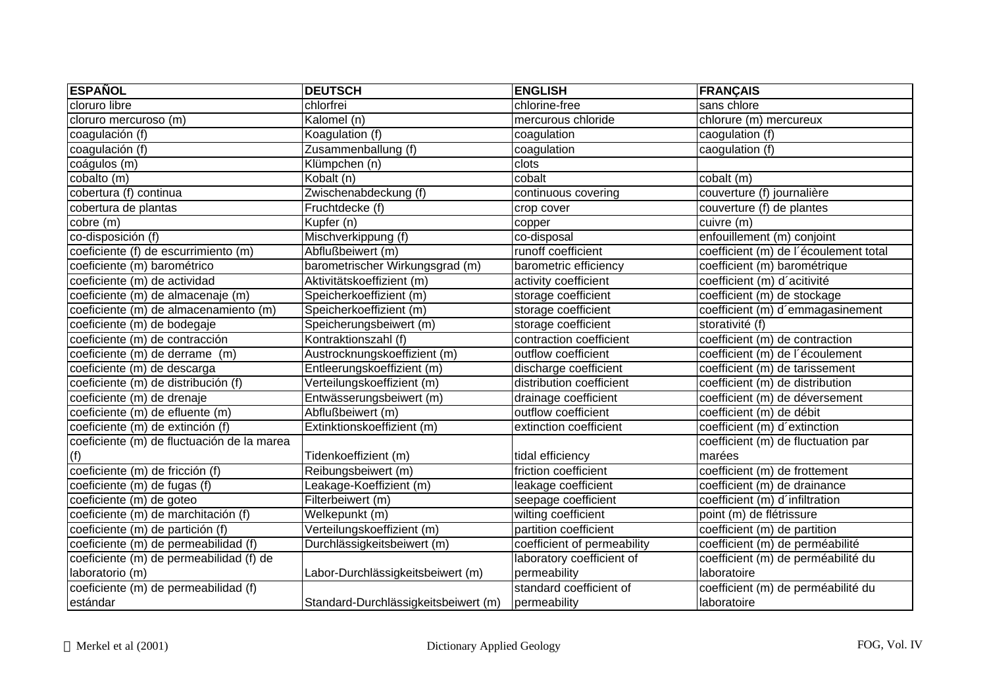| <b>ESPAÑOL</b>                             | <b>DEUTSCH</b>                       | <b>ENGLISH</b>              | <b>FRANÇAIS</b>                       |
|--------------------------------------------|--------------------------------------|-----------------------------|---------------------------------------|
| cloruro libre                              | chlorfrei                            | chlorine-free               | sans chlore                           |
| cloruro mercuroso (m)                      | Kalomel (n)                          | mercurous chloride          | chlorure (m) mercureux                |
| coagulación (f)                            | Koagulation (f)                      | coagulation                 | caogulation (f)                       |
| coagulación (f)                            | Zusammenballung (f)                  | coagulation                 | caogulation (f)                       |
| coágulos (m)                               | Klümpchen (n)                        | clots                       |                                       |
| cobalto (m)                                | Kobalt (n)                           | cobalt                      | cobalt (m)                            |
| cobertura (f) continua                     | Zwischenabdeckung (f)                | continuous covering         | couverture (f) journalière            |
| cobertura de plantas                       | Fruchtdecke (f)                      | crop cover                  | couverture (f) de plantes             |
| cobre (m)                                  | Kupfer (n)                           | copper                      | cuivre (m)                            |
| co-disposición (f)                         | Mischverkippung (f)                  | co-disposal                 | enfouillement (m) conjoint            |
| coeficiente (f) de escurrimiento (m)       | Abflußbeiwert (m)                    | runoff coefficient          | coefficient (m) de l'écoulement total |
| coeficiente (m) barométrico                | barometrischer Wirkungsgrad (m)      | barometric efficiency       | coefficient (m) barométrique          |
| coeficiente (m) de actividad               | Aktivitätskoeffizient (m)            | activity coefficient        | coefficient (m) d'acitivité           |
| coeficiente (m) de almacenaje (m)          | Speicherkoeffizient (m)              | storage coefficient         | coefficient (m) de stockage           |
| coeficiente (m) de almacenamiento (m)      | Speicherkoeffizient (m)              | storage coefficient         | coefficient (m) d'emmagasinement      |
| coeficiente (m) de bodegaje                | Speicherungsbeiwert (m)              | storage coefficient         | storativité (f)                       |
| coeficiente (m) de contracción             | Kontraktionszahl (f)                 | contraction coefficient     | coefficient (m) de contraction        |
| coeficiente (m) de derrame (m)             | Austrocknungskoeffizient (m)         | outflow coefficient         | coefficient (m) de l'écoulement       |
| coeficiente (m) de descarga                | Entleerungskoeffizient (m)           | discharge coefficient       | coefficient (m) de tarissement        |
| coeficiente (m) de distribución (f)        | Verteilungskoeffizient (m)           | distribution coefficient    | coefficient (m) de distribution       |
| coeficiente (m) de drenaje                 | Entwässerungsbeiwert (m)             | drainage coefficient        | coefficient (m) de déversement        |
| coeficiente (m) de efluente (m)            | Abflußbeiwert (m)                    | outflow coefficient         | coefficient (m) de débit              |
| coeficiente (m) de extinción (f)           | Extinktionskoeffizient (m)           | extinction coefficient      | coefficient (m) d'extinction          |
| coeficiente (m) de fluctuación de la marea |                                      |                             | coefficient (m) de fluctuation par    |
| (f)                                        | Tidenkoeffizient (m)                 | tidal efficiency            | marées                                |
| coeficiente (m) de fricción (f)            | Reibungsbeiwert (m)                  | friction coefficient        | coefficient (m) de frottement         |
| coeficiente (m) de fugas (f)               | Leakage-Koeffizient (m)              | leakage coefficient         | coefficient (m) de drainance          |
| coeficiente (m) de goteo                   | Filterbeiwert (m)                    | seepage coefficient         | coefficient (m) d'infiltration        |
| coeficiente (m) de marchitación (f)        | Welkepunkt (m)                       | wilting coefficient         | point (m) de flétrissure              |
| coeficiente (m) de partición (f)           | Verteilungskoeffizient (m)           | partition coefficient       | coefficient (m) de partition          |
| coeficiente (m) de permeabilidad (f)       | Durchlässigkeitsbeiwert (m)          | coefficient of permeability | coefficient (m) de perméabilité       |
| coeficiente (m) de permeabilidad (f) de    |                                      | laboratory coefficient of   | coefficient (m) de perméabilité du    |
| laboratorio (m)                            | Labor-Durchlässigkeitsbeiwert (m)    | permeability                | laboratoire                           |
| coeficiente (m) de permeabilidad (f)       |                                      | standard coefficient of     | coefficient (m) de perméabilité du    |
| estándar                                   | Standard-Durchlässigkeitsbeiwert (m) | permeability                | laboratoire                           |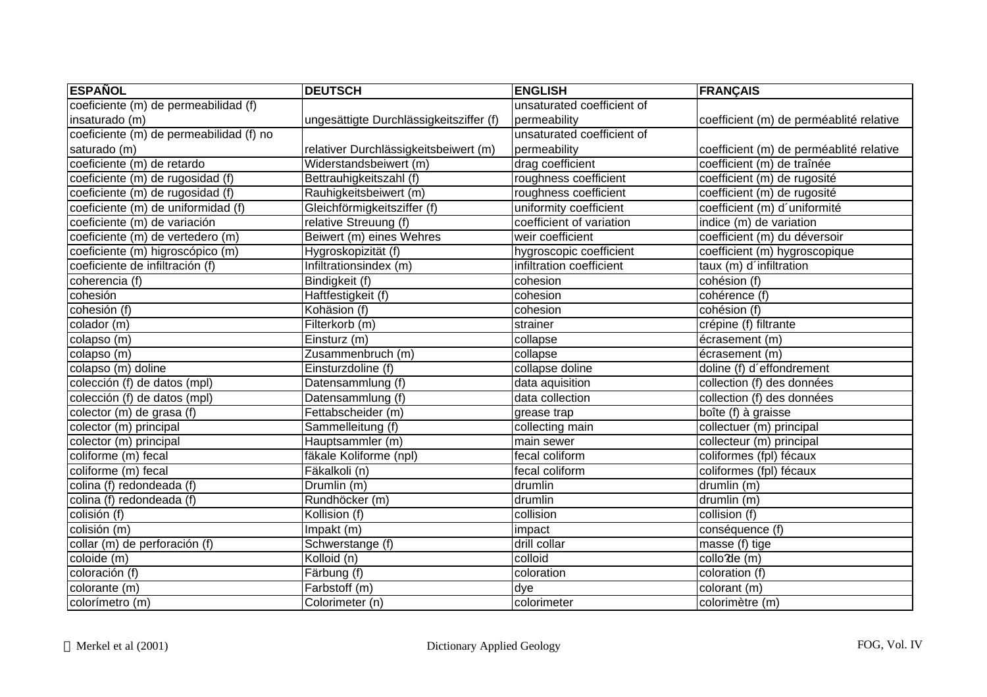| <b>ESPAÑOL</b>                          | <b>DEUTSCH</b>                          | <b>ENGLISH</b>             | <b>FRANÇAIS</b>                         |
|-----------------------------------------|-----------------------------------------|----------------------------|-----------------------------------------|
| coeficiente (m) de permeabilidad (f)    |                                         | unsaturated coefficient of |                                         |
| insaturado (m)                          | ungesättigte Durchlässigkeitsziffer (f) | permeability               | coefficient (m) de perméablité relative |
| coeficiente (m) de permeabilidad (f) no |                                         | unsaturated coefficient of |                                         |
| saturado (m)                            | relativer Durchlässigkeitsbeiwert (m)   | permeability               | coefficient (m) de perméablité relative |
| coeficiente (m) de retardo              | Widerstandsbeiwert (m)                  | drag coefficient           | coefficient (m) de traînée              |
| coeficiente (m) de rugosidad (f)        | Bettrauhigkeitszahl (f)                 | roughness coefficient      | coefficient (m) de rugosité             |
| coeficiente (m) de rugosidad (f)        | Rauhigkeitsbeiwert (m)                  | roughness coefficient      | coefficient (m) de rugosité             |
| coeficiente (m) de uniformidad (f)      | Gleichförmigkeitsziffer (f)             | uniformity coefficient     | coefficient (m) d'uniformité            |
| coeficiente (m) de variación            | relative Streuung (f)                   | coefficient of variation   | indice (m) de variation                 |
| coeficiente (m) de vertedero (m)        | Beiwert (m) eines Wehres                | weir coefficient           | coefficient (m) du déversoir            |
| coeficiente (m) higroscópico (m)        | Hygroskopizität (f)                     | hygroscopic coefficient    | coefficient (m) hygroscopique           |
| coeficiente de infiltración (f)         | Infiltrationsindex (m)                  | infiltration coefficient   | taux (m) d'infiltration                 |
| coherencia $(f)$                        | Bindigkeit (f)                          | cohesion                   | cohésion (f)                            |
| cohesión                                | Haftfestigkeit (f)                      | cohesion                   | cohérence (f)                           |
| cohesión (f)                            | Kohäsion (f)                            | cohesion                   | cohésion (f)                            |
| colador (m)                             | Filterkorb (m)                          | strainer                   | crépine (f) filtrante                   |
| colapso (m)                             | Einsturz (m)                            | collapse                   | écrasement (m)                          |
| colapso (m)                             | Zusammenbruch (m)                       | collapse                   | écrasement (m)                          |
| colapso $(m)$ doline                    | Einsturzdoline (f)                      | collapse doline            | doline (f) d'effondrement               |
| colección (f) de datos (mpl)            | Datensammlung (f)                       | data aquisition            | collection (f) des données              |
| colección (f) de datos (mpl)            | Datensammlung (f)                       | data collection            | collection (f) des données              |
| colector (m) de grasa (f)               | Fettabscheider (m)                      | grease trap                | boîte (f) à graisse                     |
| colector (m) principal                  | Sammelleitung (f)                       | collecting main            | collectuer (m) principal                |
| colector (m) principal                  | Hauptsammler (m)                        | main sewer                 | collecteur (m) principal                |
| coliforme (m) fecal                     | fäkale Koliforme (npl)                  | fecal coliform             | coliformes (fpl) fécaux                 |
| coliforme (m) fecal                     | Fäkalkoli (n)                           | fecal coliform             | coliformes (fpl) fécaux                 |
| colina (f) redondeada (f)               | Drumlin (m)                             | drumlin                    | drumlin (m)                             |
| colina (f) redondeada (f)               | Rundhöcker (m)                          | drumlin                    | drumlin (m)                             |
| colisión (f)                            | Kollision (f)                           | collision                  | collision (f)                           |
| colisión (m)                            | Impakt (m)                              | impact                     | conséquence (f)                         |
| collar (m) de perforación (f)           | Schwerstange (f)                        | drill collar               | masse (f) tige                          |
| coloide (m)                             | Kolloid (n)                             | colloid                    | collo'de (m)                            |
| coloración (f)                          | Färbung (f)                             | coloration                 | coloration (f)                          |
| colorante (m)                           | Farbstoff (m)                           | dye                        | colorant (m)                            |
| colorímetro (m)                         | Colorimeter (n)                         | colorimeter                | colorimètre (m)                         |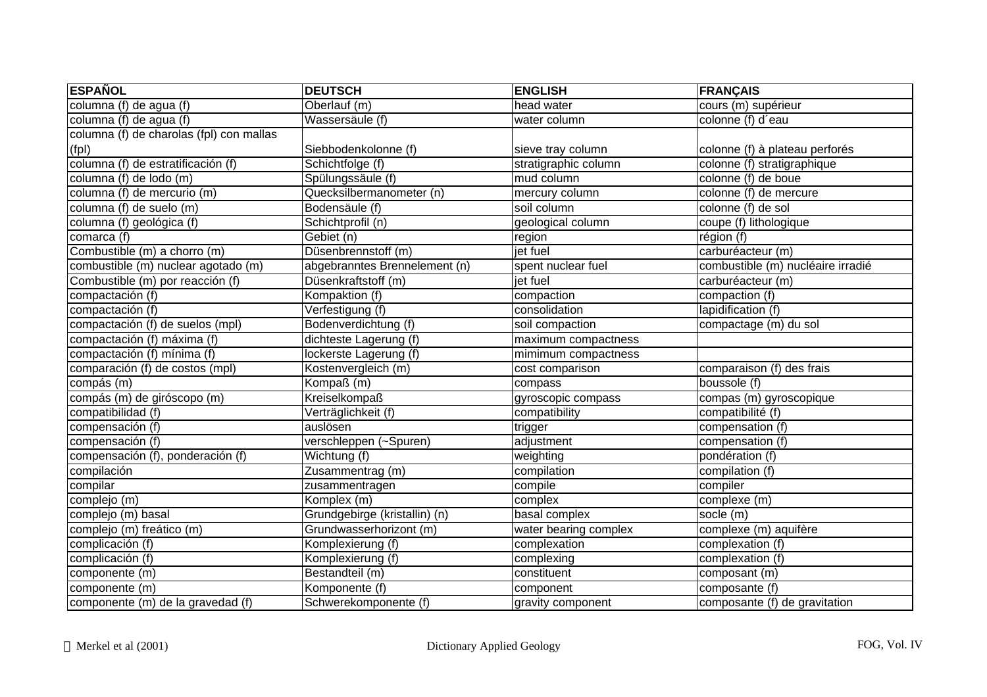| <b>ESPAÑOL</b>                           | <b>DEUTSCH</b>                | <b>ENGLISH</b>        | <b>FRANÇAIS</b>                         |
|------------------------------------------|-------------------------------|-----------------------|-----------------------------------------|
| columna (f) de agua (f)                  | Oberlauf (m)                  | head water            | $\overline{\text{course}(m)}$ supérieur |
| columna (f) de agua (f)                  | Wassersäule (f)               | water column          | colonne (f) d'eau                       |
| columna (f) de charolas (fpl) con mallas |                               |                       |                                         |
| (fpl)                                    | Siebbodenkolonne (f)          | sieve tray column     | colonne (f) à plateau perforés          |
| columna (f) de estratificación (f)       | Schichtfolge (f)              | stratigraphic column  | colonne (f) stratigraphique             |
| columna (f) de lodo (m)                  | Spülungssäule (f)             | mud column            | colonne (f) de boue                     |
| columna (f) de mercurio (m)              | Quecksilbermanometer (n)      | mercury column        | colonne (f) de mercure                  |
| columna (f) de suelo (m)                 | Bodensäule (f)                | soil column           | colonne (f) de sol                      |
| columna (f) geológica (f)                | Schichtprofil (n)             | geological column     | $\overline{coupe}$ (f) lithologique     |
| comarca (f)                              | Gebiet (n)                    | region                | région (f)                              |
| Combustible (m) a chorro (m)             | Düsenbrennstoff (m)           | jet fuel              | carburéacteur (m)                       |
| combustible (m) nuclear agotado (m)      | abgebranntes Brennelement (n) | spent nuclear fuel    | combustible (m) nucléaire irradié       |
| Combustible (m) por reacción (f)         | Düsenkraftstoff (m)           | jet fuel              | carburéacteur (m)                       |
| compactación (f)                         | Kompaktion (f)                | compaction            | compaction (f)                          |
| compactación (f)                         | Verfestigung (f)              | consolidation         | lapidification (f)                      |
| compactación (f) de suelos (mpl)         | Bodenverdichtung (f)          | soil compaction       | compactage (m) du sol                   |
| compactación (f) máxima (f)              | dichteste Lagerung (f)        | maximum compactness   |                                         |
| compactación (f) mínima (f)              | lockerste Lagerung (f)        | mimimum compactness   |                                         |
| comparación (f) de costos (mpl)          | Kostenvergleich (m)           | cost comparison       | comparaison (f) des frais               |
| compás (m)                               | Kompaß (m)                    | compass               | boussole (f)                            |
| compás (m) de giróscopo (m)              | <b>Kreiselkompaß</b>          | gyroscopic compass    | compas (m) gyroscopique                 |
| compatibilidad (f)                       | Verträglichkeit (f)           | compatibility         | compatibilité (f)                       |
| compensación (f)                         | auslösen                      | trigger               | compensation (f)                        |
| compensación (f)                         | verschleppen (~Spuren)        | adjustment            | compensation (f)                        |
| compensación (f), ponderación (f)        | Wichtung (f)                  | weighting             | pondération (f)                         |
| compilación                              | Zusammentrag (m)              | compilation           | compilation (f)                         |
| compilar                                 | zusammentragen                | compile               | compiler                                |
| complejo (m)                             | Komplex (m)                   | complex               | complexe (m)                            |
| complejo (m) basal                       | Grundgebirge (kristallin) (n) | basal complex         | socle (m)                               |
| complejo (m) freático (m)                | Grundwasserhorizont (m)       | water bearing complex | complexe (m) aquifère                   |
| complicación (f)                         | Komplexierung (f)             | complexation          | complexation (f)                        |
| complicación (f)                         | Komplexierung (f)             | complexing            | complexation (f)                        |
| componente (m)                           | Bestandteil (m)               | constituent           | composant (m)                           |
| componente (m)                           | Komponente (f)                | component             | composante (f)                          |
| componente (m) de la gravedad (f)        | Schwerekomponente (f)         | gravity component     | composante (f) de gravitation           |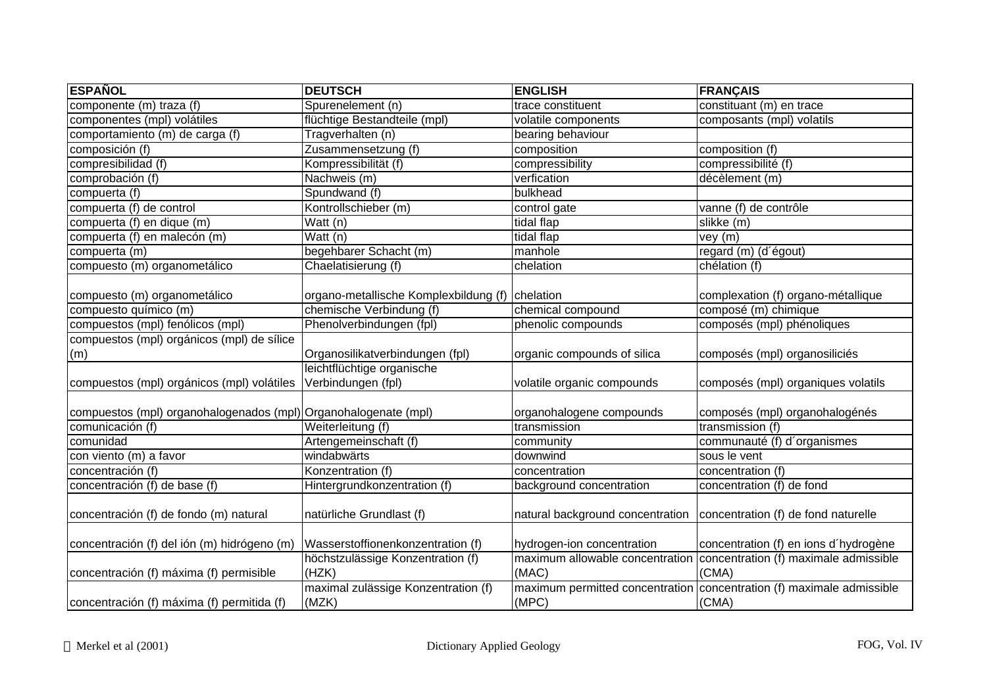| <b>ESPAÑOL</b>                                                  | <b>DEUTSCH</b>                                  | <b>ENGLISH</b>                   | <b>FRANÇAIS</b>                                                       |
|-----------------------------------------------------------------|-------------------------------------------------|----------------------------------|-----------------------------------------------------------------------|
| componente (m) traza (f)                                        | Spurenelement (n)                               | trace constituent                | constituant (m) en trace                                              |
| componentes (mpl) volátiles                                     | flüchtige Bestandteile (mpl)                    | volatile components              | composants (mpl) volatils                                             |
| comportamiento (m) de carga (f)                                 | Tragverhalten (n)                               | bearing behaviour                |                                                                       |
| composición (f)                                                 | Zusammensetzung (f)                             | composition                      | composition (f)                                                       |
| compresibilidad (f)                                             | Kompressibilität (f)                            | compressibility                  | compressibilité (f)                                                   |
| comprobación (f)                                                | Nachweis (m)                                    | verfication                      | décèlement (m)                                                        |
| compuerta (f)                                                   | Spundwand (f)                                   | bulkhead                         |                                                                       |
| compuerta (f) de control                                        | Kontrollschieber (m)                            | control gate                     | vanne (f) de contrôle                                                 |
| compuerta (f) en dique (m)                                      | Watt (n)                                        | tidal flap                       | slikke (m)                                                            |
| compuerta (f) en malecón (m)                                    | Watt (n)                                        | tidal flap                       | vey (m)                                                               |
| compuerta (m)                                                   | begehbarer Schacht (m)                          | manhole                          | regard (m) (d'égout)                                                  |
| compuesto (m) organometálico                                    | Chaelatisierung (f)                             | chelation                        | chélation (f)                                                         |
|                                                                 |                                                 |                                  |                                                                       |
| compuesto (m) organometálico                                    | organo-metallische Komplexbildung (f) chelation |                                  | complexation (f) organo-métallique                                    |
| compuesto químico (m)                                           | chemische Verbindung (f)                        | chemical compound                | composé (m) chimique                                                  |
| compuestos (mpl) fenólicos (mpl)                                | Phenolverbindungen (fpl)                        | phenolic compounds               | composés (mpl) phénoliques                                            |
| compuestos (mpl) orgánicos (mpl) de sílice                      |                                                 |                                  |                                                                       |
| (m)                                                             | Organosilikatverbindungen (fpl)                 | organic compounds of silica      | composés (mpl) organosiliciés                                         |
|                                                                 | leichtflüchtige organische                      |                                  |                                                                       |
| compuestos (mpl) orgánicos (mpl) volátiles                      | Verbindungen (fpl)                              | volatile organic compounds       | composés (mpl) organiques volatils                                    |
|                                                                 |                                                 |                                  |                                                                       |
| compuestos (mpl) organohalogenados (mpl) Organohalogenate (mpl) |                                                 | organohalogene compounds         | composés (mpl) organohalogénés                                        |
| comunicación (f)                                                | Weiterleitung (f)                               | transmission                     | transmission (f)                                                      |
| comunidad                                                       | Artengemeinschaft (f)                           | community                        | communauté (f) d'organismes                                           |
| con viento (m) a favor                                          | windabwärts                                     | downwind                         | sous le vent                                                          |
| concentración (f)                                               | Konzentration (f)                               | concentration                    | concentration (f)                                                     |
| concentración (f) de base (f)                                   | Hintergrundkonzentration (f)                    | background concentration         | concentration (f) de fond                                             |
|                                                                 |                                                 |                                  |                                                                       |
| concentración (f) de fondo (m) natural                          | natürliche Grundlast (f)                        | natural background concentration | concentration (f) de fond naturelle                                   |
|                                                                 |                                                 |                                  |                                                                       |
| concentración (f) del ión (m) hidrógeno (m)                     | Wasserstoffionenkonzentration (f)               | hydrogen-ion concentration       | concentration (f) en ions d'hydrogène                                 |
|                                                                 | höchstzulässige Konzentration (f)               | maximum allowable concentration  | concentration (f) maximale admissible                                 |
| concentración (f) máxima (f) permisible                         | (HZK)                                           | (MAC)                            | (CMA)                                                                 |
|                                                                 | maximal zulässige Konzentration (f)             |                                  | maximum permitted concentration concentration (f) maximale admissible |
| concentración (f) máxima (f) permitida (f)                      | (MZK)                                           | (MPC)                            | (CMA)                                                                 |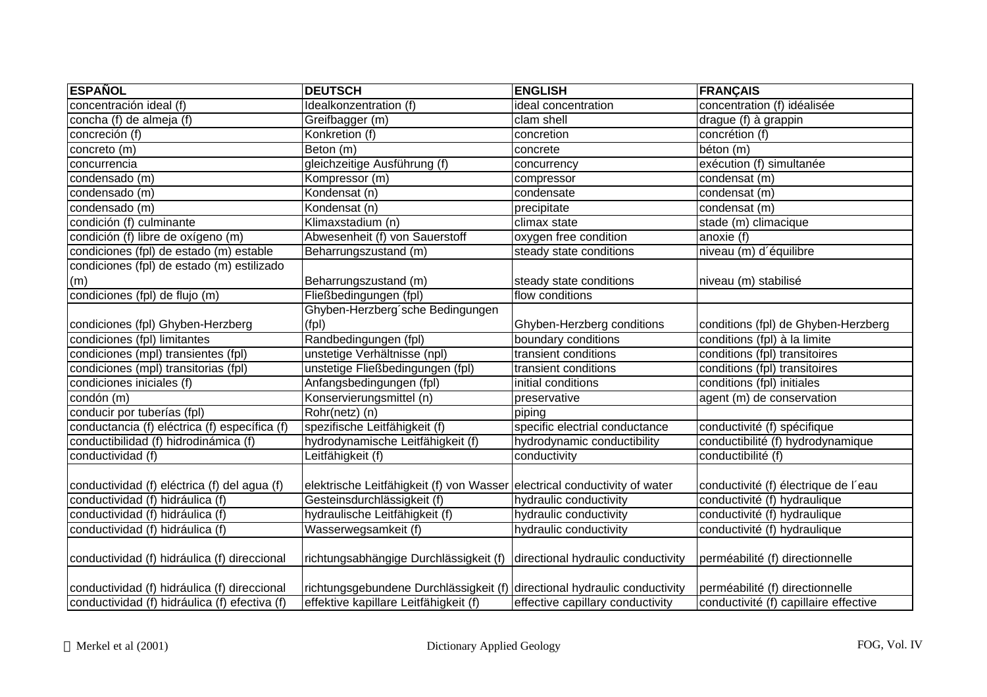| <b>ESPAÑOL</b>                                | <b>DEUTSCH</b>                                                            | <b>ENGLISH</b>                     | <b>FRANÇAIS</b>                       |
|-----------------------------------------------|---------------------------------------------------------------------------|------------------------------------|---------------------------------------|
| concentración ideal (f)                       | Idealkonzentration (f)                                                    | ideal concentration                | concentration (f) idéalisée           |
| concha (f) de almeja (f)                      | Greifbagger (m)                                                           | clam shell                         | $\overline{drague(f)}$ à grappin      |
| concreción (f)                                | Konkretion (f)                                                            | concretion                         | concrétion (f)                        |
| concreto (m)                                  | Beton (m)                                                                 | concrete                           | béton (m)                             |
| concurrencia                                  | gleichzeitige Ausführung (f)                                              | concurrency                        | exécution (f) simultanée              |
| condensado (m)                                | Kompressor (m)                                                            | compressor                         | condensat (m)                         |
| condensado (m)                                | Kondensat (n)                                                             | condensate                         | condensat (m)                         |
| condensado (m)                                | Kondensat (n)                                                             | precipitate                        | condensat (m)                         |
| condición (f) culminante                      | Klimaxstadium (n)                                                         | climax state                       | stade (m) climacique                  |
| condición (f) libre de oxígeno (m)            | Abwesenheit (f) von Sauerstoff                                            | oxygen free condition              | anoxie (f)                            |
| condiciones (fpl) de estado (m) estable       | Beharrungszustand (m)                                                     | steady state conditions            | niveau (m) d'équilibre                |
| condiciones (fpl) de estado (m) estilizado    |                                                                           |                                    |                                       |
| (m)                                           | Beharrungszustand (m)                                                     | steady state conditions            | niveau (m) stabilisé                  |
| condiciones (fpl) de flujo (m)                | Fließbedingungen (fpl)                                                    | flow conditions                    |                                       |
|                                               | Ghyben-Herzberg'sche Bedingungen                                          |                                    |                                       |
| condiciones (fpl) Ghyben-Herzberg             | (fp)                                                                      | Ghyben-Herzberg conditions         | conditions (fpl) de Ghyben-Herzberg   |
| condiciones (fpl) limitantes                  | Randbedingungen (fpl)                                                     | boundary conditions                | conditions (fpl) à la limite          |
| condiciones (mpl) transientes (fpl)           | unstetige Verhältnisse (npl)                                              | transient conditions               | conditions (fpl) transitoires         |
| condiciones (mpl) transitorias (fpl)          | unstetige Fließbedingungen (fpl)                                          | transient conditions               | conditions (fpl) transitoires         |
| condiciones iniciales (f)                     | Anfangsbedingungen (fpl)                                                  | initial conditions                 | conditions (fpl) initiales            |
| condón (m)                                    | Konservierungsmittel (n)                                                  | preservative                       | agent (m) de conservation             |
| conducir por tuberías (fpl)                   | $Rohr(netz)$ (n)                                                          | piping                             |                                       |
| conductancia (f) eléctrica (f) específica (f) | spezifische Leitfähigkeit (f)                                             | specific electrial conductance     | conductivité (f) spécifique           |
| conductibilidad (f) hidrodinámica (f)         | hydrodynamische Leitfähigkeit (f)                                         | hydrodynamic conductibility        | conductibilité (f) hydrodynamique     |
| conductividad (f)                             | Leitfähigkeit (f)                                                         | conductivity                       | conductibilité (f)                    |
|                                               |                                                                           |                                    |                                       |
| conductividad (f) eléctrica (f) del agua (f)  | elektrische Leitfähigkeit (f) von Wasser electrical conductivity of water |                                    | conductivité (f) électrique de l'eau  |
| conductividad (f) hidráulica (f)              | Gesteinsdurchlässigkeit (f)                                               | hydraulic conductivity             | conductivité (f) hydraulique          |
| conductividad (f) hidráulica (f)              | hydraulische Leitfähigkeit (f)                                            | hydraulic conductivity             | conductivité (f) hydraulique          |
| conductividad (f) hidráulica (f)              | Wasserwegsamkeit (f)                                                      | hydraulic conductivity             | conductivité (f) hydraulique          |
|                                               |                                                                           |                                    |                                       |
| conductividad (f) hidráulica (f) direccional  | richtungsabhängige Durchlässigkeit (f)                                    | directional hydraulic conductivity | perméabilité (f) directionnelle       |
|                                               |                                                                           |                                    |                                       |
| conductividad (f) hidráulica (f) direccional  | richtungsgebundene Durchlässigkeit (f) directional hydraulic conductivity |                                    | perméabilité (f) directionnelle       |
| conductividad (f) hidráulica (f) efectiva (f) | effektive kapillare Leitfähigkeit (f)                                     | effective capillary conductivity   | conductivité (f) capillaire effective |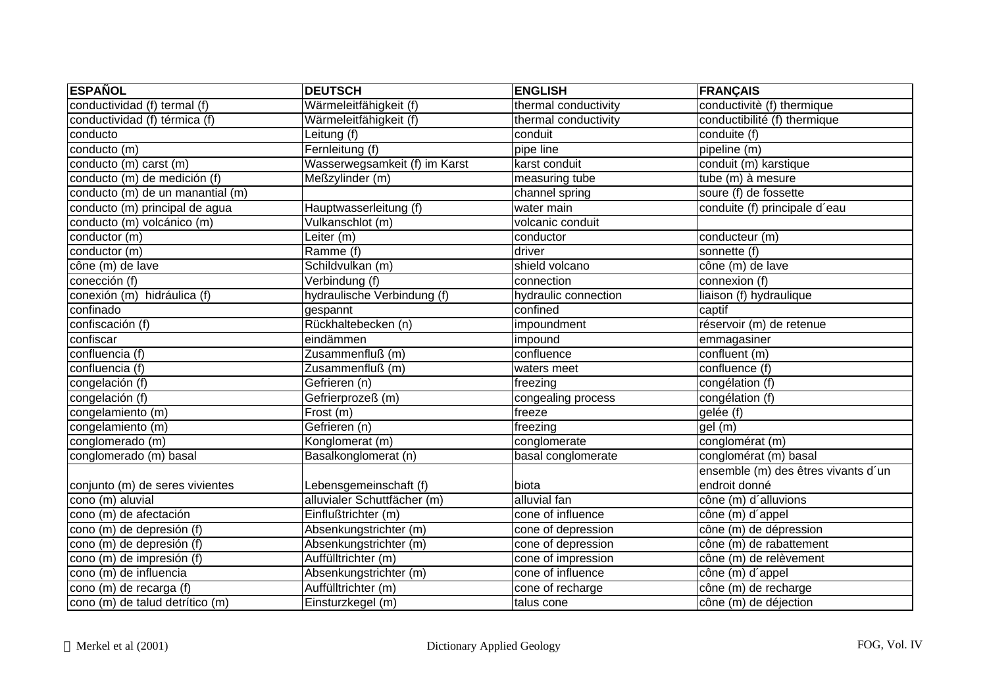| <b>ESPAÑOL</b>                   | <b>DEUTSCH</b>                | <b>ENGLISH</b>       | <b>FRANÇAIS</b>                     |
|----------------------------------|-------------------------------|----------------------|-------------------------------------|
| conductividad (f) termal (f)     | Wärmeleitfähigkeit (f)        | thermal conductivity | conductivitè (f) thermique          |
| conductividad (f) térmica (f)    | Wärmeleitfähigkeit (f)        | thermal conductivity | conductibilité (f) thermique        |
| conducto                         | Leitung (f)                   | conduit              | conduite (f)                        |
| $\overline{\text{conducto}}$ (m) | Fernleitung (f)               | pipe line            | pipeline (m)                        |
| conducto (m) carst (m)           | Wasserwegsamkeit (f) im Karst | karst conduit        | conduit (m) karstique               |
| conducto (m) de medición (f)     | Meßzylinder (m)               | measuring tube       | tube $(m)$ à mesure                 |
| conducto (m) de un manantial (m) |                               | channel spring       | soure (f) de fossette               |
| conducto (m) principal de agua   | Hauptwasserleitung (f)        | water main           | conduite (f) principale d'eau       |
| conducto (m) volcánico (m)       | Vulkanschlot (m)              | volcanic conduit     |                                     |
| conductor (m)                    | Leiter (m)                    | conductor            | conducteur (m)                      |
| conductor (m)                    | Ramme (f)                     | driver               | sonnette (f)                        |
| cône (m) de lave                 | Schildvulkan (m)              | shield volcano       | cône (m) de lave                    |
| conección (f)                    | Verbindung (f)                | connection           | connexion (f)                       |
| conexión (m) hidráulica (f)      | hydraulische Verbindung (f)   | hydraulic connection | liaison (f) hydraulique             |
| confinado                        | gespannt                      | confined             | captif                              |
| confiscación (f)                 | Rückhaltebecken (n)           | impoundment          | réservoir (m) de retenue            |
| confiscar                        | eindämmen                     | impound              | emmagasiner                         |
| confluencia (f)                  | Zusammenfluß (m)              | confluence           | confluent (m)                       |
| confluencia (f)                  | Zusammenfluß (m)              | waters meet          | confluence (f)                      |
| congelación (f)                  | Gefrieren (n)                 | freezing             | congélation (f)                     |
| congelación (f)                  | Gefrierprozeß (m)             | congealing process   | congélation (f)                     |
| congelamiento (m)                | Frost(m)                      | freeze               | gelée (f)                           |
| congelamiento (m)                | Gefrieren (n)                 | freezing             | gel(m)                              |
| conglomerado (m)                 | Konglomerat (m)               | conglomerate         | conglomérat (m)                     |
| conglomerado (m) basal           | Basalkonglomerat (n)          | basal conglomerate   | conglomérat (m) basal               |
|                                  |                               |                      | ensemble (m) des êtres vivants d'un |
| conjunto (m) de seres vivientes  | Lebensgemeinschaft (f)        | biota                | endroit donné                       |
| cono (m) aluvial                 | alluvialer Schuttfächer (m)   | alluvial fan         | cône (m) d'alluvions                |
| cono (m) de afectación           | Einflußtrichter (m)           | cone of influence    | cône (m) d'appel                    |
| cono (m) de depresión (f)        | Absenkungstrichter (m)        | cone of depression   | cône (m) de dépression              |
| cono (m) de depresión (f)        | Absenkungstrichter (m)        | cone of depression   | cône (m) de rabattement             |
| cono (m) de impresión (f)        | Auffülltrichter (m)           | cone of impression   | cône (m) de relèvement              |
| cono (m) de influencia           | Absenkungstrichter (m)        | cone of influence    | cône (m) d'appel                    |
| cono (m) de recarga (f)          | Auffülltrichter (m)           | cone of recharge     | cône (m) de recharge                |
| cono (m) de talud detrítico (m)  | Einsturzkegel (m)             | talus cone           | cône (m) de déjection               |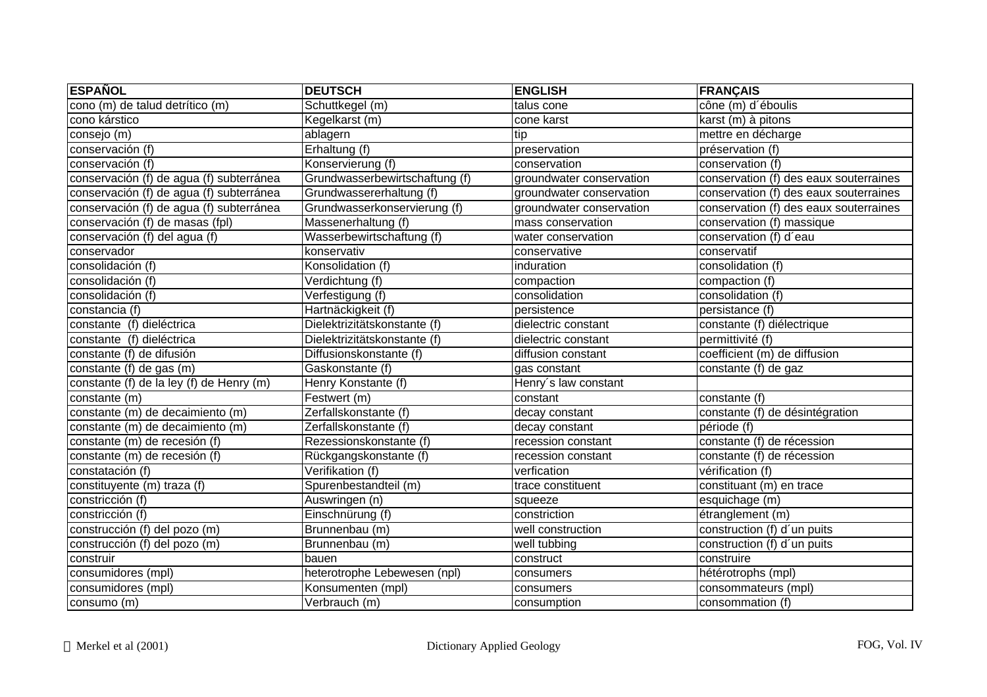| <b>ESPAÑOL</b>                           | <b>DEUTSCH</b>                 | <b>ENGLISH</b>           | <b>FRANÇAIS</b>                        |
|------------------------------------------|--------------------------------|--------------------------|----------------------------------------|
| cono (m) de talud detrítico (m)          | Schuttkegel (m)                | talus cone               | cône (m) d'éboulis                     |
| cono kárstico                            | Kegelkarst (m)                 | cone karst               | karst (m) à pitons                     |
| consejo (m)                              | ablagern                       | tip                      | mettre en décharge                     |
| conservación (f)                         | Erhaltung (f)                  | preservation             | préservation (f)                       |
| conservación (f)                         | Konservierung (f)              | conservation             | conservation (f)                       |
| conservación (f) de agua (f) subterránea | Grundwasserbewirtschaftung (f) | groundwater conservation | conservation (f) des eaux souterraines |
| conservación (f) de agua (f) subterránea | Grundwassererhaltung (f)       | groundwater conservation | conservation (f) des eaux souterraines |
| conservación (f) de agua (f) subterránea | Grundwasserkonservierung (f)   | groundwater conservation | conservation (f) des eaux souterraines |
| conservación (f) de masas (fpl)          | Massenerhaltung (f)            | mass conservation        | conservation (f) massique              |
| conservación (f) del agua (f)            | Wasserbewirtschaftung (f)      | water conservation       | conservation (f) d'eau                 |
| conservador                              | konservativ                    | conservative             | conservatif                            |
| consolidación (f)                        | Konsolidation (f)              | induration               | consolidation (f)                      |
| consolidación (f)                        | Verdichtung (f)                | compaction               | compaction (f)                         |
| consolidación (f)                        | Verfestigung (f)               | consolidation            | consolidation (f)                      |
| constancia (f)                           | Hartnäckigkeit (f)             | persistence              | persistance (f)                        |
| constante (f) dieléctrica                | Dielektrizitätskonstante (f)   | dielectric constant      | constante (f) diélectrique             |
| constante (f) dieléctrica                | Dielektrizitätskonstante (f)   | dielectric constant      | permittivité (f)                       |
| constante (f) de difusión                | Diffusionskonstante (f)        | diffusion constant       | coefficient (m) de diffusion           |
| constante (f) de gas (m)                 | Gaskonstante (f)               | gas constant             | constante (f) de gaz                   |
| constante (f) de la ley (f) de Henry (m) | Henry Konstante (f)            | Henry's law constant     |                                        |
| constante (m)                            | Festwert (m)                   | constant                 | constante (f)                          |
| constante (m) de decaimiento (m)         | Zerfallskonstante (f)          | decay constant           | constante (f) de désintégration        |
| constante (m) de decaimiento (m)         | Zerfallskonstante (f)          | decay constant           | période (f)                            |
| constante (m) de recesión (f)            | Rezessionskonstante (f)        | recession constant       | constante (f) de récession             |
| constante (m) de recesión (f)            | Rückgangskonstante (f)         | recession constant       | constante (f) de récession             |
| constatación (f)                         | Verifikation (f)               | verfication              | vérification (f)                       |
| constituyente (m) traza (f)              | Spurenbestandteil (m)          | trace constituent        | constituant (m) en trace               |
| constricción (f)                         | Auswringen (n)                 | squeeze                  | esquichage (m)                         |
| constricción (f)                         | Einschnürung (f)               | constriction             | étranglement (m)                       |
| construcción (f) del pozo (m)            | Brunnenbau (m)                 | well construction        | construction (f) d'un puits            |
| construcción (f) del pozo (m)            | Brunnenbau (m)                 | well tubbing             | construction (f) d'un puits            |
| construir                                | bauen                          | construct                | construire                             |
| consumidores (mpl)                       | heterotrophe Lebewesen (npl)   | consumers                | hétérotrophs (mpl)                     |
| consumidores (mpl)                       | Konsumenten (mpl)              | consumers                | consommateurs (mpl)                    |
| consumo (m)                              | Verbrauch (m)                  | consumption              | consommation (f)                       |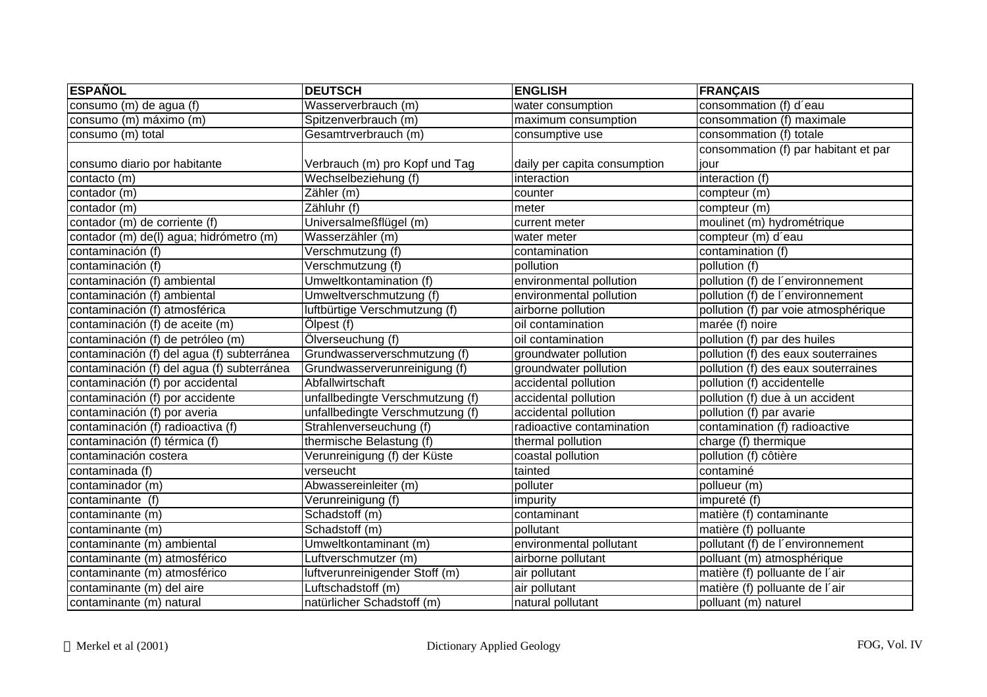| <b>ESPAÑOL</b>                             | <b>DEUTSCH</b>                   | <b>ENGLISH</b>               | <b>FRANÇAIS</b>                      |
|--------------------------------------------|----------------------------------|------------------------------|--------------------------------------|
| consumo (m) de agua (f)                    | Wasserverbrauch (m)              | water consumption            | consommation (f) d'eau               |
| consumo (m) máximo (m)                     | Spitzenverbrauch (m)             | maximum consumption          | consommation (f) maximale            |
| consumo (m) total                          | Gesamtrverbrauch (m)             | consumptive use              | consommation (f) totale              |
|                                            |                                  |                              | consommation (f) par habitant et par |
| consumo diario por habitante               | Verbrauch (m) pro Kopf und Tag   | daily per capita consumption | liour                                |
| contacto (m)                               | Wechselbeziehung (f)             | interaction                  | interaction (f)                      |
| contador (m)                               | Zähler (m)                       | counter                      | compteur (m)                         |
| contador (m)                               | Zähluhr (f)                      | meter                        | compteur (m)                         |
| contador (m) de corriente (f)              | Universalmeßflügel (m)           | current meter                | moulinet (m) hydrométrique           |
| contador (m) de(l) agua; hidrómetro (m)    | Wasserzähler (m)                 | water meter                  | compteur (m) d'eau                   |
| contaminación (f)                          | Verschmutzung (f)                | contamination                | contamination (f)                    |
| contaminación (f)                          | Verschmutzung (f)                | pollution                    | pollution (f)                        |
| contaminación (f) ambiental                | Umweltkontamination (f)          | environmental pollution      | pollution (f) de l'environnement     |
| contaminación (f) ambiental                | Umweltverschmutzung (f)          | environmental pollution      | pollution (f) de l'environnement     |
| contaminación (f) atmosférica              | luftbürtige Verschmutzung (f)    | airborne pollution           | pollution (f) par voie atmosphérique |
| contaminación (f) de aceite (m)            | Ölpest (f)                       | oil contamination            | marée (f) noire                      |
| contaminación (f) de petróleo (m)          | Ölverseuchung (f)                | oil contamination            | pollution (f) par des huiles         |
| contaminación (f) del agua (f) subterránea | Grundwasserverschmutzung (f)     | groundwater pollution        | pollution (f) des eaux souterraines  |
| contaminación (f) del agua (f) subterránea | Grundwasserverunreinigung (f)    | groundwater pollution        | pollution (f) des eaux souterraines  |
| contaminación (f) por accidental           | Abfallwirtschaft                 | accidental pollution         | pollution (f) accidentelle           |
| contaminación (f) por accidente            | unfallbedingte Verschmutzung (f) | accidental pollution         | pollution (f) due à un accident      |
| contaminación (f) por averia               | unfallbedingte Verschmutzung (f) | accidental pollution         | pollution (f) par avarie             |
| contaminación (f) radioactiva (f)          | Strahlenverseuchung (f)          | radioactive contamination    | contamination (f) radioactive        |
| contaminación (f) térmica (f)              | thermische Belastung (f)         | thermal pollution            | charge (f) thermique                 |
| contaminación costera                      | Verunreinigung (f) der Küste     | coastal pollution            | pollution (f) côtière                |
| contaminada (f)                            | verseucht                        | tainted                      | contaminé                            |
| contaminador (m)                           | Abwassereinleiter (m)            | polluter                     | pollueur (m)                         |
| contaminante (f)                           | Verunreinigung (f)               | impurity                     | impureté (f)                         |
| contaminante (m)                           | Schadstoff (m)                   | contaminant                  | matière (f) contaminante             |
| contaminante (m)                           | Schadstoff (m)                   | pollutant                    | matière (f) polluante                |
| contaminante (m) ambiental                 | Umweltkontaminant (m)            | environmental pollutant      | pollutant (f) de l'environnement     |
| contaminante (m) atmosférico               | Luftverschmutzer (m)             | airborne pollutant           | polluant (m) atmosphérique           |
| contaminante (m) atmosférico               | luftverunreinigender Stoff (m)   | air pollutant                | matière (f) polluante de l'air       |
| contaminante (m) del aire                  | Luftschadstoff (m)               | air pollutant                | matière (f) polluante de l'air       |
| contaminante (m) natural                   | natürlicher Schadstoff (m)       | natural pollutant            | polluant (m) naturel                 |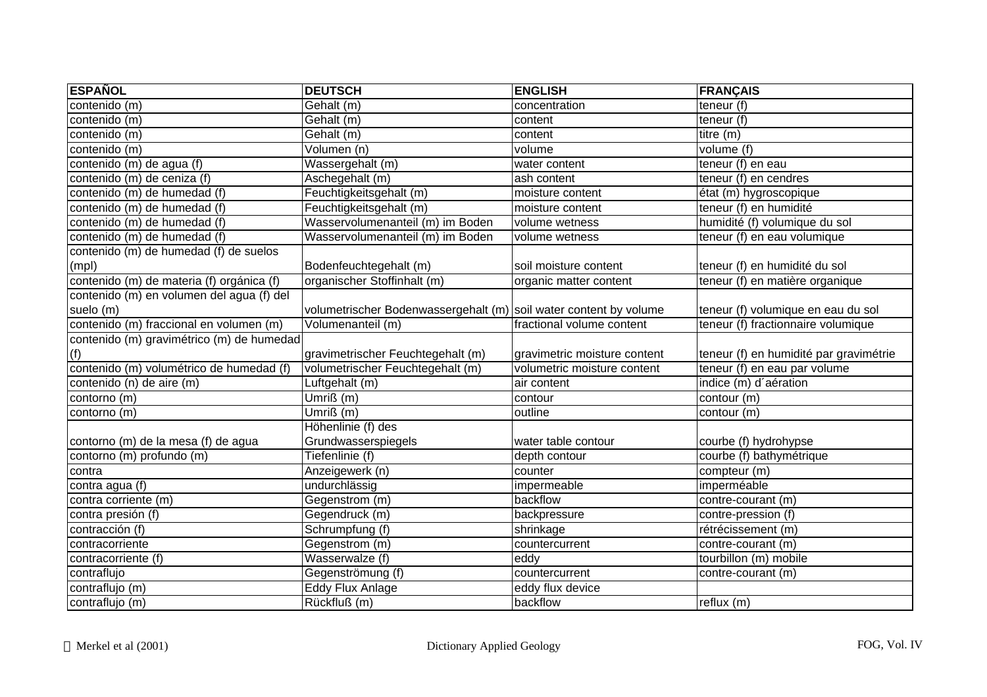| <b>ESPAÑOL</b>                            | <b>DEUTSCH</b>                                                    | <b>ENGLISH</b>               | <b>FRANÇAIS</b>                        |
|-------------------------------------------|-------------------------------------------------------------------|------------------------------|----------------------------------------|
| contenido (m)                             | Gehalt (m)                                                        | concentration                | teneur (f)                             |
| contenido (m)                             | Gehalt (m)                                                        | content                      | teneur $(f)$                           |
| contenido (m)                             | Gehalt (m)                                                        | content                      | titre (m)                              |
| $contenido$ $(m)$                         | Volumen (n)                                                       | volume                       | volume (f)                             |
| contenido (m) de agua (f)                 | Wassergehalt (m)                                                  | water content                | teneur (f) en eau                      |
| contenido (m) de ceniza (f)               | Aschegehalt (m)                                                   | ash content                  | teneur (f) en cendres                  |
| contenido (m) de humedad (f)              | Feuchtigkeitsgehalt (m)                                           | moisture content             | état (m) hygroscopique                 |
| contenido (m) de humedad (f)              | Feuchtigkeitsgehalt (m)                                           | moisture content             | teneur (f) en humidité                 |
| contenido (m) de humedad (f)              | Wasservolumenanteil (m) im Boden                                  | volume wetness               | humidité (f) volumique du sol          |
| contenido (m) de humedad (f)              | Wasservolumenanteil (m) im Boden                                  | volume wetness               | teneur (f) en eau volumique            |
| contenido (m) de humedad (f) de suelos    |                                                                   |                              |                                        |
| (mpl)                                     | Bodenfeuchtegehalt (m)                                            | soil moisture content        | teneur (f) en humidité du sol          |
| contenido (m) de materia (f) orgánica (f) | organischer Stoffinhalt (m)                                       | organic matter content       | teneur (f) en matière organique        |
| contenido (m) en volumen del agua (f) del |                                                                   |                              |                                        |
| suelo (m)                                 | volumetrischer Bodenwassergehalt (m) soil water content by volume |                              | teneur (f) volumique en eau du sol     |
| contenido (m) fraccional en volumen (m)   | Volumenanteil (m)                                                 | fractional volume content    | teneur (f) fractionnaire volumique     |
| contenido (m) gravimétrico (m) de humedad |                                                                   |                              |                                        |
| (f)                                       | gravimetrischer Feuchtegehalt (m)                                 | gravimetric moisture content | teneur (f) en humidité par gravimétrie |
| contenido (m) volumétrico de humedad (f)  | volumetrischer Feuchtegehalt (m)                                  | volumetric moisture content  | teneur (f) en eau par volume           |
| contenido (n) de aire (m)                 | Luftgehalt (m)                                                    | air content                  | indice (m) d'aération                  |
| contorno (m)                              | Umriß (m)                                                         | contour                      | contour (m)                            |
| contorno (m)                              | Umriß $(m)$                                                       | outline                      | contour (m)                            |
|                                           | Höhenlinie (f) des                                                |                              |                                        |
| contorno (m) de la mesa (f) de agua       | Grundwasserspiegels                                               | water table contour          | courbe (f) hydrohypse                  |
| contorno (m) profundo (m)                 | Tiefenlinie (f)                                                   | depth contour                | courbe (f) bathymétrique               |
| contra                                    | Anzeigewerk (n)                                                   | counter                      | compteur (m)                           |
| contra agua (f)                           | undurchlässig                                                     | impermeable                  | imperméable                            |
| contra corriente (m)                      | Gegenstrom (m)                                                    | backflow                     | contre-courant (m)                     |
| contra presión (f)                        | Gegendruck (m)                                                    | backpressure                 | contre-pression (f)                    |
| contracción (f)                           | Schrumpfung (f)                                                   | shrinkage                    | rétrécissement (m)                     |
| contracorriente                           | Gegenstrom (m)                                                    | countercurrent               | contre-courant (m)                     |
| contracorriente (f)                       | Wasserwalze (f)                                                   | eddy                         | tourbillon (m) mobile                  |
| contraflujo                               | Gegenströmung (f)                                                 | countercurrent               | contre-courant (m)                     |
| contraflujo (m)                           | Eddy Flux Anlage                                                  | eddy flux device             |                                        |
| contraflujo (m)                           | Rückfluß (m)                                                      | backflow                     | reflux (m)                             |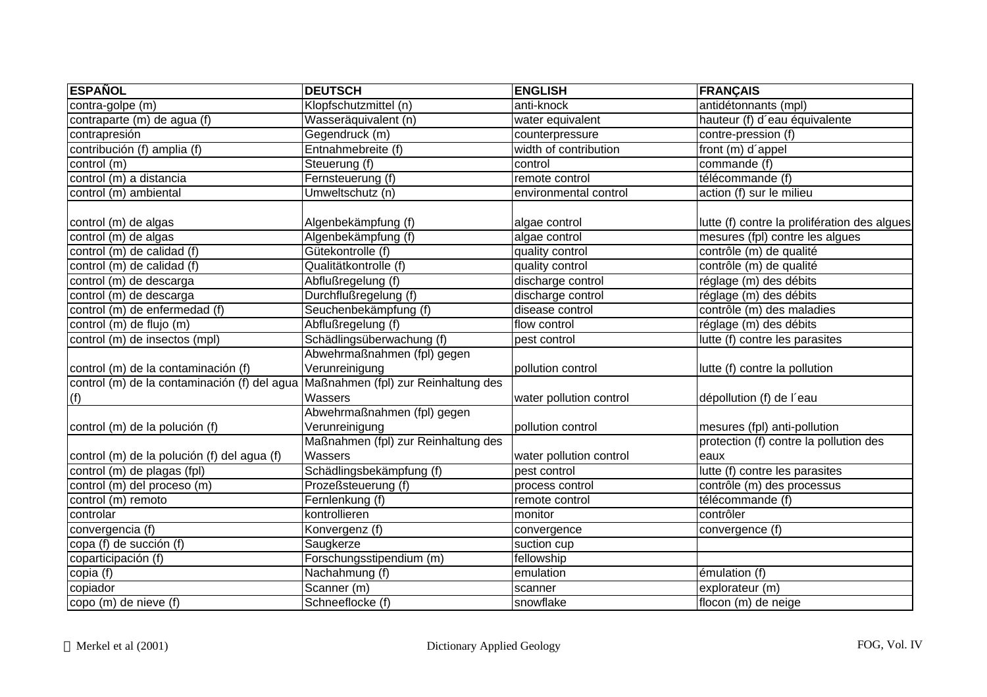| <b>ESPAÑOL</b>                               | <b>DEUTSCH</b>                      | <b>ENGLISH</b>          | <b>FRANÇAIS</b>                              |
|----------------------------------------------|-------------------------------------|-------------------------|----------------------------------------------|
| contra-golpe (m)                             | Klopfschutzmittel (n)               | anti-knock              | antidétonnants (mpl)                         |
| contraparte (m) de agua (f)                  | Wasseräquivalent (n)                | water equivalent        | hauteur (f) d'eau équivalente                |
| contrapresión                                | Gegendruck (m)                      | counterpressure         | contre-pression (f)                          |
| contribución (f) amplia (f)                  | Entnahmebreite (f)                  | width of contribution   | front (m) d'appel                            |
| control (m)                                  | Steuerung (f)                       | control                 | commande (f)                                 |
| control (m) a distancia                      | Fernsteuerung (f)                   | remote control          | télécommande (f)                             |
| control (m) ambiental                        | Umweltschutz (n)                    | environmental control   | action (f) sur le milieu                     |
| control (m) de algas                         | Algenbekämpfung (f)                 | algae control           | lutte (f) contre la prolifération des algues |
| $\overline{\text{control (m)}$ de algas      | Algenbekämpfung (f)                 | algae control           | mesures (fpl) contre les algues              |
| control (m) de calidad (f)                   | Gütekontrolle (f)                   | quality control         | contrôle (m) de qualité                      |
| control (m) de calidad (f)                   | Qualitätkontrolle (f)               | quality control         | contrôle (m) de qualité                      |
| control (m) de descarga                      | Abflußregelung (f)                  | discharge control       | réglage (m) des débits                       |
| control (m) de descarga                      | Durchflußregelung (f)               | discharge control       | réglage (m) des débits                       |
| control (m) de enfermedad (f)                | Seuchenbekämpfung (f)               | disease control         | contrôle (m) des maladies                    |
| control (m) de flujo (m)                     | Abflußregelung (f)                  | flow control            | réglage (m) des débits                       |
| control (m) de insectos (mpl)                | Schädlingsüberwachung (f)           | pest control            | lutte (f) contre les parasites               |
|                                              | Abwehrmaßnahmen (fpl) gegen         |                         |                                              |
| control (m) de la contaminación (f)          | Verunreinigung                      | pollution control       | lutte (f) contre la pollution                |
| control (m) de la contaminación (f) del agua | Maßnahmen (fpl) zur Reinhaltung des |                         |                                              |
| (f)                                          | Wassers                             | water pollution control | dépollution (f) de l'eau                     |
|                                              | Abwehrmaßnahmen (fpl) gegen         |                         |                                              |
| control (m) de la polución (f)               | Verunreinigung                      | pollution control       | mesures (fpl) anti-pollution                 |
|                                              | Maßnahmen (fpl) zur Reinhaltung des |                         | protection (f) contre la pollution des       |
| control (m) de la polución (f) del agua (f)  | Wassers                             | water pollution control | eaux                                         |
| control (m) de plagas (fpl)                  | Schädlingsbekämpfung (f)            | pest control            | lutte (f) contre les parasites               |
| control (m) del proceso (m)                  | Prozeßsteuerung (f)                 | process control         | contrôle (m) des processus                   |
| control (m) remoto                           | Fernlenkung (f)                     | remote control          | télécommande (f)                             |
| controlar                                    | kontrollieren                       | monitor                 | contrôler                                    |
| convergencia (f)                             | Konvergenz (f)                      | convergence             | convergence (f)                              |
| copa (f) de succión (f)                      | Saugkerze                           | suction cup             |                                              |
| coparticipación (f)                          | Forschungsstipendium (m)            | fellowship              |                                              |
| copia (f)                                    | Nachahmung (f)                      | emulation               | émulation (f)                                |
| copiador                                     | Scanner (m)                         | scanner                 | explorateur (m)                              |
| copo (m) de nieve (f)                        | Schneeflocke (f)                    | snowflake               | flocon (m) de neige                          |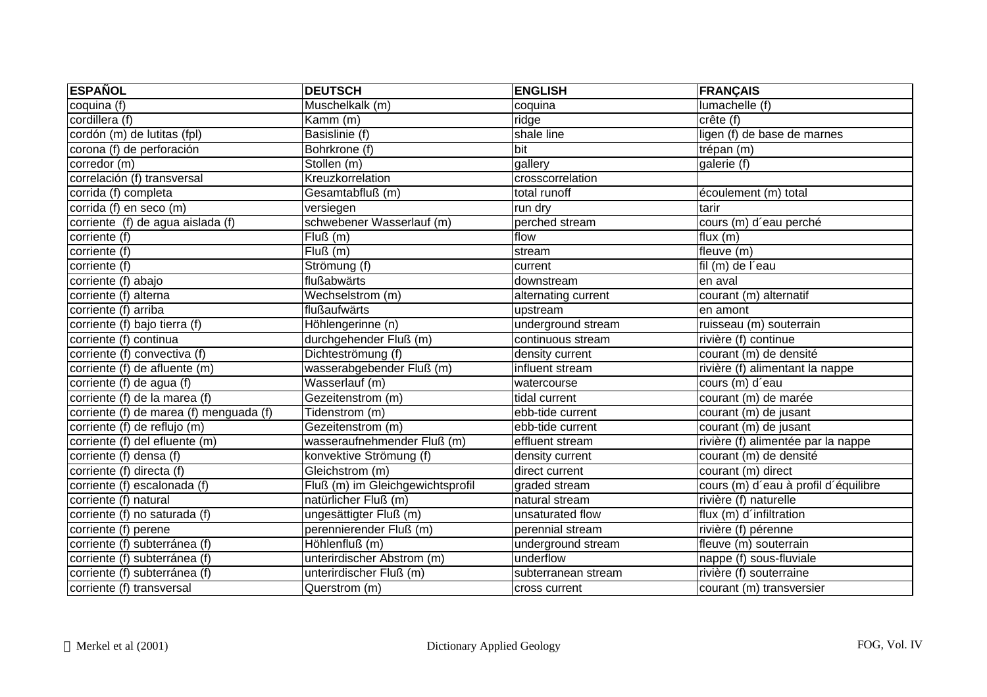| <b>ESPAÑOL</b>                          | <b>DEUTSCH</b>                   | <b>ENGLISH</b>      | <b>FRANÇAIS</b>                      |
|-----------------------------------------|----------------------------------|---------------------|--------------------------------------|
| coquina (f)                             | Muschelkalk (m)                  | coquina             | lumachelle (f)                       |
| cordillera (f)                          | Kamm (m)                         | ridge               | crête(f)                             |
| cordón (m) de lutitas (fpl)             | Basislinie (f)                   | shale line          | ligen (f) de base de marnes          |
| corona (f) de perforación               | Bohrkrone (f)                    | bit                 | trépan (m)                           |
| corredor (m)                            | Stollen (m)                      | gallery             | galerie (f)                          |
| correlación (f) transversal             | Kreuzkorrelation                 | crosscorrelation    |                                      |
| corrida (f) completa                    | Gesamtabfluß (m)                 | total runoff        | écoulement (m) total                 |
| corrida (f) en seco (m)                 | versiegen                        | run dry             | tarir                                |
| corriente (f) de agua aislada (f)       | schwebener Wasserlauf (m)        | perched stream      | cours (m) d'eau perché               |
| corriente (f)                           | $\overline{Fluß}$ (m)            | flow                | flux $(m)$                           |
| corriente (f)                           | $\overline{Flu\Omega}$ (m)       | stream              | fleuve (m)                           |
| corriente (f)                           | Strömung (f)                     | current             | fil (m) de l'eau                     |
| corriente (f) abajo                     | flußabwärts                      | downstream          | en aval                              |
| corriente (f) alterna                   | Wechselstrom (m)                 | alternating current | courant (m) alternatif               |
| corriente (f) arriba                    | flußaufwärts                     | upstream            | len amont                            |
| corriente (f) bajo tierra (f)           | Höhlengerinne (n)                | underground stream  | ruisseau (m) souterrain              |
| corriente (f) continua                  | durchgehender Fluß (m)           | continuous stream   | rivière (f) continue                 |
| corriente (f) convectiva (f)            | Dichteströmung (f)               | density current     | courant (m) de densité               |
| corriente (f) de afluente (m)           | wasserabgebender Fluß (m)        | influent stream     | rivière (f) alimentant la nappe      |
| corriente (f) de agua (f)               | Wasserlauf (m)                   | watercourse         | cours (m) d'eau                      |
| corriente (f) de la marea (f)           | Gezeitenstrom (m)                | tidal current       | courant (m) de marée                 |
| corriente (f) de marea (f) menguada (f) | Tidenstrom (m)                   | ebb-tide current    | courant (m) de jusant                |
| corriente (f) de reflujo (m)            | Gezeitenstrom (m)                | ebb-tide current    | courant (m) de jusant                |
| corriente (f) del efluente (m)          | wasseraufnehmender Fluß (m)      | effluent stream     | rivière (f) alimentée par la nappe   |
| corriente (f) densa (f)                 | konvektive Strömung (f)          | density current     | courant (m) de densité               |
| corriente (f) directa (f)               | Gleichstrom (m)                  | direct current      | courant (m) direct                   |
| corriente (f) escalonada (f)            | Fluß (m) im Gleichgewichtsprofil | graded stream       | cours (m) d'eau à profil d'équilibre |
| corriente (f) natural                   | natürlicher Fluß (m)             | natural stream      | rivière (f) naturelle                |
| corriente (f) no saturada (f)           | ungesättigter Fluß (m)           | unsaturated flow    | flux (m) d'infiltration              |
| corriente (f) perene                    | perennierender Fluß (m)          | perennial stream    | rivière (f) pérenne                  |
| corriente (f) subterránea (f)           | Höhlenfluß (m)                   | underground stream  | fleuve (m) souterrain                |
| corriente (f) subterránea (f)           | unterirdischer Abstrom (m)       | underflow           | nappe (f) sous-fluviale              |
| corriente (f) subterránea (f)           | unterirdischer Fluß (m)          | subterranean stream | rivière (f) souterraine              |
| corriente (f) transversal               | Querstrom (m)                    | cross current       | courant (m) transversier             |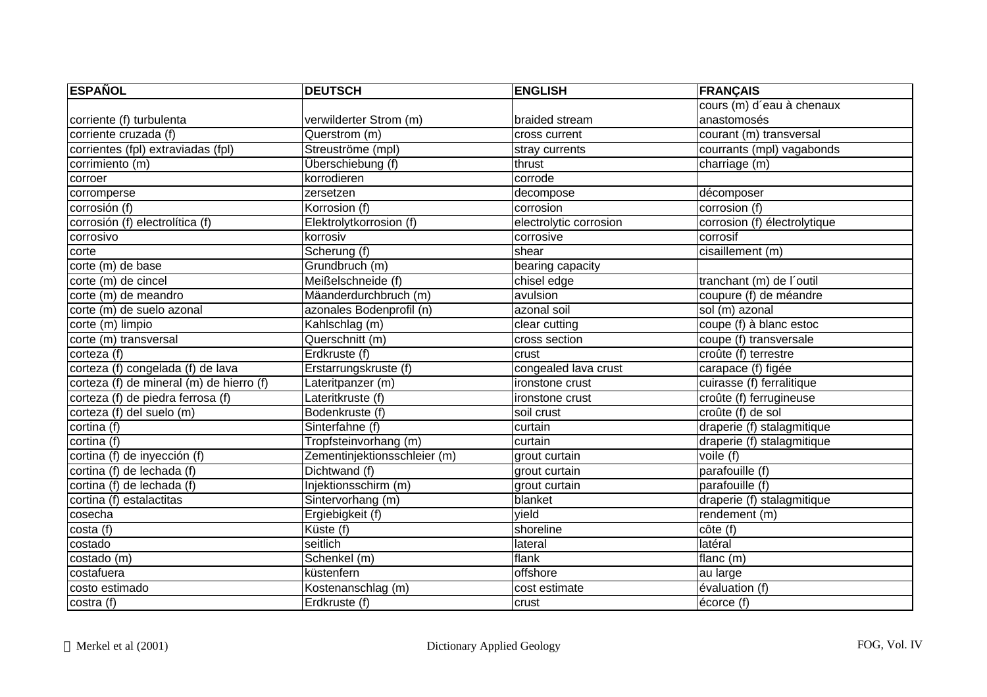| <b>ESPAÑOL</b>                           | <b>DEUTSCH</b>               | <b>ENGLISH</b>         | <b>FRANÇAIS</b>              |
|------------------------------------------|------------------------------|------------------------|------------------------------|
|                                          |                              |                        | cours (m) d'eau à chenaux    |
| corriente (f) turbulenta                 | verwilderter Strom (m)       | braided stream         | anastomosés                  |
| corriente cruzada (f)                    | Querstrom (m)                | cross current          | courant (m) transversal      |
| corrientes (fpl) extraviadas (fpl)       | Streuströme (mpl)            | stray currents         | courrants (mpl) vagabonds    |
| corrimiento (m)                          | Überschiebung (f)            | thrust                 | charriage (m)                |
| corroer                                  | korrodieren                  | corrode                |                              |
| corromperse                              | zersetzen                    | decompose              | décomposer                   |
| corrosión (f)                            | Korrosion (f)                | corrosion              | corrosion (f)                |
| corrosión (f) electrolítica (f)          | Elektrolytkorrosion (f)      | electrolytic corrosion | corrosion (f) électrolytique |
| corrosivo                                | korrosiv                     | corrosive              | corrosif                     |
| corte                                    | Scherung (f)                 | shear                  | cisaillement (m)             |
| corte (m) de base                        | Grundbruch (m)               | bearing capacity       |                              |
| corte (m) de cincel                      | Meißelschneide (f)           | chisel edge            | tranchant (m) de l'outil     |
| corte (m) de meandro                     | Mäanderdurchbruch (m)        | avulsion               | coupure (f) de méandre       |
| corte (m) de suelo azonal                | azonales Bodenprofil (n)     | azonal soil            | sol (m) azonal               |
| corte (m) limpio                         | Kahlschlag (m)               | clear cutting          | coupe (f) à blanc estoc      |
| corte (m) transversal                    | Querschnitt (m)              | cross section          | coupe (f) transversale       |
| corteza (f)                              | Erdkruste (f)                | crust                  | croûte (f) terrestre         |
| corteza (f) congelada (f) de lava        | Erstarrungskruste (f)        | congealed lava crust   | carapace (f) figée           |
| corteza (f) de mineral (m) de hierro (f) | Lateritpanzer (m)            | ironstone crust        | cuirasse (f) ferralitique    |
| corteza (f) de piedra ferrosa (f)        | Lateritkruste (f)            | ironstone crust        | croûte (f) ferrugineuse      |
| corteza (f) del suelo (m)                | Bodenkruste (f)              | soil crust             | croûte (f) de sol            |
| cortina (f)                              | Sinterfahne (f)              | curtain                | draperie (f) stalagmitique   |
| cortina (f)                              | Tropfsteinvorhang (m)        | curtain                | draperie (f) stalagmitique   |
| cortina (f) de inyección (f)             | Zementinjektionsschleier (m) | grout curtain          | voile (f)                    |
| cortina (f) de lechada (f)               | Dichtwand (f)                | grout curtain          | parafouille (f)              |
| cortina (f) de lechada (f)               | Injektionsschirm (m)         | grout curtain          | parafouille (f)              |
| cortina (f) estalactitas                 | Sintervorhang (m)            | blanket                | draperie (f) stalagmitique   |
| cosecha                                  | Ergiebigkeit (f)             | yield                  | rendement (m)                |
| costa (f)                                | Küste (f)                    | shoreline              | côte(f)                      |
| costado                                  | seitlich                     | lateral                | latéral                      |
| costado (m)                              | Schenkel (m)                 | flank                  | flanc $(m)$                  |
| costafuera                               | küstenfern                   | offshore               | au large                     |
| costo estimado                           | Kostenanschlag (m)           | cost estimate          | évaluation (f)               |
| costra (f)                               | Erdkruste (f)                | crust                  | écorce (f)                   |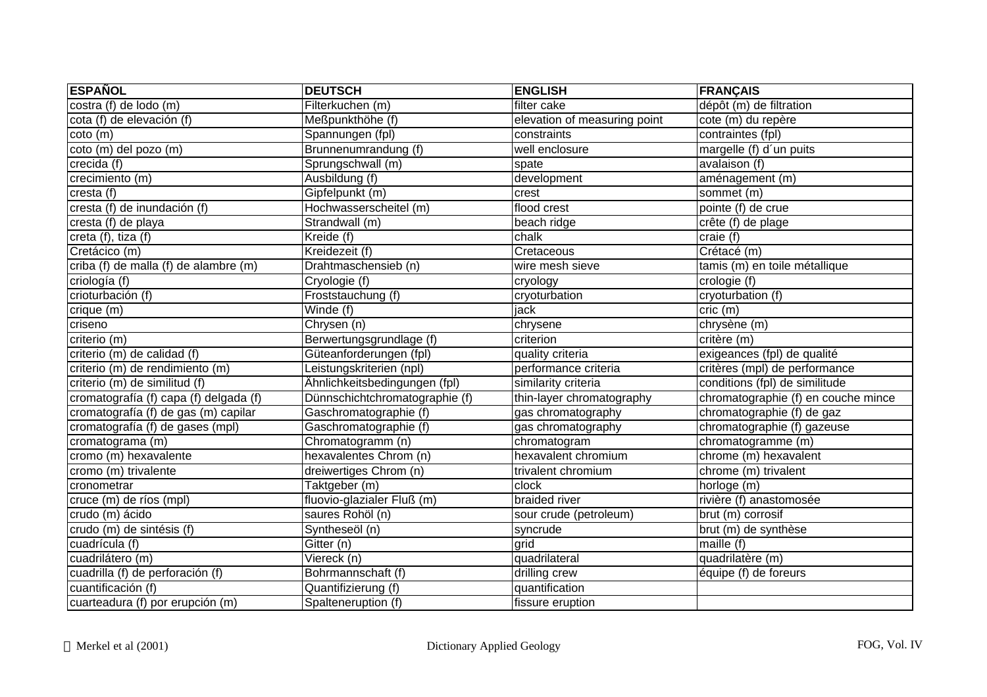| <b>ESPAÑOL</b>                         | <b>DEUTSCH</b>                       | <b>ENGLISH</b>               | FRANÇAIS                            |
|----------------------------------------|--------------------------------------|------------------------------|-------------------------------------|
| costra (f) de lodo (m)                 | Filterkuchen (m)                     | filter cake                  | dépôt (m) de filtration             |
| cota (f) de elevación (f)              | Meßpunkthöhe (f)                     | elevation of measuring point | cote (m) du repère                  |
| $\cot$ (m)                             | Spannungen (fpl)                     | constraints                  | contraintes (fpl)                   |
| coto (m) del pozo (m)                  | Brunnenumrandung (f)                 | well enclosure               | margelle (f) d'un puits             |
| crecida (f)                            | Sprungschwall (m)                    | spate                        | avalaison(f)                        |
| crecimiento (m)                        | Ausbildung (f)                       | development                  | aménagement (m)                     |
| cresta (f)                             | Gipfelpunkt (m)                      | crest                        | sommet (m)                          |
| cresta (f) de inundación (f)           | Hochwasserscheitel (m)               | flood crest                  | pointe (f) de crue                  |
| cresta (f) de playa                    | Strandwall (m)                       | beach ridge                  | crête (f) de plage                  |
| creta (f), tiza (f)                    | $K$ reide $(f)$                      | chalk                        | craie (f)                           |
| Cretácico (m)                          | Kreidezeit (f)                       | Cretaceous                   | Crétacé (m)                         |
| criba (f) de malla (f) de alambre (m)  | Drahtmaschensieb (n)                 | wire mesh sieve              | tamis (m) en toile métallique       |
| criología (f)                          | Cryologie (f)                        | cryology                     | crologie (f)                        |
| crioturbación (f)                      | Froststauchung (f)                   | cryoturbation                | cryoturbation (f)                   |
| crique (m)                             | $\overline{\text{W}\text{inde}}$ (f) | jack                         | cric (m)                            |
| criseno                                | Chrysen (n)                          | chrysene                     | chrysène (m)                        |
| criterio (m)                           | Berwertungsgrundlage (f)             | criterion                    | critère (m)                         |
| criterio (m) de calidad (f)            | Güteanforderungen (fpl)              | quality criteria             | exigeances (fpl) de qualité         |
| criterio (m) de rendimiento (m)        | Leistungskriterien (npl)             | performance criteria         | critères (mpl) de performance       |
| criterio (m) de similitud (f)          | Ähnlichkeitsbedingungen (fpl)        | similarity criteria          | conditions (fpl) de similitude      |
| cromatografía (f) capa (f) delgada (f) | Dünnschichtchromatographie (f)       | thin-layer chromatography    | chromatographie (f) en couche mince |
| cromatografía (f) de gas (m) capilar   | Gaschromatographie (f)               | gas chromatography           | chromatographie (f) de gaz          |
| cromatografía (f) de gases (mpl)       | Gaschromatographie (f)               | gas chromatography           | chromatographie (f) gazeuse         |
| cromatograma (m)                       | Chromatogramm (n)                    | chromatogram                 | chromatogramme (m)                  |
| cromo (m) hexavalente                  | hexavalentes Chrom (n)               | hexavalent chromium          | chrome (m) hexavalent               |
| cromo (m) trivalente                   | dreiwertiges Chrom (n)               | trivalent chromium           | chrome (m) trivalent                |
| cronometrar                            | Taktgeber (m)                        | clock                        | horloge (m)                         |
| cruce (m) de ríos (mpl)                | fluovio-glazialer Fluß (m)           | braided river                | rivière (f) anastomosée             |
| crudo (m) ácido                        | saures Rohöl (n)                     | sour crude (petroleum)       | brut (m) corrosif                   |
| crudo (m) de sintésis (f)              | Syntheseöl (n)                       | syncrude                     | brut (m) de synthèse                |
| cuadrícula (f)                         | Gitter (n)                           | grid                         | maille (f)                          |
| cuadrilátero (m)                       | Viereck (n)                          | quadrilateral                | quadrilatère (m)                    |
| cuadrilla (f) de perforación (f)       | Bohrmannschaft (f)                   | drilling crew                | équipe (f) de foreurs               |
| cuantificación (f)                     | Quantifizierung (f)                  | quantification               |                                     |
| cuarteadura (f) por erupción (m)       | Spalteneruption (f)                  | fissure eruption             |                                     |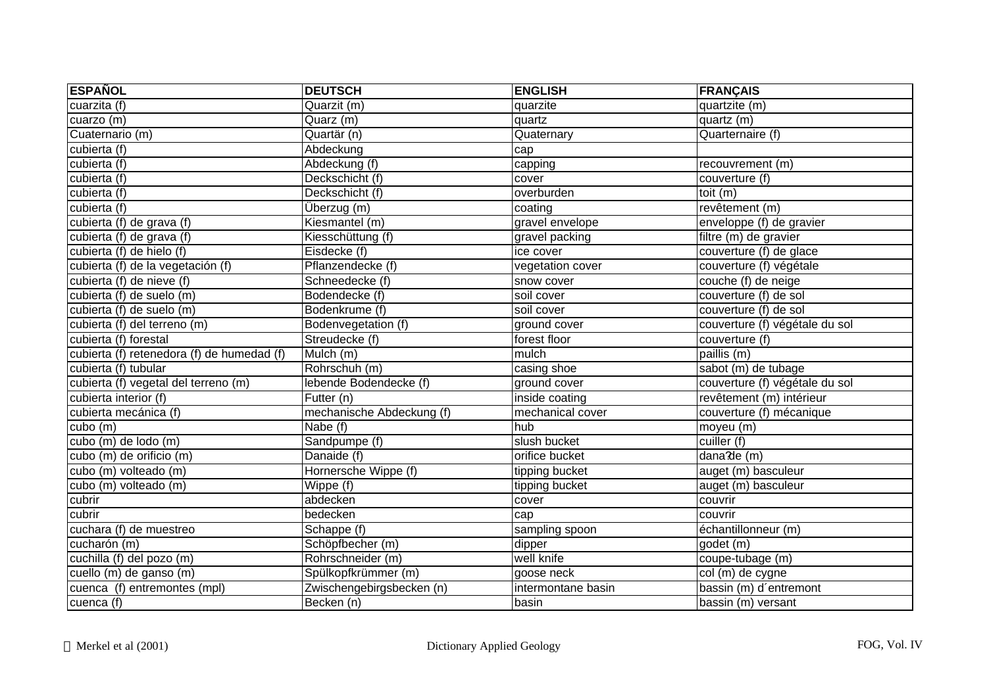| <b>ESPAÑOL</b>                             | <b>DEUTSCH</b>            | <b>ENGLISH</b>     | <b>FRANÇAIS</b>                |
|--------------------------------------------|---------------------------|--------------------|--------------------------------|
| cuarzita (f)                               | Quarzit (m)               | quarzite           | quartzite (m)                  |
| cuarzo (m)                                 | Quarz (m)                 | quartz             | quartz (m)                     |
| Cuaternario (m)                            | Quartär (n)               | Quaternary         | Quarternaire (f)               |
| cubierta (f)                               | Abdeckung                 | cap                |                                |
| cubierta (f)                               | Abdeckung (f)             | capping            | recouvrement (m)               |
| cubierta (f)                               | Deckschicht (f)           | cover              | couverture (f)                 |
| cubierta (f)                               | Deckschicht (f)           | overburden         | toit (m)                       |
| cubierta (f)                               | Überzug (m)               | coating            | revêtement (m)                 |
| cubierta (f) de grava (f)                  | Kiesmantel (m)            | gravel envelope    | enveloppe (f) de gravier       |
| cubierta (f) de grava (f)                  | Kiesschüttung (f)         | gravel packing     | filtre (m) de gravier          |
| cubierta (f) de hielo (f)                  | Eisdecke (f)              | ice cover          | couverture (f) de glace        |
| cubierta (f) de la vegetación (f)          | Pflanzendecke (f)         | vegetation cover   | couverture (f) végétale        |
| cubierta (f) de nieve (f)                  | Schneedecke (f)           | snow cover         | couche (f) de neige            |
| cubierta (f) de suelo (m)                  | Bodendecke (f)            | soil cover         | couverture (f) de sol          |
| cubierta (f) de suelo (m)                  | Bodenkrume (f)            | soil cover         | couverture (f) de sol          |
| cubierta (f) del terreno (m)               | Bodenvegetation (f)       | ground cover       | couverture (f) végétale du sol |
| cubierta (f) forestal                      | Streudecke (f)            | forest floor       | couverture (f)                 |
| cubierta (f) retenedora (f) de humedad (f) | Mulch $(m)$               | mulch              | paillis (m)                    |
| cubierta (f) tubular                       | Rohrschuh (m)             | casing shoe        | sabot (m) de tubage            |
| cubierta (f) vegetal del terreno (m)       | lebende Bodendecke (f)    | ground cover       | couverture (f) végétale du sol |
| cubierta interior (f)                      | Futter $(n)$              | inside coating     | revêtement (m) intérieur       |
| cubierta mecánica (f)                      | mechanische Abdeckung (f) | mechanical cover   | couverture (f) mécanique       |
| cubo (m)                                   | Nabe (f)                  | hub                | moyeu (m)                      |
| cubo (m) de lodo (m)                       | Sandpumpe (f)             | slush bucket       | cuiller (f)                    |
| cubo (m) de orificio (m)                   | Danaide (f)               | orifice bucket     | $dana$ de (m)                  |
| cubo (m) volteado (m)                      | Hornersche Wippe (f)      | tipping bucket     | auget (m) basculeur            |
| cubo (m) volteado (m)                      | Wippe (f)                 | tipping bucket     | auget (m) basculeur            |
| cubrir                                     | abdecken                  | cover              | couvrir                        |
| cubrir                                     | bedecken                  | cap                | couvrir                        |
| cuchara (f) de muestreo                    | Schappe (f)               | sampling spoon     | échantillonneur (m)            |
| cucharón (m)                               | Schöpfbecher (m)          | dipper             | godet (m)                      |
| cuchilla (f) del pozo (m)                  | Rohrschneider (m)         | well knife         | coupe-tubage (m)               |
| cuello (m) de ganso (m)                    | Spülkopfkrümmer (m)       | goose neck         | col (m) de cygne               |
| cuenca (f) entremontes (mpl)               | Zwischengebirgsbecken (n) | intermontane basin | bassin (m) d'entremont         |
| cuenca (f)                                 | Becken (n)                | basin              | bassin (m) versant             |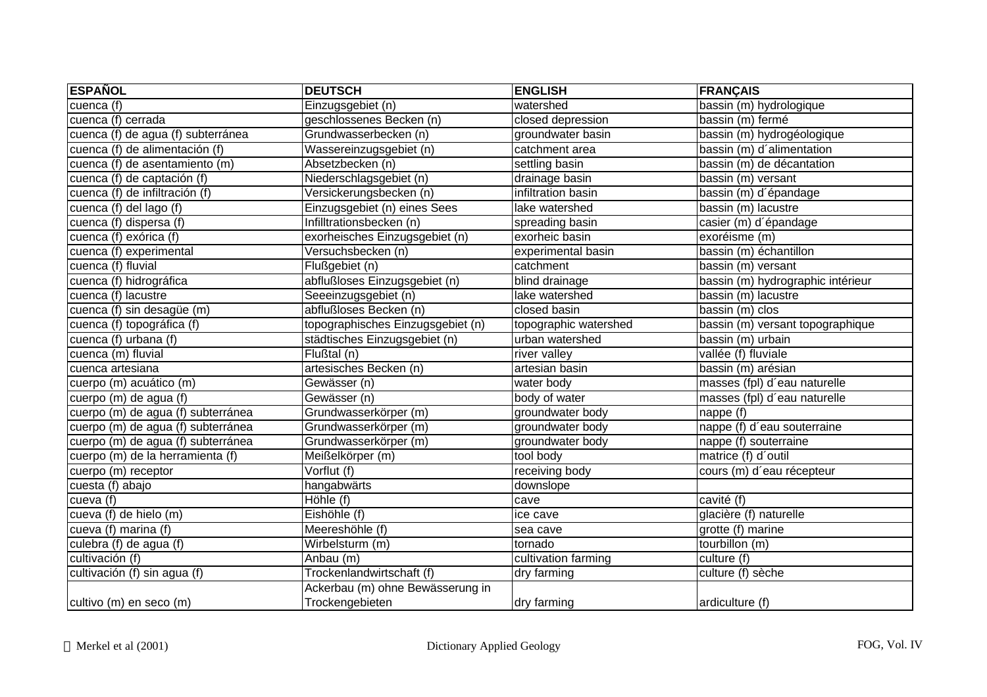| <b>ESPAÑOL</b>                     | <b>DEUTSCH</b>                    | <b>ENGLISH</b>        | <b>FRANÇAIS</b>                   |
|------------------------------------|-----------------------------------|-----------------------|-----------------------------------|
| cuenca (f)                         | Einzugsgebiet (n)                 | watershed             | bassin (m) hydrologique           |
| cuenca (f) cerrada                 | geschlossenes Becken (n)          | closed depression     | bassin (m) fermé                  |
| cuenca (f) de agua (f) subterránea | Grundwasserbecken (n)             | groundwater basin     | bassin (m) hydrogéologique        |
| cuenca (f) de alimentación (f)     | Wassereinzugsgebiet (n)           | catchment area        | bassin (m) d'alimentation         |
| cuenca (f) de asentamiento (m)     | Absetzbecken (n)                  | settling basin        | bassin (m) de décantation         |
| cuenca (f) de captación (f)        | Niederschlagsgebiet (n)           | drainage basin        | bassin (m) versant                |
| cuenca (f) de infiltración (f)     | Versickerungsbecken (n)           | infiltration basin    | bassin (m) d'épandage             |
| cuenca (f) del lago (f)            | Einzugsgebiet (n) eines Sees      | lake watershed        | bassin (m) lacustre               |
| cuenca (f) dispersa (f)            | Infilltrationsbecken (n)          | spreading basin       | casier (m) d'épandage             |
| cuenca (f) exórica (f)             | exorheisches Einzugsgebiet (n)    | exorheic basin        | exoréisme (m)                     |
| cuenca (f) experimental            | Versuchsbecken (n)                | experimental basin    | bassin (m) échantillon            |
| cuenca (f) fluvial                 | Flußgebiet (n)                    | catchment             | bassin (m) versant                |
| cuenca (f) hidrográfica            | abflußloses Einzugsgebiet (n)     | blind drainage        | bassin (m) hydrographic intérieur |
| cuenca (f) lacustre                | Seeeinzugsgebiet (n)              | lake watershed        | bassin (m) lacustre               |
| cuenca (f) sin desagüe (m)         | abflußloses Becken (n)            | closed basin          | bassin (m) clos                   |
| cuenca (f) topográfica (f)         | topographisches Einzugsgebiet (n) | topographic watershed | bassin (m) versant topographique  |
| cuenca (f) urbana (f)              | städtisches Einzugsgebiet (n)     | urban watershed       | bassin (m) urbain                 |
| cuenca (m) fluvial                 | Flußtal (n)                       | river valley          | vallée (f) fluviale               |
| cuenca artesiana                   | artesisches Becken (n)            | artesian basin        | bassin (m) arésian                |
| cuerpo (m) acuático (m)            | Gewässer (n)                      | water body            | masses (fpl) d'eau naturelle      |
| cuerpo (m) de agua (f)             | Gewässer (n)                      | body of water         | masses (fpl) d'eau naturelle      |
| cuerpo (m) de agua (f) subterránea | Grundwasserkörper (m)             | groundwater body      | nappe (f)                         |
| cuerpo (m) de agua (f) subterránea | Grundwasserkörper (m)             | groundwater body      | nappe (f) d'eau souterraine       |
| cuerpo (m) de agua (f) subterránea | Grundwasserkörper (m)             | groundwater body      | nappe (f) souterraine             |
| cuerpo (m) de la herramienta (f)   | Meißelkörper (m)                  | tool body             | matrice (f) d'outil               |
| cuerpo (m) receptor                | Vorflut (f)                       | receiving body        | cours (m) d'eau récepteur         |
| cuesta (f) abajo                   | hangabwärts                       | downslope             |                                   |
| cueva (f)                          | Höhle (f)                         | cave                  | cavité (f)                        |
| cueva (f) de hielo (m)             | Eishöhle (f)                      | ice cave              | glacière (f) naturelle            |
| cueva (f) marina (f)               | Meereshöhle (f)                   | sea cave              | grotte (f) marine                 |
| culebra (f) de agua (f)            | Wirbelsturm (m)                   | tornado               | tourbillon (m)                    |
| cultivación (f)                    | Anbau (m)                         | cultivation farming   | culture (f)                       |
| cultivación (f) sin agua (f)       | Trockenlandwirtschaft (f)         | dry farming           | culture (f) sèche                 |
|                                    | Ackerbau (m) ohne Bewässerung in  |                       |                                   |
| cultivo (m) en seco (m)            | Trockengebieten                   | dry farming           | ardiculture (f)                   |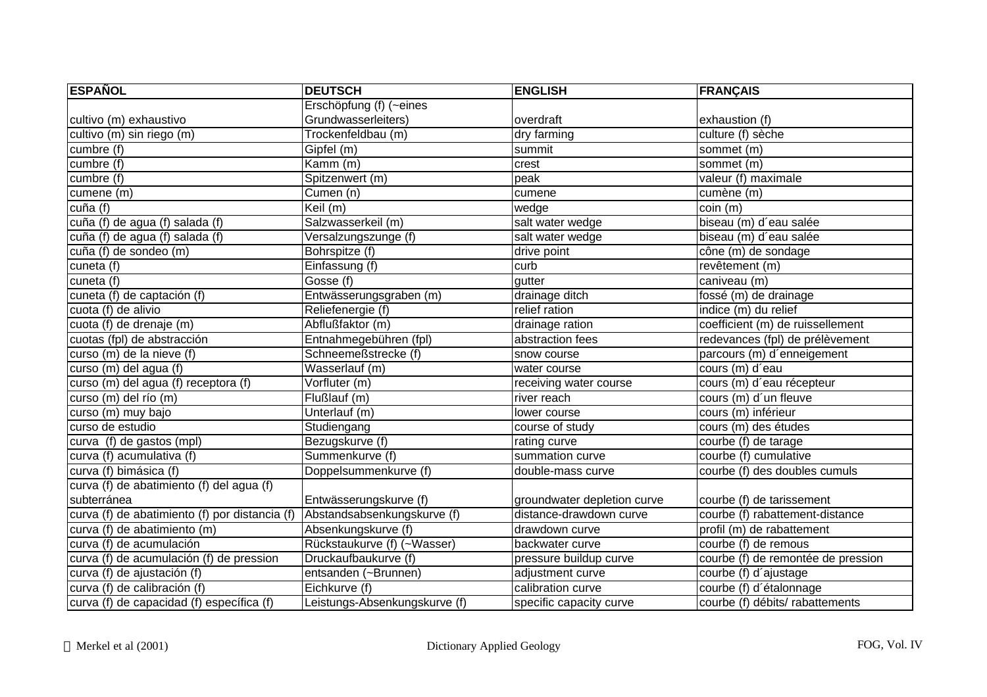| <b>ESPAÑOL</b>                                | <b>DEUTSCH</b>                | <b>ENGLISH</b>              | <b>FRANÇAIS</b>                    |
|-----------------------------------------------|-------------------------------|-----------------------------|------------------------------------|
|                                               | Erschöpfung (f) (~eines       |                             |                                    |
| cultivo (m) exhaustivo                        | Grundwasserleiters)           | overdraft                   | exhaustion (f)                     |
| cultivo (m) sin riego (m)                     | Trockenfeldbau (m)            | dry farming                 | culture (f) sèche                  |
| cumbre(f)                                     | Gipfel (m)                    | summit                      | sommet (m)                         |
| cumbre (f)                                    | Kamm (m)                      | crest                       | sommet (m)                         |
| cumbre (f)                                    | Spitzenwert (m)               | peak                        | valeur (f) maximale                |
| cumene (m)                                    | Cumen (n)                     | cumene                      | cumène (m)                         |
| cuña (f)                                      | $\overline{Keil}$ (m)         | wedge                       | coin(m)                            |
| cuña (f) de agua (f) salada (f)               | Salzwasserkeil (m)            | salt water wedge            | biseau (m) d'eau salée             |
| cuña (f) de agua (f) salada (f)               | Versalzungszunge (f)          | salt water wedge            | biseau (m) d'eau salée             |
| cuña (f) de sondeo (m)                        | Bohrspitze (f)                | drive point                 | cône (m) de sondage                |
| cuneta (f)                                    | Einfassung (f)                | curb                        | revêtement (m)                     |
| cuneta (f)                                    | Gosse (f)                     | gutter                      | caniveau (m)                       |
| cuneta (f) de captación (f)                   | Entwässerungsgraben (m)       | drainage ditch              | fossé (m) de drainage              |
| cuota (f) de alivio                           | Reliefenergie (f)             | relief ration               | indice (m) du relief               |
| cuota (f) de drenaje (m)                      | Abflußfaktor (m)              | drainage ration             | coefficient (m) de ruissellement   |
| cuotas (fpl) de abstracción                   | Entnahmegebühren (fpl)        | abstraction fees            | redevances (fpl) de prélèvement    |
| curso (m) de la nieve (f)                     | Schneemeßstrecke (f)          | snow course                 | parcours (m) d'enneigement         |
| curso (m) del agua (f)                        | Wasserlauf (m)                | water course                | cours (m) d'eau                    |
| curso (m) del agua (f) receptora (f)          | Vorfluter (m)                 | receiving water course      | cours (m) d'eau récepteur          |
| curso (m) del río (m)                         | Flußlauf (m)                  | river reach                 | cours (m) d'un fleuve              |
| curso (m) muy bajo                            | Unterlauf (m)                 | lower course                | cours (m) inférieur                |
| curso de estudio                              | Studiengang                   | course of study             | cours (m) des études               |
| curva (f) de gastos (mpl)                     | Bezugskurve (f)               | rating curve                | courbe (f) de tarage               |
| curva (f) acumulativa (f)                     | Summenkurve (f)               | summation curve             | courbe (f) cumulative              |
| curva (f) bimásica (f)                        | Doppelsummenkurve (f)         | double-mass curve           | courbe (f) des doubles cumuls      |
| curva (f) de abatimiento (f) del agua (f)     |                               |                             |                                    |
| subterránea                                   | Entwässerungskurve (f)        | groundwater depletion curve | courbe (f) de tarissement          |
| curva (f) de abatimiento (f) por distancia (f | Abstandsabsenkungskurve (f)   | distance-drawdown curve     | courbe (f) rabattement-distance    |
| curva (f) de abatimiento (m)                  | Absenkungskurve (f)           | drawdown curve              | profil (m) de rabattement          |
| curva (f) de acumulación                      | Rückstaukurve (f) (~Wasser)   | backwater curve             | courbe (f) de remous               |
| curva (f) de acumulación (f) de pression      | Druckaufbaukurve (f)          | pressure buildup curve      | courbe (f) de remontée de pression |
| curva (f) de ajustación (f)                   | entsanden (~Brunnen)          | adjustment curve            | courbe (f) d'ajustage              |
| curva (f) de calibración (f)                  | Eichkurve (f)                 | calibration curve           | courbe (f) d'étalonnage            |
| curva (f) de capacidad (f) específica (f)     | Leistungs-Absenkungskurve (f) | specific capacity curve     | courbe (f) débits/ rabattements    |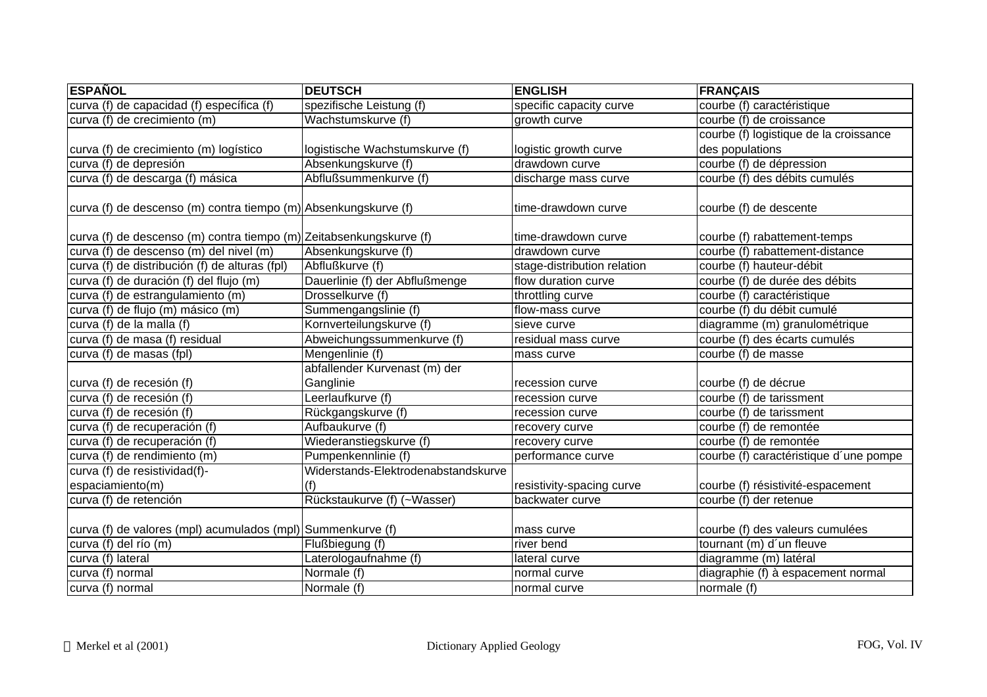| <b>ESPAÑOL</b>                                                      | <b>DEUTSCH</b>                      | <b>ENGLISH</b>              | <b>FRANÇAIS</b>                        |
|---------------------------------------------------------------------|-------------------------------------|-----------------------------|----------------------------------------|
| curva (f) de capacidad (f) específica (f)                           | spezifische Leistung (f)            | specific capacity curve     | courbe (f) caractéristique             |
| curva (f) de crecimiento (m)                                        | Wachstumskurve (f)                  | growth curve                | courbe (f) de croissance               |
|                                                                     |                                     |                             | courbe (f) logistique de la croissance |
| curva (f) de crecimiento (m) logístico                              | logistische Wachstumskurve (f)      | logistic growth curve       | des populations                        |
| curva (f) de depresión                                              | Absenkungskurve (f)                 | drawdown curve              | courbe (f) de dépression               |
| curva (f) de descarga (f) másica                                    | Abflußsummenkurve (f)               | discharge mass curve        | courbe (f) des débits cumulés          |
| curva (f) de descenso (m) contra tiempo (m) Absenkungskurve (f)     |                                     | time-drawdown curve         | courbe (f) de descente                 |
| curva (f) de descenso (m) contra tiempo (m) Zeitabsenkungskurve (f) |                                     | time-drawdown curve         | courbe (f) rabattement-temps           |
| curva (f) de descenso (m) del nivel (m)                             | Absenkungskurve (f)                 | drawdown curve              | courbe (f) rabattement-distance        |
| curva (f) de distribución (f) de alturas (fpl)                      | Abflußkurve (f)                     | stage-distribution relation | courbe (f) hauteur-débit               |
| curva (f) de duración (f) del flujo (m)                             | Dauerlinie (f) der Abflußmenge      | flow duration curve         | courbe (f) de durée des débits         |
| curva (f) de estrangulamiento (m)                                   | Drosselkurve (f)                    | throttling curve            | courbe (f) caractéristique             |
| curva (f) de flujo (m) másico (m)                                   | Summengangslinie (f)                | flow-mass curve             | courbe (f) du débit cumulé             |
| curva (f) de la malla (f)                                           | Kornverteilungskurve (f)            | sieve curve                 | diagramme (m) granulométrique          |
| curva (f) de masa (f) residual                                      | Abweichungssummenkurve (f)          | residual mass curve         | courbe (f) des écarts cumulés          |
| curva (f) de masas (fpl)                                            | Mengenlinie (f)                     | mass curve                  | courbe (f) de masse                    |
|                                                                     | abfallender Kurvenast (m) der       |                             |                                        |
| curva (f) de recesión (f)                                           | Ganglinie                           | recession curve             | courbe (f) de décrue                   |
| curva (f) de recesión (f)                                           | Leerlaufkurve (f)                   | recession curve             | courbe (f) de tarissment               |
| curva (f) de recesión (f)                                           | Rückgangskurve (f)                  | recession curve             | courbe (f) de tarissment               |
| curva (f) de recuperación (f)                                       | Aufbaukurve (f)                     | recovery curve              | courbe (f) de remontée                 |
| curva (f) de recuperación (f)                                       | Wiederanstiegskurve (f)             | recovery curve              | courbe (f) de remontée                 |
| curva (f) de rendimiento (m)                                        | Pumpenkennlinie (f)                 | performance curve           | courbe (f) caractéristique d'une pompe |
| curva (f) de resistividad(f)-                                       | Widerstands-Elektrodenabstandskurve |                             |                                        |
| espaciamiento(m)                                                    | (f)                                 | resistivity-spacing curve   | courbe (f) résistivité-espacement      |
| curva (f) de retención                                              | Rückstaukurve (f) (~Wasser)         | backwater curve             | courbe (f) der retenue                 |
| curva (f) de valores (mpl) acumulados (mpl) Summenkurve (f)         |                                     | mass curve                  | courbe (f) des valeurs cumulées        |
| curva (f) del río (m)                                               | Flußbiegung (f)                     | river bend                  | tournant (m) d'un fleuve               |
| curva (f) lateral                                                   | Laterologaufnahme (f)               | lateral curve               | diagramme (m) latéral                  |
| curva (f) normal                                                    | Normale (f)                         | normal curve                | diagraphie (f) à espacement normal     |
| curva (f) normal                                                    | Normale (f)                         | normal curve                | normale (f)                            |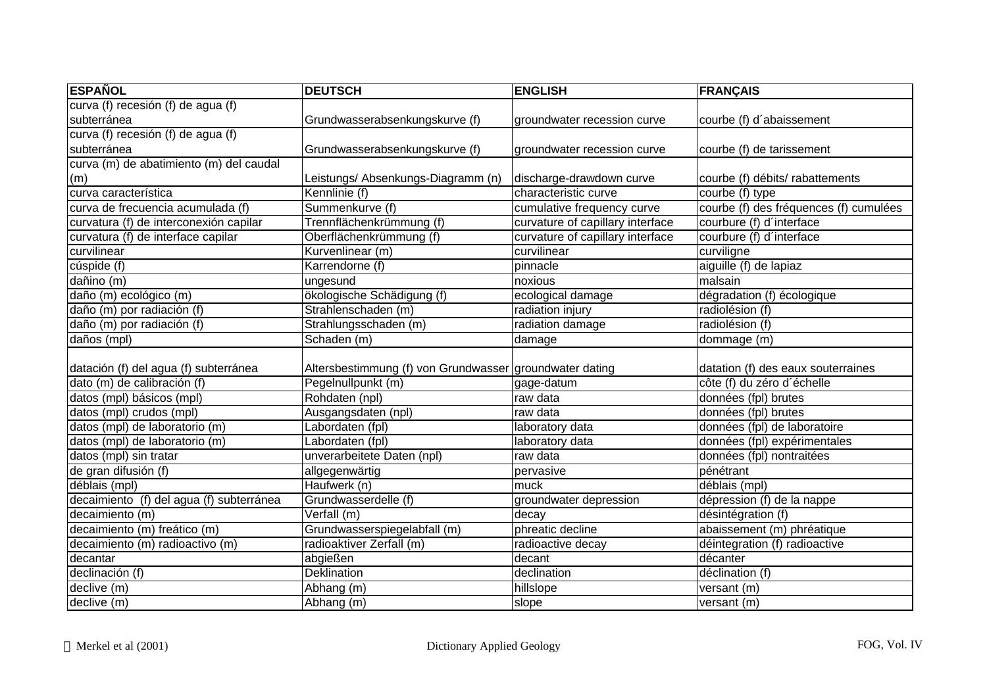| <b>ESPAÑOL</b>                           | <b>DEUTSCH</b>                                          | <b>ENGLISH</b>                   | <b>FRANÇAIS</b>                        |
|------------------------------------------|---------------------------------------------------------|----------------------------------|----------------------------------------|
| curva (f) recesión (f) de agua (f)       |                                                         |                                  |                                        |
| subterránea                              | Grundwasserabsenkungskurve (f)                          | groundwater recession curve      | courbe (f) d'abaissement               |
| curva (f) recesión (f) de agua (f)       |                                                         |                                  |                                        |
| subterránea                              | Grundwasserabsenkungskurve (f)                          | groundwater recession curve      | courbe (f) de tarissement              |
| curva (m) de abatimiento (m) del caudal  |                                                         |                                  |                                        |
| (m)                                      | Leistungs/ Absenkungs-Diagramm (n)                      | discharge-drawdown curve         | courbe (f) débits/ rabattements        |
| curva característica                     | Kennlinie (f)                                           | characteristic curve             | courbe (f) type                        |
| curva de frecuencia acumulada (f)        | Summenkurve (f)                                         | cumulative frequency curve       | courbe (f) des fréquences (f) cumulées |
| curvatura (f) de interconexión capilar   | Trennflächenkrümmung (f)                                | curvature of capillary interface | courbure (f) d'interface               |
| curvatura (f) de interface capilar       | Oberflächenkrümmung (f)                                 | curvature of capillary interface | courbure (f) d'interface               |
| curvilinear                              | Kurvenlinear (m)                                        | curvilinear                      | curviligne                             |
| cúspide (f)                              | Karrendorne (f)                                         | pinnacle                         | aiguille (f) de lapiaz                 |
| dañino (m)                               | ungesund                                                | noxious                          | malsain                                |
| daño (m) ecológico (m)                   | ökologische Schädigung (f)                              | ecological damage                | dégradation (f) écologique             |
| daño (m) por radiación (f)               | Strahlenschaden (m)                                     | radiation injury                 | radiolésion (f)                        |
| daño (m) por radiación (f)               | Strahlungsschaden (m)                                   | radiation damage                 | radiolésion (f)                        |
| daños (mpl)                              | Schaden (m)                                             | damage                           | dommage (m)                            |
| datación (f) del agua (f) subterránea    | Altersbestimmung (f) von Grundwasser groundwater dating |                                  | datation (f) des eaux souterraines     |
| dato (m) de calibración (f)              | Pegelnullpunkt (m)                                      | gage-datum                       | côte (f) du zéro d'échelle             |
| datos (mpl) básicos (mpl)                | Rohdaten (npl)                                          | raw data                         | données (fpl) brutes                   |
| datos (mpl) crudos (mpl)                 | Ausgangsdaten (npl)                                     | raw data                         | données (fpl) brutes                   |
| datos (mpl) de laboratorio (m)           | Labordaten (fpl)                                        | laboratory data                  | données (fpl) de laboratoire           |
| datos (mpl) de laboratorio (m)           | Labordaten (fpl)                                        | laboratory data                  | données (fpl) expérimentales           |
| datos (mpl) sin tratar                   | unverarbeitete Daten (npl)                              | raw data                         | données (fpl) nontraitées              |
| de gran difusión (f)                     | allgegenwärtig                                          | pervasive                        | pénétrant                              |
| déblais (mpl)                            | Haufwerk (n)                                            | muck                             | déblais (mpl)                          |
| decaimiento (f) del agua (f) subterránea | Grundwasserdelle (f)                                    | groundwater depression           | dépression (f) de la nappe             |
| decaimiento (m)                          | Verfall (m)                                             | decay                            | désintégration (f)                     |
| decaimiento (m) freático (m)             | Grundwasserspiegelabfall (m)                            | phreatic decline                 | abaissement (m) phréatique             |
| decaimiento (m) radioactivo (m)          | radioaktiver Zerfall (m)                                | radioactive decay                | déintegration (f) radioactive          |
| decantar                                 | abgießen                                                | decant                           | décanter                               |
| declinación (f)                          | <b>Deklination</b>                                      | declination                      | déclination (f)                        |
| declive (m)                              | Abhang (m)                                              | hillslope                        | versant (m)                            |
| declive(m)                               | Abhang (m)                                              | slope                            | versant (m)                            |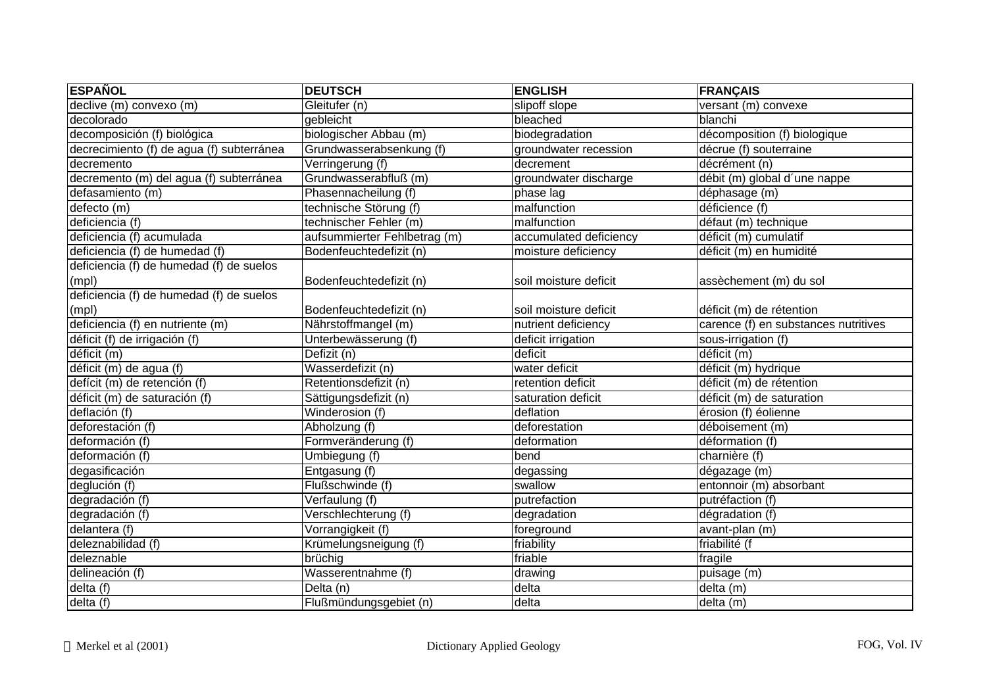| <b>ESPAÑOL</b>                            | <b>DEUTSCH</b>               | <b>ENGLISH</b>         | <b>FRANÇAIS</b>                      |
|-------------------------------------------|------------------------------|------------------------|--------------------------------------|
| declive (m) convexo (m)                   | Gleitufer (n)                | slipoff slope          | versant (m) convexe                  |
| decolorado                                | gebleicht                    | bleached               | blanchi                              |
| decomposición (f) biológica               | biologischer Abbau (m)       | biodegradation         | décomposition (f) biologique         |
| decrecimiento (f) de agua (f) subterránea | Grundwasserabsenkung (f)     | groundwater recession  | décrue (f) souterraine               |
| decremento                                | Verringerung (f)             | decrement              | décrément (n)                        |
| decremento (m) del agua (f) subterránea   | Grundwasserabfluß (m)        | groundwater discharge  | débit (m) global d'une nappe         |
| defasamiento (m)                          | Phasennacheilung (f)         | phase lag              | déphasage (m)                        |
| defecto (m)                               | technische Störung (f)       | malfunction            | déficience (f)                       |
| deficiencia (f)                           | technischer Fehler (m)       | malfunction            | défaut (m) technique                 |
| deficiencia (f) acumulada                 | aufsummierter Fehlbetrag (m) | accumulated deficiency | déficit (m) cumulatif                |
| deficiencia (f) de humedad (f)            | Bodenfeuchtedefizit (n)      | moisture deficiency    | déficit (m) en humidité              |
| deficiencia (f) de humedad (f) de suelos  |                              |                        |                                      |
| (mpl)                                     | Bodenfeuchtedefizit (n)      | soil moisture deficit  | assèchement (m) du sol               |
| deficiencia (f) de humedad (f) de suelos  |                              |                        |                                      |
| (mpl)                                     | Bodenfeuchtedefizit (n)      | soil moisture deficit  | déficit (m) de rétention             |
| deficiencia (f) en nutriente (m)          | Nährstoffmangel (m)          | nutrient deficiency    | carence (f) en substances nutritives |
| déficit (f) de irrigación (f)             | Unterbewässerung (f)         | deficit irrigation     | sous-irrigation (f)                  |
| déficit (m)                               | Defizit (n)                  | deficit                | déficit (m)                          |
| déficit (m) de agua (f)                   | Wasserdefizit (n)            | water deficit          | déficit (m) hydrique                 |
| defícit (m) de retención (f)              | Retentionsdefizit (n)        | retention deficit      | déficit (m) de rétention             |
| déficit (m) de saturación (f)             | Sättigungsdefizit (n)        | saturation deficit     | déficit (m) de saturation            |
| deflación (f)                             | Winderosion (f)              | deflation              | érosion (f) éolienne                 |
| deforestación (f)                         | Abholzung (f)                | deforestation          | déboisement (m)                      |
| deformación (f)                           | Formveränderung (f)          | deformation            | déformation (f)                      |
| deformación (f)                           | Umbiegung (f)                | bend                   | charnière (f)                        |
| degasificación                            | Entgasung (f)                | degassing              | dégazage (m)                         |
| deglución (f)                             | Flußschwinde (f)             | swallow                | entonnoir (m) absorbant              |
| degradación (f)                           | Verfaulung (f)               | putrefaction           | putréfaction (f)                     |
| degradación (f)                           | Verschlechterung (f)         | degradation            | dégradation (f)                      |
| delantera (f)                             | Vorrangigkeit (f)            | foreground             | avant-plan (m)                       |
| deleznabilidad (f)                        | Krümelungsneigung (f)        | friability             | friabilité (f                        |
| deleznable                                | brüchig                      | friable                | fragile                              |
| delineación (f)                           | Wasserentnahme (f)           | drawing                | puisage (m)                          |
| delta (f)                                 | Delta (n)                    | delta                  | delta (m)                            |
| delta(f)                                  | Flußmündungsgebiet (n)       | delta                  | delta (m)                            |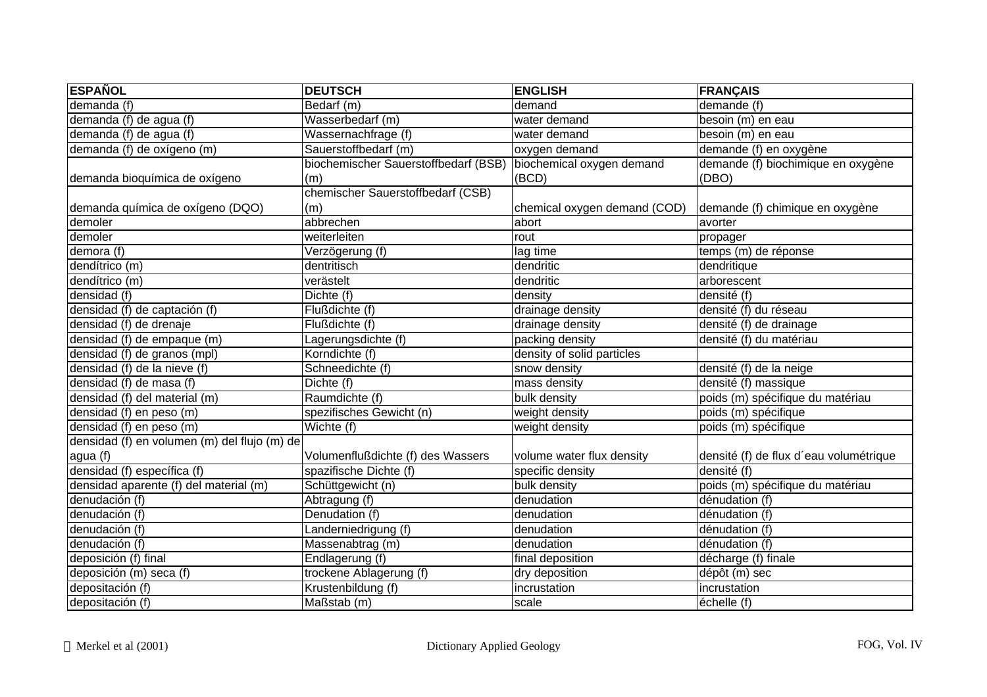| <b>ESPAÑOL</b>                               | <b>DEUTSCH</b>                       | <b>ENGLISH</b>               | <b>FRANÇAIS</b>                        |
|----------------------------------------------|--------------------------------------|------------------------------|----------------------------------------|
| demanda (f)                                  | Bedarf (m)                           | demand                       | demande (f)                            |
| demanda (f) de agua (f)                      | Wasserbedarf (m)                     | water demand                 | besoin (m) en eau                      |
| demanda (f) de agua (f)                      | Wassernachfrage (f)                  | water demand                 | besoin (m) en eau                      |
| demanda (f) de oxígeno (m)                   | Sauerstoffbedarf (m)                 | oxygen demand                | demande (f) en oxygène                 |
|                                              | biochemischer Sauerstoffbedarf (BSB) | biochemical oxygen demand    | demande (f) biochimique en oxygène     |
| demanda bioquímica de oxígeno                | (m)                                  | (BCD)                        | (DBO)                                  |
|                                              | chemischer Sauerstoffbedarf (CSB)    |                              |                                        |
| demanda química de oxígeno (DQO)             | (m)                                  | chemical oxygen demand (COD) | demande (f) chimique en oxygène        |
| demoler                                      | abbrechen                            | abort                        | avorter                                |
| demoler                                      | weiterleiten                         | rout                         | propager                               |
| $d$ emora $(f)$                              | Verzögerung (f)                      | lag time                     | temps (m) de réponse                   |
| dendítrico (m)                               | dentritisch                          | dendritic                    | dendritique                            |
| dendítrico (m)                               | verästelt                            | dendritic                    | arborescent                            |
| densidad (f)                                 | Dichte (f)                           | density                      | densité (f)                            |
| densidad (f) de captación (f)                | Flußdichte (f)                       | drainage density             | densité (f) du réseau                  |
| densidad (f) de drenaje                      | Flußdichte (f)                       | drainage density             | densité (f) de drainage                |
| densidad (f) de empaque (m)                  | Lagerungsdichte (f)                  | packing density              | densité (f) du matériau                |
| densidad (f) de granos (mpl)                 | Korndichte (f)                       | density of solid particles   |                                        |
| densidad (f) de la nieve (f)                 | Schneedichte (f)                     | snow density                 | densité (f) de la neige                |
| densidad (f) de masa (f)                     | Dichte (f)                           | mass density                 | densité (f) massique                   |
| densidad (f) del material (m)                | Raumdichte (f)                       | bulk density                 | poids (m) spécifique du matériau       |
| densidad (f) en peso (m)                     | spezifisches Gewicht (n)             | weight density               | poids (m) spécifique                   |
| densidad (f) en peso (m)                     | Wichte (f)                           | weight density               | poids (m) spécifique                   |
| densidad (f) en volumen (m) del flujo (m) de |                                      |                              |                                        |
| agua (f)                                     | Volumenflußdichte (f) des Wassers    | volume water flux density    | densité (f) de flux d'eau volumétrique |
| densidad (f) específica (f)                  | spazifische Dichte (f)               | specific density             | densité (f)                            |
| densidad aparente (f) del material (m)       | Schüttgewicht (n)                    | bulk density                 | poids (m) spécifique du matériau       |
| denudación (f)                               | Abtragung (f)                        | denudation                   | dénudation (f)                         |
| denudación (f)                               | Denudation (f)                       | denudation                   | dénudation (f)                         |
| denudación $(f)$                             | Landerniedrigung (f)                 | denudation                   | dénudation (f)                         |
| denudación (f)                               | Massenabtrag (m)                     | denudation                   | dénudation (f)                         |
| deposición (f) final                         | Endlagerung (f)                      | final deposition             | décharge (f) finale                    |
| deposición (m) seca (f)                      | trockene Ablagerung (f)              | dry deposition               | dépôt (m) sec                          |
| depositación (f)                             | Krustenbildung (f)                   | incrustation                 | incrustation                           |
| depositación (f)                             | Maßstab (m)                          | scale                        | échelle (f)                            |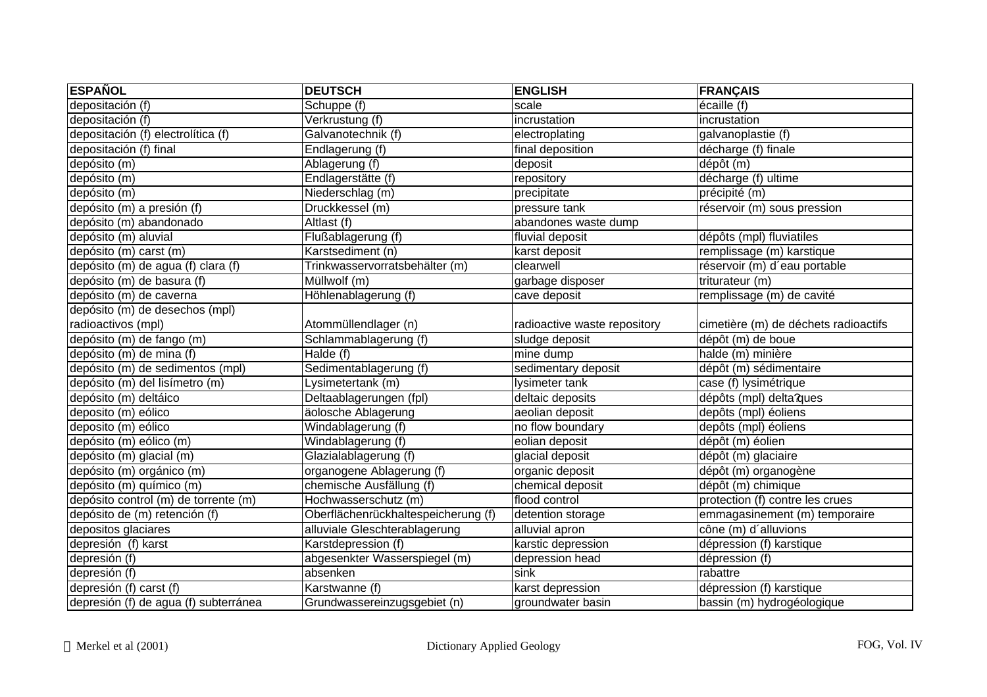| <b>ESPAÑOL</b>                        | <b>DEUTSCH</b>                      | <b>ENGLISH</b>               | <b>FRANÇAIS</b>                      |
|---------------------------------------|-------------------------------------|------------------------------|--------------------------------------|
| depositación (f)                      | Schuppe (f)                         | scale                        | écaille (f)                          |
| depositación (f)                      | Verkrustung (f)                     | incrustation                 | incrustation                         |
| depositación (f) electrolítica (f)    | Galvanotechnik (f)                  | electroplating               | galvanoplastie (f)                   |
| depositación (f) final                | Endlagerung (f)                     | final deposition             | décharge (f) finale                  |
| depósito (m)                          | Ablagerung (f)                      | deposit                      | dépôt (m)                            |
| depósito (m)                          | Endlagerstätte (f)                  | repository                   | décharge (f) ultime                  |
| depósito (m)                          | Niederschlag (m)                    | precipitate                  | précipité (m)                        |
| depósito (m) a presión (f)            | Druckkessel (m)                     | pressure tank                | réservoir (m) sous pression          |
| depósito (m) abandonado               | Altlast (f)                         | abandones waste dump         |                                      |
| depósito (m) aluvial                  | Flußablagerung (f)                  | fluvial deposit              | dépôts (mpl) fluviatiles             |
| depósito (m) carst (m)                | Karstsediment (n)                   | karst deposit                | remplissage (m) karstique            |
| depósito (m) de agua (f) clara (f)    | Trinkwasservorratsbehälter (m)      | clearwell                    | réservoir (m) d'eau portable         |
| depósito (m) de basura (f)            | Müllwolf (m)                        | garbage disposer             | triturateur (m)                      |
| depósito (m) de caverna               | Höhlenablagerung (f)                | cave deposit                 | remplissage (m) de cavité            |
| depósito (m) de desechos (mpl)        |                                     |                              |                                      |
| radioactivos (mpl)                    | Atommüllendlager (n)                | radioactive waste repository | cimetière (m) de déchets radioactifs |
| depósito (m) de fango (m)             | Schlammablagerung (f)               | sludge deposit               | dépôt (m) de boue                    |
| depósito (m) de mina (f)              | Halde (f)                           | mine dump                    | halde (m) minière                    |
| depósito (m) de sedimentos (mpl)      | Sedimentablagerung (f)              | sedimentary deposit          | dépôt (m) sédimentaire               |
| depósito (m) del lisímetro (m)        | Lysimetertank (m)                   | lysimeter tank               | case (f) lysimétrique                |
| depósito (m) deltáico                 | Deltaablagerungen (fpl)             | deltaic deposits             | dépôts (mpl) delta?ques              |
| deposito (m) eólico                   | äolosche Ablagerung                 | aeolian deposit              | depôts (mpl) éoliens                 |
| deposito (m) eólico                   | Windablagerung (f)                  | no flow boundary             | depôts (mpl) éoliens                 |
| depósito (m) eólico (m)               | Windablagerung (f)                  | eolian deposit               | dépôt (m) éolien                     |
| depósito (m) glacial (m)              | Glazialablagerung (f)               | glacial deposit              | dépôt (m) glaciaire                  |
| depósito (m) orgánico (m)             | organogene Ablagerung (f)           | organic deposit              | dépôt (m) organogène                 |
| depósito (m) químico (m)              | chemische Ausfällung (f)            | chemical deposit             | dépôt (m) chimique                   |
| depósito control (m) de torrente (m)  | Hochwasserschutz (m)                | flood control                | protection (f) contre les crues      |
| depósito de (m) retención (f)         | Oberflächenrückhaltespeicherung (f) | detention storage            | emmagasinement (m) temporaire        |
| depositos glaciares                   | alluviale Gleschterablagerung       | alluvial apron               | cône (m) d'alluvions                 |
| depresión (f) karst                   | Karstdepression (f)                 | karstic depression           | dépression (f) karstique             |
| depresión (f)                         | abgesenkter Wasserspiegel (m)       | depression head              | dépression (f)                       |
| depresión (f)                         | absenken                            | sink                         | rabattre                             |
| depresión (f) carst (f)               | Karstwanne (f)                      | karst depression             | dépression (f) karstique             |
| depresión (f) de agua (f) subterránea | Grundwassereinzugsgebiet (n)        | groundwater basin            | bassin (m) hydrogéologique           |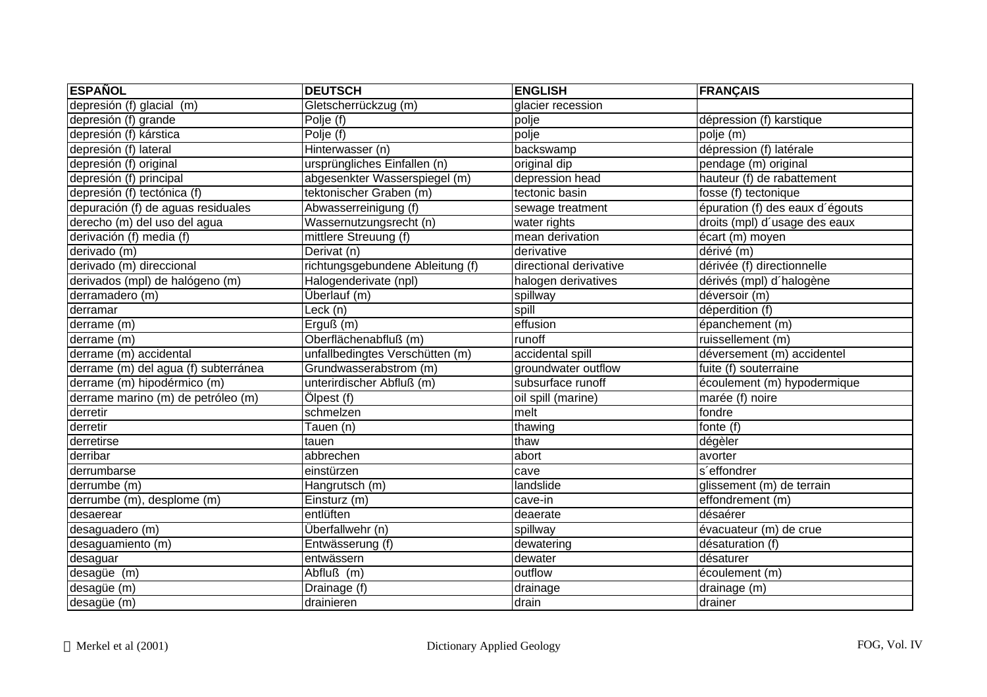| <b>ESPAÑOL</b>                       | <b>DEUTSCH</b>                   | <b>ENGLISH</b>         | <b>FRANÇAIS</b>                 |
|--------------------------------------|----------------------------------|------------------------|---------------------------------|
| depresión (f) glacial (m)            | Gletscherrückzug (m)             | glacier recession      |                                 |
| depresión (f) grande                 | Polje (f)                        | polje                  | dépression (f) karstique        |
| depresión (f) kárstica               | Polje (f)                        | polje                  | polje (m)                       |
| depresión (f) lateral                | Hinterwasser (n)                 | backswamp              | dépression (f) latérale         |
| depresión (f) original               | ursprüngliches Einfallen (n)     | original dip           | pendage (m) original            |
| depresión (f) principal              | abgesenkter Wasserspiegel (m)    | depression head        | hauteur (f) de rabattement      |
| depresión (f) tectónica (f)          | tektonischer Graben (m)          | tectonic basin         | fosse (f) tectonique            |
| depuración (f) de aguas residuales   | Abwasserreinigung (f)            | sewage treatment       | épuration (f) des eaux d'égouts |
| derecho (m) del uso del agua         | Wassernutzungsrecht (n)          | water rights           | droits (mpl) d'usage des eaux   |
| derivación $(f)$ media $(f)$         | mittlere Streuung (f)            | mean derivation        | écart (m) moyen                 |
| derivado (m)                         | Derivat (n)                      | derivative             | dérivé (m)                      |
| derivado (m) direccional             | richtungsgebundene Ableitung (f) | directional derivative | dérivée (f) directionnelle      |
| derivados (mpl) de halógeno (m)      | Halogenderivate (npl)            | halogen derivatives    | dérivés (mpl) d'halogène        |
| derramadero (m)                      | Überlauf (m)                     | spillway               | déversoir (m)                   |
| derramar                             | Leck (n)                         | spill                  | déperdition (f)                 |
| derrame (m)                          | $E$ rguß $(m)$                   | effusion               | épanchement (m)                 |
| derrame (m)                          | Oberflächenabfluß (m)            | runoff                 | ruissellement (m)               |
| derrame (m) accidental               | unfallbedingtes Verschütten (m)  | accidental spill       | déversement (m) accidentel      |
| derrame (m) del agua (f) subterránea | Grundwasserabstrom (m)           | groundwater outflow    | fuite (f) souterraine           |
| derrame (m) hipodérmico (m)          | unterirdischer Abfluß (m)        | subsurface runoff      | écoulement (m) hypodermique     |
| derrame marino (m) de petróleo (m)   | Ölpest (f)                       | oil spill (marine)     | marée (f) noire                 |
| derretir                             | schmelzen                        | melt                   | fondre                          |
| derretir                             | Tauen (n)                        | thawing                | fonte (f)                       |
| derretirse                           | tauen                            | thaw                   | dégèler                         |
| derribar                             | abbrechen                        | abort                  | avorter                         |
| derrumbarse                          | einstürzen                       | cave                   | s'effondrer                     |
| derrumbe (m)                         | Hangrutsch (m)                   | landslide              | glissement (m) de terrain       |
| derrumbe (m), desplome (m)           | Einsturz (m)                     | cave-in                | effondrement (m)                |
| desaerear                            | entlüften                        | deaerate               | désaérer                        |
| desaguadero (m)                      | Überfallwehr (n)                 | spillway               | évacuateur $(m)$ de crue        |
| desaguamiento (m)                    | Entwässerung (f)                 | dewatering             | désaturation (f)                |
| desaguar                             | entwässern                       | dewater                | désaturer                       |
| desagüe (m)                          | Abfluß (m)                       | outflow                | écoulement (m)                  |
| desagüe (m)                          | Drainage (f)                     | drainage               | drainage (m)                    |
| desagüe (m)                          | drainieren                       | drain                  | drainer                         |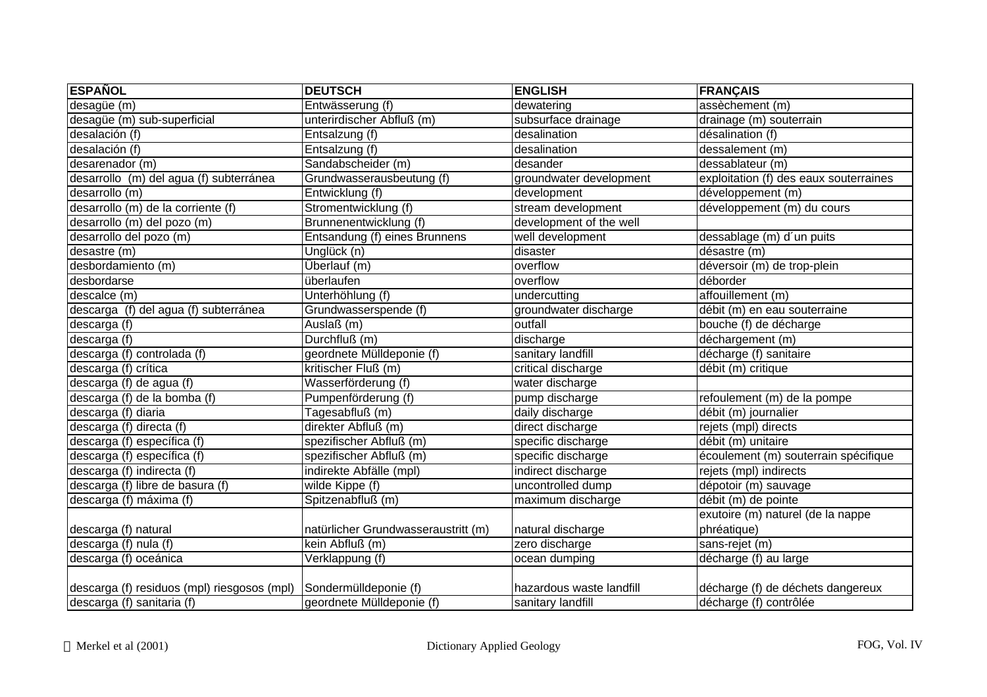| <b>ESPAÑOL</b>                              | <b>DEUTSCH</b>                      | <b>ENGLISH</b>           | <b>FRANÇAIS</b>                        |
|---------------------------------------------|-------------------------------------|--------------------------|----------------------------------------|
| desagüe (m)                                 | Entwässerung (f)                    | dewatering               | assèchement (m)                        |
| desagüe (m) sub-superficial                 | unterirdischer Abfluß (m)           | subsurface drainage      | drainage (m) souterrain                |
| desalación (f)                              | Entsalzung (f)                      | desalination             | désalination (f)                       |
| desalación (f)                              | Entsalzung (f)                      | desalination             | dessalement (m)                        |
| desarenador (m)                             | Sandabscheider (m)                  | desander                 | dessablateur (m)                       |
| desarrollo (m) del agua (f) subterránea     | Grundwasserausbeutung (f)           | groundwater development  | exploitation (f) des eaux souterraines |
| desarrollo (m)                              | Entwicklung (f)                     | development              | développement (m)                      |
| desarrollo (m) de la corriente (f)          | Stromentwicklung (f)                | stream development       | développement (m) du cours             |
| desarrollo (m) del pozo (m)                 | Brunnenentwicklung (f)              | development of the well  |                                        |
| desarrollo del pozo (m)                     | Entsandung (f) eines Brunnens       | well development         | dessablage (m) d'un puits              |
| desastre (m)                                | Unglück (n)                         | disaster                 | désastre (m)                           |
| desbordamiento (m)                          | Überlauf (m)                        | overflow                 | déversoir (m) de trop-plein            |
| desbordarse                                 | überlaufen                          | overflow                 | déborder                               |
| descalce (m)                                | Unterhöhlung (f)                    | undercutting             | affouillement (m)                      |
| descarga (f) del agua (f) subterránea       | Grundwasserspende (f)               | groundwater discharge    | débit (m) en eau souterraine           |
| descarga (f)                                | Auslaß (m)                          | outfall                  | bouche (f) de décharge                 |
| descarga (f)                                | Durchfluß (m)                       | discharge                | déchargement (m)                       |
| descarga (f) controlada (f)                 | geordnete Mülldeponie (f)           | sanitary landfill        | décharge (f) sanitaire                 |
| descarga (f) crítica                        | kritischer Fluß (m)                 | critical discharge       | débit (m) critique                     |
| descarga (f) de agua (f)                    | Wasserförderung (f)                 | water discharge          |                                        |
| descarga (f) de la bomba (f)                | Pumpenförderung (f)                 | pump discharge           | refoulement (m) de la pompe            |
| descarga (f) diaria                         | Tagesabfluß (m)                     | daily discharge          | débit (m) journalier                   |
| descarga (f) directa (f)                    | direkter Abfluß (m)                 | direct discharge         | rejets (mpl) directs                   |
| descarga (f) específica (f)                 | spezifischer Abfluß (m)             | specific discharge       | débit (m) unitaire                     |
| descarga (f) específica (f)                 | spezifischer Abfluß (m)             | specific discharge       | écoulement (m) souterrain spécifique   |
| descarga (f) indirecta (f)                  | indirekte Abfälle (mpl)             | indirect discharge       | rejets (mpl) indirects                 |
| descarga (f) libre de basura (f)            | wilde Kippe (f)                     | uncontrolled dump        | dépotoir (m) sauvage                   |
| descarga (f) máxima (f)                     | Spitzenabfluß (m)                   | maximum discharge        | débit (m) de pointe                    |
|                                             |                                     |                          | exutoire (m) naturel (de la nappe      |
| descarga (f) natural                        | natürlicher Grundwasseraustritt (m) | natural discharge        | phréatique)                            |
| descarga (f) nula (f)                       | kein Abfluß (m)                     | zero discharge           | sans-rejet (m)                         |
| descarga (f) oceánica                       | Verklappung (f)                     | ocean dumping            | décharge (f) au large                  |
|                                             |                                     |                          |                                        |
| descarga (f) residuos (mpl) riesgosos (mpl) | Sondermülldeponie (f)               | hazardous waste landfill | décharge (f) de déchets dangereux      |
| descarga (f) sanitaria (f)                  | geordnete Mülldeponie (f)           | sanitary landfill        | décharge (f) contrôlée                 |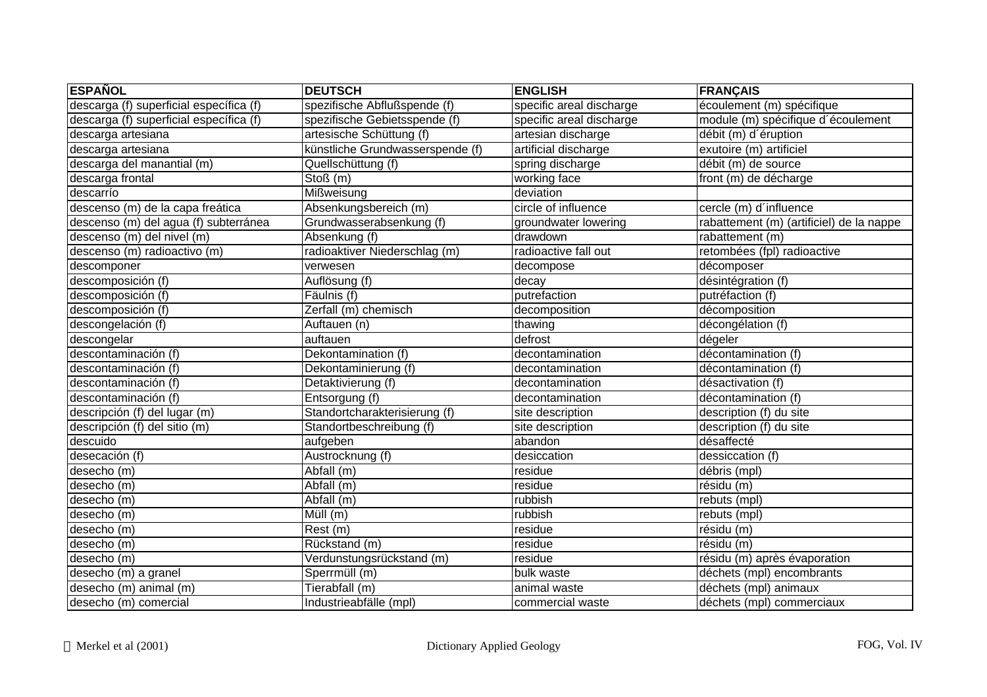| <b>ESPAÑOL</b>                          | <b>DEUTSCH</b>                   | <b>ENGLISH</b>           | <b>FRANÇAIS</b>                          |
|-----------------------------------------|----------------------------------|--------------------------|------------------------------------------|
| descarga (f) superficial específica (f) | spezifische Abflußspende (f)     | specific areal discharge | écoulement (m) spécifique                |
| descarga (f) superficial específica (f) | spezifische Gebietsspende (f)    | specific areal discharge | module (m) spécifique d'écoulement       |
| descarga artesiana                      | artesische Schüttung (f)         | artesian discharge       | débit (m) d'éruption                     |
| descarga artesiana                      | künstliche Grundwasserspende (f) | artificial discharge     | exutoire (m) artificiel                  |
| descarga del manantial (m)              | Quellschüttung (f)               | spring discharge         | débit (m) de source                      |
| descarga frontal                        | $\overline{Stoß}$ (m)            | working face             | front (m) de décharge                    |
| descarrío                               | Mißweisung                       | deviation                |                                          |
| descenso (m) de la capa freática        | Absenkungsbereich (m)            | circle of influence      | cercle (m) d'influence                   |
| descenso (m) del agua (f) subterránea   | Grundwasserabsenkung (f)         | groundwater lowering     | rabattement (m) (artificiel) de la nappe |
| descenso (m) del nivel (m)              | Absenkung (f)                    | drawdown                 | rabattement (m)                          |
| descenso (m) radioactivo (m)            | radioaktiver Niederschlag (m)    | radioactive fall out     | retombées (fpl) radioactive              |
| descomponer                             | verwesen                         | decompose                | décomposer                               |
| descomposición (f)                      | Auflösung (f)                    | decay                    | désintégration (f)                       |
| descomposición (f)                      | Fäulnis (f)                      | putrefaction             | putréfaction (f)                         |
| descomposición (f)                      | Zerfall (m) chemisch             | decomposition            | décomposition                            |
| descongelación (f)                      | Auftauen (n)                     | thawing                  | décongélation (f)                        |
| descongelar                             | auftauen                         | defrost                  | dégeler                                  |
| descontaminación (f)                    | Dekontamination (f)              | decontamination          | décontamination (f)                      |
| descontaminación (f)                    | Dekontaminierung (f)             | decontamination          | décontamination (f)                      |
| descontaminación (f)                    | Detaktivierung (f)               | decontamination          | désactivation (f)                        |
| descontaminación (f)                    | Entsorgung (f)                   | decontamination          | décontamination (f)                      |
| descripción (f) del lugar (m)           | Standortcharakterisierung (f)    | site description         | description (f) du site                  |
| descripción (f) del sitio (m)           | Standortbeschreibung (f)         | site description         | description (f) du site                  |
| descuido                                | aufgeben                         | abandon                  | désaffecté                               |
| desecación (f)                          | Austrocknung (f)                 | desiccation              | dessiccation (f)                         |
| desecho (m)                             | Abfall (m)                       | residue                  | débris (mpl)                             |
| desecho (m)                             | Abfall (m)                       | residue                  | $r\acute{e}$ sidu (m)                    |
| desecho (m)                             | Abfall (m)                       | rubbish                  | rebuts (mpl)                             |
| desecho (m)                             | Müll (m)                         | rubbish                  | rebuts (mpl)                             |
| desecho (m)                             | $\overline{Rest}$ (m)            | residue                  | résidu (m)                               |
| desecho (m)                             | Rückstand (m)                    | residue                  | résidu (m)                               |
| desecho (m)                             | Verdunstungsrückstand (m)        | residue                  | résidu (m) après évaporation             |
| desecho (m) a granel                    | Sperrmüll (m)                    | bulk waste               | déchets (mpl) encombrants                |
| desecho (m) animal (m)                  | Tierabfall (m)                   | animal waste             | déchets (mpl) animaux                    |
| desecho (m) comercial                   | Industrieabfälle (mpl)           | commercial waste         | déchets (mpl) commerciaux                |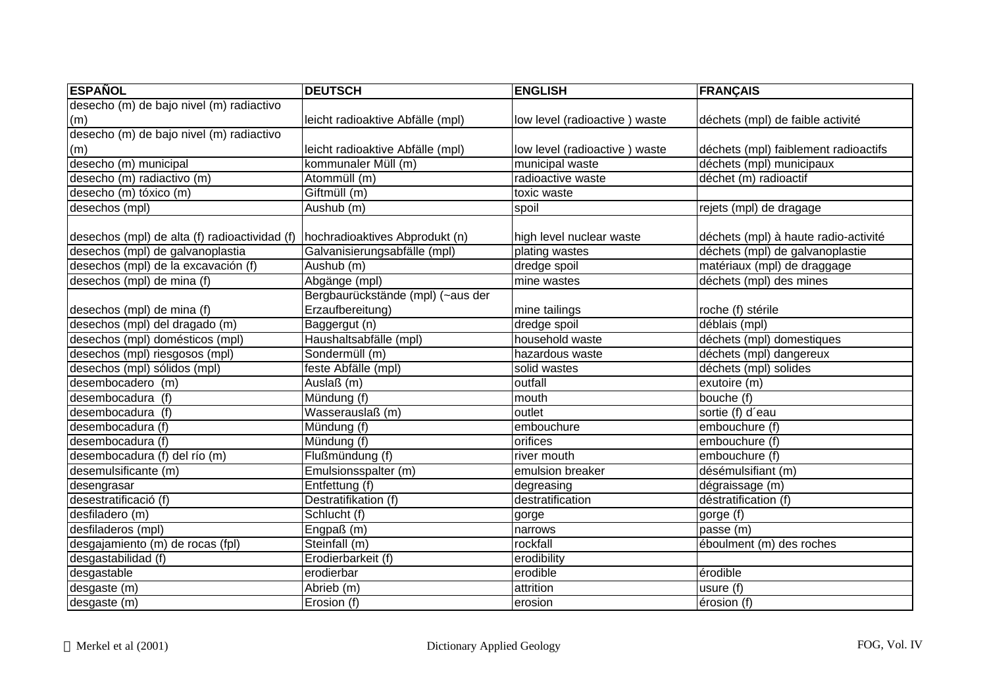| <b>ESPAÑOL</b>                                | <b>DEUTSCH</b>                    | <b>ENGLISH</b>                | <b>FRANÇAIS</b>                      |
|-----------------------------------------------|-----------------------------------|-------------------------------|--------------------------------------|
| desecho (m) de bajo nivel (m) radiactivo      |                                   |                               |                                      |
| (m)                                           | leicht radioaktive Abfälle (mpl)  | low level (radioactive) waste | déchets (mpl) de faible activité     |
| desecho (m) de bajo nivel (m) radiactivo      |                                   |                               |                                      |
| (m)                                           | leicht radioaktive Abfälle (mpl)  | low level (radioactive) waste | déchets (mpl) faiblement radioactifs |
| desecho (m) municipal                         | kommunaler Müll (m)               | municipal waste               | déchets (mpl) municipaux             |
| desecho (m) radiactivo (m)                    | Atommüll (m)                      | radioactive waste             | déchet (m) radioactif                |
| desecho (m) tóxico (m)                        | Giftmüll (m)                      | toxic waste                   |                                      |
| desechos (mpl)                                | Aushub (m)                        | spoil                         | rejets (mpl) de dragage              |
|                                               |                                   |                               |                                      |
| desechos (mpl) de alta (f) radioactividad (f) | hochradioaktives Abprodukt (n)    | high level nuclear waste      | déchets (mpl) à haute radio-activité |
| desechos (mpl) de galvanoplastia              | Galvanisierungsabfälle (mpl)      | plating wastes                | déchets (mpl) de galvanoplastie      |
| desechos (mpl) de la excavación (f)           | Aushub (m)                        | dredge spoil                  | matériaux (mpl) de draggage          |
| desechos (mpl) de mina (f)                    | Abgänge (mpl)                     | mine wastes                   | déchets (mpl) des mines              |
|                                               | Bergbaurückstände (mpl) (~aus der |                               |                                      |
| desechos (mpl) de mina (f)                    | Erzaufbereitung)                  | mine tailings                 | roche (f) stérile                    |
| desechos (mpl) del dragado (m)                | Baggergut (n)                     | dredge spoil                  | déblais (mpl)                        |
| desechos (mpl) domésticos (mpl)               | Haushaltsabfälle (mpl)            | household waste               | déchets (mpl) domestiques            |
| desechos (mpl) riesgosos (mpl)                | Sondermüll (m)                    | hazardous waste               | déchets (mpl) dangereux              |
| desechos (mpl) sólidos (mpl)                  | feste Abfälle (mpl)               | solid wastes                  | déchets (mpl) solides                |
| desembocadero (m)                             | Auslaß (m)                        | outfall                       | exutoire (m)                         |
| desembocadura (f)                             | Mündung (f)                       | mouth                         | bouche (f)                           |
| desembocadura (f)                             | Wasserauslaß (m)                  | outlet                        | sortie (f) d'eau                     |
| desembocadura (f)                             | Mündung (f)                       | embouchure                    | embouchure (f)                       |
| desembocadura (f)                             | Mündung (f)                       | orifices                      | embouchure (f)                       |
| desembocadura (f) del río (m)                 | Flußmündung (f)                   | river mouth                   | embouchure (f)                       |
| desemulsificante (m)                          | Emulsionsspalter (m)              | emulsion breaker              | désémulsifiant (m)                   |
| desengrasar                                   | Entfettung (f)                    | degreasing                    | dégraissage (m)                      |
| desestratificació (f)                         | Destratifikation (f)              | destratification              | déstratification (f)                 |
| desfiladero (m)                               | Schlucht (f)                      | gorge                         | gorge (f)                            |
| desfiladeros (mpl)                            | Engpaß (m)                        | narrows                       | passe (m)                            |
| desgajamiento (m) de rocas (fpl)              | Steinfall (m)                     | rockfall                      | éboulment (m) des roches             |
| desgastabilidad (f)                           | Erodierbarkeit (f)                | erodibility                   |                                      |
| desgastable                                   | erodierbar                        | erodible                      | érodible                             |
| desgaste (m)                                  | Abrieb (m)                        | attrition                     | usure (f)                            |
| desgaste (m)                                  | Erosion (f)                       | erosion                       | érosion (f)                          |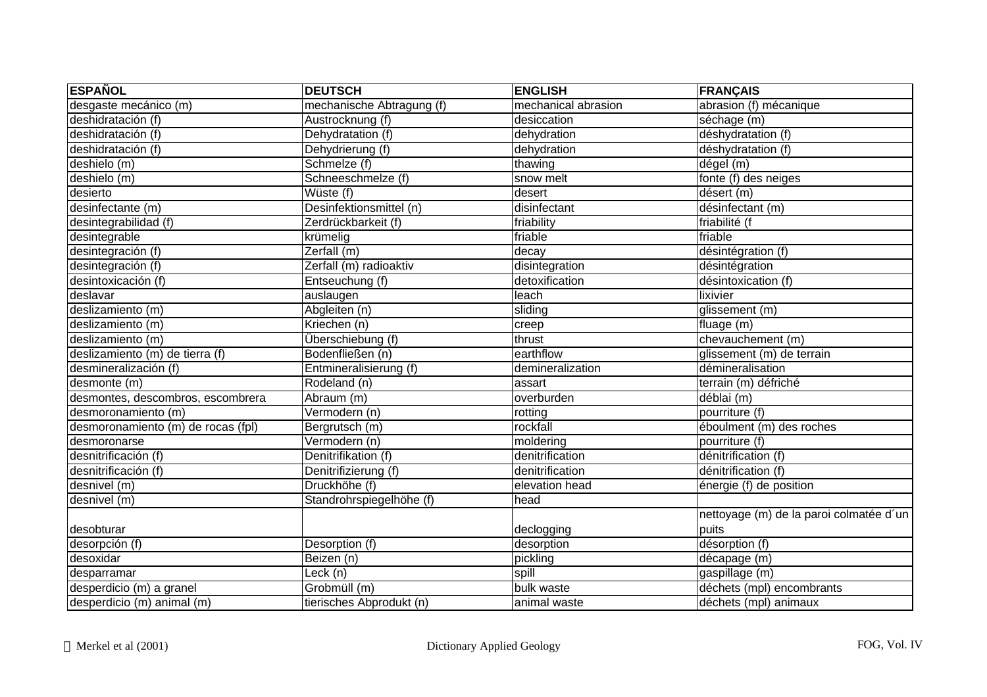| <b>ESPAÑOL</b>                     | <b>DEUTSCH</b>            | <b>ENGLISH</b>      | FRANÇAIS                                |
|------------------------------------|---------------------------|---------------------|-----------------------------------------|
| desgaste mecánico (m)              | mechanische Abtragung (f) | mechanical abrasion | abrasion (f) mécanique                  |
| deshidratación (f)                 | Austrocknung (f)          | desiccation         | séchage (m)                             |
| deshidratación (f)                 | Dehydratation (f)         | dehydration         | déshydratation (f)                      |
| deshidratación (f)                 | Dehydrierung (f)          | dehydration         | déshydratation (f)                      |
| deshielo (m)                       | Schmelze (f)              | thawing             | dégel (m)                               |
| deshielo (m)                       | Schneeschmelze (f)        | snow melt           | fonte (f) des neiges                    |
| desierto                           | Wüste (f)                 | desert              | désert (m)                              |
| desinfectante (m)                  | Desinfektionsmittel (n)   | disinfectant        | désinfectant (m)                        |
| desintegrabilidad (f)              | Zerdrückbarkeit (f)       | friability          | friabilité (f                           |
| desintegrable                      | krümelig                  | friable             | friable                                 |
| desintegración (f)                 | Zerfall (m)               | decay               | désintégration (f)                      |
| desintegración (f)                 | Zerfall (m) radioaktiv    | disintegration      | désintégration                          |
| desintoxicación (f)                | Entseuchung (f)           | detoxification      | désintoxication (f)                     |
| deslavar                           | auslaugen                 | leach               | lixivier                                |
| deslizamiento (m)                  | Abgleiten (n)             | sliding             | glissement (m)                          |
| deslizamiento (m)                  | Kriechen (n)              | creep               | fluage (m)                              |
| deslizamiento (m)                  | Überschiebung (f)         | thrust              | chevauchement (m)                       |
| deslizamiento (m) de tierra (f)    | Bodenfließen (n)          | earthflow           | glissement (m) de terrain               |
| desmineralización (f)              | Entmineralisierung (f)    | demineralization    | démineralisation                        |
| desmonte (m)                       | Rodeland (n)              | assart              | terrain (m) défriché                    |
| desmontes, descombros, escombrera  | Abraum (m)                | overburden          | déblai (m)                              |
| desmoronamiento (m)                | Vermodern (n)             | rotting             | pourriture (f)                          |
| desmoronamiento (m) de rocas (fpl) | Bergrutsch (m)            | rockfall            | éboulment (m) des roches                |
| desmoronarse                       | Vermodern (n)             | moldering           | pourriture (f)                          |
| desnitrificación (f)               | Denitrifikation (f)       | denitrification     | dénitrification (f)                     |
| desnitrificación (f)               | Denitrifizierung (f)      | denitrification     | dénitrification (f)                     |
| desnivel (m)                       | Druckhöhe (f)             | elevation head      | énergie (f) de position                 |
| desnivel (m)                       | Standrohrspiegelhöhe (f)  | head                |                                         |
|                                    |                           |                     | nettoyage (m) de la paroi colmatée d'un |
| desobturar                         |                           | declogging          | puits                                   |
| desorpción (f)                     | Desorption (f)            | desorption          | désorption (f)                          |
| desoxidar                          | Beizen (n)                | pickling            | décapage (m)                            |
| desparramar                        | Leck (n)                  | spill               | gaspillage (m)                          |
| desperdicio (m) a granel           | Grobmüll (m)              | bulk waste          | déchets (mpl) encombrants               |
| desperdicio (m) animal (m)         | tierisches Abprodukt (n)  | animal waste        | déchets (mpl) animaux                   |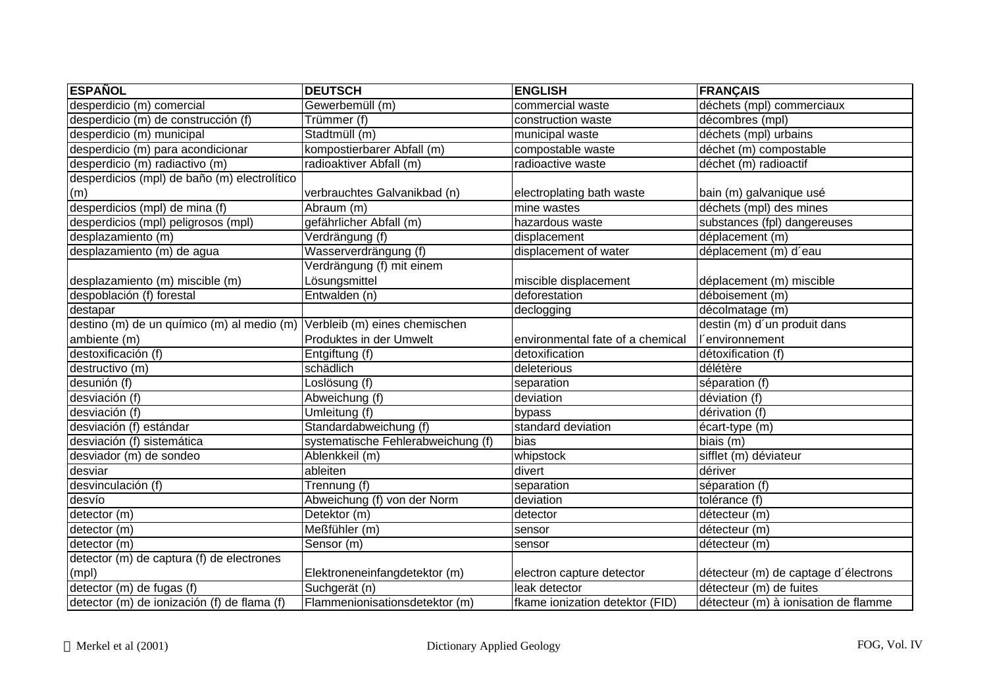| <b>ESPAÑOL</b>                               | <b>DEUTSCH</b>                     | <b>ENGLISH</b>                   | <b>FRANÇAIS</b>                      |
|----------------------------------------------|------------------------------------|----------------------------------|--------------------------------------|
| desperdicio (m) comercial                    | Gewerbemüll (m)                    | commercial waste                 | déchets (mpl) commerciaux            |
| desperdicio (m) de construcción (f)          | Trümmer (f)                        | construction waste               | décombres (mpl)                      |
| desperdicio (m) municipal                    | Stadtmüll (m)                      | municipal waste                  | déchets (mpl) urbains                |
| desperdicio (m) para acondicionar            | kompostierbarer Abfall (m)         | compostable waste                | déchet (m) compostable               |
| desperdicio (m) radiactivo (m)               | radioaktiver Abfall (m)            | radioactive waste                | déchet (m) radioactif                |
| desperdicios (mpl) de baño (m) electrolítico |                                    |                                  |                                      |
| (m)                                          | verbrauchtes Galvanikbad (n)       | electroplating bath waste        | bain (m) galvanique usé              |
| desperdicios (mpl) de mina (f)               | Abraum (m)                         | mine wastes                      | déchets (mpl) des mines              |
| desperdicios (mpl) peligrosos (mpl)          | gefährlicher Abfall (m)            | hazardous waste                  | substances (fpl) dangereuses         |
| desplazamiento (m)                           | Verdrängung (f)                    | displacement                     | déplacement (m)                      |
| desplazamiento (m) de agua                   | Wasserverdrängung (f)              | displacement of water            | déplacement (m) d'eau                |
|                                              | Verdrängung (f) mit einem          |                                  |                                      |
| desplazamiento (m) miscible (m)              | Lösungsmittel                      | miscible displacement            | déplacement (m) miscible             |
| despoblación (f) forestal                    | Entwalden (n)                      | deforestation                    | déboisement (m)                      |
| destapar                                     |                                    | declogging                       | décolmatage (m)                      |
| destino (m) de un químico (m) al medio (m)   | Verbleib (m) eines chemischen      |                                  | destin (m) d'un produit dans         |
| ambiente (m)                                 | Produktes in der Umwelt            | environmental fate of a chemical | l'environnement                      |
| destoxificación (f)                          | Entgiftung (f)                     | detoxification                   | détoxification (f)                   |
| destructivo (m)                              | schädlich                          | deleterious                      | délétère                             |
| desunión (f)                                 | Loslösung (f)                      | separation                       | séparation (f)                       |
| desviación (f)                               | Abweichung (f)                     | deviation                        | déviation (f)                        |
| desviación (f)                               | Umleitung (f)                      | bypass                           | dérivation (f)                       |
| desviación (f) estándar                      | Standardabweichung (f)             | standard deviation               | écart-type (m)                       |
| desviación (f) sistemática                   | systematische Fehlerabweichung (f) | bias                             | biais (m)                            |
| desviador (m) de sondeo                      | Ablenkkeil (m)                     | whipstock                        | sifflet (m) déviateur                |
| desviar                                      | ableiten                           | divert                           | dériver                              |
| desvinculación (f)                           | Trennung (f)                       | separation                       | séparation (f)                       |
| desvío                                       | Abweichung (f) von der Norm        | deviation                        | tolérance (f)                        |
| detector (m)                                 | Detektor (m)                       | detector                         | détecteur (m)                        |
| detector (m)                                 | Meßfühler (m)                      | sensor                           | détecteur (m)                        |
| detector (m)                                 | Sensor (m)                         | sensor                           | détecteur (m)                        |
| detector (m) de captura (f) de electrones    |                                    |                                  |                                      |
| $\mathsf{[mpl)}$                             | Elektroneneinfangdetektor (m)      | electron capture detector        | détecteur (m) de captage d'électrons |
| detector (m) de fugas (f)                    | Suchgerät (n)                      | leak detector                    | détecteur (m) de fuites              |
| detector (m) de ionización (f) de flama (f)  | Flammenionisationsdetektor (m)     | fkame ionization detektor (FID)  | détecteur (m) à ionisation de flamme |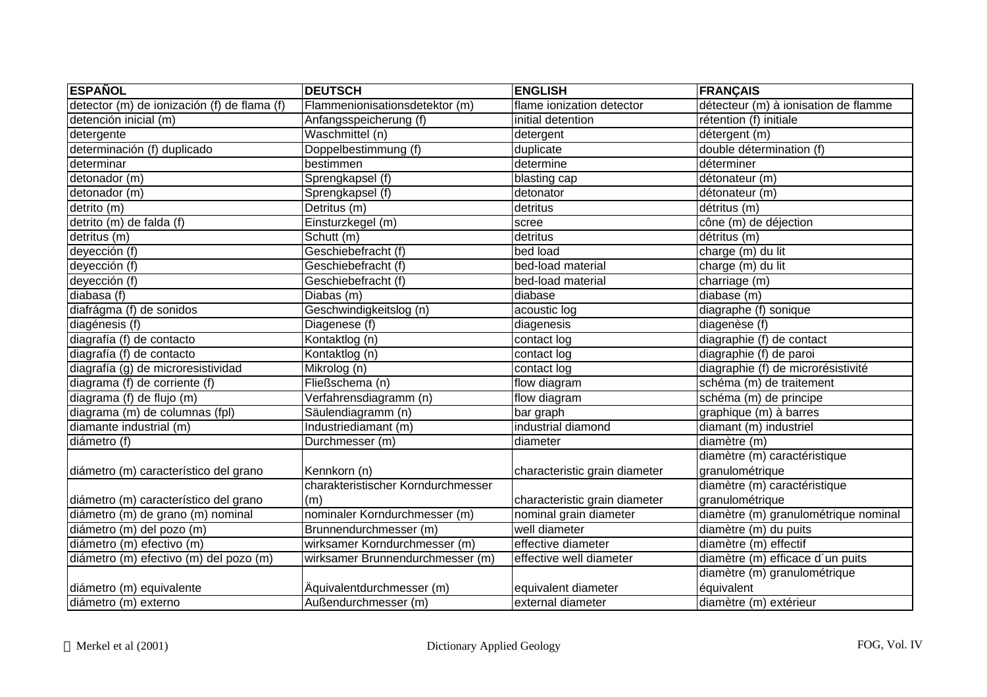| <b>ESPAÑOL</b>                              | <b>DEUTSCH</b>                     | <b>ENGLISH</b>                | <b>FRANÇAIS</b>                      |
|---------------------------------------------|------------------------------------|-------------------------------|--------------------------------------|
| detector (m) de ionización (f) de flama (f) | Flammenionisationsdetektor (m)     | flame ionization detector     | détecteur (m) à ionisation de flamme |
| detención inicial (m)                       | Anfangsspeicherung (f)             | initial detention             | rétention (f) initiale               |
| detergente                                  | Waschmittel (n)                    | detergent                     | détergent (m)                        |
| determinación (f) duplicado                 | Doppelbestimmung (f)               | duplicate                     | double détermination (f)             |
| determinar                                  | bestimmen                          | determine                     | déterminer                           |
| detonador (m)                               | Sprengkapsel (f)                   | blasting cap                  | détonateur (m)                       |
| detonador (m)                               | Sprengkapsel (f)                   | detonator                     | détonateur (m)                       |
| detrito (m)                                 | Detritus (m)                       | detritus                      | détritus (m)                         |
| detrito (m) de falda (f)                    | Einsturzkegel (m)                  | scree                         | cône (m) de déjection                |
| detritus (m)                                | Schutt (m)                         | detritus                      | détritus (m)                         |
| deyección (f)                               | Geschiebefracht (f)                | bed load                      | charge (m) du lit                    |
| deyección (f)                               | Geschiebefracht (f)                | bed-load material             | charge (m) du lit                    |
| deyección (f)                               | Geschiebefracht (f)                | bed-load material             | charriage (m)                        |
| diabasa (f)                                 | Diabas (m)                         | diabase                       | diabase (m)                          |
| diafrágma (f) de sonidos                    | Geschwindigkeitslog (n)            | acoustic log                  | diagraphe (f) sonique                |
| diagénesis (f)                              | Diagenese (f)                      | diagenesis                    | diagenèse (f)                        |
| diagrafía (f) de contacto                   | Kontaktlog (n)                     | contact log                   | diagraphie (f) de contact            |
| diagrafía (f) de contacto                   | Kontaktlog (n)                     | contact log                   | diagraphie (f) de paroi              |
| diagrafía (g) de microresistividad          | Mikrolog (n)                       | contact log                   | diagraphie (f) de microrésistivité   |
| diagrama (f) de corriente (f)               | Fließschema (n)                    | flow diagram                  | schéma (m) de traitement             |
| diagrama (f) de flujo (m)                   | Verfahrensdiagramm (n)             | flow diagram                  | schéma (m) de principe               |
| diagrama (m) de columnas (fpl)              | Säulendiagramm (n)                 | bar graph                     | graphique (m) à barres               |
| diamante industrial (m)                     | Industriediamant (m)               | industrial diamond            | diamant (m) industriel               |
| diámetro (f)                                | Durchmesser (m)                    | diameter                      | diamètre (m)                         |
|                                             |                                    |                               | diamètre (m) caractéristique         |
| diámetro (m) característico del grano       | Kennkorn (n)                       | characteristic grain diameter | granulométrique                      |
|                                             | charakteristischer Korndurchmesser |                               | diamètre (m) caractéristique         |
| diámetro (m) característico del grano       | (m)                                | characteristic grain diameter | granulométrique                      |
| diámetro (m) de grano (m) nominal           | nominaler Korndurchmesser (m)      | nominal grain diameter        | diamètre (m) granulométrique nominal |
| diámetro (m) del pozo (m)                   | Brunnendurchmesser (m)             | well diameter                 | diamètre (m) du puits                |
| diámetro (m) efectivo (m)                   | wirksamer Korndurchmesser (m)      | effective diameter            | diamètre (m) effectif                |
| diámetro (m) efectivo (m) del pozo (m)      | wirksamer Brunnendurchmesser (m)   | effective well diameter       | diamètre (m) efficace d'un puits     |
|                                             |                                    |                               | diamètre (m) granulométrique         |
| diámetro (m) equivalente                    | Äquivalentdurchmesser (m)          | equivalent diameter           | équivalent                           |
| diámetro (m) externo                        | Außendurchmesser (m)               | external diameter             | diamètre (m) extérieur               |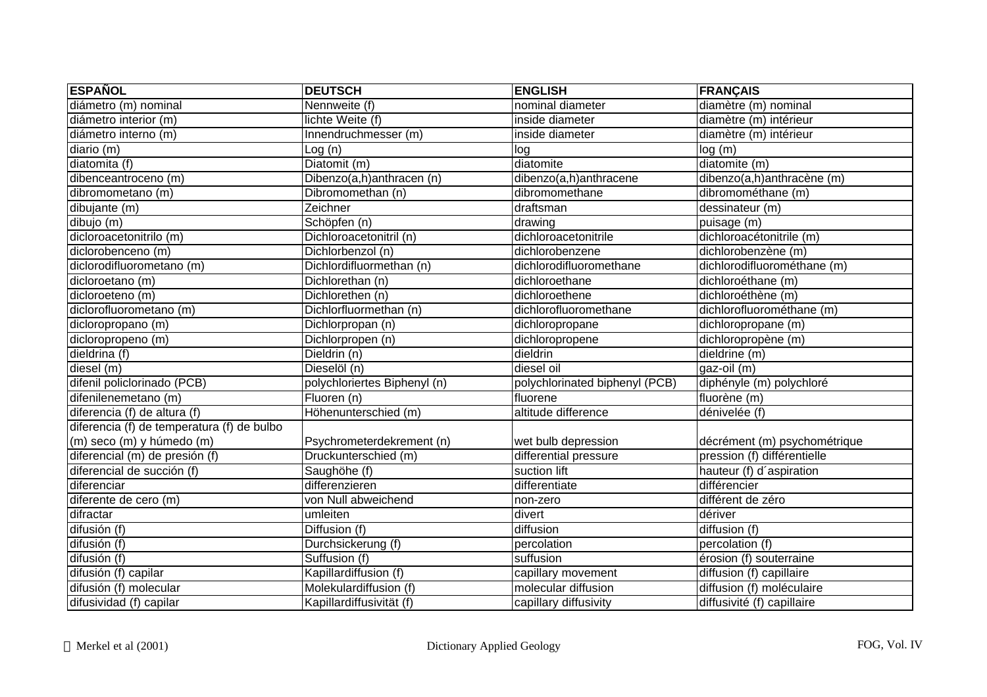| <b>ESPAÑOL</b>                             | <b>DEUTSCH</b>               | <b>ENGLISH</b>                 | <b>FRANÇAIS</b>              |
|--------------------------------------------|------------------------------|--------------------------------|------------------------------|
| diámetro (m) nominal                       | Nennweite (f)                | nominal diameter               | diamètre (m) nominal         |
| diámetro interior (m)                      | lichte Weite (f)             | inside diameter                | diamètre (m) intérieur       |
| diámetro interno (m)                       | Innendruchmesser (m)         | inside diameter                | diamètre (m) intérieur       |
| diario(m)                                  | Log(n)                       | log                            | log(m)                       |
| diatomita (f)                              | Diatomit (m)                 | diatomite                      | diatomite (m)                |
| dibenceantroceno (m)                       | Dibenzo(a,h)anthracen (n)    | dibenzo(a,h)anthracene         | dibenzo(a,h)anthracène (m)   |
| dibromometano (m)                          | Dibromomethan (n)            | dibromomethane                 | dibromométhane (m)           |
| dibujante (m)                              | Zeichner                     | draftsman                      | dessinateur (m)              |
| dibujo (m)                                 | Schöpfen (n)                 | drawing                        | puisage (m)                  |
| dicloroacetonitrilo (m)                    | Dichloroacetonitril (n)      | dichloroacetonitrile           | dichloroacétonitrile (m)     |
| diclorobenceno (m)                         | Dichlorbenzol (n)            | dichlorobenzene                | dichlorobenzène (m)          |
| diclorodifluorometano (m)                  | Dichlordifluormethan (n)     | dichlorodifluoromethane        | dichlorodifluorométhane (m)  |
| dicloroetano (m)                           | Dichlorethan (n)             | dichloroethane                 | dichloroéthane (m)           |
| dicloroeteno (m)                           | Dichlorethen (n)             | dichloroethene                 | dichloroéthène (m)           |
| diclorofluorometano (m)                    | Dichlorfluormethan (n)       | dichlorofluoromethane          | dichlorofluorométhane (m)    |
| dicloropropano (m)                         | Dichlorpropan (n)            | dichloropropane                | dichloropropane (m)          |
| dicloropropeno (m)                         | Dichlorpropen (n)            | dichloropropene                | dichloropropène (m)          |
| dieldrina (f)                              | Dieldrin (n)                 | dieldrin                       | dieldrine (m)                |
| diesel (m)                                 | Dieselöl (n)                 | diesel oil                     | gaz-oil (m)                  |
| difenil policlorinado (PCB)                | polychloriertes Biphenyl (n) | polychlorinated biphenyl (PCB) | diphényle (m) polychloré     |
| difenilenemetano (m)                       | Fluoren (n)                  | fluorene                       | fluorène (m)                 |
| diferencia (f) de altura (f)               | Höhenunterschied (m)         | altitude difference            | dénivelée (f)                |
| diferencia (f) de temperatura (f) de bulbo |                              |                                |                              |
| (m) seco (m) y húmedo (m)                  | Psychrometerdekrement (n)    | wet bulb depression            | décrément (m) psychométrique |
| diferencial (m) de presión (f)             | Druckunterschied (m)         | differential pressure          | pression (f) différentielle  |
| diferencial de succión (f)                 | Saughöhe (f)                 | suction lift                   | hauteur (f) d'aspiration     |
| diferenciar                                | differenzieren               | differentiate                  | différencier                 |
| diferente de cero (m)                      | von Null abweichend          | non-zero                       | différent de zéro            |
| difractar                                  | umleiten                     | divert                         | dériver                      |
| $\overline{difusión}$ (f)                  | Diffusion (f)                | diffusion                      | diffusion (f)                |
| difusión (f)                               | Durchsickerung (f)           | percolation                    | percolation (f)              |
| difusión (f)                               | Suffusion (f)                | suffusion                      | érosion (f) souterraine      |
| difusión (f) capilar                       | Kapillardiffusion (f)        | capillary movement             | diffusion (f) capillaire     |
| difusión (f) molecular                     | Molekulardiffusion (f)       | molecular diffusion            | diffusion (f) moléculaire    |
| difusividad (f) capilar                    | Kapillardiffusivität (f)     | capillary diffusivity          | diffusivité (f) capillaire   |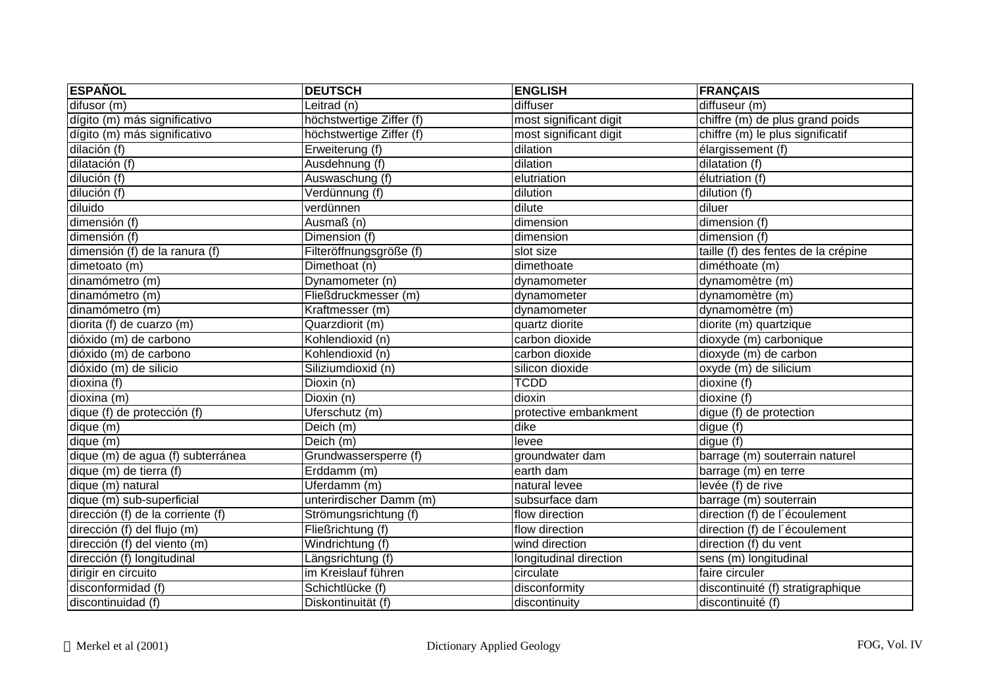| <b>ESPAÑOL</b>                    | <b>DEUTSCH</b>           | <b>ENGLISH</b>         | <b>FRANÇAIS</b>                     |
|-----------------------------------|--------------------------|------------------------|-------------------------------------|
| difusor (m)                       | Leitrad (n)              | diffuser               | diffuseur (m)                       |
| dígito (m) más significativo      | höchstwertige Ziffer (f) | most significant digit | chiffre (m) de plus grand poids     |
| dígito (m) más significativo      | höchstwertige Ziffer (f) | most significant digit | chiffre (m) le plus significatif    |
| dilación (f)                      | Erweiterung (f)          | dilation               | élargissement (f)                   |
| dilatación (f)                    | Ausdehnung (f)           | dilation               | dilatation (f)                      |
| dilución (f)                      | Auswaschung (f)          | elutriation            | élutriation (f)                     |
| dilución (f)                      | Verdünnung (f)           | dilution               | dilution (f)                        |
| diluido                           | verdünnen                | dilute                 | diluer                              |
| dimensión $(f)$                   | Ausmaß (n)               | dimension              | dimension (f)                       |
| dimensión (f)                     | Dimension (f)            | dimension              | dimension (f)                       |
| dimensión (f) de la ranura (f)    | Filteröffnungsgröße (f)  | slot size              | taille (f) des fentes de la crépine |
| dimetoato (m)                     | Dimethoat (n)            | dimethoate             | diméthoate (m)                      |
| dinamómetro (m)                   | Dynamometer (n)          | dynamometer            | dynamomètre (m)                     |
| dinamómetro (m)                   | Fließdruckmesser (m)     | dynamometer            | dynamomètre (m)                     |
| dinamómetro (m)                   | Kraftmesser (m)          | dynamometer            | dynamomètre (m)                     |
| diorita (f) de cuarzo (m)         | Quarzdiorit (m)          | quartz diorite         | diorite (m) quartzique              |
| dióxido (m) de carbono            | Kohlendioxid (n)         | carbon dioxide         | dioxyde (m) carbonique              |
| dióxido (m) de carbono            | Kohlendioxid (n)         | carbon dioxide         | dioxyde (m) de carbon               |
| dióxido (m) de silicio            | Siliziumdioxid (n)       | silicon dioxide        | oxyde (m) de silicium               |
| dioxina (f)                       | Dioxin (n)               | <b>TCDD</b>            | dioxine (f)                         |
| dioxina (m)                       | Dioxin (n)               | dioxin                 | dioxine (f)                         |
| dique (f) de protección (f)       | Uferschutz (m)           | protective embankment  | digue (f) de protection             |
| dique (m)                         | Deich (m)                | dike                   | digue (f)                           |
| dique (m)                         | $\overline{Deich}$ (m)   | levee                  | digue (f)                           |
| dique (m) de agua (f) subterránea | Grundwassersperre (f)    | groundwater dam        | barrage (m) souterrain naturel      |
| dique (m) de tierra (f)           | Erddamm (m)              | earth dam              | barrage (m) en terre                |
| dique (m) natural                 | Uferdamm (m)             | natural levee          | levée (f) de rive                   |
| dique (m) sub-superficial         | unterirdischer Damm (m)  | subsurface dam         | barrage (m) souterrain              |
| dirección (f) de la corriente (f) | Strömungsrichtung (f)    | flow direction         | direction (f) de l'écoulement       |
| dirección (f) del flujo (m)       | Fließrichtung (f)        | flow direction         | direction (f) de l'écoulement       |
| dirección (f) del viento (m)      | Windrichtung (f)         | wind direction         | direction (f) du vent               |
| dirección (f) longitudinal        | Längsrichtung (f)        | longitudinal direction | sens (m) longitudinal               |
| dirigir en circuito               | im Kreislauf führen      | circulate              | faire circuler                      |
| disconformidad (f)                | Schichtlücke (f)         | disconformity          | discontinuité (f) stratigraphique   |
| discontinuidad (f)                | Diskontinuität (f)       | discontinuity          | discontinuité (f)                   |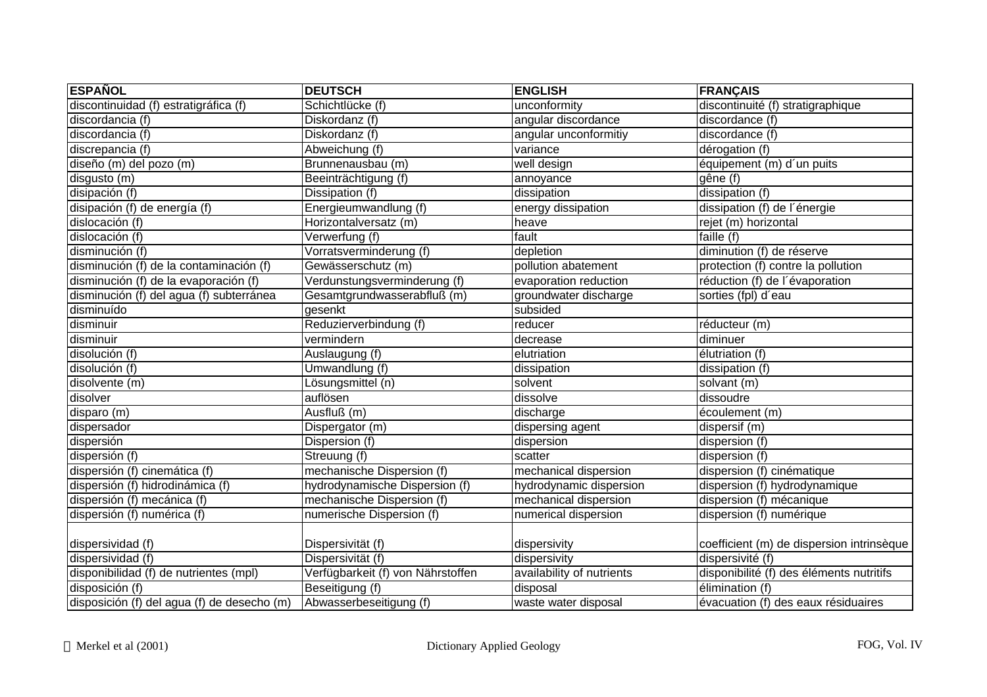| <b>ESPAÑOL</b>                              | <b>DEUTSCH</b>                    | <b>ENGLISH</b>            | <b>FRANÇAIS</b>                           |
|---------------------------------------------|-----------------------------------|---------------------------|-------------------------------------------|
| discontinuidad (f) estratigráfica (f)       | Schichtlücke (f)                  | unconformity              | discontinuité (f) stratigraphique         |
| discordancia (f)                            | Diskordanz (f)                    | angular discordance       | discordance (f)                           |
| discordancia (f)                            | Diskordanz (f)                    | angular unconformitiy     | discordance (f)                           |
| discrepancia (f)                            | Abweichung (f)                    | variance                  | dérogation (f)                            |
| diseño (m) del pozo (m)                     | Brunnenausbau (m)                 | well design               | équipement (m) d'un puits                 |
| disgusto (m)                                | Beeinträchtigung (f)              | annoyance                 | gêne (f)                                  |
| disipación (f)                              | Dissipation (f)                   | dissipation               | dissipation (f)                           |
| disipación (f) de energía (f)               | Energieumwandlung (f)             | energy dissipation        | dissipation (f) de l'énergie              |
| dislocación (f)                             | Horizontalversatz (m)             | heave                     | rejet (m) horizontal                      |
| dislocación (f)                             | Verwerfung (f)                    | fault                     | faille $(f)$                              |
| disminución (f)                             | Vorratsverminderung (f)           | depletion                 | diminution (f) de réserve                 |
| disminución (f) de la contaminación (f)     | Gewässerschutz (m)                | pollution abatement       | protection (f) contre la pollution        |
| disminución (f) de la evaporación (f)       | Verdunstungsverminderung (f)      | evaporation reduction     | réduction (f) de l'évaporation            |
| disminución (f) del agua (f) subterránea    | Gesamtgrundwasserabfluß (m)       | groundwater discharge     | sorties (fpl) d'eau                       |
| disminuído                                  | gesenkt                           | subsided                  |                                           |
| disminuir                                   | Reduzierverbindung (f)            | reducer                   | réducteur (m)                             |
| disminuir                                   | vermindern                        | decrease                  | diminuer                                  |
| disolución (f)                              | Auslaugung (f)                    | elutriation               | élutriation (f)                           |
| disolución (f)                              | Umwandlung (f)                    | dissipation               | dissipation (f)                           |
| disolvente (m)                              | Lösungsmittel (n)                 | solvent                   | solvant (m)                               |
| disolver                                    | auflösen                          | dissolve                  | dissoudre                                 |
| disparo (m)                                 | Ausfluß (m)                       | discharge                 | écoulement (m)                            |
| dispersador                                 | Dispergator (m)                   | dispersing agent          | dispersif (m)                             |
| dispersión                                  | Dispersion (f)                    | dispersion                | dispersion (f)                            |
| dispersión (f)                              | Streuung (f)                      | scatter                   | dispersion (f)                            |
| dispersión (f) cinemática (f)               | mechanische Dispersion (f)        | mechanical dispersion     | dispersion (f) cinématique                |
| dispersión (f) hidrodinámica (f)            | hydrodynamische Dispersion (f)    | hydrodynamic dispersion   | dispersion (f) hydrodynamique             |
| dispersión (f) mecánica (f)                 | mechanische Dispersion (f)        | mechanical dispersion     | dispersion (f) mécanique                  |
| dispersión (f) numérica (f)                 | numerische Dispersion (f)         | numerical dispersion      | dispersion (f) numérique                  |
| dispersividad (f)                           | Dispersivität (f)                 | dispersivity              | coefficient (m) de dispersion intrinsèque |
| dispersividad (f)                           | Dispersivität (f)                 | dispersivity              | dispersivité (f)                          |
| disponibilidad (f) de nutrientes (mpl)      | Verfügbarkeit (f) von Nährstoffen | availability of nutrients | disponibilité (f) des éléments nutritifs  |
| disposición (f)                             | Beseitigung (f)                   | disposal                  | élimination (f)                           |
| disposición (f) del agua (f) de desecho (m) | Abwasserbeseitigung (f)           | waste water disposal      | évacuation (f) des eaux résiduaires       |
|                                             |                                   |                           |                                           |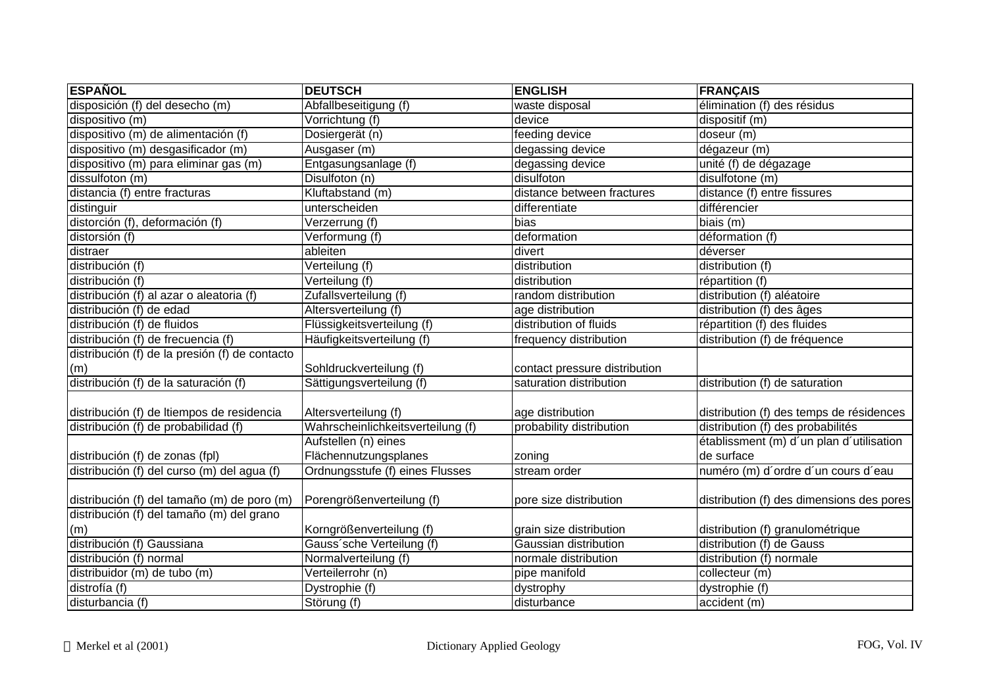| <b>ESPAÑOL</b>                                 | <b>DEUTSCH</b>                    | <b>ENGLISH</b>                | <b>FRANÇAIS</b>                           |
|------------------------------------------------|-----------------------------------|-------------------------------|-------------------------------------------|
| disposición (f) del desecho (m)                | Abfallbeseitigung (f)             | waste disposal                | élimination (f) des résidus               |
| dispositivo (m)                                | Vorrichtung (f)                   | device                        | dispositif (m)                            |
| dispositivo (m) de alimentación (f)            | Dosiergerät (n)                   | feeding device                | doseur (m)                                |
| dispositivo (m) desgasificador (m)             | Ausgaser (m)                      | degassing device              | dégazeur (m)                              |
| dispositivo (m) para eliminar gas (m)          | Entgasungsanlage (f)              | degassing device              | unité (f) de dégazage                     |
| dissulfoton (m)                                | Disulfoton (n)                    | disulfoton                    | disulfotone (m)                           |
| distancia (f) entre fracturas                  | Kluftabstand (m)                  | distance between fractures    | distance (f) entre fissures               |
| distinguir                                     | unterscheiden                     | differentiate                 | différencier                              |
| distorción (f), deformación (f)                | Verzerrung (f)                    | bias                          | biais (m)                                 |
| distorsión (f)                                 | Verformung (f)                    | deformation                   | déformation (f)                           |
| distraer                                       | ableiten                          | divert                        | déverser                                  |
| distribución (f)                               | Verteilung (f)                    | distribution                  | distribution $(f)$                        |
| distribución (f)                               | Verteilung (f)                    | distribution                  | répartition (f)                           |
| distribución (f) al azar o aleatoria (f)       | Zufallsverteilung (f)             | random distribution           | distribution (f) aléatoire                |
| distribución (f) de edad                       | Altersverteilung (f)              | age distribution              | distribution (f) des âges                 |
| distribución (f) de fluidos                    | Flüssigkeitsverteilung (f)        | distribution of fluids        | répartition (f) des fluides               |
| distribución (f) de frecuencia (f)             | Häufigkeitsverteilung (f)         | frequency distribution        | distribution (f) de fréquence             |
| distribución (f) de la presión (f) de contacto |                                   |                               |                                           |
| (m)                                            | Sohldruckverteilung (f)           | contact pressure distribution |                                           |
| distribución (f) de la saturación (f)          | Sättigungsverteilung (f)          | saturation distribution       | distribution (f) de saturation            |
|                                                |                                   |                               |                                           |
| distribución (f) de Itiempos de residencia     | Altersverteilung (f)              | age distribution              | distribution (f) des temps de résidences  |
| distribución (f) de probabilidad (f)           | Wahrscheinlichkeitsverteilung (f) | probability distribution      | distribution (f) des probabilités         |
|                                                | Aufstellen (n) eines              |                               | établissment (m) d'un plan d'utilisation  |
| distribución (f) de zonas (fpl)                | Flächennutzungsplanes             | zoning                        | de surface                                |
| distribución (f) del curso (m) del agua (f)    | Ordnungsstufe (f) eines Flusses   | stream order                  | numéro (m) d'ordre d'un cours d'eau       |
|                                                |                                   |                               |                                           |
| distribución (f) del tamaño (m) de poro (m)    | Porengrößenverteilung (f)         | pore size distribution        | distribution (f) des dimensions des pores |
| distribución (f) del tamaño (m) del grano      |                                   |                               |                                           |
| (m)                                            | Korngrößenverteilung (f)          | grain size distribution       | distribution (f) granulométrique          |
| distribución (f) Gaussiana                     | Gauss'sche Verteilung (f)         | Gaussian distribution         | distribution (f) de Gauss                 |
| distribución (f) normal                        | Normalverteilung (f)              | normale distribution          | distribution (f) normale                  |
| distribuidor (m) de tubo (m)                   | Verteilerrohr (n)                 | pipe manifold                 | collecteur (m)                            |
| distrofía (f)                                  | Dystrophie (f)                    | dystrophy                     | dystrophie (f)                            |
| disturbancia (f)                               | Störung (f)                       | disturbance                   | accident (m)                              |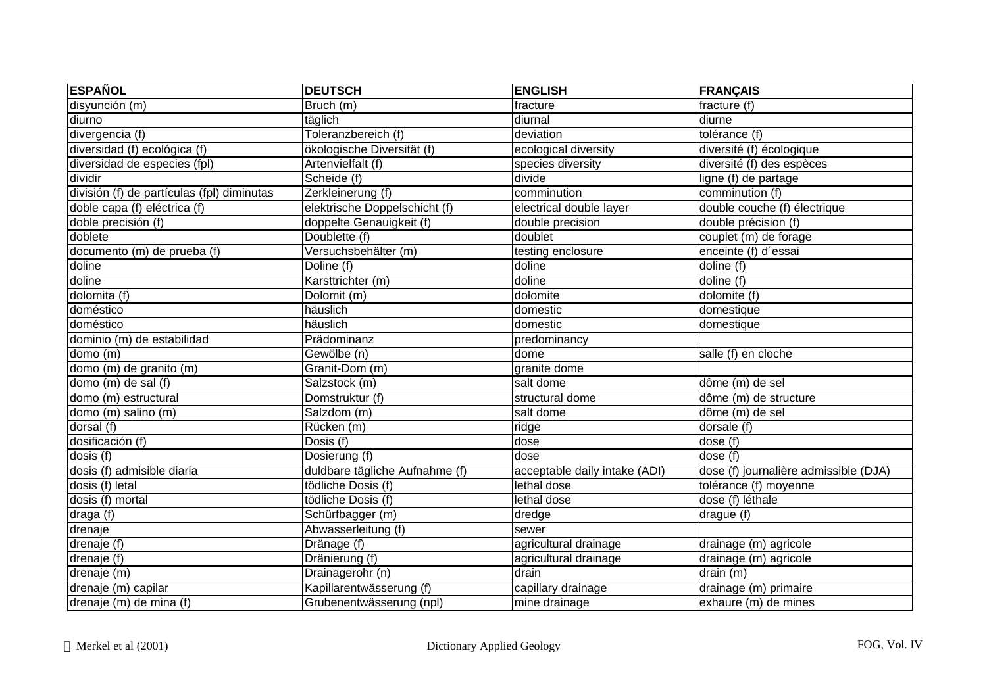| <b>ESPAÑOL</b>                             | <b>DEUTSCH</b>                 | <b>ENGLISH</b>                | <b>FRANÇAIS</b>                       |
|--------------------------------------------|--------------------------------|-------------------------------|---------------------------------------|
| disyunción (m)                             | Bruch (m)                      | fracture                      | fracture (f)                          |
| diurno                                     | täglich                        | diurnal                       | diurne                                |
| divergencia (f)                            | Toleranzbereich (f)            | deviation                     | tolérance (f)                         |
| diversidad (f) ecológica (f)               | ökologische Diversität (f)     | ecological diversity          | diversité (f) écologique              |
| diversidad de especies (fpl)               | Artenvielfalt (f)              | species diversity             | diversité (f) des espèces             |
| dividir                                    | Scheide (f)                    | divide                        | ligne (f) de partage                  |
| división (f) de partículas (fpl) diminutas | Zerkleinerung (f)              | comminution                   | comminution (f)                       |
| doble capa (f) eléctrica (f)               | elektrische Doppelschicht (f)  | electrical double layer       | double couche (f) électrique          |
| doble precisión (f)                        | doppelte Genauigkeit (f)       | double precision              | double précision (f)                  |
| doblete                                    | Doublette (f)                  | doublet                       | couplet (m) de forage                 |
| documento (m) de prueba (f)                | Versuchsbehälter (m)           | testing enclosure             | enceinte (f) d'essai                  |
| doline                                     | Doline (f)                     | doline                        | doline (f)                            |
| doline                                     | Karsttrichter (m)              | doline                        | doline (f)                            |
| dolomita (f)                               | Dolomit (m)                    | dolomite                      | dolomite (f)                          |
| doméstico                                  | häuslich                       | domestic                      | domestique                            |
| doméstico                                  | häuslich                       | domestic                      | domestique                            |
| dominio (m) de estabilidad                 | Prädominanz                    | predominancy                  |                                       |
| domo (m)                                   | Gewölbe (n)                    | dome                          | salle (f) en cloche                   |
| domo (m) de granito (m)                    | Granit-Dom (m)                 | granite dome                  |                                       |
| domo (m) de sal (f)                        | Salzstock (m)                  | salt dome                     | dôme (m) de sel                       |
| domo (m) estructural                       | Domstruktur (f)                | structural dome               | dôme (m) de structure                 |
| domo (m) salino (m)                        | Salzdom (m)                    | salt dome                     | dôme (m) de sel                       |
| dorsal (f)                                 | Rücken (m)                     | ridge                         | dorsale (f)                           |
| dosificación (f)                           | $\overline{\text{Dosis}}$ (f)  | dose                          | dose (f)                              |
| dosis (f)                                  | Dosierung (f)                  | dose                          | dose (f)                              |
| dosis (f) admisible diaria                 | duldbare tägliche Aufnahme (f) | acceptable daily intake (ADI) | dose (f) journalière admissible (DJA) |
| dosis (f) letal                            | tödliche Dosis (f)             | lethal dose                   | tolérance (f) moyenne                 |
| dosis (f) mortal                           | tödliche Dosis (f)             | lethal dose                   | dose (f) léthale                      |
| draga (f)                                  | Schürfbagger (m)               | dredge                        | drague (f)                            |
| drenaje                                    | Abwasserleitung (f)            | sewer                         |                                       |
| drenaje (f)                                | Dränage (f)                    | agricultural drainage         | drainage (m) agricole                 |
| drenaje $(f)$                              | Dränierung (f)                 | agricultural drainage         | drainage (m) agricole                 |
| drenaje (m)                                | Drainagerohr (n)               | drain                         | drain $(m)$                           |
| drenaje (m) capilar                        | Kapillarentwässerung (f)       | capillary drainage            | drainage (m) primaire                 |
| drenaje (m) de mina (f)                    | Grubenentwässerung (npl)       | mine drainage                 | exhaure (m) de mines                  |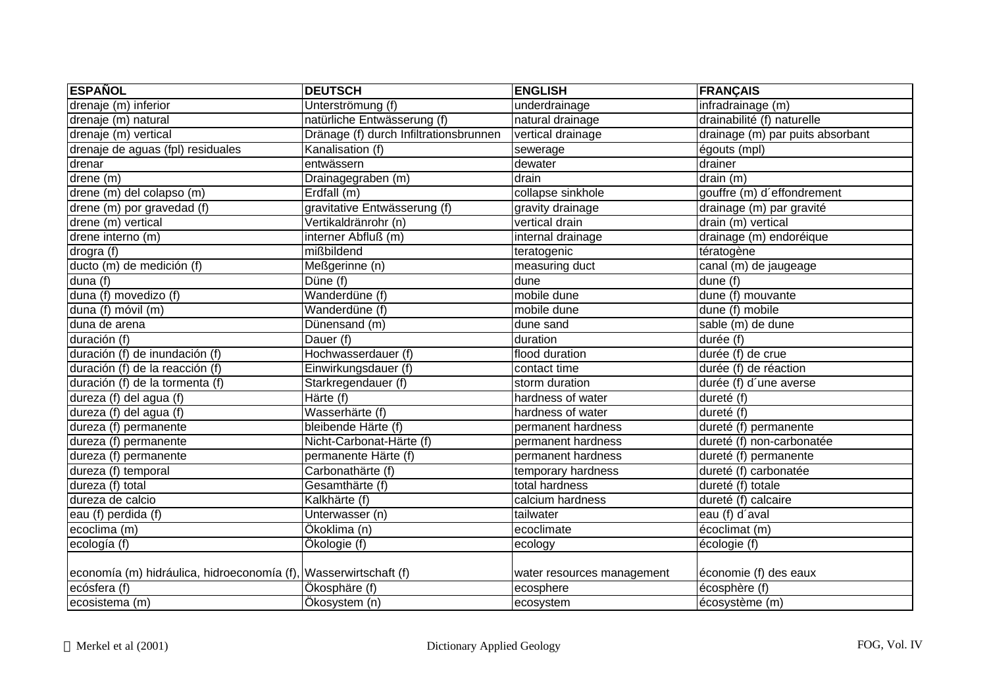| <b>ESPAÑOL</b>                                                   | <b>DEUTSCH</b>                         | <b>ENGLISH</b>             | <b>FRANÇAIS</b>                  |
|------------------------------------------------------------------|----------------------------------------|----------------------------|----------------------------------|
| drenaje (m) inferior                                             | Unterströmung (f)                      | underdrainage              | infradrainage (m)                |
| drenaje (m) natural                                              | natürliche Entwässerung (f)            | natural drainage           | drainabilité (f) naturelle       |
| drenaje (m) vertical                                             | Dränage (f) durch Infiltrationsbrunnen | vertical drainage          | drainage (m) par puits absorbant |
| drenaje de aguas (fpl) residuales                                | Kanalisation (f)                       | sewerage                   | égouts (mpl)                     |
| drenar                                                           | entwässern                             | dewater                    | drainer                          |
| drene (m)                                                        | Drainagegraben (m)                     | drain                      | drain (m)                        |
| drene (m) del colapso (m)                                        | Erdfall (m)                            | collapse sinkhole          | gouffre (m) d'effondrement       |
| drene (m) por gravedad (f)                                       | gravitative Entwässerung (f)           | gravity drainage           | drainage (m) par gravité         |
| drene (m) vertical                                               | Vertikaldränrohr (n)                   | vertical drain             | drain (m) vertical               |
| drene interno (m)                                                | interner Abfluß (m)                    | internal drainage          | drainage (m) endoréique          |
| drogra (f)                                                       | mißbildend                             | teratogenic                | tératogène                       |
| ducto (m) de medición (f)                                        | Meßgerinne (n)                         | measuring duct             | canal (m) de jaugeage            |
| duna (f)                                                         | Düne $(t)$                             | dune                       | dune (f)                         |
| $\overline{d$ una (f) movedizo (f)                               | Wanderdüne (f)                         | mobile dune                | dune (f) mouvante                |
| duna (f) móvil (m)                                               | Wanderdüne (f)                         | mobile dune                | dune (f) mobile                  |
| duna de arena                                                    | Dünensand (m)                          | dune sand                  | sable (m) de dune                |
| duración (f)                                                     | Dauer $(f)$                            | duration                   | durée (f)                        |
| duración (f) de inundación (f)                                   | Hochwasserdauer (f)                    | flood duration             | durée (f) de crue                |
| duración (f) de la reacción (f)                                  | Einwirkungsdauer (f)                   | contact time               | durée (f) de réaction            |
| duración (f) de la tormenta (f)                                  | Starkregendauer (f)                    | storm duration             | durée (f) d'une averse           |
| dureza (f) del agua (f)                                          | $H$ ärte (f)                           | hardness of water          | dureté (f)                       |
| dureza (f) del agua (f)                                          | Wasserhärte (f)                        | hardness of water          | dureté (f)                       |
| dureza (f) permanente                                            | bleibende Härte (f)                    | permanent hardness         | dureté (f) permanente            |
| dureza (f) permanente                                            | Nicht-Carbonat-Härte (f)               | permanent hardness         | dureté (f) non-carbonatée        |
| dureza (f) permanente                                            | permanente Härte (f)                   | permanent hardness         | dureté (f) permanente            |
| dureza (f) temporal                                              | Carbonathärte (f)                      | temporary hardness         | dureté (f) carbonatée            |
| dureza (f) total                                                 | Gesamthärte (f)                        | total hardness             | dureté (f) totale                |
| dureza de calcio                                                 | Kalkhärte (f)                          | calcium hardness           | dureté (f) calcaire              |
| eau (f) perdida (f)                                              | Unterwasser (n)                        | tailwater                  | eau (f) d'aval                   |
| ecoclima (m)                                                     | Ökoklima (n)                           | ecoclimate                 | écoclimat (m)                    |
| ecología (f)                                                     | Ökologie (f)                           | ecology                    | écologie (f)                     |
|                                                                  |                                        |                            |                                  |
| economía (m) hidráulica, hidroeconomía (f), Wasserwirtschaft (f) |                                        | water resources management | économie (f) des eaux            |
| ecósfera (f)                                                     | Ökosphäre (f)                          | ecosphere                  | écosphère (f)                    |
| ecosistema (m)                                                   | Ökosystem (n)                          | ecosystem                  | écosystème (m)                   |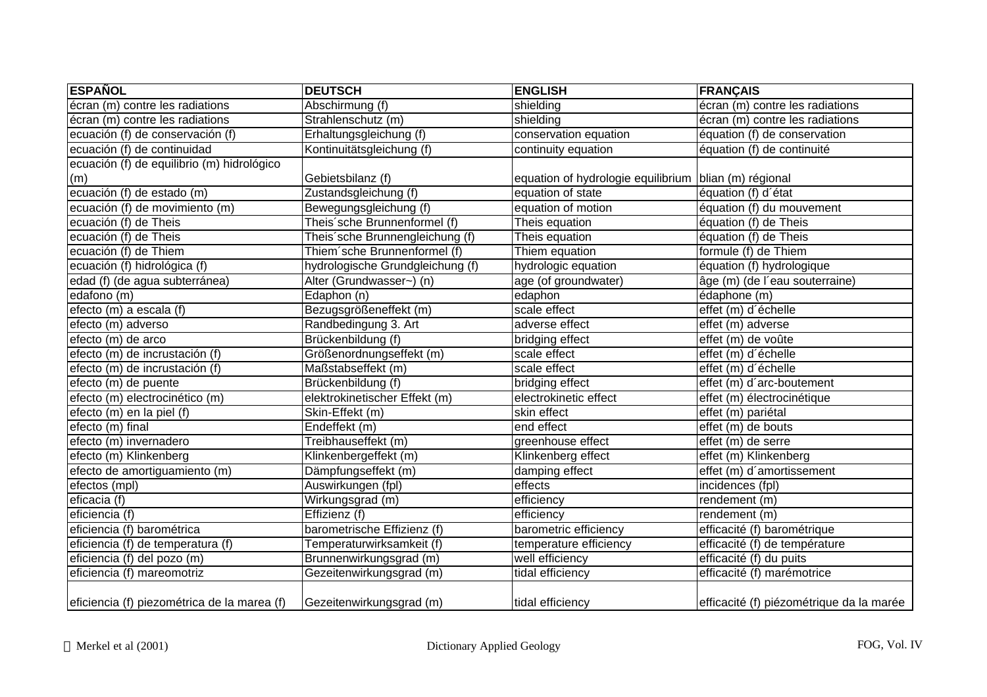| <b>ESPAÑOL</b>                              | <b>DEUTSCH</b>                   | <b>ENGLISH</b>                                        | <b>FRANÇAIS</b>                          |
|---------------------------------------------|----------------------------------|-------------------------------------------------------|------------------------------------------|
| écran (m) contre les radiations             | Abschirmung (f)                  | shielding                                             | écran (m) contre les radiations          |
| écran (m) contre les radiations             | Strahlenschutz (m)               | shielding                                             | écran (m) contre les radiations          |
| ecuación (f) de conservación (f)            | Erhaltungsgleichung (f)          | conservation equation                                 | équation (f) de conservation             |
| ecuación (f) de continuidad                 | Kontinuitätsgleichung (f)        | continuity equation                                   | équation (f) de continuité               |
| ecuación (f) de equilibrio (m) hidrológico  |                                  |                                                       |                                          |
| (m)                                         | Gebietsbilanz (f)                | equation of hydrologie equilibrium blian (m) régional |                                          |
| ecuación (f) de estado (m)                  | Zustandsgleichung (f)            | equation of state                                     | équation (f) d'état                      |
| ecuación (f) de movimiento (m)              | Bewegungsgleichung (f)           | equation of motion                                    | équation (f) du mouvement                |
| ecuación (f) de Theis                       | Theis'sche Brunnenformel (f)     | Theis equation                                        | équation (f) de Theis                    |
| ecuación (f) de Theis                       | Theis'sche Brunnengleichung (f)  | Theis equation                                        | équation (f) de Theis                    |
| ecuación (f) de Thiem                       | Thiem sche Brunnenformel (f)     | Thiem equation                                        | formule (f) de Thiem                     |
| ecuación (f) hidrológica (f)                | hydrologische Grundgleichung (f) | hydrologic equation                                   | équation (f) hydrologique                |
| edad (f) (de agua subterránea)              | Alter (Grundwasser~) (n)         | age (of groundwater)                                  | âge (m) (de l'eau souterraine)           |
| edafono (m)                                 | Edaphon (n)                      | edaphon                                               | édaphone (m)                             |
| efecto (m) a escala (f)                     | Bezugsgrößeneffekt (m)           | scale effect                                          | effet (m) d'échelle                      |
| efecto (m) adverso                          | Randbedingung 3. Art             | adverse effect                                        | effet (m) adverse                        |
| efecto (m) de arco                          | Brückenbildung (f)               | bridging effect                                       | effet (m) de voûte                       |
| efecto (m) de incrustación (f)              | Größenordnungseffekt (m)         | scale effect                                          | effet (m) d'échelle                      |
| efecto (m) de incrustación (f)              | Maßstabseffekt (m)               | scale effect                                          | effet (m) d'échelle                      |
| efecto (m) de puente                        | Brückenbildung (f)               | bridging effect                                       | effet (m) d'arc-boutement                |
| efecto (m) electrocinético (m)              | elektrokinetischer Effekt (m)    | electrokinetic effect                                 | effet (m) électrocinétique               |
| efecto (m) en la piel (f)                   | Skin-Effekt (m)                  | skin effect                                           | effet (m) pariétal                       |
| efecto $(m)$ final                          | Endeffekt (m)                    | end effect                                            | effet (m) de bouts                       |
| efecto (m) invernadero                      | Treibhauseffekt (m)              | greenhouse effect                                     | effet (m) de serre                       |
| efecto (m) Klinkenberg                      | Klinkenbergeffekt (m)            | Klinkenberg effect                                    | effet (m) Klinkenberg                    |
| efecto de amortiguamiento (m)               | Dämpfungseffekt (m)              | damping effect                                        | effet (m) d'amortissement                |
| efectos (mpl)                               | Auswirkungen (fpl)               | effects                                               | incidences (fpl)                         |
| eficacia (f)                                | Wirkungsgrad (m)                 | efficiency                                            | rendement (m)                            |
| eficiencia (f)                              | Effizienz (f)                    | efficiency                                            | rendement (m)                            |
| eficiencia (f) barométrica                  | barometrische Effizienz (f)      | barometric efficiency                                 | efficacité (f) barométrique              |
| eficiencia (f) de temperatura (f)           | Temperaturwirksamkeit (f)        | temperature efficiency                                | efficacité (f) de température            |
| eficiencia (f) del pozo (m)                 | Brunnenwirkungsgrad (m)          | well efficiency                                       | efficacité (f) du puits                  |
| eficiencia (f) mareomotriz                  | Gezeitenwirkungsgrad (m)         | tidal efficiency                                      | efficacité (f) marémotrice               |
| eficiencia (f) piezométrica de la marea (f) | Gezeitenwirkungsgrad (m)         | tidal efficiency                                      | efficacité (f) piézométrique da la marée |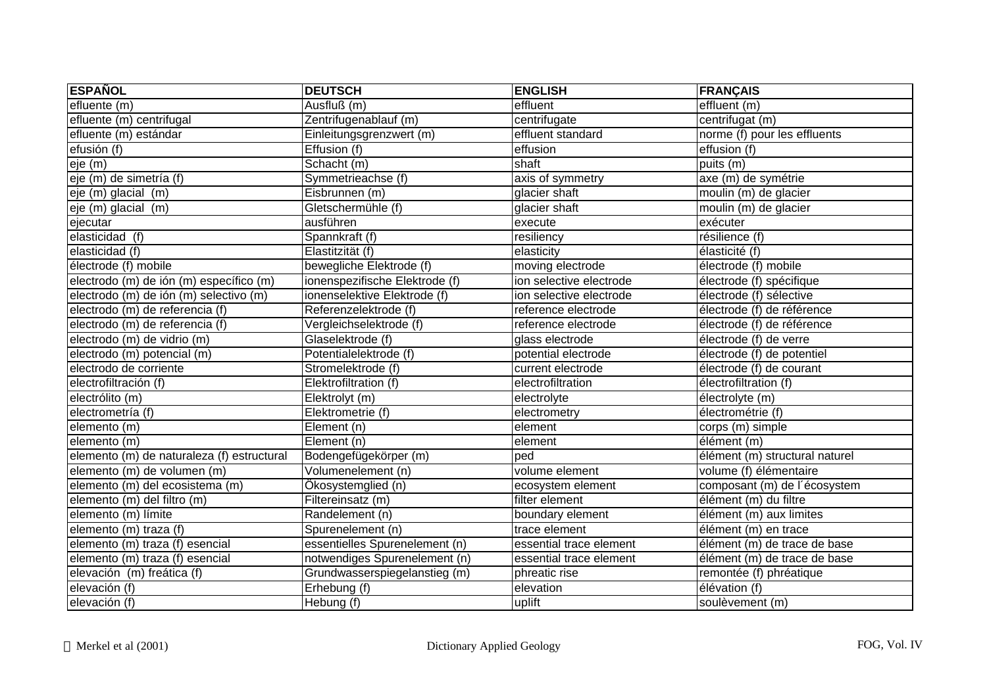| <b>ESPAÑOL</b>                             | <b>DEUTSCH</b>                 | <b>ENGLISH</b>          | <b>FRANÇAIS</b>                |
|--------------------------------------------|--------------------------------|-------------------------|--------------------------------|
| efluente (m)                               | Ausfluß (m)                    | effluent                | effluent (m)                   |
| efluente (m) centrifugal                   | Zentrifugenablauf (m)          | centrifugate            | centrifugat (m)                |
| efluente (m) estándar                      | Einleitungsgrenzwert (m)       | effluent standard       | norme (f) pour les effluents   |
| etusion(f)                                 | Effusion (f)                   | effusion                | effusion (f)                   |
| eje (m)                                    | Schacht (m)                    | shaft                   | puits (m)                      |
| eje (m) de simetría (f)                    | Symmetrieachse (f)             | axis of symmetry        | axe (m) de symétrie            |
| eje (m) glacial (m)                        | Eisbrunnen (m)                 | glacier shaft           | moulin (m) de glacier          |
| eje (m) glacial (m)                        | Gletschermühle (f)             | glacier shaft           | moulin (m) de glacier          |
| ejecutar                                   | ausführen                      | execute                 | exécuter                       |
| elasticidad $(f)$                          | Spannkraft (f)                 | resiliency              | résilience (f)                 |
| elasticidad $(f)$                          | Elastitzität (f)               | elasticity              | élasticité (f)                 |
| électrode (f) mobile                       | bewegliche Elektrode (f)       | moving electrode        | électrode (f) mobile           |
| electrodo (m) de ión (m) específico (m)    | ionenspezifische Elektrode (f) | ion selective electrode | électrode (f) spécifique       |
| electrodo (m) de ión (m) selectivo (m)     | ionenselektive Elektrode (f)   | ion selective electrode | électrode (f) sélective        |
| electrodo (m) de referencia (f)            | Referenzelektrode (f)          | reference electrode     | électrode (f) de référence     |
| electrodo (m) de referencia (f)            | Vergleichselektrode (f)        | reference electrode     | électrode (f) de référence     |
| electrodo (m) de vidrio (m)                | Glaselektrode (f)              | glass electrode         | électrode (f) de verre         |
| electrodo (m) potencial (m)                | Potentialelektrode (f)         | potential electrode     | électrode (f) de potentiel     |
| electrodo de corriente                     | Stromelektrode (f)             | current electrode       | électrode (f) de courant       |
| electrofiltración (f)                      | Elektrofiltration (f)          | electrofiltration       | électrofiltration (f)          |
| electrólito (m)                            | Elektrolyt (m)                 | electrolyte             | électrolyte (m)                |
| electrometría (f)                          | Elektrometrie (f)              | electrometry            | électrométrie (f)              |
| elemento (m)                               | $E$ lement (n)                 | element                 | corps (m) simple               |
| elemento (m)                               | Element (n)                    | element                 | élément (m)                    |
| elemento (m) de naturaleza (f) estructural | Bodengefügekörper (m)          | ped                     | élément (m) structural naturel |
| elemento (m) de volumen (m)                | Volumenelement (n)             | volume element          | volume (f) élémentaire         |
| elemento (m) del ecosistema (m)            | Ökosystemglied (n)             | ecosystem element       | composant (m) de l'écosystem   |
| elemento (m) del filtro (m)                | Filtereinsatz (m)              | filter element          | élément (m) du filtre          |
| elemento (m) límite                        | Randelement (n)                | boundary element        | élément (m) aux limites        |
| elemento (m) traza (f)                     | Spurenelement (n)              | trace element           | élément (m) en trace           |
| elemento (m) traza (f) esencial            | essentielles Spurenelement (n) | essential trace element | élément (m) de trace de base   |
| elemento (m) traza (f) esencial            | notwendiges Spurenelement (n)  | essential trace element | élément (m) de trace de base   |
| elevación (m) freática (f)                 | Grundwasserspiegelanstieg (m)  | phreatic rise           | remontée (f) phréatique        |
| elevación (f)                              | Erhebung (f)                   | elevation               | élévation (f)                  |
| elevación (f)                              | Hebung (f)                     | uplift                  | soulèvement (m)                |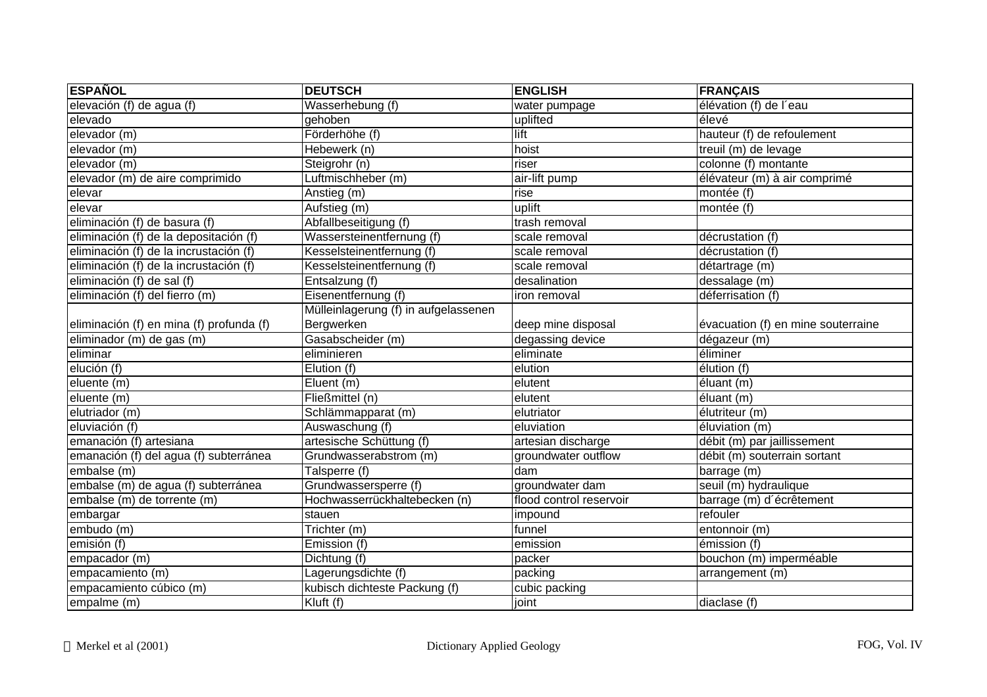| <b>ESPAÑOL</b>                           | <b>DEUTSCH</b>                       | <b>ENGLISH</b>          | <b>FRANÇAIS</b>                    |
|------------------------------------------|--------------------------------------|-------------------------|------------------------------------|
| elevación (f) de agua (f)                | Wasserhebung (f)                     | water pumpage           | élévation (f) de l'eau             |
| elevado                                  | gehoben                              | uplifted                | élevé                              |
| elevador (m)                             | Förderhöhe (f)                       | lift                    | hauteur (f) de refoulement         |
| elevador (m)                             | Hebewerk (n)                         | hoist                   | treuil (m) de levage               |
| elevador (m)                             | Steigrohr (n)                        | riser                   | colonne (f) montante               |
| elevador (m) de aire comprimido          | Luftmischheber (m)                   | air-lift pump           | élévateur (m) à air comprimé       |
| elevar                                   | Anstieg (m)                          | rise                    | montée (f)                         |
| elevar                                   | Aufstieg (m)                         | uplift                  | montée (f)                         |
| eliminación (f) de basura (f)            | Abfallbeseitigung (f)                | trash removal           |                                    |
| eliminación (f) de la depositación (f)   | Wassersteinentfernung (f)            | scale removal           | décrustation (f)                   |
| eliminación (f) de la incrustación (f)   | Kesselsteinentfernung (f)            | scale removal           | décrustation (f)                   |
| eliminación (f) de la incrustación (f)   | Kesselsteinentfernung (f)            | scale removal           | détartrage (m)                     |
| eliminación (f) de sal (f)               | Entsalzung (f)                       | desalination            | dessalage (m)                      |
| eliminación (f) del fierro (m)           | Eisenentfernung (f)                  | iron removal            | déferrisation (f)                  |
|                                          | Mülleinlagerung (f) in aufgelassenen |                         |                                    |
| eliminación (f) en mina (f) profunda (f) | Bergwerken                           | deep mine disposal      | évacuation (f) en mine souterraine |
| eliminador (m) de gas (m)                | Gasabscheider (m)                    | degassing device        | dégazeur (m)                       |
| eliminar                                 | eliminieren                          | eliminate               | éliminer                           |
| elución (f)                              | Elution (f)                          | elution                 | élution (f)                        |
| eluente (m)                              | Eluent (m)                           | elutent                 | éluant (m)                         |
| eluente (m)                              | Fließmittel (n)                      | elutent                 | éluant (m)                         |
| elutriador (m)                           | Schlämmapparat (m)                   | elutriator              | élutriteur (m)                     |
| eluviación (f)                           | Auswaschung (f)                      | eluviation              | éluviation (m)                     |
| emanación (f) artesiana                  | artesische Schüttung (f)             | artesian discharge      | débit (m) par jaillissement        |
| emanación (f) del agua (f) subterránea   | Grundwasserabstrom (m)               | groundwater outflow     | débit (m) souterrain sortant       |
| embalse (m)                              | Talsperre (f)                        | dam                     | barrage (m)                        |
| embalse (m) de agua (f) subterránea      | Grundwassersperre (f)                | groundwater dam         | seuil (m) hydraulique              |
| embalse (m) de torrente (m)              | Hochwasserrückhaltebecken (n)        | flood control reservoir | barrage (m) d'écrêtement           |
| embargar                                 | stauen                               | impound                 | refouler                           |
| embudo (m)                               | Trichter (m)                         | funnel                  | entonnoir (m)                      |
| emisión (f)                              | Emission (f)                         | emission                | émission (f)                       |
| empacador (m)                            | Dichtung (f)                         | packer                  | bouchon (m) imperméable            |
| empacamiento (m)                         | Lagerungsdichte (f)                  | packing                 | arrangement (m)                    |
| empacamiento cúbico (m)                  | kubisch dichteste Packung (f)        | cubic packing           |                                    |
| empalme (m)                              | $\overline{Kluft}$ (f)               | joint                   | diaclase (f)                       |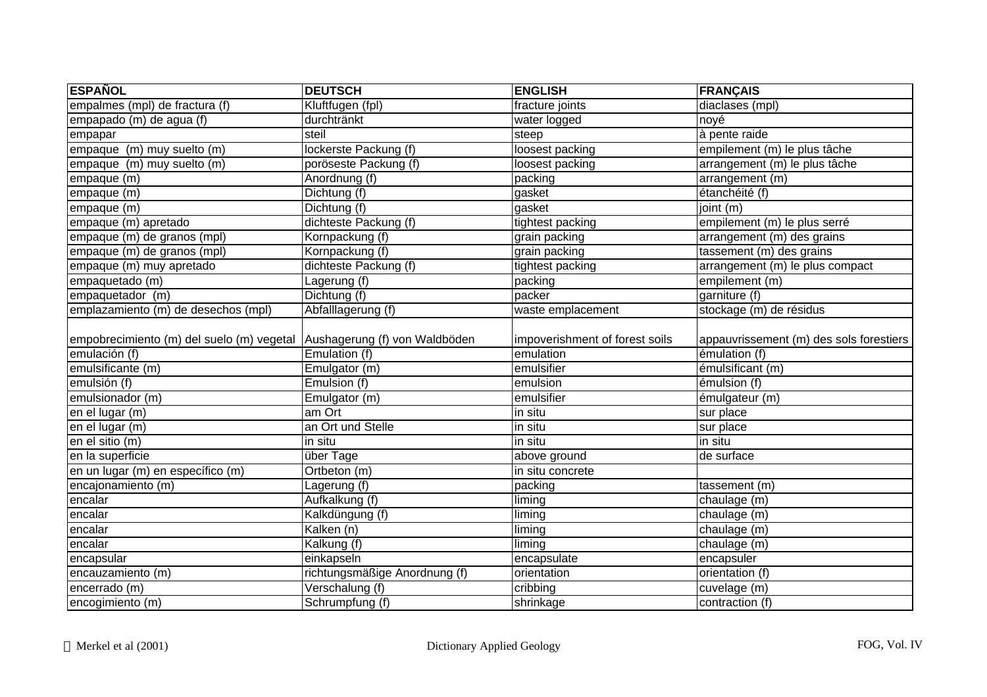| <b>ESPAÑOL</b>                                                          | <b>DEUTSCH</b>                | <b>ENGLISH</b>                 | <b>FRANÇAIS</b>                         |
|-------------------------------------------------------------------------|-------------------------------|--------------------------------|-----------------------------------------|
| empalmes (mpl) de fractura (f)                                          | Kluftfugen (fpl)              | fracture joints                | diaclases (mpl)                         |
| empapado (m) de agua (f)                                                | durchtränkt                   | water logged                   | noyé                                    |
| empapar                                                                 | steil                         | steep                          | à pente raide                           |
| empaque (m) muy suelto (m)                                              | lockerste Packung (f)         | loosest packing                | empilement (m) le plus tâche            |
| empaque (m) muy suelto (m)                                              | poröseste Packung (f)         | loosest packing                | arrangement (m) le plus tâche           |
| empaque (m)                                                             | Anordnung (f)                 | packing                        | arrangement (m)                         |
| empaque (m)                                                             | Dichtung (f)                  | gasket                         | étanchéité (f)                          |
| empaque (m)                                                             | Dichtung (f)                  | gasket                         | joint (m)                               |
| empaque (m) apretado                                                    | dichteste Packung (f)         | tightest packing               | empilement (m) le plus serré            |
| empaque (m) de granos (mpl)                                             | Kornpackung (f)               | grain packing                  | arrangement (m) des grains              |
| empaque (m) de granos (mpl)                                             | Kornpackung (f)               | grain packing                  | tassement (m) des grains                |
| empaque (m) muy apretado                                                | dichteste Packung (f)         | tightest packing               | arrangement (m) le plus compact         |
| empaquetado (m)                                                         | Lagerung (f)                  | packing                        | empilement (m)                          |
| empaquetador (m)                                                        | Dichtung (f)                  | packer                         | garniture (f)                           |
| emplazamiento (m) de desechos (mpl)                                     | Abfalllagerung (f)            | waste emplacement              | stockage (m) de résidus                 |
| empobrecimiento (m) del suelo (m) vegetal Aushagerung (f) von Waldböden |                               | impoverishment of forest soils | appauvrissement (m) des sols forestiers |
| emulación (f)                                                           | Emulation (f)                 | emulation                      | émulation (f)                           |
| emulsificante (m)                                                       | Emulgator (m)                 | emulsifier                     | émulsificant (m)                        |
| emulsión (f)                                                            | Emulsion (f)                  | emulsion                       | émulsion (f)                            |
| emulsionador (m)                                                        | Emulgator (m)                 | emulsifier                     | émulgateur (m)                          |
| en el lugar (m)                                                         | am Ort                        | in situ                        | sur place                               |
| en el lugar (m)                                                         | an Ort und Stelle             | $\overline{\mathsf{in}}$ situ  | sur place                               |
| en el sitio $(m)$                                                       | in situ                       | in situ                        | in situ                                 |
| en la superficie                                                        | über Tage                     | above ground                   | de surface                              |
| en un lugar (m) en específico (m)                                       | Ortbeton (m)                  | in situ concrete               |                                         |
| encajonamiento (m)                                                      | Lagerung (f)                  | packing                        | tassement (m)                           |
| encalar                                                                 | Aufkalkung (f)                | liming                         | chaulage (m)                            |
| encalar                                                                 | Kalkdüngung (f)               | liming                         | chaulage (m)                            |
| encalar                                                                 | Kalken (n)                    | liming                         | chaulage (m)                            |
| encalar                                                                 | Kalkung (f)                   | liming                         | chaulage (m)                            |
| encapsular                                                              | einkapseln                    | encapsulate                    | encapsuler                              |
| encauzamiento (m)                                                       | richtungsmäßige Anordnung (f) | orientation                    | orientation (f)                         |
| encerrado (m)                                                           | Verschalung (f)               | cribbing                       | cuvelage (m)                            |
| encogimiento (m)                                                        | Schrumpfung (f)               | shrinkage                      | contraction (f)                         |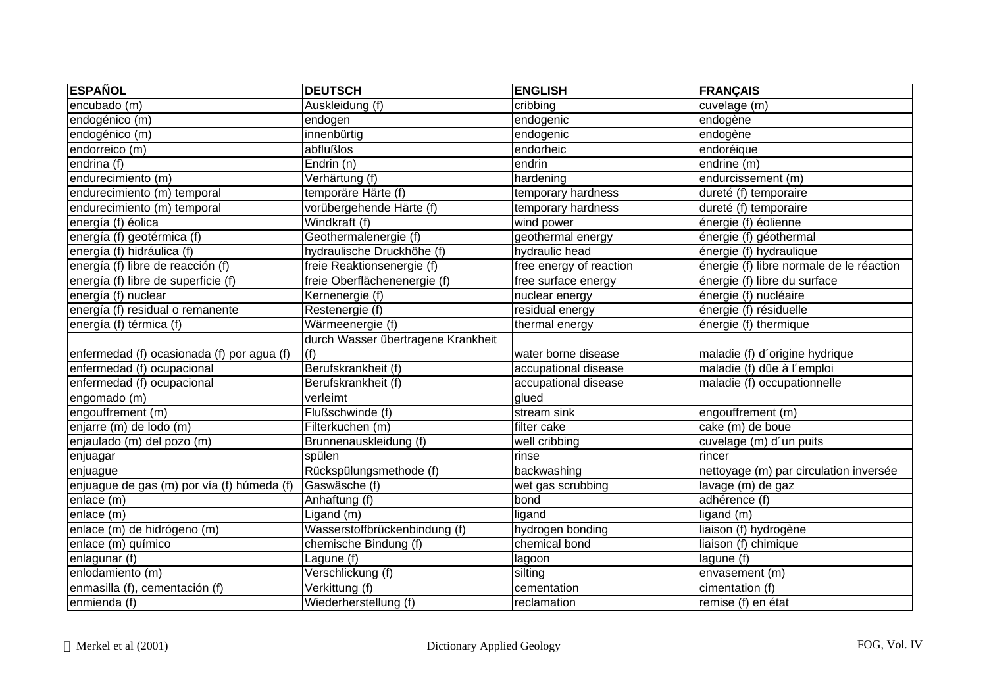| <b>ESPAÑOL</b>                             | <b>DEUTSCH</b>                     | <b>ENGLISH</b>          | <b>FRANÇAIS</b>                          |
|--------------------------------------------|------------------------------------|-------------------------|------------------------------------------|
| encubado (m)                               | Auskleidung (f)                    | cribbing                | cuvelage (m)                             |
| endogénico (m)                             | endogen                            | endogenic               | endogène                                 |
| endogénico (m)                             | innenbürtig                        | endogenic               | endogène                                 |
| endorreico (m)                             | abflußlos                          | endorheic               | endoréique                               |
| endrina (f)                                | $\overline{\text{Endrin}}$ (n)     | endrin                  | endrine (m)                              |
| endurecimiento (m)                         | Verhärtung (f)                     | hardening               | endurcissement (m)                       |
| endurecimiento (m) temporal                | temporäre Härte (f)                | temporary hardness      | dureté (f) temporaire                    |
| endurecimiento (m) temporal                | vorübergehende Härte (f)           | temporary hardness      | dureté (f) temporaire                    |
| energía (f) éolica                         | Windkraft (f)                      | wind power              | énergie (f) éolienne                     |
| energía (f) geotérmica (f)                 | Geothermalenergie (f)              | geothermal energy       | énergie (f) géothermal                   |
| energía (f) hidráulica (f)                 | hydraulische Druckhöhe (f)         | hydraulic head          | énergie (f) hydraulique                  |
| energía (f) libre de reacción (f)          | freie Reaktionsenergie (f)         | free energy of reaction | énergie (f) libre normale de le réaction |
| energía (f) libre de superficie (f)        | freie Oberflächenenergie (f)       | free surface energy     | énergie (f) libre du surface             |
| energía (f) nuclear                        | Kernenergie (f)                    | nuclear energy          | énergie (f) nucléaire                    |
| energía (f) residual o remanente           | Restenergie (f)                    | residual energy         | énergie (f) résiduelle                   |
| energía (f) térmica (f)                    | Wärmeenergie (f)                   | thermal energy          | énergie (f) thermique                    |
|                                            | durch Wasser übertragene Krankheit |                         |                                          |
| enfermedad (f) ocasionada (f) por agua (f) | (f)                                | water borne disease     | maladie (f) d'origine hydrique           |
| enfermedad (f) ocupacional                 | Berufskrankheit (f)                | accupational disease    | maladie (f) dûe à l'emploi               |
| enfermedad (f) ocupacional                 | Berufskrankheit (f)                | accupational disease    | maladie (f) occupationnelle              |
| engomado (m)                               | verleimt                           | glued                   |                                          |
| engouffrement (m)                          | Flußschwinde (f)                   | stream sink             | engouffrement (m)                        |
| enjarre (m) de lodo (m)                    | Filterkuchen (m)                   | filter cake             | cake (m) de boue                         |
| enjaulado (m) del pozo (m)                 | Brunnenauskleidung (f)             | well cribbing           | cuvelage (m) d'un puits                  |
| enjuagar                                   | spülen                             | rinse                   | rincer                                   |
| enjuague                                   | Rückspülungsmethode (f)            | backwashing             | nettoyage (m) par circulation inversée   |
| enjuague de gas (m) por vía (f) húmeda (f) | Gaswäsche (f)                      | wet gas scrubbing       | lavage (m) de gaz                        |
| enlace (m)                                 | Anhaftung (f)                      | bond                    | adhérence (f)                            |
| enlace (m)                                 | Ligand (m)                         | ligand                  | ligand (m)                               |
| enlace (m) de hidrógeno (m)                | Wasserstoffbrückenbindung (f)      | hydrogen bonding        | liaison (f) hydrogène                    |
| enlace (m) químico                         | chemische Bindung (f)              | chemical bond           | liaison (f) chimique                     |
| enlagunar (f)                              | Lagune (f)                         | lagoon                  | lagune (f)                               |
| enlodamiento (m)                           | Verschlickung (f)                  | silting                 | envasement (m)                           |
| enmasilla (f), cementación (f)             | Verkittung (f)                     | cementation             | cimentation (f)                          |
| enmienda (f)                               | Wiederherstellung (f)              | reclamation             | remise (f) en état                       |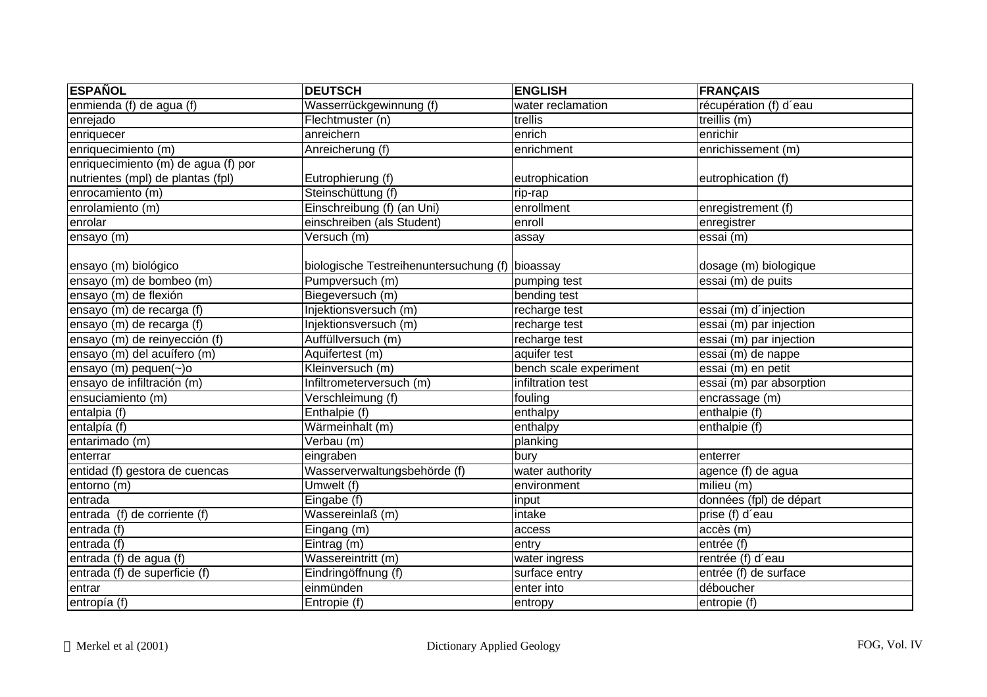| <b>ESPAÑOL</b>                      | <b>DEUTSCH</b>                                  | <b>ENGLISH</b>         | <b>FRANÇAIS</b>                      |
|-------------------------------------|-------------------------------------------------|------------------------|--------------------------------------|
| enmienda (f) de agua (f)            | Wasserrückgewinnung (f)                         | water reclamation      | récupération (f) d'eau               |
| enrejado                            | Flechtmuster (n)                                | trellis                | treillis (m)                         |
| enriquecer                          | anreichern                                      | enrich                 | enrichir                             |
| enriquecimiento (m)                 | Anreicherung (f)                                | enrichment             | enrichissement (m)                   |
| enriquecimiento (m) de agua (f) por |                                                 |                        |                                      |
| nutrientes (mpl) de plantas (fpl)   | Eutrophierung (f)                               | eutrophication         | eutrophication (f)                   |
| enrocamiento (m)                    | Steinschüttung (f)                              | rip-rap                |                                      |
| enrolamiento (m)                    | Einschreibung (f) (an Uni)                      | enrollment             | enregistrement (f)                   |
| enrolar                             | einschreiben (als Student)                      | enroll                 | enregistrer                          |
| ensayo (m)                          | Versuch (m)                                     | assay                  | essai (m)                            |
| ensayo (m) biológico                | biologische Testreihenuntersuchung (f) bioassay |                        | dosage (m) biologique                |
| ensayo (m) de bombeo (m)            | Pumpversuch (m)                                 | pumping test           | essai (m) de puits                   |
| ensayo (m) de flexión               | Biegeversuch (m)                                | bending test           |                                      |
| ensayo (m) de recarga (f)           | Injektionsversuch (m)                           | recharge test          | essai (m) d'injection                |
| ensayo (m) de recarga (f)           | Injektionsversuch (m)                           | recharge test          | essai (m) par injection              |
| ensayo (m) de reinyección (f)       | Auffüllversuch (m)                              | recharge test          | essai (m) par injection              |
| ensayo (m) del acuífero (m)         | Aquifertest (m)                                 | aquifer test           | essai (m) de nappe                   |
| ensayo (m) pequen( $\sim$ )o        | Kleinversuch (m)                                | bench scale experiment | essai (m) en petit                   |
| ensayo de infiltración (m)          | Infiltrometerversuch (m)                        | infiltration test      | $\overline{essai(m)}$ par absorption |
| ensuciamiento (m)                   | Verschleimung (f)                               | fouling                | encrassage (m)                       |
| entalpia (f)                        | Enthalpie (f)                                   | enthalpy               | enthalpie (f)                        |
| entalpía (f)                        | Wärmeinhalt (m)                                 | enthalpy               | enthalpie (f)                        |
| entarimado (m)                      | Verbau (m)                                      | planking               |                                      |
| enterrar                            | eingraben                                       | bury                   | enterrer                             |
| entidad (f) gestora de cuencas      | Wasserverwaltungsbehörde (f)                    | water authority        | agence (f) de agua                   |
| entorno (m)                         | Umwelt (f)                                      | environment            | milieu (m)                           |
| entrada                             | Eingabe (f)                                     | input                  | données (fpl) de départ              |
| entrada (f) de corriente (f)        | Wassereinlaß (m)                                | intake                 | prise (f) d'eau                      |
| entrada (f)                         | Eingang (m)                                     | access                 | accès (m)                            |
| entrada (f)                         | Eintrag (m)                                     | entry                  | entrée (f)                           |
| entrada (f) de agua (f)             | Wassereintritt (m)                              | water ingress          | rentrée (f) d'eau                    |
| entrada (f) de superficie (f)       | Eindringöffnung (f)                             | surface entry          | entrée (f) de surface                |
| entrar                              | einmünden                                       | enter into             | déboucher                            |
| entropía (f)                        | Entropie (f)                                    | entropy                | entropie (f)                         |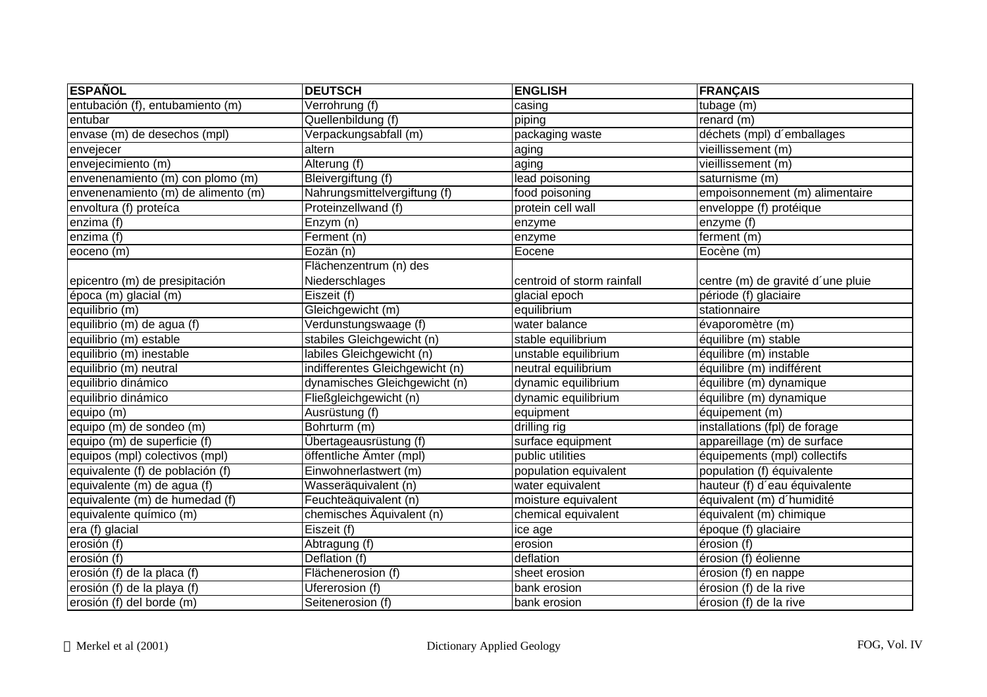| <b>ESPAÑOL</b>                     | <b>DEUTSCH</b>                  | <b>ENGLISH</b>             | <b>FRANÇAIS</b>                   |
|------------------------------------|---------------------------------|----------------------------|-----------------------------------|
| entubación (f), entubamiento (m)   | Verrohrung (f)                  | casing                     | tubage (m)                        |
| entubar                            | Quellenbildung (f)              | piping                     | renard $(m)$                      |
| envase (m) de desechos (mpl)       | Verpackungsabfall (m)           | packaging waste            | déchets (mpl) d'emballages        |
| envejecer                          | altern                          | aging                      | vieillissement (m)                |
| envejecimiento (m)                 | Alterung (f)                    | laging                     | vieillissement (m)                |
| envenenamiento (m) con plomo (m)   | Bleivergiftung (f)              | lead poisoning             | saturnisme (m)                    |
| envenenamiento (m) de alimento (m) | Nahrungsmittelvergiftung (f)    | food poisoning             | empoisonnement (m) alimentaire    |
| envoltura (f) proteíca             | Proteinzellwand (f)             | protein cell wall          | enveloppe (f) protéique           |
| enzima $\overline{f}$              | $\overline{\text{Enzym}}$ (n)   | enzyme                     | enzyme (f)                        |
| enzima (f)                         | Ferment (n)                     | enzyme                     | ferment (m)                       |
| eoceno (m)                         | Eozän (n)                       | Eocene                     | Eocène (m)                        |
|                                    | Flächenzentrum (n) des          |                            |                                   |
| epicentro (m) de presipitación     | Niederschlages                  | centroid of storm rainfall | centre (m) de gravité d'une pluie |
| época (m) glacial (m)              | Eiszeit (f)                     | glacial epoch              | période (f) glaciaire             |
| equilibrio(m)                      | Gleichgewicht (m)               | equilibrium                | stationnaire                      |
| equilibrio (m) de agua (f)         | Verdunstungswaage (f)           | water balance              | évaporomètre (m)                  |
| equilibrio (m) estable             | stabiles Gleichgewicht (n)      | stable equilibrium         | équilibre (m) stable              |
| equilibrio (m) inestable           | labiles Gleichgewicht (n)       | unstable equilibrium       | équilibre (m) instable            |
| equilibrio (m) neutral             | indifferentes Gleichgewicht (n) | neutral equilibrium        | équilibre (m) indifférent         |
| equilibrio dinámico                | dynamisches Gleichgewicht (n)   | dynamic equilibrium        | équilibre (m) dynamique           |
| equilibrio dinámico                | Fließgleichgewicht (n)          | dynamic equilibrium        | équilibre (m) dynamique           |
| equipo (m)                         | Ausrüstung (f)                  | equipment                  | équipement (m)                    |
| equipo (m) de sondeo (m)           | Bohrturm (m)                    | drilling rig               | installations (fpl) de forage     |
| equipo (m) de superficie (f)       | Übertageausrüstung (f)          | surface equipment          | appareillage (m) de surface       |
| equipos (mpl) colectivos (mpl)     | öffentliche Ämter (mpl)         | public utilities           | équipements (mpl) collectifs      |
| equivalente (f) de población (f)   | Einwohnerlastwert (m)           | population equivalent      | population (f) équivalente        |
| equivalente (m) de agua (f)        | Wasseräquivalent (n)            | water equivalent           | hauteur (f) d'eau équivalente     |
| equivalente (m) de humedad (f)     | Feuchteäquivalent (n)           | moisture equivalent        | équivalent (m) d'humidité         |
| equivalente químico (m)            | chemisches Äquivalent (n)       | chemical equivalent        | équivalent (m) chimique           |
| era (f) glacial                    | Eiszeit (f)                     | ice age                    | époque (f) glaciaire              |
| erosión (f)                        | Abtragung (f)                   | erosion                    | érosion (f)                       |
| erosión (f)                        | Deflation (f)                   | deflation                  | érosion (f) éolienne              |
| erosión (f) de la placa (f)        | Flächenerosion (f)              | sheet erosion              | érosion (f) en nappe              |
| erosión (f) de la playa (f)        | Ufererosion (f)                 | bank erosion               | érosion (f) de la rive            |
| erosión (f) del borde (m)          | Seitenerosion (f)               | bank erosion               | érosion (f) de la rive            |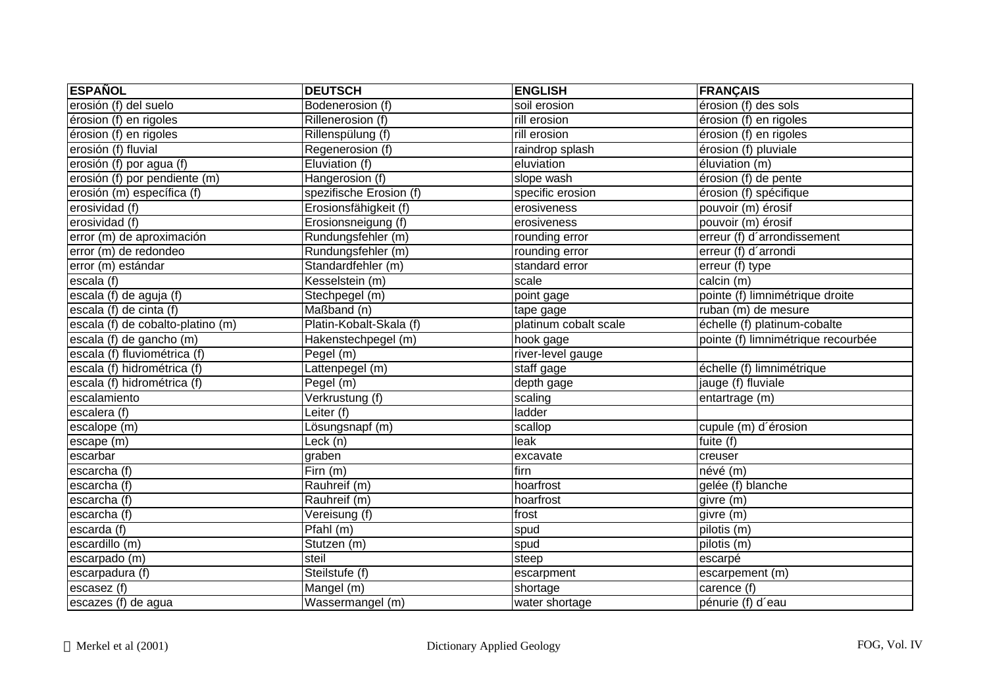| <b>ESPAÑOL</b>                    | <b>DEUTSCH</b>           | <b>ENGLISH</b>        | <b>FRANÇAIS</b>                    |
|-----------------------------------|--------------------------|-----------------------|------------------------------------|
| erosión (f) del suelo             | Bodenerosion (f)         | soil erosion          | érosion (f) des sols               |
| érosion (f) en rigoles            | Rillenerosion (f)        | rill erosion          | érosion (f) en rigoles             |
| érosion (f) en rigoles            | Rillenspülung (f)        | rill erosion          | érosion (f) en rigoles             |
| erosión (f) fluvial               | Regenerosion (f)         | raindrop splash       | érosion (f) pluviale               |
| erosión (f) por agua (f)          | Eluviation (f)           | eluviation            | éluviation (m)                     |
| erosión (f) por pendiente (m)     | Hangerosion (f)          | slope wash            | érosion (f) de pente               |
| erosión (m) específica (f)        | spezifische Erosion (f)  | specific erosion      | érosion (f) spécifique             |
| erosividad (f)                    | Erosionsfähigkeit (f)    | erosiveness           | pouvoir (m) érosif                 |
| erosividad (f)                    | Erosionsneigung (f)      | erosiveness           | pouvoir (m) érosif                 |
| error (m) de aproximación         | Rundungsfehler (m)       | rounding error        | erreur (f) d'arrondissement        |
| error (m) de redondeo             | Rundungsfehler (m)       | rounding error        | erreur (f) d'arrondi               |
| error (m) estándar                | Standardfehler (m)       | standard error        | erreur $(t)$ type                  |
| escala (f)                        | Kesselstein (m)          | scale                 | calcin (m)                         |
| escala (f) de aguja (f)           | Stechpegel (m)           | point gage            | pointe (f) limnimétrique droite    |
| escala (f) de cinta (f)           | Maßband (n)              | tape gage             | ruban (m) de mesure                |
| escala (f) de cobalto-platino (m) | Platin-Kobalt-Skala (f)  | platinum cobalt scale | échelle (f) platinum-cobalte       |
| escala (f) de gancho (m)          | Hakenstechpegel (m)      | hook gage             | pointe (f) limnimétrique recourbée |
| escala (f) fluviométrica (f)      | Pegel (m)                | river-level gauge     |                                    |
| escala (f) hidrométrica (f)       | Lattenpegel (m)          | staff gage            | échelle (f) limnimétrique          |
| escala (f) hidrométrica (f)       | Pegel (m)                | depth gage            | jauge (f) fluviale                 |
| escalamiento                      | Verkrustung (f)          | scaling               | entartrage (m)                     |
| escalera (f)                      | Leiter (f)               | ladder                |                                    |
| escalope (m)                      | Lösungsnapf (m)          | scallop               | cupule (m) d'érosion               |
| escape (m)                        | $L\negthinspace$ eck (n) | leak                  | fuite (f)                          |
| escarbar                          | graben                   | excavate              | creuser                            |
| escarcha (f)                      | $\overline{F}$ irn (m)   | firn                  | névé (m)                           |
| escarcha (f)                      | Rauhreif (m)             | hoarfrost             | gelée (f) blanche                  |
| escarcha (f)                      | Rauhreif (m)             | hoarfrost             | givre (m)                          |
| escarcha (f)                      | Vereisung (f)            | frost                 | givre (m)                          |
| escarda (f)                       | Pfahl(m)                 | spud                  | pilotis (m)                        |
| escardillo (m)                    | Stutzen (m)              | spud                  | pilotis (m)                        |
| escarpado (m)                     | steil                    | steep                 | escarpé                            |
| escarpadura (f)                   | Steilstufe (f)           | escarpment            | escarpement (m)                    |
| escasez (f)                       | Mangel (m)               | shortage              | carence (f)                        |
| escazes (f) de agua               | Wassermangel (m)         | water shortage        | pénurie (f) d'eau                  |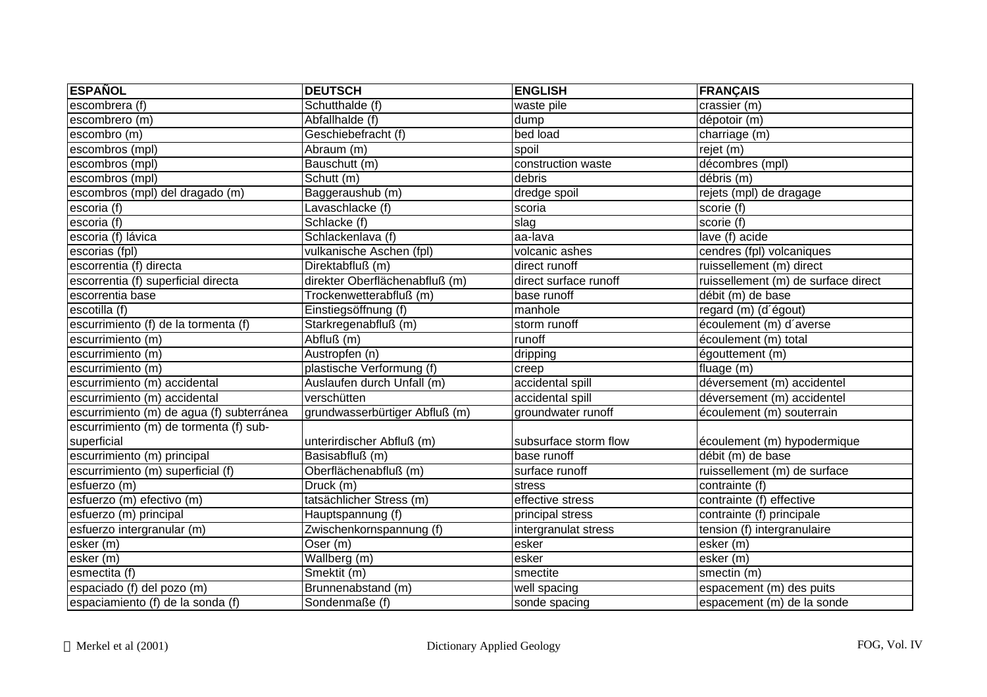| <b>ESPAÑOL</b>                            | <b>DEUTSCH</b>                 | <b>ENGLISH</b>        | <b>FRANÇAIS</b>                     |
|-------------------------------------------|--------------------------------|-----------------------|-------------------------------------|
| escombrera (f)                            | Schutthalde (f)                | waste pile            | crassier (m)                        |
| escombrero (m)                            | Abfallhalde (f)                | dump                  | dépotoir (m)                        |
| escombro (m)                              | Geschiebefracht (f)            | bed load              | charriage (m)                       |
| escombros (mpl)                           | Abraum (m)                     | spoil                 | rejet (m)                           |
| escombros (mpl)                           | Bauschutt (m)                  | construction waste    | décombres (mpl)                     |
| escombros (mpl)                           | Schutt (m)                     | debris                | débris (m)                          |
| escombros (mpl) del dragado (m)           | Baggeraushub (m)               | dredge spoil          | rejets (mpl) de dragage             |
| escoria (f)                               | Lavaschlacke (f)               | scoria                | scorie (f)                          |
| escoria(f)                                | Schlacke (f)                   | slag                  | scorie (f)                          |
| escoria (f) lávica                        | Schlackenlava (f)              | aa-lava               | lave (f) acide                      |
| escorias (fpl)                            | vulkanische Aschen (fpl)       | volcanic ashes        | cendres (fpl) volcaniques           |
| escorrentia (f) directa                   | Direktabfluß (m)               | direct runoff         | ruissellement (m) direct            |
| escorrentia (f) superficial directa       | direkter Oberflächenabfluß (m) | direct surface runoff | ruissellement (m) de surface direct |
| escorrentia base                          | Trockenwetterabfluß (m)        | base runoff           | débit (m) de base                   |
| escotilla (f)                             | Einstiegsöffnung (f)           | manhole               | regard (m) (d'égout)                |
| escurrimiento (f) de la tormenta (f)      | Starkregenabfluß (m)           | storm runoff          | écoulement (m) d'averse             |
| escurrimiento (m)                         | Abfluß (m)                     | runoff                | écoulement (m) total                |
| escurrimiento (m)                         | Austropfen (n)                 | dripping              | égouttement (m)                     |
| escurrimiento (m)                         | plastische Verformung (f)      | creep                 | fluage (m)                          |
| escurrimiento (m) accidental              | Auslaufen durch Unfall (m)     | accidental spill      | déversement (m) accidentel          |
| escurrimiento (m) accidental              | verschütten                    | accidental spill      | déversement (m) accidentel          |
| escurrimiento (m) de agua (f) subterránea | grundwasserbürtiger Abfluß (m) | groundwater runoff    | écoulement (m) souterrain           |
| escurrimiento (m) de tormenta (f) sub-    |                                |                       |                                     |
| superficial                               | unterirdischer Abfluß (m)      | subsurface storm flow | écoulement (m) hypodermique         |
| escurrimiento (m) principal               | Basisabfluß (m)                | base runoff           | débit (m) de base                   |
| escurrimiento (m) superficial (f)         | Oberflächenabfluß (m)          | surface runoff        | ruissellement (m) de surface        |
| esfuerzo (m)                              | Druck (m)                      | stress                | contrainte (f)                      |
| esfuerzo (m) efectivo (m)                 | tatsächlicher Stress (m)       | effective stress      | contrainte (f) effective            |
| esfuerzo (m) principal                    | Hauptspannung (f)              | principal stress      | contrainte (f) principale           |
| esfuerzo intergranular (m)                | Zwischenkornspannung (f)       | intergranulat stress  | tension (f) intergranulaire         |
| esker (m)                                 | Oser (m)                       | esker                 | esker (m)                           |
| $\overline{esker(m)}$                     | Wallberg (m)                   | esker                 | $\overline{lesker(m)}$              |
| esmectita (f)                             | Smektit (m)                    | smectite              | smectin (m)                         |
| espaciado (f) del pozo (m)                | Brunnenabstand (m)             | well spacing          | espacement (m) des puits            |
| espaciamiento (f) de la sonda (f)         | Sondenmaße (f)                 | sonde spacing         | espacement (m) de la sonde          |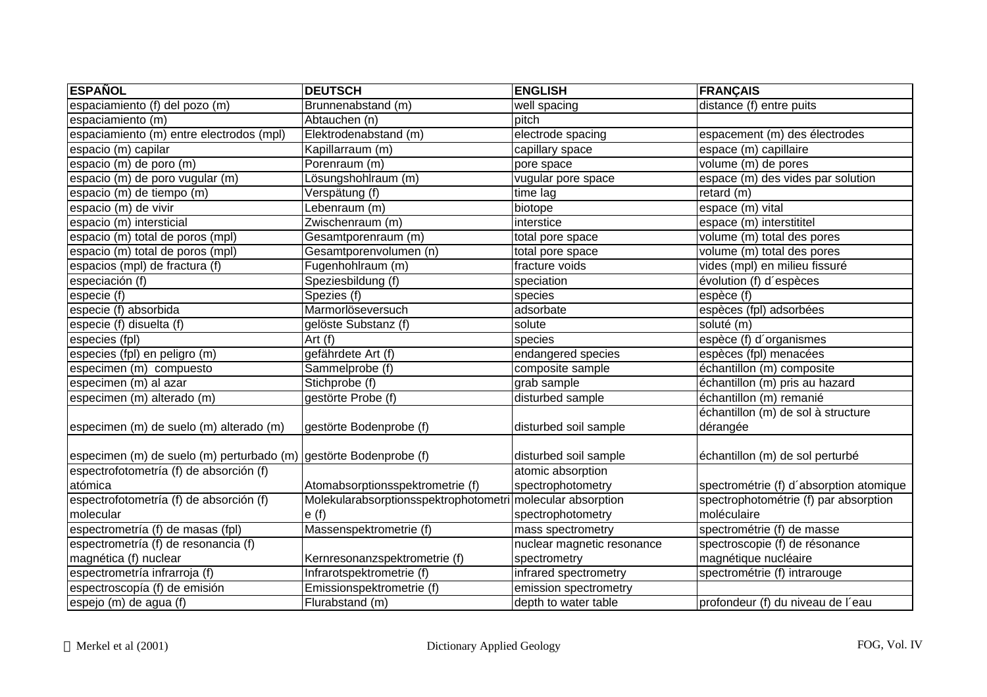| <b>ESPAÑOL</b>                                                    | <b>DEUTSCH</b>                        | <b>ENGLISH</b>             | <b>FRANÇAIS</b>                                |
|-------------------------------------------------------------------|---------------------------------------|----------------------------|------------------------------------------------|
| espaciamiento (f) del pozo (m)                                    | Brunnenabstand (m)                    | well spacing               | $distance(f)$ entre puits                      |
| espaciamiento (m)                                                 | Abtauchen (n)                         | pitch                      |                                                |
| espaciamiento (m) entre electrodos (mpl)                          | Elektrodenabstand (m)                 | electrode spacing          | espacement (m) des électrodes                  |
| $\overline{e}$ spacio (m) capilar                                 | Kapillarraum (m)                      | capillary space            | espace (m) capillaire                          |
| espacio (m) de poro (m)                                           | Porenraum (m)                         | pore space                 | volume (m) de pores                            |
| espacio (m) de poro vugular (m)                                   | Lösungshohlraum (m)                   | vugular pore space         | espace (m) des vides par solution              |
| espacio (m) de tiempo (m)                                         | Verspätung (f)                        | time lag                   | retard (m)                                     |
| espacio (m) de vivir                                              | Lebenraum (m)                         | biotope                    | espace (m) vital                               |
| espacio (m) intersticial                                          | Zwischenraum (m)                      | interstice                 | espace (m) interstititel                       |
| espacio (m) total de poros (mpl)                                  | Gesamtporenraum (m)                   | total pore space           | volume (m) total des pores                     |
| espacio (m) total de poros (mpl)                                  | Gesamtporenvolumen (n)                | total pore space           | volume (m) total des pores                     |
| espacios (mpl) de fractura (f)                                    | Fugenhohlraum (m)                     | fracture voids             | vides (mpl) en milieu fissuré                  |
| especiación (f)                                                   | Speziesbildung (f)                    | speciation                 | évolution (f) d'espèces                        |
| especie (f)                                                       | Spezies (f)                           | species                    | espèce (f)                                     |
| especie (f) absorbida                                             | Marmorlöseversuch                     | adsorbate                  | espèces (fpl) adsorbées                        |
| especie (f) disuelta (f)                                          | gelöste Substanz (f)                  | solute                     | soluté (m)                                     |
| especies (fpl)                                                    | Art (f)                               | species                    | espèce (f) d'organismes                        |
| especies (fpl) en peligro (m)                                     | gefährdete Art (f)                    | endangered species         | espèces (fpl) menacées                         |
| especimen (m) compuesto                                           | Sammelprobe (f)                       | composite sample           | échantillon (m) composite                      |
| especimen (m) al azar                                             | Stichprobe (f)                        | grab sample                | échantillon (m) pris au hazard                 |
| especimen (m) alterado (m)                                        | gestörte Probe (f)                    | disturbed sample           | échantillon (m) remanié                        |
| especimen (m) de suelo (m) alterado (m)                           | gestörte Bodenprobe (f)               | disturbed soil sample      | échantillon (m) de sol à structure<br>dérangée |
|                                                                   |                                       |                            |                                                |
| especimen (m) de suelo (m) perturbado (m) gestörte Bodenprobe (f) |                                       | disturbed soil sample      | échantillon (m) de sol perturbé                |
| espectrofotometría (f) de absorción (f)                           |                                       | atomic absorption          |                                                |
| atómica                                                           | Atomabsorptionsspektrometrie (f)      | spectrophotometry          | spectrométrie (f) d'absorption atomique        |
| espectrofotometría (f) de absorción (f)                           | Molekularabsorptionsspektrophotometri | molecular absorption       | spectrophotométrie (f) par absorption          |
| molecular                                                         | e(f)                                  | spectrophotometry          | moléculaire                                    |
| espectrometría (f) de masas (fpl)                                 | Massenspektrometrie (f)               | mass spectrometry          | spectrométrie (f) de masse                     |
| espectrometría (f) de resonancia (f)                              |                                       | nuclear magnetic resonance | spectroscopie (f) de résonance                 |
| magnética (f) nuclear                                             | Kernresonanzspektrometrie (f)         | spectrometry               | magnétique nucléaire                           |
| espectrometría infrarroja (f)                                     | Infrarotspektrometrie (f)             | infrared spectrometry      | spectrométrie (f) intrarouge                   |
| espectroscopía (f) de emisión                                     | Emissionspektrometrie (f)             | emission spectrometry      |                                                |
| espejo (m) de agua (f)                                            | Flurabstand (m)                       | depth to water table       | profondeur (f) du niveau de l'eau              |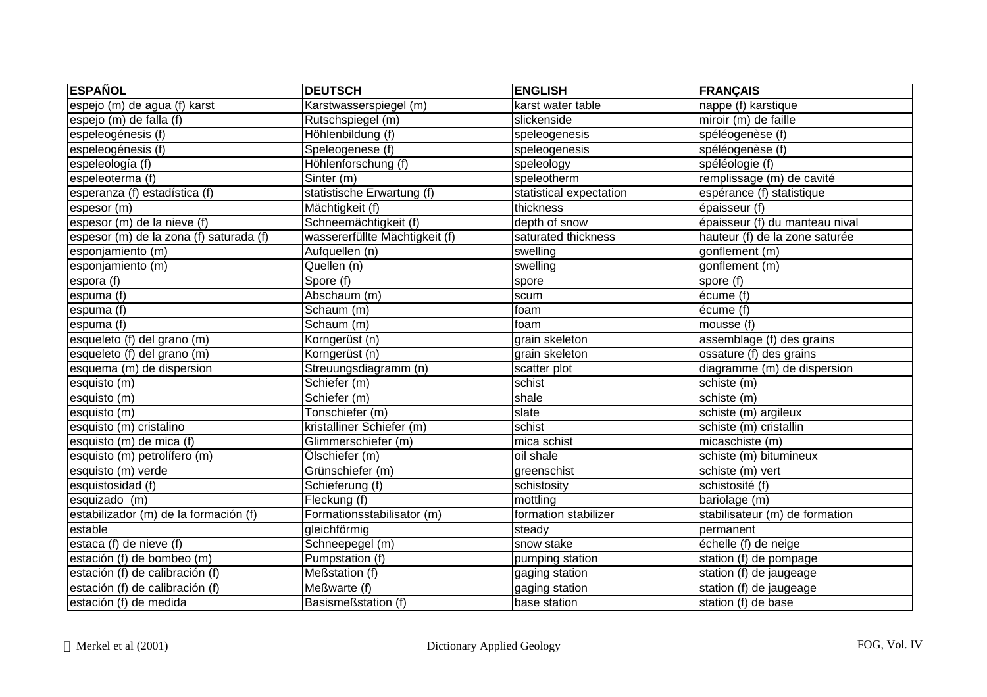| <b>ESPAÑOL</b>                          | <b>DEUTSCH</b>                 | <b>ENGLISH</b>          | <b>FRANÇAIS</b>                |
|-----------------------------------------|--------------------------------|-------------------------|--------------------------------|
| espejo (m) de agua (f) karst            | Karstwasserspiegel (m)         | karst water table       | nappe (f) karstique            |
| espejo (m) de falla (f)                 | Rutschspiegel (m)              | slickenside             | miroir (m) de faille           |
| espeleogénesis (f)                      | Höhlenbildung (f)              | speleogenesis           | spéléogenèse (f)               |
| espeleogénesis (f)                      | Speleogenese (f)               | speleogenesis           | spéléogenèse (f)               |
| espeleología (f)                        | Höhlenforschung (f)            | speleology              | spéléologie (f)                |
| espeleoterma (f)                        | Sinter (m)                     | speleotherm             | remplissage (m) de cavité      |
| esperanza (f) estadística (f)           | statistische Erwartung (f)     | statistical expectation | espérance (f) statistique      |
| espesor (m)                             | Mächtigkeit (f)                | thickness               | épaisseur (f)                  |
| espesor (m) de la nieve (f)             | Schneemächtigkeit (f)          | depth of snow           | épaisseur (f) du manteau nival |
| espesor (m) de la zona (f) saturada (f) | wassererfüllte Mächtigkeit (f) | saturated thickness     | hauteur (f) de la zone saturée |
| esponjamiento (m)                       | Aufquellen (n)                 | swelling                | gonflement (m)                 |
| esponjamiento (m)                       | Quellen (n)                    | swelling                | gonflement (m)                 |
| espora (f)                              | Spore (f)                      | spore                   | spore (f)                      |
| espuma (f)                              | Abschaum (m)                   | scum                    | écume (f)                      |
| espuma (f)                              | Schaum (m)                     | foam                    | écume (f)                      |
| espuma (f)                              | Schaum (m)                     | foam                    | mousse $(f)$                   |
| esqueleto (f) del grano (m)             | Korngerüst (n)                 | grain skeleton          | assemblage (f) des grains      |
| esqueleto (f) del grano (m)             | Korngerüst (n)                 | grain skeleton          | ossature (f) des grains        |
| esquema (m) de dispersion               | Streuungsdiagramm (n)          | scatter plot            | diagramme (m) de dispersion    |
| esquisto (m)                            | Schiefer (m)                   | schist                  | schiste (m)                    |
| esquisto (m)                            | Schiefer (m)                   | shale                   | schiste (m)                    |
| esquisto (m)                            | Tonschiefer (m)                | slate                   | schiste (m) argileux           |
| esquisto (m) cristalino                 | kristalliner Schiefer (m)      | schist                  | schiste (m) cristallin         |
| esquisto (m) de mica (f)                | Glimmerschiefer (m)            | mica schist             | micaschiste (m)                |
| esquisto (m) petrolífero (m)            | Ölschiefer (m)                 | oil shale               | schiste (m) bitumineux         |
| esquisto (m) verde                      | Grünschiefer (m)               | greenschist             | schiste (m) vert               |
| esquistosidad (f)                       | Schieferung (f)                | schistosity             | schistosité (f)                |
| esquizado (m)                           | Fleckung (f)                   | mottling                | bariolage (m)                  |
| estabilizador (m) de la formación (f)   | Formationsstabilisator (m)     | formation stabilizer    | stabilisateur (m) de formation |
| estable                                 | gleichförmig                   | steady                  | permanent                      |
| estaca (f) de nieve (f)                 | Schneepegel (m)                | snow stake              | échelle (f) de neige           |
| estación (f) de bombeo (m)              | Pumpstation (f)                | pumping station         | station (f) de pompage         |
| estación (f) de calibración (f)         | Meßstation (f)                 | gaging station          | station (f) de jaugeage        |
| estación (f) de calibración (f)         | Meßwarte (f)                   | gaging station          | station (f) de jaugeage        |
| estación (f) de medida                  | Basismeßstation (f)            | base station            | station (f) de base            |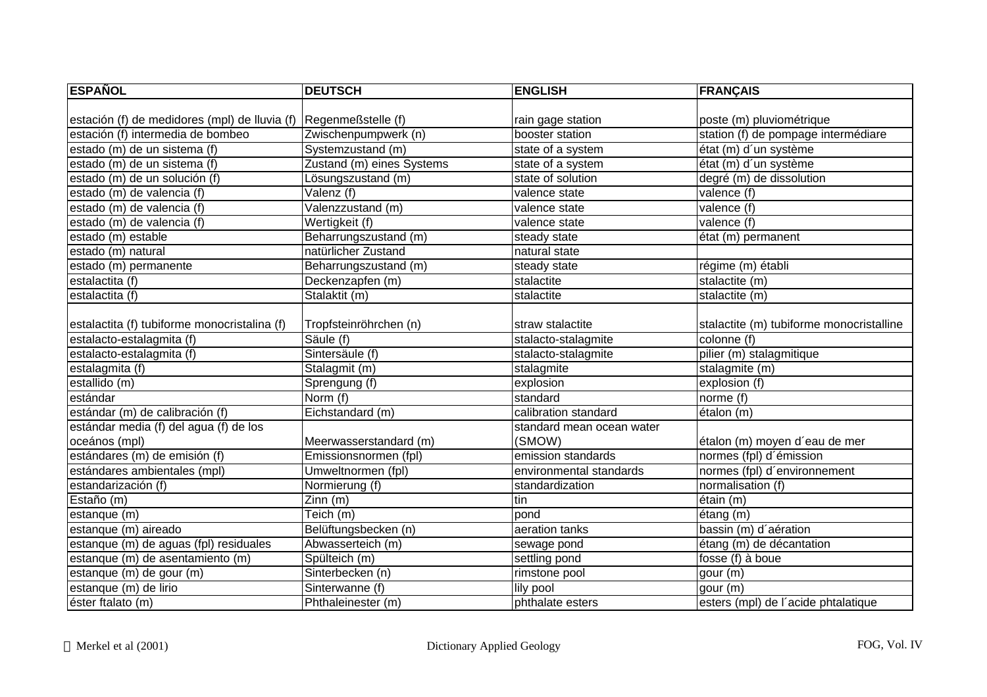| <b>ESPAÑOL</b>                                | <b>DEUTSCH</b>            | <b>ENGLISH</b>            | <b>FRANÇAIS</b>                          |
|-----------------------------------------------|---------------------------|---------------------------|------------------------------------------|
|                                               |                           |                           |                                          |
| estación (f) de medidores (mpl) de lluvia (f) | Regenmeßstelle (f)        | rain gage station         | poste (m) pluviométrique                 |
| estación (f) intermedia de bombeo             | Zwischenpumpwerk (n)      | booster station           | station (f) de pompage intermédiare      |
| estado (m) de un sistema (f)                  | Systemzustand (m)         | state of a system         | état (m) d'un système                    |
| estado (m) de un sistema (f)                  | Zustand (m) eines Systems | state of a system         | état (m) d'un système                    |
| estado (m) de un solución (f)                 | Lösungszustand (m)        | state of solution         | degré (m) de dissolution                 |
| estado (m) de valencia (f)                    | Valenz (f)                | valence state             | valence (f)                              |
| estado (m) de valencia (f)                    | Valenzzustand (m)         | valence state             | valence (f)                              |
| estado (m) de valencia (f)                    | Wertigkeit (f)            | valence state             | valence (f)                              |
| estado (m) estable                            | Beharrungszustand (m)     | steady state              | état (m) permanent                       |
| estado (m) natural                            | natürlicher Zustand       | natural state             |                                          |
| estado (m) permanente                         | Beharrungszustand (m)     | steady state              | régime (m) établi                        |
| estalactita (f)                               | Deckenzapfen (m)          | stalactite                | stalactite (m)                           |
| estalactita (f)                               | Stalaktit (m)             | stalactite                | stalactite (m)                           |
|                                               |                           |                           |                                          |
| estalactita (f) tubiforme monocristalina (f)  | Tropfsteinröhrchen (n)    | straw stalactite          | stalactite (m) tubiforme monocristalline |
| estalacto-estalagmita (f)                     | Säule (f)                 | stalacto-stalagmite       | colonne (f)                              |
| estalacto-estalagmita (f)                     | Sintersäule (f)           | stalacto-stalagmite       | pilier (m) stalagmitique                 |
| estalagmita (f)                               | Stalagmit (m)             | stalagmite                | stalagmite (m)                           |
| estallido (m)                                 | Sprengung (f)             | explosion                 | explosion (f)                            |
| estándar                                      | Norm (f)                  | standard                  | norme (f)                                |
| estándar (m) de calibración (f)               | Eichstandard (m)          | calibration standard      | étalon (m)                               |
| estándar media (f) del agua (f) de los        |                           | standard mean ocean water |                                          |
| oceános (mpl)                                 | Meerwasserstandard (m)    | (SMOW)                    | étalon (m) moyen d'eau de mer            |
| estándares (m) de emisión (f)                 | Emissionsnormen (fpl)     | emission standards        | normes (fpl) d'émission                  |
| estándares ambientales (mpl)                  | Umweltnormen (fpl)        | environmental standards   | normes (fpl) d'environnement             |
| estandarización (f)                           | Normierung (f)            | standardization           | normalisation (f)                        |
| Estaño (m)                                    | Zinn(m)                   | tin                       | étain (m)                                |
| estanque (m)                                  | Teich (m)                 | pond                      | $é$ tang $(m)$                           |
| estanque $(m)$ aireado                        | Belüftungsbecken (n)      | aeration tanks            | bassin (m) d'aération                    |
| estanque (m) de aguas (fpl) residuales        | Abwasserteich (m)         | sewage pond               | étang (m) de décantation                 |
| estanque (m) de asentamiento (m)              | Spülteich (m)             | settling pond             | fosse (f) à boue                         |
| estanque (m) de gour (m)                      | Sinterbecken (n)          | rimstone pool             | gour (m)                                 |
| estanque (m) de lirio                         | Sinterwanne (f)           | lily pool                 | gour (m)                                 |
| éster ftalato (m)                             | Phthaleinester (m)        | phthalate esters          | esters (mpl) de l'acide phtalatique      |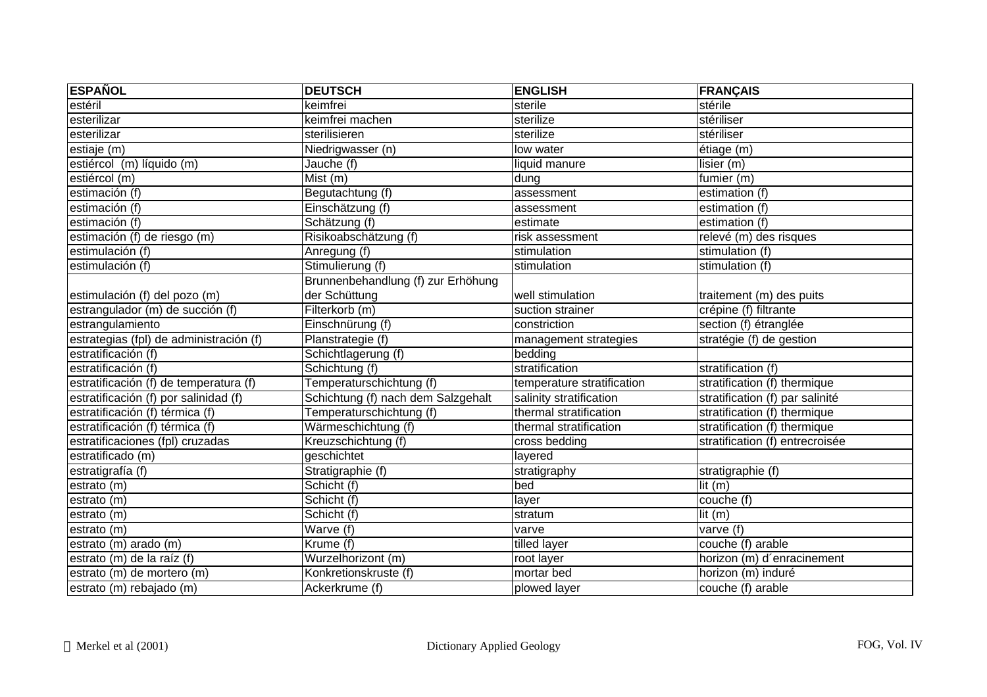| <b>ESPAÑOL</b>                          | <b>DEUTSCH</b>                     | <b>ENGLISH</b>             | <b>FRANÇAIS</b>                 |
|-----------------------------------------|------------------------------------|----------------------------|---------------------------------|
| estéril                                 | keimfrei                           | sterile                    | stérile                         |
| esterilizar                             | keimfrei machen                    | sterilize                  | stériliser                      |
| esterilizar                             | sterilisieren                      | sterilize                  | stériliser                      |
| estiaje (m)                             | Niedrigwasser (n)                  | low water                  | étiage (m)                      |
| estiércol (m) líquido (m)               | Jauche (f)                         | liquid manure              | lisier (m)                      |
| estiércol (m)                           | Mist (m)                           | dung                       | fumier (m)                      |
| estimación (f)                          | Begutachtung (f)                   | assessment                 | estimation (f)                  |
| estimación (f)                          | Einschätzung (f)                   | assessment                 | estimation (f)                  |
| estimación (f)                          | Schätzung (f)                      | estimate                   | estimation (f)                  |
| estimación (f) de riesgo (m)            | Risikoabschätzung (f)              | risk assessment            | relevé (m) des risques          |
| estimulación (f)                        | Anregung (f)                       | stimulation                | stimulation (f)                 |
| estimulación (f)                        | Stimulierung (f)                   | stimulation                | stimulation (f)                 |
|                                         | Brunnenbehandlung (f) zur Erhöhung |                            |                                 |
| estimulación (f) del pozo (m)           | der Schüttung                      | well stimulation           | traitement (m) des puits        |
| estrangulador (m) de succión (f)        | Filterkorb (m)                     | suction strainer           | crépine (f) filtrante           |
| estrangulamiento                        | Einschnürung (f)                   | constriction               | section (f) étranglée           |
| estrategias (fpl) de administración (f) | Planstrategie (f)                  | management strategies      | stratégie (f) de gestion        |
| estratificación (f)                     | Schichtlagerung (f)                | bedding                    |                                 |
| estratificación (f)                     | Schichtung (f)                     | stratification             | stratification (f)              |
| estratificación (f) de temperatura (f)  | Temperaturschichtung (f)           | temperature stratification | stratification (f) thermique    |
| estratificación (f) por salinidad (f)   | Schichtung (f) nach dem Salzgehalt | salinity stratification    | stratification (f) par salinité |
| estratificación (f) térmica (f)         | Temperaturschichtung (f)           | thermal stratification     | stratification (f) thermique    |
| estratificación (f) térmica (f)         | Wärmeschichtung (f)                | thermal stratification     | stratification (f) thermique    |
| estratificaciones (fpl) cruzadas        | Kreuzschichtung (f)                | cross bedding              | stratification (f) entrecroisée |
| estratificado (m)                       | geschichtet                        | layered                    |                                 |
| estratigrafía (f)                       | Stratigraphie (f)                  | stratigraphy               | stratigraphie (f)               |
| estrato (m)                             | Schicht (f)                        | bed                        | $\overline{\mathsf{lit}}$ (m)   |
| estrato (m)                             | Schicht (f)                        | layer                      | couche $(f)$                    |
| estrato (m)                             | Schicht (f)                        | stratum                    | lit(m)                          |
| estrato (m)                             | Warve $(f)$                        | varve                      | varve (f)                       |
| estrato (m) arado (m)                   | Krume (f)                          | tilled layer               | couche (f) arable               |
| estrato (m) de la raíz (f)              | Wurzelhorizont (m)                 | root layer                 | horizon (m) d'enracinement      |
| estrato (m) de mortero (m)              | Konkretionskruste (f)              | mortar bed                 | horizon (m) induré              |
| estrato (m) rebajado (m)                | Ackerkrume (f)                     | plowed layer               | couche (f) arable               |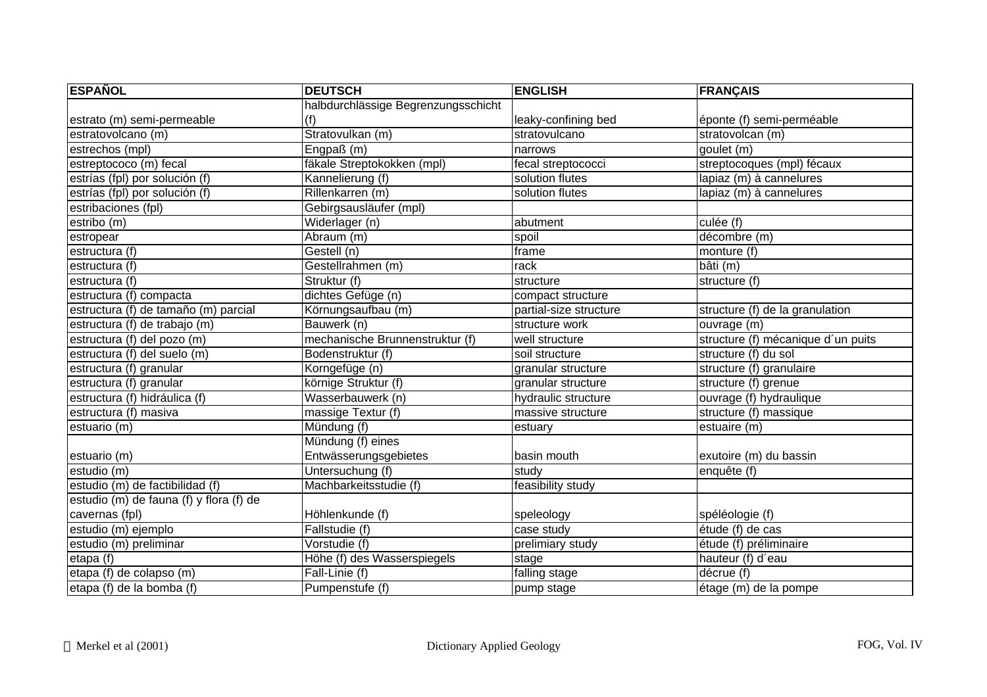| <b>ESPAÑOL</b>                          | <b>DEUTSCH</b>                      | <b>ENGLISH</b>         | <b>FRANÇAIS</b>                    |
|-----------------------------------------|-------------------------------------|------------------------|------------------------------------|
|                                         | halbdurchlässige Begrenzungsschicht |                        |                                    |
| estrato (m) semi-permeable              | (f)                                 | leaky-confining bed    | éponte (f) semi-perméable          |
| estratovolcano (m)                      | Stratovulkan (m)                    | stratovulcano          | stratovolcan (m)                   |
| estrechos (mpl)                         | Engpaß (m)                          | narrows                | goulet (m)                         |
| estreptococo (m) fecal                  | fäkale Streptokokken (mpl)          | fecal streptococci     | streptocoques (mpl) fécaux         |
| estrías (fpl) por solución (f)          | Kannelierung (f)                    | solution flutes        | lapiaz (m) à cannelures            |
| estrías (fpl) por solución (f)          | Rillenkarren (m)                    | solution flutes        | lapiaz (m) à cannelures            |
| estribaciones (fpl)                     | Gebirgsausläufer (mpl)              |                        |                                    |
| estribo (m)                             | Widerlager (n)                      | abutment               | culée (f)                          |
| estropear                               | Abraum (m)                          | spoil                  | décombre (m)                       |
| estructura (f)                          | Gestell (n)                         | frame                  | monture (f)                        |
| estructura (f)                          | Gestellrahmen (m)                   | rack                   | bâti (m)                           |
| estructura (f)                          | Struktur (f)                        | structure              | structure (f)                      |
| estructura (f) compacta                 | dichtes Gefüge (n)                  | compact structure      |                                    |
| estructura (f) de tamaño (m) parcial    | Körnungsaufbau (m)                  | partial-size structure | structure (f) de la granulation    |
| estructura (f) de trabajo (m)           | Bauwerk (n)                         | structure work         | ouvrage (m)                        |
| estructura (f) del pozo (m)             | mechanische Brunnenstruktur (f)     | well structure         | structure (f) mécanique d'un puits |
| estructura (f) del suelo (m)            | Bodenstruktur (f)                   | soil structure         | structure (f) du sol               |
| estructura (f) granular                 | Korngefüge (n)                      | granular structure     | structure (f) granulaire           |
| estructura (f) granular                 | körnige Struktur (f)                | granular structure     | structure (f) grenue               |
| estructura (f) hidráulica (f)           | Wasserbauwerk (n)                   | hydraulic structure    | ouvrage (f) hydraulique            |
| estructura (f) masiva                   | massige Textur (f)                  | massive structure      | structure (f) massique             |
| estuario (m)                            | Mündung (f)                         | estuary                | estuaire (m)                       |
|                                         | Mündung (f) eines                   |                        |                                    |
| estuario (m)                            | Entwässerungsgebietes               | basin mouth            | exutoire (m) du bassin             |
| estudio (m)                             | Untersuchung (f)                    | study                  | enquête (f)                        |
| estudio (m) de factibilidad (f)         | Machbarkeitsstudie (f)              | feasibility study      |                                    |
| estudio (m) de fauna (f) y flora (f) de |                                     |                        |                                    |
| cavernas (fpl)                          | Höhlenkunde (f)                     | speleology             | spéléologie (f)                    |
| estudio (m) ejemplo                     | Fallstudie (f)                      | case study             | étude (f) de cas                   |
| estudio (m) preliminar                  | Vorstudie (f)                       | prelimiary study       | étude (f) préliminaire             |
| etapa (f)                               | Höhe (f) des Wasserspiegels         | stage                  | hauteur (f) d'eau                  |
| etapa (f) de colapso (m)                | Fall-Linie (f)                      | falling stage          | décrue (f)                         |
| etapa (f) de la bomba (f)               | Pumpenstufe (f)                     | pump stage             | étage (m) de la pompe              |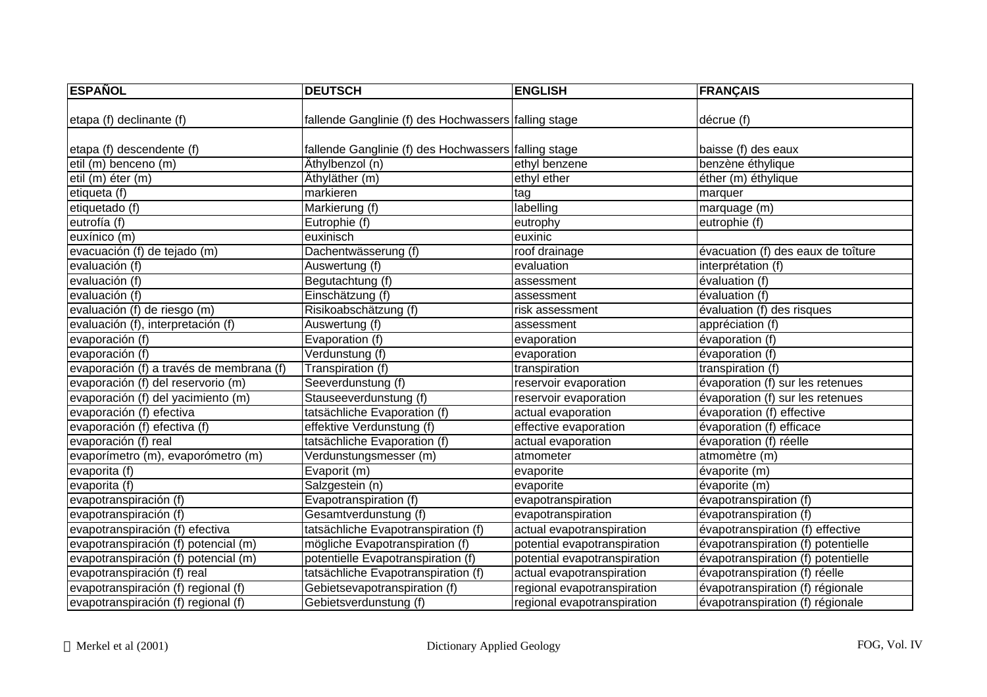| <b>ESPAÑOL</b>                           | <b>DEUTSCH</b>                                       | <b>ENGLISH</b>               | <b>FRANÇAIS</b>                    |
|------------------------------------------|------------------------------------------------------|------------------------------|------------------------------------|
|                                          |                                                      |                              |                                    |
| etapa (f) declinante (f)                 | fallende Ganglinie (f) des Hochwassers falling stage |                              | décrue (f)                         |
| etapa (f) descendente (f)                | fallende Ganglinie (f) des Hochwassers falling stage |                              | baisse (f) des eaux                |
| etil (m) benceno (m)                     | Äthylbenzol (n)                                      | ethyl benzene                | benzène éthylique                  |
| etil (m) éter (m)                        | Äthyläther (m)                                       | ethyl ether                  | éther (m) éthylique                |
| etiqueta $(t)$                           | markieren                                            | tag                          | marquer                            |
| etiquetado (f)                           | Markierung (f)                                       | labelling                    | marquage (m)                       |
| eutrofía (f)                             | Eutrophie (f)                                        | eutrophy                     | eutrophie (f)                      |
| euxínico (m)                             | euxinisch                                            | euxinic                      |                                    |
| evacuación (f) de tejado (m)             | Dachentwässerung (f)                                 | roof drainage                | évacuation (f) des eaux de toîture |
| evaluación (f)                           | Auswertung (f)                                       | evaluation                   | interprétation (f)                 |
| evaluación (f)                           | Begutachtung (f)                                     | assessment                   | évaluation (f)                     |
| evaluación (f)                           | Einschätzung (f)                                     | assessment                   | évaluation (f)                     |
| evaluación (f) de riesgo (m)             | Risikoabschätzung (f)                                | risk assessment              | évaluation (f) des risques         |
| evaluación (f), interpretación (f)       | Auswertung (f)                                       | assessment                   | appréciation (f)                   |
| evaporación (f)                          | Evaporation (f)                                      | evaporation                  | évaporation (f)                    |
| evaporación (f)                          | Verdunstung (f)                                      | evaporation                  | évaporation (f)                    |
| evaporación (f) a través de membrana (f) | Transpiration (f)                                    | transpiration                | transpiration (f)                  |
| evaporación (f) del reservorio (m)       | Seeverdunstung (f)                                   | reservoir evaporation        | évaporation (f) sur les retenues   |
| evaporación (f) del yacimiento (m)       | Stauseeverdunstung (f)                               | reservoir evaporation        | évaporation (f) sur les retenues   |
| evaporación (f) efectiva                 | tatsächliche Evaporation (f)                         | actual evaporation           | évaporation (f) effective          |
| evaporación (f) efectiva (f)             | effektive Verdunstung (f)                            | effective evaporation        | évaporation (f) efficace           |
| evaporación (f) real                     | tatsächliche Evaporation (f)                         | actual evaporation           | évaporation (f) réelle             |
| evaporímetro (m), evaporómetro (m)       | Verdunstungsmesser (m)                               | atmometer                    | atmomètre (m)                      |
| evaporita (f)                            | Evaporit (m)                                         | evaporite                    | évaporite (m)                      |
| evaporita (f)                            | Salzgestein (n)                                      | evaporite                    | évaporite (m)                      |
| evapotranspiración (f)                   | Evapotranspiration (f)                               | evapotranspiration           | évapotranspiration (f)             |
| evapotranspiración (f)                   | Gesamtverdunstung (f)                                | evapotranspiration           | évapotranspiration (f)             |
| evapotranspiración (f) efectiva          | tatsächliche Evapotranspiration (f)                  | actual evapotranspiration    | évapotranspiration (f) effective   |
| evapotranspiración (f) potencial (m)     | mögliche Evapotranspiration (f)                      | potential evapotranspiration | évapotranspiration (f) potentielle |
| evapotranspiración (f) potencial (m)     | potentielle Evapotranspiration (f)                   | potential evapotranspiration | évapotranspiration (f) potentielle |
| evapotranspiración (f) real              | tatsächliche Evapotranspiration (f)                  | actual evapotranspiration    | évapotranspiration (f) réelle      |
| evapotranspiración (f) regional (f)      | Gebietsevapotranspiration (f)                        | regional evapotranspiration  | évapotranspiration (f) régionale   |
| evapotranspiración (f) regional (f)      | Gebietsverdunstung (f)                               | regional evapotranspiration  | évapotranspiration (f) régionale   |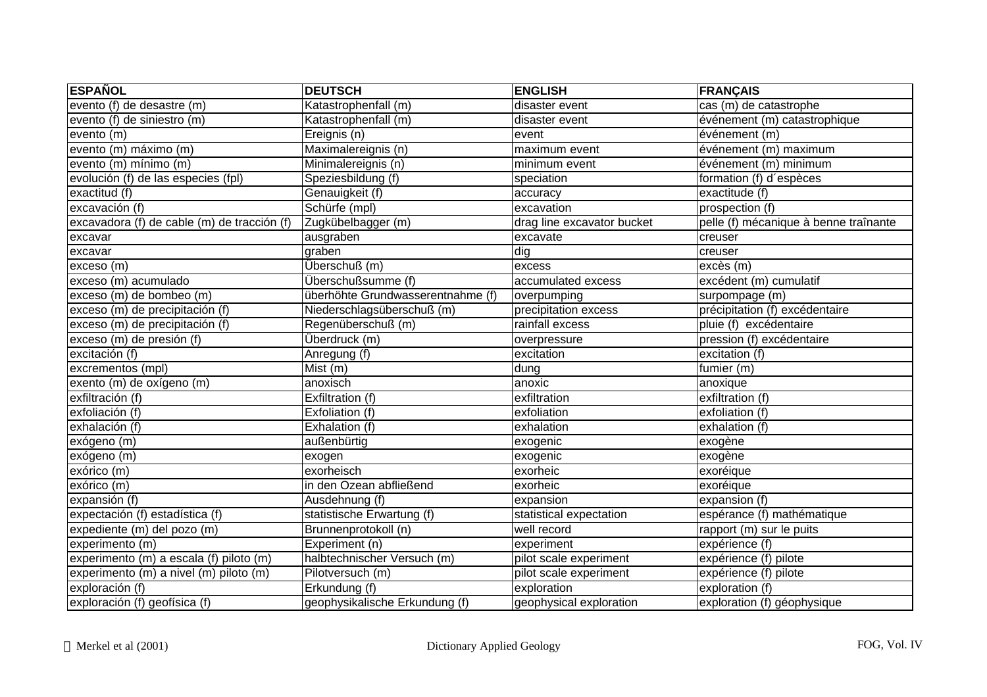| <b>ESPAÑOL</b>                              | <b>DEUTSCH</b>                    | <b>ENGLISH</b>             | <b>FRANÇAIS</b>                       |
|---------------------------------------------|-----------------------------------|----------------------------|---------------------------------------|
| evento (f) de desastre (m)                  | Katastrophenfall (m)              | disaster event             | cas (m) de catastrophe                |
| evento (f) de siniestro (m)                 | Katastrophenfall (m)              | disaster event             | événement (m) catastrophique          |
| evento (m)                                  | Ereignis (n)                      | event                      | événement (m)                         |
| evento (m) máximo (m)                       | Maximalereignis (n)               | maximum event              | événement (m) maximum                 |
| evento (m) mínimo (m)                       | Minimalereignis (n)               | minimum event              | événement (m) minimum                 |
| evolución (f) de las especies (fpl)         | Speziesbildung (f)                | speciation                 | formation (f) d'espèces               |
| exactitud (f)                               | Genauigkeit (f)                   | accuracy                   | exactitude (f)                        |
| excavación $(f)$                            | Schürfe (mpl)                     | excavation                 | prospection (f)                       |
| excavadora (f) de cable (m) de tracción (f) | Zugkübelbagger (m)                | drag line excavator bucket | pelle (f) mécanique à benne traînante |
| excavar                                     | ausgraben                         | excavate                   | creuser                               |
| excavar                                     | graben                            | dig                        | creuser                               |
| exceso (m)                                  | Überschuß (m)                     | excess                     | excès (m)                             |
| exceso (m) acumulado                        | Überschußsumme (f)                | accumulated excess         | excédent (m) cumulatif                |
| exceso (m) de bombeo (m)                    | überhöhte Grundwasserentnahme (f) | overpumping                | surpompage (m)                        |
| exceso (m) de precipitación (f)             | Niederschlagsüberschuß (m)        | precipitation excess       | précipitation (f) excédentaire        |
| exceso (m) de precipitación (f)             | Regenüberschuß (m)                | rainfall excess            | pluie (f) excédentaire                |
| exceso (m) de presión (f)                   | Überdruck (m)                     | overpressure               | pression (f) excédentaire             |
| excitación (f)                              | Anregung (f)                      | excitation                 | excitation (f)                        |
| excrementos (mpl)                           | Mist (m)                          | dung                       | fumier (m)                            |
| exento (m) de oxígeno (m)                   | anoxisch                          | anoxic                     | anoxique                              |
| exfiltración (f)                            | Exfiltration (f)                  | exfiltration               | exfiltration (f)                      |
| exfoliación (f)                             | Exfoliation (f)                   | exfoliation                | exfoliation (f)                       |
| exhalación (f)                              | Exhalation (f)                    | exhalation                 | exhalation (f)                        |
| exógeno (m)                                 | außenbürtig                       | exogenic                   | exogène                               |
| exógeno (m)                                 | exogen                            | exogenic                   | exogène                               |
| exórico (m)                                 | exorheisch                        | exorheic                   | exoréique                             |
| exórico (m)                                 | in den Ozean abfließend           | exorheic                   | exoréique                             |
| expansión (f)                               | Ausdehnung (f)                    | expansion                  | expansion (f)                         |
| expectación (f) estadística (f)             | statistische Erwartung (f)        | statistical expectation    | espérance (f) mathématique            |
| expediente (m) del pozo (m)                 | Brunnenprotokoll (n)              | well record                | rapport (m) sur le puits              |
| experimento (m)                             | Experiment (n)                    | experiment                 | expérience (f)                        |
| experimento (m) a escala (f) piloto (m)     | halbtechnischer Versuch (m)       | pilot scale experiment     | expérience (f) pilote                 |
| experimento (m) a nivel (m) piloto (m)      | Pilotversuch (m)                  | pilot scale experiment     | expérience (f) pilote                 |
| exploración (f)                             | Erkundung (f)                     | exploration                | exploration (f)                       |
| exploración (f) geofísica (f)               | geophysikalische Erkundung (f)    | geophysical exploration    | exploration (f) géophysique           |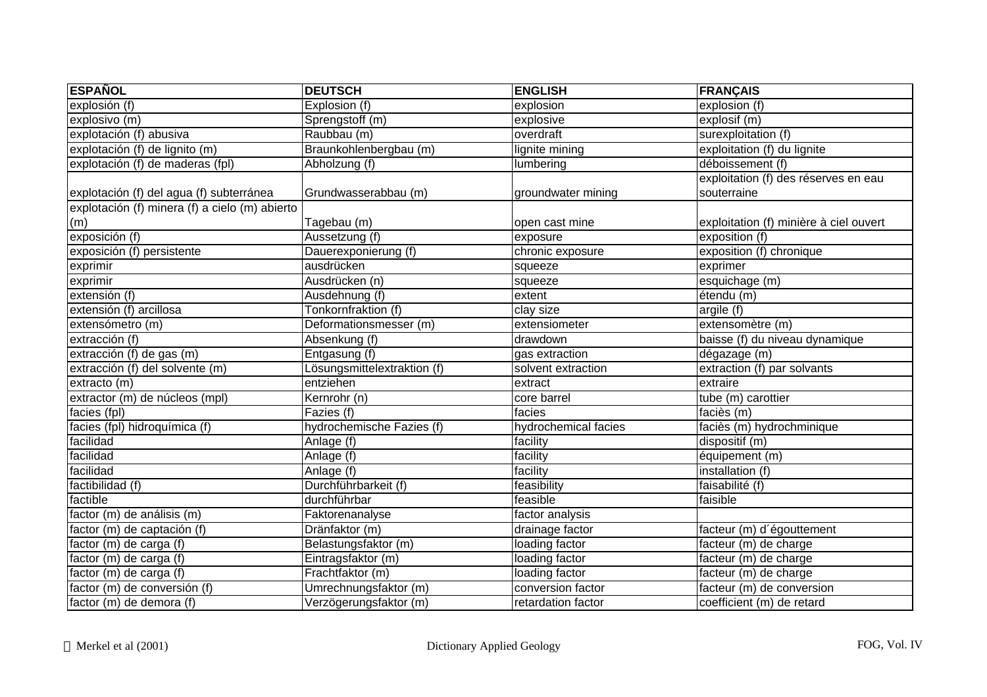| <b>ESPAÑOL</b>                                 | <b>DEUTSCH</b>              | <b>ENGLISH</b>       | <b>FRANÇAIS</b>                        |
|------------------------------------------------|-----------------------------|----------------------|----------------------------------------|
| explosión (f)                                  | Explosion (f)               | explosion            | explosion (f)                          |
| explosivo $(m)$                                | Sprengstoff (m)             | explosive            | explosif (m)                           |
| explotación (f) abusiva                        | Raubbau (m)                 | overdraft            | surexploitation (f)                    |
| explotación (f) de lignito (m)                 | Braunkohlenbergbau (m)      | lignite mining       | exploitation (f) du lignite            |
| explotación (f) de maderas (fpl)               | Abholzung (f)               | lumbering            | déboissement (f)                       |
|                                                |                             |                      | exploitation (f) des réserves en eau   |
| explotación (f) del agua (f) subterránea       | Grundwasserabbau (m)        | groundwater mining   | souterraine                            |
| explotación (f) minera (f) a cielo (m) abierto |                             |                      |                                        |
| (m)                                            | Tagebau (m)                 | open cast mine       | exploitation (f) minière à ciel ouvert |
| exposición (f)                                 | Aussetzung (f)              | exposure             | exposition (f)                         |
| exposición (f) persistente                     | Dauerexponierung (f)        | chronic exposure     | exposition (f) chronique               |
| exprimir                                       | ausdrücken                  | squeeze              | exprimer                               |
| exprimir                                       | Ausdrücken (n)              | squeeze              | esquichage (m)                         |
| extensión $(t)$                                | Ausdehnung (f)              | extent               | étendu (m)                             |
| extensión (f) arcillosa                        | Tonkornfraktion (f)         | clay size            | argile (f)                             |
| extensómetro (m)                               | Deformationsmesser (m)      | extensiometer        | extensomètre (m)                       |
| extracción (f)                                 | Absenkung (f)               | drawdown             | baisse (f) du niveau dynamique         |
| extracción (f) de gas (m)                      | Entgasung (f)               | gas extraction       | dégazage (m)                           |
| extracción (f) del solvente (m)                | Lösungsmittelextraktion (f) | solvent extraction   | extraction (f) par solvants            |
| extracto (m)                                   | entziehen                   | extract              | extraire                               |
| extractor (m) de núcleos (mpl)                 | Kernrohr (n)                | core barrel          | tube (m) carottier                     |
| facies (fpl)                                   | Fazies (f)                  | facies               | faciès (m)                             |
| facies (fpl) hidroquímica (f)                  | hydrochemische Fazies (f)   | hydrochemical facies | faciès (m) hydrochminique              |
| facilidad                                      | Anlage (f)                  | facility             | dispositif (m)                         |
| facilidad                                      | Anlage (f)                  | facility             | équipement (m)                         |
| facilidad                                      | Anlage (f)                  | facility             | installation (f)                       |
| factibilidad (f)                               | Durchführbarkeit (f)        | feasibility          | faisabilité (f)                        |
| factible                                       | durchführbar                | feasible             | faisible                               |
| factor (m) de análisis (m)                     | Faktorenanalyse             | factor analysis      |                                        |
| factor (m) de captación (f)                    | Dränfaktor (m)              | drainage factor      | facteur (m) d'égouttement              |
| factor (m) de carga (f)                        | Belastungsfaktor (m)        | loading factor       | facteur (m) de charge                  |
| factor (m) de carga (f)                        | Eintragsfaktor (m)          | loading factor       | facteur (m) de charge                  |
| factor (m) de carga (f)                        | Frachtfaktor (m)            | loading factor       | facteur (m) de charge                  |
| factor (m) de conversión (f)                   | Umrechnungsfaktor (m)       | conversion factor    | facteur (m) de conversion              |
| factor (m) de demora (f)                       | Verzögerungsfaktor (m)      | retardation factor   | coefficient (m) de retard              |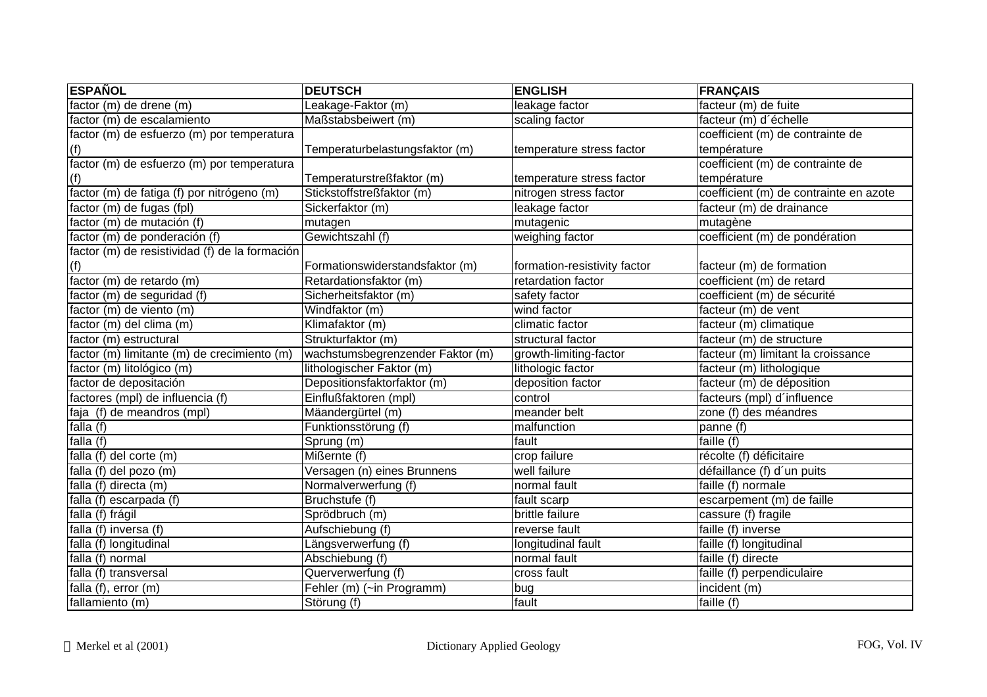| <b>ESPAÑOL</b>                                 | <b>DEUTSCH</b>                   | <b>ENGLISH</b>               | <b>FRANÇAIS</b>                        |
|------------------------------------------------|----------------------------------|------------------------------|----------------------------------------|
| factor (m) de drene (m)                        | Leakage-Faktor (m)               | leakage factor               | facteur (m) de fuite                   |
| factor (m) de escalamiento                     | Maßstabsbeiwert (m)              | scaling factor               | facteur (m) d'échelle                  |
| factor (m) de esfuerzo (m) por temperatura     |                                  |                              | coefficient (m) de contrainte de       |
| (f)                                            | Temperaturbelastungsfaktor (m)   | temperature stress factor    | température                            |
| factor (m) de esfuerzo (m) por temperatura     |                                  |                              | coefficient (m) de contrainte de       |
| (f)                                            | Temperaturstreßfaktor (m)        | temperature stress factor    | température                            |
| factor (m) de fatiga (f) por nitrógeno (m)     | Stickstoffstreßfaktor (m)        | nitrogen stress factor       | coefficient (m) de contrainte en azote |
| factor (m) de fugas (fpl)                      | Sickerfaktor (m)                 | leakage factor               | facteur (m) de drainance               |
| factor (m) de mutación (f)                     | mutagen                          | mutagenic                    | mutagène                               |
| factor (m) de ponderación (f)                  | Gewichtszahl (f)                 | weighing factor              | coefficient (m) de pondération         |
| factor (m) de resistividad (f) de la formación |                                  |                              |                                        |
| (f)                                            | Formationswiderstandsfaktor (m)  | formation-resistivity factor | facteur (m) de formation               |
| factor (m) de retardo (m)                      | Retardationsfaktor (m)           | retardation factor           | coefficient (m) de retard              |
| factor (m) de seguridad (f)                    | Sicherheitsfaktor (m)            | safety factor                | coefficient (m) de sécurité            |
| factor (m) de viento (m)                       | Windfaktor (m)                   | wind factor                  | facteur (m) de vent                    |
| factor (m) del clima (m)                       | Klimafaktor (m)                  | climatic factor              | facteur (m) climatique                 |
| factor (m) estructural                         | Strukturfaktor (m)               | structural factor            | facteur (m) de structure               |
| factor (m) limitante (m) de crecimiento (m)    | wachstumsbegrenzender Faktor (m) | growth-limiting-factor       | facteur (m) limitant la croissance     |
| factor (m) litológico (m)                      | lithologischer Faktor (m)        | lithologic factor            | facteur (m) lithologique               |
| factor de depositación                         | Depositionsfaktorfaktor (m)      | deposition factor            | facteur (m) de déposition              |
| factores (mpl) de influencia (f)               | Einflußfaktoren (mpl)            | control                      | facteurs (mpl) d'influence             |
| faja (f) de meandros (mpl)                     | Mäandergürtel (m)                | meander belt                 | zone (f) des méandres                  |
| falla $(f)$                                    | Funktionsstörung (f)             | malfunction                  | panne (f)                              |
| falla (f)                                      | Sprung (m)                       | fault                        | faille (f)                             |
| falla (f) del corte (m)                        | Mißernte (f)                     | crop failure                 | récolte (f) déficitaire                |
| falla (f) del pozo (m)                         | Versagen (n) eines Brunnens      | well failure                 | défaillance (f) d'un puits             |
| falla (f) directa (m)                          | Normalverwerfung (f)             | normal fault                 | faille (f) normale                     |
| falla (f) escarpada (f)                        | Bruchstufe (f)                   | fault scarp                  | escarpement (m) de faille              |
| falla (f) frágil                               | Sprödbruch (m)                   | brittle failure              | cassure (f) fragile                    |
| falla (f) inversa (f)                          | Aufschiebung (f)                 | reverse fault                | faille (f) inverse                     |
| falla (f) longitudinal                         | Längsverwerfung (f)              | longitudinal fault           | faille (f) longitudinal                |
| falla (f) normal                               | Abschiebung (f)                  | normal fault                 | faille (f) directe                     |
| falla (f) transversal                          | Querverwerfung (f)               | cross fault                  | faille (f) perpendiculaire             |
| falla (f), error (m)                           | Fehler (m) (~in Programm)        | bug                          | incident (m)                           |
| fallamiento (m)                                | Störung (f)                      | fault                        | faille (f)                             |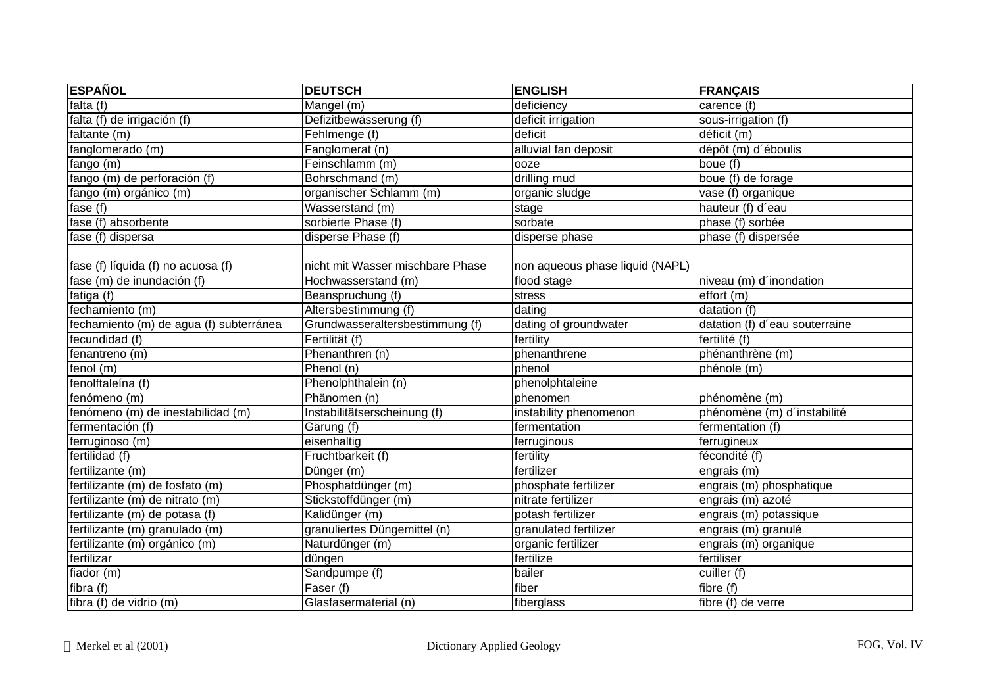| <b>ESPAÑOL</b>                          | <b>DEUTSCH</b>                   | <b>ENGLISH</b>                  | <b>FRANÇAIS</b>                |
|-----------------------------------------|----------------------------------|---------------------------------|--------------------------------|
| falta $(f)$                             | Mangel (m)                       | deficiency                      | carence (f)                    |
| falta (f) de irrigación (f)             | Defizitbewässerung (f)           | deficit irrigation              | sous-irrigation (f)            |
| faltante (m)                            | Fehlmenge (f)                    | deficit                         | déficit (m)                    |
| fanglomerado (m)                        | Fanglomerat (n)                  | alluvial fan deposit            | dépôt (m) d'éboulis            |
| fango(m)                                | Feinschlamm (m)                  | ooze                            | boue $(f)$                     |
| fango (m) de perforación (f)            | Bohrschmand (m)                  | drilling mud                    | boue $(f)$ de forage           |
| fango (m) orgánico (m)                  | organischer Schlamm (m)          | organic sludge                  | vase (f) organique             |
| fase (f)                                | Wasserstand (m)                  | stage                           | hauteur (f) d'eau              |
| fase (f) absorbente                     | sorbierte Phase (f)              | sorbate                         | phase (f) sorbée               |
| fase (f) dispersa                       | disperse Phase (f)               | disperse phase                  | phase (f) dispersée            |
| fase (f) líquida (f) no acuosa (f)      | nicht mit Wasser mischbare Phase | non aqueous phase liquid (NAPL) |                                |
| fase (m) de inundación (f)              | Hochwasserstand (m)              | flood stage                     | niveau (m) d'inondation        |
| fatiga (f)                              | Beanspruchung (f)                | stress                          | effort (m)                     |
| fechamiento (m)                         | Altersbestimmung (f)             | dating                          | datation (f)                   |
| fechamiento (m) de agua (f) subterránea | Grundwasseraltersbestimmung (f)  | dating of groundwater           | datation (f) d'eau souterraine |
| fecundidad (f)                          | Fertilität (f)                   | fertility                       | fertilité $(f)$                |
| fenantreno (m)                          | Phenanthren (n)                  | phenanthrene                    | phénanthrène (m)               |
| fenol $(m)$                             | Phenol (n)                       | phenol                          | phénole (m)                    |
| fenolftaleína (f)                       | Phenolphthalein (n)              | phenolphtaleine                 |                                |
| fenómeno (m)                            | Phänomen (n)                     | phenomen                        | phénomène (m)                  |
| fenómeno (m) de inestabilidad (m)       | Instabilitätserscheinung (f)     | instability phenomenon          | phénomène (m) d'instabilité    |
| fermentación (f)                        | Gärung (f)                       | fermentation                    | fermentation (f)               |
| ferruginoso (m)                         | eisenhaltig                      | ferruginous                     | ferrugineux                    |
| fertilidad (f)                          | Fruchtbarkeit (f)                | fertility                       | fécondité (f)                  |
| fertilizante (m)                        | Dünger (m)                       | fertilizer                      | engrais (m)                    |
| fertilizante (m) de fosfato (m)         | Phosphatdünger (m)               | phosphate fertilizer            | engrais (m) phosphatique       |
| fertilizante (m) de nitrato (m)         | Stickstoffdünger (m)             | nitrate fertilizer              | engrais (m) azoté              |
| fertilizante (m) de potasa (f)          | Kalidünger (m)                   | potash fertilizer               | engrais (m) potassique         |
| fertilizante (m) granulado (m)          | granuliertes Düngemittel (n)     | granulated fertilizer           | engrais (m) granulé            |
| fertilizante (m) orgánico (m)           | Naturdünger (m)                  | organic fertilizer              | engrais (m) organique          |
| fertilizar                              | düngen                           | fertilize                       | fertiliser                     |
| fiador $(m)$                            | Sandpumpe (f)                    | bailer                          | cuiller (f)                    |
| fibra(f)                                | Faser (f)                        | fiber                           | fibre (f)                      |
| fibra (f) de vidrio (m)                 | Glasfasermaterial (n)            | fiberglass                      | fibre (f) de verre             |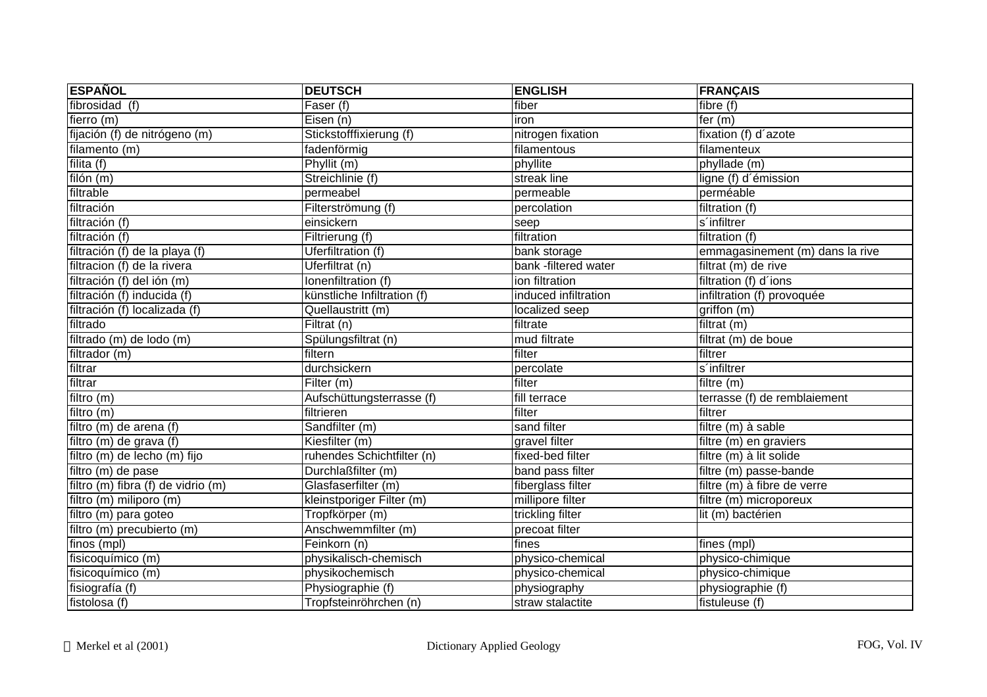| <b>ESPAÑOL</b>                     | <b>DEUTSCH</b>                   | <b>ENGLISH</b>       | <b>FRANÇAIS</b>                 |
|------------------------------------|----------------------------------|----------------------|---------------------------------|
| fibrosidad (f)                     | $\overline{\mathsf{F}}$ aser (f) | fiber                | fibre (f)                       |
| fierro $(m)$                       | Eisen (n)                        | iron                 | fer $(m)$                       |
| fijación (f) de nitrógeno (m)      | Stickstofffixierung (f)          | nitrogen fixation    | fixation (f) d'azote            |
| filamento (m)                      | fadenförmig                      | filamentous          | filamenteux                     |
| filita $(f)$                       | Phyllit(m)                       | phyllite             | phyllade (m)                    |
| filón (m)                          | Streichlinie (f)                 | streak line          | ligne (f) d'émission            |
| filtrable                          | permeabel                        | permeable            | perméable                       |
| filtración                         | Filterströmung (f)               | percolation          | filtration (f)                  |
| filtración (f)                     | einsickern                       | seep                 | s'infiltrer                     |
| filtración (f)                     | Filtrierung (f)                  | filtration           | filtration (f)                  |
| filtración (f) de la playa (f)     | <b>Uferfiltration (f)</b>        | bank storage         | emmagasinement (m) dans la rive |
| filtracion (f) de la rivera        | Uferfiltrat (n)                  | bank -filtered water | filtrat (m) de rive             |
| filtración (f) del ión (m)         | Ionenfiltration (f)              | ion filtration       | filtration (f) d'ions           |
| filtración (f) inducida (f)        | künstliche Infiltration (f)      | induced infiltration | infiltration (f) provoquée      |
| filtración (f) localizada (f)      | Quellaustritt (m)                | localized seep       | griffon(m)                      |
| filtrado                           | Filtrat (n)                      | filtrate             | filtrat (m)                     |
| filtrado $(m)$ de lodo $(m)$       | Spülungsfiltrat (n)              | mud filtrate         | filtrat (m) de boue             |
| filtrador (m)                      | filtern                          | filter               | filtrer                         |
| filtrar                            | durchsickern                     | percolate            | s'infiltrer                     |
| filtrar                            | Filter(m)                        | filter               | filtre (m)                      |
| filtro (m)                         | Aufschüttungsterrasse (f)        | fill terrace         | terrasse (f) de remblaiement    |
| filtro $(m)$                       | filtrieren                       | filter               | filtrer                         |
| filtro (m) de arena (f)            | Sandfilter (m)                   | sand filter          | filtre (m) à sable              |
| filtro (m) de grava (f)            | Kiesfilter (m)                   | gravel filter        | filtre (m) en graviers          |
| filtro (m) de lecho (m) fijo       | ruhendes Schichtfilter (n)       | fixed-bed filter     | filtre (m) à lit solide         |
| filtro (m) de pase                 | Durchlaßfilter (m)               | band pass filter     | filtre (m) passe-bande          |
| filtro (m) fibra (f) de vidrio (m) | Glasfaserfilter (m)              | fiberglass filter    | filtre (m) à fibre de verre     |
| filtro (m) miliporo (m)            | kleinstporiger Filter (m)        | millipore filter     | filtre (m) microporeux          |
| filtro (m) para goteo              | Tropfkörper (m)                  | trickling filter     | lit (m) bactérien               |
| filtro (m) precubierto (m)         | Anschwemmfilter (m)              | precoat filter       |                                 |
| finos (mpl)                        | Feinkorn (n)                     | fines                | fines (mpl)                     |
| fisicoquímico (m)                  | physikalisch-chemisch            | physico-chemical     | physico-chimique                |
| fisicoquímico (m)                  | physikochemisch                  | physico-chemical     | physico-chimique                |
| fisiografía (f)                    | Physiographie (f)                | physiography         | physiographie (f)               |
| fistolosa (f)                      | Tropfsteinröhrchen (n)           | straw stalactite     | fistuleuse (f)                  |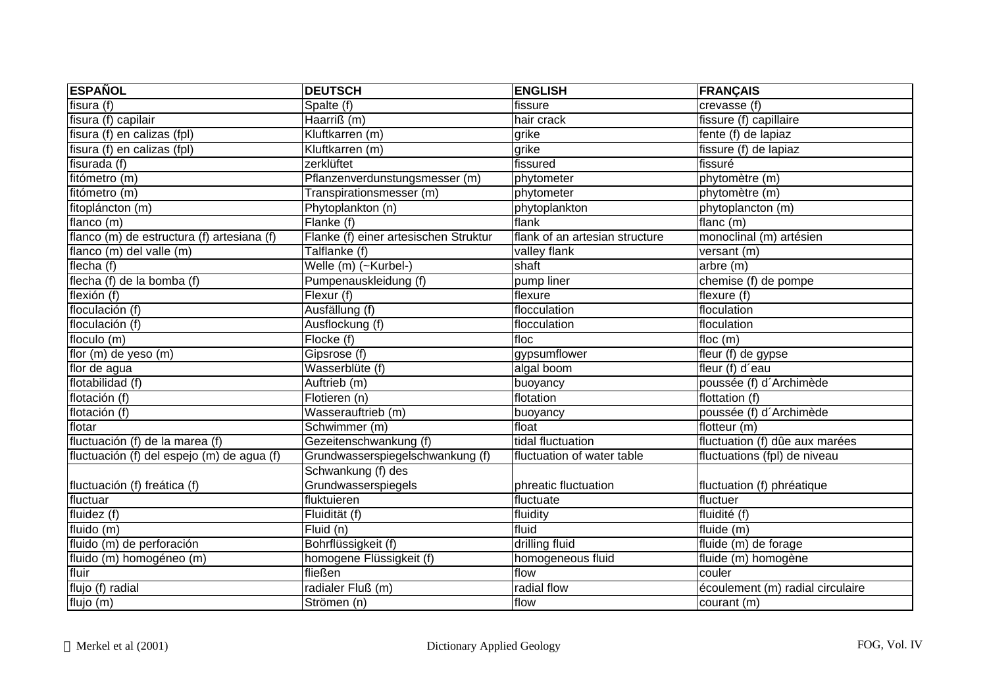| <b>ESPAÑOL</b>                             | <b>DEUTSCH</b>                        | <b>ENGLISH</b>                 | <b>FRANÇAIS</b>                  |
|--------------------------------------------|---------------------------------------|--------------------------------|----------------------------------|
| fisura (f)                                 | Spalte (f)                            | fissure                        | crevasse (f)                     |
| fisura (f) capilair                        | Haarriß (m)                           | hair crack                     | fissure (f) capillaire           |
| fisura (f) en calizas (fpl)                | Kluftkarren (m)                       | grike                          | fente (f) de lapiaz              |
| fisura (f) en calizas (fpl)                | Kluftkarren (m)                       | grike                          | fissure $(f)$ de lapiaz          |
| fisurada (f)                               | zerklüftet                            | fissured                       | fissuré                          |
| fitómetro (m)                              | Pflanzenverdunstungsmesser (m)        | phytometer                     | phytomètre (m)                   |
| fitómetro (m)                              | Transpirationsmesser (m)              | phytometer                     | phytomètre (m)                   |
| fitopláncton (m)                           | Phytoplankton (n)                     | phytoplankton                  | phytoplancton (m)                |
| flanco (m)                                 | Flanke (f)                            | flank                          | flanc $(m)$                      |
| flanco (m) de estructura (f) artesiana (f) | Flanke (f) einer artesischen Struktur | flank of an artesian structure | monoclinal (m) artésien          |
| flanco (m) del valle (m)                   | Talflanke (f)                         | valley flank                   | versant (m)                      |
| flecha (f)                                 | Welle (m) (~Kurbel-)                  | shaft                          | arbre(m)                         |
| flecha (f) de la bomba (f)                 | Pumpenauskleidung (f)                 | pump liner                     | chemise (f) de pompe             |
| flexión (f)                                | Flexur (f)                            | flexure                        | flexure (f)                      |
| floculación (f)                            | Ausfällung (f)                        | flocculation                   | floculation                      |
| floculación (f)                            | Ausflockung (f)                       | flocculation                   | floculation                      |
| floculo (m)                                | Flocke (f)                            | floc                           | floc $(m)$                       |
| flor (m) de yeso (m)                       | Gipsrose (f)                          | gypsumflower                   | fleur (f) de gypse               |
| flor de agua                               | Wasserblüte (f)                       | algal boom                     | fleur (f) d'eau                  |
| flotabilidad (f)                           | Auftrieb (m)                          | buoyancy                       | poussée (f) d'Archimède          |
| flotación (f)                              | Flotieren (n)                         | flotation                      | flottation (f)                   |
| flotación (f)                              | Wasserauftrieb (m)                    | buoyancy                       | poussée (f) d'Archimède          |
| flotar                                     | Schwimmer (m)                         | float                          | flotteur (m)                     |
| fluctuación (f) de la marea (f)            | Gezeitenschwankung (f)                | tidal fluctuation              | fluctuation (f) dûe aux marées   |
| fluctuación (f) del espejo (m) de agua (f) | Grundwasserspiegelschwankung (f)      | fluctuation of water table     | fluctuations (fpl) de niveau     |
|                                            | Schwankung (f) des                    |                                |                                  |
| fluctuación (f) freática (f)               | Grundwasserspiegels                   | phreatic fluctuation           | fluctuation (f) phréatique       |
| fluctuar                                   | fluktuieren                           | fluctuate                      | fluctuer                         |
| fluidez (f)                                | Fluidität (f)                         | fluidity                       | fluidité (f)                     |
| fluido (m)                                 | Fluid (n)                             | fluid                          | $fluide$ (m)                     |
| fluido (m) de perforación                  | Bohrflüssigkeit (f)                   | drilling fluid                 | fluide (m) de forage             |
| fluido (m) homogéneo (m)                   | homogene Flüssigkeit (f)              | homogeneous fluid              | fluide (m) homogène              |
| fluir                                      | fließen                               | flow                           | couler                           |
| flujo (f) radial                           | radialer Fluß (m)                     | radial flow                    | écoulement (m) radial circulaire |
| $\overline{f}$ lujo (m)                    | Strömen (n)                           | flow                           | courant (m)                      |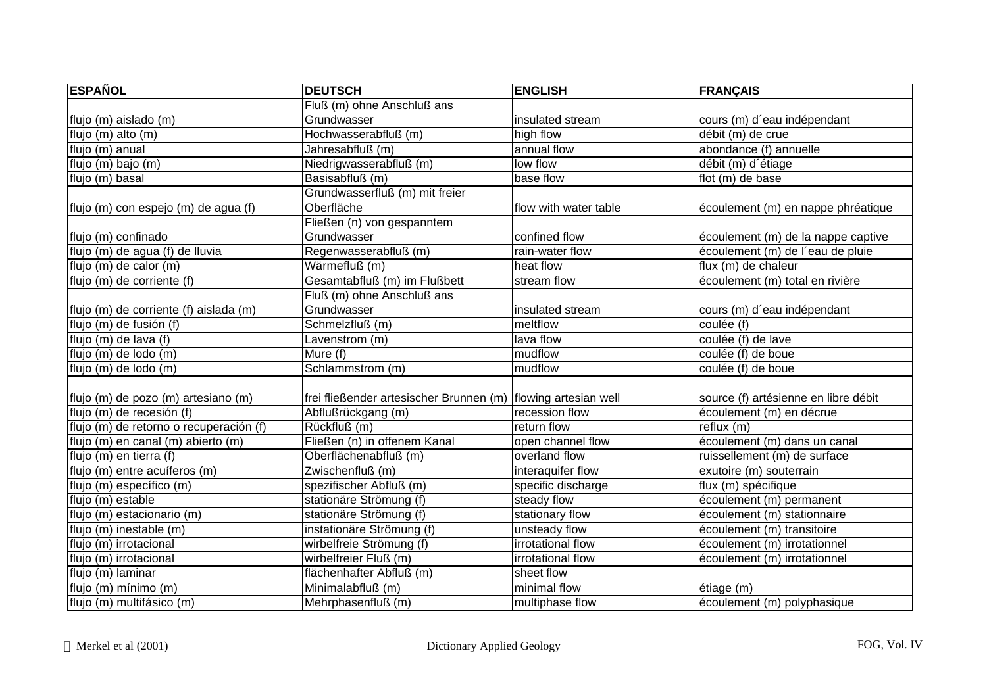| <b>ESPAÑOL</b>                          | <b>DEUTSCH</b>                                                  | <b>ENGLISH</b>        | <b>FRANÇAIS</b>                      |
|-----------------------------------------|-----------------------------------------------------------------|-----------------------|--------------------------------------|
|                                         | Fluß (m) ohne Anschluß ans                                      |                       |                                      |
| flujo (m) aislado (m)                   | Grundwasser                                                     | insulated stream      | cours (m) d'eau indépendant          |
| flujo (m) alto (m)                      | Hochwasserabfluß (m)                                            | high flow             | débit (m) de crue                    |
| flujo $(m)$ anual                       | Jahresabfluß (m)                                                | annual flow           | abondance (f) annuelle               |
| flujo (m) bajo (m)                      | Niedrigwasserabfluß (m)                                         | low flow              | débit (m) d'étiage                   |
| flujo (m) basal                         | Basisabfluß (m)                                                 | base flow             | flot (m) de base                     |
|                                         | Grundwasserfluß (m) mit freier                                  |                       |                                      |
| flujo (m) con espejo (m) de agua (f)    | Oberfläche                                                      | flow with water table | écoulement (m) en nappe phréatique   |
|                                         | Fließen (n) von gespanntem                                      |                       |                                      |
| flujo (m) confinado                     | Grundwasser                                                     | confined flow         | écoulement (m) de la nappe captive   |
| flujo (m) de agua (f) de lluvia         | Regenwasserabfluß (m)                                           | rain-water flow       | écoulement (m) de l'eau de pluie     |
| flujo (m) de calor (m)                  | Wärmefluß (m)                                                   | heat flow             | flux (m) de chaleur                  |
| flujo (m) de corriente (f)              | Gesamtabfluß (m) im Flußbett                                    | stream flow           | écoulement (m) total en rivière      |
|                                         | Fluß (m) ohne Anschluß ans                                      |                       |                                      |
| flujo (m) de corriente (f) aislada (m)  | Grundwasser                                                     | insulated stream      | cours (m) d'eau indépendant          |
| flujo (m) de fusión (f)                 | Schmelzfluß (m)                                                 | meltflow              | coulée (f)                           |
| flujo (m) de lava (f)                   | Lavenstrom (m)                                                  | lava flow             | coulée (f) de lave                   |
| flujo (m) de lodo (m)                   | Mure (f)                                                        | mudflow               | coulée (f) de boue                   |
| flujo (m) de lodo (m)                   | Schlammstrom (m)                                                | mudflow               | coulée (f) de boue                   |
|                                         |                                                                 |                       |                                      |
| flujo (m) de pozo (m) artesiano (m)     | frei fließender artesischer Brunnen (m)   flowing artesian well |                       | source (f) artésienne en libre débit |
| flujo (m) de recesión (f)               | Abflußrückgang (m)                                              | recession flow        | écoulement (m) en décrue             |
| flujo (m) de retorno o recuperación (f) | Rückfluß (m)                                                    | return flow           | reflux(m)                            |
| flujo (m) en canal (m) abierto (m)      | Fließen (n) in offenem Kanal                                    | open channel flow     | écoulement (m) dans un canal         |
| flujo (m) en tierra (f)                 | Oberflächenabfluß (m)                                           | overland flow         | ruissellement (m) de surface         |
| flujo (m) entre acuíferos (m)           | Zwischenfluß (m)                                                | interaquifer flow     | exutoire (m) souterrain              |
| flujo (m) específico (m)                | spezifischer Abfluß (m)                                         | specific discharge    | flux (m) spécifique                  |
| flujo (m) estable                       | stationäre Strömung (f)                                         | steady flow           | écoulement (m) permanent             |
| flujo (m) estacionario (m)              | stationäre Strömung (f)                                         | stationary flow       | écoulement (m) stationnaire          |
| flujo (m) inestable (m)                 | instationäre Strömung (f)                                       | unsteady flow         | écoulement (m) transitoire           |
| flujo (m) irrotacional                  | wirbelfreie Strömung (f)                                        | irrotational flow     | écoulement (m) irrotationnel         |
| flujo (m) irrotacional                  | wirbelfreier Fluß (m)                                           | irrotational flow     | écoulement (m) irrotationnel         |
| flujo (m) laminar                       | flächenhafter Abfluß (m)                                        | sheet flow            |                                      |
| flujo (m) mínimo (m)                    | Minimalabfluß (m)                                               | minimal flow          | étiage (m)                           |
| flujo (m) multifásico (m)               | Mehrphasenfluß (m)                                              | multiphase flow       | écoulement (m) polyphasique          |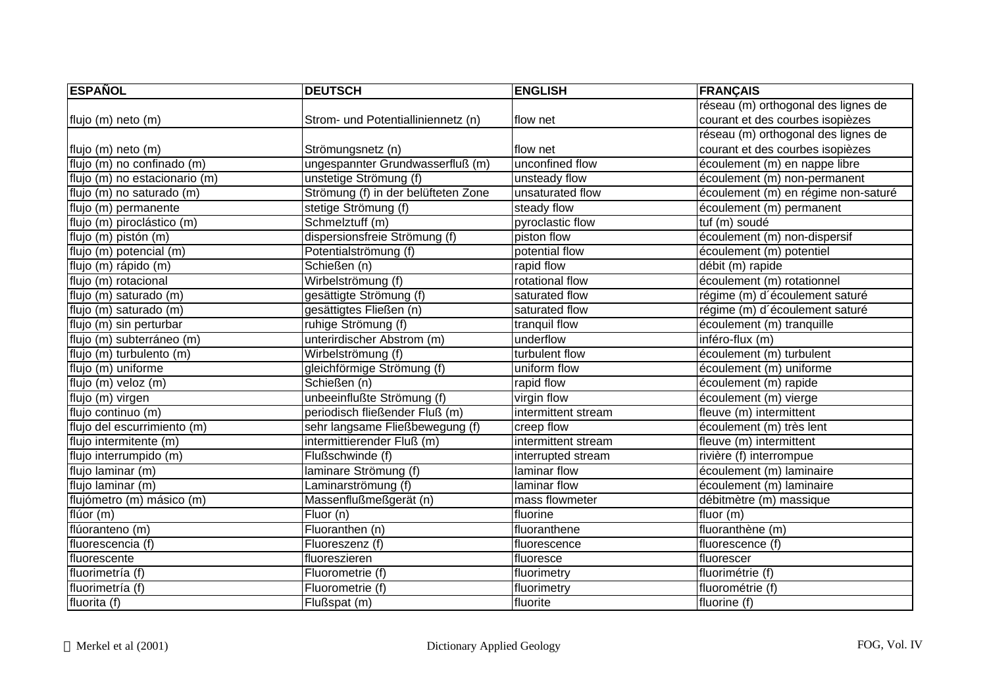| <b>ESPAÑOL</b>                | <b>DEUTSCH</b>                      | <b>ENGLISH</b>      | <b>FRANÇAIS</b>                     |
|-------------------------------|-------------------------------------|---------------------|-------------------------------------|
|                               |                                     |                     | réseau (m) orthogonal des lignes de |
| flujo (m) neto (m)            | Strom- und Potentialliniennetz (n)  | flow net            | courant et des courbes isopièzes    |
|                               |                                     |                     | réseau (m) orthogonal des lignes de |
| flujo (m) neto (m)            | Strömungsnetz (n)                   | flow net            | courant et des courbes isopièzes    |
| flujo (m) no confinado (m)    | ungespannter Grundwasserfluß (m)    | unconfined flow     | écoulement (m) en nappe libre       |
| flujo (m) no estacionario (m) | unstetige Strömung (f)              | unsteady flow       | écoulement (m) non-permanent        |
| flujo (m) no saturado (m)     | Strömung (f) in der belüfteten Zone | unsaturated flow    | écoulement (m) en régime non-saturé |
| flujo (m) permanente          | stetige Strömung (f)                | steady flow         | écoulement (m) permanent            |
| flujo (m) piroclástico (m)    | Schmelztuff (m)                     | pyroclastic flow    | tuf (m) soudé                       |
| flujo (m) pistón (m)          | dispersionsfreie Strömung (f)       | piston flow         | écoulement (m) non-dispersif        |
| flujo (m) potencial (m)       | Potentialströmung (f)               | potential flow      | écoulement (m) potentiel            |
| flujo (m) rápido (m)          | Schießen (n)                        | rapid flow          | débit (m) rapide                    |
| flujo (m) rotacional          | Wirbelströmung (f)                  | rotational flow     | écoulement (m) rotationnel          |
| flujo (m) saturado (m)        | gesättigte Strömung (f)             | saturated flow      | régime (m) d'écoulement saturé      |
| flujo (m) saturado (m)        | gesättigtes Fließen (n)             | saturated flow      | régime (m) d'écoulement saturé      |
| flujo (m) sin perturbar       | ruhige Strömung (f)                 | tranquil flow       | écoulement (m) tranquille           |
| flujo (m) subterráneo (m)     | unterirdischer Abstrom (m)          | underflow           | inféro-flux (m)                     |
| flujo (m) turbulento (m)      | Wirbelströmung (f)                  | turbulent flow      | écoulement (m) turbulent            |
| flujo (m) uniforme            | gleichförmige Strömung (f)          | uniform flow        | écoulement (m) uniforme             |
| flujo (m) veloz (m)           | Schießen (n)                        | rapid flow          | écoulement (m) rapide               |
| flujo (m) virgen              | unbeeinflußte Strömung (f)          | virgin flow         | écoulement (m) vierge               |
| flujo continuo (m)            | periodisch fließender Fluß (m)      | intermittent stream | fleuve (m) intermittent             |
| flujo del escurrimiento (m)   | sehr langsame Fließbewegung (f)     | creep flow          | écoulement (m) très lent            |
| flujo intermitente (m)        | intermittierender Fluß (m)          | intermittent stream | fleuve (m) intermittent             |
| flujo interrumpido (m)        | Flußschwinde (f)                    | interrupted stream  | rivière (f) interrompue             |
| flujo laminar (m)             | laminare Strömung (f)               | laminar flow        | écoulement (m) laminaire            |
| flujo laminar (m)             | Laminarströmung (f)                 | laminar flow        | écoulement (m) laminaire            |
| flujómetro (m) másico (m)     | Massenflußmeßgerät (n)              | mass flowmeter      | débitmètre (m) massique             |
| flúor (m)                     | Fluor (n)                           | fluorine            | fluor $(m)$                         |
| flúoranteno (m)               | Fluoranthen (n)                     | fluoranthene        | fluoranthène (m)                    |
| fluorescencia (f)             | Fluoreszenz (f)                     | fluorescence        | fluorescence (f)                    |
| fluorescente                  | fluoreszieren                       | fluoresce           | fluorescer                          |
| fluorimetría (f)              | Fluorometrie (f)                    | fluorimetry         | fluorimétrie (f)                    |
| fluorimetría (f)              | Fluorometrie (f)                    | fluorimetry         | fluorométrie (f)                    |
| fluorita (f)                  | Flußspat (m)                        | fluorite            | fluorine (f)                        |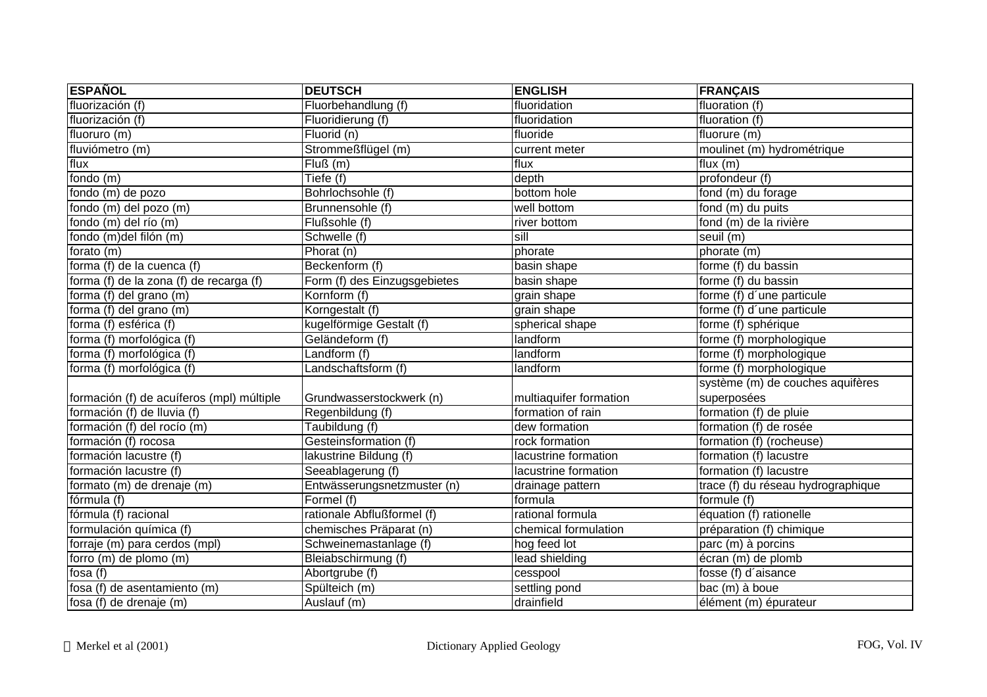| <b>ESPAÑOL</b>                            | <b>DEUTSCH</b>               | <b>ENGLISH</b>         | <b>FRANÇAIS</b>                    |
|-------------------------------------------|------------------------------|------------------------|------------------------------------|
| fluorización (f)                          | Fluorbehandlung (f)          | fluoridation           | fluoration (f)                     |
| fluorización (f)                          | Fluoridierung (f)            | fluoridation           | fluoration (f)                     |
| fluoruro (m)                              | Fluorid (n)                  | fluoride               | fluorure (m)                       |
| fluviómetro (m)                           | Strommeßflügel (m)           | current meter          | moulinet (m) hydrométrique         |
| flux                                      | Fluß(m)                      | flux                   | flux $(m)$                         |
| fondo (m)                                 | Tiefe (f)                    | depth                  | profondeur (f)                     |
| fondo (m) de pozo                         | Bohrlochsohle (f)            | bottom hole            | fond (m) du forage                 |
| fondo (m) del pozo (m)                    | Brunnensohle (f)             | well bottom            | fond (m) du puits                  |
| fondo (m) del río (m)                     | Flußsohle (f)                | river bottom           | fond (m) de la rivière             |
| fondo (m)del filón (m)                    | Schwelle (f)                 | sill                   | seuil (m)                          |
| forato (m)                                | Phorat(n)                    | phorate                | phorate (m)                        |
| forma (f) de la cuenca (f)                | Beckenform (f)               | basin shape            | forme (f) du bassin                |
| forma (f) de la zona (f) de recarga (f)   | Form (f) des Einzugsgebietes | basin shape            | forme (f) du bassin                |
| forma (f) del grano (m)                   | Kornform (f)                 | grain shape            | forme (f) d'une particule          |
| forma (f) del grano (m)                   | Korngestalt (f)              | grain shape            | forme (f) d'une particule          |
| forma (f) esférica (f)                    | kugelförmige Gestalt (f)     | spherical shape        | forme (f) sphérique                |
| forma (f) morfológica (f)                 | Geländeform (f)              | landform               | forme (f) morphologique            |
| forma (f) morfológica (f)                 | Landform (f)                 | landform               | forme (f) morphologique            |
| forma (f) morfológica (f)                 | Landschaftsform (f)          | landform               | forme (f) morphologique            |
|                                           |                              |                        | système (m) de couches aquifères   |
| formación (f) de acuíferos (mpl) múltiple | Grundwasserstockwerk (n)     | multiaquifer formation | superposées                        |
| formación (f) de lluvia (f)               | Regenbildung (f)             | formation of rain      | formation (f) de pluie             |
| formación (f) del rocío (m)               | Taubildung (f)               | dew formation          | formation (f) de rosée             |
| formación (f) rocosa                      | Gesteinsformation (f)        | rock formation         | formation (f) (rocheuse)           |
| formación lacustre (f)                    | lakustrine Bildung (f)       | lacustrine formation   | formation (f) lacustre             |
| formación lacustre (f)                    | Seeablagerung (f)            | lacustrine formation   | formation (f) lacustre             |
| formato (m) de drenaje (m)                | Entwässerungsnetzmuster (n)  | drainage pattern       | trace (f) du réseau hydrographique |
| fórmula (f)                               | Formel (f)                   | formula                | formule (f)                        |
| fórmula (f) racional                      | rationale Abflußformel (f)   | rational formula       | équation (f) rationelle            |
| formulación química (f)                   | chemisches Präparat (n)      | chemical formulation   | préparation (f) chimique           |
| forraje (m) para cerdos (mpl)             | Schweinemastanlage (f)       | hog feed lot           | parc (m) à porcins                 |
| forro (m) de plomo (m)                    | Bleiabschirmung (f)          | lead shielding         | écran (m) de plomb                 |
| fosa $(f)$                                | Abortgrube (f)               | cesspool               | fosse (f) d'aisance                |
| fosa (f) de asentamiento (m)              | Spülteich (m)                | settling pond          | bac (m) à boue                     |
| fosa (f) de drenaje (m)                   | Auslauf (m)                  | drainfield             | élément (m) épurateur              |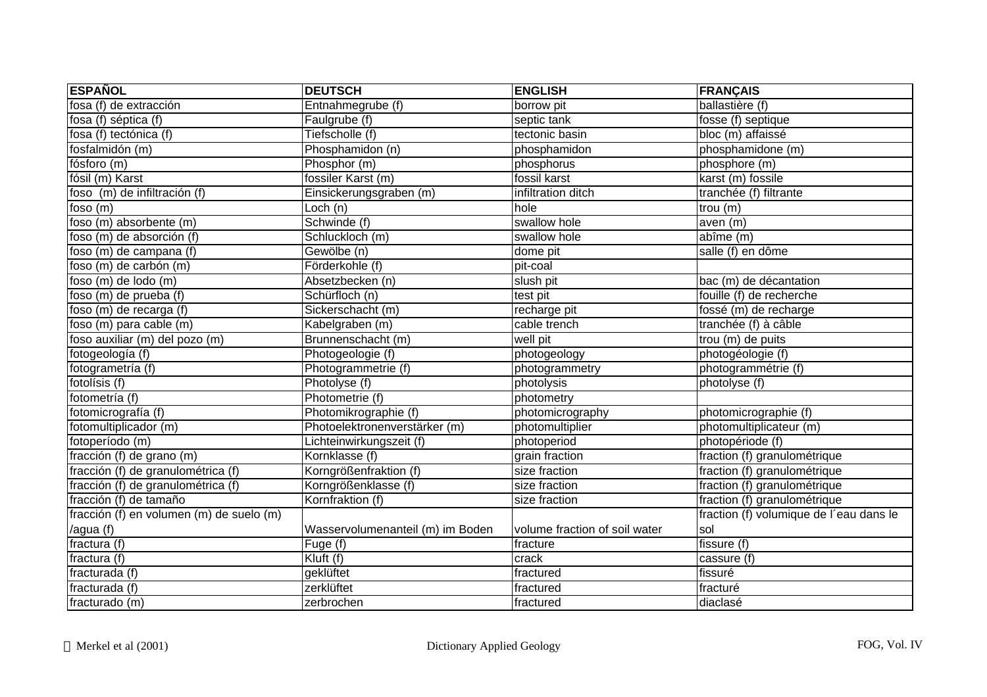| <b>ESPAÑOL</b>                           | <b>DEUTSCH</b>                   | <b>ENGLISH</b>                | <b>FRANÇAIS</b>                         |
|------------------------------------------|----------------------------------|-------------------------------|-----------------------------------------|
| fosa (f) de extracción                   | Entnahmegrube (f)                | borrow pit                    | ballastière (f)                         |
| fosa $(f)$ séptica $(f)$                 | Faulgrube (f)                    | septic tank                   | fosse (f) septique                      |
| fosa (f) tectónica (f)                   | Tiefscholle (f)                  | tectonic basin                | bloc (m) affaissé                       |
| fosfalmidón (m)                          | Phosphamidon (n)                 | phosphamidon                  | phosphamidone (m)                       |
| fósforo (m)                              | Phosphor (m)                     | phosphorus                    | phosphore (m)                           |
| fósil (m) Karst                          | fossiler Karst (m)               | fossil karst                  | karst (m) fossile                       |
| foso (m) de infiltración (f)             | Einsickerungsgraben (m)          | infiltration ditch            | tranchée (f) filtrante                  |
| foso $(m)$                               | Loch (n)                         | hole                          | trou(m)                                 |
| foso (m) absorbente (m)                  | Schwinde (f)                     | swallow hole                  | aven (m)                                |
| foso (m) de absorción (f)                | Schluckloch (m)                  | swallow hole                  | abîme (m)                               |
| foso (m) de campana (f)                  | Gewölbe (n)                      | dome pit                      | salle (f) en dôme                       |
| foso (m) de carbón (m)                   | Förderkohle (f)                  | pit-coal                      |                                         |
| foso (m) de lodo (m)                     | Absetzbecken (n)                 | slush pit                     | bac (m) de décantation                  |
| foso (m) de prueba (f)                   | Schürfloch (n)                   | test pit                      | fouille (f) de recherche                |
| foso (m) de recarga (f)                  | Sickerschacht (m)                | recharge pit                  | fossé (m) de recharge                   |
| foso (m) para cable (m)                  | Kabelgraben (m)                  | cable trench                  | tranchée (f) à câble                    |
| foso auxiliar (m) del pozo (m)           | Brunnenschacht (m)               | well pit                      | trou (m) de puits                       |
| fotogeología (f)                         | Photogeologie (f)                | photogeology                  | photogéologie (f)                       |
| fotogrametría (f)                        | Photogrammetrie (f)              | photogrammetry                | photogrammétrie (f)                     |
| fotolísis (f)                            | Photolyse (f)                    | photolysis                    | photolyse (f)                           |
| fotometría (f)                           | Photometrie (f)                  | photometry                    |                                         |
| fotomicrografía (f)                      | Photomikrographie (f)            | photomicrography              | photomicrographie (f)                   |
| fotomultiplicador (m)                    | Photoelektronenverstärker (m)    | photomultiplier               | photomultiplicateur (m)                 |
| fotoperíodo (m)                          | Lichteinwirkungszeit (f)         | photoperiod                   | photopériode (f)                        |
| fracción (f) de grano (m)                | Kornklasse (f)                   | grain fraction                | fraction (f) granulométrique            |
| fracción (f) de granulométrica (f)       | Korngrößenfraktion (f)           | size fraction                 | fraction (f) granulométrique            |
| fracción (f) de granulométrica (f)       | Korngrößenklasse (f)             | size fraction                 | fraction (f) granulométrique            |
| fracción (f) de tamaño                   | Kornfraktion (f)                 | size fraction                 | fraction (f) granulométrique            |
| fracción (f) en volumen (m) de suelo (m) |                                  |                               | fraction (f) volumique de l'eau dans le |
| /agua (f)                                | Wasservolumenanteil (m) im Boden | volume fraction of soil water | sol                                     |
| fractura $(f)$                           | Fuge (f)                         | fracture                      | fissure (f)                             |
| fractura (f)                             | Kluft (f)                        | crack                         | cassure (f)                             |
| fracturada (f)                           | geklüftet                        | fractured                     | fissuré                                 |
| fracturada (f)                           | zerklüftet                       | fractured                     | fracturé                                |
| fracturado (m)                           | zerbrochen                       | fractured                     | diaclasé                                |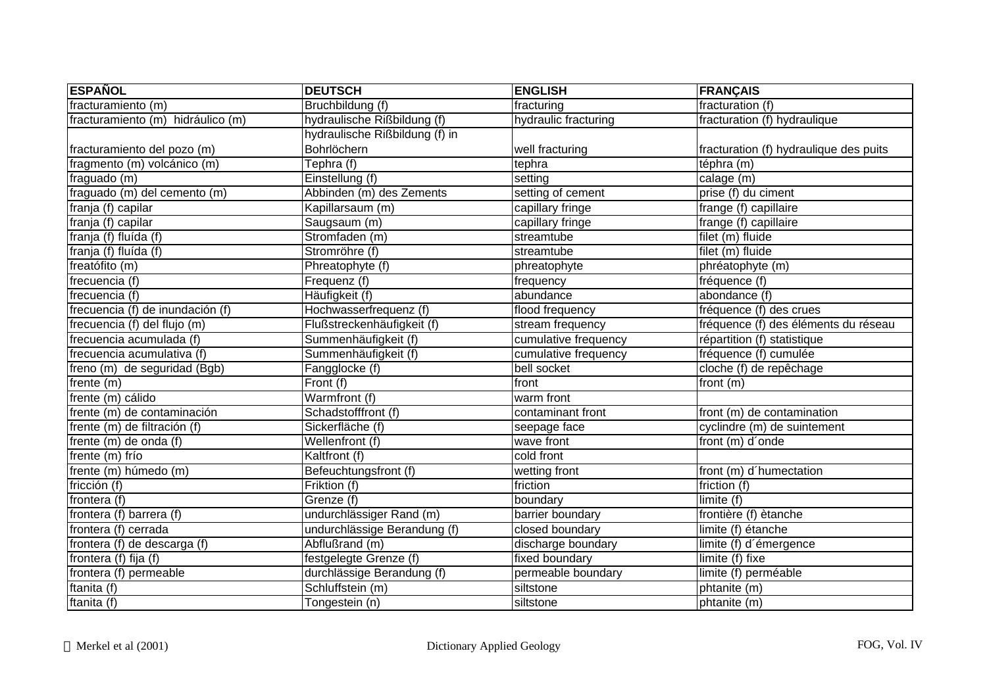| <b>ESPAÑOL</b>                    | <b>DEUTSCH</b>                 | <b>ENGLISH</b>       | <b>FRANÇAIS</b>                        |
|-----------------------------------|--------------------------------|----------------------|----------------------------------------|
| fracturamiento (m)                | Bruchbildung (f)               | fracturing           | fracturation (f)                       |
| fracturamiento (m) hidráulico (m) | hydraulische Rißbildung (f)    | hydraulic fracturing | fracturation (f) hydraulique           |
|                                   | hydraulische Rißbildung (f) in |                      |                                        |
| fracturamiento del pozo (m)       | Bohrlöchern                    | well fracturing      | fracturation (f) hydraulique des puits |
| fragmento (m) volcánico (m)       | Tephra (f)                     | tephra               | téphra (m)                             |
| fraguado (m)                      | Einstellung (f)                | setting              | calage (m)                             |
| fraguado (m) del cemento (m)      | Abbinden (m) des Zements       | setting of cement    | prise (f) du ciment                    |
| franja (f) capilar                | Kapillarsaum (m)               | capillary fringe     | frange (f) capillaire                  |
| franja (f) capilar                | Saugsaum (m)                   | capillary fringe     | frange (f) capillaire                  |
| franja (f) fluída (f)             | Stromfaden (m)                 | streamtube           | filet (m) fluide                       |
| franja (f) fluída (f)             | Stromröhre (f)                 | streamtube           | filet (m) fluide                       |
| freatófito (m)                    | Phreatophyte (f)               | phreatophyte         | phréatophyte (m)                       |
| frecuencia (f)                    | Frequenz (f)                   | frequency            | fréquence (f)                          |
| frecuencia (f)                    | Häufigkeit (f)                 | abundance            | abondance (f)                          |
| frecuencia (f) de inundación (f)  | Hochwasserfrequenz (f)         | flood frequency      | fréquence (f) des crues                |
| frecuencia (f) del flujo (m)      | Flußstreckenhäufigkeit (f)     | stream frequency     | fréquence (f) des éléments du réseau   |
| frecuencia acumulada (f)          | Summenhäufigkeit (f)           | cumulative frequency | répartition (f) statistique            |
| frecuencia acumulativa (f)        | Summenhäufigkeit (f)           | cumulative frequency | fréquence (f) cumulée                  |
| freno (m) de seguridad (Bgb)      | Fangglocke (f)                 | bell socket          | cloche (f) de repêchage                |
| frente (m)                        | Front (f)                      | front                | front (m)                              |
| frente (m) cálido                 | Warmfront (f)                  | warm front           |                                        |
| frente (m) de contaminación       | Schadstofffront (f)            | contaminant front    | front (m) de contamination             |
| frente (m) de filtración (f)      | Sickerfläche (f)               | seepage face         | cyclindre (m) de suintement            |
| frente (m) de onda (f)            | Wellenfront (f)                | wave front           | front (m) d'onde                       |
| frente (m) frío                   | Kaltfront (f)                  | cold front           |                                        |
| frente (m) húmedo (m)             | Befeuchtungsfront (f)          | wetting front        | front (m) d'humectation                |
| fricción (f)                      | Friktion (f)                   | friction             | friction (f)                           |
| frontera (f)                      | Grenze (f)                     | boundary             | limite (f)                             |
| frontera (f) barrera (f)          | undurchlässiger Rand (m)       | barrier boundary     | frontière (f) ètanche                  |
| frontera (f) cerrada              | undurchlässige Berandung (f)   | closed boundary      | limite (f) étanche                     |
| frontera (f) de descarga (f)      | Abflußrand (m)                 | discharge boundary   | limite (f) d'émergence                 |
| frontera (f) fija (f)             | festgelegte Grenze (f)         | fixed boundary       | limite (f) fixe                        |
| frontera (f) permeable            | durchlässige Berandung (f)     | permeable boundary   | limite (f) perméable                   |
| ftanita (f)                       | Schluffstein (m)               | siltstone            | phtanite (m)                           |
| ftanita (f)                       | Tongestein (n)                 | siltstone            | phtanite (m)                           |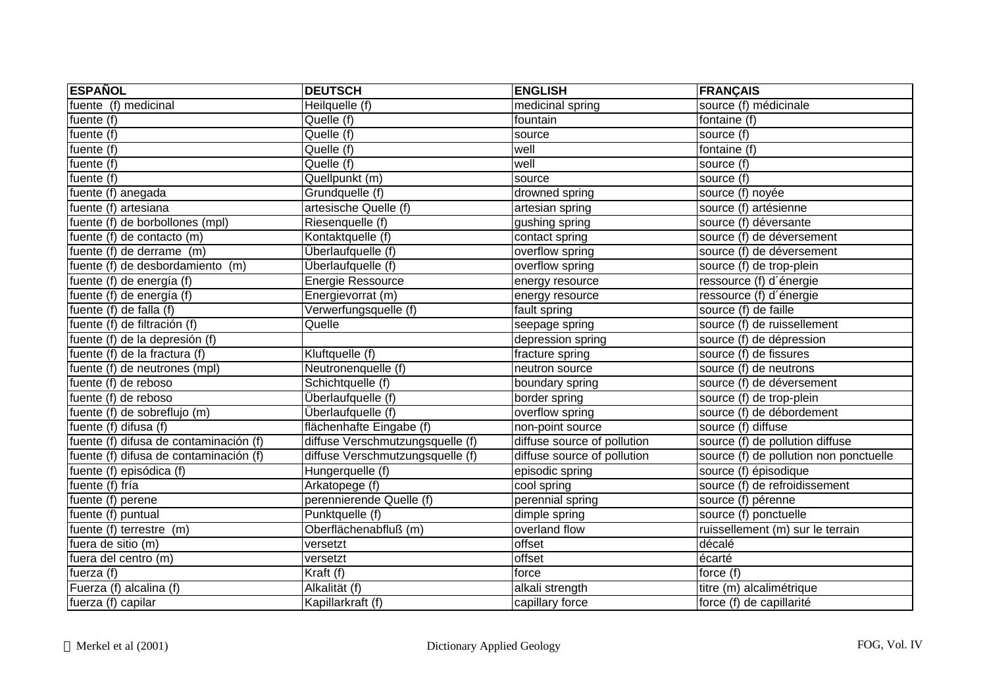| <b>ESPAÑOL</b>                         | <b>DEUTSCH</b>                   | <b>ENGLISH</b>              | <b>FRANÇAIS</b>                        |
|----------------------------------------|----------------------------------|-----------------------------|----------------------------------------|
| fuente (f) medicinal                   | Heilquelle (f)                   | medicinal spring            | source (f) médicinale                  |
| fuente $(f)$                           | Quelle (f)                       | fountain                    | fontaine (f)                           |
| fuente (f)                             | Quelle (f)                       | source                      | source (f)                             |
| fuente (f)                             | Quelle (f)                       | well                        | fontaine $(f)$                         |
| fuente (f)                             | Quelle (f)                       | well                        | source (f)                             |
| fuente (f)                             | Quellpunkt (m)                   | source                      | source (f)                             |
| fuente (f) anegada                     | Grundquelle (f)                  | drowned spring              | source (f) noyée                       |
| fuente (f) artesiana                   | artesische Quelle (f)            | artesian spring             | source (f) artésienne                  |
| fuente (f) de borbollones (mpl)        | Riesenquelle (f)                 | gushing spring              | source (f) déversante                  |
| fuente (f) de contacto (m)             | Kontaktquelle (f)                | contact spring              | source (f) de déversement              |
| fuente (f) de derrame (m)              | Überlaufquelle (f)               | overflow spring             | source (f) de déversement              |
| fuente (f) de desbordamiento (m)       | Überlaufquelle (f)               | overflow spring             | source (f) de trop-plein               |
| fuente (f) de energía (f)              | Energie Ressource                | energy resource             | ressource (f) d'énergie                |
| fuente (f) de energía (f)              | Energievorrat (m)                | energy resource             | ressource (f) d'énergie                |
| fuente (f) de falla (f)                | Verwerfungsquelle (f)            | fault spring                | source (f) de faille                   |
| fuente (f) de filtración (f)           | Quelle                           | seepage spring              | source (f) de ruissellement            |
| fuente (f) de la depresión (f)         |                                  | depression spring           | source (f) de dépression               |
| fuente (f) de la fractura (f)          | Kluftquelle (f)                  | fracture spring             | source (f) de fissures                 |
| fuente (f) de neutrones (mpl)          | Neutronenquelle (f)              | neutron source              | source (f) de neutrons                 |
| fuente (f) de reboso                   | Schichtquelle (f)                | boundary spring             | source (f) de déversement              |
| fuente (f) de reboso                   | Überlaufquelle (f)               | border spring               | source (f) de trop-plein               |
| fuente (f) de sobreflujo (m)           | Überlaufquelle (f)               | overflow spring             | source (f) de débordement              |
| fuente $(f)$ difusa $(f)$              | flächenhafte Eingabe (f)         | non-point source            | source (f) diffuse                     |
| fuente (f) difusa de contaminación (f) | diffuse Verschmutzungsquelle (f) | diffuse source of pollution | source (f) de pollution diffuse        |
| fuente (f) difusa de contaminación (f) | diffuse Verschmutzungsquelle (f) | diffuse source of pollution | source (f) de pollution non ponctuelle |
| fuente (f) episódica (f)               | Hungerquelle (f)                 | episodic spring             | source (f) épisodique                  |
| fuente (f) fría                        | Arkatopege (f)                   | cool spring                 | source (f) de refroidissement          |
| fuente (f) perene                      | perennierende Quelle (f)         | perennial spring            | source (f) pérenne                     |
| fuente (f) puntual                     | Punktquelle (f)                  | dimple spring               | source (f) ponctuelle                  |
| fuente (f) terrestre (m)               | Oberflächenabfluß (m)            | overland flow               | ruissellement (m) sur le terrain       |
| fuera de sitio (m)                     | versetzt                         | offset                      | décalé                                 |
| fuera del centro (m)                   | versetzt                         | offset                      | écarté                                 |
| fuerza (f)                             | Kraft (f)                        | force                       | force (f)                              |
| Fuerza (f) alcalina (f)                | Alkalität (f)                    | alkali strength             | titre (m) alcalimétrique               |
| fuerza (f) capilar                     | Kapillarkraft (f)                | capillary force             | force (f) de capillarité               |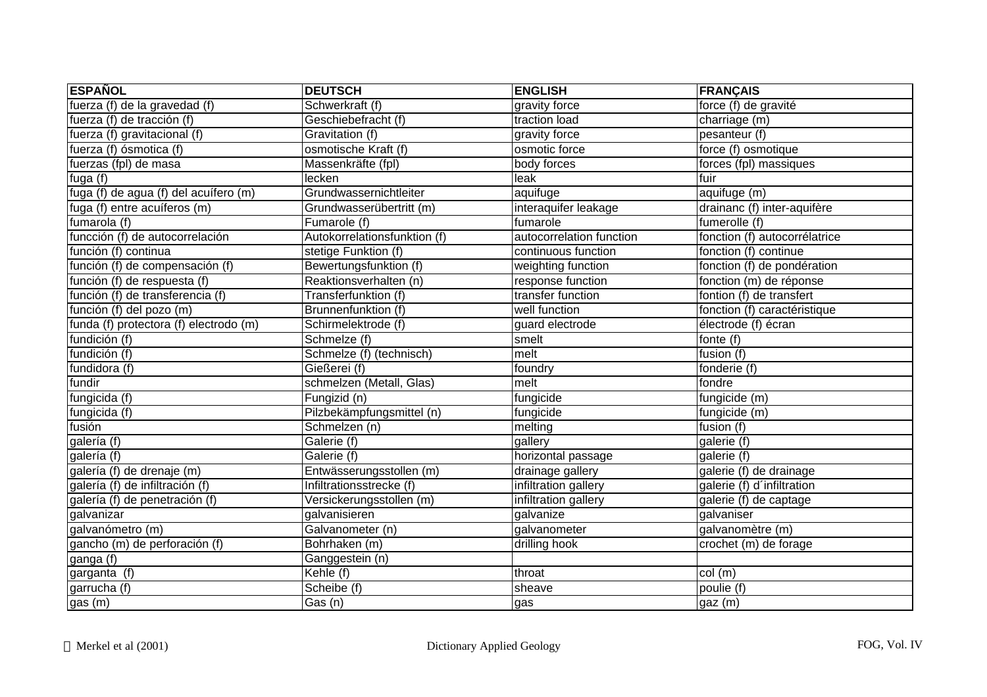| <b>ESPAÑOL</b>                         | <b>DEUTSCH</b>               | <b>ENGLISH</b>           | <b>FRANÇAIS</b>               |
|----------------------------------------|------------------------------|--------------------------|-------------------------------|
| fuerza (f) de la gravedad (f)          | Schwerkraft (f)              | gravity force            | force (f) de gravité          |
| fuerza (f) de tracción (f)             | Geschiebefracht (f)          | traction load            | charriage (m)                 |
| fuerza (f) gravitacional (f)           | Gravitation (f)              | gravity force            | pesanteur (f)                 |
| fuerza (f) ósmotica (f)                | osmotische Kraft (f)         | osmotic force            | force (f) osmotique           |
| fuerzas (fpl) de masa                  | Massenkräfte (fpl)           | body forces              | forces (fpl) massiques        |
| fuga $\overline{(\overline{f})}$       | lecken                       | leak                     | fuir                          |
| fuga (f) de agua (f) del acuífero (m)  | Grundwassernichtleiter       | aquifuge                 | aquifuge (m)                  |
| fuga (f) entre acuíferos (m)           | Grundwasserübertritt (m)     | interaquifer leakage     | drainanc (f) inter-aquifère   |
| fumarola (f)                           | Fumarole (f)                 | fumarole                 | fumerolle (f)                 |
| funcción (f) de autocorrelación        | Autokorrelationsfunktion (f) | autocorrelation function | fonction (f) autocorrélatrice |
| función (f) continua                   | stetige Funktion (f)         | continuous function      | fonction (f) continue         |
| función (f) de compensación (f)        | Bewertungsfunktion (f)       | weighting function       | fonction (f) de pondération   |
| función (f) de respuesta (f)           | Reaktionsverhalten (n)       | response function        | fonction (m) de réponse       |
| función (f) de transferencia (f)       | Transferfunktion (f)         | transfer function        | fontion (f) de transfert      |
| función (f) del pozo (m)               | Brunnenfunktion (f)          | well function            | fonction (f) caractéristique  |
| funda (f) protectora (f) electrodo (m) | Schirmelektrode (f)          | guard electrode          | électrode (f) écran           |
| fundición (f)                          | Schmelze (f)                 | smelt                    | fonte (f)                     |
| fundición (f)                          | Schmelze (f) (technisch)     | melt                     | fusion $(f)$                  |
| fundidora (f)                          | Gießerei (f)                 | foundry                  | fonderie (f)                  |
| fundir                                 | schmelzen (Metall, Glas)     | melt                     | fondre                        |
| fungicida (f)                          | Fungizid (n)                 | fungicide                | fungicide (m)                 |
| fungicida (f)                          | Pilzbekämpfungsmittel (n)    | fungicide                | fungicide (m)                 |
| fusión                                 | Schmelzen (n)                | melting                  | fusion (f)                    |
| galería (f)                            | Galerie (f)                  | gallery                  | galerie (f)                   |
| galería (f)                            | Galerie (f)                  | horizontal passage       | galerie (f)                   |
| galería (f) de drenaje (m)             | Entwässerungsstollen (m)     | drainage gallery         | galerie (f) de drainage       |
| galería (f) de infiltración (f)        | Infiltrationsstrecke (f)     | infiltration gallery     | galerie (f) d'infiltration    |
| galería (f) de penetración (f)         | Versickerungsstollen (m)     | infiltration gallery     | galerie (f) de captage        |
| galvanizar                             | galvanisieren                | galvanize                | galvaniser                    |
| galvanómetro (m)                       | Galvanometer (n)             | galvanometer             | galvanomètre (m)              |
| gancho (m) de perforación (f)          | Bohrhaken (m)                | drilling hook            | crochet (m) de forage         |
| ganga (f)                              | Ganggestein (n)              |                          |                               |
| garganta (f)                           | Kehle (f)                    | throat                   | col (m)                       |
| garrucha (f)                           | Scheibe (f)                  | sheave                   | poulie (f)                    |
| gas $(m)$                              | Gas (n)                      | gas                      | gaz (m)                       |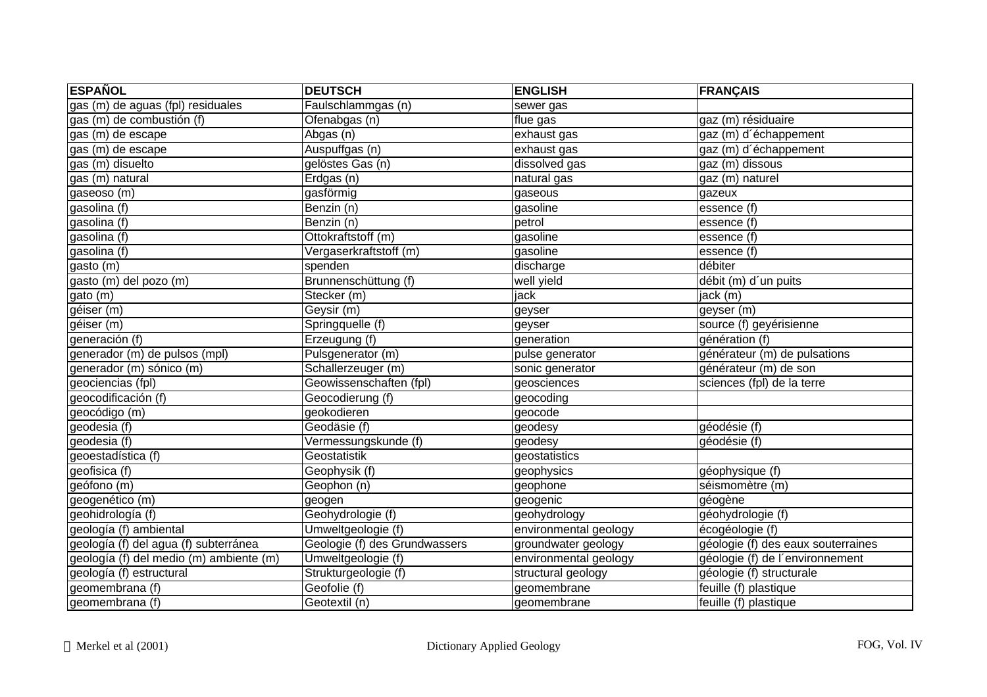| <b>ESPAÑOL</b>                          | <b>DEUTSCH</b>                | <b>ENGLISH</b>        | <b>FRANÇAIS</b>                    |
|-----------------------------------------|-------------------------------|-----------------------|------------------------------------|
| gas (m) de aguas (fpl) residuales       | Faulschlammgas (n)            | sewer gas             |                                    |
| gas (m) de combustión (f)               | Ofenabgas (n)                 | flue gas              | gaz (m) résiduaire                 |
| gas (m) de escape                       | Abgas (n)                     | exhaust gas           | gaz (m) d'échappement              |
| gas (m) de escape                       | Auspuffgas (n)                | exhaust gas           | gaz (m) d'échappement              |
| gas (m) disuelto                        | gelöstes Gas (n)              | dissolved gas         | gaz (m) dissous                    |
| gas (m) natural                         | Erdgas (n)                    | natural gas           | gaz (m) naturel                    |
| gaseoso (m)                             | gasförmig                     | gaseous               | gazeux                             |
| gasolina (f)                            | Benzin (n)                    | gasoline              | essence (f)                        |
| gasolina (f)                            | Benzin (n)                    | petrol                | essence (f)                        |
| gasolina (f)                            | Ottokraftstoff (m)            | gasoline              | essence (f)                        |
| gasolina (f)                            | Vergaserkraftstoff (m)        | gasoline              | essence (f)                        |
| gasto (m)                               | spenden                       | discharge             | débiter                            |
| gasto (m) del pozo (m)                  | Brunnenschüttung (f)          | well yield            | débit (m) d'un puits               |
| gato (m)                                | Stecker (m)                   | jack                  | jack (m)                           |
| géiser $(m)$                            | Geysir (m)                    | geyser                | geyser (m)                         |
| géiser (m)                              | Springquelle (f)              | geyser                | source (f) geyérisienne            |
| generación (f)                          | Erzeugung (f)                 | generation            | génération (f)                     |
| generador (m) de pulsos (mpl)           | Pulsgenerator (m)             | pulse generator       | générateur (m) de pulsations       |
| generador (m) sónico (m)                | Schallerzeuger (m)            | sonic generator       | générateur (m) de son              |
| geociencias (fpl)                       | Geowissenschaften (fpl)       | geosciences           | sciences (fpl) de la terre         |
| geocodificación (f)                     | Geocodierung (f)              | geocoding             |                                    |
| geocódigo (m)                           | geokodieren                   | geocode               |                                    |
| geodesia (f)                            | Geodäsie (f)                  | geodesy               | géodésie (f)                       |
| geodesia (f)                            | Vermessungskunde (f)          | geodesy               | $q\acute{e}$ odésie (f)            |
| geoestadística (f)                      | Geostatistik                  | geostatistics         |                                    |
| geofisica (f)                           | Geophysik (f)                 | geophysics            | géophysique (f)                    |
| geófono (m)                             | Geophon (n)                   | geophone              | séismomètre (m)                    |
| geogenético (m)                         | geogen                        | geogenic              | géogène                            |
| geohidrología (f)                       | Geohydrologie (f)             | geohydrology          | géohydrologie (f)                  |
| geología (f) ambiental                  | Umweltgeologie (f)            | environmental geology | écogéologie (f)                    |
| geología (f) del agua (f) subterránea   | Geologie (f) des Grundwassers | groundwater geology   | géologie (f) des eaux souterraines |
| geología (f) del medio (m) ambiente (m) | Umweltgeologie (f)            | environmental geology | géologie (f) de l'environnement    |
| geología (f) estructural                | Strukturgeologie (f)          | structural geology    | géologie (f) structurale           |
| geomembrana (f)                         | Geofolie (f)                  | geomembrane           | feuille (f) plastique              |
| geomembrana (f)                         | Geotextil (n)                 | geomembrane           | feuille (f) plastique              |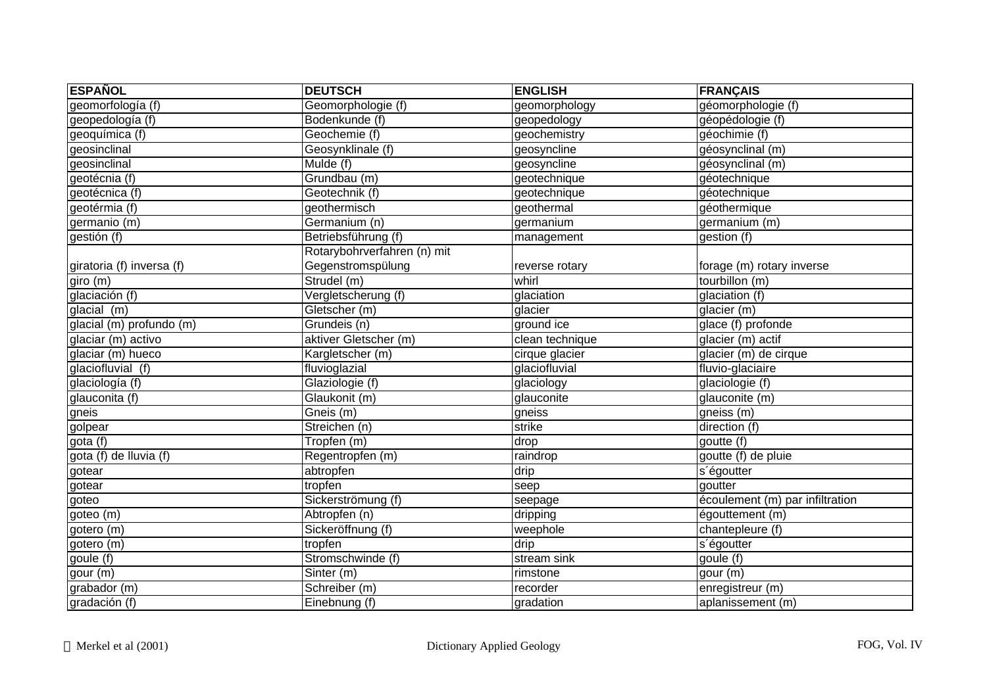| <b>ESPAÑOL</b>                   | <b>DEUTSCH</b>              | <b>ENGLISH</b>  | FRANÇAIS                        |
|----------------------------------|-----------------------------|-----------------|---------------------------------|
| geomorfología (f)                | Geomorphologie (f)          | geomorphology   | géomorphologie (f)              |
| geopedología (f)                 | Bodenkunde (f)              | geopedology     | géopédologie (f)                |
| geoquímica (f)                   | Geochemie (f)               | geochemistry    | géochimie (f)                   |
| geosinclinal                     | Geosynklinale (f)           | geosyncline     | géosynclinal (m)                |
| geosinclinal                     | Mulde (f)                   | geosyncline     | géosynclinal (m)                |
| geotécnia (f)                    | Grundbau (m)                | geotechnique    | géotechnique                    |
| geotécnica (f)                   | Geotechnik (f)              | geotechnique    | géotechnique                    |
| geotérmia (f)                    | geothermisch                | geothermal      | géothermique                    |
| germanio $(m)$                   | Germanium (n)               | germanium       | germanium (m)                   |
| gestión (f)                      | Betriebsführung (f)         | management      | gestion (f)                     |
|                                  | Rotarybohrverfahren (n) mit |                 |                                 |
| giratoria (f) inversa (f)        | Gegenstromspülung           | reverse rotary  | forage (m) rotary inverse       |
| giro (m)                         | Strudel (m)                 | whirl           | tourbillon (m)                  |
| glaciación (f)                   | Vergletscherung (f)         | glaciation      | glaciation (f)                  |
| glacial (m)                      | Gletscher (m)               | glacier         | glacier (m)                     |
| glacial (m) profundo (m)         | Grundeis (n)                | ground ice      | glace (f) profonde              |
| glaciar (m) activo               | aktiver Gletscher (m)       | clean technique | glacier (m) actif               |
| glaciar (m) hueco                | Kargletscher (m)            | cirque glacier  | glacier (m) de cirque           |
| glaciofluvial (f)                | fluvioglazial               | glaciofluvial   | fluvio-glaciaire                |
| glaciología (f)                  | Glaziologie (f)             | glaciology      | glaciologie (f)                 |
| glauconita (f)                   | Glaukonit (m)               | glauconite      | glauconite (m)                  |
| gneis                            | Gneis (m)                   | gneiss          | gneiss (m)                      |
| golpear                          | Streichen (n)               | strike          | direction (f)                   |
| gota $\overline{(\overline{f})}$ | Tropfen (m)                 | drop            | goutte (f)                      |
| gota (f) de lluvia (f)           | Regentropfen (m)            | raindrop        | goutte (f) de pluie             |
| gotear                           | abtropfen                   | drip            | s'égoutter                      |
| gotear                           | tropfen                     | seep            | goutter                         |
| goteo                            | Sickerströmung (f)          | seepage         | écoulement (m) par infiltration |
| goteo (m)                        | Abtropfen (n)               | dripping        | égouttement (m)                 |
| gotero (m)                       | Sickeröffnung (f)           | weephole        | chantepleure (f)                |
| gotero (m)                       | tropfen                     | drip            | s'égoutter                      |
| goule (f)                        | Stromschwinde (f)           | stream sink     | goule (f)                       |
| gour (m)                         | Sinter (m)                  | rimstone        | gour (m)                        |
| grabador (m)                     | Schreiber (m)               | recorder        | enregistreur (m)                |
| gradación $(f)$                  | Einebnung (f)               | gradation       | aplanissement (m)               |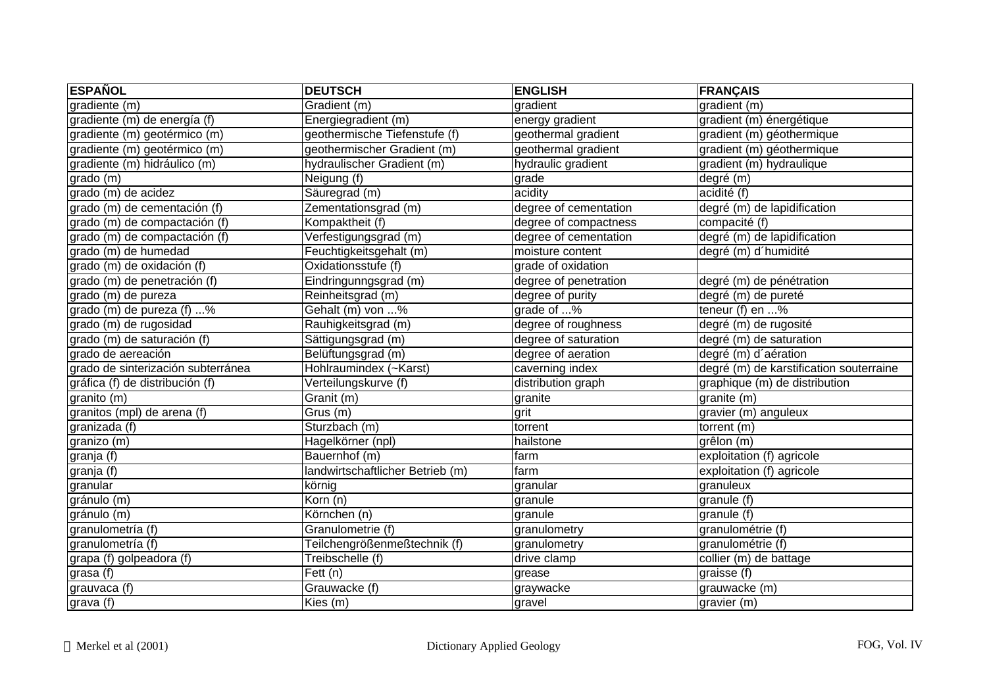| <b>ESPAÑOL</b>                     | <b>DEUTSCH</b>                   | <b>ENGLISH</b>        | <b>FRANÇAIS</b>                         |
|------------------------------------|----------------------------------|-----------------------|-----------------------------------------|
| gradiente (m)                      | Gradient (m)                     | gradient              | gradient (m)                            |
| gradiente (m) de energía (f)       | Energiegradient (m)              | energy gradient       | gradient (m) énergétique                |
| gradiente (m) geotérmico (m)       | geothermische Tiefenstufe (f)    | geothermal gradient   | gradient (m) géothermique               |
| gradiente (m) geotérmico (m)       | geothermischer Gradient (m)      | geothermal gradient   | gradient (m) géothermique               |
| gradiente (m) hidráulico (m)       | hydraulischer Gradient (m)       | hydraulic gradient    | gradient (m) hydraulique                |
| grado (m)                          | Neigung (f)                      | grade                 | degré (m)                               |
| grado (m) de acidez                | Säuregrad (m)                    | acidity               | acidité (f)                             |
| grado (m) de cementación (f)       | Zementationsgrad (m)             | degree of cementation | degré (m) de lapidification             |
| grado (m) de compactación (f)      | Kompaktheit (f)                  | degree of compactness | compacité (f)                           |
| grado (m) de compactación (f)      | Verfestigungsgrad (m)            | degree of cementation | degré (m) de lapidification             |
| grado (m) de humedad               | Feuchtigkeitsgehalt (m)          | moisture content      | degré (m) d'humidité                    |
| grado (m) de oxidación (f)         | Oxidationsstufe (f)              | grade of oxidation    |                                         |
| grado (m) de penetración (f)       | Eindringunngsgrad (m)            | degree of penetration | degré (m) de pénétration                |
| grado (m) de pureza                | Reinheitsgrad (m)                | degree of purity      | degré (m) de pureté                     |
| grado (m) de pureza (f) %          | Gehalt (m) von %                 | grade of %            | teneur (f) en $$ %                      |
| grado (m) de rugosidad             | Rauhigkeitsgrad (m)              | degree of roughness   | degré (m) de rugosité                   |
| grado (m) de saturación (f)        | Sättigungsgrad (m)               | degree of saturation  | degré (m) de saturation                 |
| grado de aereación                 | Belüftungsgrad (m)               | degree of aeration    | degré (m) d'aération                    |
| grado de sinterización subterránea | Hohlraumindex (~Karst)           | caverning index       | degré (m) de karstification souterraine |
| gráfica (f) de distribución (f)    | Verteilungskurve (f)             | distribution graph    | graphique (m) de distribution           |
| granito (m)                        | Granit (m)                       | granite               | granite (m)                             |
| granitos (mpl) de arena (f)        | Grus (m)                         | grit                  | gravier (m) anguleux                    |
| granizada (f)                      | Sturzbach (m)                    | torrent               | torrent (m)                             |
| granizo (m)                        | Hagelkörner (npl)                | hailstone             | grêlon (m)                              |
| granja (f)                         | Bauernhof (m)                    | farm                  | exploitation (f) agricole               |
| granja (f)                         | landwirtschaftlicher Betrieb (m) | farm                  | exploitation (f) agricole               |
| granular                           | körnig                           | granular              | granuleux                               |
| gránulo (m)                        | Korn (n)                         | granule               | granule (f)                             |
| gránulo (m)                        | Körnchen (n)                     | granule               | granule (f)                             |
| granulometría (f)                  | Granulometrie (f)                | granulometry          | granulométrie (f)                       |
| granulometría (f)                  | Teilchengrößenmeßtechnik (f)     | granulometry          | granulométrie (f)                       |
| grapa (f) golpeadora (f)           | Treibschelle (f)                 | drive clamp           | collier (m) de battage                  |
| grasa (f)                          | $F$ ett (n)                      | grease                | graisse (f)                             |
| grauvaca (f)                       | Grauwacke (f)                    | graywacke             | grauwacke (m)                           |
| grava (f)                          | Kies (m)                         | gravel                | gravier (m)                             |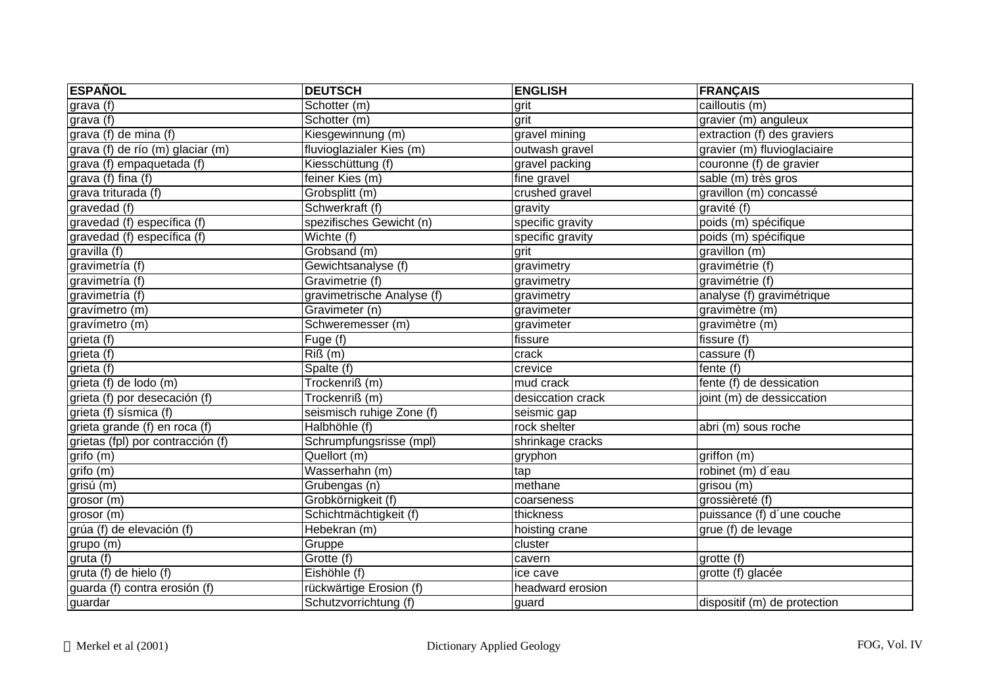| <b>ESPAÑOL</b>                    | <b>DEUTSCH</b>                  | <b>ENGLISH</b>    | <b>FRANÇAIS</b>              |
|-----------------------------------|---------------------------------|-------------------|------------------------------|
| grava (f)                         | Schotter (m)                    | grit              | cailloutis (m)               |
| grava (f)                         | Schotter (m)                    | grit              | gravier (m) anguleux         |
| grava (f) de mina (f)             | Kiesgewinnung (m)               | gravel mining     | extraction (f) des graviers  |
| grava (f) de río (m) glaciar (m)  | fluvioglazialer Kies (m)        | outwash gravel    | gravier (m) fluvioglaciaire  |
| grava (f) empaquetada (f)         | Kiesschüttung (f)               | gravel packing    | couronne (f) de gravier      |
| grava (f) fina (f)                | feiner Kies (m)                 | fine gravel       | sable (m) très gros          |
| grava triturada (f)               | Grobsplitt (m)                  | crushed gravel    | gravillon (m) concassé       |
| gravedad (f)                      | Schwerkraft (f)                 | gravity           | gravité (f)                  |
| gravedad (f) específica (f)       | spezifisches Gewicht (n)        | specific gravity  | poids (m) spécifique         |
| gravedad (f) específica (f)       | $\overline{\text{W}}$ ichte (f) | specific gravity  | poids (m) spécifique         |
| gravilla (f)                      | Grobsand (m)                    | grit              | gravillon (m)                |
| gravimetría (f)                   | Gewichtsanalyse (f)             | gravimetry        | gravimétrie (f)              |
| gravimetría (f)                   | Gravimetrie (f)                 | gravimetry        | gravimétrie (f)              |
| gravimetría (f)                   | gravimetrische Analyse (f)      | gravimetry        | analyse (f) gravimétrique    |
| gravímetro (m)                    | Gravimeter (n)                  | gravimeter        | gravimètre (m)               |
| gravímetro (m)                    | Schweremesser (m)               | gravimeter        | gravimètre (m)               |
| grieta (f)                        | Fuge (f)                        | fissure           | fissure (f)                  |
| grieta (f)                        | $Ri\Omega(m)$                   | crack             | cassure (f)                  |
| grieta (f)                        | Spalte (f)                      | crevice           | fente (f)                    |
| grieta (f) de lodo (m)            | Trockenriß (m)                  | mud crack         | fente (f) de dessication     |
| grieta (f) por desecación (f)     | Trockenriß (m)                  | desiccation crack | joint (m) de dessiccation    |
| grieta (f) sísmica (f)            | seismisch ruhige Zone (f)       | seismic gap       |                              |
| grieta grande (f) en roca (f)     | Halbhöhle (f)                   | rock shelter      | abri (m) sous roche          |
| grietas (fpl) por contracción (f) | Schrumpfungsrisse (mpl)         | shrinkage cracks  |                              |
| grifo (m)                         | Quellort (m)                    | gryphon           | $griffon$ (m)                |
| grifo (m)                         | Wasserhahn (m)                  | tap               | robinet (m) d'eau            |
| grisú (m)                         | Grubengas (n)                   | methane           | grisou (m)                   |
| grosor (m)                        | Grobkörnigkeit (f)              | coarseness        | grossièreté (f)              |
| grosor (m)                        | Schichtmächtigkeit (f)          | thickness         | puissance (f) d'une couche   |
| grúa (f) de elevación (f)         | Hebekran (m)                    | hoisting crane    | grue (f) de levage           |
| grupo (m)                         | Gruppe                          | cluster           |                              |
| gruta (f)                         | Grotte (f)                      | cavern            | grotte (f)                   |
| gruta (f) de hielo (f)            | Eishöhle (f)                    | ice cave          | grotte (f) glacée            |
| guarda (f) contra erosión (f)     | rückwärtige Erosion (f)         | headward erosion  |                              |
| guardar                           | Schutzvorrichtung (f)           | guard             | dispositif (m) de protection |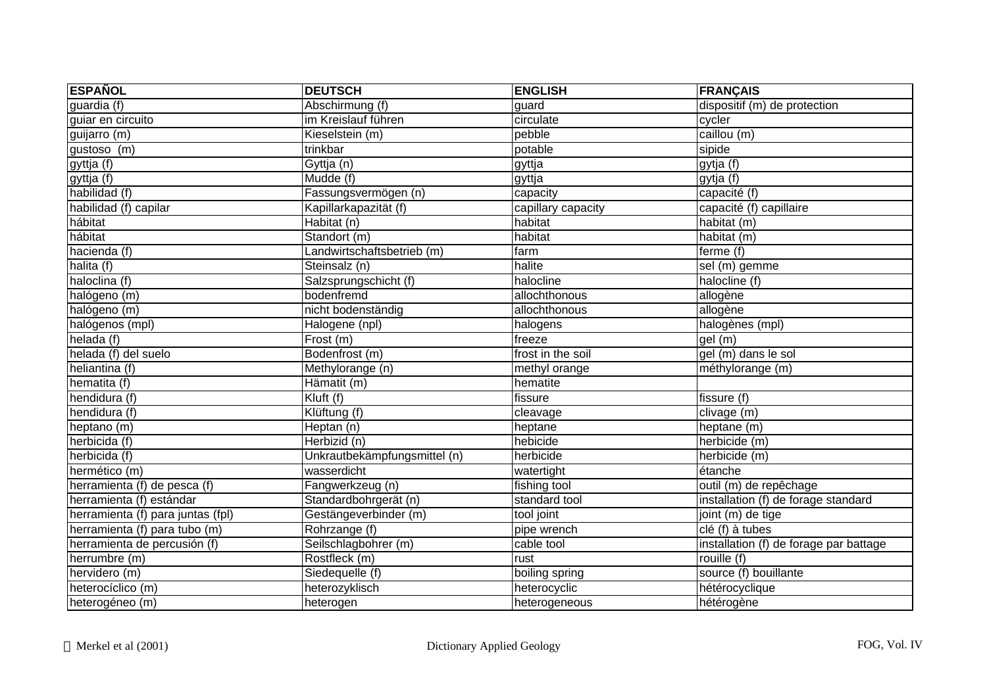| <b>ESPAÑOL</b>                    | <b>DEUTSCH</b>               | <b>ENGLISH</b>     | <b>FRANÇAIS</b>                        |
|-----------------------------------|------------------------------|--------------------|----------------------------------------|
| guardia (f)                       | Abschirmung (f)              | guard              | $dispositif (m)$ de protection         |
| guiar en circuito                 | im Kreislauf führen          | circulate          | cycler                                 |
| guijarro (m)                      | Kieselstein (m)              | pebble             | caillou (m)                            |
| gustoso (m)                       | trinkbar                     | potable            | sipide                                 |
| gyttja $(f)$                      | Gyttja (n)                   | gyttja             | gytja (f)                              |
| gyttja (f)                        | Mudde(f)                     | gyttja             | gytja $(f)$                            |
| habilidad (f)                     | Fassungsvermögen (n)         | capacity           | capacité (f)                           |
| habilidad (f) capilar             | Kapillarkapazität (f)        | capillary capacity | capacité (f) capillaire                |
| hábitat                           | Habitat(n)                   | habitat            | habitat (m)                            |
| hábitat                           | Standort (m)                 | habitat            | habitat (m)                            |
| hacienda (f)                      | Landwirtschaftsbetrieb (m)   | farm               | ferme (f)                              |
| halita (f)                        | Steinsalz (n)                | halite             | sel (m) gemme                          |
| haloclina (f)                     | Salzsprungschicht (f)        | halocline          | halocline (f)                          |
| halógeno (m)                      | bodenfremd                   | allochthonous      | allogène                               |
| halógeno (m)                      | nicht bodenständig           | allochthonous      | allogène                               |
| halógenos (mpl)                   | Halogene (npl)               | halogens           | halogènes (mpl)                        |
| helada (f)                        | Frost(m)                     | freeze             | qel (m)                                |
| helada (f) del suelo              | Bodenfrost (m)               | frost in the soil  | gel (m) dans le sol                    |
| heliantina (f)                    | Methylorange (n)             | methyl orange      | méthylorange (m)                       |
| hematita (f)                      | Hämatit (m)                  | hematite           |                                        |
| hendidura (f)                     | Kluft (f)                    | fissure            | fissure (f)                            |
| hendidura (f)                     | Klüftung (f)                 | cleavage           | clivage (m)                            |
| heptano (m)                       | Heptan (n)                   | heptane            | heptane (m)                            |
| herbicida (f)                     | Herbizid (n)                 | hebicide           | herbicide (m)                          |
| herbicida (f)                     | Unkrautbekämpfungsmittel (n) | herbicide          | herbicide (m)                          |
| hermético (m)                     | wasserdicht                  | watertight         | étanche                                |
| herramienta (f) de pesca (f)      | Fangwerkzeug (n)             | fishing tool       | outil (m) de repêchage                 |
| herramienta (f) estándar          | Standardbohrgerät (n)        | standard tool      | installation (f) de forage standard    |
| herramienta (f) para juntas (fpl) | Gestängeverbinder (m)        | tool joint         | joint (m) de tige                      |
| herramienta (f) para tubo (m)     | Rohrzange (f)                | pipe wrench        | clé (f) à tubes                        |
| herramienta de percusión (f)      | Seilschlagbohrer (m)         | cable tool         | installation (f) de forage par battage |
| herrumbre (m)                     | Rostfleck (m)                | rust               | rouille (f)                            |
| hervidero (m)                     | Siedequelle (f)              | boiling spring     | source (f) bouillante                  |
| heterocíclico (m)                 | heterozyklisch               | heterocyclic       | hétérocyclique                         |
| heterogéneo (m)                   | heterogen                    | heterogeneous      | hétérogène                             |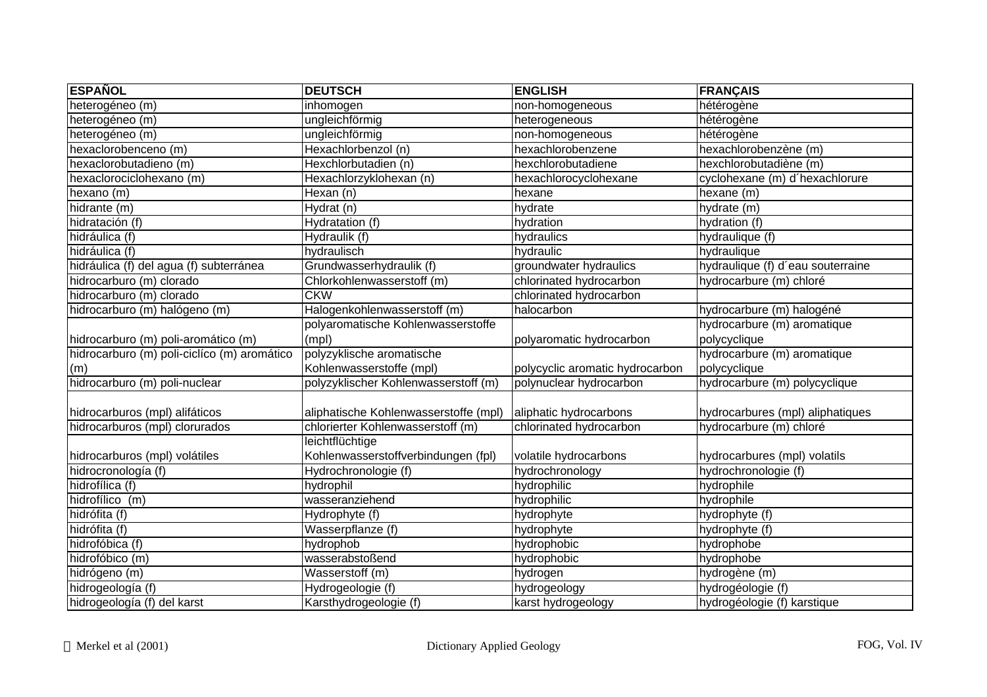| <b>ESPAÑOL</b>                              | <b>DEUTSCH</b>                        | <b>ENGLISH</b>                  | <b>FRANÇAIS</b>                   |
|---------------------------------------------|---------------------------------------|---------------------------------|-----------------------------------|
| heterogéneo (m)                             | inhomogen                             | non-homogeneous                 | hétérogène                        |
| heterogéneo (m)                             | ungleichförmig                        | heterogeneous                   | hétérogène                        |
| heterogéneo (m)                             | ungleichförmig                        | non-homogeneous                 | hétérogène                        |
| hexaclorobenceno (m)                        | Hexachlorbenzol (n)                   | hexachlorobenzene               | hexachlorobenzène (m)             |
| hexaclorobutadieno (m)                      | Hexchlorbutadien (n)                  | hexchlorobutadiene              | hexchlorobutadiène (m)            |
| hexaclorociclohexano (m)                    | Hexachlorzyklohexan (n)               | hexachlorocyclohexane           | cyclohexane (m) d'hexachlorure    |
| hexano (m)                                  | Hexan (n)                             | hexane                          | hexane (m)                        |
| hidrante (m)                                | Hydrat (n)                            | hydrate                         | hydrate (m)                       |
| hidratación (f)                             | Hydratation (f)                       | hydration                       | hydration (f)                     |
| hidráulica (f)                              | Hydraulik (f)                         | hydraulics                      | hydraulique (f)                   |
| hidráulica (f)                              | hydraulisch                           | hydraulic                       | hydraulique                       |
| hidráulica (f) del agua (f) subterránea     | Grundwasserhydraulik (f)              | groundwater hydraulics          | hydraulique (f) d'eau souterraine |
| hidrocarburo (m) clorado                    | Chlorkohlenwasserstoff (m)            | chlorinated hydrocarbon         | hydrocarbure (m) chloré           |
| hidrocarburo (m) clorado                    | <b>CKW</b>                            | chlorinated hydrocarbon         |                                   |
| hidrocarburo (m) halógeno (m)               | Halogenkohlenwasserstoff (m)          | halocarbon                      | hydrocarbure (m) halogéné         |
|                                             | polyaromatische Kohlenwasserstoffe    |                                 | hydrocarbure (m) aromatique       |
| hidrocarburo (m) poli-aromático (m)         | (mpl)                                 | polyaromatic hydrocarbon        | polycyclique                      |
| hidrocarburo (m) poli-ciclíco (m) aromático | polyzyklische aromatische             |                                 | hydrocarbure (m) aromatique       |
| (m)                                         | Kohlenwasserstoffe (mpl)              | polycyclic aromatic hydrocarbon | polycyclique                      |
| hidrocarburo (m) poli-nuclear               | polyzyklischer Kohlenwasserstoff (m)  | polynuclear hydrocarbon         | hydrocarbure (m) polycyclique     |
| hidrocarburos (mpl) alifáticos              | aliphatische Kohlenwasserstoffe (mpl) | aliphatic hydrocarbons          | hydrocarbures (mpl) aliphatiques  |
| hidrocarburos (mpl) clorurados              | chlorierter Kohlenwasserstoff (m)     | chlorinated hydrocarbon         | hydrocarbure (m) chloré           |
|                                             | leichtflüchtige                       |                                 |                                   |
| hidrocarburos (mpl) volátiles               | Kohlenwasserstoffverbindungen (fpl)   | volatile hydrocarbons           | hydrocarbures (mpl) volatils      |
| hidrocronología (f)                         | Hydrochronologie (f)                  | hydrochronology                 | hydrochronologie (f)              |
| hidrofílica (f)                             | hydrophil                             | hydrophilic                     | hydrophile                        |
| hidrofílico (m)                             | wasseranziehend                       | hydrophilic                     | hydrophile                        |
| hidrófita (f)                               | Hydrophyte (f)                        | hydrophyte                      | hydrophyte (f)                    |
| hidrófita (f)                               | Wasserpflanze (f)                     | hydrophyte                      | hydrophyte (f)                    |
| hidrofóbica (f)                             | hydrophob                             | hydrophobic                     | hydrophobe                        |
| hidrofóbico (m)                             | wasserabstoßend                       | hydrophobic                     | hydrophobe                        |
| hidrógeno (m)                               | Wasserstoff (m)                       | hydrogen                        | hydrogène (m)                     |
| hidrogeología (f)                           | Hydrogeologie (f)                     | hydrogeology                    | hydrogéologie (f)                 |
| hidrogeología (f) del karst                 | Karsthydrogeologie (f)                | karst hydrogeology              | hydrogéologie (f) karstique       |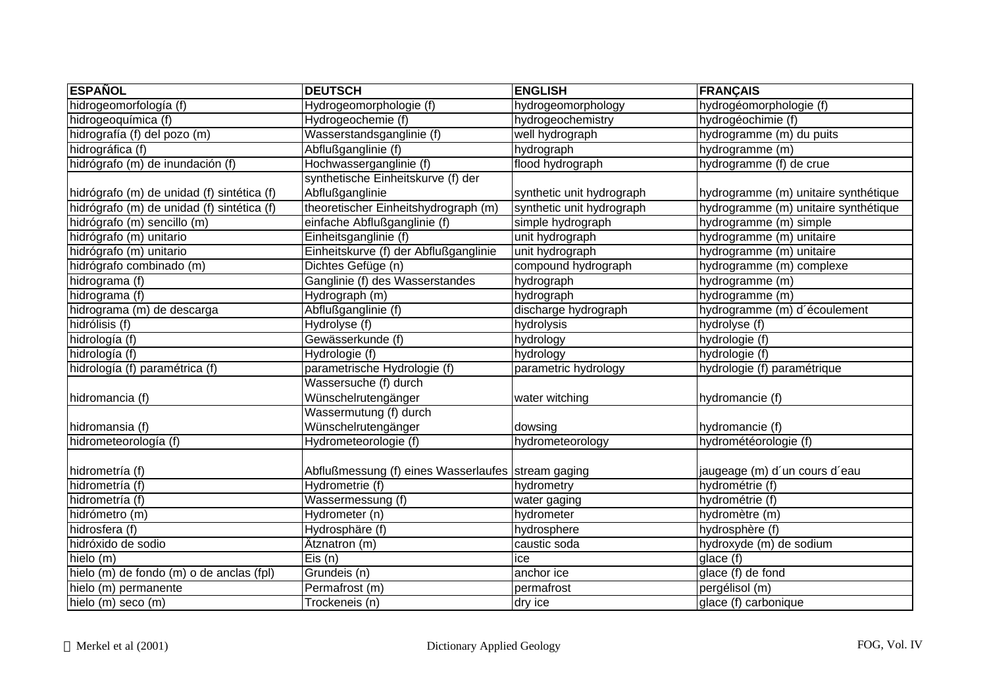| <b>ESPAÑOL</b>                             | <b>DEUTSCH</b>                                       | <b>ENGLISH</b>            | <b>FRANÇAIS</b>                      |
|--------------------------------------------|------------------------------------------------------|---------------------------|--------------------------------------|
| hidrogeomorfología (f)                     | Hydrogeomorphologie (f)                              | hydrogeomorphology        | hydrogéomorphologie (f)              |
| hidrogeoquímica (f)                        | Hydrogeochemie (f)                                   | hydrogeochemistry         | hydrogéochimie (f)                   |
| hidrografía (f) del pozo (m)               | Wasserstandsganglinie (f)                            | well hydrograph           | hydrogramme (m) du puits             |
| hidrográfica (f)                           | Abflußganglinie (f)                                  | hydrograph                | hydrogramme (m)                      |
| hidrógrafo (m) de inundación (f)           | Hochwasserganglinie (f)                              | flood hydrograph          | hydrogramme (f) de crue              |
|                                            | synthetische Einheitskurve (f) der                   |                           |                                      |
| hidrógrafo (m) de unidad (f) sintética (f) | Abflußganglinie                                      | synthetic unit hydrograph | hydrogramme (m) unitaire synthétique |
| hidrógrafo (m) de unidad (f) sintética (f) | theoretischer Einheitshydrograph (m)                 | synthetic unit hydrograph | hydrogramme (m) unitaire synthétique |
| hidrógrafo (m) sencillo (m)                | einfache Abflußganglinie (f)                         | simple hydrograph         | hydrogramme (m) simple               |
| hidrógrafo (m) unitario                    | Einheitsganglinie (f)                                | unit hydrograph           | hydrogramme (m) unitaire             |
| hidrógrafo (m) unitario                    | Einheitskurve (f) der Abflußganglinie                | unit hydrograph           | hydrogramme (m) unitaire             |
| hidrógrafo combinado (m)                   | Dichtes Gefüge (n)                                   | compound hydrograph       | hydrogramme (m) complexe             |
| hidrograma (f)                             | Ganglinie (f) des Wasserstandes                      | hydrograph                | hydrogramme (m)                      |
| hidrograma (f)                             | Hydrograph (m)                                       | hydrograph                | hydrogramme (m)                      |
| hidrograma (m) de descarga                 | Abflußganglinie (f)                                  | discharge hydrograph      | hydrogramme (m) d'écoulement         |
| hidrólisis (f)                             | Hydrolyse (f)                                        | hydrolysis                | hydrolyse (f)                        |
| hidrología (f)                             | Gewässerkunde (f)                                    | hydrology                 | hydrologie (f)                       |
| hidrología (f)                             | Hydrologie (f)                                       | hydrology                 | hydrologie (f)                       |
| hidrología (f) paramétrica (f)             | parametrische Hydrologie (f)                         | parametric hydrology      | hydrologie (f) paramétrique          |
|                                            | Wassersuche (f) durch                                |                           |                                      |
| hidromancia (f)                            | Wünschelrutengänger                                  | water witching            | hydromancie (f)                      |
|                                            | Wassermutung (f) durch                               |                           |                                      |
| hidromansia (f)                            | Wünschelrutengänger                                  | dowsing                   | hydromancie (f)                      |
| hidrometeorología (f)                      | Hydrometeorologie (f)                                | hydrometeorology          | hydrométéorologie (f)                |
|                                            |                                                      |                           |                                      |
| hidrometría (f)                            | Abflußmessung (f) eines Wasserlaufes   stream gaging |                           | jaugeage (m) d'un cours d'eau        |
| hidrometría (f)                            | Hydrometrie (f)                                      | hydrometry                | hydrométrie (f)                      |
| hidrometría (f)                            | Wassermessung (f)                                    | water gaging              | hydrométrie (f)                      |
| hidrómetro (m)                             | Hydrometer (n)                                       | hydrometer                | hydromètre (m)                       |
| hidrosfera (f)                             | Hydrosphäre (f)                                      | hydrosphere               | hydrosphère (f)                      |
| hidróxido de sodio                         | Ätznatron (m)                                        | caustic soda              | hydroxyde (m) de sodium              |
| hielo (m)                                  | Eis(n)                                               | ice                       | glace(f)                             |
| hielo (m) de fondo (m) o de anclas (fpl)   | Grundeis (n)                                         | anchor ice                | glace (f) de fond                    |
| hielo (m) permanente                       | Permafrost (m)                                       | permafrost                | pergélisol (m)                       |
| hielo (m) seco (m)                         | Trockeneis (n)                                       | dry ice                   | glace (f) carbonique                 |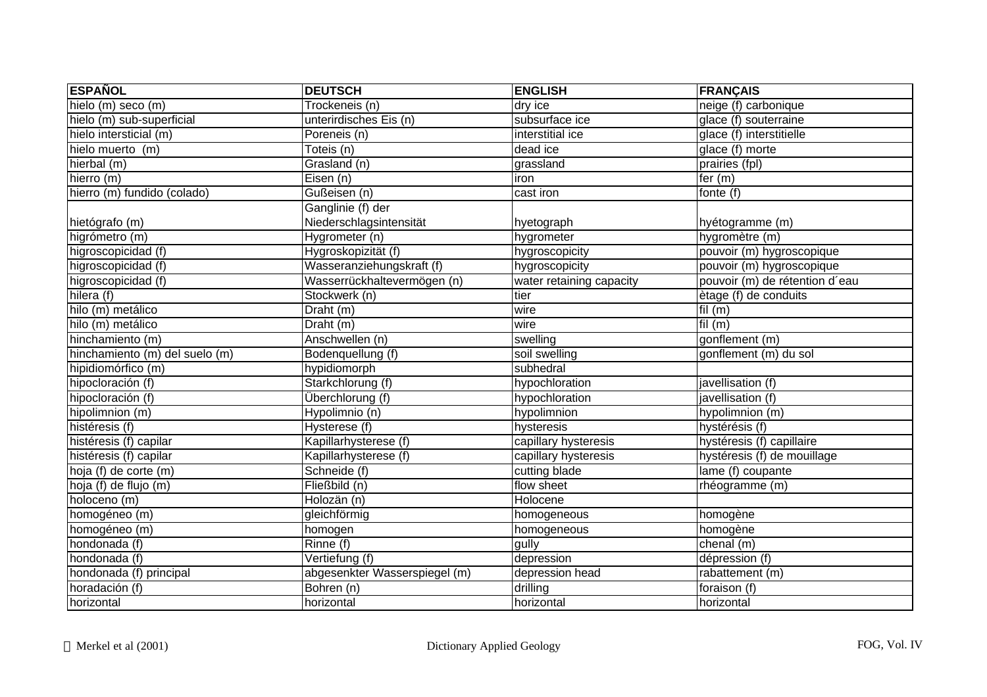| <b>ESPAÑOL</b>                     | <b>DEUTSCH</b>                | <b>ENGLISH</b>           | <b>FRANÇAIS</b>                |
|------------------------------------|-------------------------------|--------------------------|--------------------------------|
| hielo $(m)$ seco $(m)$             | Trockeneis (n)                | dry ice                  | neige (f) carbonique           |
| hielo (m) sub-superficial          | unterirdisches Eis (n)        | subsurface ice           | glace (f) souterraine          |
| hielo intersticial (m)             | Poreneis (n)                  | interstitial ice         | glace (f) interstitielle       |
| hielo muerto (m)                   | Toteis (n)                    | dead ice                 | glace (f) morte                |
| hierbal (m)                        | Grasland (n)                  | grassland                | prairies (fpl)                 |
| hierro (m)                         | Eisen $(n)$                   | iron                     | fer $(m)$                      |
| hierro (m) fundido (colado)        | Gußeisen (n)                  | cast iron                | fonte (f)                      |
|                                    | Ganglinie (f) der             |                          |                                |
| hietógrafo (m)                     | Niederschlagsintensität       | hyetograph               | hyétogramme (m)                |
| higrómetro (m)                     | Hygrometer (n)                | hygrometer               | hygromètre (m)                 |
| higroscopicidad (f)                | Hygroskopizität (f)           | hygroscopicity           | pouvoir (m) hygroscopique      |
| higroscopicidad (f)                | Wasseranziehungskraft (f)     | hygroscopicity           | pouvoir (m) hygroscopique      |
| higroscopicidad (f)                | Wasserrückhaltevermögen (n)   | water retaining capacity | pouvoir (m) de rétention d'eau |
| hilera (f)                         | Stockwerk (n)                 | tier                     | ètage (f) de conduits          |
| hilo (m) metálico                  | Draht (m)                     | wire                     | fil $(m)$                      |
| hilo (m) metálico                  | Draht (m)                     | wire                     | fil $(m)$                      |
| hinchamiento (m)                   | Anschwellen (n)               | swelling                 | gonflement (m)                 |
| hinchamiento (m) del suelo (m)     | Bodenquellung (f)             | soil swelling            | gonflement (m) du sol          |
| hipidiomórfico (m)                 | hypidiomorph                  | subhedral                |                                |
| hipocloración (f)                  | Starkchlorung (f)             | hypochloration           | javellisation (f)              |
| hipocloración (f)                  | Überchlorung (f)              | hypochloration           | javellisation (f)              |
| hipolimnion (m)                    | Hypolimnio (n)                | hypolimnion              | hypolimnion (m)                |
| histéresis (f)                     | Hysterese (f)                 | hysteresis               | hystérésis (f)                 |
| histéresis (f) capilar             | Kapillarhysterese (f)         | capillary hysteresis     | hystéresis (f) capillaire      |
| histéresis (f) capilar             | Kapillarhysterese (f)         | capillary hysteresis     | hystéresis (f) de mouillage    |
| $\overline{hoja}$ (f) de corte (m) | Schneide (f)                  | cutting blade            | lame (f) coupante              |
| hoja (f) de flujo (m)              | Fließbild (n)                 | flow sheet               | rhéogramme (m)                 |
| holoceno (m)                       | Holozän (n)                   | Holocene                 |                                |
| homogéneo (m)                      | gleichförmig                  | homogeneous              | homogène                       |
| homogéneo (m)                      | homogen                       | homogeneous              | homogène                       |
| hondonada (f)                      | Rinne (f)                     | gully                    | chenal (m)                     |
| hondonada (f)                      | Vertiefung (f)                | depression               | dépression (f)                 |
| hondonada (f) principal            | abgesenkter Wasserspiegel (m) | depression head          | rabattement (m)                |
| horadación (f)                     | Bohren (n)                    | drilling                 | foraison (f)                   |
| horizontal                         | horizontal                    | horizontal               | horizontal                     |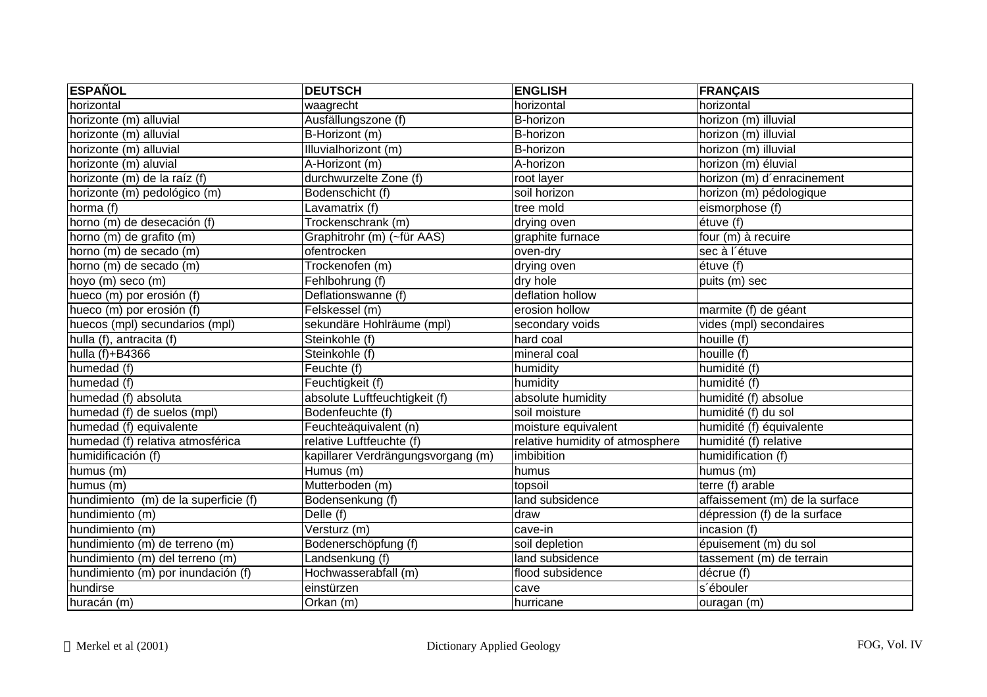| <b>ESPAÑOL</b>                       | <b>DEUTSCH</b>                     | <b>ENGLISH</b>                  | <b>FRANÇAIS</b>                |
|--------------------------------------|------------------------------------|---------------------------------|--------------------------------|
| horizontal                           | waagrecht                          | horizontal                      | horizontal                     |
| horizonte (m) alluvial               | Ausfällungszone (f)                | B-horizon                       | horizon (m) illuvial           |
| horizonte (m) alluvial               | B-Horizont (m)                     | <b>B-horizon</b>                | horizon (m) illuvial           |
| horizonte (m) alluvial               | Illuvialhorizont (m)               | B-horizon                       | horizon (m) illuvial           |
| horizonte (m) aluvial                | A-Horizont (m)                     | A-horizon                       | horizon (m) éluvial            |
| horizonte (m) de la raíz (f)         | durchwurzelte Zone (f)             | root layer                      | horizon (m) d'enracinement     |
| horizonte (m) pedológico (m)         | Bodenschicht (f)                   | soil horizon                    | horizon (m) pédologique        |
| horma (f)                            | Lavamatrix (f)                     | tree mold                       | eismorphose (f)                |
| horno (m) de desecación (f)          | Trockenschrank (m)                 | drying oven                     | étuve (f)                      |
| horno (m) de grafito (m)             | Graphitrohr (m) (~für AAS)         | graphite furnace                | four (m) à recuire             |
| horno (m) de secado (m)              | ofentrocken                        | oven-dry                        | sec à l'étuve                  |
| horno (m) de secado (m)              | Trockenofen (m)                    | drying oven                     | étuve (f)                      |
| hoyo (m) seco (m)                    | Fehlbohrung (f)                    | dry hole                        | puits (m) sec                  |
| hueco (m) por erosión (f)            | Deflationswanne (f)                | deflation hollow                |                                |
| hueco (m) por erosión (f)            | Felskessel (m)                     | erosion hollow                  | marmite (f) de géant           |
| huecos (mpl) secundarios (mpl)       | sekundäre Hohlräume (mpl)          | secondary voids                 | vides (mpl) secondaires        |
| hulla (f), antracita (f)             | Steinkohle (f)                     | hard coal                       | houille (f)                    |
| hulla $(f)+B4366$                    | Steinkohle (f)                     | mineral coal                    | houille (f)                    |
| humedad (f)                          | Feuchte (f)                        | humidity                        | humidité (f)                   |
| humedad (f)                          | Feuchtigkeit (f)                   | humidity                        | humidité (f)                   |
| humedad (f) absoluta                 | absolute Luftfeuchtigkeit (f)      | absolute humidity               | humidité (f) absolue           |
| humedad (f) de suelos (mpl)          | Bodenfeuchte (f)                   | soil moisture                   | humidité (f) du sol            |
| humedad (f) equivalente              | Feuchteäquivalent (n)              | moisture equivalent             | humidité (f) équivalente       |
| humedad (f) relativa atmosférica     | relative Luftfeuchte (f)           | relative humidity of atmosphere | humidité (f) relative          |
| humidificación (f)                   | kapillarer Verdrängungsvorgang (m) | imbibition                      | humidification (f)             |
| humus (m)                            | Humus (m)                          | humus                           | humus (m)                      |
| humus (m)                            | Mutterboden (m)                    | topsoil                         | $terre(f)$ arable              |
| hundimiento (m) de la superficie (f) | Bodensenkung (f)                   | land subsidence                 | affaissement (m) de la surface |
| hundimiento (m)                      | Delle $(f)$                        | draw                            | dépression (f) de la surface   |
| hundimiento (m)                      | Versturz (m)                       | cave-in                         | incasion (f)                   |
| hundimiento (m) de terreno (m)       | Bodenerschöpfung (f)               | soil depletion                  | épuisement (m) du sol          |
| hundimiento (m) del terreno (m)      | Landsenkung (f)                    | land subsidence                 | tassement (m) de terrain       |
| hundimiento (m) por inundación (f)   | Hochwasserabfall (m)               | flood subsidence                | décrue (f)                     |
| hundirse                             | einstürzen                         | cave                            | s'ébouler                      |
| huracán (m)                          | Orkan (m)                          | hurricane                       | ouragan (m)                    |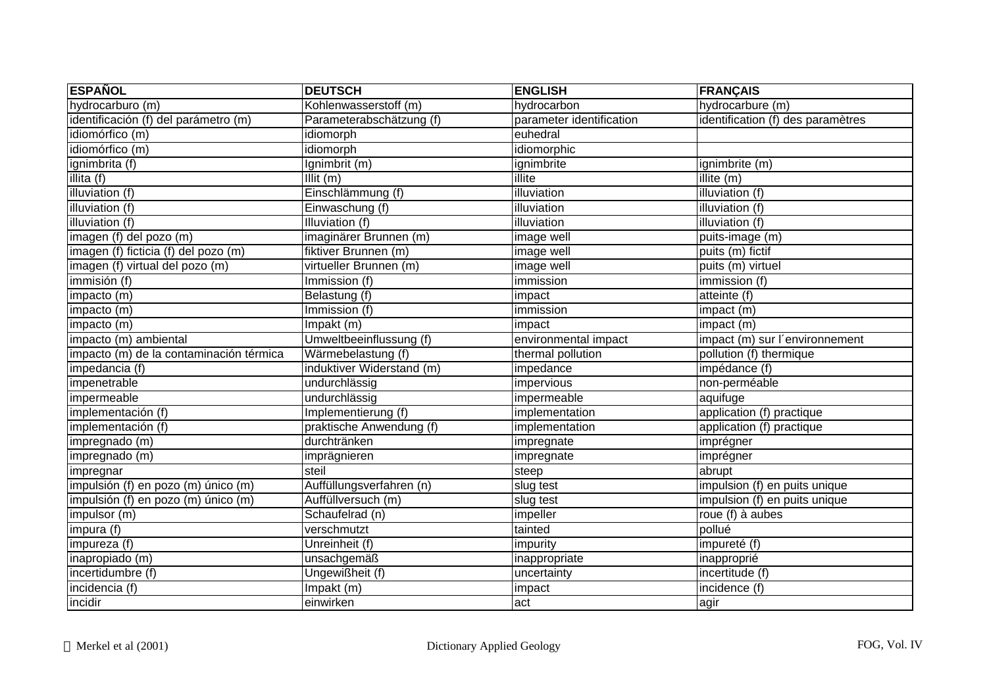| <b>ESPAÑOL</b>                          | <b>DEUTSCH</b>            | <b>ENGLISH</b>           | <b>FRANÇAIS</b>                   |
|-----------------------------------------|---------------------------|--------------------------|-----------------------------------|
| hydrocarburo (m)                        | Kohlenwasserstoff (m)     | hydrocarbon              | hydrocarbure (m)                  |
| identificación (f) del parámetro (m)    | Parameterabschätzung (f)  | parameter identification | identification (f) des paramètres |
| idiomórfico (m)                         | idiomorph                 | euhedral                 |                                   |
| idiomórfico (m)                         | idiomorph                 | idiomorphic              |                                   |
| ignimbrita (f)                          | Ignimbrit (m)             | ignimbrite               | ignimbrite (m)                    |
| illita (f)                              | Illit (m)                 | illite                   | illite (m)                        |
| illuviation (f)                         | Einschlämmung (f)         | illuviation              | illuviation (f)                   |
| illuviation (f)                         | Einwaschung (f)           | illuviation              | illuviation (f)                   |
| illuviation (f)                         | Illuviation (f)           | illuviation              | illuviation (f)                   |
| imagen (f) del pozo (m)                 | imaginärer Brunnen (m)    | image well               | puits-image (m)                   |
| imagen (f) ficticia (f) del pozo (m)    | fiktiver Brunnen (m)      | image well               | puits (m) fictif                  |
| imagen (f) virtual del pozo (m)         | virtueller Brunnen (m)    | image well               | puits (m) virtuel                 |
| immisión (f)                            | Immission (f)             | immission                | immission (f)                     |
| impacto (m)                             | Belastung (f)             | impact                   | atteinte (f)                      |
| impacto (m)                             | Immission (f)             | immission                | impact (m)                        |
| impacto (m)                             | Impakt (m)                | impact                   | impact (m)                        |
| impacto (m) ambiental                   | Umweltbeeinflussung (f)   | environmental impact     | impact (m) sur l'environnement    |
| impacto (m) de la contaminación térmica | Wärmebelastung (f)        | thermal pollution        | pollution (f) thermique           |
| impedancia (f)                          | induktiver Widerstand (m) | impedance                | impédance (f)                     |
| impenetrable                            | undurchlässig             | impervious               | non-perméable                     |
| impermeable                             | undurchlässig             | impermeable              | aquifuge                          |
| implementación (f)                      | Implementierung (f)       | implementation           | application (f) practique         |
| implementación (f)                      | praktische Anwendung (f)  | implementation           | application (f) practique         |
| impregnado (m)                          | durchtränken              | impregnate               | imprégner                         |
| impregnado (m)                          | imprägnieren              | impregnate               | imprégner                         |
| impregnar                               | steil                     | steep                    | abrupt                            |
| impulsión (f) en pozo (m) único (m)     | Auffüllungsverfahren (n)  | slug test                | impulsion (f) en puits unique     |
| impulsión (f) en pozo (m) único (m)     | Auffüllversuch (m)        | slug test                | impulsion (f) en puits unique     |
| impulsor (m)                            | Schaufelrad (n)           | impeller                 | roue (f) à aubes                  |
| impura (f)                              | verschmutzt               | tainted                  | pollué                            |
| impureza (f)                            | Unreinheit (f)            | impurity                 | impureté (f)                      |
| inapropiado (m)                         | unsachgemäß               | inappropriate            | inapproprié                       |
| incertidumbre (f)                       | Ungewißheit (f)           | uncertainty              | incertitude (f)                   |
| incidencia (f)                          | Impakt (m)                | impact                   | incidence (f)                     |
| incidir                                 | einwirken                 | act                      | agir                              |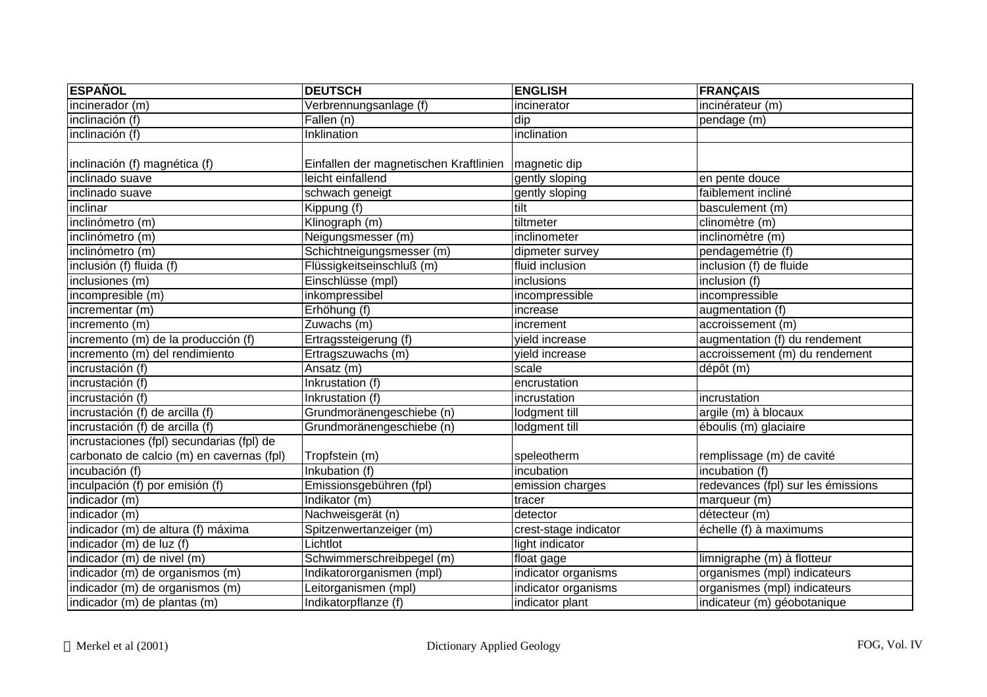| <b>ESPAÑOL</b>                            | <b>DEUTSCH</b>                         | <b>ENGLISH</b>        | <b>FRANÇAIS</b>                    |
|-------------------------------------------|----------------------------------------|-----------------------|------------------------------------|
| incinerador (m)                           | Verbrennungsanlage (f)                 | incinerator           | incinérateur (m)                   |
| inclinación (f)                           | Fallen (n)                             | dip                   | pendage (m)                        |
| inclinación (f)                           | Inklination                            | inclination           |                                    |
|                                           |                                        |                       |                                    |
| inclinación (f) magnética (f)             | Einfallen der magnetischen Kraftlinien | magnetic dip          |                                    |
| inclinado suave                           | leicht einfallend                      | gently sloping        | en pente douce                     |
| inclinado suave                           | schwach geneigt                        | gently sloping        | faiblement incliné                 |
| inclinar                                  | Kippung (f)                            | tilt                  | basculement (m)                    |
| inclinómetro (m)                          | Klinograph (m)                         | tiltmeter             | clinomètre (m)                     |
| inclinómetro (m)                          | Neigungsmesser (m)                     | inclinometer          | inclinomètre (m)                   |
| inclinómetro (m)                          | Schichtneigungsmesser (m)              | dipmeter survey       | pendagemétrie (f)                  |
| inclusión (f) fluida (f)                  | Flüssigkeitseinschluß (m)              | fluid inclusion       | inclusion (f) de fluide            |
| inclusiones (m)                           | Einschlüsse (mpl)                      | inclusions            | inclusion (f)                      |
| incompresible (m)                         | inkompressibel                         | incompressible        | incompressible                     |
| incrementar (m)                           | Erhöhung (f)                           | increase              | augmentation (f)                   |
| incremento (m)                            | Zuwachs (m)                            | increment             | accroissement (m)                  |
| incremento (m) de la producción (f)       | Ertragssteigerung (f)                  | vield increase        | augmentation (f) du rendement      |
| incremento (m) del rendimiento            | Ertragszuwachs (m)                     | yield increase        | accroissement (m) du rendement     |
| incrustación (f)                          | Ansatz (m)                             | scale                 | dépôt (m)                          |
| incrustación (f)                          | Inkrustation (f)                       | encrustation          |                                    |
| incrustación (f)                          | Inkrustation (f)                       | incrustation          | incrustation                       |
| incrustación (f) de arcilla (f)           | Grundmoränengeschiebe (n)              | lodgment till         | argile (m) à blocaux               |
| incrustación (f) de arcilla (f)           | Grundmoränengeschiebe (n)              | lodgment till         | éboulis (m) glaciaire              |
| incrustaciones (fpl) secundarias (fpl) de |                                        |                       |                                    |
| carbonato de calcio (m) en cavernas (fpl) | Tropfstein (m)                         | speleotherm           | remplissage (m) de cavité          |
| incubación (f)                            | Inkubation (f)                         | incubation            | incubation (f)                     |
| inculpación (f) por emisión (f)           | Emissionsgebühren (fpl)                | emission charges      | redevances (fpl) sur les émissions |
| indicador (m)                             | Indikator (m)                          | tracer                | marqueur (m)                       |
| indicador (m)                             | Nachweisgerät (n)                      | detector              | détecteur (m)                      |
| indicador (m) de altura (f) máxima        | Spitzenwertanzeiger (m)                | crest-stage indicator | échelle (f) à maximums             |
| indicador (m) de luz (f)                  | Lichtlot                               | light indicator       |                                    |
| indicador (m) de nivel (m)                | Schwimmerschreibpegel (m)              | float gage            | limnigraphe (m) à flotteur         |
| indicador (m) de organismos (m)           | Indikatororganismen (mpl)              | indicator organisms   | organismes (mpl) indicateurs       |
| indicador (m) de organismos (m)           | Leitorganismen (mpl)                   | indicator organisms   | organismes (mpl) indicateurs       |
| indicador (m) de plantas (m)              | Indikatorpflanze (f)                   | indicator plant       | indicateur (m) géobotanique        |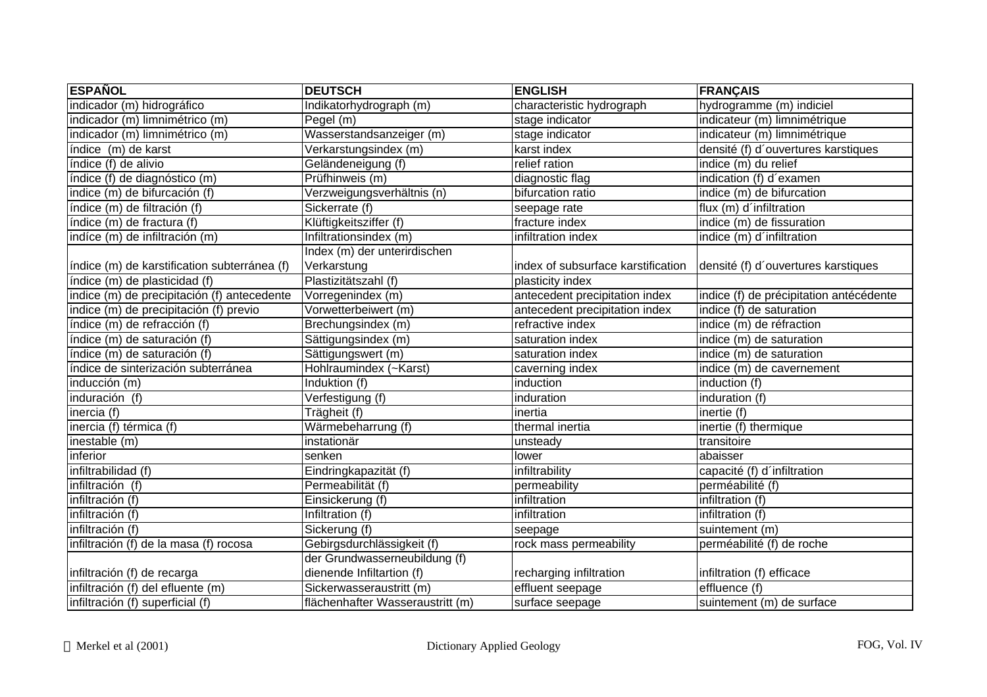| <b>ESPAÑOL</b>                               | <b>DEUTSCH</b>                   | <b>ENGLISH</b>                     | <b>FRANÇAIS</b>                         |
|----------------------------------------------|----------------------------------|------------------------------------|-----------------------------------------|
| indicador (m) hidrográfico                   | Indikatorhydrograph (m)          | characteristic hydrograph          | hydrogramme (m) indiciel                |
| indicador (m) limnimétrico (m)               | Pegel (m)                        | stage indicator                    | indicateur (m) limnimétrique            |
| indicador (m) limnimétrico (m)               | Wasserstandsanzeiger (m)         | stage indicator                    | indicateur (m) limnimétrique            |
| índice (m) de karst                          | Verkarstungsindex (m)            | karst index                        | densité (f) d'ouvertures karstiques     |
| índice (f) de alivio                         | Geländeneigung (f)               | relief ration                      | indice (m) du relief                    |
| índice (f) de diagnóstico (m)                | Prüfhinweis (m)                  | diagnostic flag                    | indication (f) d'examen                 |
| indice (m) de bifurcación (f)                | Verzweigungsverhältnis (n)       | bifurcation ratio                  | indice (m) de bifurcation               |
| índice (m) de filtración (f)                 | Sickerrate (f)                   | seepage rate                       | flux (m) d'infiltration                 |
| índice (m) de fractura (f)                   | Klüftigkeitsziffer (f)           | fracture index                     | indice (m) de fissuration               |
| indíce (m) de infiltración (m)               | Infiltrationsindex (m)           | infiltration index                 | indice (m) d'infiltration               |
|                                              | Index (m) der unterirdischen     |                                    |                                         |
| índice (m) de karstification subterránea (f) | Verkarstung                      | index of subsurface karstification | densité (f) d'ouvertures karstiques     |
| índice (m) de plasticidad (f)                | Plastizitätszahl (f)             | plasticity index                   |                                         |
| indice (m) de precipitación (f) antecedente  | Vorregenindex (m)                | antecedent precipitation index     | indice (f) de précipitation antécédente |
| indice (m) de precipitación (f) previo       | Vorwetterbeiwert (m)             | antecedent precipitation index     | indice (f) de saturation                |
| índice (m) de refracción (f)                 | Brechungsindex (m)               | refractive index                   | indice (m) de réfraction                |
| índice (m) de saturación (f)                 | Sättigungsindex (m)              | saturation index                   | indice (m) de saturation                |
| índice (m) de saturación (f)                 | Sättigungswert (m)               | saturation index                   | indice (m) de saturation                |
| índice de sinterización subterránea          | Hohlraumindex (~Karst)           | caverning index                    | indice (m) de cavernement               |
| inducción (m)                                | Induktion (f)                    | induction                          | induction (f)                           |
| induración (f)                               | Verfestigung (f)                 | induration                         | induration (f)                          |
| inercia (f)                                  | Trägheit (f)                     | inertia                            | inertie (f)                             |
| inercia (f) térmica (f)                      | Wärmebeharrung (f)               | thermal inertia                    | inertie (f) thermique                   |
| inestable (m)                                | instationär                      | unsteady                           | transitoire                             |
| inferior                                     | senken                           | lower                              | abaisser                                |
| infiltrabilidad (f)                          | Eindringkapazität (f)            | infiltrability                     | capacité (f) d'infiltration             |
| infiltración (f)                             | Permeabilität (f)                | permeability                       | perméabilité (f)                        |
| infiltración (f)                             | Einsickerung (f)                 | infiltration                       | infiltration (f)                        |
| infiltración (f)                             | Infiltration (f)                 | infiltration                       | infiltration (f)                        |
| infiltración (f)                             | Sickerung (f)                    | seepage                            | suintement (m)                          |
| infiltración (f) de la masa (f) rocosa       | Gebirgsdurchlässigkeit (f)       | rock mass permeability             | perméabilité (f) de roche               |
|                                              | der Grundwasserneubildung (f)    |                                    |                                         |
| infiltración (f) de recarga                  | dienende Infiltartion (f)        | recharging infiltration            | infiltration (f) efficace               |
| infiltración (f) del efluente (m)            | Sickerwasseraustritt (m)         | effluent seepage                   | effluence $(f)$                         |
| infiltración (f) superficial (f)             | flächenhafter Wasseraustritt (m) | surface seepage                    | suintement (m) de surface               |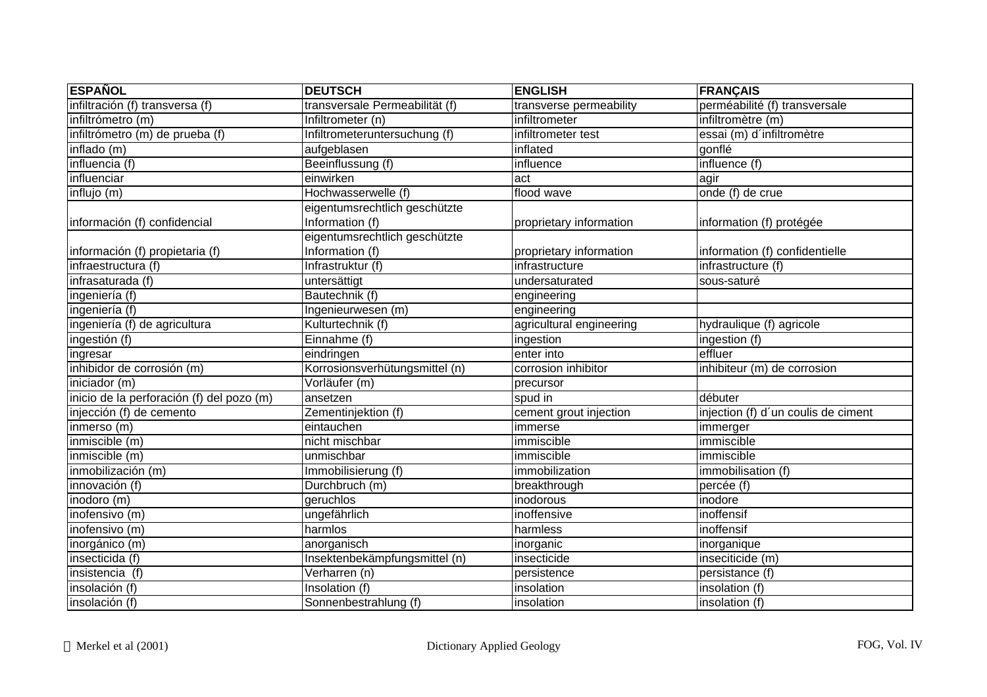| <b>ESPAÑOL</b>                            | <b>DEUTSCH</b>                 | <b>ENGLISH</b>           | <b>FRANÇAIS</b>                     |
|-------------------------------------------|--------------------------------|--------------------------|-------------------------------------|
| infiltración (f) transversa (f)           | transversale Permeabilität (f) | transverse permeability  | perméabilité (f) transversale       |
| infiltrómetro (m)                         | Infiltrometer (n)              | infiltrometer            | infiltromètre (m)                   |
| infiltrómetro (m) de prueba (f)           | Infiltrometeruntersuchung (f)  | infiltrometer test       | essai (m) d'infiltromètre           |
| inflado (m)                               | aufgeblasen                    | inflated                 | gonflé                              |
| influencia (f)                            | Beeinflussung (f)              | influence                | influence (f)                       |
| influenciar                               | einwirken                      | act                      | agir                                |
| influjo (m)                               | Hochwasserwelle (f)            | flood wave               | onde (f) de crue                    |
|                                           | eigentumsrechtlich geschützte  |                          |                                     |
| información (f) confidencial              | Information (f)                | proprietary information  | information (f) protégée            |
|                                           | eigentumsrechtlich geschützte  |                          |                                     |
| información (f) propietaria (f)           | Information (f)                | proprietary information  | information (f) confidentielle      |
| infraestructura (f)                       | Infrastruktur (f)              | infrastructure           | infrastructure (f)                  |
| infrasaturada (f)                         | untersättigt                   | undersaturated           | sous-saturé                         |
| ingeniería (f)                            | Bautechnik (f)                 | engineering              |                                     |
| ingeniería (f)                            | Ingenieurwesen (m)             | engineering              |                                     |
| ingeniería (f) de agricultura             | Kulturtechnik (f)              | agricultural engineering | hydraulique (f) agricole            |
| ingestión (f)                             | Einnahme (f)                   | ingestion                | ingestion (f)                       |
| ingresar                                  | eindringen                     | enter into               | effluer                             |
| inhibidor de corrosión (m)                | Korrosionsverhütungsmittel (n) | corrosion inhibitor      | inhibiteur (m) de corrosion         |
| iniciador (m)                             | Vorläufer (m)                  | precursor                |                                     |
| inicio de la perforación (f) del pozo (m) | ansetzen                       | spud in                  | débuter                             |
| injección (f) de cemento                  | Zementinjektion (f)            | cement grout injection   | injection (f) d'un coulis de ciment |
| inmerso (m)                               | eintauchen                     | immerse                  | immerger                            |
| inmiscible (m)                            | nicht mischbar                 | immiscible               | immiscible                          |
| inmiscible (m)                            | unmischbar                     | immiscible               | immiscible                          |
| inmobilización (m)                        | Immobilisierung (f)            | immobilization           | immobilisation (f)                  |
| innovación (f)                            | Durchbruch (m)                 | breakthrough             | percée (f)                          |
| inodoro (m)                               | geruchlos                      | inodorous                | inodore                             |
| inofensivo (m)                            | ungefährlich                   | inoffensive              | inoffensif                          |
| inofensivo (m)                            | harmlos                        | harmless                 | inoffensif                          |
| inorgánico (m)                            | anorganisch                    | inorganic                | inorganique                         |
| insecticida (f)                           | Insektenbekämpfungsmittel (n)  | insecticide              | inseciticide (m)                    |
| insistencia (f)                           | Verharren (n)                  | persistence              | persistance (f)                     |
| insolación (f)                            | Insolation (f)                 | insolation               | insolation (f)                      |
| insolación (f)                            | Sonnenbestrahlung (f)          | insolation               | insolation (f)                      |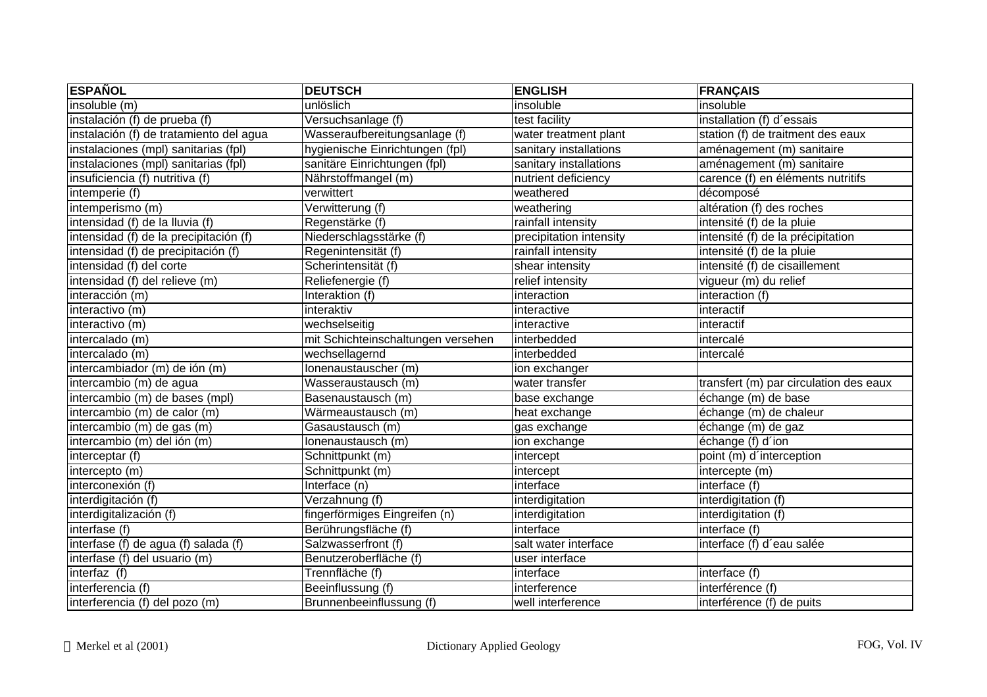| <b>ESPAÑOL</b>                          | <b>DEUTSCH</b>                     | <b>ENGLISH</b>          | <b>FRANÇAIS</b>                        |
|-----------------------------------------|------------------------------------|-------------------------|----------------------------------------|
| insoluble (m)                           | unlöslich                          | insoluble               | insoluble                              |
| instalación (f) de prueba (f)           | Versuchsanlage (f)                 | test facility           | installation (f) d'essais              |
| instalación (f) de tratamiento del agua | Wasseraufbereitungsanlage (f)      | water treatment plant   | station (f) de traitment des eaux      |
| instalaciones (mpl) sanitarias (fpl)    | hygienische Einrichtungen (fpl)    | sanitary installations  | aménagement (m) sanitaire              |
| instalaciones (mpl) sanitarias (fpl)    | sanitäre Einrichtungen (fpl)       | sanitary installations  | aménagement (m) sanitaire              |
| insuficiencia (f) nutritiva (f)         | Nährstoffmangel (m)                | nutrient deficiency     | carence (f) en éléments nutritifs      |
| intemperie (f)                          | verwittert                         | weathered               | décomposé                              |
| intemperismo (m)                        | Verwitterung (f)                   | weathering              | altération (f) des roches              |
| intensidad (f) de la lluvia (f)         | Regenstärke (f)                    | rainfall intensity      | intensité (f) de la pluie              |
| intensidad (f) de la precipitación (f)  | Niederschlagsstärke (f)            | precipitation intensity | intensité (f) de la précipitation      |
| intensidad (f) de precipitación (f)     | Regenintensität (f)                | rainfall intensity      | intensité (f) de la pluie              |
| intensidad (f) del corte                | Scherintensität (f)                | shear intensity         | intensité (f) de cisaillement          |
| intensidad (f) del relieve (m)          | Reliefenergie (f)                  | relief intensity        | vigueur (m) du relief                  |
| interacción (m)                         | Interaktion (f)                    | interaction             | interaction (f)                        |
| interactivo (m)                         | interaktiv                         | interactive             | interactif                             |
| interactivo (m)                         | wechselseitig                      | interactive             | interactif                             |
| intercalado (m)                         | mit Schichteinschaltungen versehen | interbedded             | intercalé                              |
| intercalado (m)                         | wechsellagernd                     | interbedded             | intercalé                              |
| intercambiador (m) de ión (m)           | Ionenaustauscher (m)               | ion exchanger           |                                        |
| intercambio (m) de agua                 | Wasseraustausch (m)                | water transfer          | transfert (m) par circulation des eaux |
| intercambio (m) de bases (mpl)          | Basenaustausch (m)                 | base exchange           | échange (m) de base                    |
| intercambio (m) de calor (m)            | Wärmeaustausch (m)                 | heat exchange           | échange (m) de chaleur                 |
| intercambio (m) de gas (m)              | Gasaustausch (m)                   | gas exchange            | échange (m) de gaz                     |
| intercambio (m) del ión (m)             | Ionenaustausch (m)                 | ion exchange            | échange (f) d'ion                      |
| interceptar (f)                         | Schnittpunkt (m)                   | intercept               | point (m) d'interception               |
| intercepto (m)                          | Schnittpunkt (m)                   | intercept               | intercepte (m)                         |
| interconexión (f)                       | Interface (n)                      | interface               | interface (f)                          |
| interdigitación (f)                     | Verzahnung (f)                     | interdigitation         | interdigitation (f)                    |
| interdigitalización (f)                 | fingerförmiges Eingreifen (n)      | interdigitation         | interdigitation (f)                    |
| interfase (f)                           | Berührungsfläche (f)               | interface               | interface (f)                          |
| interfase (f) de agua (f) salada (f)    | Salzwasserfront (f)                | salt water interface    | interface (f) d'eau salée              |
| interfase (f) del usuario (m)           | Benutzeroberfläche (f)             | user interface          |                                        |
| interfaz (f)                            | Trennfläche (f)                    | interface               | interface (f)                          |
| interferencia (f)                       | Beeinflussung (f)                  | interference            | interférence (f)                       |
| interferencia (f) del pozo (m)          | Brunnenbeeinflussung (f)           | well interference       | interférence (f) de puits              |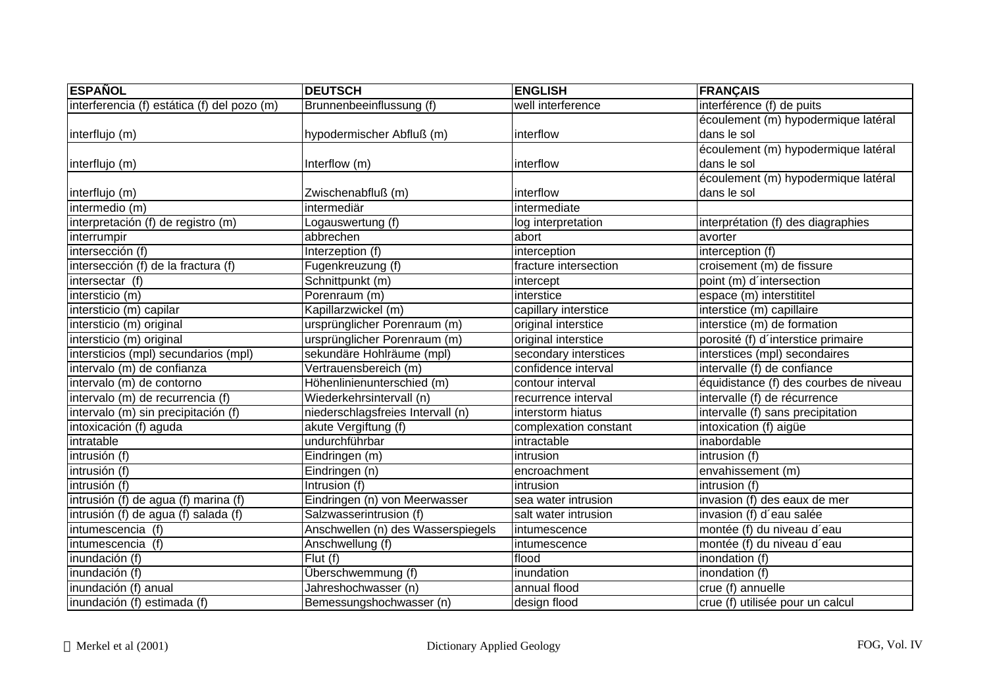| <b>ESPAÑOL</b>                              | <b>DEUTSCH</b>                     | <b>ENGLISH</b>        | <b>FRANÇAIS</b>                        |
|---------------------------------------------|------------------------------------|-----------------------|----------------------------------------|
| interferencia (f) estática (f) del pozo (m) | Brunnenbeeinflussung (f)           | well interference     | interférence (f) de puits              |
|                                             |                                    |                       | écoulement (m) hypodermique latéral    |
| interflujo (m)                              | hypodermischer Abfluß (m)          | interflow             | dans le sol                            |
|                                             |                                    |                       | écoulement (m) hypodermique latéral    |
| interflujo (m)                              | Interflow (m)                      | interflow             | dans le sol                            |
|                                             |                                    |                       | écoulement (m) hypodermique latéral    |
| interflujo (m)                              | Zwischenabfluß (m)                 | interflow             | dans le sol                            |
| intermedio (m)                              | intermediär                        | intermediate          |                                        |
| interpretación (f) de registro (m)          | Logauswertung (f)                  | log interpretation    | interprétation (f) des diagraphies     |
| interrumpir                                 | abbrechen                          | abort                 | avorter                                |
| intersección (f)                            | Interzeption (f)                   | interception          | interception (f)                       |
| intersección (f) de la fractura (f)         | Fugenkreuzung (f)                  | fracture intersection | croisement (m) de fissure              |
| intersectar (f)                             | Schnittpunkt (m)                   | intercept             | point (m) d'intersection               |
| intersticio (m)                             | Porenraum (m)                      | interstice            | espace (m) interstititel               |
| intersticio (m) capilar                     | Kapillarzwickel (m)                | capillary interstice  | interstice (m) capillaire              |
| intersticio (m) original                    | ursprünglicher Porenraum (m)       | original interstice   | interstice (m) de formation            |
| intersticio (m) original                    | ursprünglicher Porenraum (m)       | original interstice   | porosité (f) d'interstice primaire     |
| intersticios (mpl) secundarios (mpl)        | sekundäre Hohlräume (mpl)          | secondary interstices | interstices (mpl) secondaires          |
| intervalo (m) de confianza                  | Vertrauensbereich (m)              | confidence interval   | intervalle (f) de confiance            |
| intervalo (m) de contorno                   | Höhenlinienunterschied (m)         | contour interval      | équidistance (f) des courbes de niveau |
| intervalo (m) de recurrencia (f)            | Wiederkehrsintervall (n)           | recurrence interval   | intervalle (f) de récurrence           |
| intervalo (m) sin precipitación (f)         | niederschlagsfreies Intervall (n)  | interstorm hiatus     | intervalle (f) sans precipitation      |
| intoxicación (f) aguda                      | akute Vergiftung (f)               | complexation constant | intoxication (f) aigüe                 |
| intratable                                  | undurchführbar                     | intractable           | inabordable                            |
| intrusión (f)                               | Eindringen (m)                     | intrusion             | intrusion (f)                          |
| intrusión (f)                               | Eindringen (n)                     | encroachment          | envahissement (m)                      |
| intrusión (f)                               | Intrusion (f)                      | intrusion             | intrusion (f)                          |
| intrusión (f) de agua (f) marina (f)        | Eindringen (n) von Meerwasser      | sea water intrusion   | invasion (f) des eaux de mer           |
| intrusión (f) de agua (f) salada (f)        | Salzwasserintrusion (f)            | salt water intrusion  | invasion (f) d'eau salée               |
| intumescencia (f)                           | Anschwellen (n) des Wasserspiegels | intumescence          | montée (f) du niveau d'eau             |
| intumescencia (f)                           | Anschwellung (f)                   | intumescence          | montée (f) du niveau d'eau             |
| inundación (f)                              | Flut(f)                            | flood                 | inondation (f)                         |
| inundación $(f)$                            | Überschwemmung (f)                 | inundation            | inondation (f)                         |
| inundación (f) anual                        | Jahreshochwasser (n)               | annual flood          | crue (f) annuelle                      |
| inundación (f) estimada (f)                 | Bemessungshochwasser (n)           | design flood          | crue (f) utilisée pour un calcul       |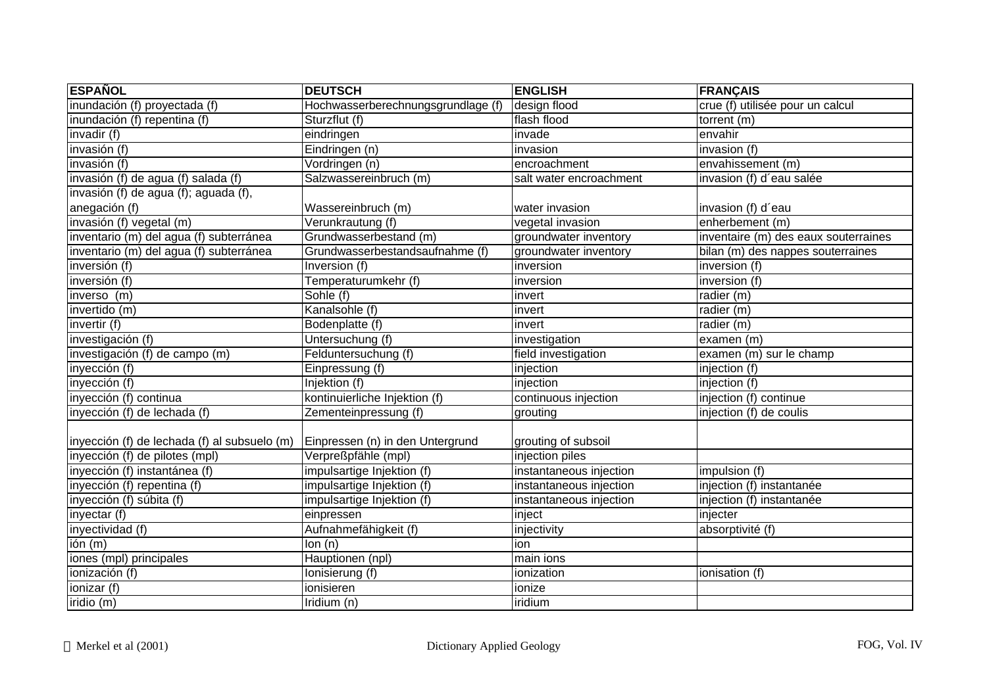| <b>ESPAÑOL</b>                               | <b>DEUTSCH</b>                     | <b>ENGLISH</b>          | <b>FRANÇAIS</b>                      |
|----------------------------------------------|------------------------------------|-------------------------|--------------------------------------|
| inundación (f) proyectada (f)                | Hochwasserberechnungsgrundlage (f) | design flood            | crue (f) utilisée pour un calcul     |
| inundación (f) repentina (f)                 | Sturzflut (f)                      | flash flood             | torrent (m)                          |
| invadir (f)                                  | eindringen                         | invade                  | envahir                              |
| invasión (f)                                 | Eindringen (n)                     | invasion                | invasion (f)                         |
| invasión (f)                                 | Vordringen (n)                     | encroachment            | envahissement (m)                    |
| invasión (f) de agua (f) salada (f)          | Salzwassereinbruch (m)             | salt water encroachment | invasion (f) d'eau salée             |
| invasión (f) de agua (f); aguada (f),        |                                    |                         |                                      |
| anegación (f)                                | Wassereinbruch (m)                 | water invasion          | invasion (f) d'eau                   |
| invasión (f) vegetal (m)                     | Verunkrautung (f)                  | vegetal invasion        | enherbement (m)                      |
| inventario (m) del agua (f) subterránea      | Grundwasserbestand (m)             | groundwater inventory   | inventaire (m) des eaux souterraines |
| inventario (m) del agua (f) subterránea      | Grundwasserbestandsaufnahme (f)    | groundwater inventory   | bilan (m) des nappes souterraines    |
| inversión (f)                                | Inversion (f)                      | inversion               | inversion (f)                        |
| inversión (f)                                | Temperaturumkehr (f)               | inversion               | inversion (f)                        |
| inverso (m)                                  | Sohle (f)                          | invert                  | radier (m)                           |
| invertido (m)                                | Kanalsohle (f)                     | invert                  | radier (m)                           |
| invertir (f)                                 | Bodenplatte (f)                    | invert                  | radier (m)                           |
| investigación (f)                            | Untersuchung (f)                   | investigation           | examen (m)                           |
| investigación (f) de campo (m)               | Felduntersuchung (f)               | field investigation     | examen (m) sur le champ              |
| inyección (f)                                | Einpressung (f)                    | injection               | injection (f)                        |
| inyección $(f)$                              | Injektion (f)                      | injection               | injection (f)                        |
| inyección (f) continua                       | kontinuierliche Injektion (f)      | continuous injection    | injection (f) continue               |
| inyección (f) de lechada (f)                 | Zementeinpressung (f)              | grouting                | injection (f) de coulis              |
| inyección (f) de lechada (f) al subsuelo (m) | Einpressen (n) in den Untergrund   | grouting of subsoil     |                                      |
| inyección (f) de pilotes (mpl)               | Verpreßpfähle (mpl)                | injection piles         |                                      |
| inyección (f) instantánea (f)                | impulsartige Injektion (f)         | instantaneous injection | impulsion (f)                        |
| inyección (f) repentina (f)                  | impulsartige Injektion (f)         | instantaneous injection | injection (f) instantanée            |
| inyección (f) súbita (f)                     | impulsartige Injektion (f)         | instantaneous injection | injection (f) instantanée            |
| inyectar (f)                                 | einpressen                         | inject                  | injecter                             |
| inyectividad (f)                             | Aufnahmefähigkeit (f)              | injectivity             | absorptivité (f)                     |
| $\overline{\text{ion}(m)}$                   | $\overline{lon}$ (n)               | ion                     |                                      |
| iones (mpl) principales                      | Hauptionen (npl)                   | main ions               |                                      |
| ionización (f)                               | Ionisierung (f)                    | ionization              | ionisation (f)                       |
| ionizar (f)                                  | ionisieren                         | ionize                  |                                      |
| iridio $(m)$                                 | Iridium (n)                        | iridium                 |                                      |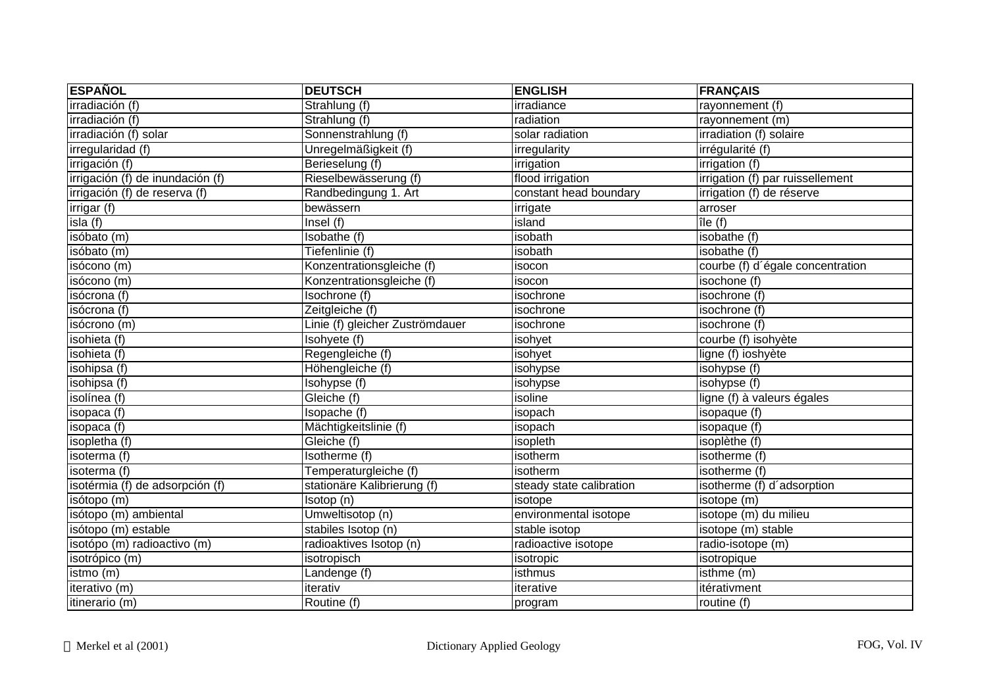| <b>ESPAÑOL</b>                   | <b>DEUTSCH</b>                  | <b>ENGLISH</b>           | <b>FRANÇAIS</b>                  |
|----------------------------------|---------------------------------|--------------------------|----------------------------------|
| irradiación (f)                  | Strahlung (f)                   | irradiance               | rayonnement (f)                  |
| irradiación (f)                  | Strahlung (f)                   | radiation                | rayonnement (m)                  |
| irradiación (f) solar            | Sonnenstrahlung (f)             | solar radiation          | irradiation (f) solaire          |
| irregularidad (f)                | Unregelmäßigkeit (f)            | irregularity             | irrégularité (f)                 |
| irrigación (f)                   | Berieselung (f)                 | irrigation               | irrigation (f)                   |
| irrigación (f) de inundación (f) | Rieselbewässerung (f)           | flood irrigation         | irrigation (f) par ruissellement |
| irrigación (f) de reserva (f)    | Randbedingung 1. Art            | constant head boundary   | irrigation (f) de réserve        |
| irrigar (f)                      | bewässern                       | irrigate                 | arroser                          |
| isla(f)                          | Insel $(f)$                     | island                   | île( f )                         |
| isóbato (m)                      | Isobathe (f)                    | isobath                  | isobathe (f)                     |
| isóbato (m)                      | Tiefenlinie (f)                 | isobath                  | isobathe (f)                     |
| isócono (m)                      | Konzentrationsgleiche (f)       | isocon                   | courbe (f) d'égale concentration |
| isócono (m)                      | Konzentrationsgleiche (f)       | isocon                   | isochone (f)                     |
| isócrona (f)                     | Isochrone (f)                   | isochrone                | isochrone (f)                    |
| isócrona (f)                     | Zeitgleiche (f)                 | isochrone                | isochrone (f)                    |
| isócrono (m)                     | Linie (f) gleicher Zuströmdauer | isochrone                | isochrone (f)                    |
| isohieta (f)                     | Isohyete (f)                    | isohyet                  | courbe (f) isohyète              |
| isohieta (f)                     | Regengleiche (f)                | isohyet                  | ligne (f) ioshyète               |
| isohipsa (f)                     | Höhengleiche (f)                | isohypse                 | isohypse (f)                     |
| isohipsa (f)                     | Isohypse (f)                    | isohypse                 | isohypse (f)                     |
| isolínea (f)                     | Gleiche (f)                     | isoline                  | ligne (f) à valeurs égales       |
| isopaca (f)                      | Isopache (f)                    | isopach                  | isopaque (f)                     |
| isopaca (f)                      | Mächtigkeitslinie (f)           | isopach                  | isopaque (f)                     |
| isopletha (f)                    | Gleiche (f)                     | isopleth                 | isoplèthe (f)                    |
| isoterma (f)                     | Isotherme (f)                   | isotherm                 | isotherme (f)                    |
| isoterma (f)                     | Temperaturgleiche (f)           | isotherm                 | isotherme (f)                    |
| isotérmia (f) de adsorpción (f)  | stationäre Kalibrierung (f)     | steady state calibration | isotherme (f) d'adsorption       |
| isótopo (m)                      | Isotop (n)                      | isotope                  | isotope (m)                      |
| isótopo (m) ambiental            | Umweltisotop (n)                | environmental isotope    | isotope (m) du milieu            |
| isótopo (m) estable              | stabiles Isotop (n)             | stable isotop            | isotope (m) stable               |
| isotópo (m) radioactivo (m)      | radioaktives Isotop (n)         | radioactive isotope      | radio-isotope (m)                |
| isotrópico (m)                   | isotropisch                     | isotropic                | isotropique                      |
| istmo (m)                        | Landenge (f)                    | isthmus                  | isthme (m)                       |
| iterativo (m)                    | iterativ                        | iterative                | itérativment                     |
| itinerario (m)                   | Routine (f)                     | program                  | routine (f)                      |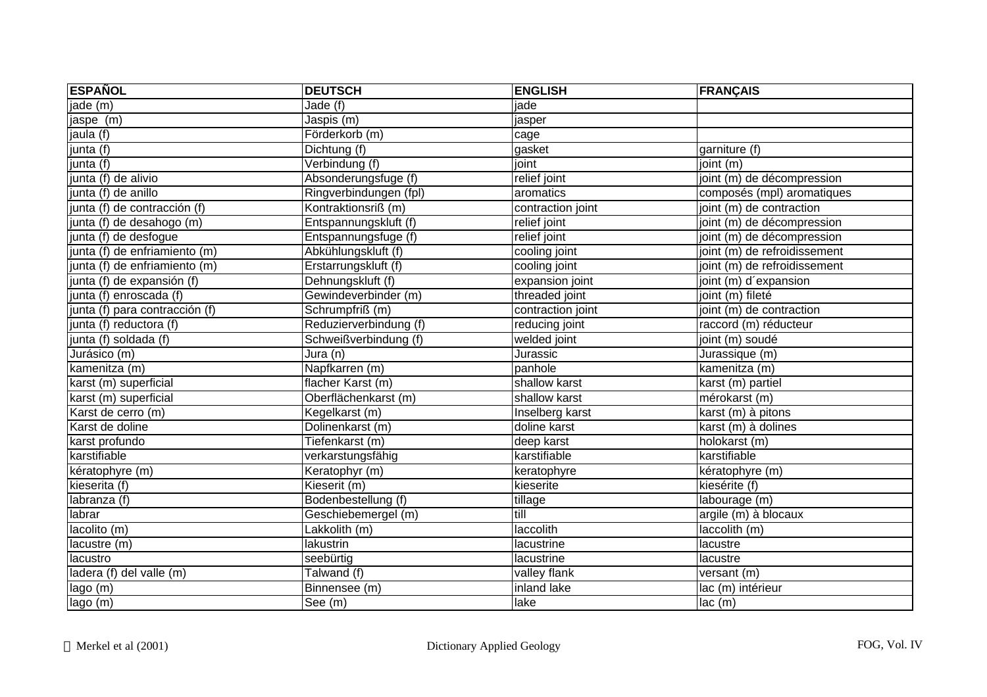| <b>ESPAÑOL</b>                  | <b>DEUTSCH</b>         | <b>ENGLISH</b>    | <b>FRANÇAIS</b>              |
|---------------------------------|------------------------|-------------------|------------------------------|
| jade (m)                        | Jade (f)               | jade              |                              |
| jaspe (m)                       | Jaspis (m)             | jasper            |                              |
| jaula (f)                       | Förderkorb (m)         | cage              |                              |
| junta (f)                       | Dichtung (f)           | gasket            | garniture (f)                |
| junta $\overline{(\mathsf{f})}$ | Verbindung (f)         | joint             | joint $(m)$                  |
| junta (f) de alivio             | Absonderungsfuge (f)   | relief joint      | joint (m) de décompression   |
| junta (f) de anillo             | Ringverbindungen (fpl) | aromatics         | composés (mpl) aromatiques   |
| junta (f) de contracción (f)    | Kontraktionsriß (m)    | contraction joint | joint (m) de contraction     |
| junta (f) de desahogo (m)       | Entspannungskluft (f)  | relief joint      | joint (m) de décompression   |
| junta (f) de desfogue           | Entspannungsfuge (f)   | relief joint      | joint (m) de décompression   |
| junta (f) de enfriamiento (m)   | Abkühlungskluft (f)    | cooling joint     | joint (m) de refroidissement |
| junta (f) de enfriamiento (m)   | Erstarrungskluft (f)   | cooling joint     | joint (m) de refroidissement |
| junta (f) de expansión (f)      | Dehnungskluft (f)      | expansion joint   | joint (m) d'expansion        |
| junta (f) enroscada (f)         | Gewindeverbinder (m)   | threaded joint    | joint (m) fileté             |
| junta (f) para contracción (f)  | Schrumpfriß (m)        | contraction joint | joint (m) de contraction     |
| junta (f) reductora (f)         | Reduzierverbindung (f) | reducing joint    | raccord (m) réducteur        |
| junta (f) soldada (f)           | Schweißverbindung (f)  | welded joint      | joint (m) soudé              |
| Jurásico (m)                    | Jura (n)               | Jurassic          | Jurassique (m)               |
| kamenitza (m)                   | Napfkarren (m)         | panhole           | kamenitza (m)                |
| karst (m) superficial           | flacher Karst (m)      | shallow karst     | karst (m) partiel            |
| karst (m) superficial           | Oberflächenkarst (m)   | shallow karst     | mérokarst (m)                |
| Karst de cerro (m)              | Kegelkarst (m)         | Inselberg karst   | karst (m) à pitons           |
| Karst de doline                 | Dolinenkarst (m)       | doline karst      | karst (m) à dolines          |
| karst profundo                  | Tiefenkarst (m)        | deep karst        | holokarst (m)                |
| karstifiable                    | verkarstungsfähig      | karstifiable      | karstifiable                 |
| kératophyre (m)                 | Keratophyr (m)         | keratophyre       | kératophyre (m)              |
| kieserita (f)                   | Kieserit (m)           | kieserite         | kiesérite (f)                |
| labranza (f)                    | Bodenbestellung (f)    | tillage           | labourage (m)                |
| labrar                          | Geschiebemergel (m)    | till              | argile (m) à blocaux         |
| lacolito (m)                    | Lakkolith (m)          | laccolith         | laccolith (m)                |
| lacustre (m)                    | lakustrin              | lacustrine        | lacustre                     |
| lacustro                        | seebürtig              | lacustrine        | lacustre                     |
| ladera (f) del valle (m)        | Talwand (f)            | valley flank      | versant (m)                  |
| lago (m)                        | Binnensee (m)          | inland lake       | lac (m) intérieur            |
| lago (m)                        | See (m)                | lake              | lac (m)                      |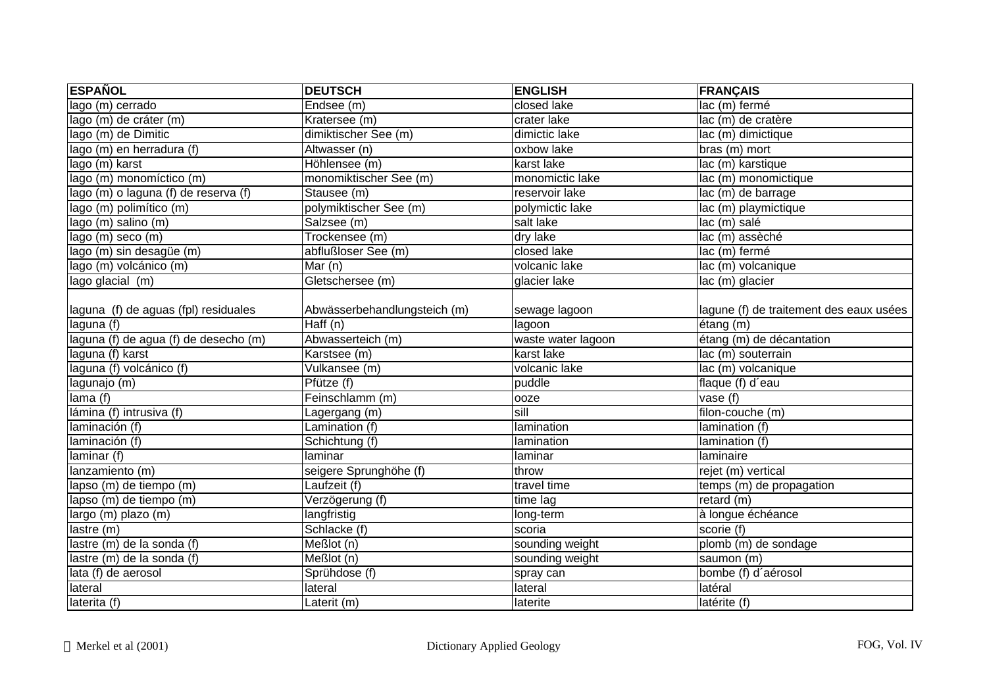| <b>ESPAÑOL</b>                        | <b>DEUTSCH</b>                 | <b>ENGLISH</b>     | <b>FRANÇAIS</b>                         |
|---------------------------------------|--------------------------------|--------------------|-----------------------------------------|
| lago (m) cerrado                      | Endsee (m)                     | closed lake        | lac (m) fermé                           |
| lago (m) de cráter (m)                | Kratersee (m)                  | crater lake        | lac (m) de cratère                      |
| lago (m) de Dimitic                   | dimiktischer See (m)           | dimictic lake      | lac (m) dimictique                      |
| lago (m) en herradura (f)             | Altwasser (n)                  | oxbow lake         | bras (m) mort                           |
| lago (m) karst                        | Höhlensee (m)                  | karst lake         | lac (m) karstique                       |
| lago (m) monomíctico (m)              | monomiktischer See (m)         | monomictic lake    | lac (m) monomictique                    |
| lago (m) o laguna (f) de reserva (f)  | Stausee (m)                    | reservoir lake     | lac (m) de barrage                      |
| lago (m) polimítico (m)               | polymiktischer See (m)         | polymictic lake    | lac (m) playmictique                    |
| lago (m) salino (m)                   | Salzsee (m)                    | salt lake          | lac (m) salé                            |
| lago (m) seco (m)                     | Trockensee (m)                 | dry lake           | lac (m) assèché                         |
| lago (m) sin desagüe (m)              | abflußloser See (m)            | closed lake        | lac (m) fermé                           |
| lago (m) volcánico (m)                | $\overline{\mathsf{M}}$ ar (n) | volcanic lake      | lac (m) volcanique                      |
| lago glacial (m)                      | Gletschersee (m)               | glacier lake       | lac (m) glacier                         |
|                                       |                                |                    |                                         |
| laguna (f) de aguas (fpl) residuales  | Abwässerbehandlungsteich (m)   | sewage lagoon      | lagune (f) de traitement des eaux usées |
| laguna (f)                            | Haff (n)                       | lagoon             | étang (m)                               |
| laguna (f) de agua (f) de desecho (m) | Abwasserteich (m)              | waste water lagoon | étang (m) de décantation                |
| laguna (f) karst                      | Karstsee (m)                   | karst lake         | lac (m) souterrain                      |
| laguna (f) volcánico (f)              | Vulkansee (m)                  | volcanic lake      | lac (m) volcanique                      |
| lagunajo (m)                          | Pfütze (f)                     | puddle             | flaque (f) d'eau                        |
| lama $(\overline{f})$                 | Feinschlamm (m)                | ooze               | vase $(t)$                              |
| lámina (f) intrusiva (f)              | Lagergang (m)                  | sill               | filon-couche (m)                        |
| laminación (f)                        | Lamination (f)                 | lamination         | lamination (f)                          |
| laminación $(t)$                      | Schichtung (f)                 | lamination         | lamination (f)                          |
| laminar (f)                           | laminar                        | laminar            | laminaire                               |
| lanzamiento (m)                       | seigere Sprunghöhe (f)         | throw              | rejet (m) vertical                      |
| lapso (m) de tiempo (m)               | Laufzeit (f)                   | travel time        | temps (m) de propagation                |
| lapso (m) de tiempo (m)               | Verzögerung (f)                | time lag           | retard (m)                              |
| largo (m) plazo (m)                   | langfristig                    | long-term          | à longue échéance                       |
| lastre(m)                             | Schlacke (f)                   | scoria             | scorie (f)                              |
| lastre (m) de la sonda (f)            | Meßlot (n)                     | sounding weight    | plomb (m) de sondage                    |
| lastre (m) de la sonda (f)            | Meßlot (n)                     | sounding weight    | saumon (m)                              |
| lata $(f)$ de aerosol                 | Sprühdose (f)                  | spray can          | bombe (f) d'aérosol                     |
| lateral                               | lateral                        | lateral            | latéral                                 |
| laterita (f)                          | Laterit (m)                    | laterite           | latérite (f)                            |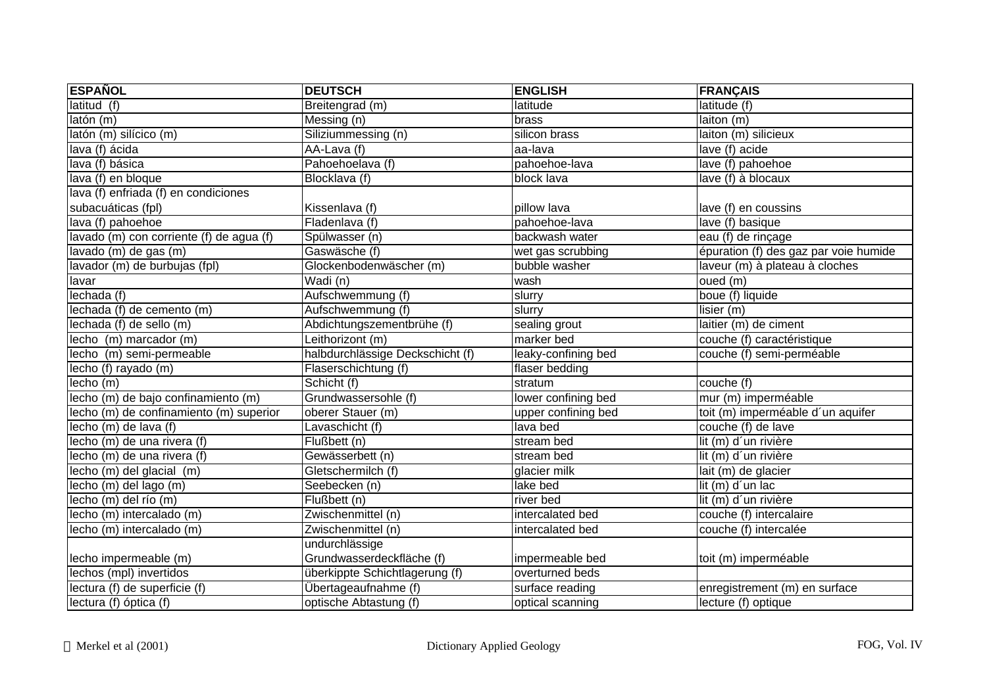| <b>ESPAÑOL</b>                           | <b>DEUTSCH</b>                   | <b>ENGLISH</b>      | <b>FRANÇAIS</b>                       |
|------------------------------------------|----------------------------------|---------------------|---------------------------------------|
| latitud (f)                              | Breitengrad (m)                  | latitude            | latitude (f)                          |
| latón (m)                                | Messing (n)                      | brass               | laiton (m)                            |
| latón (m) silícico (m)                   | Siliziummessing (n)              | silicon brass       | laiton (m) silicieux                  |
| lava (f) ácida                           | AA-Lava (f)                      | aa-lava             | lave (f) acide                        |
| lava (f) básica                          | Pahoehoelava (f)                 | pahoehoe-lava       | lave (f) pahoehoe                     |
| lava (f) en bloque                       | Blocklava (f)                    | block lava          | lave (f) à blocaux                    |
| lava (f) enfriada (f) en condiciones     |                                  |                     |                                       |
| subacuáticas (fpl)                       | Kissenlava (f)                   | pillow lava         | lave (f) en coussins                  |
| lava (f) pahoehoe                        | Fladenlava (f)                   | pahoehoe-lava       | lave (f) basique                      |
| lavado (m) con corriente (f) de agua (f) | Spülwasser (n)                   | backwash water      | eau (f) de rinçage                    |
| lavado (m) de gas (m)                    | Gaswäsche (f)                    | wet gas scrubbing   | épuration (f) des gaz par voie humide |
| lavador (m) de burbujas (fpl)            | Glockenbodenwäscher (m)          | bubble washer       | laveur (m) à plateau à cloches        |
| lavar                                    | Wadi (n)                         | wash                | oued (m)                              |
| lechada (f)                              | Aufschwemmung (f)                | slurry              | boue (f) liquide                      |
| lechada (f) de cemento (m)               | Aufschwemmung (f)                | slurry              | lisier (m)                            |
| lechada (f) de sello (m)                 | Abdichtungszementbrühe (f)       | sealing grout       | laitier (m) de ciment                 |
| lecho (m) marcador (m)                   | Leithorizont (m)                 | marker bed          | couche (f) caractéristique            |
| lecho (m) semi-permeable                 | halbdurchlässige Deckschicht (f) | leaky-confining bed | couche (f) semi-perméable             |
| lecho (f) rayado (m)                     | Flaserschichtung (f)             | flaser bedding      |                                       |
| lecho (m)                                | Schicht (f)                      | stratum             | couche (f)                            |
| lecho (m) de bajo confinamiento (m)      | Grundwassersohle (f)             | lower confining bed | mur (m) imperméable                   |
| lecho (m) de confinamiento (m) superior  | oberer Stauer (m)                | upper confining bed | toit (m) imperméable d'un aquifer     |
| lecho (m) de lava (f)                    | Lavaschicht (f)                  | lava bed            | couche (f) de lave                    |
| lecho (m) de una rivera (f)              | Flußbett (n)                     | stream bed          | lit (m) d'un rivière                  |
| lecho (m) de una rivera (f)              | Gewässerbett (n)                 | stream bed          | lit (m) d'un rivière                  |
| lecho (m) del glacial (m)                | Gletschermilch (f)               | glacier milk        | lait (m) de glacier                   |
| lecho (m) del lago (m)                   | Seebecken (n)                    | lake bed            | lit (m) d'un lac                      |
| lecho (m) del río (m)                    | Flußbett (n)                     | river bed           | lit (m) d'un rivière                  |
| lecho (m) intercalado (m)                | Zwischenmittel (n)               | intercalated bed    | couche (f) intercalaire               |
| lecho (m) intercalado (m)                | Zwischenmittel (n)               | intercalated bed    | couche (f) intercalée                 |
|                                          | undurchlässige                   |                     |                                       |
| lecho impermeable (m)                    | Grundwasserdeckfläche (f)        | impermeable bed     | toit (m) imperméable                  |
| lechos (mpl) invertidos                  | überkippte Schichtlagerung (f)   | overturned beds     |                                       |
| lectura (f) de superficie (f)            | Übertageaufnahme (f)             | surface reading     | enregistrement (m) en surface         |
| lectura $(f)$ óptica $(f)$               | optische Abtastung (f)           | optical scanning    | lecture (f) optique                   |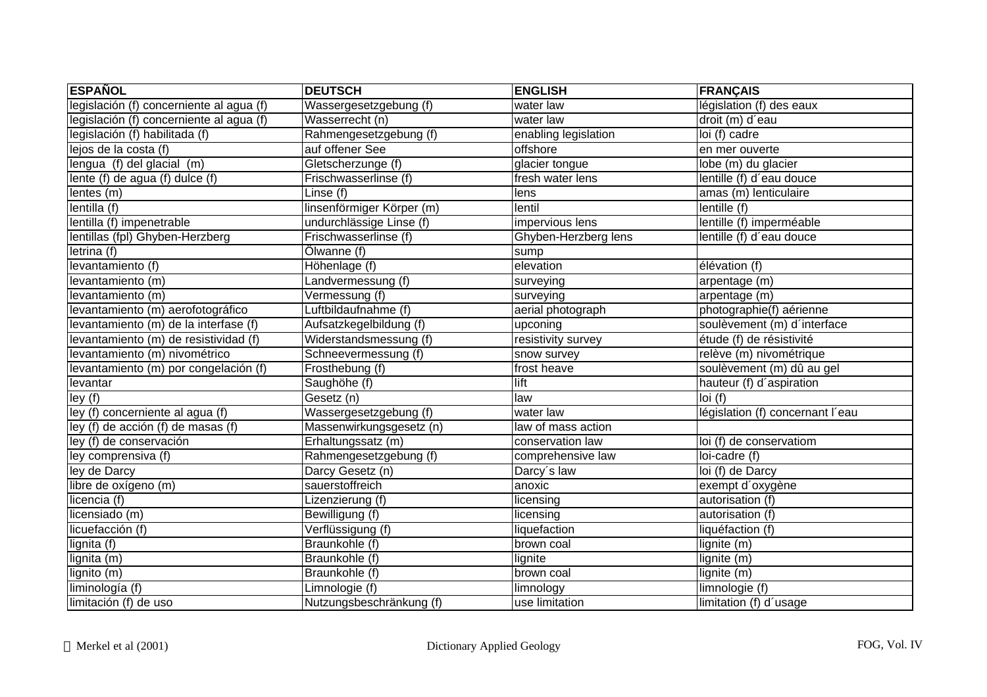| <b>ESPAÑOL</b>                           | <b>DEUTSCH</b>            | <b>ENGLISH</b>       | <b>FRANÇAIS</b>                  |
|------------------------------------------|---------------------------|----------------------|----------------------------------|
| legislación (f) concerniente al agua (f) | Wassergesetzgebung (f)    | water law            | législation (f) des eaux         |
| legislación (f) concerniente al agua (f) | Wasserrecht (n)           | water law            | droit (m) d'eau                  |
| legislación (f) habilitada (f)           | Rahmengesetzgebung (f)    | enabling legislation | loi (f) cadre                    |
| lejos de la costa (f)                    | auf offener See           | offshore             | en mer ouverte                   |
| lengua (f) del glacial (m)               | Gletscherzunge (f)        | glacier tongue       | lobe (m) du glacier              |
| lente (f) de agua (f) dulce (f)          | Frischwasserlinse (f)     | fresh water lens     | lentille (f) d'eau douce         |
| lentes(m)                                | Linse (f)                 | lens                 | amas (m) lenticulaire            |
| lentilla (f)                             | linsenförmiger Körper (m) | lentil               | lentille (f)                     |
| lentilla (f) impenetrable                | undurchlässige Linse (f)  | impervious lens      | lentille (f) imperméable         |
| lentillas (fpl) Ghyben-Herzberg          | Frischwasserlinse (f)     | Ghyben-Herzberg lens | lentille (f) d'eau douce         |
| letrina (f)                              | Ölwanne (f)               | sump                 |                                  |
| levantamiento (f)                        | Höhenlage (f)             | elevation            | élévation (f)                    |
| levantamiento (m)                        | Landvermessung (f)        | surveying            | arpentage (m)                    |
| levantamiento (m)                        | Vermessung (f)            | surveying            | arpentage (m)                    |
| levantamiento (m) aerofotográfico        | Luftbildaufnahme (f)      | aerial photograph    | photographie(f) aérienne         |
| levantamiento (m) de la interfase (f)    | Aufsatzkegelbildung (f)   | upconing             | soulèvement (m) d'interface      |
| levantamiento (m) de resistividad (f)    | Widerstandsmessung (f)    | resistivity survey   | étude (f) de résistivité         |
| levantamiento (m) nivométrico            | Schneevermessung (f)      | snow survey          | relève (m) nivométrique          |
| levantamiento (m) por congelación (f)    | Frosthebung (f)           | frost heave          | soulèvement (m) dû au gel        |
| levantar                                 | Saughöhe (f)              | lift                 | hauteur (f) d'aspiration         |
| ley(f)                                   | Gesetz (n)                | law                  | loi(f)                           |
| ley (f) concerniente al agua (f)         | Wassergesetzgebung (f)    | water law            | législation (f) concernant l'eau |
| ley (f) de acción (f) de masas (f)       | Massenwirkungsgesetz (n)  | law of mass action   |                                  |
| ley (f) de conservación                  | Erhaltungssatz (m)        | conservation law     | loi (f) de conservatiom          |
| ley comprensiva (f)                      | Rahmengesetzgebung (f)    | comprehensive law    | loi-cadre (f)                    |
| ley de Darcy                             | Darcy Gesetz (n)          | Darcy's law          | loi (f) de Darcy                 |
| libre de oxígeno (m)                     | sauerstoffreich           | anoxic               | exempt d'oxygène                 |
| licencia (f)                             | Lizenzierung (f)          | licensing            | autorisation (f)                 |
| licensiado (m)                           | Bewilligung (f)           | licensing            | autorisation (f)                 |
| licuefacción (f)                         | Verflüssigung (f)         | liquefaction         | liquéfaction (f)                 |
| lignita (f)                              | Braunkohle (f)            | brown coal           | lignite (m)                      |
| lignita (m)                              | Braunkohle (f)            | lignite              | lignite (m)                      |
| lignito (m)                              | Braunkohle (f)            | brown coal           | lignite (m)                      |
| liminología (f)                          | Limnologie (f)            | limnology            | limnologie (f)                   |
| limitación (f) de uso                    | Nutzungsbeschränkung (f)  | use limitation       | limitation (f) d'usage           |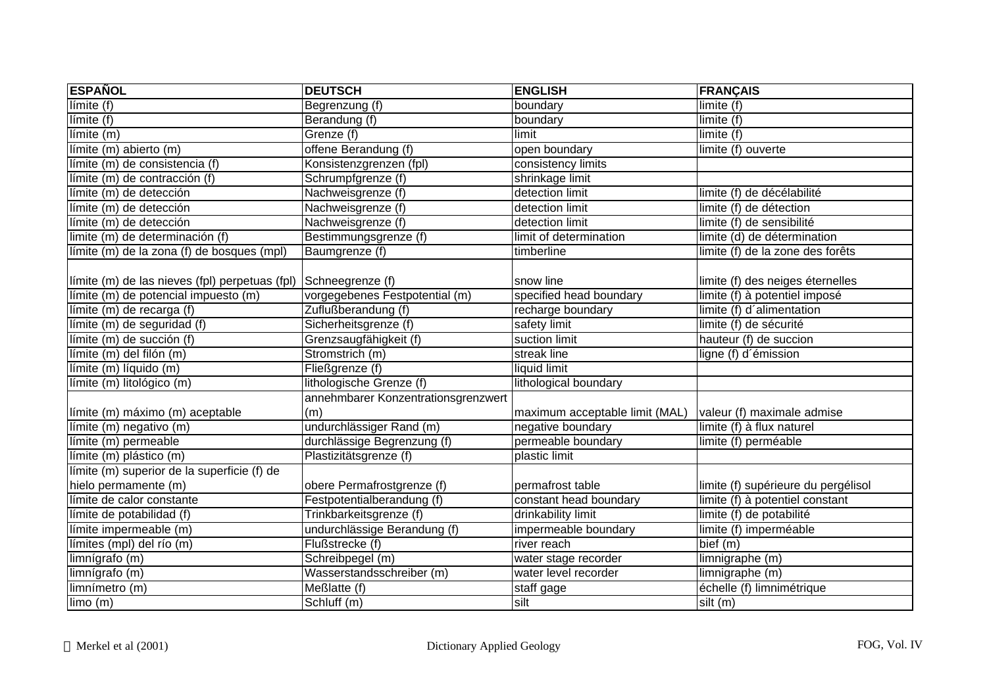| <b>ESPAÑOL</b>                                 | <b>DEUTSCH</b>                      | <b>ENGLISH</b>                 | <b>FRANÇAIS</b>                     |
|------------------------------------------------|-------------------------------------|--------------------------------|-------------------------------------|
| Iímite(f)                                      | Begrenzung (f)                      | boundary                       | limite (f)                          |
| Iímite(f)                                      | Berandung (f)                       | boundary                       | limite (f)                          |
| $limite$ (m)                                   | Grenze (f)                          | limit                          | limite (f)                          |
| límite (m) abierto (m)                         | offene Berandung (f)                | open boundary                  | limite (f) ouverte                  |
| límite (m) de consistencia (f)                 | Konsistenzgrenzen (fpl)             | consistency limits             |                                     |
| límite (m) de contracción (f)                  | Schrumpfgrenze (f)                  | shrinkage limit                |                                     |
| límite (m) de detección                        | Nachweisgrenze (f)                  | detection limit                | limite (f) de décélabilité          |
| límite (m) de detección                        | Nachweisgrenze (f)                  | detection limit                | limite (f) de détection             |
| límite (m) de detección                        | Nachweisgrenze (f)                  | detection limit                | limite (f) de sensibilité           |
| limite (m) de determinación (f)                | Bestimmungsgrenze (f)               | limit of determination         | limite (d) de détermination         |
| límite (m) de la zona (f) de bosques (mpl)     | Baumgrenze (f)                      | timberline                     | limite (f) de la zone des forêts    |
|                                                |                                     |                                |                                     |
| límite (m) de las nieves (fpl) perpetuas (fpl) | Schneegrenze (f)                    | snow line                      | limite (f) des neiges éternelles    |
| límite (m) de potencial impuesto (m)           | vorgegebenes Festpotential (m)      | specified head boundary        | limite (f) à potentiel imposé       |
| límite (m) de recarga (f)                      | Zuflußberandung (f)                 | recharge boundary              | limite (f) d'alimentation           |
| límite (m) de seguridad (f)                    | Sicherheitsgrenze (f)               | safety limit                   | limite (f) de sécurité              |
| límite (m) de succión (f)                      | Grenzsaugfähigkeit (f)              | suction limit                  | hauteur (f) de succion              |
| límite (m) del filón (m)                       | Stromstrich (m)                     | streak line                    | ligne (f) d'émission                |
| límite (m) líquido (m)                         | Fließgrenze (f)                     | liquid limit                   |                                     |
| límite (m) litológico (m)                      | lithologische Grenze (f)            | lithological boundary          |                                     |
|                                                | annehmbarer Konzentrationsgrenzwert |                                |                                     |
| límite (m) máximo (m) aceptable                | (m)                                 | maximum acceptable limit (MAL) | valeur (f) maximale admise          |
| límite (m) negativo (m)                        | undurchlässiger Rand (m)            | negative boundary              | limite (f) à flux naturel           |
| límite (m) permeable                           | durchlässige Begrenzung (f)         | permeable boundary             | limite (f) perméable                |
| límite (m) plástico (m)                        | Plastizitätsgrenze (f)              | plastic limit                  |                                     |
| límite (m) superior de la superficie (f) de    |                                     |                                |                                     |
| hielo permamente (m)                           | obere Permafrostgrenze (f)          | permafrost table               | limite (f) supérieure du pergélisol |
| límite de calor constante                      | Festpotentialberandung (f)          | constant head boundary         | limite (f) à potentiel constant     |
| límite de potabilidad (f)                      | Trinkbarkeitsgrenze (f)             | drinkability limit             | limite (f) de potabilité            |
| límite impermeable (m)                         | undurchlässige Berandung (f)        | impermeable boundary           | limite (f) imperméable              |
| límites (mpl) del río (m)                      | Flußstrecke (f)                     | river reach                    | bief (m)                            |
| limnígrafo (m)                                 | Schreibpegel (m)                    | water stage recorder           | limnigraphe (m)                     |
| limnígrafo (m)                                 | Wasserstandsschreiber (m)           | water level recorder           | limnigraphe (m)                     |
| limnímetro (m)                                 | Meßlatte (f)                        | staff gage                     | échelle (f) limnimétrique           |
| $\lim o(m)$                                    | Schluff (m)                         | silt                           | silt (m)                            |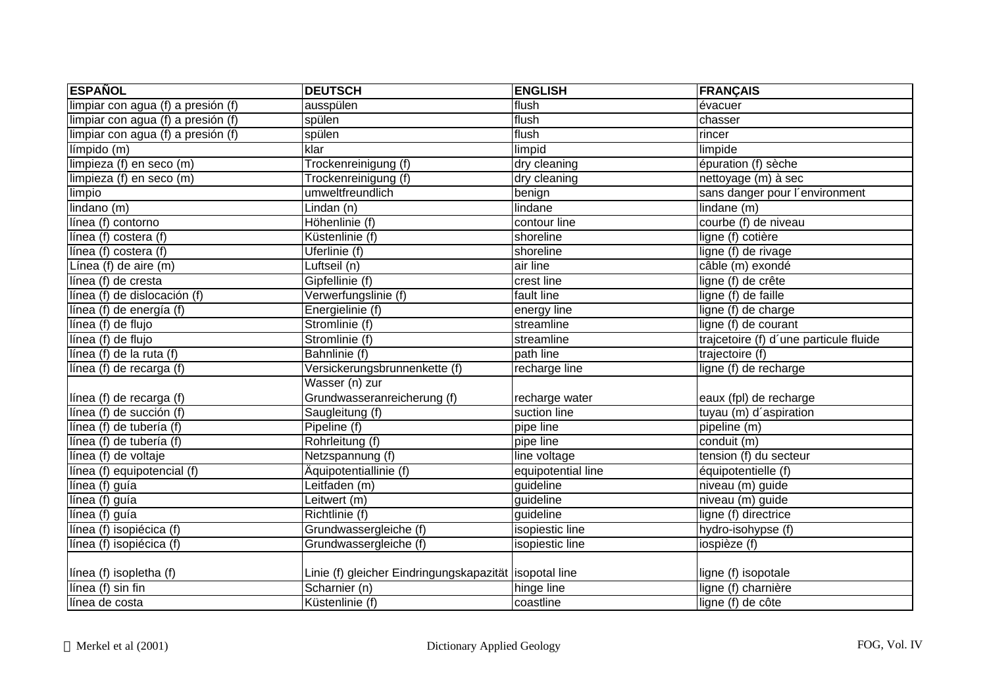| <b>ESPAÑOL</b>                     | <b>DEUTSCH</b>                                         | <b>ENGLISH</b>     | <b>FRANÇAIS</b>                        |
|------------------------------------|--------------------------------------------------------|--------------------|----------------------------------------|
| limpiar con agua (f) a presión (f) | ausspülen                                              | flush              | évacuer                                |
| limpiar con agua (f) a presión (f) | spülen                                                 | flush              | chasser                                |
| limpiar con agua (f) a presión (f) | spülen                                                 | flush              | rincer                                 |
| límpido (m)                        | klar                                                   | limpid             | limpide                                |
| limpieza (f) en seco (m)           | Trockenreinigung (f)                                   | dry cleaning       | épuration (f) sèche                    |
| limpieza (f) en seco (m)           | Trockenreinigung (f)                                   | dry cleaning       | nettoyage (m) à sec                    |
| limpio                             | umweltfreundlich                                       | benign             | sans danger pour l'environment         |
| lindano (m)                        | Lindan (n)                                             | lindane            | lindane (m)                            |
| línea (f) contorno                 | Höhenlinie (f)                                         | contour line       | courbe (f) de niveau                   |
| línea (f) costera (f)              | Küstenlinie (f)                                        | shoreline          | ligne (f) cotière                      |
| línea (f) costera (f)              | Uferlinie (f)                                          | shoreline          | ligne (f) de rivage                    |
| Línea (f) de aire (m)              | Luftseil (n)                                           | air line           | câble (m) exondé                       |
| línea (f) de cresta                | Gipfellinie (f)                                        | crest line         | ligne (f) de crête                     |
| línea (f) de dislocación (f)       | Verwerfungslinie (f)                                   | fault line         | ligne (f) de faille                    |
| línea (f) de energía (f)           | Energielinie (f)                                       | energy line        | ligne (f) de charge                    |
| línea (f) de flujo                 | Stromlinie (f)                                         | streamline         | ligne (f) de courant                   |
| línea (f) de flujo                 | Stromlinie (f)                                         | streamline         | trajcetoire (f) d'une particule fluide |
| línea (f) de la ruta (f)           | Bahnlinie (f)                                          | path line          | trajectoire (f)                        |
| línea (f) de recarga (f)           | Versickerungsbrunnenkette (f)                          | recharge line      | ligne (f) de recharge                  |
|                                    | Wasser (n) zur                                         |                    |                                        |
| línea (f) de recarga (f)           | Grundwasseranreicherung (f)                            | recharge water     | eaux (fpl) de recharge                 |
| línea (f) de succión (f)           | Saugleitung (f)                                        | suction line       | tuyau (m) d'aspiration                 |
| línea (f) de tubería (f)           | Pipeline (f)                                           | pipe line          | pipeline (m)                           |
| línea (f) de tubería (f)           | Rohrleitung (f)                                        | pipe line          | conduit (m)                            |
| línea (f) de voltaje               | Netzspannung (f)                                       | line voltage       | tension (f) du secteur                 |
| línea (f) equipotencial (f)        | Äquipotentiallinie (f)                                 | equipotential line | équipotentielle (f)                    |
| línea (f) guía                     | Leitfaden (m)                                          | guideline          | niveau (m) guide                       |
| línea (f) guía                     | Leitwert (m)                                           | guideline          | niveau (m) guide                       |
| línea (f) guía                     | Richtlinie (f)                                         | guideline          | ligne (f) directrice                   |
| línea (f) isopiécica (f)           | Grundwassergleiche (f)                                 | isopiestic line    | hydro-isohypse (f)                     |
| línea (f) isopiécica (f)           | Grundwassergleiche (f)                                 | isopiestic line    | iospièze (f)                           |
|                                    |                                                        |                    |                                        |
| línea (f) isopletha (f)            | Linie (f) gleicher Eindringungskapazität isopotal line |                    | ligne (f) isopotale                    |
| línea (f) sin fin                  | Scharnier (n)                                          | hinge line         | ligne (f) charnière                    |
| línea de costa                     | Küstenlinie (f)                                        | coastline          | ligne (f) de côte                      |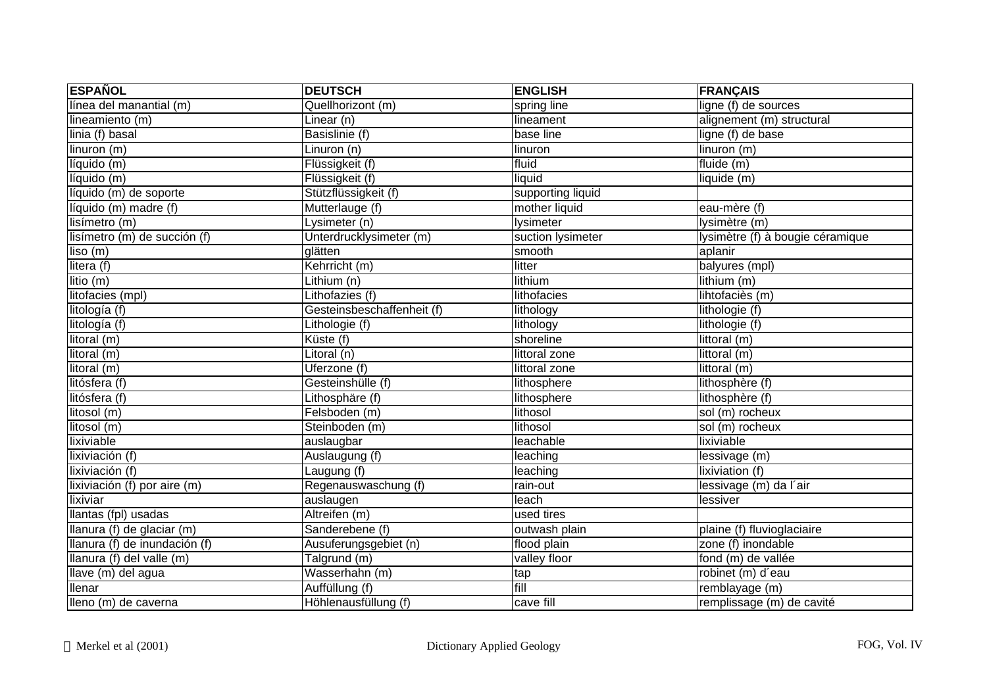| <b>ESPAÑOL</b>                | <b>DEUTSCH</b>                 | <b>ENGLISH</b>    | <b>FRANÇAIS</b>                  |
|-------------------------------|--------------------------------|-------------------|----------------------------------|
| línea del manantial (m)       | Quellhorizont (m)              | spring line       | ligne (f) de sources             |
| lineamiento (m)               | $\overline{\text{Linear}}$ (n) | lineament         | alignement (m) structural        |
| linia (f) basal               | Basislinie (f)                 | base line         | ligne (f) de base                |
| linuron (m)                   | Linuron (n)                    | linuron           | linuron (m)                      |
| líquido (m)                   | Flüssigkeit (f)                | fluid             | fluide (m)                       |
| líquido (m)                   | Flüssigkeit (f)                | liquid            | liquide (m)                      |
| líquido (m) de soporte        | Stützflüssigkeit (f)           | supporting liquid |                                  |
| líquido (m) madre (f)         | Mutterlauge (f)                | mother liquid     | eau-mère (f)                     |
| lisímetro(m)                  | Lysimeter (n)                  | lysimeter         | lysimètre (m)                    |
| lisímetro (m) de succión (f)  | Unterdrucklysimeter (m)        | suction lysimeter | lysimètre (f) à bougie céramique |
| liso(m)                       | glätten                        | smooth            | aplanir                          |
| litera (f)                    | Kehrricht (m)                  | litter            | balyures (mpl)                   |
| litio (m)                     | Lithium (n)                    | lithium           | lithium (m)                      |
| litofacies (mpl)              | Lithofazies (f)                | lithofacies       | lihtofaciès (m)                  |
| litología (f)                 | Gesteinsbeschaffenheit (f)     | lithology         | lithologie (f)                   |
| litología (f)                 | Lithologie (f)                 | lithology         | lithologie (f)                   |
| litoral (m)                   | Küste (f)                      | shoreline         | littoral (m)                     |
| litoral (m)                   | Litoral (n)                    | littoral zone     | littoral (m)                     |
| litoral (m)                   | Uferzone (f)                   | littoral zone     | littoral (m)                     |
| litósfera (f)                 | Gesteinshülle (f)              | lithosphere       | lithosphère (f)                  |
| litósfera (f)                 | Lithosphäre (f)                | lithosphere       | lithosphère (f)                  |
| litosol (m)                   | Felsboden (m)                  | lithosol          | sol (m) rocheux                  |
| litosol (m)                   | Steinboden (m)                 | lithosol          | sol (m) rocheux                  |
| lixiviable                    | auslaugbar                     | leachable         | lixiviable                       |
| lixiviación (f)               | Auslaugung (f)                 | leaching          | lessivage (m)                    |
| lixiviación (f)               | Laugung (f)                    | leaching          | lixiviation (f)                  |
| lixiviación (f) por aire (m)  | Regenauswaschung (f)           | rain-out          | lessivage (m) da l'air           |
| lixiviar                      | auslaugen                      | leach             | lessiver                         |
| llantas (fpl) usadas          | Altreifen (m)                  | used tires        |                                  |
| llanura (f) de glaciar (m)    | Sanderebene (f)                | outwash plain     | plaine (f) fluvioglaciaire       |
| llanura (f) de inundación (f) | Ausuferungsgebiet (n)          | flood plain       | zone (f) inondable               |
| llanura (f) del valle (m)     | Talgrund (m)                   | valley floor      | fond (m) de vallée               |
| llave (m) del agua            | Wasserhahn (m)                 | tap               | robinet (m) d'eau                |
| llenar                        | Auffüllung (f)                 | fill              | remblayage (m)                   |
| lleno (m) de caverna          | Höhlenausfüllung (f)           | cave fill         | remplissage (m) de cavité        |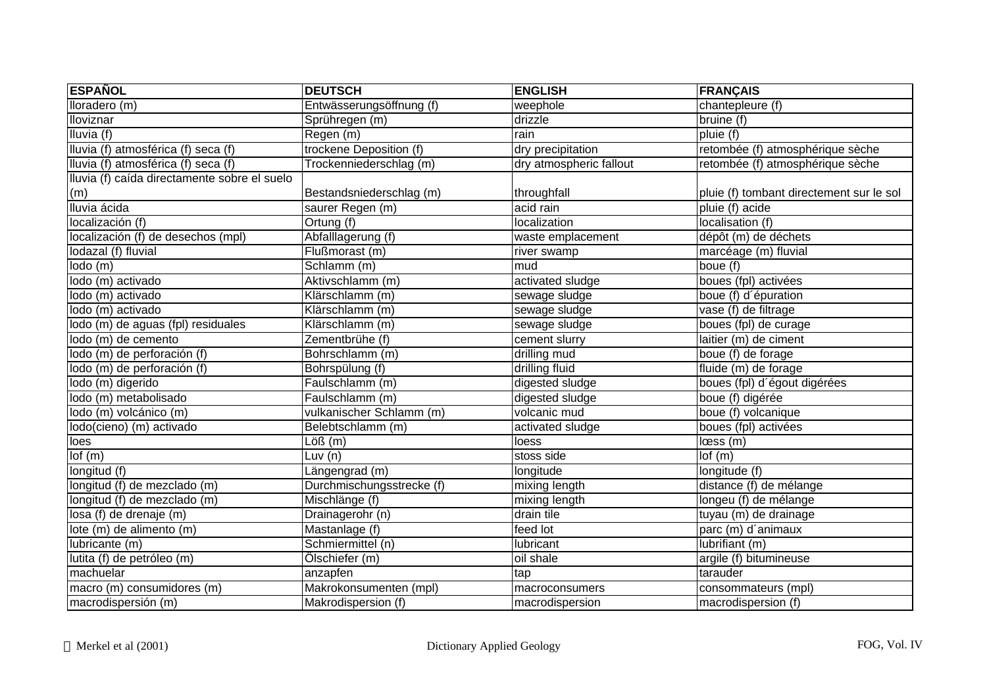| <b>ESPAÑOL</b>                               | <b>DEUTSCH</b>              | <b>ENGLISH</b>          | <b>FRANÇAIS</b>                          |
|----------------------------------------------|-----------------------------|-------------------------|------------------------------------------|
| $Iloradero$ (m)                              | Entwässerungsöffnung (f)    | weephole                | chantepleure (f)                         |
| <b>Iloviznar</b>                             | Sprühregen (m)              | drizzle                 | bruine (f)                               |
| Iluvia (f)                                   | Regen (m)                   | rain                    | pluie (f)                                |
| Iluvia (f) atmosférica (f) seca (f)          | trockene Deposition (f)     | dry precipitation       | retombée (f) atmosphérique sèche         |
| Iluvia (f) atmosférica (f) seca (f)          | Trockenniederschlag (m)     | dry atmospheric fallout | retombée (f) atmosphérique sèche         |
| Iluvia (f) caída directamente sobre el suelo |                             |                         |                                          |
| (m)                                          | Bestandsniederschlag (m)    | throughfall             | pluie (f) tombant directement sur le sol |
| Iluvia ácida                                 | saurer Regen (m)            | acid rain               | pluie (f) acide                          |
| localización (f)                             | Ortung (f)                  | localization            | localisation (f)                         |
| localización (f) de desechos (mpl)           | Abfalllagerung (f)          | waste emplacement       | dépôt (m) de déchets                     |
| lodazal (f) fluvial                          | Flußmorast (m)              | river swamp             | marcéage (m) fluvial                     |
| $\text{Iodo}(m)$                             | Schlamm (m)                 | mud                     | boue (f)                                 |
| lodo (m) activado                            | Aktivschlamm (m)            | activated sludge        | boues (fpl) activées                     |
| lodo (m) activado                            | Klärschlamm (m)             | sewage sludge           | boue (f) d'épuration                     |
| lodo (m) activado                            | Klärschlamm (m)             | sewage sludge           | vase (f) de filtrage                     |
| lodo (m) de aguas (fpl) residuales           | Klärschlamm (m)             | sewage sludge           | boues (fpl) de curage                    |
| lodo (m) de cemento                          | Zementbrühe (f)             | cement slurry           | laitier (m) de ciment                    |
| lodo (m) de perforación (f)                  | Bohrschlamm (m)             | drilling mud            | boue (f) de forage                       |
| lodo (m) de perforación (f)                  | Bohrspülung (f)             | drilling fluid          | fluide (m) de forage                     |
| lodo (m) digerido                            | Faulschlamm (m)             | digested sludge         | boues (fpl) d'égout digérées             |
| lodo (m) metabolisado                        | Faulschlamm (m)             | digested sludge         | boue (f) digérée                         |
| lodo (m) volcánico (m)                       | vulkanischer Schlamm (m)    | volcanic mud            | boue (f) volcanique                      |
| lodo(cieno) (m) activado                     | Belebtschlamm (m)           | activated sludge        | boues (fpl) activées                     |
| loes                                         | $\overline{\text{Löß}}$ (m) | loess                   | loss(m)                                  |
| Iof(m)                                       | Luv $(n)$                   | stoss side              | lof(m)                                   |
| longitud (f)                                 | Längengrad (m)              | longitude               | longitude (f)                            |
| longitud (f) de mezclado (m)                 | Durchmischungsstrecke (f)   | mixing length           | distance (f) de mélange                  |
| longitud (f) de mezclado (m)                 | Mischlänge (f)              | mixing length           | longeu (f) de mélange                    |
| losa (f) de drenaje (m)                      | Drainagerohr (n)            | drain tile              | tuyau (m) de drainage                    |
| lote (m) de alimento (m)                     | Mastanlage (f)              | feed lot                | parc (m) d'animaux                       |
| lubricante (m)                               | Schmiermittel (n)           | lubricant               | lubrifiant (m)                           |
| lutita (f) de petróleo (m)                   | Ölschiefer (m)              | oil shale               | argile (f) bitumineuse                   |
| machuelar                                    | anzapfen                    | tap                     | tarauder                                 |
| macro (m) consumidores (m)                   | Makrokonsumenten (mpl)      | macroconsumers          | consommateurs (mpl)                      |
| macrodispersión (m)                          | Makrodispersion (f)         | macrodispersion         | macrodispersion (f)                      |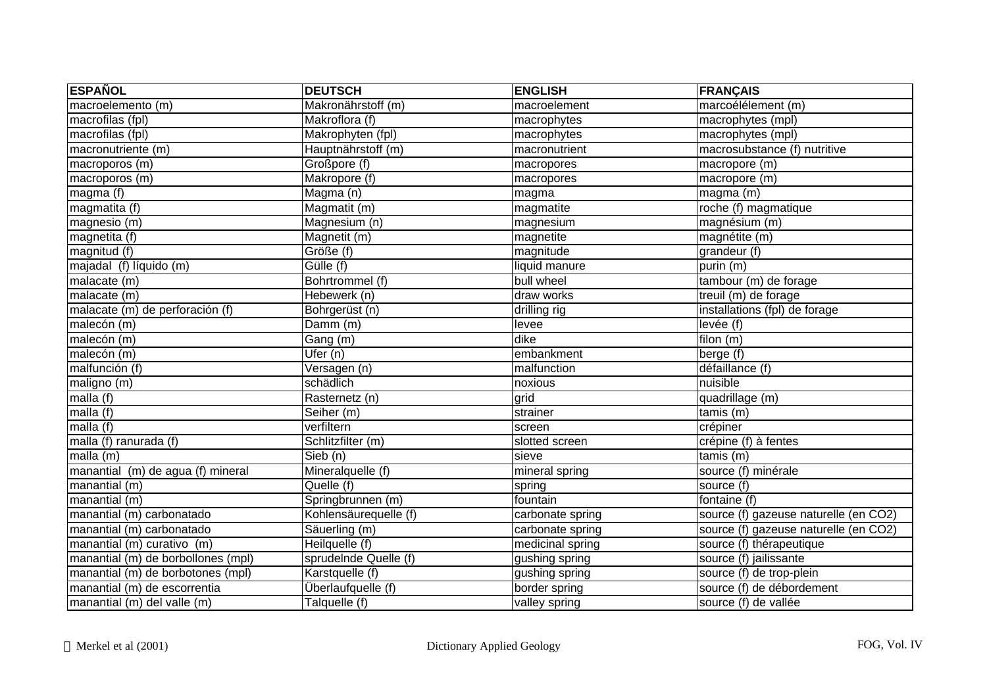| <b>ESPAÑOL</b>                     | <b>DEUTSCH</b>         | <b>ENGLISH</b>   | <b>FRANÇAIS</b>                       |
|------------------------------------|------------------------|------------------|---------------------------------------|
| macroelemento (m)                  | Makronährstoff (m)     | macroelement     | marcoélélement (m)                    |
| macrofilas (fpl)                   | Makroflora (f)         | macrophytes      | macrophytes (mpl)                     |
| macrofilas (fpl)                   | Makrophyten (fpl)      | macrophytes      | macrophytes (mpl)                     |
| macronutriente (m)                 | Hauptnährstoff (m)     | macronutrient    | macrosubstance (f) nutritive          |
| macroporos (m)                     | Großpore (f)           | macropores       | macropore (m)                         |
| macroporos(m)                      | Makropore (f)          | macropores       | macropore (m)                         |
| magma (f)                          | Magma (n)              | magma            | magma (m)                             |
| magmatita (f)                      | Magmatit (m)           | magmatite        | roche (f) magmatique                  |
| magnesio (m)                       | Magnesium (n)          | magnesium        | magnésium (m)                         |
| magnetita (f)                      | Magnetit (m)           | magnetite        | magnétite (m)                         |
| magnitud (f)                       | Größe (f)              | magnitude        | grandeur (f)                          |
| majadal (f) líquido (m)            | $\overline{Gülle}$ (f) | liquid manure    | purin (m)                             |
| malacate (m)                       | Bohrtrommel (f)        | bull wheel       | tambour (m) de forage                 |
| malacate (m)                       | Hebewerk (n)           | draw works       | treuil (m) de forage                  |
| malacate (m) de perforación (f)    | Bohrgerüst (n)         | drilling rig     | installations (fpl) de forage         |
| malecón (m)                        | Damm (m)               | levee            | levée (f)                             |
| malecón (m)                        | $\overline{G}$ ang (m) | dike             | filon (m)                             |
| malecón (m)                        | Ufer $(n)$             | embankment       | berge (f)                             |
| malfunción (f)                     | Versagen (n)           | malfunction      | défaillance (f)                       |
| maligno (m)                        | schädlich              | noxious          | nuisible                              |
| malla (f)                          | Rasternetz (n)         | grid             | quadrillage (m)                       |
| malla (f)                          | Seiher (m)             | strainer         | $t$ amis $(m)$                        |
| malla (f)                          | verfiltern             | screen           | crépiner                              |
| malla (f) ranurada (f)             | Schlitzfilter (m)      | slotted screen   | crépine (f) à fentes                  |
| $m$ alla $(m)$                     | Sieb (n)               | sieve            | $t$ amis $(m)$                        |
| manantial (m) de agua (f) mineral  | Mineralquelle (f)      | mineral spring   | source (f) minérale                   |
| manantial (m)                      | Quelle (f)             | spring           | source (f)                            |
| manantial (m)                      | Springbrunnen (m)      | fountain         | fontaine (f)                          |
| manantial (m) carbonatado          | Kohlensäurequelle (f)  | carbonate spring | source (f) gazeuse naturelle (en CO2) |
| manantial (m) carbonatado          | Säuerling (m)          | carbonate spring | source (f) gazeuse naturelle (en CO2) |
| manantial (m) curativo (m)         | Heilquelle (f)         | medicinal spring | source (f) thérapeutique              |
| manantial (m) de borbollones (mpl) | sprudeInde Quelle (f)  | gushing spring   | source (f) jailissante                |
| manantial (m) de borbotones (mpl)  | Karstquelle (f)        | gushing spring   | source (f) de trop-plein              |
| manantial (m) de escorrentia       | Überlaufquelle (f)     | border spring    | source (f) de débordement             |
| $manatial(m)$ del valle $(m)$      | Talquelle (f)          | valley spring    | source (f) de vallée                  |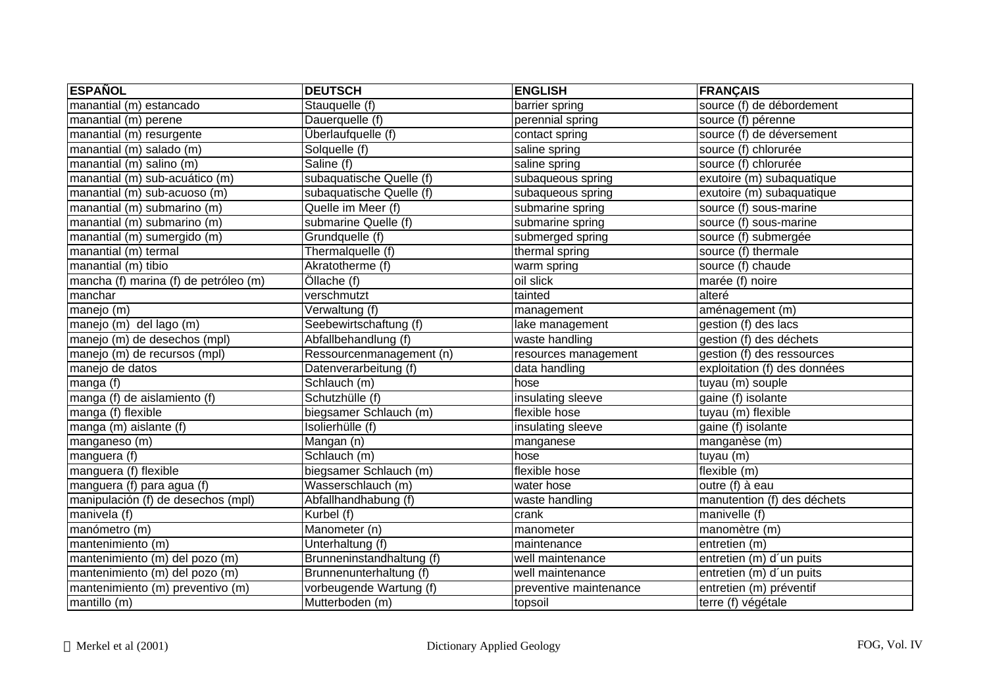| <b>ESPAÑOL</b>                        | <b>DEUTSCH</b>            | <b>ENGLISH</b>         | <b>FRANÇAIS</b>              |
|---------------------------------------|---------------------------|------------------------|------------------------------|
| manantial (m) estancado               | Stauquelle (f)            | barrier spring         | source (f) de débordement    |
| manantial (m) perene                  | Dauerquelle (f)           | perennial spring       | source (f) pérenne           |
| manantial (m) resurgente              | Überlaufquelle (f)        | contact spring         | source (f) de déversement    |
| manantial (m) salado (m)              | Solquelle (f)             | saline spring          | source (f) chlorurée         |
| manantial (m) salino (m)              | Saline (f)                | saline spring          | source (f) chlorurée         |
| manantial (m) sub-acuático (m)        | subaquatische Quelle (f)  | subaqueous spring      | exutoire (m) subaquatique    |
| manantial (m) sub-acuoso (m)          | subaquatische Quelle (f)  | subaqueous spring      | exutoire (m) subaquatique    |
| manantial (m) submarino (m)           | Quelle im Meer (f)        | submarine spring       | source (f) sous-marine       |
| manantial (m) submarino (m)           | submarine Quelle (f)      | submarine spring       | source (f) sous-marine       |
| manantial (m) sumergido (m)           | Grundquelle (f)           | submerged spring       | source (f) submergée         |
| manantial (m) termal                  | Thermalquelle (f)         | thermal spring         | source (f) thermale          |
| manantial (m) tibio                   | Akratotherme (f)          | warm spring            | source (f) chaude            |
| mancha (f) marina (f) de petróleo (m) | Öllache (f)               | oil slick              | marée (f) noire              |
| manchar                               | verschmutzt               | tainted                | alteré                       |
| manejo (m)                            | Verwaltung (f)            | management             | aménagement (m)              |
| manejo (m) del lago (m)               | Seebewirtschaftung (f)    | lake management        | gestion (f) des lacs         |
| manejo (m) de desechos (mpl)          | Abfallbehandlung (f)      | waste handling         | gestion (f) des déchets      |
| manejo (m) de recursos (mpl)          | Ressourcenmanagement (n)  | resources management   | gestion (f) des ressources   |
| manejo de datos                       | Datenverarbeitung (f)     | data handling          | exploitation (f) des données |
| manga (f)                             | Schlauch (m)              | hose                   | tuyau (m) souple             |
| manga (f) de aislamiento (f)          | Schutzhülle (f)           | insulating sleeve      | gaine (f) isolante           |
| manga (f) flexible                    | biegsamer Schlauch (m)    | flexible hose          | tuyau (m) flexible           |
| manga (m) aislante (f)                | Isolierhülle (f)          | insulating sleeve      | gaine (f) isolante           |
| manganeso (m)                         | Mangan (n)                | manganese              | manganèse (m)                |
| manguera (f)                          | Schlauch (m)              | hose                   | tuyau (m)                    |
| manguera (f) flexible                 | biegsamer Schlauch (m)    | flexible hose          | flexible (m)                 |
| manguera (f) para agua (f)            | Wasserschlauch (m)        | water hose             | outre (f) à eau              |
| manipulación (f) de desechos (mpl)    | Abfallhandhabung (f)      | waste handling         | manutention (f) des déchets  |
| manivela (f)                          | Kurbel (f)                | crank                  | manivelle (f)                |
| manómetro (m)                         | Manometer (n)             | manometer              | manomètre (m)                |
| mantenimiento (m)                     | Unterhaltung (f)          | maintenance            | entretien (m)                |
| mantenimiento (m) del pozo (m)        | Brunneninstandhaltung (f) | well maintenance       | entretien (m) d'un puits     |
| mantenimiento (m) del pozo (m)        | Brunnenunterhaltung (f)   | well maintenance       | entretien (m) d'un puits     |
| mantenimiento (m) preventivo (m)      | vorbeugende Wartung (f)   | preventive maintenance | entretien (m) préventif      |
| mantillo (m)                          | Mutterboden (m)           | topsoil                | terre (f) végétale           |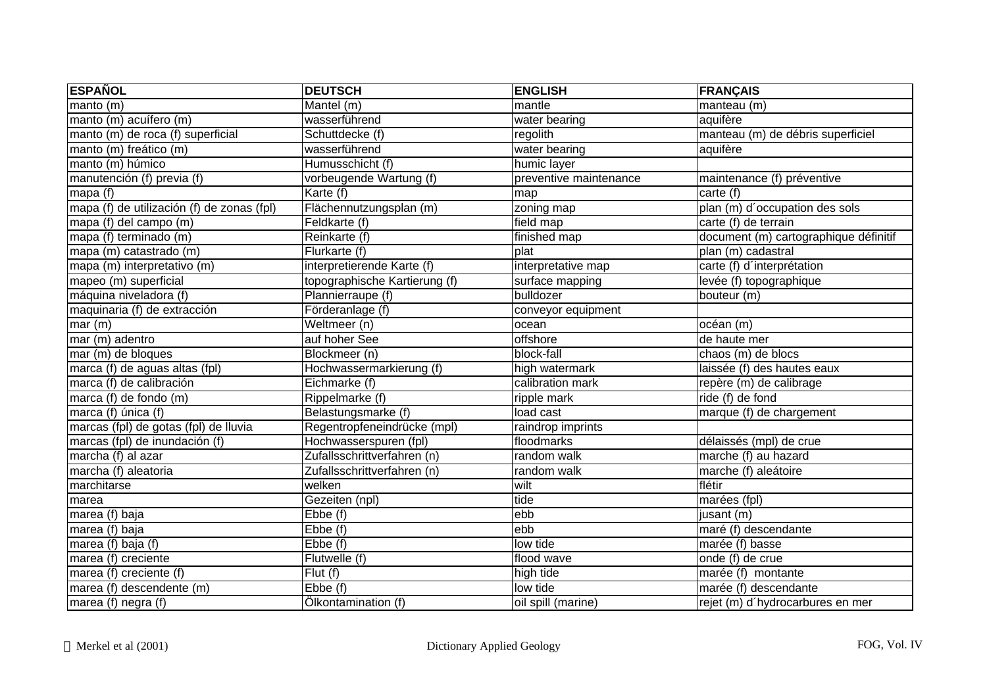| <b>ESPAÑOL</b>                             | <b>DEUTSCH</b>                | <b>ENGLISH</b>         | <b>FRANÇAIS</b>                       |
|--------------------------------------------|-------------------------------|------------------------|---------------------------------------|
| manto $(m)$                                | Mantel (m)                    | mantle                 | manteau (m)                           |
| manto (m) acuífero (m)                     | wasserführend                 | water bearing          | aquifère                              |
| manto (m) de roca (f) superficial          | Schuttdecke (f)               | regolith               | manteau (m) de débris superficiel     |
| manto (m) freático (m)                     | wasserführend                 | water bearing          | aquifère                              |
| manto (m) húmico                           | Humusschicht (f)              | humic layer            |                                       |
| manutención (f) previa (f)                 | vorbeugende Wartung (f)       | preventive maintenance | maintenance (f) préventive            |
| mapa $(f)$                                 | Karte (f)                     | map                    | carte $(f)$                           |
| mapa (f) de utilización (f) de zonas (fpl) | Flächennutzungsplan (m)       | zoning map             | plan (m) d'occupation des sols        |
| mapa (f) del campo (m)                     | Feldkarte (f)                 | field map              | carte (f) de terrain                  |
| mapa (f) terminado (m)                     | Reinkarte (f)                 | finished map           | document (m) cartographique définitif |
| mapa (m) catastrado (m)                    | Flurkarte (f)                 | plat                   | plan (m) cadastral                    |
| mapa (m) interpretativo (m)                | interpretierende Karte (f)    | interpretative map     | carte (f) d'interprétation            |
| mapeo (m) superficial                      | topographische Kartierung (f) | surface mapping        | levée (f) topographique               |
| máquina niveladora (f)                     | Plannierraupe (f)             | bulldozer              | bouteur (m)                           |
| maquinaria (f) de extracción               | Förderanlage (f)              | conveyor equipment     |                                       |
| mar(m)                                     | Weltmeer (n)                  | ocean                  | océan (m)                             |
| mar (m) adentro                            | auf hoher See                 | offshore               | de haute mer                          |
| mar (m) de bloques                         | Blockmeer (n)                 | block-fall             | chaos (m) de blocs                    |
| marca (f) de aguas altas (fpl)             | Hochwassermarkierung (f)      | high watermark         | laissée (f) des hautes eaux           |
| marca (f) de calibración                   | Eichmarke (f)                 | calibration mark       | repère (m) de calibrage               |
| marca (f) de fondo (m)                     | Rippelmarke (f)               | ripple mark            | ride (f) de fond                      |
| marca (f) única (f)                        | Belastungsmarke (f)           | load cast              | marque (f) de chargement              |
| marcas (fpl) de gotas (fpl) de lluvia      | Regentropfeneindrücke (mpl)   | raindrop imprints      |                                       |
| marcas (fpl) de inundación (f)             | Hochwasserspuren (fpl)        | floodmarks             | délaissés (mpl) de crue               |
| marcha (f) al azar                         | Zufallsschrittverfahren (n)   | random walk            | marche (f) au hazard                  |
| marcha (f) aleatoria                       | Zufallsschrittverfahren (n)   | random walk            | marche (f) aleátoire                  |
| marchitarse                                | welken                        | wilt                   | flétir                                |
| marea                                      | Gezeiten (npl)                | tide                   | marées (fpl)                          |
| marea (f) baja                             | $\overline{\text{E}}$ bbe (f) | ebb                    | jusant (m)                            |
| marea (f) baja                             | $\overline{\text{E}}$ bbe (f) | ebb                    | maré (f) descendante                  |
| marea (f) baja (f)                         | Ebbe (f)                      | low tide               | marée (f) basse                       |
| marea (f) creciente                        | Flutwelle (f)                 | flood wave             | onde (f) de crue                      |
| marea (f) creciente (f)                    | $\overline{Flut}$ (f)         | high tide              | marée (f) montante                    |
| marea (f) descendente (m)                  | Ebbe (f)                      | low tide               | marée (f) descendante                 |
| marea (f) negra (f)                        | Ölkontamination (f)           | oil spill (marine)     | rejet (m) d'hydrocarbures en mer      |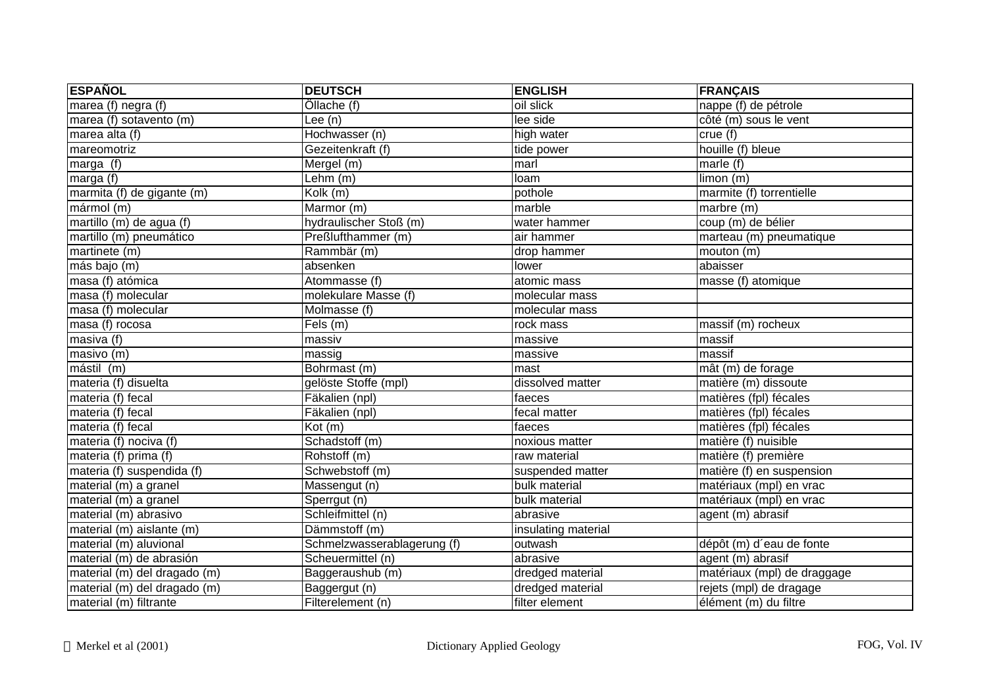| <b>ESPAÑOL</b>               | <b>DEUTSCH</b>              | <b>ENGLISH</b>      | <b>FRANÇAIS</b>             |
|------------------------------|-----------------------------|---------------------|-----------------------------|
| marea (f) negra (f)          | Ollache (f)                 | oil slick           | nappe (f) de pétrole        |
| marea (f) sotavento (m)      | Lee $(n)$                   | lee side            | côté (m) sous le vent       |
| marea alta (f)               | Hochwasser (n)              | high water          | crue (f)                    |
| mareomotriz                  | Gezeitenkraft (f)           | tide power          | houille (f) bleue           |
| marga $\overline{(f)}$       | Mergel (m)                  | marl                | marle (f)                   |
| marga (f)                    | Lehm (m)                    | loam                | limon (m)                   |
| marmita (f) de gigante (m)   | Kolk (m)                    | pothole             | marmite (f) torrentielle    |
| mármol (m)                   | Marmor (m)                  | marble              | marbre (m)                  |
| martillo (m) de agua (f)     | hydraulischer Stoß (m)      | water hammer        | coup (m) de bélier          |
| martillo (m) pneumático      | Preßlufthammer (m)          | air hammer          | marteau (m) pneumatique     |
| martinete (m)                | Rammbär (m)                 | drop hammer         | mouton (m)                  |
| más bajo (m)                 | absenken                    | lower               | abaisser                    |
| masa (f) atómica             | Atommasse (f)               | atomic mass         | masse (f) atomique          |
| masa (f) molecular           | molekulare Masse (f)        | molecular mass      |                             |
| masa (f) molecular           | Molmasse (f)                | molecular mass      |                             |
| masa (f) $rocosa$            | Fels (m)                    | rock mass           | massif (m) rocheux          |
| masiva (f)                   | massiv                      | massive             | massif                      |
| masivo (m)                   | massig                      | massive             | massif                      |
| mástil (m)                   | Bohrmast (m)                | mast                | mât (m) de forage           |
| materia (f) disuelta         | gelöste Stoffe (mpl)        | dissolved matter    | matière (m) dissoute        |
| materia (f) fecal            | Fäkalien (npl)              | faeces              | matières (fpl) fécales      |
| materia (f) fecal            | Fäkalien (npl)              | fecal matter        | matières (fpl) fécales      |
| materia (f) fecal            | Kot(m)                      | faeces              | matières (fpl) fécales      |
| materia (f) nociva (f)       | Schadstoff (m)              | noxious matter      | matière (f) nuisible        |
| materia (f) prima (f)        | Rohstoff (m)                | raw material        | matière (f) première        |
| materia (f) suspendida (f)   | Schwebstoff (m)             | suspended matter    | matière (f) en suspension   |
| material (m) a granel        | Massengut (n)               | bulk material       | matériaux (mpl) en vrac     |
| material (m) a granel        | Sperrgut (n)                | bulk material       | matériaux (mpl) en vrac     |
| material (m) abrasivo        | Schleifmittel (n)           | abrasive            | agent (m) abrasif           |
| $material(m)$ aislante $(m)$ | Dämmstoff (m)               | insulating material |                             |
| material (m) aluvional       | Schmelzwasserablagerung (f) | outwash             | dépôt (m) d'eau de fonte    |
| material (m) de abrasión     | Scheuermittel (n)           | abrasive            | agent (m) abrasif           |
| material (m) del dragado (m) | Baggeraushub (m)            | dredged material    | matériaux (mpl) de draggage |
| material (m) del dragado (m) | Baggergut (n)               | dredged material    | rejets (mpl) de dragage     |
| material (m) filtrante       | Filterelement (n)           | filter element      | élément (m) du filtre       |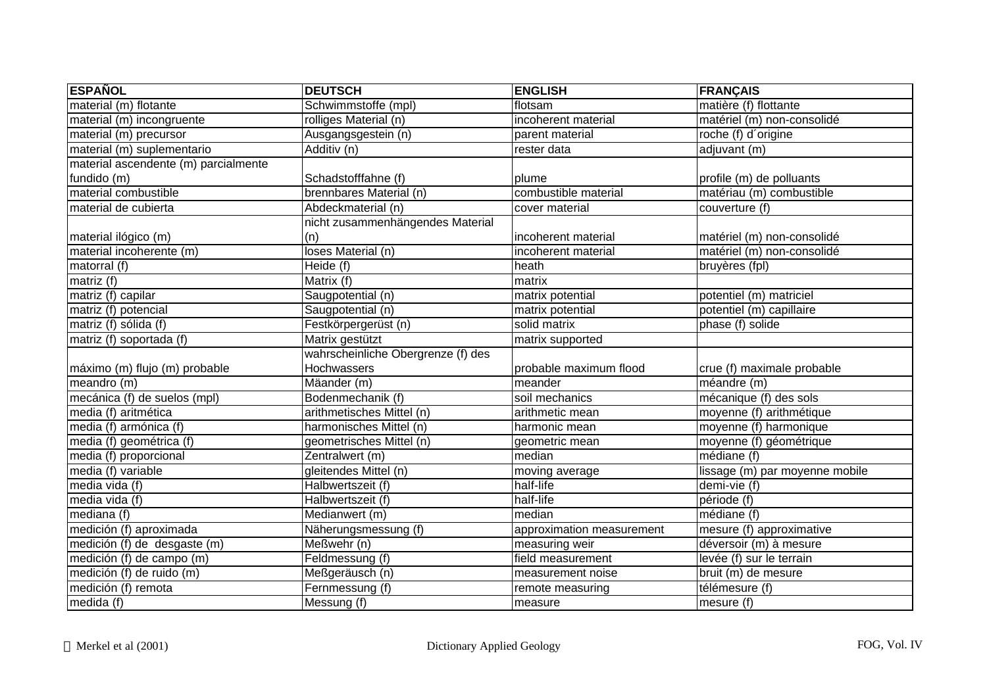| <b>ESPAÑOL</b>                       | <b>DEUTSCH</b>                     | <b>ENGLISH</b>            | <b>FRANÇAIS</b>                |
|--------------------------------------|------------------------------------|---------------------------|--------------------------------|
| material (m) flotante                | Schwimmstoffe (mpl)                | flotsam                   | matière (f) flottante          |
| material (m) incongruente            | rolliges Material (n)              | incoherent material       | matériel (m) non-consolidé     |
| material (m) precursor               | Ausgangsgestein (n)                | parent material           | roche (f) d'origine            |
| material (m) suplementario           | Additiv (n)                        | rester data               | adjuvant (m)                   |
| material ascendente (m) parcialmente |                                    |                           |                                |
| fundido (m)                          | Schadstofffahne (f)                | plume                     | profile (m) de polluants       |
| material combustible                 | brennbares Material (n)            | combustible material      | matériau (m) combustible       |
| material de cubierta                 | Abdeckmaterial (n)                 | cover material            | couverture (f)                 |
|                                      | nicht zusammenhängendes Material   |                           |                                |
| material ilógico (m)                 | (n)                                | incoherent material       | matériel (m) non-consolidé     |
| material incoherente (m)             | loses Material (n)                 | incoherent material       | matériel (m) non-consolidé     |
| matorral $(t)$                       | Heide $(t)$                        | heath                     | bruyères (fpl)                 |
| matriz $(\overline{f})$              | Matrix (f)                         | matrix                    |                                |
| matriz (f) capilar                   | Saugpotential (n)                  | matrix potential          | potentiel (m) matriciel        |
| matriz (f) potencial                 | Saugpotential (n)                  | matrix potential          | potentiel (m) capillaire       |
| matriz (f) sólida (f)                | Festkörpergerüst (n)               | solid matrix              | phase (f) solide               |
| matriz (f) soportada (f)             | Matrix gestützt                    | matrix supported          |                                |
|                                      | wahrscheinliche Obergrenze (f) des |                           |                                |
| máximo (m) flujo (m) probable        | Hochwassers                        | probable maximum flood    | crue (f) maximale probable     |
| meandro (m)                          | Mäander (m)                        | meander                   | méandre (m)                    |
| mecánica (f) de suelos (mpl)         | Bodenmechanik (f)                  | soil mechanics            | mécanique (f) des sols         |
| media (f) aritmética                 | arithmetisches Mittel (n)          | arithmetic mean           | moyenne (f) arithmétique       |
| media (f) armónica (f)               | harmonisches Mittel (n)            | harmonic mean             | moyenne (f) harmonique         |
| media (f) geométrica (f)             | geometrisches Mittel (n)           | geometric mean            | moyenne (f) géométrique        |
| media (f) proporcional               | Zentralwert (m)                    | median                    | médiane (f)                    |
| media (f) variable                   | gleitendes Mittel (n)              | moving average            | lissage (m) par moyenne mobile |
| media vida (f)                       | Halbwertszeit (f)                  | half-life                 | demi-vie (f)                   |
| media vida (f)                       | Halbwertszeit (f)                  | half-life                 | période (f)                    |
| mediana (f)                          | Medianwert (m)                     | median                    | médiane (f)                    |
| medición (f) aproximada              | Näherungsmessung (f)               | approximation measurement | mesure (f) approximative       |
| medición (f) de desgaste (m)         | Meßwehr (n)                        | measuring weir            | déversoir (m) à mesure         |
| medición (f) de campo (m)            | Feldmessung (f)                    | field measurement         | levée (f) sur le terrain       |
| medición (f) de ruido (m)            | Meßgeräusch (n)                    | measurement noise         | bruit (m) de mesure            |
| medición (f) remota                  | Fernmessung (f)                    | remote measuring          | télémesure (f)                 |
| median(f)                            | Messung (f)                        | measure                   | $m$ esure (f)                  |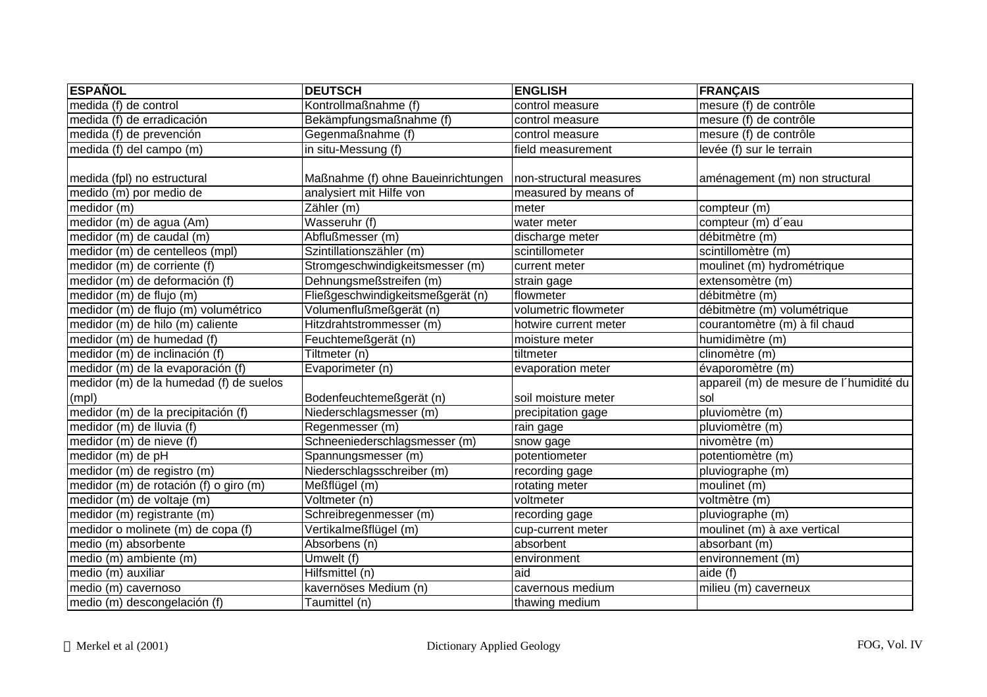| <b>ESPAÑOL</b>                          | <b>DEUTSCH</b>                          | <b>ENGLISH</b>          | <b>FRANÇAIS</b>                         |
|-----------------------------------------|-----------------------------------------|-------------------------|-----------------------------------------|
| medida (f) de control                   | Kontrollmaßnahme (f)                    | control measure         | mesure (f) de contrôle                  |
| medida (f) de erradicación              | Bekämpfungsmaßnahme (f)                 | control measure         | mesure (f) de contrôle                  |
| medida (f) de prevención                | Gegenmaßnahme (f)                       | control measure         | mesure (f) de contrôle                  |
| medida (f) del campo (m)                | in situ-Messung (f)                     | field measurement       | levée (f) sur le terrain                |
| medida (fpl) no estructural             | Maßnahme (f) ohne Baueinrichtungen      | non-structural measures | aménagement (m) non structural          |
| medido (m) por medio de                 | analysiert mit Hilfe von                | measured by means of    |                                         |
| medidor (m)                             | $\overline{\mathsf{Z}\text{ähler}}$ (m) | meter                   | compteur (m)                            |
| medidor (m) de agua (Am)                | Wasseruhr (f)                           | water meter             | compteur (m) d'eau                      |
| medidor (m) de caudal (m)               | Abflußmesser (m)                        | discharge meter         | débitmètre (m)                          |
| medidor (m) de centelleos (mpl)         | Szintillationszähler (m)                | scintillometer          | scintillomètre (m)                      |
| medidor (m) de corriente (f)            | Stromgeschwindigkeitsmesser (m)         | current meter           | moulinet (m) hydrométrique              |
| medidor (m) de deformación (f)          | Dehnungsmeßstreifen (m)                 | strain gage             | extensomètre (m)                        |
| medidor (m) de flujo (m)                | Fließgeschwindigkeitsmeßgerät (n)       | flowmeter               | débitmètre (m)                          |
| medidor (m) de flujo (m) volumétrico    | Volumenflußmeßgerät (n)                 | volumetric flowmeter    | débitmètre (m) volumétrique             |
| medidor (m) de hilo (m) caliente        | Hitzdrahtstrommesser (m)                | hotwire current meter   | courantomètre (m) à fil chaud           |
| medidor (m) de humedad (f)              | Feuchtemeßgerät (n)                     | moisture meter          | humidimètre (m)                         |
| medidor (m) de inclinación (f)          | Tiltmeter (n)                           | tiltmeter               | clinomètre (m)                          |
| medidor (m) de la evaporación (f)       | Evaporimeter (n)                        | evaporation meter       | évaporomètre (m)                        |
| medidor (m) de la humedad (f) de suelos |                                         |                         | appareil (m) de mesure de l'humidité du |
| (mpl)                                   | Bodenfeuchtemeßgerät (n)                | soil moisture meter     | sol                                     |
| medidor (m) de la precipitación (f)     | Niederschlagsmesser (m)                 | precipitation gage      | pluviomètre (m)                         |
| medidor (m) de lluvia (f)               | Regenmesser (m)                         | rain gage               | pluviomètre (m)                         |
| medidor (m) de nieve (f)                | Schneeniederschlagsmesser (m)           | snow gage               | nivomètre (m)                           |
| medidor (m) de pH                       | Spannungsmesser (m)                     | potentiometer           | potentiomètre (m)                       |
| medidor (m) de registro (m)             | Niederschlagsschreiber (m)              | recording gage          | pluviographe (m)                        |
| medidor (m) de rotación (f) o giro (m)  | Meßflügel (m)                           | rotating meter          | moulinet (m)                            |
| $median (m)$ de voltaje $(m)$           | Voltmeter (n)                           | voltmeter               | voltmètre (m)                           |
| medidor (m) registrante (m)             | Schreibregenmesser (m)                  | recording gage          | pluviographe (m)                        |
| medidor o molinete (m) de copa (f)      | Vertikalmeßflügel (m)                   | cup-current meter       | moulinet (m) à axe vertical             |
| medio (m) absorbente                    | Absorbens (n)                           | absorbent               | absorbant (m)                           |
| medio (m) ambiente (m)                  | Umwelt (f)                              | environment             | environnement (m)                       |
| medio (m) auxiliar                      | Hilfsmittel (n)                         | aid                     | aide (f)                                |
| medio (m) cavernoso                     | kavernöses Medium (n)                   | cavernous medium        | milieu (m) caverneux                    |
| medio (m) descongelación (f)            | Taumittel (n)                           | thawing medium          |                                         |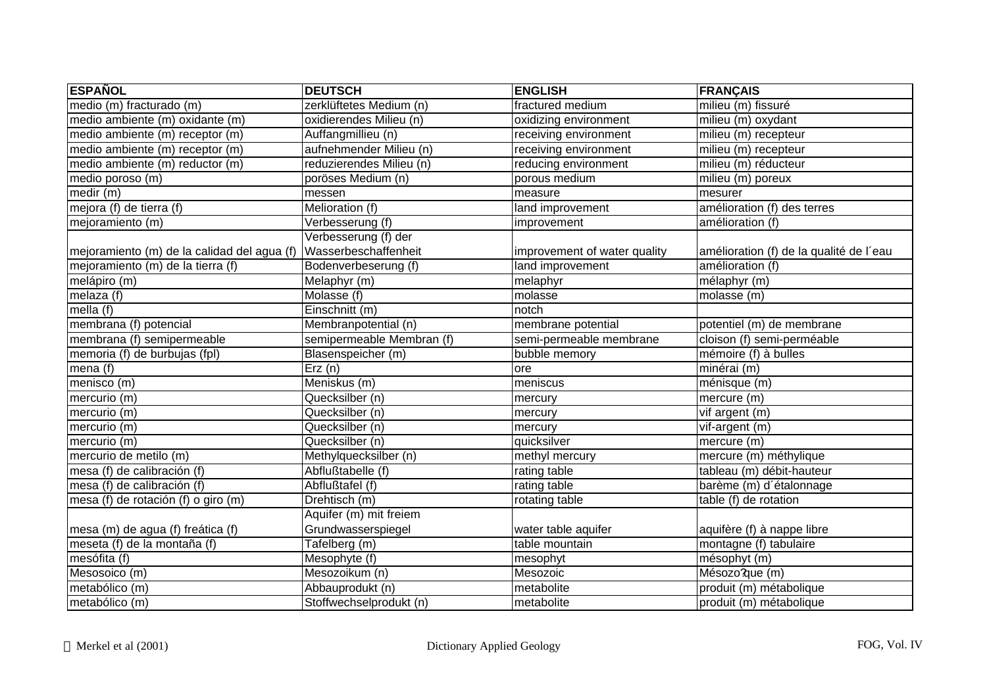| <b>ESPAÑOL</b>                              | <b>DEUTSCH</b>            | <b>ENGLISH</b>               | <b>FRANÇAIS</b>                         |
|---------------------------------------------|---------------------------|------------------------------|-----------------------------------------|
| medio (m) fracturado (m)                    | zerklüftetes Medium (n)   | fractured medium             | milieu (m) fissuré                      |
| medio ambiente (m) oxidante (m)             | oxidierendes Milieu (n)   | oxidizing environment        | milieu (m) oxydant                      |
| medio ambiente (m) receptor (m)             | Auffangmillieu (n)        | receiving environment        | milieu (m) recepteur                    |
| medio ambiente (m) receptor (m)             | aufnehmender Milieu (n)   | receiving environment        | $mileu$ ( $m$ ) recepteur               |
| medio ambiente (m) reductor (m)             | reduzierendes Milieu (n)  | reducing environment         | milieu (m) réducteur                    |
| medio poroso (m)                            | poröses Medium (n)        | porous medium                | milieu (m) poreux                       |
| medir (m)                                   | messen                    | measure                      | mesurer                                 |
| mejora (f) de tierra (f)                    | Melioration (f)           | land improvement             | amélioration (f) des terres             |
| mejoramiento (m)                            | Verbesserung (f)          | improvement                  | amélioration (f)                        |
|                                             | Verbesserung (f) der      |                              |                                         |
| mejoramiento (m) de la calidad del agua (f) | Wasserbeschaffenheit      | improvement of water quality | amélioration (f) de la qualité de l'eau |
| mejoramiento (m) de la tierra (f)           | Bodenverbeserung (f)      | land improvement             | amélioration (f)                        |
| melápiro (m)                                | Melaphyr (m)              | melaphyr                     | mélaphyr (m)                            |
| melaza (f)                                  | Molasse (f)               | molasse                      | molasse (m)                             |
| mella $(f)$                                 | Einschnitt (m)            | notch                        |                                         |
| membrana (f) potencial                      | Membranpotential (n)      | membrane potential           | potentiel (m) de membrane               |
| membrana (f) semipermeable                  | semipermeable Membran (f) | semi-permeable membrane      | cloison (f) semi-perméable              |
| memoria (f) de burbujas (fpl)               | Blasenspeicher (m)        | bubble memory                | mémoire (f) à bulles                    |
| mena (f)                                    | $\overline{E}$ rz (n)     | ore                          | minérai (m)                             |
| menisco (m)                                 | Meniskus (m)              | meniscus                     | ménisque (m)                            |
| mercurio (m)                                | Quecksilber (n)           | mercury                      | mercure (m)                             |
| mercurio (m)                                | Quecksilber (n)           | mercury                      | vif argent (m)                          |
| mercurio (m)                                | Quecksilber (n)           | mercury                      | vif-argent (m)                          |
| mercurio (m)                                | Quecksilber (n)           | quicksilver                  | mercure (m)                             |
| mercurio de metilo (m)                      | Methylquecksilber (n)     | methyl mercury               | mercure (m) méthylique                  |
| mesa (f) de calibración (f)                 | Abflußtabelle (f)         | rating table                 | tableau (m) débit-hauteur               |
| mesa (f) de calibración (f)                 | Abflußtafel (f)           | rating table                 | barème (m) d'étalonnage                 |
| mesa (f) de rotación (f) o giro (m)         | Drehtisch (m)             | rotating table               | table (f) de rotation                   |
|                                             | Aquifer (m) mit freiem    |                              |                                         |
| mesa (m) de agua (f) freática (f)           | Grundwasserspiegel        | water table aquifer          | aquifère (f) à nappe libre              |
| meseta (f) de la montaña (f)                | Tafelberg (m)             | table mountain               | montagne (f) tabulaire                  |
| mesófita (f)                                | Mesophyte (f)             | mesophyt                     | mésophyt (m)                            |
| Mesosoico (m)                               | Mesozoikum (n)            | Mesozoic                     | Mésozo?que (m)                          |
| metabólico (m)                              | Abbauprodukt (n)          | metabolite                   | produit (m) métabolique                 |
| metabólico (m)                              | Stoffwechselprodukt (n)   | metabolite                   | produit (m) métabolique                 |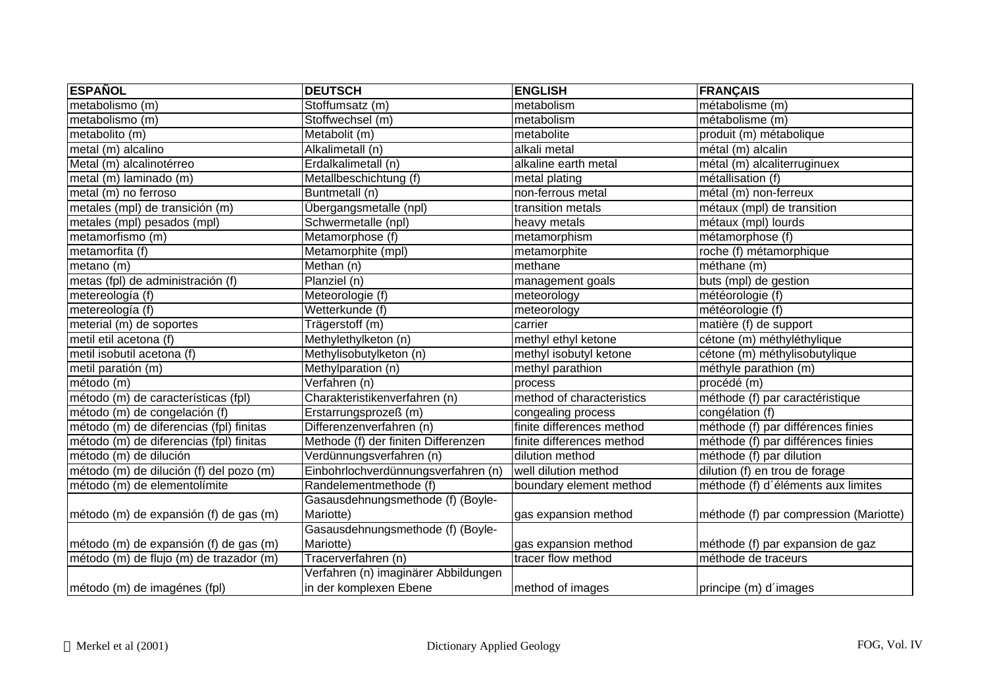| <b>ESPAÑOL</b>                          | <b>DEUTSCH</b>                       | <b>ENGLISH</b>            | <b>FRANÇAIS</b>                        |
|-----------------------------------------|--------------------------------------|---------------------------|----------------------------------------|
| metabolismo (m)                         | Stoffumsatz (m)                      | metabolism                | métabolisme (m)                        |
| metabolismo (m)                         | Stoffwechsel (m)                     | metabolism                | métabolisme (m)                        |
| metabolito (m)                          | Metabolit (m)                        | metabolite                | produit (m) métabolique                |
| metal (m) alcalino                      | Alkalimetall (n)                     | alkali metal              | métal (m) alcalin                      |
| Metal (m) alcalinotérreo                | Erdalkalimetall (n)                  | alkaline earth metal      | métal (m) alcaliterruginuex            |
| metal (m) laminado (m)                  | Metallbeschichtung (f)               | metal plating             | métallisation (f)                      |
| metal (m) no ferroso                    | Buntmetall (n)                       | non-ferrous metal         | métal (m) non-ferreux                  |
| metales (mpl) de transición (m)         | Übergangsmetalle (npl)               | transition metals         | métaux (mpl) de transition             |
| metales (mpl) pesados (mpl)             | Schwermetalle (npl)                  | heavy metals              | métaux (mpl) lourds                    |
| metamorfismo (m)                        | Metamorphose (f)                     | metamorphism              | métamorphose (f)                       |
| metamorfita (f)                         | Metamorphite (mpl)                   | metamorphite              | roche (f) métamorphique                |
| metano (m)                              | Methan (n)                           | methane                   | méthane (m)                            |
| metas (fpl) de administración (f)       | Planziel (n)                         | management goals          | buts (mpl) de gestion                  |
| metereología (f)                        | Meteorologie (f)                     | meteorology               | météorologie (f)                       |
| metereología (f)                        | Wetterkunde (f)                      | meteorology               | météorologie (f)                       |
| meterial (m) de soportes                | Trägerstoff (m)                      | carrier                   | matière (f) de support                 |
| metil etil acetona (f)                  | Methylethylketon (n)                 | methyl ethyl ketone       | cétone (m) méthyléthylique             |
| metil isobutil acetona (f)              | Methylisobutylketon (n)              | methyl isobutyl ketone    | cétone (m) méthylisobutylique          |
| metil paratión (m)                      | Methylparation (n)                   | methyl parathion          | méthyle parathion (m)                  |
| método (m)                              | Verfahren (n)                        | process                   | procédé (m)                            |
| método (m) de características (fpl)     | Charakteristikenverfahren (n)        | method of characteristics | méthode (f) par caractéristique        |
| método (m) de congelación (f)           | Erstarrungsprozeß (m)                | congealing process        | congélation (f)                        |
| método (m) de diferencias (fpl) finitas | Differenzenverfahren (n)             | finite differences method | méthode (f) par différences finies     |
| método (m) de diferencias (fpl) finitas | Methode (f) der finiten Differenzen  | finite differences method | méthode (f) par différences finies     |
| método (m) de dilución                  | Verdünnungsverfahren (n)             | dilution method           | méthode (f) par dilution               |
| método (m) de dilución (f) del pozo (m) | Einbohrlochverdünnungsverfahren (n)  | well dilution method      | dilution (f) en trou de forage         |
| método (m) de elementolímite            | Randelementmethode (f)               | boundary element method   | méthode (f) d'éléments aux limites     |
|                                         | Gasausdehnungsmethode (f) (Boyle-    |                           |                                        |
| método (m) de expansión (f) de gas (m)  | Mariotte)                            | gas expansion method      | méthode (f) par compression (Mariotte) |
|                                         | Gasausdehnungsmethode (f) (Boyle-    |                           |                                        |
| método (m) de expansión (f) de gas (m)  | Mariotte)                            | gas expansion method      | méthode (f) par expansion de gaz       |
| método (m) de flujo (m) de trazador (m) | Tracerverfahren (n)                  | tracer flow method        | méthode de traceurs                    |
|                                         | Verfahren (n) imaginärer Abbildungen |                           |                                        |
| método (m) de imagénes (fpl)            | in der komplexen Ebene               | method of images          | principe (m) d'images                  |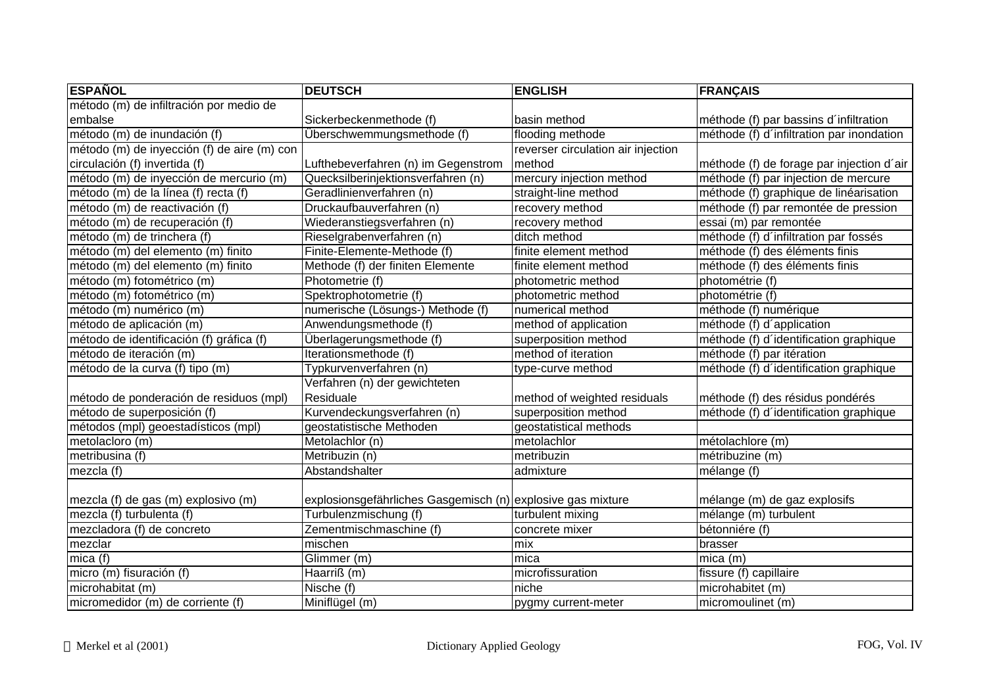| <b>ESPAÑOL</b>                              | <b>DEUTSCH</b>                                              | <b>ENGLISH</b>                     | <b>FRANÇAIS</b>                           |
|---------------------------------------------|-------------------------------------------------------------|------------------------------------|-------------------------------------------|
| método (m) de infiltración por medio de     |                                                             |                                    |                                           |
| embalse                                     | Sickerbeckenmethode (f)                                     | basin method                       | méthode (f) par bassins d'infiltration    |
| método (m) de inundación (f)                | Überschwemmungsmethode (f)                                  | flooding methode                   | méthode (f) d'infiltration par inondation |
| método (m) de inyección (f) de aire (m) con |                                                             | reverser circulation air injection |                                           |
| circulación (f) invertida (f)               | Lufthebeverfahren (n) im Gegenstrom                         | method                             | méthode (f) de forage par injection d'air |
| método (m) de inyección de mercurio (m)     | Quecksilberinjektionsverfahren (n)                          | mercury injection method           | méthode (f) par injection de mercure      |
| método (m) de la línea (f) recta (f)        | Geradlinienverfahren (n)                                    | straight-line method               | méthode (f) graphique de linéarisation    |
| método (m) de reactivación (f)              | Druckaufbauverfahren (n)                                    | recovery method                    | méthode (f) par remontée de pression      |
| método (m) de recuperación (f)              | Wiederanstiegsverfahren (n)                                 | recovery method                    | essai (m) par remontée                    |
| método (m) de trinchera (f)                 | Rieselgrabenverfahren (n)                                   | ditch method                       | méthode (f) d'infiltration par fossés     |
| método (m) del elemento (m) finito          | Finite-Elemente-Methode (f)                                 | finite element method              | méthode (f) des éléments finis            |
| método (m) del elemento (m) finito          | Methode (f) der finiten Elemente                            | finite element method              | méthode (f) des éléments finis            |
| método (m) fotométrico (m)                  | Photometrie (f)                                             | photometric method                 | photométrie (f)                           |
| método (m) fotométrico (m)                  | Spektrophotometrie (f)                                      | photometric method                 | photométrie (f)                           |
| método (m) numérico (m)                     | numerische (Lösungs-) Methode (f)                           | numerical method                   | méthode (f) numérique                     |
| método de aplicación (m)                    | Anwendungsmethode (f)                                       | method of application              | méthode (f) d'application                 |
| método de identificación (f) gráfica (f)    | Überlagerungsmethode (f)                                    | superposition method               | méthode (f) d'identification graphique    |
| método de iteración (m)                     | Iterationsmethode (f)                                       | method of iteration                | méthode (f) par itération                 |
| método de la curva (f) tipo (m)             | Typkurvenverfahren (n)                                      | type-curve method                  | méthode (f) d'identification graphique    |
|                                             | Verfahren (n) der gewichteten                               |                                    |                                           |
| método de ponderación de residuos (mpl)     | Residuale                                                   | method of weighted residuals       | méthode (f) des résidus pondérés          |
| método de superposición (f)                 | Kurvendeckungsverfahren (n)                                 | superposition method               | méthode (f) d'identification graphique    |
| métodos (mpl) geoestadísticos (mpl)         | geostatistische Methoden                                    | geostatistical methods             |                                           |
| metolacloro (m)                             | Metolachlor (n)                                             | metolachlor                        | métolachlore (m)                          |
| metribusina (f)                             | Metribuzin (n)                                              | metribuzin                         | métribuzine (m)                           |
| mezcla (f)                                  | Abstandshalter                                              | admixture                          | mélange (f)                               |
| mezcla (f) de gas (m) explosivo (m)         | explosionsgefährliches Gasgemisch (n) explosive gas mixture |                                    | mélange (m) de gaz explosifs              |
| mezcla (f) turbulenta (f)                   | Turbulenzmischung (f)                                       | turbulent mixing                   | mélange (m) turbulent                     |
| mezcladora (f) de concreto                  | Zementmischmaschine (f)                                     | concrete mixer                     | bétonniére (f)                            |
| mezclar                                     | mischen                                                     | mix                                | brasser                                   |
| mica $(f)$                                  | Glimmer (m)                                                 | mica                               | $mica$ (m)                                |
| micro (m) fisuración (f)                    | Haarriß (m)                                                 | microfissuration                   | fissure (f) capillaire                    |
| microhabitat (m)                            | Nische (f)                                                  | niche                              | microhabitet (m)                          |
| micromedidor (m) de corriente (f)           | Miniflügel (m)                                              | pygmy current-meter                | micromoulinet (m)                         |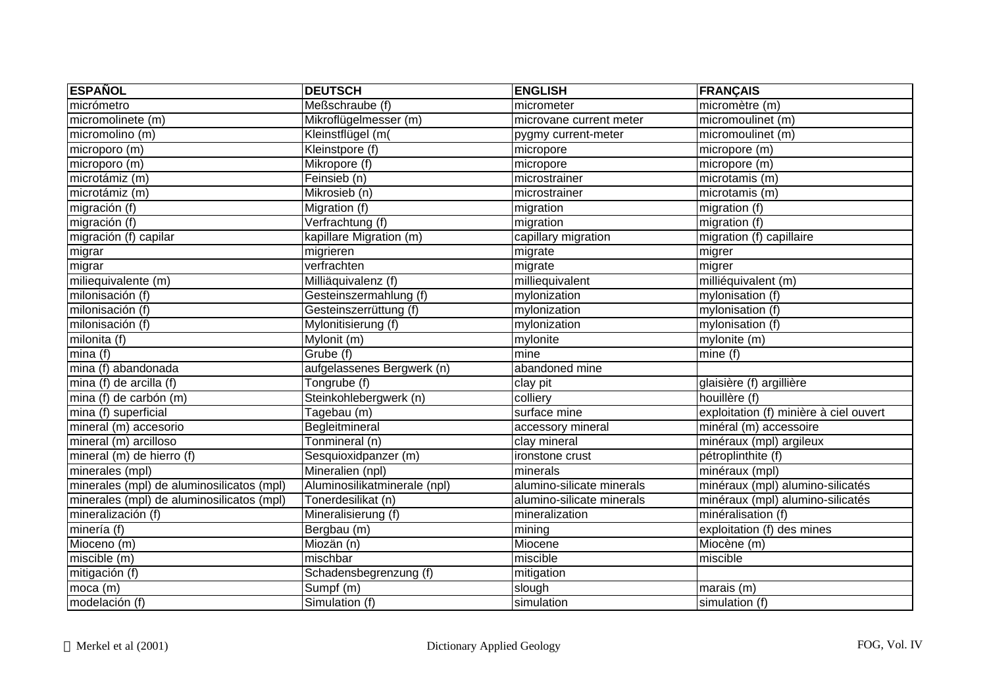| <b>ESPAÑOL</b>                            | <b>DEUTSCH</b>               | <b>ENGLISH</b>            | FRANÇAIS                               |
|-------------------------------------------|------------------------------|---------------------------|----------------------------------------|
| micrómetro                                | Meßschraube (f)              | micrometer                | micromètre (m)                         |
| micromolinete (m)                         | Mikroflügelmesser (m)        | microvane current meter   | micromoulinet (m)                      |
| micromolino (m)                           | Kleinstflügel (m(            | pygmy current-meter       | micromoulinet (m)                      |
| microporo (m)                             | Kleinstpore (f)              | micropore                 | micropore (m)                          |
| microporo (m)                             | Mikropore (f)                | micropore                 | micropore (m)                          |
| microtámiz (m)                            | Feinsieb $(n)$               | microstrainer             | microtamis (m)                         |
| microtámiz (m)                            | Mikrosieb (n)                | microstrainer             | microtamis (m)                         |
| migración (f)                             | Migration (f)                | migration                 | migration (f)                          |
| migración (f)                             | Verfrachtung (f)             | migration                 | migration (f)                          |
| migración (f) capilar                     | kapillare Migration (m)      | capillary migration       | migration (f) capillaire               |
| migrar                                    | migrieren                    | migrate                   | migrer                                 |
| migrar                                    | verfrachten                  | migrate                   | migrer                                 |
| miliequivalente (m)                       | Milliäquivalenz (f)          | milliequivalent           | milliéquivalent (m)                    |
| milonisación (f)                          | Gesteinszermahlung (f)       | mylonization              | mylonisation (f)                       |
| milonisación (f)                          | Gesteinszerrüttung (f)       | mylonization              | mylonisation (f)                       |
| milonisación (f)                          | Mylonitisierung (f)          | mylonization              | mylonisation (f)                       |
| $m$ ilonita (f)                           | Mylonit (m)                  | mylonite                  | mylonite (m)                           |
| mina(f)                                   | Grube (f)                    | mine                      | mine $\overline{(f)}$                  |
| mina (f) abandonada                       | aufgelassenes Bergwerk (n)   | abandoned mine            |                                        |
| mina (f) de arcilla (f)                   | Tongrube (f)                 | clay pit                  | glaisière (f) argillière               |
| mina (f) de carbón (m)                    | Steinkohlebergwerk (n)       | colliery                  | houillère (f)                          |
| mina (f) superficial                      | Tagebau (m)                  | surface mine              | exploitation (f) minière à ciel ouvert |
| mineral (m) accesorio                     | Begleitmineral               | accessory mineral         | minéral (m) accessoire                 |
| mineral (m) arcilloso                     | Tonmineral (n)               | clay mineral              | minéraux (mpl) argileux                |
| mineral (m) de hierro (f)                 | Sesquioxidpanzer (m)         | ironstone crust           | pétroplinthite (f)                     |
| minerales (mpl)                           | Mineralien (npl)             | minerals                  | minéraux (mpl)                         |
| minerales (mpl) de aluminosilicatos (mpl) | Aluminosilikatminerale (npl) | alumino-silicate minerals | minéraux (mpl) alumino-silicatés       |
| minerales (mpl) de aluminosilicatos (mpl) | Tonerdesilikat (n)           | alumino-silicate minerals | minéraux (mpl) alumino-silicatés       |
| mineralización (f)                        | Mineralisierung (f)          | mineralization            | minéralisation (f)                     |
| minería (f)                               | Bergbau (m)                  | mining                    | exploitation (f) des mines             |
| Mioceno (m)                               | Miozän (n)                   | Miocene                   | Miocène (m)                            |
| miscible (m)                              | mischbar                     | miscible                  | miscible                               |
| mitigación (f)                            | Schadensbegrenzung (f)       | mitigation                |                                        |
| $moca$ (m)                                | Sumpf (m)                    | slough                    | marais (m)                             |
| modelación (f)                            | Simulation (f)               | simulation                | simulation (f)                         |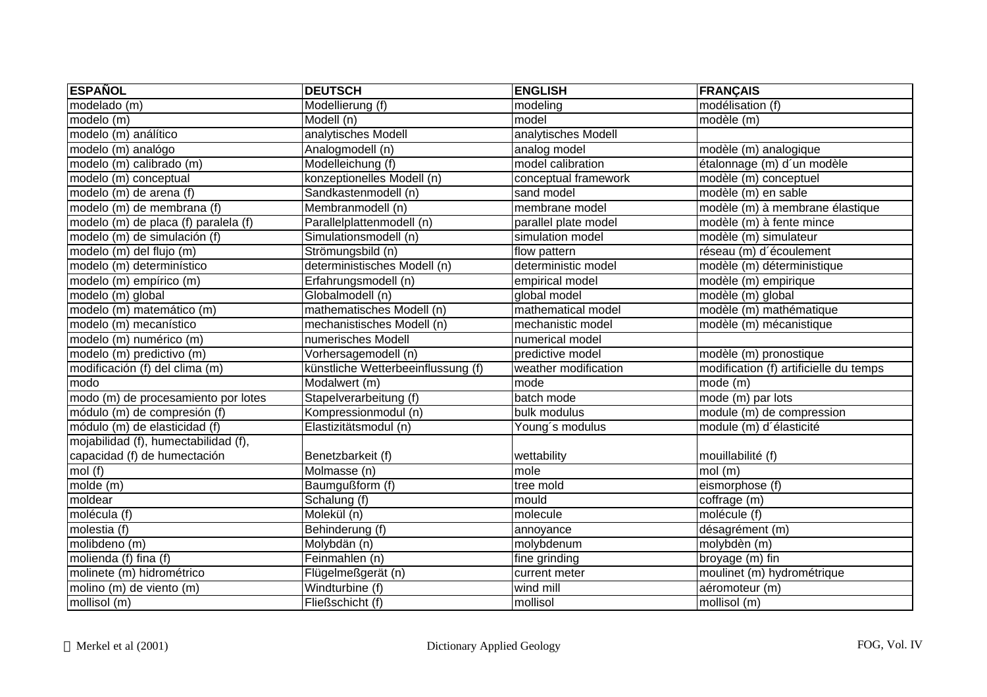| <b>ESPAÑOL</b>                       | <b>DEUTSCH</b>                     | <b>ENGLISH</b>       | <b>FRANÇAIS</b>                        |
|--------------------------------------|------------------------------------|----------------------|----------------------------------------|
| modelado (m)                         | Modellierung (f)                   | modeling             | modélisation (f)                       |
| modelo (m)                           | Modell (n)                         | model                | modèle (m)                             |
| modelo (m) análítico                 | analytisches Modell                | analytisches Modell  |                                        |
| modelo (m) analógo                   | Analogmodell (n)                   | analog model         | modèle (m) analogique                  |
| modelo (m) calibrado (m)             | Modelleichung (f)                  | model calibration    | étalonnage (m) d'un modèle             |
| modelo (m) conceptual                | konzeptionelles Modell (n)         | conceptual framework | modèle (m) conceptuel                  |
| modelo (m) de arena (f)              | Sandkastenmodell (n)               | sand model           | modèle (m) en sable                    |
| modelo (m) de membrana (f)           | Membranmodell (n)                  | membrane model       | modèle (m) à membrane élastique        |
| modelo (m) de placa (f) paralela (f) | Parallelplattenmodell (n)          | parallel plate model | modèle (m) à fente mince               |
| modelo (m) de simulación (f)         | Simulationsmodell (n)              | simulation model     | modèle (m) simulateur                  |
| modelo (m) del flujo (m)             | Strömungsbild (n)                  | flow pattern         | réseau (m) d'écoulement                |
| modelo (m) determinístico            | deterministisches Modell (n)       | deterministic model  | modèle (m) déterministique             |
| modelo (m) empírico (m)              | Erfahrungsmodell (n)               | empirical model      | modèle (m) empirique                   |
| modelo (m) global                    | Globalmodell (n)                   | global model         | modèle (m) global                      |
| modelo (m) matemático (m)            | mathematisches Modell (n)          | mathematical model   | modèle (m) mathématique                |
| modelo (m) mecanístico               | mechanistisches Modell (n)         | mechanistic model    | modèle (m) mécanistique                |
| modelo (m) numérico (m)              | numerisches Modell                 | numerical model      |                                        |
| modelo (m) predictivo (m)            | Vorhersagemodell (n)               | predictive model     | modèle (m) pronostique                 |
| modificación (f) del clima (m)       | künstliche Wetterbeeinflussung (f) | weather modification | modification (f) artificielle du temps |
| modo                                 | Modalwert (m)                      | mode                 | mode(m)                                |
| modo (m) de procesamiento por lotes  | Stapelverarbeitung (f)             | batch mode           | mode (m) par lots                      |
| módulo (m) de compresión (f)         | Kompressionmodul (n)               | bulk modulus         | module (m) de compression              |
| módulo (m) de elasticidad (f)        | Elastizitätsmodul (n)              | Young's modulus      | module (m) d'élasticité                |
| mojabilidad (f), humectabilidad (f), |                                    |                      |                                        |
| capacidad (f) de humectación         | Benetzbarkeit (f)                  | wettability          | mouillabilité (f)                      |
| mol(f)                               | Molmasse (n)                       | mole                 | mol(m)                                 |
| molde (m)                            | Baumgußform (f)                    | tree mold            | eismorphose (f)                        |
| moldear                              | Schalung (f)                       | mould                | coffrage (m)                           |
| molécula (f)                         | Molekül (n)                        | molecule             | molécule (f)                           |
| molestia (f)                         | Behinderung (f)                    | annoyance            | désagrément (m)                        |
| molibdeno (m)                        | Molybdän (n)                       | molybdenum           | molybdèn (m)                           |
| molienda (f) fina (f)                | Feinmahlen (n)                     | fine grinding        | broyage (m) fin                        |
| molinete (m) hidrométrico            | Flügelmeßgerät (n)                 | current meter        | moulinet (m) hydrométrique             |
| molino (m) de viento (m)             | Windturbine (f)                    | wind mill            | aéromoteur (m)                         |
| mollisol (m)                         | Fließschicht (f)                   | mollisol             | mollisol (m)                           |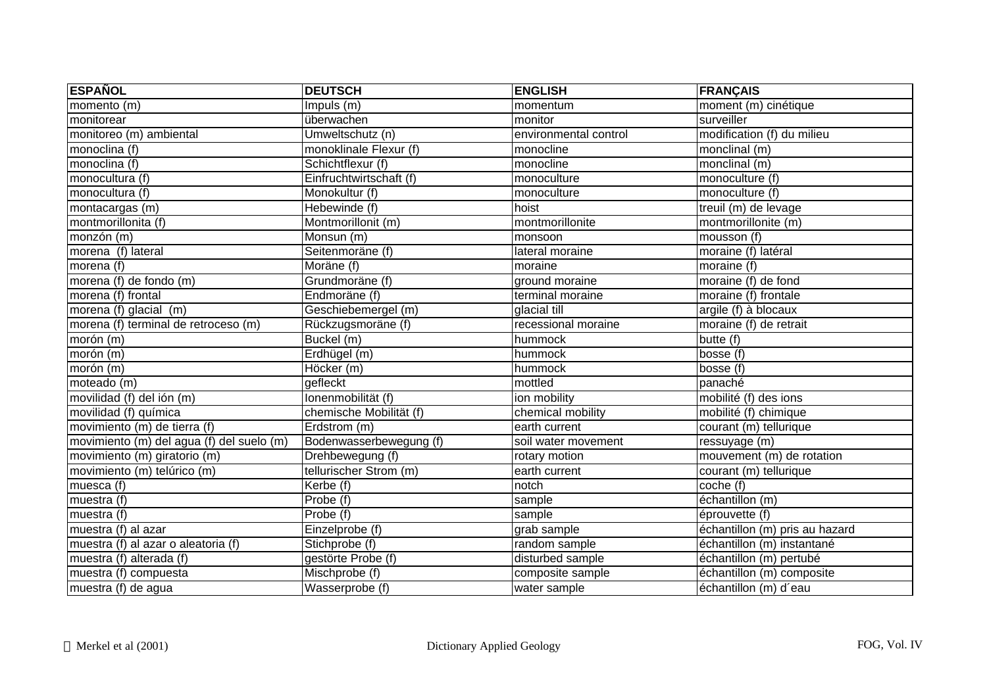| <b>ESPAÑOL</b>                            | <b>DEUTSCH</b>          | <b>ENGLISH</b>        | <b>FRANÇAIS</b>                |
|-------------------------------------------|-------------------------|-----------------------|--------------------------------|
| momento (m)                               | Impuls (m)              | momentum              | moment (m) cinétique           |
| monitorear                                | überwachen              | monitor               | surveiller                     |
| monitoreo (m) ambiental                   | Umweltschutz (n)        | environmental control | modification (f) du milieu     |
| monoclina (f)                             | monoklinale Flexur (f)  | monocline             | monclinal (m)                  |
| monoclina (f)                             | Schichtflexur (f)       | monocline             | monclinal (m)                  |
| monocultura (f)                           | Einfruchtwirtschaft (f) | monoculture           | monoculture (f)                |
| monocultura (f)                           | Monokultur (f)          | monoculture           | monoculture (f)                |
| montacargas (m)                           | Hebewinde (f)           | hoist                 | treuil $(m)$ de levage         |
| montmorillonita (f)                       | Montmorillonit (m)      | montmorillonite       | montmorillonite (m)            |
| monzón (m)                                | Monsun (m)              | monsoon               | mousson $(f)$                  |
| morena (f) lateral                        | Seitenmoräne (f)        | lateral moraine       | moraine (f) latéral            |
| morena (f)                                | Moräne (f)              | moraine               | moraine (f)                    |
| morena (f) de fondo (m)                   | Grundmoräne (f)         | ground moraine        | moraine (f) de fond            |
| morena (f) frontal                        | Endmoräne (f)           | terminal moraine      | moraine (f) frontale           |
| morena (f) glacial (m)                    | Geschiebemergel (m)     | glacial till          | argile (f) à blocaux           |
| morena (f) terminal de retroceso (m)      | Rückzugsmoräne (f)      | recessional moraine   | moraine (f) de retrait         |
| morón (m)                                 | Buckel (m)              | hummock               | butte (f)                      |
| morón (m)                                 | Erdhügel (m)            | hummock               | bosse $(f)$                    |
| morón (m)                                 | Höcker (m)              | hummock               | bosse (f)                      |
| moteado (m)                               | gefleckt                | mottled               | panaché                        |
| movilidad (f) del ión (m)                 | lonenmobilität (f)      | ion mobility          | mobilité (f) des ions          |
| movilidad (f) química                     | chemische Mobilität (f) | chemical mobility     | mobilité (f) chimique          |
| movimiento (m) de tierra (f)              | Erdstrom (m)            | earth current         | courant (m) tellurique         |
| movimiento (m) del agua (f) del suelo (m) | Bodenwasserbewegung (f) | soil water movement   | ressuyage (m)                  |
| movimiento (m) giratorio (m)              | Drehbewegung (f)        | rotary motion         | mouvement (m) de rotation      |
| movimiento (m) telúrico (m)               | tellurischer Strom (m)  | earth current         | courant (m) tellurique         |
| muesca (f)                                | $Kerbe$ (f)             | notch                 | coche (f)                      |
| muestra (f)                               | Probe (f)               | sample                | échantillon (m)                |
| muestra (f)                               | Probe (f)               | sample                | éprouvette (f)                 |
| muestra (f) al azar                       | Einzelprobe (f)         | grab sample           | échantillon (m) pris au hazard |
| muestra (f) al azar o aleatoria (f)       | Stichprobe (f)          | random sample         | échantillon (m) instantané     |
| muestra (f) alterada (f)                  | gestörte Probe (f)      | disturbed sample      | échantillon (m) pertubé        |
| muestra (f) compuesta                     | Mischprobe (f)          | composite sample      | échantillon (m) composite      |
| muestra (f) de agua                       | Wasserprobe (f)         | water sample          | échantillon (m) d'eau          |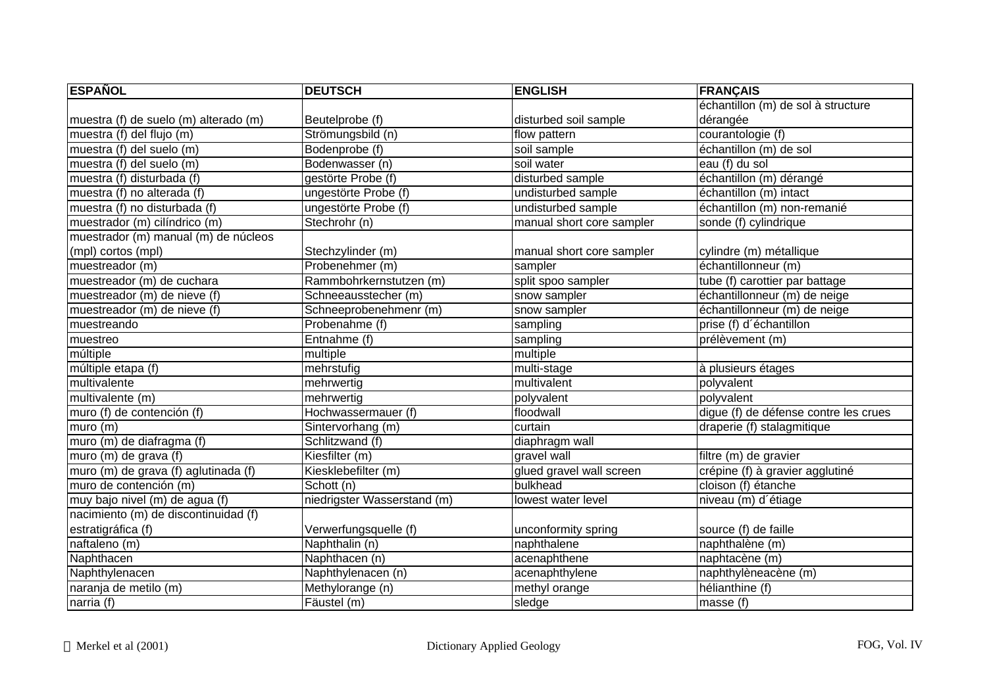| <b>ESPAÑOL</b>                        | <b>DEUTSCH</b>              | <b>ENGLISH</b>            | <b>FRANÇAIS</b>                       |
|---------------------------------------|-----------------------------|---------------------------|---------------------------------------|
|                                       |                             |                           | échantillon (m) de sol à structure    |
| muestra (f) de suelo (m) alterado (m) | Beutelprobe (f)             | disturbed soil sample     | dérangée                              |
| muestra (f) del flujo (m)             | Strömungsbild (n)           | flow pattern              | courantologie (f)                     |
| muestra (f) del suelo (m)             | Bodenprobe (f)              | soil sample               | échantillon (m) de sol                |
| muestra (f) del suelo (m)             | Bodenwasser (n)             | soil water                | eau (f) du sol                        |
| muestra (f) disturbada (f)            | gestörte Probe (f)          | disturbed sample          | échantillon (m) dérangé               |
| muestra (f) no alterada (f)           | ungestörte Probe (f)        | undisturbed sample        | échantillon (m) intact                |
| muestra (f) no disturbada (f)         | ungestörte Probe (f)        | undisturbed sample        | échantillon (m) non-remanié           |
| muestrador (m) cilíndrico (m)         | Stechrohr (n)               | manual short core sampler | sonde (f) cylindrique                 |
| muestrador (m) manual (m) de núcleos  |                             |                           |                                       |
| (mpl) cortos (mpl)                    | Stechzylinder (m)           | manual short core sampler | cylindre (m) métallique               |
| muestreador $(m)$                     | Probenehmer (m)             | sampler                   | échantillonneur (m)                   |
| muestreador (m) de cuchara            | Rammbohrkernstutzen (m)     | split spoo sampler        | tube (f) carottier par battage        |
| muestreador (m) de nieve (f)          | Schneeausstecher (m)        | snow sampler              | échantillonneur (m) de neige          |
| muestreador (m) de nieve (f)          | Schneeprobenehmenr (m)      | snow sampler              | échantillonneur (m) de neige          |
| muestreando                           | Probenahme (f)              | sampling                  | prise (f) d'échantillon               |
| muestreo                              | Entnahme(f)                 | sampling                  | prélèvement (m)                       |
| múltiple                              | multiple                    | multiple                  |                                       |
| múltiple etapa (f)                    | mehrstufig                  | multi-stage               | à plusieurs étages                    |
| multivalente                          | mehrwertig                  | multivalent               | polyvalent                            |
| multivalente (m)                      | mehrwertig                  | polyvalent                | polyvalent                            |
| muro (f) de contención (f)            | Hochwassermauer (f)         | floodwall                 | digue (f) de défense contre les crues |
| muro(m)                               | Sintervorhang (m)           | curtain                   | draperie (f) stalagmitique            |
| muro (m) de diafragma (f)             | Schlitzwand (f)             | diaphragm wall            |                                       |
| muro (m) de grava (f)                 | Kiesfilter (m)              | gravel wall               | filtre (m) de gravier                 |
| muro (m) de grava (f) aglutinada (f)  | Kiesklebefilter (m)         | glued gravel wall screen  | crépine (f) à gravier agglutiné       |
| muro de contención (m)                | Schott (n)                  | bulkhead                  | cloison (f) étanche                   |
| muy bajo nivel (m) de agua (f)        | niedrigster Wasserstand (m) | lowest water level        | niveau (m) d'étiage                   |
| nacimiento (m) de discontinuidad (f)  |                             |                           |                                       |
| estratigráfica (f)                    | Verwerfungsquelle (f)       | unconformity spring       | source (f) de faille                  |
| naftaleno (m)                         | Naphthalin (n)              | naphthalene               | naphthalène (m)                       |
| Naphthacen                            | Naphthacen (n)              | acenaphthene              | naphtacène (m)                        |
| Naphthylenacen                        | Naphthylenacen (n)          | acenaphthylene            | naphthylèneacène (m)                  |
| naranja de metilo (m)                 | Methylorange (n)            | methyl orange             | hélianthine (f)                       |
| narria (f)                            | Fäustel (m)                 | sledge                    | masse (f)                             |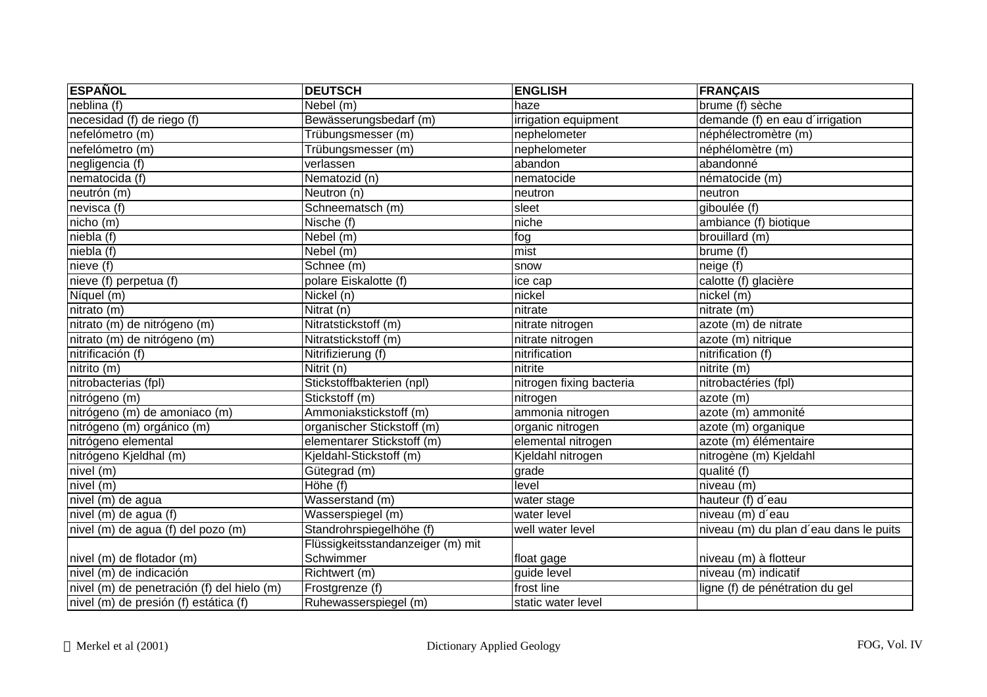| <b>ESPAÑOL</b>                             | <b>DEUTSCH</b>                    | <b>ENGLISH</b>           | <b>FRANÇAIS</b>                        |
|--------------------------------------------|-----------------------------------|--------------------------|----------------------------------------|
| neblina (f)                                | Nebel (m)                         | haze                     | brume (f) sèche                        |
| necesidad (f) de riego (f)                 | Bewässerungsbedarf (m)            | irrigation equipment     | demande (f) en eau d'irrigation        |
| nefelómetro (m)                            | Trübungsmesser (m)                | nephelometer             | néphélectromètre (m)                   |
| nefelómetro (m)                            | Trübungsmesser (m)                | nephelometer             | néphélomètre (m)                       |
| negligencia (f)                            | verlassen                         | abandon                  | abandonné                              |
| nematocida (f)                             | Nematozid (n)                     | nematocide               | nématocide (m)                         |
| neutrón (m)                                | Neutron (n)                       | neutron                  | neutron                                |
| nevisca (f)                                | Schneematsch (m)                  | sleet                    | giboulée (f)                           |
| nicho(m)                                   | Nische (f)                        | niche                    | ambiance (f) biotique                  |
| niebla (f)                                 | Nebel (m)                         | fog                      | brouillard (m)                         |
| $nieb\overline{a(}f\overline{)}$           | Nebel (m)                         | mist                     | brume (f)                              |
| nieve( f )                                 | Schnee (m)                        | snow                     | neige (f)                              |
| nieve (f) perpetua (f)                     | polare Eiskalotte (f)             | ice cap                  | calotte (f) glacière                   |
| Níquel (m)                                 | $\overline{\mathsf{N}}$ ickel (n) | nickel                   | nickel (m)                             |
| nitrato (m)                                | Nitrat (n)                        | nitrate                  | nitrate (m)                            |
| nitrato (m) de nitrógeno (m)               | Nitratstickstoff (m)              | nitrate nitrogen         | azote (m) de nitrate                   |
| nitrato (m) de nitrógeno (m)               | Nitratstickstoff (m)              | nitrate nitrogen         | azote (m) nitrique                     |
| nitrificación (f)                          | Nitrifizierung (f)                | nitrification            | nitrification (f)                      |
| nitrito(m)                                 | Nitrit (n)                        | nitrite                  | $n$ itrite $(m)$                       |
| nitrobacterias (fpl)                       | Stickstoffbakterien (npl)         | nitrogen fixing bacteria | nitrobactéries (fpl)                   |
| nitrógeno (m)                              | Stickstoff (m)                    | nitrogen                 | azote (m)                              |
| nitrógeno (m) de amoniaco (m)              | Ammoniakstickstoff (m)            | ammonia nitrogen         | azote (m) ammonité                     |
| nitrógeno (m) orgánico (m)                 | organischer Stickstoff (m)        | organic nitrogen         | azote (m) organique                    |
| nitrógeno elemental                        | elementarer Stickstoff (m)        | elemental nitrogen       | azote (m) élémentaire                  |
| nitrógeno Kjeldhal (m)                     | Kjeldahl-Stickstoff (m)           | Kjeldahl nitrogen        | nitrogène (m) Kjeldahl                 |
| $nivel$ (m)                                | Gütegrad (m)                      | grade                    | qualité (f)                            |
| nivel (m)                                  | Höhe (f)                          | level                    | niveau (m)                             |
| nivel (m) de agua                          | Wasserstand (m)                   | water stage              | hauteur (f) d'eau                      |
| nivel (m) de agua (f)                      | Wasserspiegel (m)                 | water level              | niveau (m) d'eau                       |
| nivel (m) de agua (f) del pozo (m)         | Standrohrspiegelhöhe (f)          | well water level         | niveau (m) du plan d'eau dans le puits |
|                                            | Flüssigkeitsstandanzeiger (m) mit |                          |                                        |
| nivel (m) de flotador (m)                  | Schwimmer                         | float gage               | niveau (m) à flotteur                  |
| nivel (m) de indicación                    | Richtwert (m)                     | guide level              | niveau (m) indicatif                   |
| nivel (m) de penetración (f) del hielo (m) | Frostgrenze (f)                   | frost line               | ligne (f) de pénétration du gel        |
| nivel (m) de presión (f) estática (f)      | Ruhewasserspiegel (m)             | static water level       |                                        |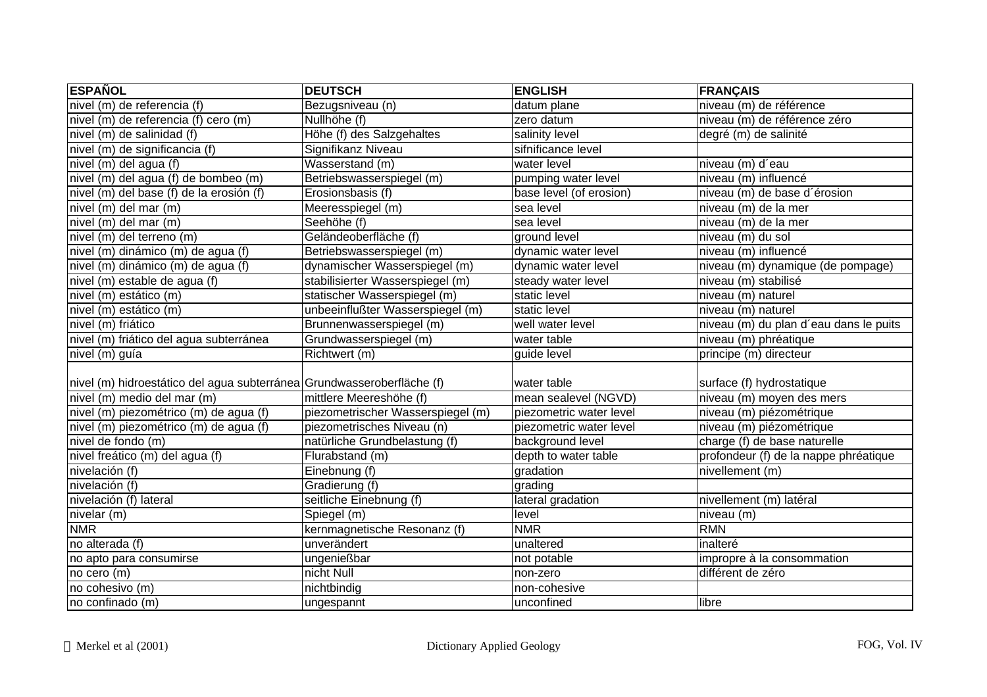| <b>ESPAÑOL</b>                                                         | <b>DEUTSCH</b>                    | <b>ENGLISH</b>          | <b>FRANÇAIS</b>                        |
|------------------------------------------------------------------------|-----------------------------------|-------------------------|----------------------------------------|
| nivel (m) de referencia (f)                                            | Bezugsniveau (n)                  | datum plane             | niveau (m) de référence                |
| nivel (m) de referencia (f) cero (m)                                   | Nullhöhe (f)                      | zero datum              | niveau (m) de référence zéro           |
| nivel (m) de salinidad (f)                                             | Höhe (f) des Salzgehaltes         | salinity level          | degré (m) de salinité                  |
| nivel (m) de significancia (f)                                         | Signifikanz Niveau                | sifnificance level      |                                        |
| nivel (m) del agua (f)                                                 | Wasserstand (m)                   | water level             | niveau (m) d'eau                       |
| nivel (m) del agua (f) de bombeo (m)                                   | Betriebswasserspiegel (m)         | pumping water level     | niveau (m) influencé                   |
| nivel (m) del base (f) de la erosión (f)                               | Erosionsbasis (f)                 | base level (of erosion) | niveau (m) de base d'érosion           |
| nivel (m) del mar (m)                                                  | Meeresspiegel (m)                 | sea level               | niveau (m) de la mer                   |
| nivel (m) del mar (m)                                                  | Seehöhe (f)                       | sea level               | niveau (m) de la mer                   |
| nivel (m) del terreno (m)                                              | Geländeoberfläche (f)             | ground level            | niveau (m) du sol                      |
| nivel (m) dinámico (m) de agua (f)                                     | Betriebswasserspiegel (m)         | dynamic water level     | niveau (m) influencé                   |
| nivel (m) dinámico (m) de agua (f)                                     | dynamischer Wasserspiegel (m)     | dynamic water level     | niveau (m) dynamique (de pompage)      |
| nivel (m) estable de agua (f)                                          | stabilisierter Wasserspiegel (m)  | steady water level      | niveau (m) stabilisé                   |
| nivel (m) estático (m)                                                 | statischer Wasserspiegel (m)      | static level            | niveau (m) naturel                     |
| nivel (m) estático (m)                                                 | unbeeinflußter Wasserspiegel (m)  | static level            | niveau (m) naturel                     |
| nivel (m) friático                                                     | Brunnenwasserspiegel (m)          | well water level        | niveau (m) du plan d'eau dans le puits |
| nivel (m) friático del agua subterránea                                | Grundwasserspiegel (m)            | water table             | niveau (m) phréatique                  |
| nivel (m) guía                                                         | Richtwert (m)                     | guide level             | principe (m) directeur                 |
|                                                                        |                                   |                         |                                        |
| nivel (m) hidroestático del agua subterránea Grundwasseroberfläche (f) |                                   | water table             | surface (f) hydrostatique              |
| nivel (m) medio del mar (m)                                            | mittlere Meereshöhe (f)           | mean sealevel (NGVD)    | niveau (m) moyen des mers              |
| nivel (m) piezométrico (m) de agua (f)                                 | piezometrischer Wasserspiegel (m) | piezometric water level | niveau (m) piézométrique               |
| nivel (m) piezométrico (m) de agua (f)                                 | piezometrisches Niveau (n)        | piezometric water level | niveau (m) piézométrique               |
| nivel de fondo (m)                                                     | natürliche Grundbelastung (f)     | background level        | charge (f) de base naturelle           |
| nivel freático (m) del agua (f)                                        | Flurabstand (m)                   | depth to water table    | profondeur (f) de la nappe phréatique  |
| nivelación $(f)$                                                       | Einebnung (f)                     | gradation               | nivellement (m)                        |
| nivelación (f)                                                         | Gradierung (f)                    | grading                 |                                        |
| nivelación (f) lateral                                                 | seitliche Einebnung (f)           | lateral gradation       | nivellement (m) latéral                |
| nivelar (m)                                                            | Spiegel (m)                       | level                   | niveau (m)                             |
| <b>NMR</b>                                                             | kernmagnetische Resonanz (f)      | <b>NMR</b>              | <b>RMN</b>                             |
| no alterada (f)                                                        | unverändert                       | unaltered               | inalteré                               |
| no apto para consumirse                                                | ungenießbar                       | not potable             | impropre à la consommation             |
| no cero (m)                                                            | nicht Null                        | non-zero                | différent de zéro                      |
| no cohesivo (m)                                                        | nichtbindig                       | non-cohesive            |                                        |
| no confinado (m)                                                       | ungespannt                        | unconfined              | libre                                  |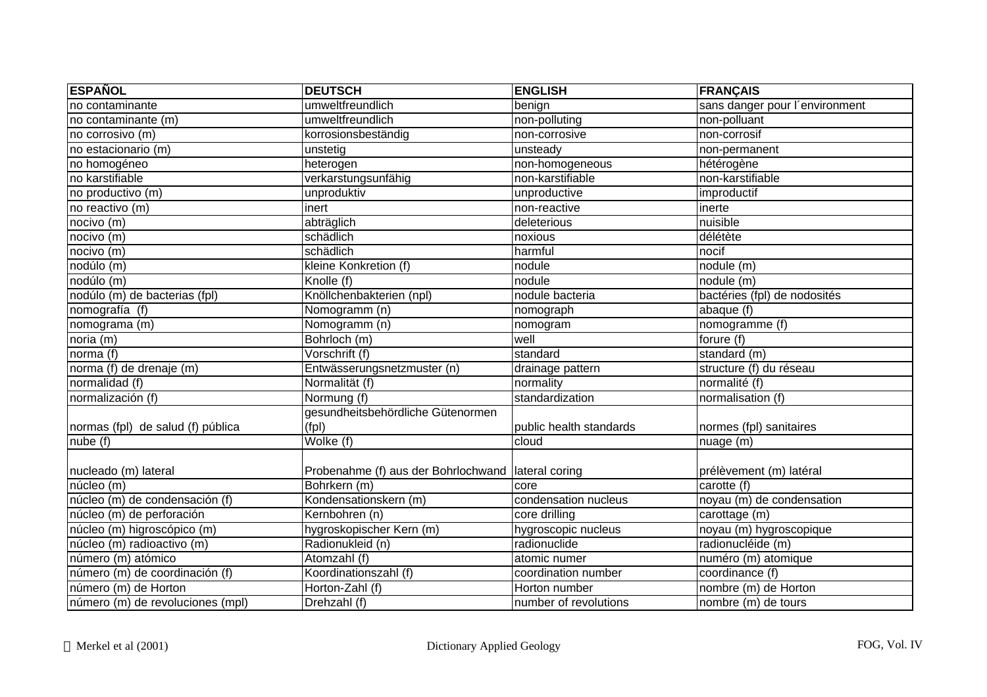| <b>ESPAÑOL</b>                    | <b>DEUTSCH</b>                                       | <b>ENGLISH</b>          | <b>FRANÇAIS</b>                |
|-----------------------------------|------------------------------------------------------|-------------------------|--------------------------------|
| no contaminante                   | umweltfreundlich                                     | benign                  | sans danger pour l'environment |
| no contaminante (m)               | umweltfreundlich                                     | non-polluting           | non-polluant                   |
| no corrosivo (m)                  | korrosionsbeständig                                  | non-corrosive           | non-corrosif                   |
| no estacionario (m)               | unstetig                                             | unsteady                | non-permanent                  |
| no homogéneo                      | heterogen                                            | non-homogeneous         | hétérogène                     |
| no karstifiable                   | verkarstungsunfähig                                  | non-karstifiable        | non-karstifiable               |
| no productivo (m)                 | unproduktiv                                          | unproductive            | improductif                    |
| no reactivo (m)                   | inert                                                | non-reactive            | inerte                         |
| nocivo (m)                        | abträglich                                           | deleterious             | nuisible                       |
| nocivo (m)                        | schädlich                                            | noxious                 | délétète                       |
| nocivo (m)                        | schädlich                                            | harmful                 | nocif                          |
| nodúlo (m)                        | kleine Konkretion (f)                                | nodule                  | nodule (m)                     |
| nodúlo (m)                        | Knolle (f)                                           | nodule                  | nodule (m)                     |
| nodúlo (m) de bacterias (fpl)     | Knöllchenbakterien (npl)                             | nodule bacteria         | bactéries (fpl) de nodosités   |
| nomografía (f)                    | Nomogramm (n)                                        | nomograph               | abaque (f)                     |
| nomograma (m)                     | Nomogramm (n)                                        | nomogram                | nomogramme (f)                 |
| noria (m)                         | Bohrloch (m)                                         | well                    | forure (f)                     |
| norma $(f)$                       | Vorschrift (f)                                       | standard                | standard (m)                   |
| norma (f) de drenaje (m)          | Entwässerungsnetzmuster (n)                          | drainage pattern        | structure (f) du réseau        |
| normalidad (f)                    | Normalität (f)                                       | normality               | normalité (f)                  |
| normalización (f)                 | Normung (f)                                          | standardization         | normalisation (f)              |
|                                   | gesundheitsbehördliche Gütenormen                    |                         |                                |
| normas (fpl) de salud (f) pública | (fpl)                                                | public health standards | normes (fpl) sanitaires        |
| nube (f)                          | Wolke (f)                                            | cloud                   | nuage (m)                      |
|                                   |                                                      |                         |                                |
| nucleado (m) lateral              | Probenahme (f) aus der Bohrlochwand   lateral coring |                         | prélèvement (m) latéral        |
| núcleo (m)                        | Bohrkern (m)                                         | core                    | carotte (f)                    |
| núcleo (m) de condensación (f)    | Kondensationskern (m)                                | condensation nucleus    | noyau (m) de condensation      |
| núcleo (m) de perforación         | Kernbohren (n)                                       | core drilling           | carottage (m)                  |
| núcleo (m) higroscópico (m)       | hygroskopischer Kern (m)                             | hygroscopic nucleus     | noyau (m) hygroscopique        |
| núcleo (m) radioactivo (m)        | Radionukleid (n)                                     | radionuclide            | radionucléide (m)              |
| número (m) atómico                | Atomzahl (f)                                         | atomic numer            | numéro (m) atomique            |
| número (m) de coordinación (f)    | Koordinationszahl (f)                                | coordination number     | coordinance (f)                |
| número (m) de Horton              | Horton-Zahl (f)                                      | Horton number           | nombre (m) de Horton           |
| número (m) de revoluciones (mpl)  | Drehzahl (f)                                         | number of revolutions   | nombre (m) de tours            |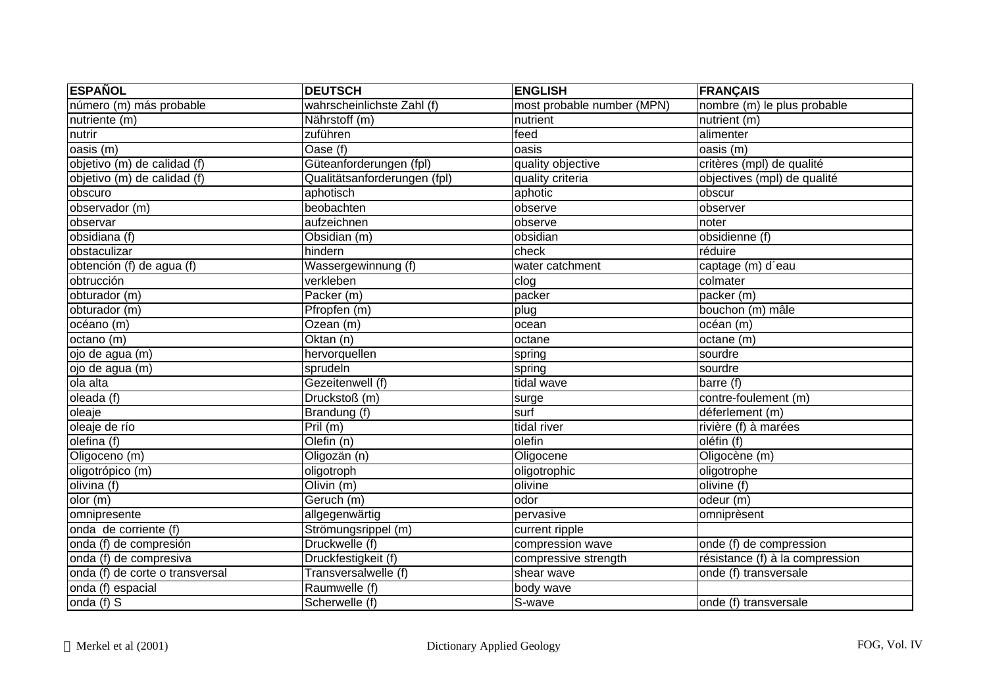| <b>ESPAÑOL</b>                  | <b>DEUTSCH</b>               | <b>ENGLISH</b>             | <b>FRANÇAIS</b>                 |
|---------------------------------|------------------------------|----------------------------|---------------------------------|
| número (m) más probable         | wahrscheinlichste Zahl (f)   | most probable number (MPN) | nombre (m) le plus probable     |
| nutriente (m)                   | Nährstoff (m)                | nutrient                   | nutrient (m)                    |
| nutrir                          | zuführen                     | feed                       | alimenter                       |
| oasis (m)                       | Oase (f)                     | oasis                      | oasis (m)                       |
| objetivo (m) de calidad (f)     | Güteanforderungen (fpl)      | quality objective          | critères (mpl) de qualité       |
| objetivo (m) de calidad (f)     | Qualitätsanforderungen (fpl) | quality criteria           | objectives (mpl) de qualité     |
| obscuro                         | aphotisch                    | aphotic                    | obscur                          |
| observador (m)                  | beobachten                   | observe                    | observer                        |
| observar                        | aufzeichnen                  | observe                    | noter                           |
| obsidiana (f)                   | Obsidian (m)                 | obsidian                   | obsidienne (f)                  |
| obstaculizar                    | hindern                      | check                      | réduire                         |
| obtención (f) de agua (f)       | Wassergewinnung (f)          | water catchment            | captage (m) d'eau               |
| obtrucción                      | verkleben                    | clog                       | colmater                        |
| obturador (m)                   | Packer (m)                   | packer                     | packer (m)                      |
| obturador (m)                   | Pfropfen (m)                 | plug                       | bouchon (m) mâle                |
| océano (m)                      | Ozean (m)                    | ocean                      | océan (m)                       |
| octano (m)                      | Oktan(n)                     | octane                     | octane (m)                      |
| ojo de agua (m)                 | hervorquellen                | spring                     | sourdre                         |
| ojo de agua (m)                 | sprudeln                     | spring                     | sourdre                         |
| ola alta                        | Gezeitenwell (f)             | tidal wave                 | barre (f)                       |
| oleada (f)                      | Druckstoß (m)                | surge                      | contre-foulement (m)            |
| oleaje                          | Brandung (f)                 | surf                       | déferlement (m)                 |
| oleaje de río                   | Pril(m)                      | tidal river                | rivière (f) à marées            |
| olefina (f)                     | Olefin (n)                   | olefin                     | oléfin (f)                      |
| Oligoceno (m)                   | Oligozän (n)                 | Oligocene                  | Oligocène (m)                   |
| oligotrópico (m)                | oligotroph                   | oligotrophic               | oligotrophe                     |
| olivina (f)                     | $\overline{O}$ livin (m)     | olivine                    | olivine (f)                     |
| olor(m)                         | Geruch (m)                   | odor                       | odeur (m)                       |
| omnipresente                    | allgegenwärtig               | pervasive                  | omniprèsent                     |
| onda de corriente (f)           | Strömungsrippel (m)          | current ripple             |                                 |
| onda (f) de compresión          | Druckwelle (f)               | compression wave           | onde (f) de compression         |
| onda (f) de compresiva          | Druckfestigkeit (f)          | compressive strength       | résistance (f) à la compression |
| onda (f) de corte o transversal | Transversalwelle (f)         | shear wave                 | onde (f) transversale           |
| onda (f) espacial               | Raumwelle (f)                | body wave                  |                                 |
| onda $(f)$ S                    | Scherwelle (f)               | S-wave                     | onde (f) transversale           |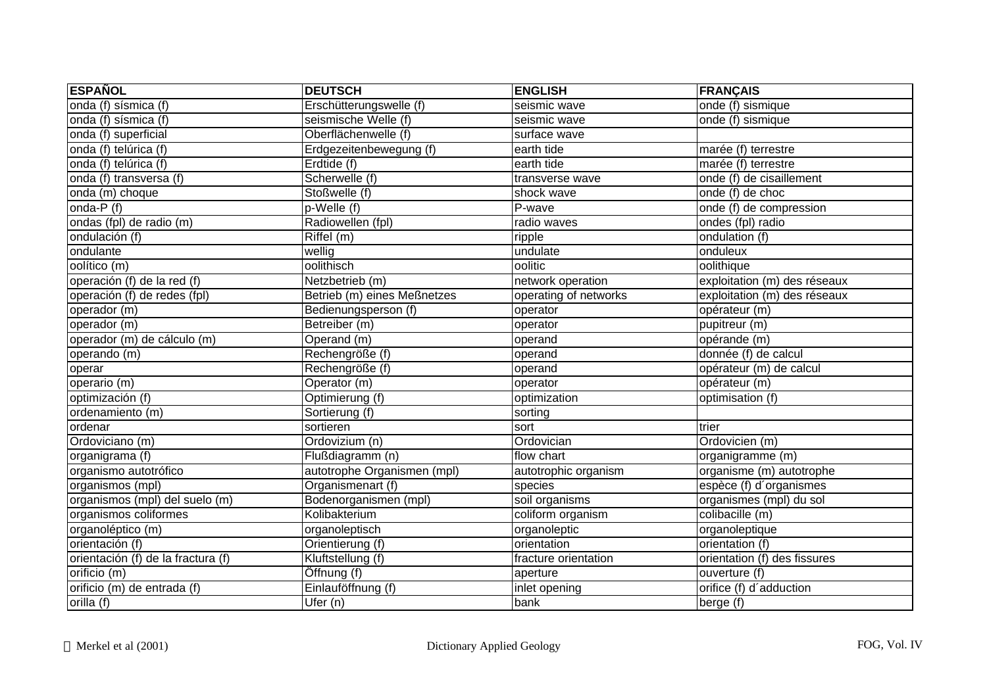| <b>ESPAÑOL</b>                     | <b>DEUTSCH</b>              | <b>ENGLISH</b>        | <b>FRANÇAIS</b>              |
|------------------------------------|-----------------------------|-----------------------|------------------------------|
| onda (f) sísmica (f)               | Erschütterungswelle (f)     | seismic wave          | onde (f) sismique            |
| onda (f) sísmica (f)               | seismische Welle (f)        | seismic wave          | onde (f) sismique            |
| onda (f) superficial               | Oberflächenwelle (f)        | surface wave          |                              |
| onda (f) telúrica (f)              | Erdgezeitenbewegung (f)     | earth tide            | $marée$ (f) terrestre        |
| onda (f) telúrica (f)              | Erdtide (f)                 | earth tide            | marée (f) terrestre          |
| onda (f) transversa (f)            | Scherwelle (f)              | transverse wave       | onde (f) de cisaillement     |
| onda (m) choque                    | Stoßwelle (f)               | shock wave            | onde (f) de choc             |
| onda- $P(f)$                       | p-Welle (f)                 | P-wave                | onde (f) de compression      |
| ondas (fpl) de radio (m)           | Radiowellen (fpl)           | radio waves           | ondes (fpl) radio            |
| ondulación (f)                     | Riffel (m)                  | ripple                | ondulation (f)               |
| ondulante                          | wellig                      | undulate              | onduleux                     |
| oolítico (m)                       | oolithisch                  | oolitic               | oolithique                   |
| operación (f) de la red (f)        | Netzbetrieb (m)             | network operation     | exploitation (m) des réseaux |
| operación (f) de redes (fpl)       | Betrieb (m) eines Meßnetzes | operating of networks | exploitation (m) des réseaux |
| operador (m)                       | Bedienungsperson (f)        | operator              | opérateur (m)                |
| operador (m)                       | Betreiber (m)               | operator              | pupitreur (m)                |
| operador (m) de cálculo (m)        | Operand (m)                 | operand               | opérande (m)                 |
| operando (m)                       | Rechengröße (f)             | operand               | donnée (f) de calcul         |
| operar                             | Rechengröße (f)             | operand               | opérateur (m) de calcul      |
| operario (m)                       | Operator (m)                | operator              | opérateur (m)                |
| optimización (f)                   | Optimierung (f)             | optimization          | optimisation (f)             |
| ordenamiento (m)                   | Sortierung (f)              | sorting               |                              |
| ordenar                            | sortieren                   | sort                  | trier                        |
| Ordoviciano (m)                    | Ordovizium (n)              | Ordovician            | Ordovicien (m)               |
| organigrama (f)                    | Flußdiagramm (n)            | flow chart            | organigramme (m)             |
| organismo autotrófico              | autotrophe Organismen (mpl) | autotrophic organism  | organisme (m) autotrophe     |
| organismos (mpl)                   | Organismenart (f)           | species               | espèce (f) d'organismes      |
| organismos (mpl) del suelo (m)     | Bodenorganismen (mpl)       | soil organisms        | organismes (mpl) du sol      |
| organismos coliformes              | Kolibakterium               | coliform organism     | colibacille (m)              |
| organoléptico (m)                  | organoleptisch              | organoleptic          | organoleptique               |
| orientación (f)                    | Orientierung (f)            | orientation           | orientation (f)              |
| orientación (f) de la fractura (f) | Kluftstellung (f)           | fracture orientation  | orientation (f) des fissures |
| orificio (m)                       | Öffnung (f)                 | aperture              | ouverture (f)                |
| orificio (m) de entrada (f)        | Einlauföffnung (f)          | inlet opening         | orifice (f) d'adduction      |
| orilla (f)                         | Ufer $(n)$                  | bank                  | berge (f)                    |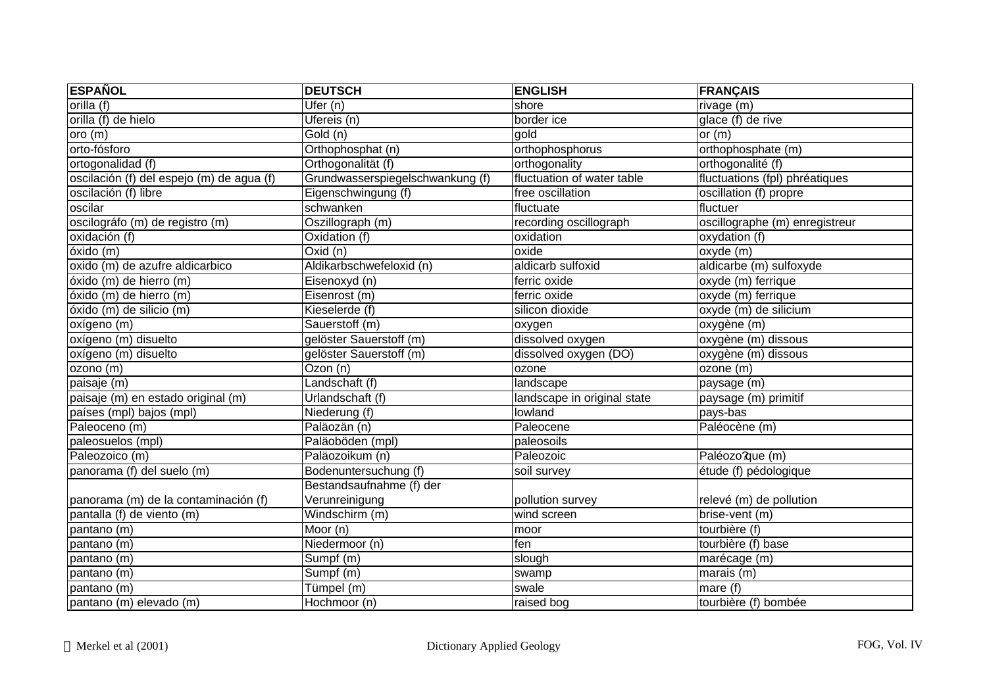| <b>ESPAÑOL</b>                            | <b>DEUTSCH</b>                   | <b>ENGLISH</b>              | <b>FRANÇAIS</b>                |
|-------------------------------------------|----------------------------------|-----------------------------|--------------------------------|
| orilla (f)                                | $\overline{U$ fer $(n)$          | shore                       | rivage (m)                     |
| orilla (f) de hielo                       | Ufereis (n)                      | border ice                  | glace (f) de rive              |
| oro(m)                                    | Gold (n)                         | gold                        | or $(m)$                       |
| orto-fósforo                              | Orthophosphat (n)                | orthophosphorus             | orthophosphate (m)             |
| ortogonalidad (f)                         | Orthogonalität (f)               | orthogonality               | orthogonalité (f)              |
| oscilación (f) del espejo (m) de agua (f) | Grundwasserspiegelschwankung (f) | fluctuation of water table  | fluctuations (fpl) phréatiques |
| oscilación (f) libre                      | Eigenschwingung (f)              | free oscillation            | oscillation (f) propre         |
| oscilar                                   | schwanken                        | fluctuate                   | fluctuer                       |
| oscilográfo (m) de registro (m)           | Oszillograph (m)                 | recording oscillograph      | oscillographe (m) enregistreur |
| oxidación (f)                             | Oxidation (f)                    | oxidation                   | oxydation (f)                  |
| óxido(m)                                  | $Ox$ id $(n)$                    | oxide                       | oxyde (m)                      |
| oxido (m) de azufre aldicarbico           | Aldikarbschwefeloxid (n)         | aldicarb sulfoxid           | aldicarbe (m) sulfoxyde        |
| óxido (m) de hierro (m)                   | Eisenoxyd (n)                    | ferric oxide                | oxyde (m) ferrique             |
| óxido (m) de hierro (m)                   | Eisenrost (m)                    | ferric oxide                | oxyde (m) ferrique             |
| óxido (m) de silicio (m)                  | Kieselerde (f)                   | silicon dioxide             | oxyde (m) de silicium          |
| oxígeno (m)                               | Sauerstoff (m)                   | oxygen                      | oxygène (m)                    |
| oxígeno (m) disuelto                      | gelöster Sauerstoff (m)          | dissolved oxygen            | oxygène (m) dissous            |
| oxígeno (m) disuelto                      | gelöster Sauerstoff (m)          | dissolved oxygen (DO)       | oxygène (m) dissous            |
| ozono (m)                                 | Ozon (n)                         | ozone                       | ozone (m)                      |
| paisaje (m)                               | Landschaft (f)                   | landscape                   | paysage (m)                    |
| paisaje (m) en estado original (m)        | Urlandschaft (f)                 | landscape in original state | paysage (m) primitif           |
| países (mpl) bajos (mpl)                  | Niederung (f)                    | lowland                     | pays-bas                       |
| Paleoceno (m)                             | Paläozän (n)                     | Paleocene                   | Paléocène (m)                  |
| paleosuelos (mpl)                         | Paläoböden (mpl)                 | paleosoils                  |                                |
| Paleozoico (m)                            | Paläozoikum (n)                  | Paleozoic                   | Paléozo?que (m)                |
| panorama (f) del suelo (m)                | Bodenuntersuchung (f)            | soil survey                 | étude (f) pédologique          |
|                                           | Bestandsaufnahme (f) der         |                             |                                |
| panorama (m) de la contaminación (f)      | Verunreinigung                   | pollution survey            | relevé (m) de pollution        |
| pantalla (f) de viento (m)                | Windschirm (m)                   | wind screen                 | brise-vent (m)                 |
| pantano (m)                               | $\overline{\text{Moor}}$ (n)     | moor                        | tourbière (f)                  |
| pantano (m)                               | Niedermoor (n)                   | fen                         | tourbière (f) base             |
| pantano (m)                               | Sumpf (m)                        | slough                      | marécage (m)                   |
| pantano (m)                               | Sumpf (m)                        | swamp                       | marais $(m)$                   |
| pantano (m)                               | Tümpel (m)                       | swale                       | mare (f)                       |
| pantano (m) elevado (m)                   | Hochmoor (n)                     | raised bog                  | tourbière (f) bombée           |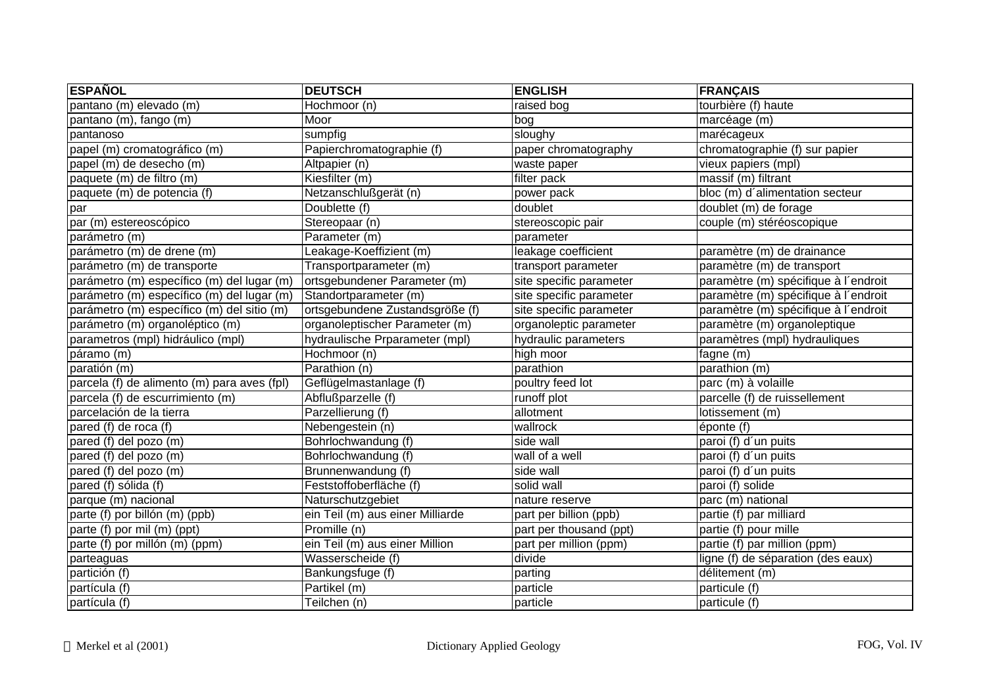| <b>ESPAÑOL</b>                              | <b>DEUTSCH</b>                   | <b>ENGLISH</b>          | <b>FRANÇAIS</b>                      |
|---------------------------------------------|----------------------------------|-------------------------|--------------------------------------|
| pantano (m) elevado (m)                     | Hochmoor (n)                     | raised bog              | tourbière (f) haute                  |
| pantano (m), fango (m)                      | Moor                             | bog                     | marcéage (m)                         |
| pantanoso                                   | sumpfig                          | sloughy                 | marécageux                           |
| papel (m) cromatográfico (m)                | Papierchromatographie (f)        | paper chromatography    | chromatographie (f) sur papier       |
| papel (m) de desecho (m)                    | Altpapier (n)                    | waste paper             | vieux papiers (mpl)                  |
| paquete (m) de filtro (m)                   | Kiesfilter (m)                   | filter pack             | massif (m) filtrant                  |
| paquete (m) de potencia (f)                 | Netzanschlußgerät (n)            | power pack              | bloc (m) d'alimentation secteur      |
| par                                         | Doublette (f)                    | doublet                 | doublet (m) de forage                |
| par (m) estereoscópico                      | Stereopaar (n)                   | stereoscopic pair       | couple (m) stéréoscopique            |
| parámetro (m)                               | Parameter (m)                    | parameter               |                                      |
| parámetro (m) de drene (m)                  | Leakage-Koeffizient (m)          | leakage coefficient     | paramètre (m) de drainance           |
| parámetro (m) de transporte                 | Transportparameter (m)           | transport parameter     | paramètre (m) de transport           |
| parámetro (m) específico (m) del lugar (m)  | ortsgebundener Parameter (m)     | site specific parameter | paramètre (m) spécifique à l'endroit |
| parámetro (m) específico (m) del lugar (m)  | Standortparameter (m)            | site specific parameter | paramètre (m) spécifique à l'endroit |
| parámetro (m) específico (m) del sitio (m)  | ortsgebundene Zustandsgröße (f)  | site specific parameter | paramètre (m) spécifique à l'endroit |
| parámetro (m) organoléptico (m)             | organoleptischer Parameter (m)   | organoleptic parameter  | paramètre (m) organoleptique         |
| parametros (mpl) hidráulico (mpl)           | hydraulische Prparameter (mpl)   | hydraulic parameters    | paramètres (mpl) hydrauliques        |
| páramo (m)                                  | Hochmoor (n)                     | high moor               | fagne (m)                            |
| paratión (m)                                | Parathion (n)                    | parathion               | parathion (m)                        |
| parcela (f) de alimento (m) para aves (fpl) | Geflügelmastanlage (f)           | poultry feed lot        | parc (m) à volaille                  |
| parcela (f) de escurrimiento (m)            | Abflußparzelle (f)               | runoff plot             | parcelle (f) de ruissellement        |
| parcelación de la tierra                    | Parzellierung (f)                | allotment               | lotissement (m)                      |
| pared (f) de roca (f)                       | Nebengestein (n)                 | wallrock                | éponte (f)                           |
| pared (f) del pozo (m)                      | Bohrlochwandung (f)              | side wall               | paroi (f) d'un puits                 |
| pared (f) del pozo (m)                      | Bohrlochwandung (f)              | wall of a well          | paroi (f) d'un puits                 |
| pared (f) del pozo (m)                      | Brunnenwandung (f)               | side wall               | paroi (f) d'un puits                 |
| pared (f) sólida (f)                        | Feststoffoberfläche (f)          | solid wall              | paroi (f) solide                     |
| parque (m) nacional                         | Naturschutzgebiet                | nature reserve          | parc (m) national                    |
| parte (f) por billón (m) (ppb)              | ein Teil (m) aus einer Milliarde | part per billion (ppb)  | partie (f) par milliard              |
| parte (f) por mil (m) (ppt)                 | Promille (n)                     | part per thousand (ppt) | partie (f) pour mille                |
| parte (f) por millón (m) (ppm)              | ein Teil (m) aus einer Million   | part per million (ppm)  | partie (f) par million (ppm)         |
| parteaguas                                  | Wasserscheide (f)                | divide                  | ligne (f) de séparation (des eaux)   |
| partición (f)                               | Bankungsfuge (f)                 | parting                 | délitement (m)                       |
| partícula (f)                               | Partikel (m)                     | particle                | particule (f)                        |
| partícula (f)                               | Teilchen (n)                     | particle                | particule (f)                        |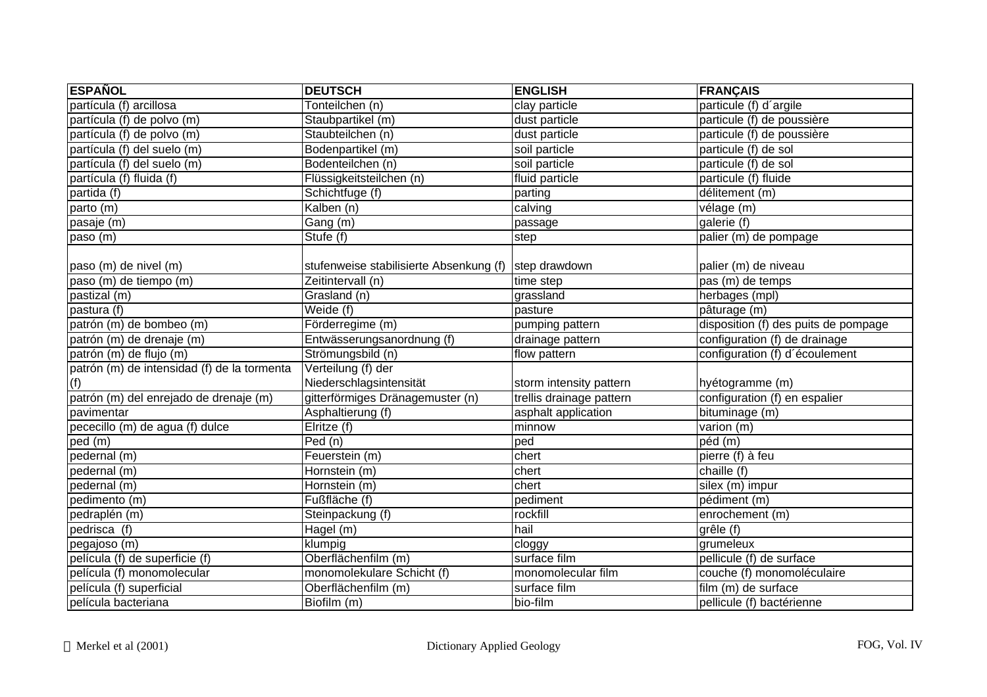| <b>ESPAÑOL</b>                              | <b>DEUTSCH</b>                                        | <b>ENGLISH</b>           | <b>FRANÇAIS</b>                      |
|---------------------------------------------|-------------------------------------------------------|--------------------------|--------------------------------------|
| partícula (f) arcillosa                     | Tonteilchen (n)                                       | clay particle            | particule (f) d'argile               |
| partícula (f) de polvo (m)                  | Staubpartikel (m)                                     | dust particle            | particule (f) de poussière           |
| partícula (f) de polvo (m)                  | Staubteilchen (n)                                     | dust particle            | particule (f) de poussière           |
| partícula (f) del suelo (m)                 | Bodenpartikel (m)                                     | soil particle            | particule (f) de sol                 |
| partícula (f) del suelo (m)                 | Bodenteilchen (n)                                     | soil particle            | particule (f) de sol                 |
| partícula (f) fluida (f)                    | Flüssigkeitsteilchen (n)                              | fluid particle           | particule (f) fluide                 |
| partida (f)                                 | Schichtfuge (f)                                       | parting                  | délitement (m)                       |
| parto (m)                                   | Kalben (n)                                            | calving                  | vélage (m)                           |
| pasaje (m)                                  | Gang (m)                                              | passage                  | galerie (f)                          |
| paso (m)                                    | Stufe (f)                                             | step                     | palier (m) de pompage                |
|                                             |                                                       |                          |                                      |
| paso (m) de nivel (m)                       | stufenweise stabilisierte Absenkung (f) step drawdown |                          | palier (m) de niveau                 |
| paso (m) de tiempo (m)                      | Zeitintervall (n)                                     | time step                | pas (m) de temps                     |
| pastizal (m)                                | Grasland (n)                                          | grassland                | herbages (mpl)                       |
| pastura (f)                                 | Weide (f)                                             | pasture                  | pâturage (m)                         |
| patrón (m) de bombeo (m)                    | Förderregime (m)                                      | pumping pattern          | disposition (f) des puits de pompage |
| patrón (m) de drenaje (m)                   | Entwässerungsanordnung (f)                            | drainage pattern         | configuration (f) de drainage        |
| patrón (m) de flujo (m)                     | Strömungsbild (n)                                     | flow pattern             | configuration (f) d'écoulement       |
| patrón (m) de intensidad (f) de la tormenta | Verteilung (f) der                                    |                          |                                      |
| (f)                                         | Niederschlagsintensität                               | storm intensity pattern  | hyétogramme (m)                      |
| patrón (m) del enrejado de drenaje (m)      | gitterförmiges Dränagemuster (n)                      | trellis drainage pattern | configuration (f) en espalier        |
| pavimentar                                  | Asphaltierung (f)                                     | asphalt application      | bituminage (m)                       |
| pececillo (m) de agua (f) dulce             | Elritze (f)                                           | minnow                   | varion $(m)$                         |
| ped(m)                                      | Ped (n)                                               | ped                      | péd (m)                              |
| pedernal (m)                                | Feuerstein (m)                                        | chert                    | pierre (f) à feu                     |
| pedernal (m)                                | Hornstein (m)                                         | chert                    | chaille (f)                          |
| pedernal (m)                                | Hornstein (m)                                         | chert                    | silex (m) impur                      |
| pedimento (m)                               | Fußfläche (f)                                         | pediment                 | pédiment (m)                         |
| pedraplén (m)                               | Steinpackung (f)                                      | rockfill                 | enrochement (m)                      |
| pedrisca (f)                                | Hagel (m)                                             | hail                     | grêle (f)                            |
| pegajoso (m)                                | klumpig                                               | cloggy                   | grumeleux                            |
| película (f) de superficie (f)              | Oberflächenfilm (m)                                   | surface film             | pellicule (f) de surface             |
| película (f) monomolecular                  | monomolekulare Schicht (f)                            | monomolecular film       | couche (f) monomoléculaire           |
| película (f) superficial                    | Oberflächenfilm (m)                                   | surface film             | film (m) de surface                  |
| película bacteriana                         | Biofilm (m)                                           | bio-film                 | pellicule (f) bactérienne            |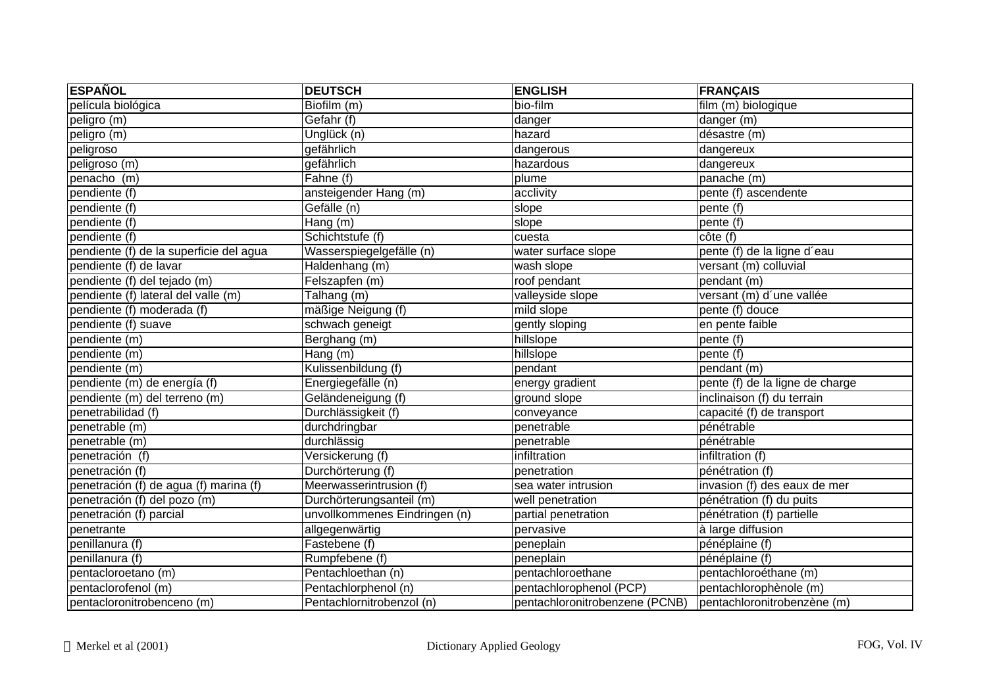| <b>ESPAÑOL</b>                          | <b>DEUTSCH</b>                | <b>ENGLISH</b>                 | <b>FRANÇAIS</b>                 |
|-----------------------------------------|-------------------------------|--------------------------------|---------------------------------|
| película biológica                      | Biofilm (m)                   | bio-film                       | film (m) biologique             |
| peligro (m)                             | Gefahr (f)                    | danger                         | danger (m)                      |
| peligro (m)                             | Unglück (n)                   | hazard                         | désastre (m)                    |
| peligroso                               | gefährlich                    | dangerous                      | dangereux                       |
| peligroso (m)                           | gefährlich                    | hazardous                      | dangereux                       |
| penacho (m)                             | Fahne (f)                     | plume                          | panache (m)                     |
| pendiente (f)                           | ansteigender Hang (m)         | acclivity                      | pente (f) ascendente            |
| pendiente (f)                           | Gefälle (n)                   | slope                          | pente $(t)$                     |
| pendiente (f)                           | $\overline{Hang}$ (m)         | slope                          | pente $(f)$                     |
| pendiente (f)                           | Schichtstufe (f)              | cuesta                         | côte (f)                        |
| pendiente (f) de la superficie del agua | Wasserspiegelgefälle (n)      | water surface slope            | pente (f) de la ligne d'eau     |
| pendiente (f) de lavar                  | Haldenhang (m)                | wash slope                     | versant (m) colluvial           |
| pendiente (f) del tejado (m)            | Felszapfen (m)                | roof pendant                   | pendant (m)                     |
| pendiente (f) lateral del valle (m)     | Talhang (m)                   | valleyside slope               | versant (m) d'une vallée        |
| pendiente (f) moderada (f)              | mäßige Neigung (f)            | mild slope                     | pente (f) douce                 |
| pendiente (f) suave                     | schwach geneigt               | gently sloping                 | en pente faible                 |
| pendiente (m)                           | Berghang (m)                  | hillslope                      | pente (f)                       |
| pendiente (m)                           | Hang (m)                      | hillslope                      | pente (f)                       |
| pendiente (m)                           | Kulissenbildung (f)           | pendant                        | pendant (m)                     |
| pendiente (m) de energía (f)            | Energiegefälle (n)            | energy gradient                | pente (f) de la ligne de charge |
| pendiente (m) del terreno (m)           | Geländeneigung (f)            | ground slope                   | inclinaison (f) du terrain      |
| penetrabilidad (f)                      | Durchlässigkeit (f)           | conveyance                     | capacité (f) de transport       |
| penetrable (m)                          | durchdringbar                 | penetrable                     | pénétrable                      |
| penetrable (m)                          | durchlässig                   | penetrable                     | pénétrable                      |
| penetración (f)                         | Versickerung (f)              | infiltration                   | infiltration (f)                |
| penetración (f)                         | Durchörterung (f)             | penetration                    | pénétration (f)                 |
| penetración (f) de agua (f) marina (f)  | Meerwasserintrusion (f)       | sea water intrusion            | invasion (f) des eaux de mer    |
| penetración (f) del pozo (m)            | Durchörterungsanteil (m)      | well penetration               | pénétration (f) du puits        |
| penetración (f) parcial                 | unvollkommenes Eindringen (n) | partial penetration            | pénétration (f) partielle       |
| penetrante                              | allgegenwärtig                | pervasive                      | à large diffusion               |
| penillanura (f)                         | Fastebene (f)                 | peneplain                      | pénéplaine (f)                  |
| penillanura (f)                         | Rumpfebene (f)                | peneplain                      | pénéplaine (f)                  |
| pentacloroetano (m)                     | Pentachloethan (n)            | pentachloroethane              | pentachloroéthane (m)           |
| pentaclorofenol (m)                     | Pentachlorphenol (n)          | pentachlorophenol (PCP)        | pentachlorophènole (m)          |
| pentacloronitrobenceno (m)              | Pentachlornitrobenzol (n)     | pentachloronitrobenzene (PCNB) | pentachloronitrobenzène (m)     |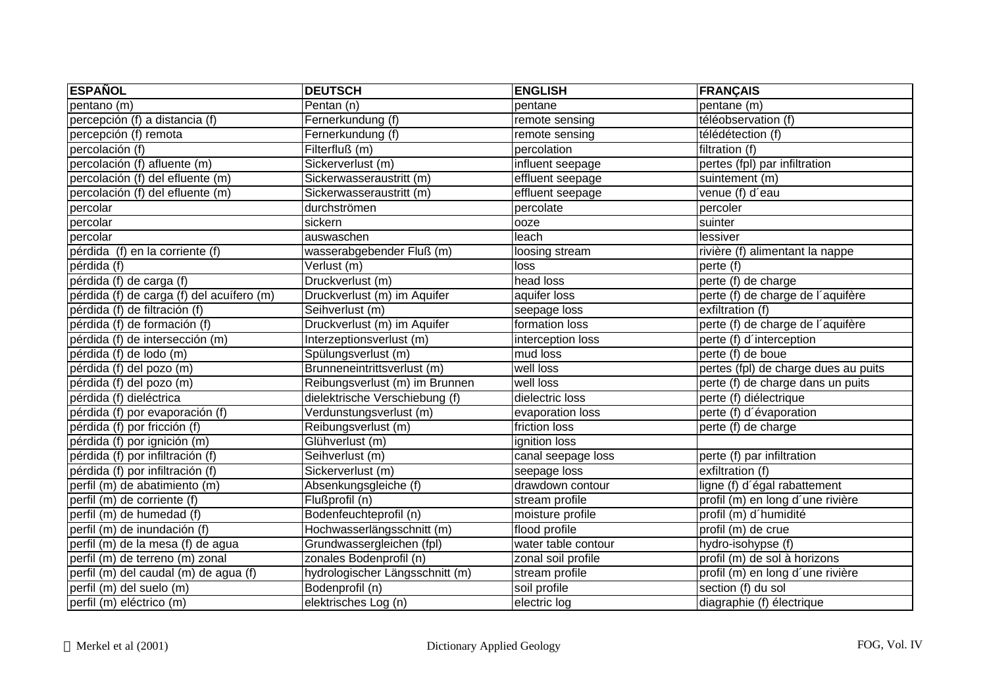| <b>ESPAÑOL</b>                            | <b>DEUTSCH</b>                  | <b>ENGLISH</b>      | <b>FRANÇAIS</b>                      |
|-------------------------------------------|---------------------------------|---------------------|--------------------------------------|
| pentano (m)                               | Pentan (n)                      | pentane             | pentane (m)                          |
| percepción (f) a distancia (f)            | Fernerkundung (f)               | remote sensing      | téléobservation (f)                  |
| percepción (f) remota                     | Fernerkundung (f)               | remote sensing      | télédétection (f)                    |
| percolación (f)                           | Filterfluß (m)                  | percolation         | filtration (f)                       |
| percolación (f) afluente (m)              | Sickerverlust (m)               | influent seepage    | pertes (fpl) par infiltration        |
| percolación (f) del efluente (m)          | Sickerwasseraustritt (m)        | effluent seepage    | suintement (m)                       |
| percolación (f) del efluente (m)          | Sickerwasseraustritt (m)        | effluent seepage    | venue (f) d'eau                      |
| percolar                                  | durchströmen                    | percolate           | percoler                             |
| percolar                                  | sickern                         | ooze                | suinter                              |
| percolar                                  | auswaschen                      | leach               | lessiver                             |
| pérdida (f) en la corriente (f)           | wasserabgebender Fluß (m)       | loosing stream      | rivière (f) alimentant la nappe      |
| pérdida (f)                               | Verlust (m)                     | loss                | perte (f)                            |
| pérdida (f) de carga (f)                  | Druckverlust (m)                | head loss           | perte (f) de charge                  |
| pérdida (f) de carga (f) del acuífero (m) | Druckverlust (m) im Aquifer     | aquifer loss        | perte (f) de charge de l'aquifère    |
| pérdida (f) de filtración (f)             | Seihverlust (m)                 | seepage loss        | exfiltration (f)                     |
| pérdida (f) de formación (f)              | Druckverlust (m) im Aquifer     | formation loss      | perte (f) de charge de l'aquifère    |
| pérdida (f) de intersección (m)           | Interzeptionsverlust (m)        | interception loss   | perte (f) d'interception             |
| pérdida (f) de lodo (m)                   | Spülungsverlust (m)             | mud loss            | perte (f) de boue                    |
| pérdida (f) del pozo (m)                  | Brunneneintrittsverlust (m)     | well loss           | pertes (fpl) de charge dues au puits |
| pérdida (f) del pozo (m)                  | Reibungsverlust (m) im Brunnen  | well loss           | perte (f) de charge dans un puits    |
| pérdida (f) dieléctrica                   | dielektrische Verschiebung (f)  | dielectric loss     | perte (f) diélectrique               |
| pérdida (f) por evaporación (f)           | Verdunstungsverlust (m)         | evaporation loss    | perte (f) d'évaporation              |
| pérdida (f) por fricción (f)              | Reibungsverlust (m)             | friction loss       | perte (f) de charge                  |
| pérdida (f) por ignición (m)              | Glühverlust (m)                 | ignition loss       |                                      |
| pérdida (f) por infiltración (f)          | Seihverlust (m)                 | canal seepage loss  | perte (f) par infiltration           |
| pérdida (f) por infiltración (f)          | Sickerverlust (m)               | seepage loss        | exfiltration (f)                     |
| perfil (m) de abatimiento (m)             | Absenkungsgleiche (f)           | drawdown contour    | ligne (f) d'égal rabattement         |
| perfil (m) de corriente (f)               | Flußprofil (n)                  | stream profile      | profil (m) en long d'une rivière     |
| perfil (m) de humedad (f)                 | Bodenfeuchteprofil (n)          | moisture profile    | profil (m) d'humidité                |
| perfil (m) de inundación (f)              | Hochwasserlängsschnitt (m)      | flood profile       | profil (m) de crue                   |
| perfil (m) de la mesa (f) de agua         | Grundwassergleichen (fpl)       | water table contour | hydro-isohypse (f)                   |
| perfil (m) de terreno (m) zonal           | zonales Bodenprofil (n)         | zonal soil profile  | profil (m) de sol à horizons         |
| perfil (m) del caudal (m) de agua (f)     | hydrologischer Längsschnitt (m) | stream profile      | profil (m) en long d'une rivière     |
| perfil (m) del suelo (m)                  | Bodenprofil (n)                 | soil profile        | section (f) du sol                   |
| perfil (m) eléctrico (m)                  | elektrisches Log (n)            | electric log        | diagraphie (f) électrique            |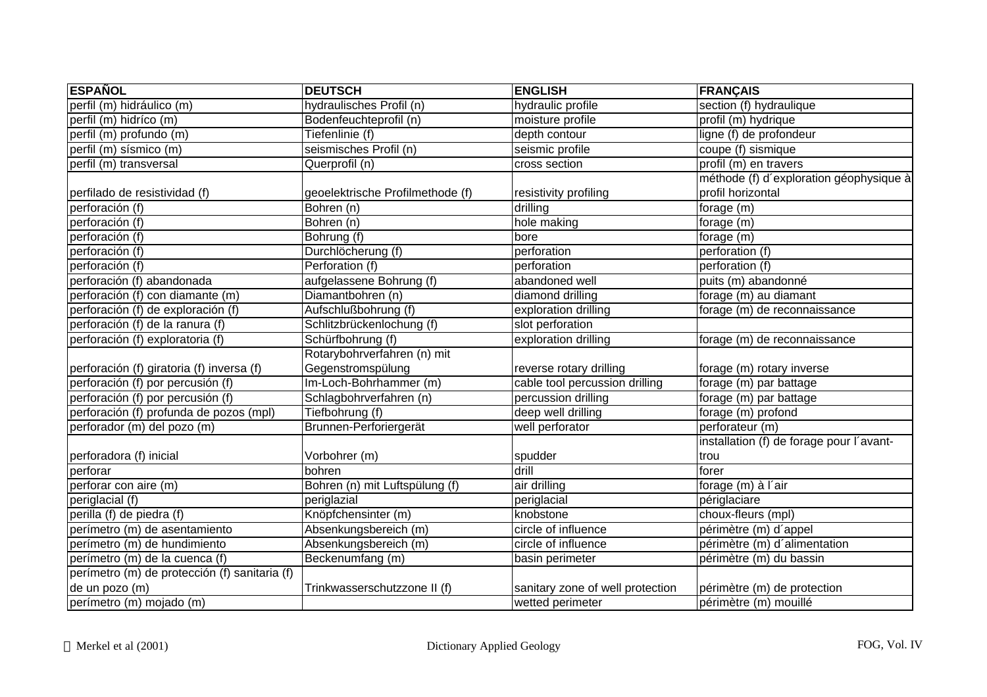| <b>ESPAÑOL</b>                                | <b>DEUTSCH</b>                   | <b>ENGLISH</b>                   | <b>FRANÇAIS</b>                          |
|-----------------------------------------------|----------------------------------|----------------------------------|------------------------------------------|
| perfil (m) hidráulico (m)                     | hydraulisches Profil (n)         | hydraulic profile                | section (f) hydraulique                  |
| perfil (m) hidríco (m)                        | Bodenfeuchteprofil (n)           | moisture profile                 | profil (m) hydrique                      |
| perfil (m) profundo (m)                       | Tiefenlinie (f)                  | depth contour                    | ligne (f) de profondeur                  |
| perfil (m) sísmico (m)                        | seismisches Profil (n)           | seismic profile                  | coupe (f) sismique                       |
| perfil (m) transversal                        | Querprofil (n)                   | cross section                    | profil (m) en travers                    |
|                                               |                                  |                                  | méthode (f) d'exploration géophysique à  |
| perfilado de resistividad (f)                 | geoelektrische Profilmethode (f) | resistivity profiling            | profil horizontal                        |
| perforación (f)                               | Bohren (n)                       | drilling                         | forage (m)                               |
| perforación (f)                               | Bohren (n)                       | hole making                      | forage (m)                               |
| perforación (f)                               | Bohrung (f)                      | bore                             | forage (m)                               |
| perforación (f)                               | Durchlöcherung (f)               | perforation                      | perforation (f)                          |
| perforación (f)                               | Perforation (f)                  | perforation                      | perforation (f)                          |
| perforación (f) abandonada                    | aufgelassene Bohrung (f)         | abandoned well                   | puits (m) abandonné                      |
| perforación (f) con diamante (m)              | Diamantbohren (n)                | diamond drilling                 | forage (m) au diamant                    |
| perforación (f) de exploración (f)            | Aufschlußbohrung (f)             | exploration drilling             | forage (m) de reconnaissance             |
| perforación (f) de la ranura (f)              | Schlitzbrückenlochung (f)        | slot perforation                 |                                          |
| perforación (f) exploratoria (f)              | Schürfbohrung (f)                | exploration drilling             | forage (m) de reconnaissance             |
|                                               | Rotarybohrverfahren (n) mit      |                                  |                                          |
| perforación (f) giratoria (f) inversa (f)     | Gegenstromspülung                | reverse rotary drilling          | forage (m) rotary inverse                |
| perforación (f) por percusión (f)             | Im-Loch-Bohrhammer (m)           | cable tool percussion drilling   | forage (m) par battage                   |
| perforación (f) por percusión (f)             | Schlagbohrverfahren (n)          | percussion drilling              | forage (m) par battage                   |
| perforación (f) profunda de pozos (mpl)       | Tiefbohrung (f)                  | deep well drilling               | forage (m) profond                       |
| perforador (m) del pozo (m)                   | Brunnen-Perforiergerät           | well perforator                  | perforateur (m)                          |
|                                               |                                  |                                  | installation (f) de forage pour l'avant- |
| perforadora (f) inicial                       | Vorbohrer (m)                    | spudder                          | trou                                     |
| perforar                                      | bohren                           | drill                            | forer                                    |
| perforar con aire (m)                         | Bohren (n) mit Luftspülung (f)   | air drilling                     | forage (m) à l'air                       |
| periglacial (f)                               | periglazial                      | periglacial                      | périglaciare                             |
| perilla (f) de piedra (f)                     | Knöpfchensinter (m)              | knobstone                        | choux-fleurs (mpl)                       |
| perímetro (m) de asentamiento                 | Absenkungsbereich (m)            | circle of influence              | périmètre (m) d'appel                    |
| perímetro (m) de hundimiento                  | Absenkungsbereich (m)            | circle of influence              | périmètre (m) d'alimentation             |
| perímetro (m) de la cuenca (f)                | Beckenumfang (m)                 | basin perimeter                  | périmètre (m) du bassin                  |
| perímetro (m) de protección (f) sanitaria (f) |                                  |                                  |                                          |
| de un pozo (m)                                | Trinkwasserschutzzone II (f)     | sanitary zone of well protection | périmètre (m) de protection              |
| perímetro (m) mojado (m)                      |                                  | wetted perimeter                 | périmètre (m) mouillé                    |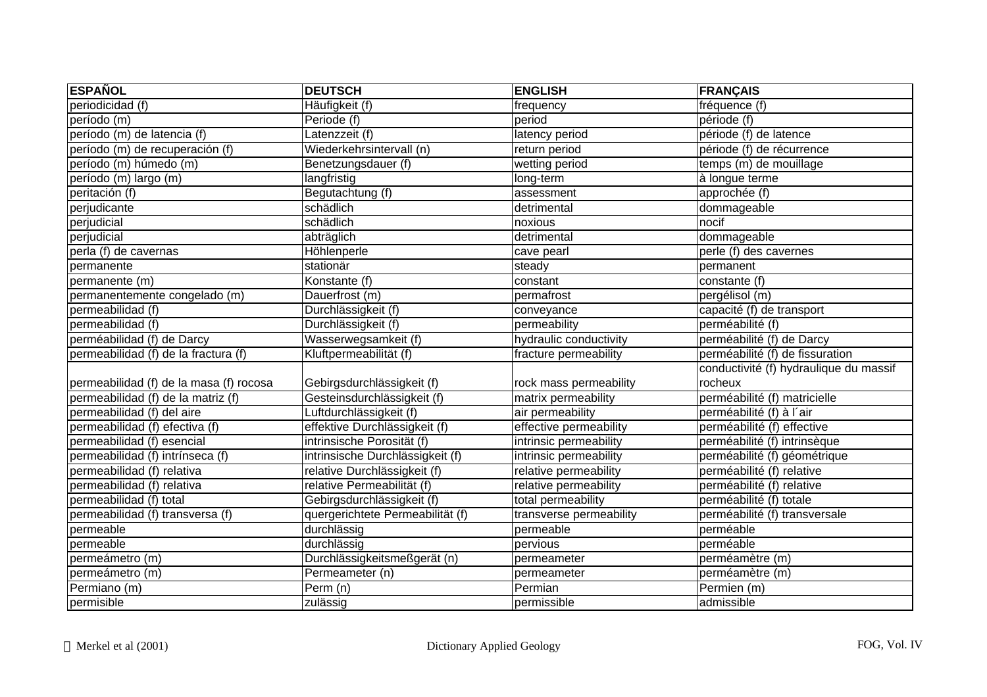| <b>ESPAÑOL</b>                          | <b>DEUTSCH</b>                   | <b>ENGLISH</b>          | <b>FRANÇAIS</b>                        |
|-----------------------------------------|----------------------------------|-------------------------|----------------------------------------|
| periodicidad (f)                        | Häufigkeit (f)                   | frequency               | fréquence (f)                          |
| período (m)                             | Periode (f)                      | period                  | période (f)                            |
| período (m) de latencia (f)             | Latenzzeit (f)                   | latency period          | période (f) de latence                 |
| período (m) de recuperación (f)         | Wiederkehrsintervall (n)         | return period           | période (f) de récurrence              |
| período (m) húmedo (m)                  | Benetzungsdauer (f)              | wetting period          | temps (m) de mouillage                 |
| período (m) largo (m)                   | langfristig                      | long-term               | à longue terme                         |
| peritación (f)                          | Begutachtung (f)                 | assessment              | approchée (f)                          |
| perjudicante                            | schädlich                        | detrimental             | dommageable                            |
| perjudicial                             | schädlich                        | noxious                 | nocif                                  |
| perjudicial                             | abträglich                       | detrimental             | dommageable                            |
| perla (f) de cavernas                   | Höhlenperle                      | cave pearl              | perle (f) des cavernes                 |
| permanente                              | stationär                        | steady                  | permanent                              |
| permanente (m)                          | Konstante (f)                    | constant                | constante (f)                          |
| permanentemente congelado (m)           | Dauerfrost (m)                   | permafrost              | pergélisol (m)                         |
| permeabilidad (f)                       | Durchlässigkeit (f)              | conveyance              | capacité (f) de transport              |
| permeabilidad (f)                       | Durchlässigkeit (f)              | permeability            | perméabilité (f)                       |
| perméabilidad (f) de Darcy              | Wasserwegsamkeit (f)             | hydraulic conductivity  | perméabilité (f) de Darcy              |
| permeabilidad (f) de la fractura (f)    | Kluftpermeabilität (f)           | fracture permeability   | perméabilité (f) de fissuration        |
|                                         |                                  |                         | conductivité (f) hydraulique du massif |
| permeabilidad (f) de la masa (f) rocosa | Gebirgsdurchlässigkeit (f)       | rock mass permeability  | rocheux                                |
| permeabilidad (f) de la matriz (f)      | Gesteinsdurchlässigkeit (f)      | matrix permeability     | perméabilité (f) matricielle           |
| permeabilidad (f) del aire              | Luftdurchlässigkeit (f)          | air permeability        | perméabilité (f) à l'air               |
| permeabilidad (f) efectiva (f)          | effektive Durchlässigkeit (f)    | effective permeability  | perméabilité (f) effective             |
| permeabilidad (f) esencial              | intrinsische Porosität (f)       | intrinsic permeability  | perméabilité (f) intrinsèque           |
| permeabilidad (f) intrínseca (f)        | intrinsische Durchlässigkeit (f) | intrinsic permeability  | perméabilité (f) géométrique           |
| permeabilidad (f) relativa              | relative Durchlässigkeit (f)     | relative permeability   | perméabilité (f) relative              |
| permeabilidad (f) relativa              | relative Permeabilität (f)       | relative permeability   | perméabilité (f) relative              |
| permeabilidad (f) total                 | Gebirgsdurchlässigkeit (f)       | total permeability      | perméabilité (f) totale                |
| permeabilidad (f) transversa (f)        | quergerichtete Permeabilität (f) | transverse permeability | perméabilité (f) transversale          |
| permeable                               | durchlässig                      | permeable               | perméable                              |
| permeable                               | durchlässig                      | pervious                | perméable                              |
| permeámetro (m)                         | Durchlässigkeitsmeßgerät (n)     | permeameter             | perméamètre (m)                        |
| permeámetro (m)                         | Permeameter (n)                  | permeameter             | perméamètre (m)                        |
| Permiano (m)                            | Perm (n)                         | Permian                 | Permien (m)                            |
| permisible                              | zulässig                         | permissible             | admissible                             |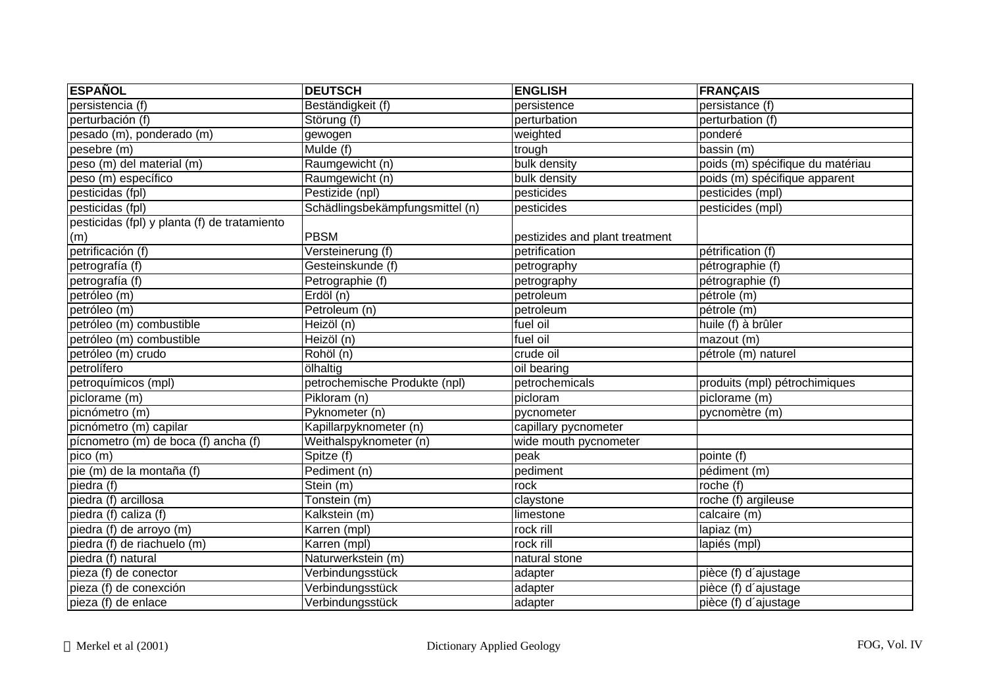| <b>ESPAÑOL</b>                               | <b>DEUTSCH</b>                  | <b>ENGLISH</b>                 | <b>FRANÇAIS</b>                  |
|----------------------------------------------|---------------------------------|--------------------------------|----------------------------------|
| persistencia (f)                             | Beständigkeit (f)               | persistence                    | persistance (f)                  |
| perturbación (f)                             | Störung (f)                     | perturbation                   | perturbation (f)                 |
| pesado (m), ponderado (m)                    | gewogen                         | weighted                       | ponderé                          |
| pesebre (m)                                  | Mulde(f)                        | trough                         | bassin (m)                       |
| peso (m) del material (m)                    | Raumgewicht (n)                 | bulk density                   | poids (m) spécifique du matériau |
| peso (m) específico                          | Raumgewicht (n)                 | bulk density                   | poids (m) spécifique apparent    |
| pesticidas (fpl)                             | Pestizide (npl)                 | pesticides                     | pesticides (mpl)                 |
| pesticidas (fpl)                             | Schädlingsbekämpfungsmittel (n) | pesticides                     | pesticides (mpl)                 |
| pesticidas (fpl) y planta (f) de tratamiento |                                 |                                |                                  |
| (m)                                          | PBSM                            | pestizides and plant treatment |                                  |
| petrificación (f)                            | Versteinerung (f)               | petrification                  | pétrification (f)                |
| petrografía (f)                              | Gesteinskunde (f)               | petrography                    | pétrographie (f)                 |
| petrografía (f)                              | Petrographie (f)                | petrography                    | pétrographie (f)                 |
| petróleo (m)                                 | Erdöl (n)                       | petroleum                      | pétrole (m)                      |
| petróleo (m)                                 | Petroleum (n)                   | petroleum                      | pétrole (m)                      |
| petróleo (m) combustible                     | Heizöl (n)                      | fuel oil                       | huile (f) à brûler               |
| petróleo (m) combustible                     | Heizöl (n)                      | fuel oil                       | mazout (m)                       |
| petróleo (m) crudo                           | Rohöl (n)                       | crude oil                      | pétrole (m) naturel              |
| petrolífero                                  | ölhaltig                        | oil bearing                    |                                  |
| petroquímicos (mpl)                          | petrochemische Produkte (npl)   | petrochemicals                 | produits (mpl) pétrochimiques    |
| piclorame (m)                                | Pikloram (n)                    | picloram                       | piclorame (m)                    |
| picnómetro (m)                               | Pyknometer (n)                  | pycnometer                     | pycnomètre (m)                   |
| picnómetro (m) capilar                       | Kapillarpyknometer (n)          | capillary pycnometer           |                                  |
| pícnometro (m) de boca (f) ancha (f)         | Weithalspyknometer (n)          | wide mouth pycnometer          |                                  |
| pico (m)                                     | Spitze (f)                      | peak                           | pointe (f)                       |
| pie (m) de la montaña (f)                    | Pediment (n)                    | pediment                       | pédiment (m)                     |
| piedra (f)                                   | $\overline{\mathsf{Stein}}$ (m) | rock                           | roche (f)                        |
| piedra (f) arcillosa                         | Tonstein (m)                    | claystone                      | roche (f) argileuse              |
| piedra (f) caliza (f)                        | Kalkstein (m)                   | limestone                      | calcaire (m)                     |
| piedra (f) de arroyo (m)                     | Karren (mpl)                    | rock rill                      | lapiaz (m)                       |
| piedra (f) de riachuelo (m)                  | Karren (mpl)                    | rock rill                      | lapiés (mpl)                     |
| piedra (f) natural                           | Naturwerkstein (m)              | natural stone                  |                                  |
| pieza (f) de conector                        | Verbindungsstück                | adapter                        | pièce (f) d'ajustage             |
| pieza (f) de conexción                       | Verbindungsstück                | adapter                        | pièce (f) d'ajustage             |
| pieza (f) de enlace                          | Verbindungsstück                | adapter                        | pièce (f) d'ajustage             |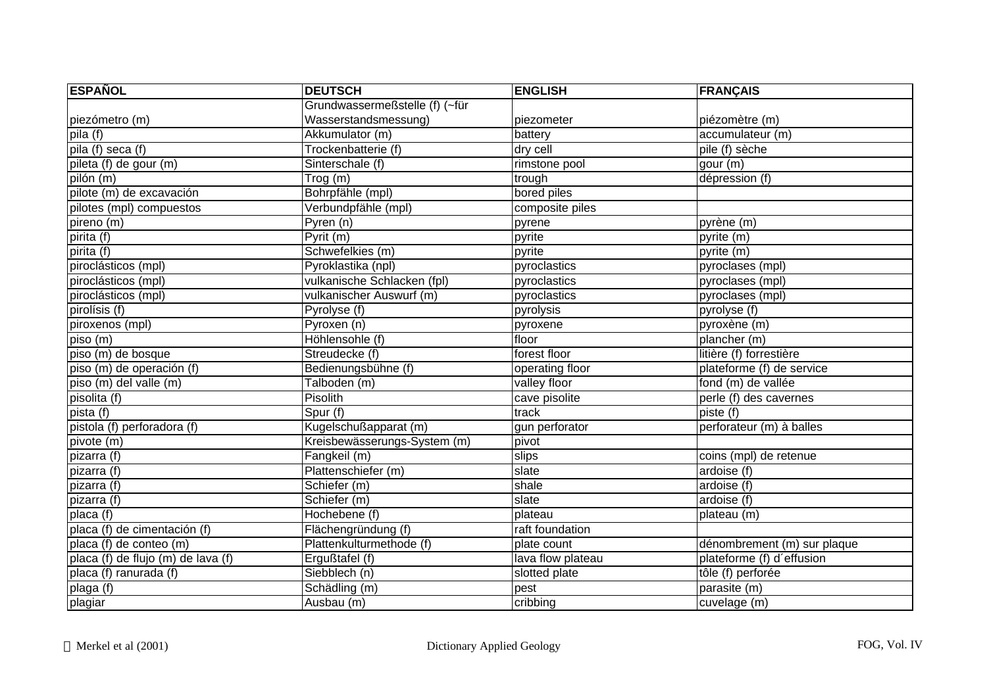| <b>ESPAÑOL</b>                     | <b>DEUTSCH</b>                 | <b>ENGLISH</b>    | <b>FRANÇAIS</b>             |
|------------------------------------|--------------------------------|-------------------|-----------------------------|
|                                    | Grundwassermeßstelle (f) (~für |                   |                             |
| piezómetro (m)                     | Wasserstandsmessung)           | piezometer        | piézomètre (m)              |
| pila (f)                           | Akkumulator (m)                | battery           | accumulateur (m)            |
| pila (f) seca (f)                  | Trockenbatterie (f)            | dry cell          | pile (f) sèche              |
| pileta (f) de gour (m)             | Sinterschale (f)               | rimstone pool     | gour (m)                    |
| pilón (m)                          | Trog (m)                       | trough            | dépression (f)              |
| pilote (m) de excavación           | Bohrpfähle (mpl)               | bored piles       |                             |
| pilotes (mpl) compuestos           | Verbundpfähle (mpl)            | composite piles   |                             |
| pireno (m)                         | Pyren (n)                      | pyrene            | pyrène (m)                  |
| pirita (f)                         | Pyrit (m)                      | pyrite            | pyrite (m)                  |
| pirita (f)                         | Schwefelkies (m)               | pyrite            | pyrite (m)                  |
| piroclásticos (mpl)                | Pyroklastika (npl)             | pyroclastics      | pyroclases (mpl)            |
| piroclásticos (mpl)                | vulkanische Schlacken (fpl)    | pyroclastics      | pyroclases (mpl)            |
| piroclásticos (mpl)                | vulkanischer Auswurf (m)       | pyroclastics      | pyroclases (mpl)            |
| pirolísis (f)                      | $\overline{Py}$ rolyse (f)     | pyrolysis         | pyrolyse (f)                |
| piroxenos (mpl)                    | Pyroxen (n)                    | pyroxene          | pyroxène (m)                |
| piso (m)                           | Höhlensohle (f)                | floor             | plancher (m)                |
| piso (m) de bosque                 | Streudecke (f)                 | forest floor      | litière (f) forrestière     |
| piso (m) de operación (f)          | Bedienungsbühne (f)            | operating floor   | plateforme (f) de service   |
| piso (m) del valle (m)             | Talboden (m)                   | valley floor      | fond (m) de vallée          |
| pisolita (f)                       | Pisolith                       | cave pisolite     | perle (f) des cavernes      |
| pista (f)                          | Spur (f)                       | track             | piste(f)                    |
| pistola (f) perforadora (f)        | Kugelschußapparat (m)          | gun perforator    | perforateur (m) à balles    |
| pivote (m)                         | Kreisbewässerungs-System (m)   | pivot             |                             |
| pizarra $\overline{(f)}$           | Fangkeil (m)                   | slips             | coins (mpl) de retenue      |
| pizarra (f)                        | Plattenschiefer (m)            | slate             | ardoise (f)                 |
| pizarra (f)                        | Schiefer (m)                   | shale             | ardoise (f)                 |
| pizarra (f)                        | Schiefer (m)                   | slate             | ardoise (f)                 |
| placa (f)                          | Hochebene (f)                  | plateau           | plateau (m)                 |
| placa (f) de cimentación (f)       | Flächengründung (f)            | raft foundation   |                             |
| placa (f) de conteo (m)            | Plattenkulturmethode (f)       | plate count       | dénombrement (m) sur plaque |
| placa (f) de flujo (m) de lava (f) | Ergußtafel (f)                 | lava flow plateau | plateforme (f) d'effusion   |
| placa (f) ranurada (f)             | Siebblech (n)                  | slotted plate     | tôle (f) perforée           |
| plaga (f)                          | Schädling (m)                  | pest              | parasite (m)                |
| plagiar                            | Ausbau (m)                     | cribbing          | cuvelage (m)                |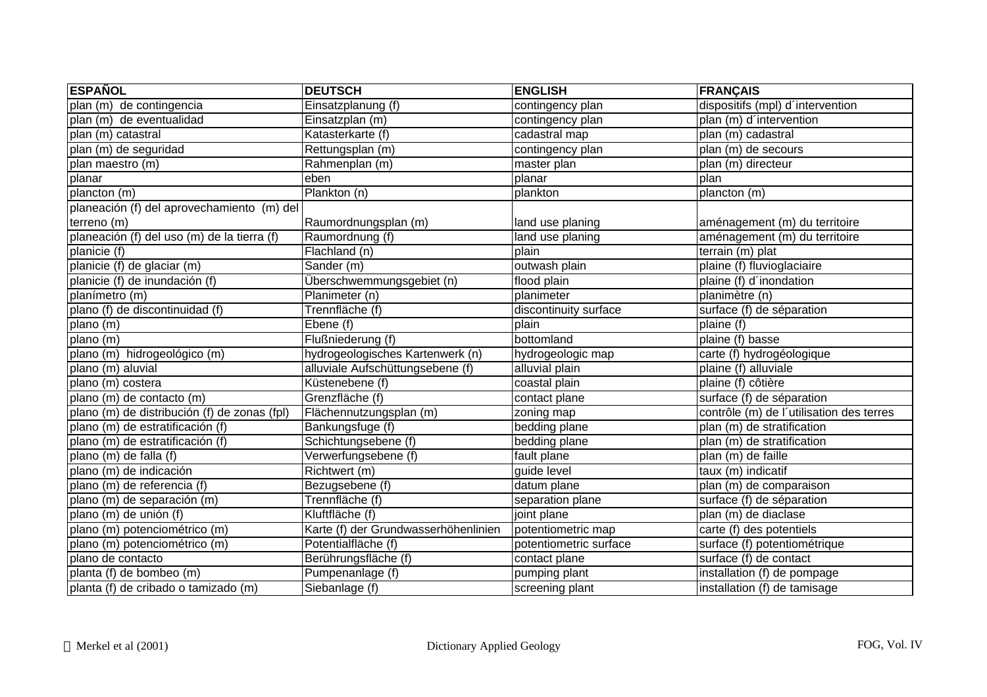| <b>ESPAÑOL</b>                               | <b>DEUTSCH</b>                       | <b>ENGLISH</b>         | <b>FRANÇAIS</b>                          |
|----------------------------------------------|--------------------------------------|------------------------|------------------------------------------|
| plan (m) de contingencia                     | Einsatzplanung (f)                   | contingency plan       | dispositifs (mpl) d'intervention         |
| plan (m) de eventualidad                     | Einsatzplan (m)                      | contingency plan       | plan (m) d'intervention                  |
| plan (m) catastral                           | Katasterkarte (f)                    | cadastral map          | plan (m) cadastral                       |
| plan (m) de seguridad                        | Rettungsplan (m)                     | contingency plan       | plan (m) de secours                      |
| plan maestro (m)                             | Rahmenplan (m)                       | master plan            | plan (m) directeur                       |
| planar                                       | eben                                 | planar                 | plan                                     |
| plancton (m)                                 | Plankton (n)                         | plankton               | plancton (m)                             |
| planeación (f) del aprovechamiento (m) del   |                                      |                        |                                          |
| terreno (m)                                  | Raumordnungsplan (m)                 | land use planing       | aménagement (m) du territoire            |
| planeación (f) del uso (m) de la tierra (f)  | Raumordnung (f)                      | land use planing       | aménagement (m) du territoire            |
| planicie (f)                                 | Flachland (n)                        | plain                  | terrain (m) plat                         |
| planicie (f) de glaciar (m)                  | Sander (m)                           | outwash plain          | plaine (f) fluvioglaciaire               |
| planicie (f) de inundación (f)               | Überschwemmungsgebiet (n)            | flood plain            | plaine (f) d'inondation                  |
| planímetro (m)                               | Planimeter (n)                       | planimeter             | planimètre (n)                           |
| plano (f) de discontinuidad (f)              | Trennfläche (f)                      | discontinuity surface  | surface (f) de séparation                |
| plano (m)                                    | Ebene (f)                            | plain                  | plaine (f)                               |
| plano (m)                                    | Flußniederung (f)                    | bottomland             | plaine (f) basse                         |
| plano (m) hidrogeológico (m)                 | hydrogeologisches Kartenwerk (n)     | hydrogeologic map      | carte (f) hydrogéologique                |
| plano (m) aluvial                            | alluviale Aufschüttungsebene (f)     | alluvial plain         | plaine (f) alluviale                     |
| plano (m) costera                            | Küstenebene (f)                      | coastal plain          | plaine (f) côtière                       |
| plano (m) de contacto (m)                    | Grenzfläche (f)                      | contact plane          | surface (f) de séparation                |
| plano (m) de distribución (f) de zonas (fpl) | Flächennutzungsplan (m)              | zoning map             | contrôle (m) de l'utilisation des terres |
| plano (m) de estratificación (f)             | Bankungsfuge (f)                     | bedding plane          | plan (m) de stratification               |
| plano (m) de estratificación (f)             | Schichtungsebene (f)                 | bedding plane          | plan (m) de stratification               |
| plano (m) de falla (f)                       | Verwerfungsebene (f)                 | fault plane            | plan (m) de faille                       |
| plano (m) de indicación                      | Richtwert (m)                        | guide level            | taux (m) indicatif                       |
| plano (m) de referencia (f)                  | Bezugsebene (f)                      | datum plane            | plan (m) de comparaison                  |
| plano (m) de separación (m)                  | Trennfläche (f)                      | separation plane       | surface (f) de séparation                |
| plano (m) de unión (f)                       | Kluftfläche (f)                      | joint plane            | plan (m) de diaclase                     |
| plano (m) potenciométrico (m)                | Karte (f) der Grundwasserhöhenlinien | potentiometric map     | carte (f) des potentiels                 |
| plano (m) potenciométrico (m)                | Potentialfläche (f)                  | potentiometric surface | surface (f) potentiométrique             |
| plano de contacto                            | Berührungsfläche (f)                 | contact plane          | surface (f) de contact                   |
| planta (f) de bombeo (m)                     | Pumpenanlage (f)                     | pumping plant          | installation (f) de pompage              |
| planta (f) de cribado o tamizado (m)         | Siebanlage (f)                       | screening plant        | installation (f) de tamisage             |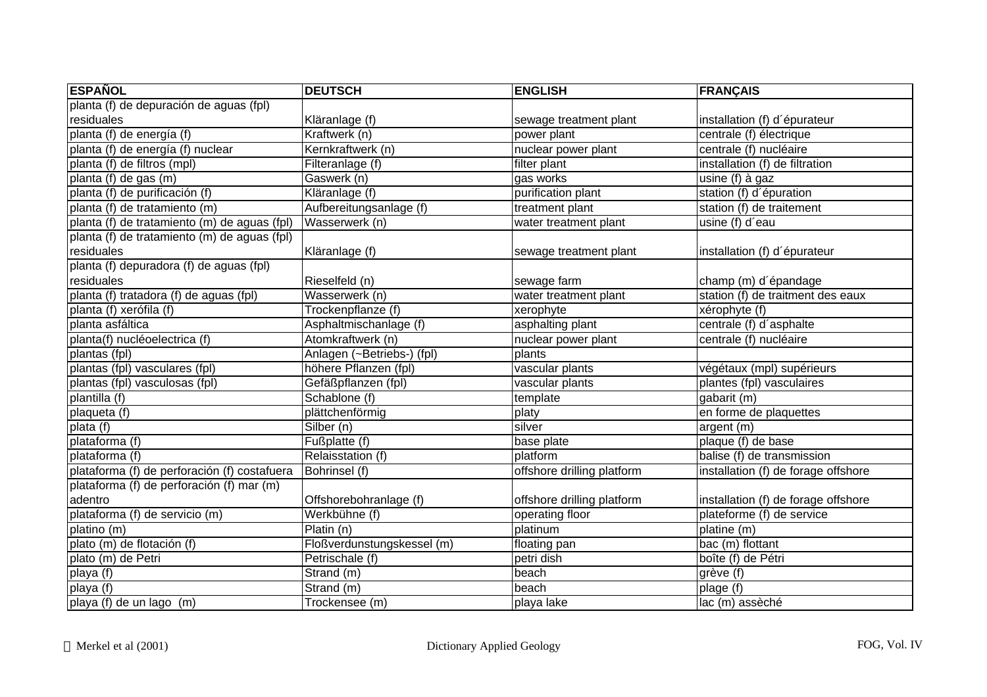| <b>ESPAÑOL</b>                               | <b>DEUTSCH</b>             | <b>ENGLISH</b>             | <b>FRANÇAIS</b>                     |
|----------------------------------------------|----------------------------|----------------------------|-------------------------------------|
| planta (f) de depuración de aguas (fpl)      |                            |                            |                                     |
| residuales                                   | Kläranlage (f)             | sewage treatment plant     | installation (f) d'épurateur        |
| planta (f) de energía (f)                    | Kraftwerk (n)              | power plant                | centrale (f) électrique             |
| planta (f) de energía (f) nuclear            | Kernkraftwerk (n)          | nuclear power plant        | centrale (f) nucléaire              |
| planta (f) de filtros (mpl)                  | Filteranlage (f)           | filter plant               | installation (f) de filtration      |
| planta (f) de gas (m)                        | Gaswerk (n)                | gas works                  | $\overline{using}$ (f) à gaz        |
| planta (f) de purificación (f)               | Kläranlage (f)             | purification plant         | station (f) d'épuration             |
| planta (f) de tratamiento (m)                | Aufbereitungsanlage (f)    | treatment plant            | station (f) de traitement           |
| planta (f) de tratamiento (m) de aguas (fpl) | Wasserwerk (n)             | water treatment plant      | usine (f) d'eau                     |
| planta (f) de tratamiento (m) de aguas (fpl) |                            |                            |                                     |
| residuales                                   | Kläranlage (f)             | sewage treatment plant     | installation (f) d'épurateur        |
| planta (f) depuradora (f) de aguas (fpl)     |                            |                            |                                     |
| residuales                                   | Rieselfeld (n)             | sewage farm                | champ (m) d'épandage                |
| planta (f) tratadora (f) de aguas (fpl)      | Wasserwerk (n)             | water treatment plant      | station (f) de traitment des eaux   |
| planta (f) xerófila (f)                      | Trockenpflanze (f)         | xerophyte                  | xérophyte (f)                       |
| planta asfáltica                             | Asphaltmischanlage (f)     | asphalting plant           | centrale (f) d'asphalte             |
| planta(f) nucléoelectrica (f)                | Atomkraftwerk (n)          | nuclear power plant        | centrale (f) nucléaire              |
| plantas (fpl)                                | Anlagen (~Betriebs-) (fpl) | plants                     |                                     |
| plantas (fpl) vasculares (fpl)               | höhere Pflanzen (fpl)      | vascular plants            | végétaux (mpl) supérieurs           |
| plantas (fpl) vasculosas (fpl)               | Gefäßpflanzen (fpl)        | vascular plants            | plantes (fpl) vasculaires           |
| $\overline{p}$ lantilla (f)                  | Schablone (f)              | template                   | gabarit (m)                         |
| plaqueta $(t)$                               | plättchenförmig            | platy                      | en forme de plaquettes              |
| plata $(f)$                                  | Silber(n)                  | silver                     | argent (m)                          |
| plataforma (f)                               | Fußplatte $(f)$            | base plate                 | plaque (f) de base                  |
| plataforma (f)                               | Relaisstation (f)          | platform                   | balise (f) de transmission          |
| plataforma (f) de perforación (f) costafuera | Bohrinsel (f)              | offshore drilling platform | installation (f) de forage offshore |
| plataforma (f) de perforación (f) mar (m)    |                            |                            |                                     |
| adentro                                      | Offshorebohranlage (f)     | offshore drilling platform | installation (f) de forage offshore |
| plataforma (f) de servicio (m)               | Werkbühne (f)              | operating floor            | plateforme (f) de service           |
| platino (m)                                  | Platin (n)                 | platinum                   | platine (m)                         |
| plato (m) de flotación (f)                   | Floßverdunstungskessel (m) | floating pan               | bac (m) flottant                    |
| plato (m) de Petri                           | Petrischale (f)            | petri dish                 | boîte (f) de Pétri                  |
| playa (f)                                    | Strand (m)                 | beach                      | grève (f)                           |
| playa (f)                                    | Strand (m)                 | beach                      | plage $(t)$                         |
| playa (f) de un lago (m)                     | Trockensee (m)             | playa lake                 | lac (m) assèché                     |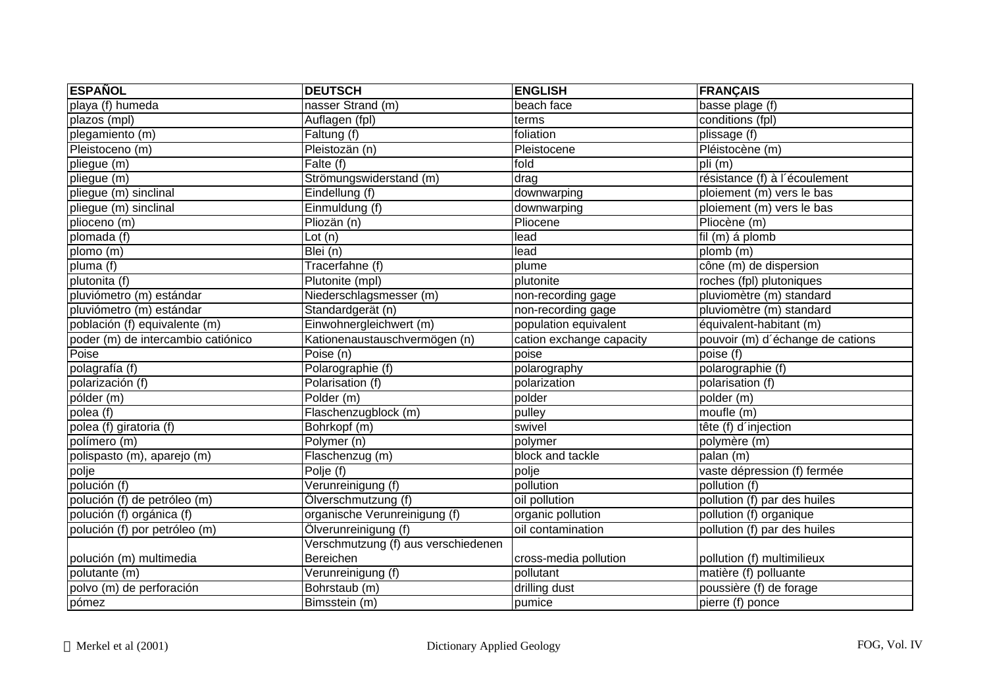| <b>ESPAÑOL</b>                     | <b>DEUTSCH</b>                      | <b>ENGLISH</b>           | <b>FRANÇAIS</b>                  |
|------------------------------------|-------------------------------------|--------------------------|----------------------------------|
| playa (f) humeda                   | nasser Strand (m)                   | beach face               | basse plage (f)                  |
| plazos (mpl)                       | Auflagen (fpl)                      | terms                    | conditions (fpl)                 |
| plegamiento (m)                    | Faltung (f)                         | foliation                | plissage (f)                     |
| Pleistoceno (m)                    | Pleistozän (n)                      | Pleistocene              | Pléistocène (m)                  |
| pliegue (m)                        | Falte (f)                           | fold                     | pli (m)                          |
| pliegue (m)                        | Strömungswiderstand (m)             | drag                     | résistance (f) à l'écoulement    |
| pliegue (m) sinclinal              | Eindellung (f)                      | downwarping              | ploiement (m) vers le bas        |
| pliegue (m) sinclinal              | Einmuldung (f)                      | downwarping              | ploiement (m) vers le bas        |
| plioceno (m)                       | Pliozan(n)                          | Pliocene                 | Pliocène (m)                     |
| plomada (f)                        | Lot $(n)$                           | lead                     | fil (m) á plomb                  |
| plomo (m)                          | Blei (n)                            | lead                     | plomb (m)                        |
| pluma (f)                          | Tracerfahne (f)                     | plume                    | cône (m) de dispersion           |
| plutonita (f)                      | Plutonite (mpl)                     | plutonite                | roches (fpl) plutoniques         |
| pluviómetro (m) estándar           | Niederschlagsmesser (m)             | non-recording gage       | pluviomètre (m) standard         |
| pluviómetro (m) estándar           | Standardgerät (n)                   | non-recording gage       | pluviomètre (m) standard         |
| población (f) equivalente (m)      | Einwohnergleichwert (m)             | population equivalent    | équivalent-habitant (m)          |
| poder (m) de intercambio catiónico | Kationenaustauschvermögen (n)       | cation exchange capacity | pouvoir (m) d'échange de cations |
| Poise                              | Poise (n)                           | poise                    | poise (f)                        |
| polagrafía (f)                     | Polarographie (f)                   | polarography             | polarographie (f)                |
| polarización (f)                   | Polarisation (f)                    | polarization             | polarisation (f)                 |
| pólder (m)                         | Polder (m)                          | polder                   | polder (m)                       |
| polea (f)                          | Flaschenzugblock (m)                | pulley                   | moufle (m)                       |
| polea (f) giratoria (f)            | Bohrkopf (m)                        | swivel                   | tête (f) d'injection             |
| polímero (m)                       | $\overline{Polymer}$ (n)            | polymer                  | polymère (m)                     |
| polispasto (m), aparejo (m)        | Flaschenzug (m)                     | block and tackle         | palan (m)                        |
| polje                              | Polje (f)                           | polje                    | vaste dépression (f) fermée      |
| polución (f)                       | Verunreinigung (f)                  | pollution                | pollution (f)                    |
| polución (f) de petróleo (m)       | Ölverschmutzung (f)                 | oil pollution            | pollution (f) par des huiles     |
| polución (f) orgánica (f)          | organische Verunreinigung (f)       | organic pollution        | pollution (f) organique          |
| polución (f) por petróleo (m)      | Ölverunreinigung (f)                | oil contamination        | pollution (f) par des huiles     |
|                                    | Verschmutzung (f) aus verschiedenen |                          |                                  |
| polución (m) multimedia            | Bereichen                           | cross-media pollution    | pollution (f) multimilieux       |
| polutante (m)                      | Verunreinigung (f)                  | pollutant                | matière (f) polluante            |
| polvo (m) de perforación           | Bohrstaub (m)                       | drilling dust            | poussière (f) de forage          |
| pómez                              | Bimsstein (m)                       | pumice                   | pierre (f) ponce                 |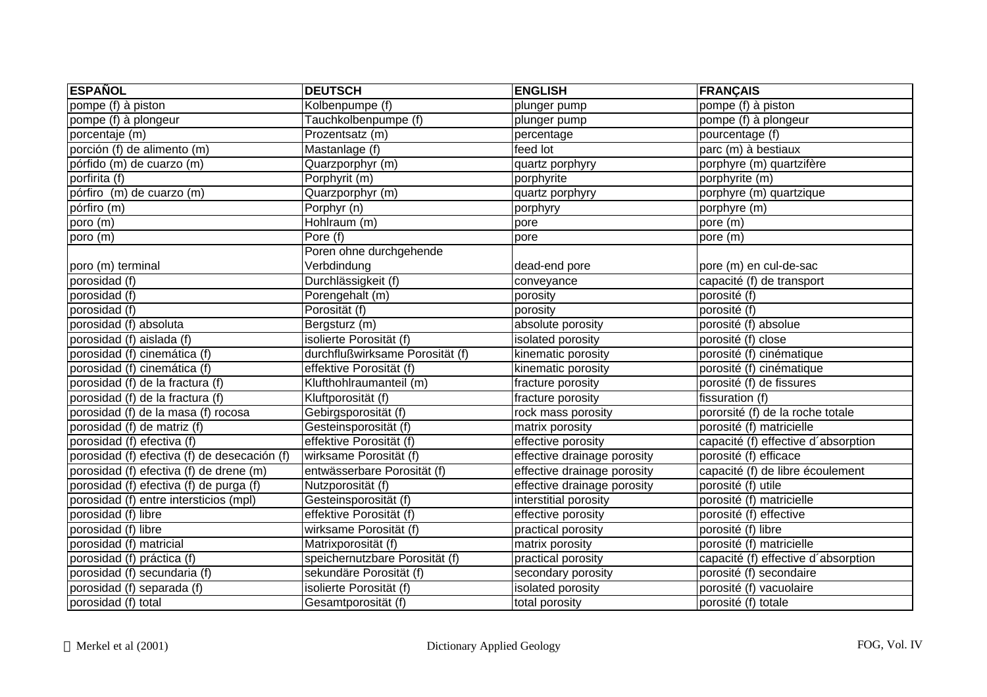| <b>ESPAÑOL</b>                               | <b>DEUTSCH</b>                  | <b>ENGLISH</b>              | <b>FRANÇAIS</b>                     |
|----------------------------------------------|---------------------------------|-----------------------------|-------------------------------------|
| pompe (f) à piston                           | Kolbenpumpe (f)                 | plunger pump                | pompe (f) à piston                  |
| pompe (f) à plongeur                         | Tauchkolbenpumpe (f)            | plunger pump                | pompe (f) à plongeur                |
| porcentaje (m)                               | Prozentsatz (m)                 | percentage                  | pourcentage (f)                     |
| porción (f) de alimento (m)                  | Mastanlage (f)                  | feed lot                    | parc (m) à bestiaux                 |
| pórfido (m) de cuarzo (m)                    | Quarzporphyr (m)                | quartz porphyry             | porphyre (m) quartzifère            |
| porfirita (f)                                | Porphyrit (m)                   | porphyrite                  | porphyrite (m)                      |
| pórfiro (m) de cuarzo (m)                    | Quarzporphyr (m)                | quartz porphyry             | porphyre (m) quartzique             |
| pórfiro (m)                                  | Porphyr (n)                     | porphyry                    | porphyre (m)                        |
| poro (m)                                     | Hohlraum (m)                    | pore                        | pore (m)                            |
| poro (m)                                     | Pore (f)                        | pore                        | pore (m)                            |
|                                              | Poren ohne durchgehende         |                             |                                     |
| poro (m) terminal                            | Verbdindung                     | dead-end pore               | pore (m) en cul-de-sac              |
| porosidad (f)                                | Durchlässigkeit (f)             | conveyance                  | capacité (f) de transport           |
| porosidad (f)                                | Porengehalt (m)                 | porosity                    | porosité (f)                        |
| porosidad (f)                                | Porosität (f)                   | porosity                    | porosité (f)                        |
| porosidad (f) absoluta                       | Bergsturz (m)                   | absolute porosity           | porosité (f) absolue                |
| porosidad (f) aislada (f)                    | isolierte Porosität (f)         | isolated porosity           | porosité (f) close                  |
| porosidad (f) cinemática (f)                 | durchflußwirksame Porosität (f) | kinematic porosity          | porosité (f) cinématique            |
| porosidad (f) cinemática (f)                 | effektive Porosität (f)         | kinematic porosity          | porosité (f) cinématique            |
| porosidad (f) de la fractura (f)             | Klufthohlraumanteil (m)         | fracture porosity           | porosité (f) de fissures            |
| porosidad (f) de la fractura (f)             | Kluftporosität (f)              | fracture porosity           | fissuration (f)                     |
| porosidad (f) de la masa (f) rocosa          | Gebirgsporosität (f)            | rock mass porosity          | pororsité (f) de la roche totale    |
| porosidad (f) de matriz (f)                  | Gesteinsporosität (f)           | matrix porosity             | porosité (f) matricielle            |
| porosidad (f) efectiva (f)                   | effektive Porosität (f)         | effective porosity          | capacité (f) effective d'absorption |
| porosidad (f) efectiva (f) de desecación (f) | wirksame Porosität (f)          | effective drainage porosity | porosité (f) efficace               |
| porosidad (f) efectiva (f) de drene (m)      | entwässerbare Porosität (f)     | effective drainage porosity | capacité (f) de libre écoulement    |
| porosidad (f) efectiva (f) de purga (f)      | Nutzporosität (f)               | effective drainage porosity | porosité (f) utile                  |
| porosidad (f) entre intersticios (mpl)       | Gesteinsporosität (f)           | interstitial porosity       | porosité (f) matricielle            |
| porosidad (f) libre                          | effektive Porosität (f)         | effective porosity          | porosité (f) effective              |
| porosidad (f) libre                          | wirksame Porosität (f)          | practical porosity          | porosité (f) libre                  |
| porosidad (f) matricial                      | Matrixporosität (f)             | matrix porosity             | porosité (f) matricielle            |
| porosidad (f) práctica (f)                   | speichernutzbare Porosität (f)  | practical porosity          | capacité (f) effective d'absorption |
| porosidad (f) secundaria (f)                 | sekundäre Porosität (f)         | secondary porosity          | porosité (f) secondaire             |
| porosidad (f) separada (f)                   | isolierte Porosität (f)         | isolated porosity           | porosité (f) vacuolaire             |
| porosidad (f) total                          | Gesamtporosität (f)             | total porosity              | porosité (f) totale                 |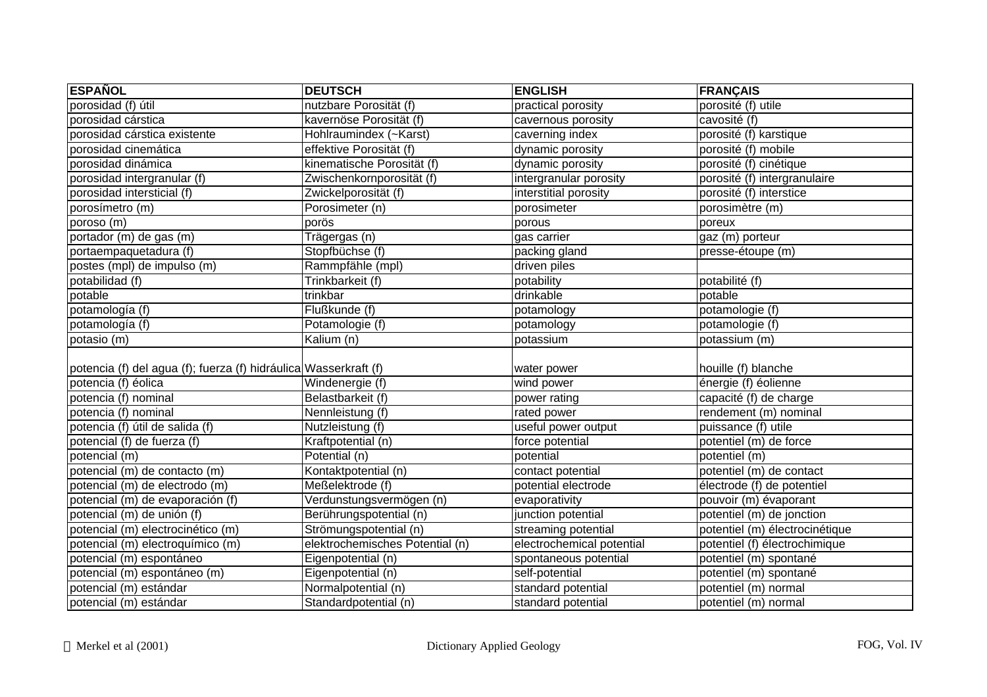| <b>ESPAÑOL</b>                                                   | <b>DEUTSCH</b>                  | <b>ENGLISH</b>            | <b>FRANÇAIS</b>                |
|------------------------------------------------------------------|---------------------------------|---------------------------|--------------------------------|
| porosidad (f) útil                                               | nutzbare Porosität (f)          | practical porosity        | porosité (f) utile             |
| porosidad cárstica                                               | kavernöse Porosität (f)         | cavernous porosity        | cavosité (f)                   |
| porosidad cárstica existente                                     | Hohlraumindex (~Karst)          | caverning index           | porosité (f) karstique         |
| porosidad cinemática                                             | effektive Porosität (f)         | dynamic porosity          | porosité (f) mobile            |
| porosidad dinámica                                               | kinematische Porosität (f)      | dynamic porosity          | porosité (f) cinétique         |
| porosidad intergranular (f)                                      | Zwischenkornporosität (f)       | intergranular porosity    | porosité (f) intergranulaire   |
| porosidad intersticial (f)                                       | Zwickelporosität (f)            | interstitial porosity     | porosité (f) interstice        |
| porosímetro (m)                                                  | Porosimeter (n)                 | porosimeter               | porosimètre (m)                |
| poroso (m)                                                       | porös                           | porous                    | poreux                         |
| portador (m) de gas (m)                                          | Trägergas (n)                   | gas carrier               | gaz (m) porteur                |
| portaempaquetadura (f)                                           | Stopfbüchse (f)                 | packing gland             | presse-étoupe (m)              |
| postes (mpl) de impulso (m)                                      | Rammpfähle (mpl)                | driven piles              |                                |
| potabilidad (f)                                                  | Trinkbarkeit (f)                | potability                | potabilité (f)                 |
| potable                                                          | trinkbar                        | drinkable                 | potable                        |
| potamología (f)                                                  | Flußkunde (f)                   | potamology                | potamologie (f)                |
| potamología (f)                                                  | Potamologie (f)                 | potamology                | potamologie (f)                |
| potasio (m)                                                      | Kalium (n)                      | potassium                 | potassium (m)                  |
| potencia (f) del agua (f); fuerza (f) hidráulica Wasserkraft (f) |                                 | water power               | houille (f) blanche            |
| potencia (f) éolica                                              | Windenergie (f)                 | wind power                | énergie (f) éolienne           |
| potencia (f) nominal                                             | Belastbarkeit (f)               | power rating              | capacité (f) de charge         |
| potencia (f) nominal                                             | Nennleistung (f)                | rated power               | rendement (m) nominal          |
| potencia (f) útil de salida (f)                                  | Nutzleistung (f)                | useful power output       | puissance (f) utile            |
| potencial (f) de fuerza (f)                                      | Kraftpotential (n)              | force potential           | potentiel (m) de force         |
| potencial (m)                                                    | Potential (n)                   | potential                 | potentiel (m)                  |
| potencial (m) de contacto (m)                                    | Kontaktpotential (n)            | contact potential         | potentiel (m) de contact       |
| potencial (m) de electrodo (m)                                   | Meßelektrode (f)                | potential electrode       | électrode (f) de potentiel     |
| potencial (m) de evaporación (f)                                 | Verdunstungsvermögen (n)        | evaporativity             | pouvoir (m) évaporant          |
| potencial (m) de unión (f)                                       | Berührungspotential (n)         | junction potential        | potentiel (m) de jonction      |
| potencial (m) electrocinético (m)                                | Strömungspotential (n)          | streaming potential       | potentiel (m) électrocinétique |
| potencial (m) electroquímico (m)                                 | elektrochemisches Potential (n) | electrochemical potential | potentiel (f) électrochimique  |
| potencial (m) espontáneo                                         | Eigenpotential (n)              | spontaneous potential     | potentiel (m) spontané         |
| potencial (m) espontáneo (m)                                     | Eigenpotential (n)              | self-potential            | potentiel (m) spontané         |
| potencial (m) estándar                                           | Normalpotential (n)             | standard potential        | potentiel (m) normal           |
| potencial (m) estándar                                           | Standardpotential (n)           | standard potential        | potentiel (m) normal           |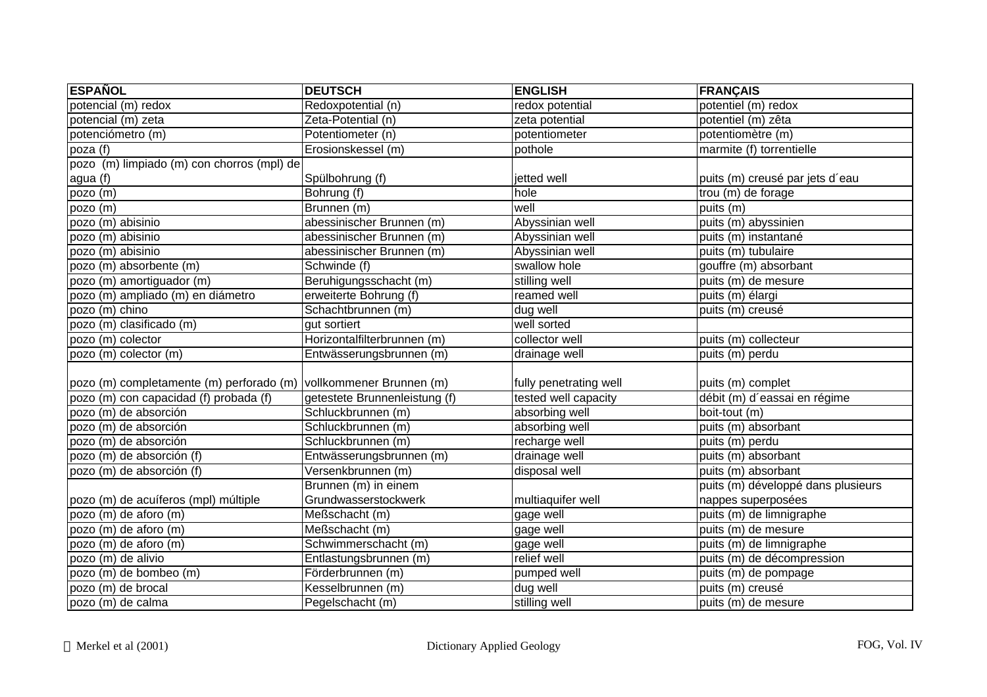| <b>ESPAÑOL</b>                                                    | <b>DEUTSCH</b>                | <b>ENGLISH</b>         | <b>FRANÇAIS</b>                    |
|-------------------------------------------------------------------|-------------------------------|------------------------|------------------------------------|
| potencial (m) redox                                               | Redoxpotential (n)            | redox potential        | potentiel (m) redox                |
| potencial (m) zeta                                                | Zeta-Potential (n)            | zeta potential         | potentiel (m) zêta                 |
| potenciómetro (m)                                                 | Potentiometer (n)             | potentiometer          | potentiomètre (m)                  |
| poza (f)                                                          | Erosionskessel (m)            | pothole                | marmite (f) torrentielle           |
| pozo (m) limpiado (m) con chorros (mpl) de                        |                               |                        |                                    |
| agua (f)                                                          | Spülbohrung (f)               | jetted well            | puits (m) creusé par jets d'eau    |
| pozo (m)                                                          | Bohrung (f)                   | hole                   | trou (m) de forage                 |
| pozo $\overline{(m)}$                                             | Brunnen (m)                   | well                   | puits (m)                          |
| pozo (m) abisinio                                                 | abessinischer Brunnen (m)     | Abyssinian well        | puits (m) abyssinien               |
| pozo (m) abisinio                                                 | abessinischer Brunnen (m)     | Abyssinian well        | puits (m) instantané               |
| pozo (m) abisinio                                                 | abessinischer Brunnen (m)     | Abyssinian well        | puits (m) tubulaire                |
| pozo (m) absorbente (m)                                           | Schwinde (f)                  | swallow hole           | gouffre (m) absorbant              |
| pozo (m) amortiguador (m)                                         | Beruhigungsschacht (m)        | stilling well          | puits (m) de mesure                |
| pozo (m) ampliado (m) en diámetro                                 | erweiterte Bohrung (f)        | reamed well            | puits (m) élargi                   |
| pozo (m) chino                                                    | Schachtbrunnen (m)            | dug well               | puits (m) creusé                   |
| pozo (m) clasificado (m)                                          | qut sortiert                  | well sorted            |                                    |
| pozo (m) colector                                                 | Horizontalfilterbrunnen (m)   | collector well         | puits (m) collecteur               |
| pozo (m) colector (m)                                             | Entwässerungsbrunnen (m)      | drainage well          | puits (m) perdu                    |
|                                                                   |                               |                        |                                    |
| pozo (m) completamente (m) perforado (m) vollkommener Brunnen (m) |                               | fully penetrating well | puits (m) complet                  |
| pozo (m) con capacidad (f) probada (f)                            | getestete Brunnenleistung (f) | tested well capacity   | débit (m) d'eassai en régime       |
| pozo (m) de absorción                                             | Schluckbrunnen (m)            | absorbing well         | boit-tout (m)                      |
| pozo (m) de absorción                                             | Schluckbrunnen (m)            | absorbing well         | puits (m) absorbant                |
| pozo (m) de absorción                                             | Schluckbrunnen (m)            | recharge well          | puits (m) perdu                    |
| pozo (m) de absorción (f)                                         | Entwässerungsbrunnen (m)      | drainage well          | puits (m) absorbant                |
| pozo (m) de absorción (f)                                         | Versenkbrunnen (m)            | disposal well          | puits (m) absorbant                |
|                                                                   | Brunnen (m) in einem          |                        | puits (m) développé dans plusieurs |
| pozo (m) de acuíferos (mpl) múltiple                              | Grundwasserstockwerk          | multiaquifer well      | nappes superposées                 |
| pozo (m) de aforo (m)                                             | Meßschacht (m)                | gage well              | puits (m) de limnigraphe           |
| $pozo$ (m) de aforo (m)                                           | Meßschacht (m)                | gage well              | puits (m) de mesure                |
| pozo (m) de aforo (m)                                             | Schwimmerschacht (m)          | gage well              | puits (m) de limnigraphe           |
| pozo (m) de alivio                                                | Entlastungsbrunnen (m)        | relief well            | puits (m) de décompression         |
| pozo (m) de bombeo (m)                                            | Förderbrunnen (m)             | pumped well            | puits (m) de pompage               |
| pozo (m) de brocal                                                | Kesselbrunnen (m)             | dug well               | puits (m) creusé                   |
| pozo (m) de calma                                                 | Pegelschacht (m)              | stilling well          | puits (m) de mesure                |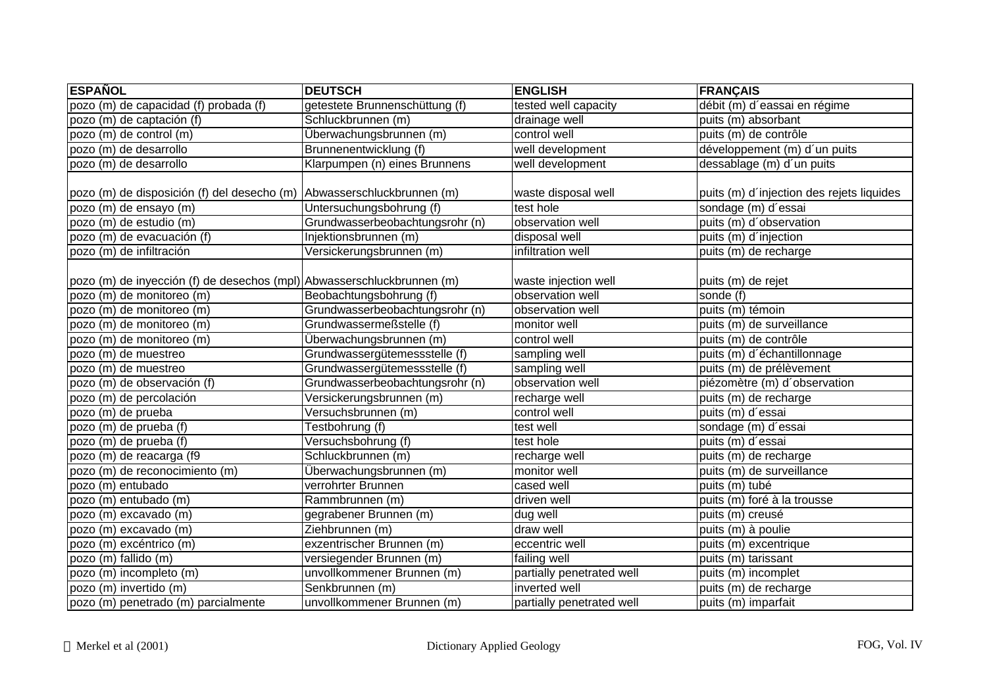| <b>ESPAÑOL</b>                                                         | <b>DEUTSCH</b>                  | <b>ENGLISH</b>            | <b>FRANÇAIS</b>                           |
|------------------------------------------------------------------------|---------------------------------|---------------------------|-------------------------------------------|
| pozo (m) de capacidad (f) probada (f)                                  | getestete Brunnenschüttung (f)  | tested well capacity      | débit (m) d'eassai en régime              |
| pozo (m) de captación (f)                                              | Schluckbrunnen (m)              | drainage well             | puits (m) absorbant                       |
| pozo (m) de control (m)                                                | Überwachungsbrunnen (m)         | control well              | puits (m) de contrôle                     |
| pozo (m) de desarrollo                                                 | Brunnenentwicklung (f)          | well development          | développement (m) d'un puits              |
| pozo (m) de desarrollo                                                 | Klarpumpen (n) eines Brunnens   | well development          | dessablage (m) d'un puits                 |
| pozo (m) de disposición (f) del desecho (m)                            | Abwasserschluckbrunnen (m)      | waste disposal well       | puits (m) d'injection des rejets liquides |
| pozo (m) de ensayo (m)                                                 | Untersuchungsbohrung (f)        | test hole                 | sondage (m) d'essai                       |
| pozo (m) de estudio (m)                                                | Grundwasserbeobachtungsrohr (n) | observation well          | puits (m) d'observation                   |
| pozo (m) de evacuación (f)                                             | Injektionsbrunnen (m)           | disposal well             | puits (m) d'injection                     |
| pozo (m) de infiltración                                               | Versickerungsbrunnen (m)        | infiltration well         | puits (m) de recharge                     |
| pozo (m) de inyección (f) de desechos (mpl) Abwasserschluckbrunnen (m) |                                 | waste injection well      | puits (m) de rejet                        |
| pozo (m) de monitoreo (m)                                              | Beobachtungsbohrung (f)         | observation well          | sonde (f)                                 |
| pozo (m) de monitoreo (m)                                              | Grundwasserbeobachtungsrohr (n) | observation well          | puits (m) témoin                          |
| pozo (m) de monitoreo (m)                                              | Grundwassermeßstelle (f)        | monitor well              | puits (m) de surveillance                 |
| pozo (m) de monitoreo (m)                                              | Überwachungsbrunnen (m)         | control well              | puits (m) de contrôle                     |
| pozo (m) de muestreo                                                   | Grundwassergütemessstelle (f)   | sampling well             | puits (m) d'échantillonnage               |
| pozo (m) de muestreo                                                   | Grundwassergütemessstelle (f)   | sampling well             | puits (m) de prélèvement                  |
| pozo (m) de observación (f)                                            | Grundwasserbeobachtungsrohr (n) | observation well          | piézomètre (m) d'observation              |
| pozo (m) de percolación                                                | Versickerungsbrunnen (m)        | recharge well             | puits (m) de recharge                     |
| pozo (m) de prueba                                                     | Versuchsbrunnen (m)             | control well              | puits (m) d'essai                         |
| pozo (m) de prueba (f)                                                 | Testbohrung (f)                 | test well                 | sondage (m) d'essai                       |
| pozo (m) de prueba (f)                                                 | Versuchsbohrung (f)             | test hole                 | puits (m) d'essai                         |
| pozo (m) de reacarga (f9                                               | Schluckbrunnen (m)              | recharge well             | puits (m) de recharge                     |
| pozo (m) de reconocimiento (m)                                         | Überwachungsbrunnen (m)         | monitor well              | puits (m) de surveillance                 |
| pozo (m) entubado                                                      | verrohrter Brunnen              | cased well                | puits (m) tubé                            |
| pozo (m) entubado (m)                                                  | Rammbrunnen (m)                 | driven well               | puits (m) foré à la trousse               |
| pozo (m) excavado (m)                                                  | gegrabener Brunnen (m)          | dug well                  | puits (m) creusé                          |
| pozo (m) excavado (m)                                                  | Ziehbrunnen (m)                 | draw well                 | puits (m) à poulie                        |
| pozo (m) excéntrico (m)                                                | exzentrischer Brunnen (m)       | eccentric well            | puits (m) excentrique                     |
| pozo (m) fallido (m)                                                   | versiegender Brunnen (m)        | failing well              | puits (m) tarissant                       |
| pozo (m) incompleto (m)                                                | unvollkommener Brunnen (m)      | partially penetrated well | puits (m) incomplet                       |
| pozo (m) invertido (m)                                                 | Senkbrunnen (m)                 | inverted well             | puits (m) de recharge                     |
| pozo (m) penetrado (m) parcialmente                                    | unvollkommener Brunnen (m)      | partially penetrated well | puits (m) imparfait                       |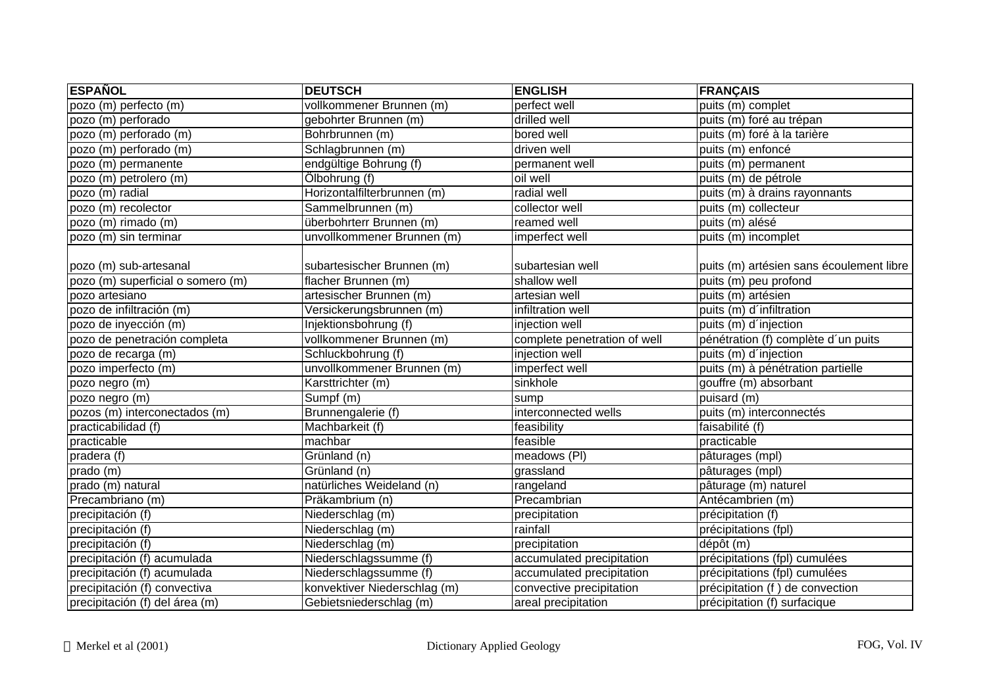| <b>ESPAÑOL</b>                    | <b>DEUTSCH</b>               | <b>ENGLISH</b>               | <b>FRANÇAIS</b>                          |
|-----------------------------------|------------------------------|------------------------------|------------------------------------------|
| pozo (m) perfecto (m)             | vollkommener Brunnen (m)     | perfect well                 | puits (m) complet                        |
| pozo (m) perforado                | gebohrter Brunnen (m)        | drilled well                 | puits (m) foré au trépan                 |
| pozo (m) perforado (m)            | Bohrbrunnen (m)              | bored well                   | puits (m) foré à la tarière              |
| pozo (m) perforado (m)            | Schlagbrunnen (m)            | driven well                  | puits (m) enfoncé                        |
| pozo (m) permanente               | endgültige Bohrung (f)       | permanent well               | puits (m) permanent                      |
| pozo (m) petrolero (m)            | Ölbohrung (f)                | oil well                     | puits (m) de pétrole                     |
| pozo (m) radial                   | Horizontalfilterbrunnen (m)  | radial well                  | puits (m) à drains rayonnants            |
| pozo (m) recolector               | Sammelbrunnen (m)            | collector well               | puits (m) collecteur                     |
| pozo (m) rimado (m)               | überbohrterr Brunnen (m)     | reamed well                  | puits (m) alésé                          |
| pozo (m) sin terminar             | unvollkommener Brunnen (m)   | imperfect well               | puits (m) incomplet                      |
|                                   |                              |                              |                                          |
| pozo (m) sub-artesanal            | subartesischer Brunnen (m)   | subartesian well             | puits (m) artésien sans écoulement libre |
| pozo (m) superficial o somero (m) | flacher Brunnen (m)          | shallow well                 | puits (m) peu profond                    |
| pozo artesiano                    | artesischer Brunnen (m)      | artesian well                | puits (m) artésien                       |
| pozo de infiltración (m)          | Versickerungsbrunnen (m)     | infiltration well            | puits (m) d'infiltration                 |
| pozo de inyección (m)             | Injektionsbohrung (f)        | injection well               | puits (m) d'injection                    |
| pozo de penetración completa      | vollkommener Brunnen (m)     | complete penetration of well | pénétration (f) complète d'un puits      |
| pozo de recarga (m)               | Schluckbohrung (f)           | injection well               | puits (m) d'injection                    |
| pozo imperfecto (m)               | unvollkommener Brunnen (m)   | imperfect well               | puits (m) à pénétration partielle        |
| pozo negro (m)                    | Karsttrichter (m)            | sinkhole                     | gouffre (m) absorbant                    |
| pozo negro (m)                    | Sumpf (m)                    | sump                         | puisard (m)                              |
| pozos (m) interconectados (m)     | Brunnengalerie (f)           | interconnected wells         | puits (m) interconnectés                 |
| practicabilidad (f)               | Machbarkeit (f)              | feasibility                  | faisabilité (f)                          |
| practicable                       | machbar                      | feasible                     | practicable                              |
| pradera $\overline{(f)}$          | Grünland (n)                 | meadows (PI)                 | pâturages (mpl)                          |
| prado (m)                         | Grünland (n)                 | grassland                    | pâturages (mpl)                          |
| prado (m) natural                 | natürliches Weideland (n)    | rangeland                    | pâturage (m) naturel                     |
| Precambriano (m)                  | Präkambrium (n)              | Precambrian                  | Antécambrien (m)                         |
| precipitación (f)                 | Niederschlag (m)             | precipitation                | précipitation (f)                        |
| precipitación (f)                 | Niederschlag (m)             | rainfall                     | précipitations (fpl)                     |
| precipitación (f)                 | Niederschlag (m)             | precipitation                | dépôt (m)                                |
| precipitación (f) acumulada       | Niederschlagssumme (f)       | accumulated precipitation    | précipitations (fpl) cumulées            |
| precipitación (f) acumulada       | Niederschlagssumme (f)       | accumulated precipitation    | précipitations (fpl) cumulées            |
| precipitación (f) convectiva      | konvektiver Niederschlag (m) | convective precipitation     | précipitation (f) de convection          |
| precipitación (f) del área (m)    | Gebietsniederschlag (m)      | areal precipitation          | précipitation (f) surfacique             |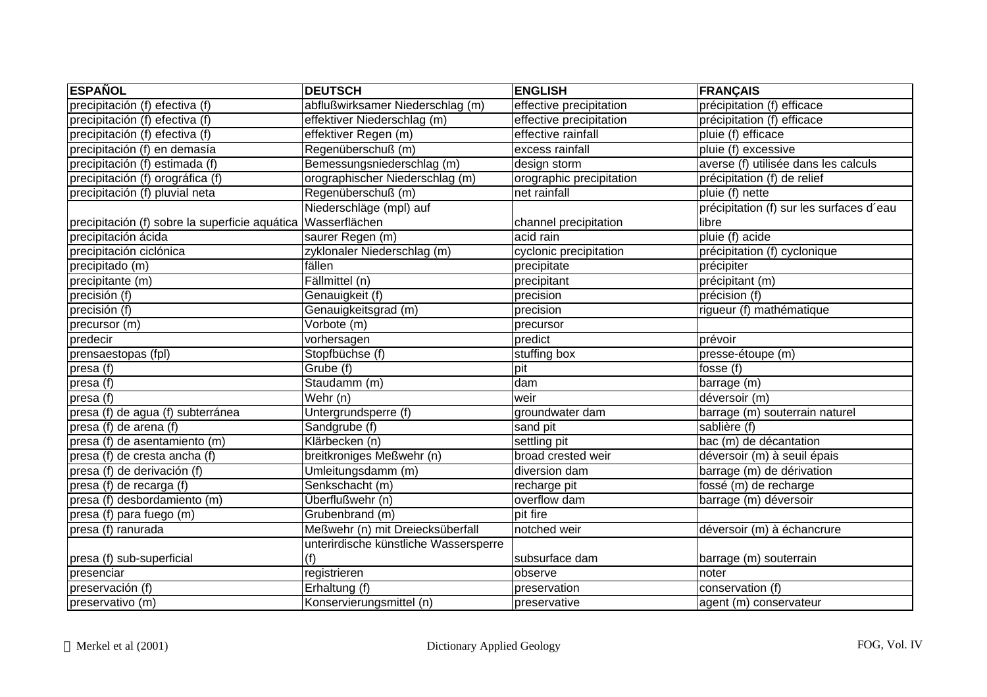| <b>ESPAÑOL</b>                                 | <b>DEUTSCH</b>                        | <b>ENGLISH</b>           | <b>FRANÇAIS</b>                          |
|------------------------------------------------|---------------------------------------|--------------------------|------------------------------------------|
| precipitación (f) efectiva (f)                 | abflußwirksamer Niederschlag (m)      | effective precipitation  | précipitation (f) efficace               |
| precipitación (f) efectiva (f)                 | effektiver Niederschlag (m)           | effective precipitation  | précipitation (f) efficace               |
| precipitación (f) efectiva (f)                 | effektiver Regen (m)                  | effective rainfall       | pluie (f) efficace                       |
| precipitación (f) en demasía                   | Regenüberschuß (m)                    | excess rainfall          | pluie (f) excessive                      |
| precipitación (f) estimada (f)                 | Bemessungsniederschlag (m)            | design storm             | averse (f) utilisée dans les calculs     |
| precipitación (f) orográfica (f)               | orographischer Niederschlag (m)       | orographic precipitation | précipitation (f) de relief              |
| precipitación (f) pluvial neta                 | Regenüberschuß (m)                    | net rainfall             | pluie (f) nette                          |
|                                                | Niederschläge (mpl) auf               |                          | précipitation (f) sur les surfaces d'eau |
| precipitación (f) sobre la superficie aquática | Wasserflächen                         | channel precipitation    | libre                                    |
| precipitación ácida                            | saurer Regen (m)                      | acid rain                | pluie (f) acide                          |
| precipitación ciclónica                        | zyklonaler Niederschlag (m)           | cyclonic precipitation   | précipitation (f) cyclonique             |
| precipitado (m)                                | fällen                                | precipitate              | précipiter                               |
| precipitante (m)                               | Fällmittel (n)                        | precipitant              | précipitant (m)                          |
| precisión (f)                                  | Genauigkeit (f)                       | precision                | précision (f)                            |
| precisión (f)                                  | Genauigkeitsgrad (m)                  | precision                | rigueur (f) mathématique                 |
| precursor (m)                                  | Vorbote (m)                           | precursor                |                                          |
| predecir                                       | vorhersagen                           | predict                  | prévoir                                  |
| prensaestopas (fpl)                            | Stopfbüchse (f)                       | stuffing box             | presse-étoupe (m)                        |
| presa (f)                                      | Grube (f)                             | pit                      | fosse $(f)$                              |
| presa (f)                                      | Staudamm (m)                          | dam                      | barrage (m)                              |
| presa (f)                                      | Wehr (n)                              | weir                     | déversoir (m)                            |
| presa (f) de agua (f) subterránea              | Untergrundsperre (f)                  | groundwater dam          | barrage (m) souterrain naturel           |
| presa (f) de arena (f)                         | Sandgrube (f)                         | sand pit                 | sablière (f)                             |
| presa (f) de asentamiento (m)                  | Klärbecken (n)                        | settling pit             | bac (m) de décantation                   |
| presa (f) de cresta ancha (f)                  | breitkroniges Meßwehr (n)             | broad crested weir       | déversoir (m) à seuil épais              |
| presa (f) de derivación (f)                    | Umleitungsdamm (m)                    | diversion dam            | barrage (m) de dérivation                |
| presa (f) de recarga (f)                       | Senkschacht (m)                       | recharge pit             | fossé (m) de recharge                    |
| presa (f) desbordamiento (m)                   | Überflußwehr (n)                      | overflow dam             | barrage (m) déversoir                    |
| presa (f) para fuego (m)                       | Grubenbrand (m)                       | pit fire                 |                                          |
| presa (f) ranurada                             | Meßwehr (n) mit Dreiecksüberfall      | notched weir             | déversoir (m) à échancrure               |
|                                                | unterirdische künstliche Wassersperre |                          |                                          |
| presa (f) sub-superficial                      | (f)                                   | subsurface dam           | barrage (m) souterrain                   |
| presenciar                                     | registrieren                          | observe                  | noter                                    |
| preservación (f)                               | Erhaltung (f)                         | preservation             | conservation (f)                         |
| preservativo (m)                               | Konservierungsmittel (n)              | preservative             | agent (m) conservateur                   |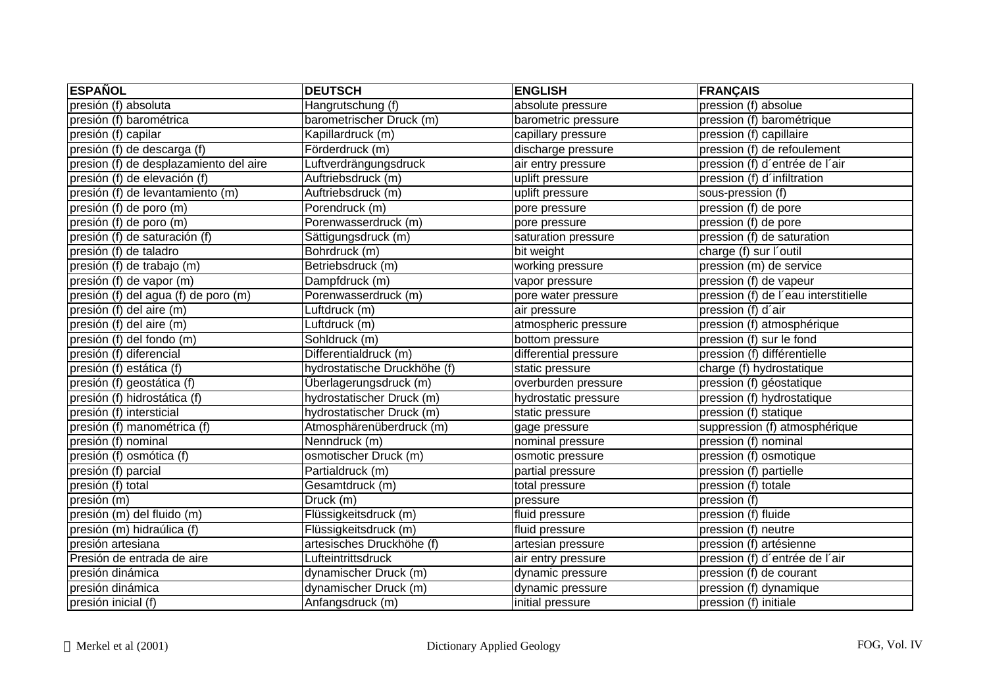| <b>ESPAÑOL</b>                         | <b>DEUTSCH</b>               | <b>ENGLISH</b>        | <b>FRANÇAIS</b>                      |
|----------------------------------------|------------------------------|-----------------------|--------------------------------------|
| presión (f) absoluta                   | Hangrutschung (f)            | absolute pressure     | pression (f) absolue                 |
| presión (f) barométrica                | barometrischer Druck (m)     | barometric pressure   | pression (f) barométrique            |
| presión (f) capilar                    | Kapillardruck (m)            | capillary pressure    | pression (f) capillaire              |
| presión (f) de descarga (f)            | Förderdruck (m)              | discharge pressure    | pression (f) de refoulement          |
| presion (f) de desplazamiento del aire | Luftverdrängungsdruck        | air entry pressure    | pression (f) d'entrée de l'air       |
| presión (f) de elevación (f)           | Auftriebsdruck (m)           | uplift pressure       | pression (f) d'infiltration          |
| presión (f) de levantamiento (m)       | Auftriebsdruck (m)           | uplift pressure       | sous-pression (f)                    |
| presión (f) de poro (m)                | Porendruck (m)               | pore pressure         | pression (f) de pore                 |
| presión (f) de poro (m)                | Porenwasserdruck (m)         | pore pressure         | pression (f) de pore                 |
| presión (f) de saturación (f)          | Sättigungsdruck (m)          | saturation pressure   | pression (f) de saturation           |
| presión (f) de taladro                 | Bohrdruck (m)                | bit weight            | charge (f) sur l'outil               |
| presión (f) de trabajo (m)             | Betriebsdruck (m)            | working pressure      | pression (m) de service              |
| presión (f) de vapor (m)               | Dampfdruck (m)               | vapor pressure        | pression (f) de vapeur               |
| presión (f) del agua (f) de poro (m)   | Porenwasserdruck (m)         | pore water pressure   | pression (f) de l'eau interstitielle |
| presión (f) del aire (m)               | Luftdruck (m)                | air pressure          | pression (f) d'air                   |
| presión (f) del aire (m)               | Luftdruck (m)                | atmospheric pressure  | pression (f) atmosphérique           |
| presión (f) del fondo (m)              | Sohldruck (m)                | bottom pressure       | pression (f) sur le fond             |
| presión (f) diferencial                | Differentialdruck (m)        | differential pressure | pression (f) différentielle          |
| presión (f) estática (f)               | hydrostatische Druckhöhe (f) | static pressure       | charge (f) hydrostatique             |
| presión (f) geostática (f)             | Überlagerungsdruck (m)       | overburden pressure   | pression (f) géostatique             |
| presión (f) hidrostática (f)           | hydrostatischer Druck (m)    | hydrostatic pressure  | pression (f) hydrostatique           |
| presión (f) intersticial               | hydrostatischer Druck (m)    | static pressure       | pression (f) statique                |
| presión (f) manométrica (f)            | Atmosphärenüberdruck (m)     | gage pressure         | suppression (f) atmosphérique        |
| presión (f) nominal                    | Nenndruck (m)                | nominal pressure      | pression (f) nominal                 |
| presión (f) osmótica (f)               | osmotischer Druck (m)        | osmotic pressure      | pression (f) osmotique               |
| presión (f) parcial                    | Partialdruck (m)             | partial pressure      | pression (f) partielle               |
| presión (f) total                      | Gesamtdruck (m)              | total pressure        | pression (f) totale                  |
| presión (m)                            | Druck (m)                    | pressure              | pression (f)                         |
| presión (m) del fluido (m)             | Flüssigkeitsdruck (m)        | fluid pressure        | pression (f) fluide                  |
| presión (m) hidraúlica (f)             | Flüssigkeitsdruck (m)        | fluid pressure        | pression (f) neutre                  |
| presión artesiana                      | artesisches Druckhöhe (f)    | artesian pressure     | pression (f) artésienne              |
| Presión de entrada de aire             | Lufteintrittsdruck           | air entry pressure    | pression (f) d'entrée de l'air       |
| presión dinámica                       | dynamischer Druck (m)        | dynamic pressure      | pression (f) de courant              |
| presión dinámica                       | dynamischer Druck (m)        | dynamic pressure      | pression (f) dynamique               |
| presión inicial (f)                    | Anfangsdruck (m)             | initial pressure      | pression (f) initiale                |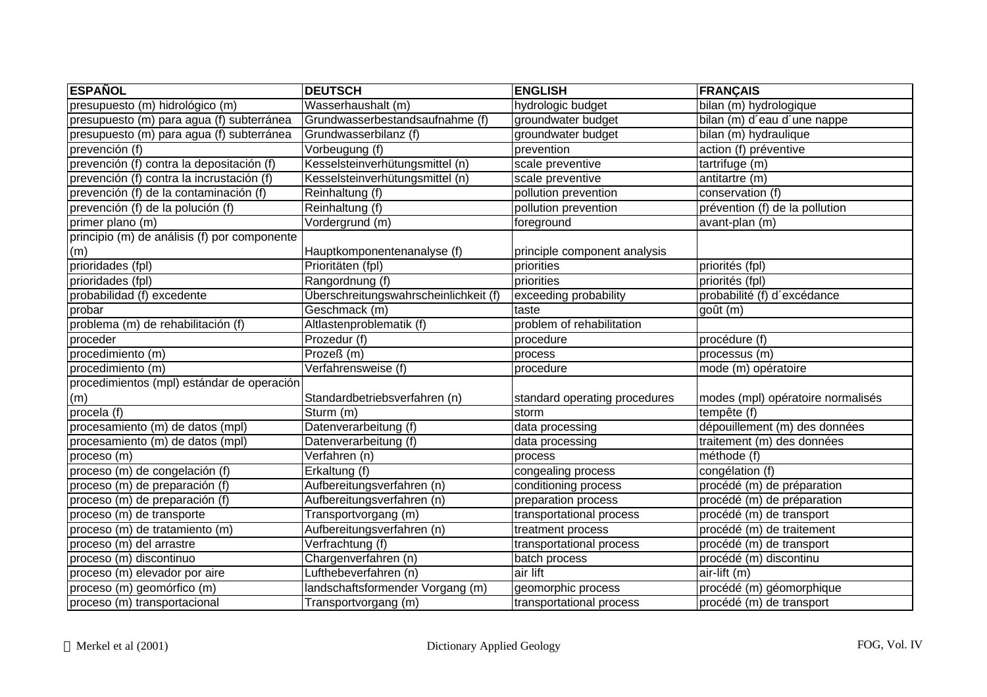| <b>ESPAÑOL</b>                               | <b>DEUTSCH</b>                        | <b>ENGLISH</b>                | <b>FRANÇAIS</b>                   |
|----------------------------------------------|---------------------------------------|-------------------------------|-----------------------------------|
| presupuesto (m) hidrológico (m)              | Wasserhaushalt (m)                    | hydrologic budget             | bilan (m) hydrologique            |
| presupuesto (m) para agua (f) subterránea    | Grundwasserbestandsaufnahme (f)       | groundwater budget            | bilan (m) d'eau d'une nappe       |
| presupuesto (m) para agua (f) subterránea    | Grundwasserbilanz (f)                 | groundwater budget            | bilan (m) hydraulique             |
| prevención (f)                               | Vorbeugung (f)                        | prevention                    | action (f) préventive             |
| prevención (f) contra la depositación (f)    | Kesselsteinverhütungsmittel (n)       | scale preventive              | tartrifuge (m)                    |
| prevención (f) contra la incrustación (f)    | Kesselsteinverhütungsmittel (n)       | scale preventive              | antitartre (m)                    |
| prevención (f) de la contaminación (f)       | Reinhaltung (f)                       | pollution prevention          | conservation (f)                  |
| prevención (f) de la polución (f)            | Reinhaltung (f)                       | pollution prevention          | prévention (f) de la pollution    |
| primer plano (m)                             | Vordergrund (m)                       | foreground                    | avant-plan (m)                    |
| principio (m) de análisis (f) por componente |                                       |                               |                                   |
| (m)                                          | Hauptkomponentenanalyse (f)           | principle component analysis  |                                   |
| prioridades (fpl)                            | Prioritäten (fpl)                     | priorities                    | priorités (fpl)                   |
| prioridades (fpl)                            | Rangordnung (f)                       | priorities                    | priorités (fpl)                   |
| probabilidad (f) excedente                   | Überschreitungswahrscheinlichkeit (f) | exceeding probability         | probabilité (f) d'excédance       |
| probar                                       | Geschmack (m)                         | taste                         | qoût (m)                          |
| problema (m) de rehabilitación (f)           | Altlastenproblematik (f)              | problem of rehabilitation     |                                   |
| proceder                                     | Prozedur (f)                          | procedure                     | procédure (f)                     |
| procedimiento (m)                            | Prozeß (m)                            | process                       | processus (m)                     |
| procedimiento (m)                            | Verfahrensweise (f)                   | procedure                     | mode (m) opératoire               |
| procedimientos (mpl) estándar de operación   |                                       |                               |                                   |
| (m)                                          | Standardbetriebsverfahren (n)         | standard operating procedures | modes (mpl) opératoire normalisés |
| procela (f)                                  | Sturm (m)                             | storm                         | tempête (f)                       |
| procesamiento (m) de datos (mpl)             | Datenverarbeitung (f)                 | data processing               | dépouillement (m) des données     |
| procesamiento (m) de datos (mpl)             | Datenverarbeitung (f)                 | data processing               | traitement (m) des données        |
| proceso (m)                                  | Verfahren (n)                         | process                       | méthode (f)                       |
| proceso (m) de congelación (f)               | Erkaltung (f)                         | congealing process            | congélation (f)                   |
| proceso (m) de preparación (f)               | Aufbereitungsverfahren (n)            | conditioning process          | procédé (m) de préparation        |
| proceso (m) de preparación (f)               | Aufbereitungsverfahren (n)            | preparation process           | procédé (m) de préparation        |
| proceso (m) de transporte                    | Transportvorgang (m)                  | transportational process      | procédé (m) de transport          |
| proceso (m) de tratamiento (m)               | Aufbereitungsverfahren (n)            | treatment process             | procédé (m) de traitement         |
| proceso (m) del arrastre                     | Verfrachtung (f)                      | transportational process      | procédé (m) de transport          |
| proceso (m) discontinuo                      | Chargenverfahren (n)                  | batch process                 | procédé (m) discontinu            |
| proceso (m) elevador por aire                | Lufthebeverfahren (n)                 | air lift                      | air-lift (m)                      |
| proceso (m) geomórfico (m)                   | landschaftsformender Vorgang (m)      | geomorphic process            | procédé (m) géomorphique          |
| proceso (m) transportacional                 | Transportvorgang (m)                  | transportational process      | procédé (m) de transport          |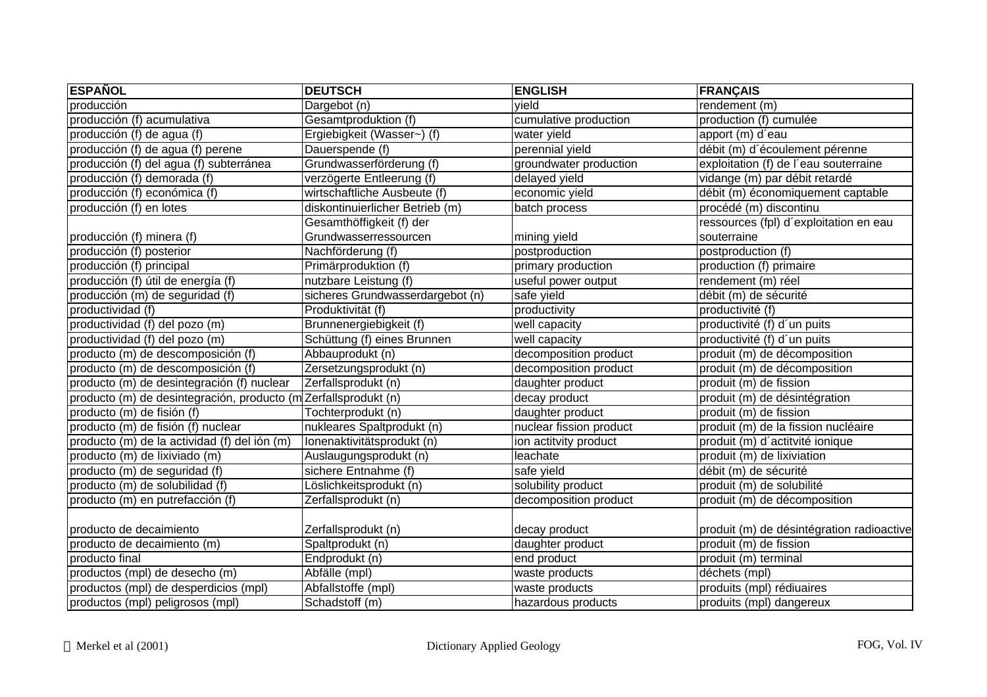| rendement (m)<br>Dargebot (n)<br>vield<br>producción<br>Gesamtproduktion (f)<br>production (f) cumulée<br>cumulative production<br>Ergiebigkeit (Wasser~) (f)<br>apport (m) d'eau<br>water yield<br>débit (m) d'écoulement pérenne<br>perennial yield<br>Dauerspende (f)<br>Grundwasserförderung (f)<br>groundwater production<br>exploitation (f) de l'eau souterraine<br>verzögerte Entleerung (f)<br>delayed yield<br>vidange (m) par débit retardé<br>wirtschaftliche Ausbeute (f)<br>economic yield<br>débit (m) économiquement captable<br>diskontinuierlicher Betrieb (m)<br>procédé (m) discontinu<br>batch process<br>Gesamthöffigkeit (f) der<br>ressources (fpl) d'exploitation en eau<br>Grundwasserressourcen<br>mining yield<br>souterraine<br>Nachförderung (f)<br>postproduction<br>postproduction (f)<br>Primärproduktion (f)<br>primary production<br>production (f) primaire<br>producción (f) útil de energía (f)<br>nutzbare Leistung (f)<br>useful power output<br>rendement (m) réel<br>producción (m) de seguridad (f)<br>sicheres Grundwasserdargebot (n)<br>safe yield<br>débit (m) de sécurité<br>productividad (f)<br>productivité (f)<br>Produktivität (f)<br>productivity<br>productividad (f) del pozo (m)<br>Brunnenergiebigkeit (f)<br>well capacity<br>productivité (f) d'un puits<br>Schüttung (f) eines Brunnen<br>well capacity<br>productivité (f) d'un puits<br>Abbauprodukt (n)<br>decomposition product<br>produit (m) de décomposition<br>Zersetzungsprodukt (n)<br>decomposition product<br>produit (m) de décomposition<br>Zerfallsprodukt (n)<br>daughter product<br>produit (m) de fission<br>producto (m) de desintegración, producto (m<br>Zerfallsprodukt (n)<br>decay product<br>produit (m) de désintégration<br>Tochterprodukt (n)<br>daughter product<br>produit (m) de fission<br>nukleares Spaltprodukt (n)<br>nuclear fission product<br>produit (m) de la fission nucléaire<br>Ionenaktivitätsprodukt (n)<br>ion actitvity product<br>produit (m) d'actitvité ionique<br>produit (m) de lixiviation<br>Auslaugungsprodukt (n)<br>leachate<br>sichere Entnahme (f)<br>safe yield<br>débit (m) de sécurité<br>solubility product<br>Löslichkeitsprodukt (n)<br>produit (m) de solubilité<br>Zerfallsprodukt (n)<br>decomposition product<br>produit (m) de décomposition<br>producto (m) en putrefacción (f)<br>Zerfallsprodukt (n)<br>decay product<br>Spaltprodukt (n)<br>daughter product<br>produit (m) de fission<br>produit (m) terminal<br>Endprodukt (n)<br>end product<br>Abfälle (mpl)<br>waste products<br>déchets (mpl)<br>Abfallstoffe (mpl)<br>waste products<br>produits (mpl) rédiuaires<br>hazardous products<br>Schadstoff (m)<br>produits (mpl) dangereux | <b>ESPAÑOL</b>                               | <b>DEUTSCH</b> | <b>ENGLISH</b> | <b>FRANÇAIS</b> |
|-------------------------------------------------------------------------------------------------------------------------------------------------------------------------------------------------------------------------------------------------------------------------------------------------------------------------------------------------------------------------------------------------------------------------------------------------------------------------------------------------------------------------------------------------------------------------------------------------------------------------------------------------------------------------------------------------------------------------------------------------------------------------------------------------------------------------------------------------------------------------------------------------------------------------------------------------------------------------------------------------------------------------------------------------------------------------------------------------------------------------------------------------------------------------------------------------------------------------------------------------------------------------------------------------------------------------------------------------------------------------------------------------------------------------------------------------------------------------------------------------------------------------------------------------------------------------------------------------------------------------------------------------------------------------------------------------------------------------------------------------------------------------------------------------------------------------------------------------------------------------------------------------------------------------------------------------------------------------------------------------------------------------------------------------------------------------------------------------------------------------------------------------------------------------------------------------------------------------------------------------------------------------------------------------------------------------------------------------------------------------------------------------------------------------------------------------------------------------------------------------------------------------------------------------------------------------------------------------------------------------------------------------------------------------------------------------------------------------------------|----------------------------------------------|----------------|----------------|-----------------|
|                                                                                                                                                                                                                                                                                                                                                                                                                                                                                                                                                                                                                                                                                                                                                                                                                                                                                                                                                                                                                                                                                                                                                                                                                                                                                                                                                                                                                                                                                                                                                                                                                                                                                                                                                                                                                                                                                                                                                                                                                                                                                                                                                                                                                                                                                                                                                                                                                                                                                                                                                                                                                                                                                                                                     |                                              |                |                |                 |
|                                                                                                                                                                                                                                                                                                                                                                                                                                                                                                                                                                                                                                                                                                                                                                                                                                                                                                                                                                                                                                                                                                                                                                                                                                                                                                                                                                                                                                                                                                                                                                                                                                                                                                                                                                                                                                                                                                                                                                                                                                                                                                                                                                                                                                                                                                                                                                                                                                                                                                                                                                                                                                                                                                                                     | producción (f) acumulativa                   |                |                |                 |
|                                                                                                                                                                                                                                                                                                                                                                                                                                                                                                                                                                                                                                                                                                                                                                                                                                                                                                                                                                                                                                                                                                                                                                                                                                                                                                                                                                                                                                                                                                                                                                                                                                                                                                                                                                                                                                                                                                                                                                                                                                                                                                                                                                                                                                                                                                                                                                                                                                                                                                                                                                                                                                                                                                                                     | producción (f) de agua (f)                   |                |                |                 |
|                                                                                                                                                                                                                                                                                                                                                                                                                                                                                                                                                                                                                                                                                                                                                                                                                                                                                                                                                                                                                                                                                                                                                                                                                                                                                                                                                                                                                                                                                                                                                                                                                                                                                                                                                                                                                                                                                                                                                                                                                                                                                                                                                                                                                                                                                                                                                                                                                                                                                                                                                                                                                                                                                                                                     | producción (f) de agua (f) perene            |                |                |                 |
|                                                                                                                                                                                                                                                                                                                                                                                                                                                                                                                                                                                                                                                                                                                                                                                                                                                                                                                                                                                                                                                                                                                                                                                                                                                                                                                                                                                                                                                                                                                                                                                                                                                                                                                                                                                                                                                                                                                                                                                                                                                                                                                                                                                                                                                                                                                                                                                                                                                                                                                                                                                                                                                                                                                                     | producción (f) del agua (f) subterránea      |                |                |                 |
| produit (m) de désintégration radioactive                                                                                                                                                                                                                                                                                                                                                                                                                                                                                                                                                                                                                                                                                                                                                                                                                                                                                                                                                                                                                                                                                                                                                                                                                                                                                                                                                                                                                                                                                                                                                                                                                                                                                                                                                                                                                                                                                                                                                                                                                                                                                                                                                                                                                                                                                                                                                                                                                                                                                                                                                                                                                                                                                           | producción (f) demorada (f)                  |                |                |                 |
|                                                                                                                                                                                                                                                                                                                                                                                                                                                                                                                                                                                                                                                                                                                                                                                                                                                                                                                                                                                                                                                                                                                                                                                                                                                                                                                                                                                                                                                                                                                                                                                                                                                                                                                                                                                                                                                                                                                                                                                                                                                                                                                                                                                                                                                                                                                                                                                                                                                                                                                                                                                                                                                                                                                                     | producción (f) económica (f)                 |                |                |                 |
|                                                                                                                                                                                                                                                                                                                                                                                                                                                                                                                                                                                                                                                                                                                                                                                                                                                                                                                                                                                                                                                                                                                                                                                                                                                                                                                                                                                                                                                                                                                                                                                                                                                                                                                                                                                                                                                                                                                                                                                                                                                                                                                                                                                                                                                                                                                                                                                                                                                                                                                                                                                                                                                                                                                                     | producción (f) en lotes                      |                |                |                 |
|                                                                                                                                                                                                                                                                                                                                                                                                                                                                                                                                                                                                                                                                                                                                                                                                                                                                                                                                                                                                                                                                                                                                                                                                                                                                                                                                                                                                                                                                                                                                                                                                                                                                                                                                                                                                                                                                                                                                                                                                                                                                                                                                                                                                                                                                                                                                                                                                                                                                                                                                                                                                                                                                                                                                     |                                              |                |                |                 |
|                                                                                                                                                                                                                                                                                                                                                                                                                                                                                                                                                                                                                                                                                                                                                                                                                                                                                                                                                                                                                                                                                                                                                                                                                                                                                                                                                                                                                                                                                                                                                                                                                                                                                                                                                                                                                                                                                                                                                                                                                                                                                                                                                                                                                                                                                                                                                                                                                                                                                                                                                                                                                                                                                                                                     | producción (f) minera (f)                    |                |                |                 |
|                                                                                                                                                                                                                                                                                                                                                                                                                                                                                                                                                                                                                                                                                                                                                                                                                                                                                                                                                                                                                                                                                                                                                                                                                                                                                                                                                                                                                                                                                                                                                                                                                                                                                                                                                                                                                                                                                                                                                                                                                                                                                                                                                                                                                                                                                                                                                                                                                                                                                                                                                                                                                                                                                                                                     | producción (f) posterior                     |                |                |                 |
|                                                                                                                                                                                                                                                                                                                                                                                                                                                                                                                                                                                                                                                                                                                                                                                                                                                                                                                                                                                                                                                                                                                                                                                                                                                                                                                                                                                                                                                                                                                                                                                                                                                                                                                                                                                                                                                                                                                                                                                                                                                                                                                                                                                                                                                                                                                                                                                                                                                                                                                                                                                                                                                                                                                                     | producción (f) principal                     |                |                |                 |
|                                                                                                                                                                                                                                                                                                                                                                                                                                                                                                                                                                                                                                                                                                                                                                                                                                                                                                                                                                                                                                                                                                                                                                                                                                                                                                                                                                                                                                                                                                                                                                                                                                                                                                                                                                                                                                                                                                                                                                                                                                                                                                                                                                                                                                                                                                                                                                                                                                                                                                                                                                                                                                                                                                                                     |                                              |                |                |                 |
|                                                                                                                                                                                                                                                                                                                                                                                                                                                                                                                                                                                                                                                                                                                                                                                                                                                                                                                                                                                                                                                                                                                                                                                                                                                                                                                                                                                                                                                                                                                                                                                                                                                                                                                                                                                                                                                                                                                                                                                                                                                                                                                                                                                                                                                                                                                                                                                                                                                                                                                                                                                                                                                                                                                                     |                                              |                |                |                 |
|                                                                                                                                                                                                                                                                                                                                                                                                                                                                                                                                                                                                                                                                                                                                                                                                                                                                                                                                                                                                                                                                                                                                                                                                                                                                                                                                                                                                                                                                                                                                                                                                                                                                                                                                                                                                                                                                                                                                                                                                                                                                                                                                                                                                                                                                                                                                                                                                                                                                                                                                                                                                                                                                                                                                     |                                              |                |                |                 |
|                                                                                                                                                                                                                                                                                                                                                                                                                                                                                                                                                                                                                                                                                                                                                                                                                                                                                                                                                                                                                                                                                                                                                                                                                                                                                                                                                                                                                                                                                                                                                                                                                                                                                                                                                                                                                                                                                                                                                                                                                                                                                                                                                                                                                                                                                                                                                                                                                                                                                                                                                                                                                                                                                                                                     |                                              |                |                |                 |
|                                                                                                                                                                                                                                                                                                                                                                                                                                                                                                                                                                                                                                                                                                                                                                                                                                                                                                                                                                                                                                                                                                                                                                                                                                                                                                                                                                                                                                                                                                                                                                                                                                                                                                                                                                                                                                                                                                                                                                                                                                                                                                                                                                                                                                                                                                                                                                                                                                                                                                                                                                                                                                                                                                                                     | productividad (f) del pozo (m)               |                |                |                 |
|                                                                                                                                                                                                                                                                                                                                                                                                                                                                                                                                                                                                                                                                                                                                                                                                                                                                                                                                                                                                                                                                                                                                                                                                                                                                                                                                                                                                                                                                                                                                                                                                                                                                                                                                                                                                                                                                                                                                                                                                                                                                                                                                                                                                                                                                                                                                                                                                                                                                                                                                                                                                                                                                                                                                     | producto (m) de descomposición (f)           |                |                |                 |
|                                                                                                                                                                                                                                                                                                                                                                                                                                                                                                                                                                                                                                                                                                                                                                                                                                                                                                                                                                                                                                                                                                                                                                                                                                                                                                                                                                                                                                                                                                                                                                                                                                                                                                                                                                                                                                                                                                                                                                                                                                                                                                                                                                                                                                                                                                                                                                                                                                                                                                                                                                                                                                                                                                                                     | producto (m) de descomposición (f)           |                |                |                 |
|                                                                                                                                                                                                                                                                                                                                                                                                                                                                                                                                                                                                                                                                                                                                                                                                                                                                                                                                                                                                                                                                                                                                                                                                                                                                                                                                                                                                                                                                                                                                                                                                                                                                                                                                                                                                                                                                                                                                                                                                                                                                                                                                                                                                                                                                                                                                                                                                                                                                                                                                                                                                                                                                                                                                     | producto (m) de desintegración (f) nuclear   |                |                |                 |
|                                                                                                                                                                                                                                                                                                                                                                                                                                                                                                                                                                                                                                                                                                                                                                                                                                                                                                                                                                                                                                                                                                                                                                                                                                                                                                                                                                                                                                                                                                                                                                                                                                                                                                                                                                                                                                                                                                                                                                                                                                                                                                                                                                                                                                                                                                                                                                                                                                                                                                                                                                                                                                                                                                                                     |                                              |                |                |                 |
|                                                                                                                                                                                                                                                                                                                                                                                                                                                                                                                                                                                                                                                                                                                                                                                                                                                                                                                                                                                                                                                                                                                                                                                                                                                                                                                                                                                                                                                                                                                                                                                                                                                                                                                                                                                                                                                                                                                                                                                                                                                                                                                                                                                                                                                                                                                                                                                                                                                                                                                                                                                                                                                                                                                                     | producto (m) de fisión (f)                   |                |                |                 |
|                                                                                                                                                                                                                                                                                                                                                                                                                                                                                                                                                                                                                                                                                                                                                                                                                                                                                                                                                                                                                                                                                                                                                                                                                                                                                                                                                                                                                                                                                                                                                                                                                                                                                                                                                                                                                                                                                                                                                                                                                                                                                                                                                                                                                                                                                                                                                                                                                                                                                                                                                                                                                                                                                                                                     | producto (m) de fisión (f) nuclear           |                |                |                 |
|                                                                                                                                                                                                                                                                                                                                                                                                                                                                                                                                                                                                                                                                                                                                                                                                                                                                                                                                                                                                                                                                                                                                                                                                                                                                                                                                                                                                                                                                                                                                                                                                                                                                                                                                                                                                                                                                                                                                                                                                                                                                                                                                                                                                                                                                                                                                                                                                                                                                                                                                                                                                                                                                                                                                     | producto (m) de la actividad (f) del ión (m) |                |                |                 |
|                                                                                                                                                                                                                                                                                                                                                                                                                                                                                                                                                                                                                                                                                                                                                                                                                                                                                                                                                                                                                                                                                                                                                                                                                                                                                                                                                                                                                                                                                                                                                                                                                                                                                                                                                                                                                                                                                                                                                                                                                                                                                                                                                                                                                                                                                                                                                                                                                                                                                                                                                                                                                                                                                                                                     | producto (m) de lixiviado (m)                |                |                |                 |
|                                                                                                                                                                                                                                                                                                                                                                                                                                                                                                                                                                                                                                                                                                                                                                                                                                                                                                                                                                                                                                                                                                                                                                                                                                                                                                                                                                                                                                                                                                                                                                                                                                                                                                                                                                                                                                                                                                                                                                                                                                                                                                                                                                                                                                                                                                                                                                                                                                                                                                                                                                                                                                                                                                                                     | producto (m) de seguridad (f)                |                |                |                 |
|                                                                                                                                                                                                                                                                                                                                                                                                                                                                                                                                                                                                                                                                                                                                                                                                                                                                                                                                                                                                                                                                                                                                                                                                                                                                                                                                                                                                                                                                                                                                                                                                                                                                                                                                                                                                                                                                                                                                                                                                                                                                                                                                                                                                                                                                                                                                                                                                                                                                                                                                                                                                                                                                                                                                     | producto (m) de solubilidad (f)              |                |                |                 |
|                                                                                                                                                                                                                                                                                                                                                                                                                                                                                                                                                                                                                                                                                                                                                                                                                                                                                                                                                                                                                                                                                                                                                                                                                                                                                                                                                                                                                                                                                                                                                                                                                                                                                                                                                                                                                                                                                                                                                                                                                                                                                                                                                                                                                                                                                                                                                                                                                                                                                                                                                                                                                                                                                                                                     |                                              |                |                |                 |
|                                                                                                                                                                                                                                                                                                                                                                                                                                                                                                                                                                                                                                                                                                                                                                                                                                                                                                                                                                                                                                                                                                                                                                                                                                                                                                                                                                                                                                                                                                                                                                                                                                                                                                                                                                                                                                                                                                                                                                                                                                                                                                                                                                                                                                                                                                                                                                                                                                                                                                                                                                                                                                                                                                                                     |                                              |                |                |                 |
|                                                                                                                                                                                                                                                                                                                                                                                                                                                                                                                                                                                                                                                                                                                                                                                                                                                                                                                                                                                                                                                                                                                                                                                                                                                                                                                                                                                                                                                                                                                                                                                                                                                                                                                                                                                                                                                                                                                                                                                                                                                                                                                                                                                                                                                                                                                                                                                                                                                                                                                                                                                                                                                                                                                                     | producto de decaimiento                      |                |                |                 |
|                                                                                                                                                                                                                                                                                                                                                                                                                                                                                                                                                                                                                                                                                                                                                                                                                                                                                                                                                                                                                                                                                                                                                                                                                                                                                                                                                                                                                                                                                                                                                                                                                                                                                                                                                                                                                                                                                                                                                                                                                                                                                                                                                                                                                                                                                                                                                                                                                                                                                                                                                                                                                                                                                                                                     | producto de decaimiento (m)                  |                |                |                 |
|                                                                                                                                                                                                                                                                                                                                                                                                                                                                                                                                                                                                                                                                                                                                                                                                                                                                                                                                                                                                                                                                                                                                                                                                                                                                                                                                                                                                                                                                                                                                                                                                                                                                                                                                                                                                                                                                                                                                                                                                                                                                                                                                                                                                                                                                                                                                                                                                                                                                                                                                                                                                                                                                                                                                     | producto final                               |                |                |                 |
|                                                                                                                                                                                                                                                                                                                                                                                                                                                                                                                                                                                                                                                                                                                                                                                                                                                                                                                                                                                                                                                                                                                                                                                                                                                                                                                                                                                                                                                                                                                                                                                                                                                                                                                                                                                                                                                                                                                                                                                                                                                                                                                                                                                                                                                                                                                                                                                                                                                                                                                                                                                                                                                                                                                                     | productos (mpl) de desecho (m)               |                |                |                 |
|                                                                                                                                                                                                                                                                                                                                                                                                                                                                                                                                                                                                                                                                                                                                                                                                                                                                                                                                                                                                                                                                                                                                                                                                                                                                                                                                                                                                                                                                                                                                                                                                                                                                                                                                                                                                                                                                                                                                                                                                                                                                                                                                                                                                                                                                                                                                                                                                                                                                                                                                                                                                                                                                                                                                     | productos (mpl) de desperdicios (mpl)        |                |                |                 |
|                                                                                                                                                                                                                                                                                                                                                                                                                                                                                                                                                                                                                                                                                                                                                                                                                                                                                                                                                                                                                                                                                                                                                                                                                                                                                                                                                                                                                                                                                                                                                                                                                                                                                                                                                                                                                                                                                                                                                                                                                                                                                                                                                                                                                                                                                                                                                                                                                                                                                                                                                                                                                                                                                                                                     | productos (mpl) peligrosos (mpl)             |                |                |                 |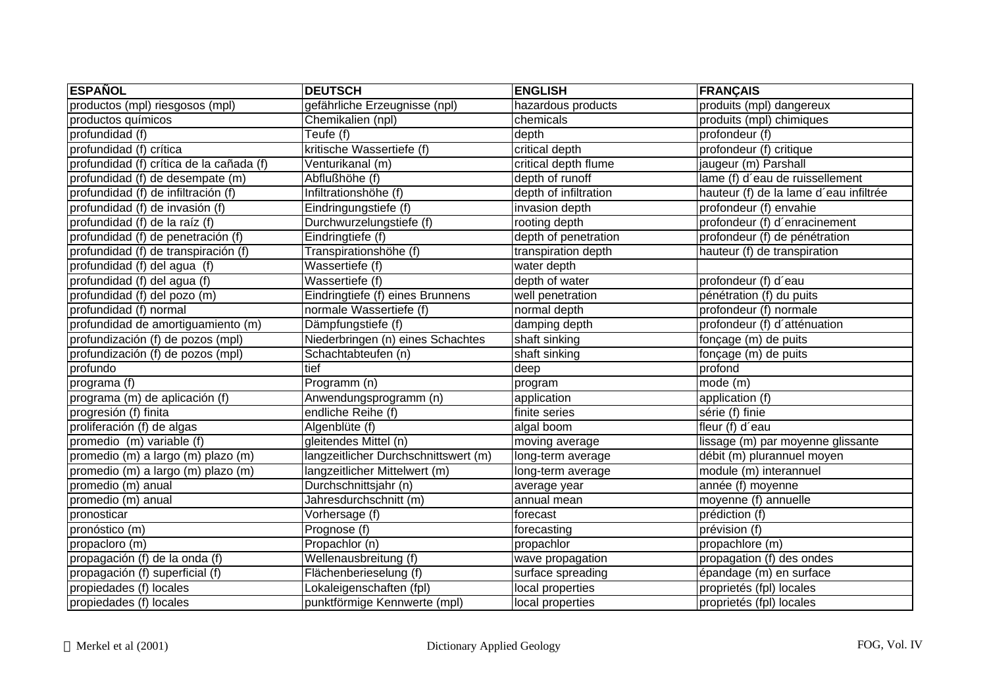| <b>ESPAÑOL</b>                           | <b>DEUTSCH</b>                       | <b>ENGLISH</b>        | <b>FRANÇAIS</b>                        |
|------------------------------------------|--------------------------------------|-----------------------|----------------------------------------|
| productos (mpl) riesgosos (mpl)          | gefährliche Erzeugnisse (npl)        | hazardous products    | produits (mpl) dangereux               |
| productos químicos                       | Chemikalien (npl)                    | chemicals             | produits (mpl) chimiques               |
| profundidad (f)                          | Teufe (f)                            | depth                 | profondeur (f)                         |
| profundidad (f) crítica                  | kritische Wassertiefe (f)            | critical depth        | profondeur (f) critique                |
| profundidad (f) crítica de la cañada (f) | Venturikanal (m)                     | critical depth flume  | jaugeur (m) Parshall                   |
| profundidad (f) de desempate (m)         | Abflußhöhe (f)                       | depth of runoff       | lame (f) d'eau de ruissellement        |
| profundidad (f) de infiltración (f)      | Infiltrationshöhe (f)                | depth of infiltration | hauteur (f) de la lame d'eau infiltrée |
| profundidad (f) de invasión (f)          | Eindringungstiefe (f)                | invasion depth        | profondeur (f) envahie                 |
| profundidad (f) de la raíz (f)           | Durchwurzelungstiefe (f)             | rooting depth         | profondeur (f) d'enracinement          |
| profundidad (f) de penetración (f)       | Eindringtiefe (f)                    | depth of penetration  | profondeur (f) de pénétration          |
| profundidad (f) de transpiración (f)     | Transpirationshöhe (f)               | transpiration depth   | hauteur (f) de transpiration           |
| profundidad (f) del agua (f)             | Wassertiefe (f)                      | water depth           |                                        |
| profundidad (f) del agua (f)             | Wassertiefe (f)                      | depth of water        | profondeur (f) d'eau                   |
| profundidad (f) del pozo (m)             | Eindringtiefe (f) eines Brunnens     | well penetration      | pénétration (f) du puits               |
| profundidad (f) normal                   | normale Wassertiefe (f)              | normal depth          | profondeur (f) normale                 |
| profundidad de amortiguamiento (m)       | Dämpfungstiefe (f)                   | damping depth         | profondeur (f) d'atténuation           |
| profundización (f) de pozos (mpl)        | Niederbringen (n) eines Schachtes    | shaft sinking         | fonçage (m) de puits                   |
| profundización (f) de pozos (mpl)        | Schachtabteufen (n)                  | shaft sinking         | fonçage (m) de puits                   |
| profundo                                 | tief                                 | deep                  | profond                                |
| programa (f)                             | Programm (n)                         | program               | mode (m)                               |
| programa (m) de aplicación (f)           | Anwendungsprogramm (n)               | application           | application (f)                        |
| progresión (f) finita                    | endliche Reihe (f)                   | finite series         | série (f) finie                        |
| proliferación (f) de algas               | Algenblüte (f)                       | algal boom            | fleur (f) d'eau                        |
| promedio (m) variable (f)                | gleitendes Mittel (n)                | moving average        | lissage (m) par moyenne glissante      |
| promedio (m) a largo (m) plazo (m)       | langzeitlicher Durchschnittswert (m) | long-term average     | débit (m) plurannuel moyen             |
| promedio (m) a largo (m) plazo (m)       | langzeitlicher Mittelwert (m)        | long-term average     | module (m) interannuel                 |
| promedio (m) anual                       | Durchschnittsjahr (n)                | average year          | année (f) moyenne                      |
| promedio (m) anual                       | Jahresdurchschnitt (m)               | annual mean           | moyenne (f) annuelle                   |
| pronosticar                              | Vorhersage (f)                       | forecast              | prédiction (f)                         |
| pronóstico (m)                           | Prognose (f)                         | forecasting           | prévision (f)                          |
| propacloro (m)                           | Propachlor (n)                       | propachlor            | propachlore (m)                        |
| propagación (f) de la onda (f)           | Wellenausbreitung (f)                | wave propagation      | propagation (f) des ondes              |
| propagación (f) superficial (f)          | Flächenberieselung (f)               | surface spreading     | épandage (m) en surface                |
| propiedades (f) locales                  | Lokaleigenschaften (fpl)             | local properties      | proprietés (fpl) locales               |
| propiedades (f) locales                  | punktförmige Kennwerte (mpl)         | local properties      | proprietés (fpl) locales               |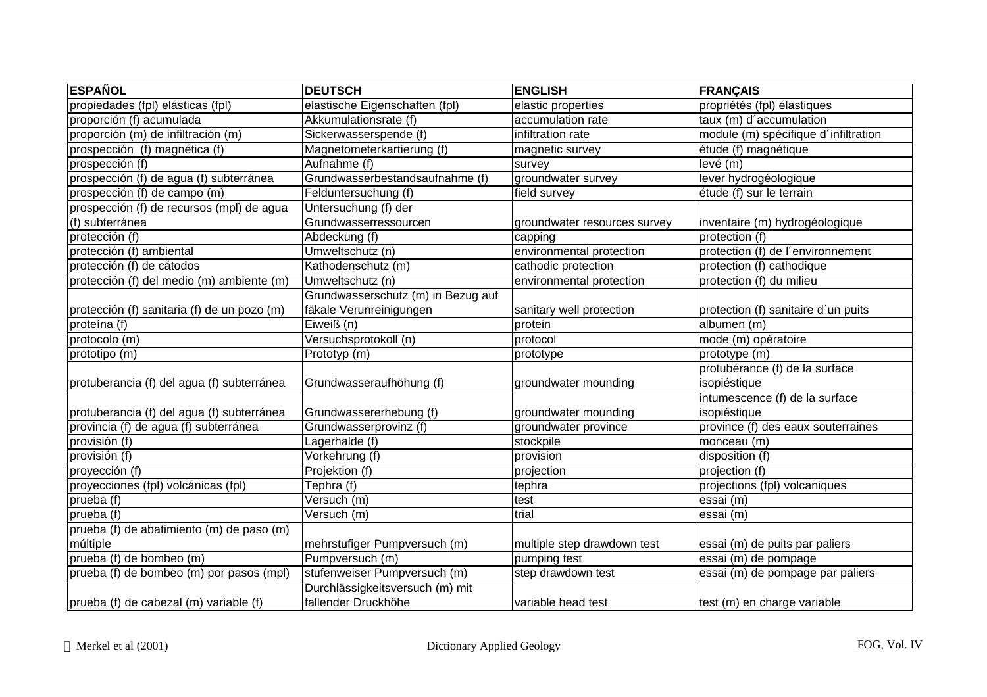| <b>ESPAÑOL</b>                              | <b>DEUTSCH</b>                     | <b>ENGLISH</b>               | <b>FRANÇAIS</b>                      |
|---------------------------------------------|------------------------------------|------------------------------|--------------------------------------|
| propiedades (fpl) elásticas (fpl)           | elastische Eigenschaften (fpl)     | elastic properties           | propriétés (fpl) élastiques          |
| proporción (f) acumulada                    | Akkumulationsrate (f)              | accumulation rate            | taux (m) d'accumulation              |
| proporción (m) de infiltración (m)          | Sickerwasserspende (f)             | infiltration rate            | module (m) spécifique d'infiltration |
| prospección (f) magnética (f)               | Magnetometerkartierung (f)         | magnetic survey              | étude (f) magnétique                 |
| prospección (f)                             | Aufnahme (f)                       | survey                       | levé (m)                             |
| prospección (f) de agua (f) subterránea     | Grundwasserbestandsaufnahme (f)    | groundwater survey           | lever hydrogéologique                |
| prospección (f) de campo (m)                | Felduntersuchung (f)               | field survey                 | étude (f) sur le terrain             |
| prospección (f) de recursos (mpl) de agua   | Untersuchung (f) der               |                              |                                      |
| (f) subterránea                             | Grundwasserressourcen              | groundwater resources survey | inventaire (m) hydrogéologique       |
| protección (f)                              | Abdeckung (f)                      | capping                      | protection (f)                       |
| protección (f) ambiental                    | Umweltschutz (n)                   | environmental protection     | protection (f) de l'environnement    |
| protección (f) de cátodos                   | Kathodenschutz (m)                 | cathodic protection          | protection (f) cathodique            |
| protección (f) del medio (m) ambiente (m)   | Umweltschutz (n)                   | environmental protection     | protection (f) du milieu             |
|                                             | Grundwasserschutz (m) in Bezug auf |                              |                                      |
| protección (f) sanitaria (f) de un pozo (m) | fäkale Verunreinigungen            | sanitary well protection     | protection (f) sanitaire d'un puits  |
| proteína (f)                                | Eiweiß (n)                         | protein                      | albumen (m)                          |
| protocolo (m)                               | Versuchsprotokoll (n)              | protocol                     | mode (m) opératoire                  |
| prototipo (m)                               | Prototyp (m)                       | prototype                    | prototype (m)                        |
|                                             |                                    |                              | protubérance (f) de la surface       |
| protuberancia (f) del agua (f) subterránea  | Grundwasseraufhöhung (f)           | groundwater mounding         | isopiéstique                         |
|                                             |                                    |                              | intumescence (f) de la surface       |
| protuberancia (f) del agua (f) subterránea  | Grundwassererhebung (f)            | groundwater mounding         | isopiéstique                         |
| provincia (f) de agua (f) subterránea       | Grundwasserprovinz (f)             | groundwater province         | province (f) des eaux souterraines   |
| provisión (f)                               | Lagerhalde (f)                     | stockpile                    | monceau (m)                          |
| provisión $(f)$                             | Vorkehrung (f)                     | provision                    | disposition (f)                      |
| proyección (f)                              | Projektion (f)                     | projection                   | projection (f)                       |
| proyecciones (fpl) volcánicas (fpl)         | Tephra (f)                         | tephra                       | projections (fpl) volcaniques        |
| prueba (f)                                  | Versuch (m)                        | test                         | essai (m)                            |
| prueba (f)                                  | Versuch (m)                        | trial                        | essai (m)                            |
| prueba (f) de abatimiento (m) de paso (m)   |                                    |                              |                                      |
| múltiple                                    | mehrstufiger Pumpversuch (m)       | multiple step drawdown test  | essai (m) de puits par paliers       |
| prueba (f) de bombeo (m)                    | Pumpversuch (m)                    | pumping test                 | essai (m) de pompage                 |
| prueba (f) de bombeo (m) por pasos (mpl)    | stufenweiser Pumpversuch (m)       | step drawdown test           | essai (m) de pompage par paliers     |
|                                             | Durchlässigkeitsversuch (m) mit    |                              |                                      |
| prueba (f) de cabezal (m) variable (f)      | fallender Druckhöhe                | variable head test           | test (m) en charge variable          |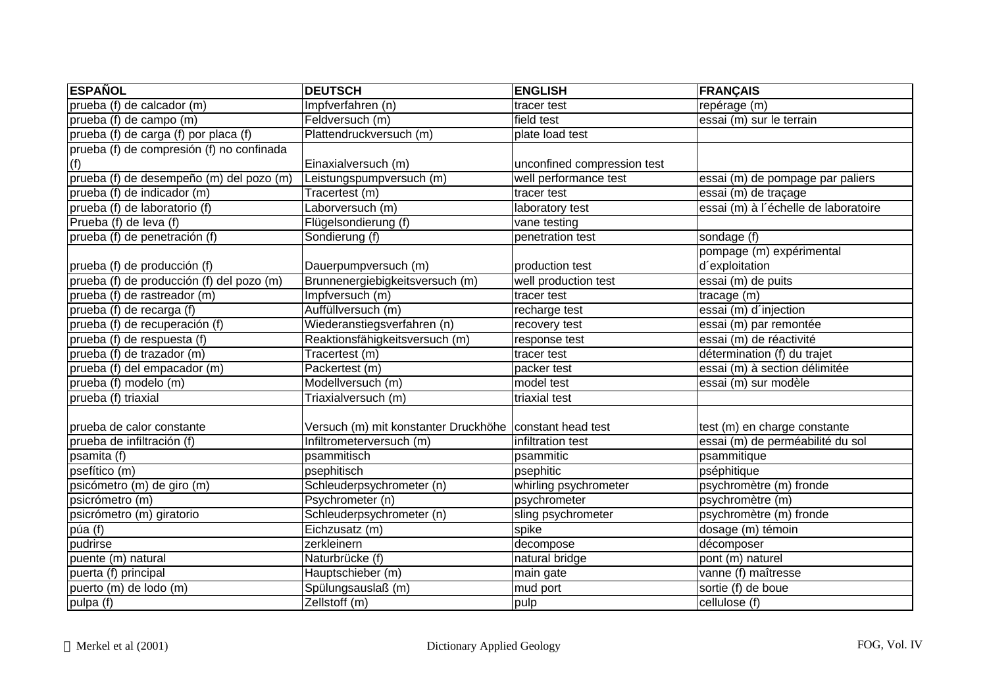| <b>ESPAÑOL</b>                            | <b>DEUTSCH</b>                                            | <b>ENGLISH</b>              | <b>FRANÇAIS</b>                      |
|-------------------------------------------|-----------------------------------------------------------|-----------------------------|--------------------------------------|
| prueba (f) de calcador (m)                | Impfverfahren (n)                                         | tracer test                 | repérage (m)                         |
| prueba (f) de campo (m)                   | Feldversuch (m)                                           | field test                  | essai (m) sur le terrain             |
| prueba (f) de carga (f) por placa (f)     | Plattendruckversuch (m)                                   | plate load test             |                                      |
| prueba (f) de compresión (f) no confinada |                                                           |                             |                                      |
| (f)                                       | Einaxialversuch (m)                                       | unconfined compression test |                                      |
| prueba (f) de desempeño (m) del pozo (m)  | Leistungspumpversuch (m)                                  | well performance test       | essai (m) de pompage par paliers     |
| prueba (f) de indicador (m)               | Tracertest (m)                                            | tracer test                 | essai (m) de traçage                 |
| prueba (f) de laboratorio (f)             | Laborversuch (m)                                          | laboratory test             | essai (m) à l'échelle de laboratoire |
| Prueba (f) de leva (f)                    | Flügelsondierung (f)                                      | vane testing                |                                      |
| prueba (f) de penetración (f)             | Sondierung (f)                                            | penetration test            | sondage (f)                          |
|                                           |                                                           |                             | pompage (m) expérimental             |
| prueba (f) de producción (f)              | Dauerpumpversuch (m)                                      | production test             | d'exploitation                       |
| prueba (f) de producción (f) del pozo (m) | Brunnenergiebigkeitsversuch (m)                           | well production test        | essai (m) de puits                   |
| prueba (f) de rastreador (m)              | Impfversuch (m)                                           | tracer test                 | tracage (m)                          |
| prueba (f) de recarga (f)                 | Auffüllversuch (m)                                        | recharge test               | essai (m) d'injection                |
| prueba (f) de recuperación (f)            | Wiederanstiegsverfahren (n)                               | recovery test               | essai (m) par remontée               |
| prueba (f) de respuesta (f)               | Reaktionsfähigkeitsversuch (m)                            | response test               | essai (m) de réactivité              |
| prueba (f) de trazador (m)                | Tracertest (m)                                            | tracer test                 | détermination (f) du trajet          |
| prueba (f) del empacador (m)              | Packertest (m)                                            | packer test                 | essai (m) à section délimitée        |
| prueba (f) modelo (m)                     | Modellversuch (m)                                         | model test                  | essai (m) sur modèle                 |
| prueba (f) triaxial                       | Triaxialversuch (m)                                       | triaxial test               |                                      |
| prueba de calor constante                 | Versuch (m) mit konstanter Druckhöhe   constant head test |                             | test (m) en charge constante         |
| prueba de infiltración (f)                | Infiltrometerversuch (m)                                  | infiltration test           | essai (m) de perméabilité du sol     |
| psamita (f)                               | psammitisch                                               | psammitic                   | psammitique                          |
| psefítico (m)                             | psephitisch                                               | psephitic                   | pséphitique                          |
| psicómetro (m) de giro (m)                | Schleuderpsychrometer (n)                                 | whirling psychrometer       | psychromètre (m) fronde              |
| psicrómetro (m)                           | Psychrometer (n)                                          | psychrometer                | psychromètre (m)                     |
| psicrómetro (m) giratorio                 | Schleuderpsychrometer (n)                                 | sling psychrometer          | psychromètre (m) fronde              |
| púa (f)                                   | Eichzusatz (m)                                            | spike                       | dosage (m) témoin                    |
| pudrirse                                  | zerkleinern                                               | decompose                   | décomposer                           |
| puente (m) natural                        | Naturbrücke (f)                                           | natural bridge              | pont (m) naturel                     |
| puerta (f) principal                      | Hauptschieber (m)                                         | main gate                   | vanne (f) maîtresse                  |
| puerto (m) de lodo (m)                    | Spülungsauslaß (m)                                        | mud port                    | sortie (f) de boue                   |
| pulpa (f)                                 | Zellstoff (m)                                             | pulp                        | cellulose(f)                         |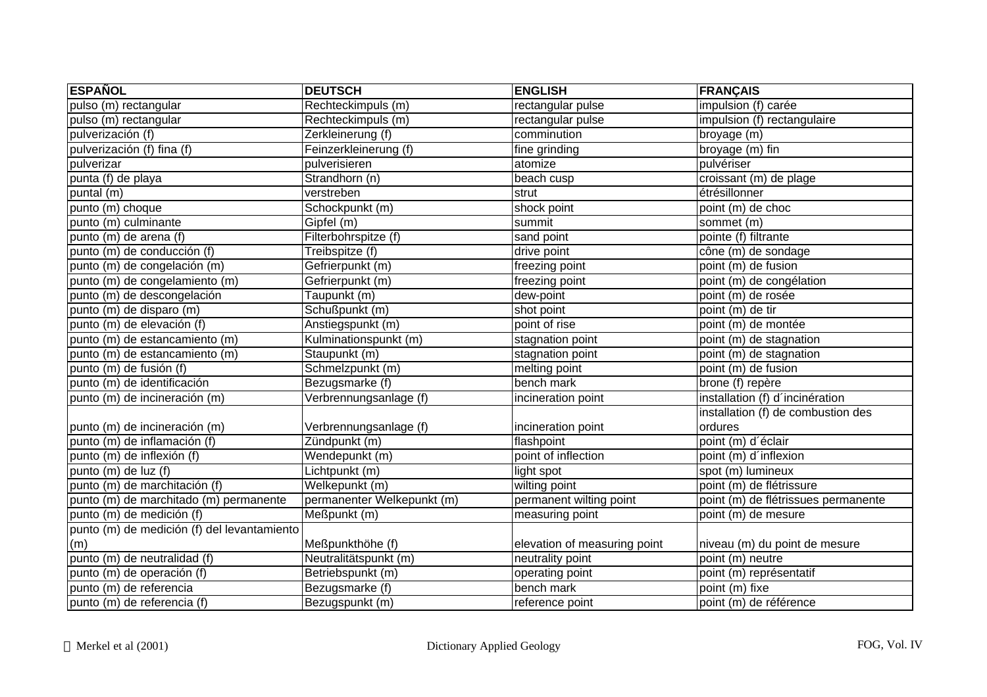| <b>ESPAÑOL</b>                              | <b>DEUTSCH</b>             | <b>ENGLISH</b>               | <b>FRANÇAIS</b>                     |
|---------------------------------------------|----------------------------|------------------------------|-------------------------------------|
| pulso (m) rectangular                       | Rechteckimpuls (m)         | rectangular pulse            | impulsion (f) carée                 |
| pulso (m) rectangular                       | Rechteckimpuls (m)         | rectangular pulse            | impulsion (f) rectangulaire         |
| pulverización (f)                           | Zerkleinerung (f)          | comminution                  | broyage (m)                         |
| pulverización (f) fina (f)                  | Feinzerkleinerung (f)      | fine grinding                | broyage (m) fin                     |
| pulverizar                                  | pulverisieren              | atomize                      | pulvériser                          |
| punta (f) de playa                          | Strandhorn (n)             | beach cusp                   | croissant (m) de plage              |
| puntal (m)                                  | verstreben                 | strut                        | étrésillonner                       |
| punto (m) choque                            | Schockpunkt (m)            | shock point                  | point (m) de choc                   |
| punto (m) culminante                        | Gipfel (m)                 | summit                       | sommet (m)                          |
| punto (m) de arena (f)                      | Filterbohrspitze (f)       | sand point                   | pointe (f) filtrante                |
| punto (m) de conducción (f)                 | Treibspitze (f)            | drive point                  | cône (m) de sondage                 |
| punto (m) de congelación (m)                | Gefrierpunkt (m)           | freezing point               | point (m) de fusion                 |
| punto (m) de congelamiento (m)              | Gefrierpunkt (m)           | freezing point               | point (m) de congélation            |
| punto (m) de descongelación                 | Taupunkt (m)               | dew-point                    | point (m) de rosée                  |
| punto (m) de disparo (m)                    | Schußpunkt (m)             | shot point                   | point (m) de tir                    |
| punto (m) de elevación (f)                  | Anstiegspunkt (m)          | point of rise                | point (m) de montée                 |
| punto (m) de estancamiento (m)              | Kulminationspunkt (m)      | stagnation point             | point (m) de stagnation             |
| punto (m) de estancamiento (m)              | Staupunkt (m)              | stagnation point             | point (m) de stagnation             |
| punto (m) de fusión (f)                     | Schmelzpunkt (m)           | melting point                | point (m) de fusion                 |
| punto (m) de identificación                 | Bezugsmarke (f)            | bench mark                   | brone (f) repère                    |
| punto (m) de incineración (m)               | Verbrennungsanlage (f)     | incineration point           | installation (f) d'incinération     |
|                                             |                            |                              | installation (f) de combustion des  |
| punto (m) de incineración (m)               | Verbrennungsanlage (f)     | incineration point           | ordures                             |
| punto (m) de inflamación (f)                | Zündpunkt (m)              | flashpoint                   | point (m) d'éclair                  |
| punto (m) de inflexión (f)                  | Wendepunkt (m)             | point of inflection          | point (m) d'inflexion               |
| punto (m) de luz (f)                        | Lichtpunkt (m)             | light spot                   | spot (m) lumineux                   |
| punto (m) de marchitación (f)               | Welkepunkt (m)             | wilting point                | point (m) de flétrissure            |
| punto (m) de marchitado (m) permanente      | permanenter Welkepunkt (m) | permanent wilting point      | point (m) de flétrissues permanente |
| punto (m) de medición (f)                   | Meßpunkt (m)               | measuring point              | point (m) de mesure                 |
| punto (m) de medición (f) del levantamiento |                            |                              |                                     |
| (m)                                         | Meßpunkthöhe (f)           | elevation of measuring point | niveau (m) du point de mesure       |
| punto (m) de neutralidad (f)                | Neutralitätspunkt (m)      | neutrality point             | point (m) neutre                    |
| punto (m) de operación (f)                  | Betriebspunkt (m)          | operating point              | point (m) représentatif             |
| punto (m) de referencia                     | Bezugsmarke (f)            | bench mark                   | point (m) fixe                      |
| punto (m) de referencia (f)                 | Bezugspunkt (m)            | reference point              | point (m) de référence              |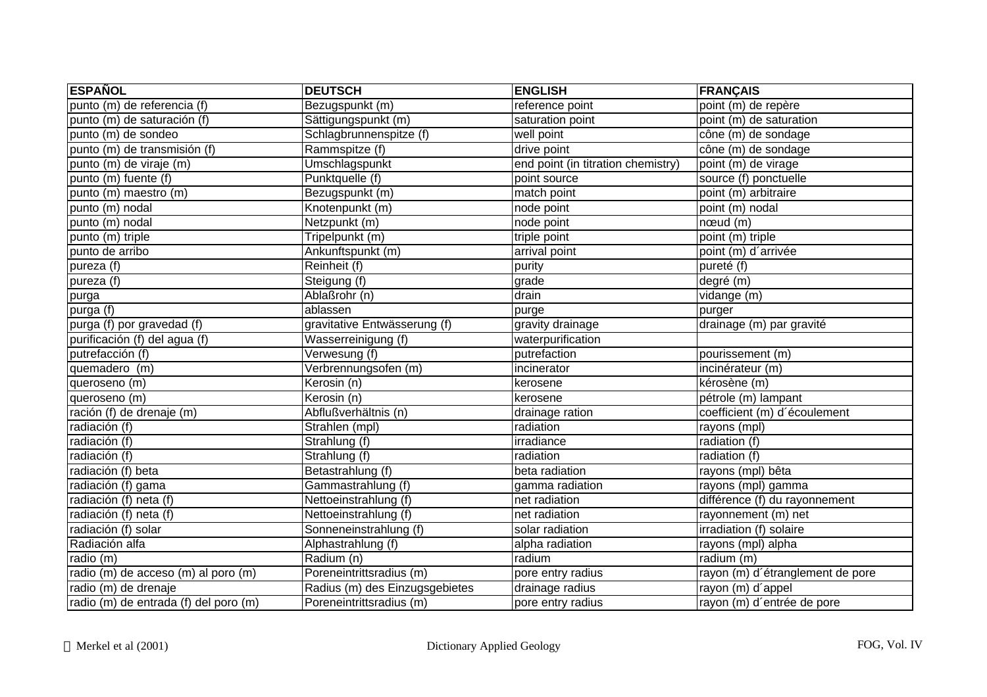| <b>ESPAÑOL</b>                        | <b>DEUTSCH</b>                 | <b>ENGLISH</b>                     | <b>FRANÇAIS</b>                  |
|---------------------------------------|--------------------------------|------------------------------------|----------------------------------|
| punto (m) de referencia (f)           | Bezugspunkt (m)                | reference point                    | point (m) de repère              |
| punto (m) de saturación (f)           | Sättigungspunkt (m)            | saturation point                   | point (m) de saturation          |
| punto (m) de sondeo                   | Schlagbrunnenspitze (f)        | well point                         | cône (m) de sondage              |
| punto (m) de transmisión (f)          | Rammspitze (f)                 | drive point                        | cône (m) de sondage              |
| punto (m) de viraje (m)               | Umschlagspunkt                 | end point (in titration chemistry) | point (m) de virage              |
| punto (m) fuente (f)                  | Punktquelle (f)                | point source                       | source (f) ponctuelle            |
| punto (m) maestro (m)                 | Bezugspunkt (m)                | match point                        | point (m) arbitraire             |
| punto (m) nodal                       | Knotenpunkt (m)                | node point                         | point (m) nodal                  |
| punto (m) nodal                       | Netzpunkt (m)                  | node point                         | $n$ $\alpha$ $\alpha$ $($ m $)$  |
| punto (m) triple                      | Tripelpunkt (m)                | triple point                       | point (m) triple                 |
| punto de arribo                       | Ankunftspunkt (m)              | arrival point                      | point (m) d'arrivée              |
| pureza (f)                            | Reinheit (f)                   | purity                             | pureté (f)                       |
| pureza (f)                            | Steigung (f)                   | grade                              | degré (m)                        |
| purga                                 | Ablaßrohr (n)                  | drain                              | vidange (m)                      |
| purga (f)                             | ablassen                       | purge                              | purger                           |
| purga (f) por gravedad (f)            | gravitative Entwässerung (f)   | gravity drainage                   | drainage (m) par gravité         |
| purificación (f) del agua (f)         | Wasserreinigung (f)            | waterpurification                  |                                  |
| putrefacción (f)                      | Verwesung (f)                  | putrefaction                       | pourissement (m)                 |
| quemadero (m)                         | Verbrennungsofen (m)           | incinerator                        | incinérateur (m)                 |
| queroseno (m)                         | Kerosin (n)                    | kerosene                           | kérosène (m)                     |
| queroseno (m)                         | Kerosin (n)                    | kerosene                           | pétrole (m) lampant              |
| ración (f) de drenaje (m)             | Abflußverhältnis (n)           | drainage ration                    | coefficient (m) d'écoulement     |
| radiación (f)                         | Strahlen (mpl)                 | radiation                          | rayons (mpl)                     |
| radiación (f)                         | Strahlung (f)                  | irradiance                         | radiation (f)                    |
| radiación $(f)$                       | Strahlung (f)                  | radiation                          | radiation (f)                    |
| radiación (f) beta                    | Betastrahlung (f)              | beta radiation                     | rayons (mpl) bêta                |
| radiación (f) gama                    | Gammastrahlung (f)             | gamma radiation                    | rayons (mpl) gamma               |
| radiación (f) neta (f)                | Nettoeinstrahlung (f)          | net radiation                      | différence (f) du rayonnement    |
| radiación (f) neta (f)                | Nettoeinstrahlung (f)          | net radiation                      | rayonnement (m) net              |
| radiación (f) solar                   | Sonneneinstrahlung (f)         | solar radiation                    | irradiation (f) solaire          |
| Radiación alfa                        | Alphastrahlung (f)             | alpha radiation                    | rayons (mpl) alpha               |
| radio (m)                             | Radium (n)                     | radium                             | radium (m)                       |
| radio (m) de acceso (m) al poro (m)   | Poreneintrittsradius (m)       | pore entry radius                  | rayon (m) d'étranglement de pore |
| radio (m) de drenaje                  | Radius (m) des Einzugsgebietes | drainage radius                    | rayon (m) d'appel                |
| radio (m) de entrada (f) del poro (m) | Poreneintrittsradius (m)       | pore entry radius                  | rayon (m) d'entrée de pore       |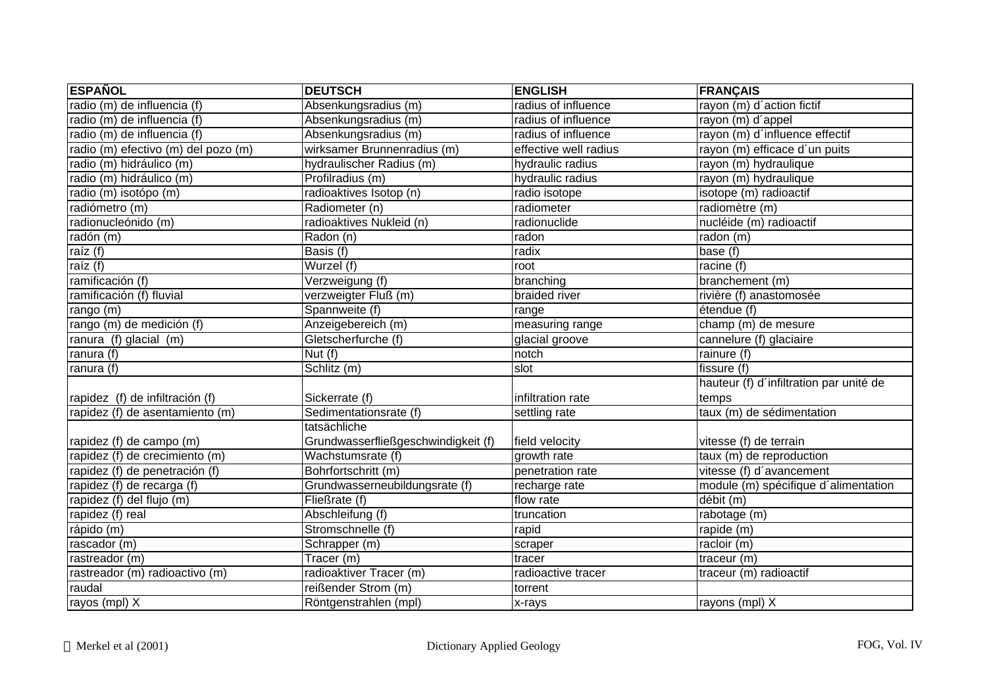| <b>ESPAÑOL</b>                      | <b>DEUTSCH</b>                      | <b>ENGLISH</b>              | <b>FRANÇAIS</b>                         |
|-------------------------------------|-------------------------------------|-----------------------------|-----------------------------------------|
| radio (m) de influencia (f)         | Absenkungsradius (m)                | radius of influence         | rayon (m) d'action fictif               |
| radio (m) de influencia (f)         | Absenkungsradius (m)                | radius of influence         | rayon (m) d'appel                       |
| radio (m) de influencia (f)         | Absenkungsradius (m)                | radius of influence         | rayon (m) d'influence effectif          |
| radio (m) efectivo (m) del pozo (m) | wirksamer Brunnenradius (m)         | effective well radius       | rayon (m) efficace d'un puits           |
| radio (m) hidráulico (m)            | hydraulischer Radius (m)            | hydraulic radius            | rayon (m) hydraulique                   |
| radio (m) hidráulico (m)            | Profilradius (m)                    | hydraulic radius            | rayon (m) hydraulique                   |
| radio (m) isotópo (m)               | radioaktives Isotop (n)             | radio isotope               | isotope (m) radioactif                  |
| radiómetro (m)                      | Radiometer (n)                      | radiometer                  | radiomètre (m)                          |
| radionucleónido (m)                 | radioaktives Nukleid (n)            | radionuclide                | nucléide (m) radioactif                 |
| radón (m)                           | Radon (n)                           | radon                       | radon (m)                               |
| raíz $(f)$                          | Basis (f)                           | radix                       | base (f)                                |
| raíz $(f)$                          | Wurzel (f)                          | root                        | racine (f)                              |
| ramificación (f)                    | Verzweigung (f)                     | branching                   | branchement (m)                         |
| ramificación (f) fluvial            | verzweigter Fluß (m)                | braided river               | rivière (f) anastomosée                 |
| rango (m)                           | Spannweite (f)                      | range                       | étendue (f)                             |
| rango (m) de medición (f)           | Anzeigebereich (m)                  | measuring range             | champ (m) de mesure                     |
| ranura (f) glacial (m)              | Gletscherfurche (f)                 | glacial groove              | cannelure (f) glaciaire                 |
| ranura (f)                          | Nut (f)                             | $\overline{\mathsf{notch}}$ | rainure (f)                             |
| ranura (f)                          | Schlitz (m)                         | slot                        | fissure (f)                             |
|                                     |                                     |                             | hauteur (f) d'infiltration par unité de |
| rapidez (f) de infiltración (f)     | Sickerrate (f)                      | infiltration rate           | temps                                   |
| rapidez (f) de asentamiento (m)     | Sedimentationsrate (f)              | settling rate               | taux (m) de sédimentation               |
|                                     | tatsächliche                        |                             |                                         |
| rapidez (f) de campo (m)            | Grundwasserfließgeschwindigkeit (f) | field velocity              | vitesse (f) de terrain                  |
| rapidez (f) de crecimiento (m)      | Wachstumsrate (f)                   | growth rate                 | taux (m) de reproduction                |
| rapidez (f) de penetración (f)      | Bohrfortschritt (m)                 | penetration rate            | vitesse (f) d'avancement                |
| rapidez (f) de recarga (f)          | Grundwasserneubildungsrate (f)      | recharge rate               | module (m) spécifique d'alimentation    |
| rapidez (f) del flujo (m)           | Fließrate (f)                       | flow rate                   | débit (m)                               |
| rapidez (f) real                    | Abschleifung (f)                    | truncation                  | rabotage (m)                            |
| rápido (m)                          | Stromschnelle (f)                   | rapid                       | rapide (m)                              |
| rascador (m)                        | Schrapper (m)                       | scraper                     | racloir (m)                             |
| rastreador (m)                      | Tracer (m)                          | tracer                      | traceur (m)                             |
| rastreador (m) radioactivo (m)      | radioaktiver Tracer (m)             | radioactive tracer          | traceur (m) radioactif                  |
| raudal                              | reißender Strom (m)                 | torrent                     |                                         |
| rayos (mpl) X                       | Röntgenstrahlen (mpl)               | x-rays                      | rayons (mpl) X                          |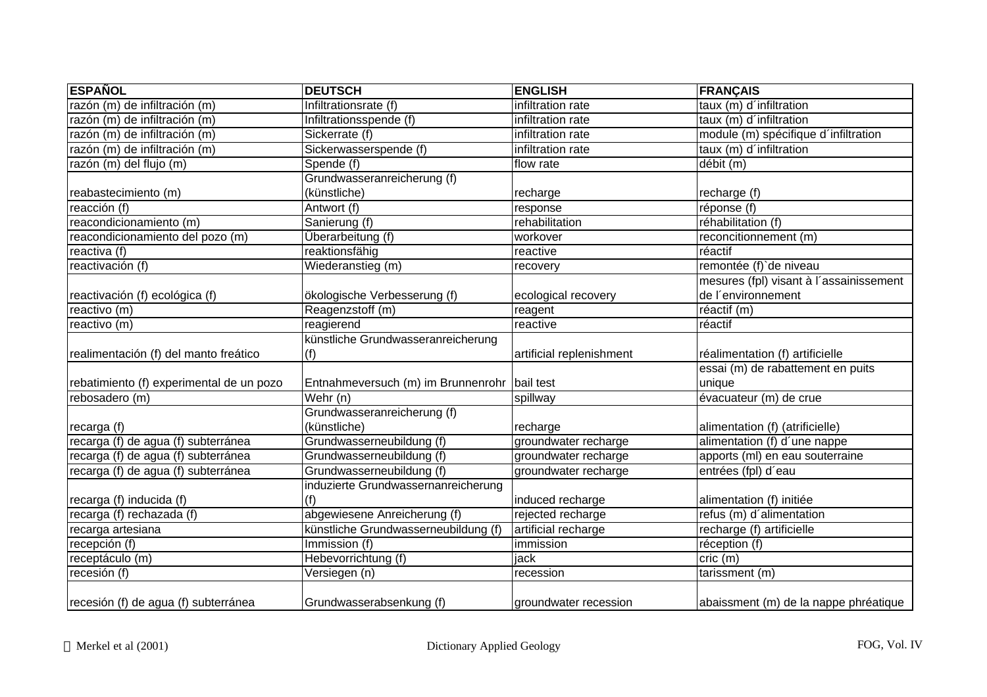| <b>ESPAÑOL</b>                           | <b>DEUTSCH</b>                               | <b>ENGLISH</b>           | <b>FRANÇAIS</b>                         |
|------------------------------------------|----------------------------------------------|--------------------------|-----------------------------------------|
| razón (m) de infiltración (m)            | Infiltrationsrate (f)                        | infiltration rate        | taux (m) d'infiltration                 |
| razón (m) de infiltración (m)            | Infiltrationsspende (f)                      | infiltration rate        | taux (m) d'infiltration                 |
| razón (m) de infiltración (m)            | Sickerrate (f)                               | infiltration rate        | module (m) spécifique d'infiltration    |
| razón (m) de infiltración (m)            | Sickerwasserspende (f)                       | infiltration rate        | taux (m) d'infiltration                 |
| razón (m) del flujo (m)                  | Spende (f)                                   | flow rate                | débit (m)                               |
|                                          | Grundwasseranreicherung (f)                  |                          |                                         |
| reabastecimiento (m)                     | (künstliche)                                 | recharge                 | recharge (f)                            |
| reacción (f)                             | Antwort (f)                                  | response                 | réponse (f)                             |
| reacondicionamiento (m)                  | Sanierung (f)                                | rehabilitation           | réhabilitation (f)                      |
| reacondicionamiento del pozo (m)         | Überarbeitung (f)                            | workover                 | reconcitionnement (m)                   |
| reactiva (f)                             | reaktionsfähig                               | reactive                 | réactif                                 |
| reactivación (f)                         | Wiederanstieg (m)                            | recovery                 | remontée (f) de niveau                  |
|                                          |                                              |                          | mesures (fpl) visant à l'assainissement |
| reactivación (f) ecológica (f)           | ökologische Verbesserung (f)                 | ecological recovery      | de l'environnement                      |
| reactivo (m)                             | Reagenzstoff (m)                             | reagent                  | réactif (m)                             |
| reactivo (m)                             | reagierend                                   | reactive                 | réactif                                 |
|                                          | künstliche Grundwasseranreicherung           |                          |                                         |
| realimentación (f) del manto freático    | (f)                                          | artificial replenishment | réalimentation (f) artificielle         |
|                                          |                                              |                          | essai (m) de rabattement en puits       |
| rebatimiento (f) experimental de un pozo | Entnahmeversuch (m) im Brunnenrohr bail test |                          | unique                                  |
| rebosadero (m)                           | $\overline{\mathsf{W}}$ ehr (n)              | spillway                 | évacuateur (m) de crue                  |
|                                          | Grundwasseranreicherung (f)                  |                          |                                         |
| recarga (f)                              | (künstliche)                                 | recharge                 | alimentation (f) (atrificielle)         |
| recarga (f) de agua (f) subterránea      | Grundwasserneubildung (f)                    | groundwater recharge     | alimentation (f) d'une nappe            |
| recarga (f) de agua (f) subterránea      | Grundwasserneubildung (f)                    | groundwater recharge     | apports (ml) en eau souterraine         |
| recarga (f) de agua (f) subterránea      | Grundwasserneubildung (f)                    | groundwater recharge     | entrées (fpl) d'eau                     |
|                                          | induzierte Grundwassernanreicherung          |                          |                                         |
| recarga (f) inducida (f)                 | (f)                                          | induced recharge         | alimentation (f) initiée                |
| recarga (f) rechazada (f)                | abgewiesene Anreicherung (f)                 | rejected recharge        | refus (m) d'alimentation                |
| recarga artesiana                        | künstliche Grundwasserneubildung (f)         | artificial recharge      | recharge (f) artificielle               |
| recepción (f)                            | Immission (f)                                | immission                | réception (f)                           |
| receptáculo (m)                          | Hebevorrichtung (f)                          | jack                     | cric(m)                                 |
| recesión (f)                             | Versiegen (n)                                | recession                | tarissment (m)                          |
| recesión (f) de agua (f) subterránea     | Grundwasserabsenkung (f)                     | groundwater recession    | abaissment (m) de la nappe phréatique   |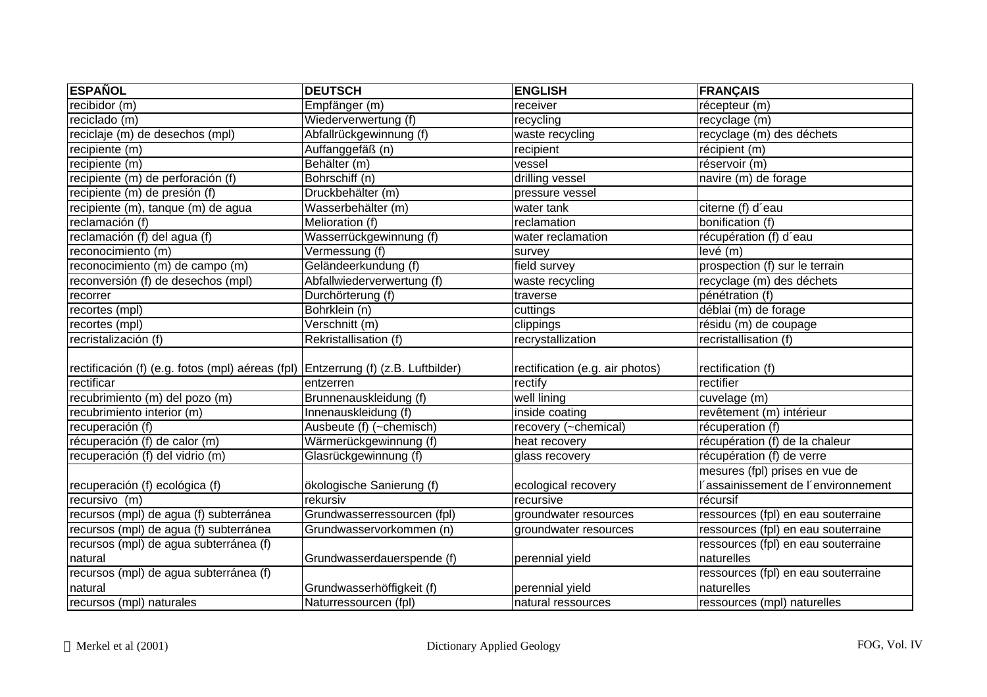| <b>ESPAÑOL</b>                                                                    | <b>DEUTSCH</b>              | <b>ENGLISH</b>                  | <b>FRANÇAIS</b>                     |
|-----------------------------------------------------------------------------------|-----------------------------|---------------------------------|-------------------------------------|
| $r$ ecibidor (m)                                                                  | Empfänger (m)               | receiver                        | récepteur (m)                       |
| reciclado (m)                                                                     | Wiederverwertung (f)        | recycling                       | recyclage (m)                       |
| reciclaje (m) de desechos (mpl)                                                   | Abfallrückgewinnung (f)     | waste recycling                 | recyclage (m) des déchets           |
| recipiente (m)                                                                    | Auffanggefäß (n)            | recipient                       | récipient (m)                       |
| recipiente (m)                                                                    | Behälter (m)                | vessel                          | réservoir (m)                       |
| recipiente (m) de perforación (f)                                                 | Bohrschiff (n)              | drilling vessel                 | navire (m) de forage                |
| recipiente (m) de presión (f)                                                     | Druckbehälter (m)           | pressure vessel                 |                                     |
| recipiente (m), tanque (m) de agua                                                | Wasserbehälter (m)          | water tank                      | citerne (f) d'eau                   |
| reclamación (f)                                                                   | Melioration (f)             | reclamation                     | bonification (f)                    |
| reclamación (f) del agua (f)                                                      | Wasserrückgewinnung (f)     | water reclamation               | récupération (f) d'eau              |
| reconocimiento (m)                                                                | Vermessung (f)              | survey                          | levé (m)                            |
| reconocimiento (m) de campo (m)                                                   | Geländeerkundung (f)        | field survey                    | prospection (f) sur le terrain      |
| reconversión (f) de desechos (mpl)                                                | Abfallwiederverwertung (f)  | waste recycling                 | recyclage (m) des déchets           |
| recorrer                                                                          | Durchörterung (f)           | traverse                        | pénétration (f)                     |
| recortes (mpl)                                                                    | Bohrklein (n)               | cuttings                        | déblai (m) de forage                |
| recortes (mpl)                                                                    | Verschnitt (m)              | clippings                       | résidu (m) de coupage               |
| recristalización (f)                                                              | Rekristallisation (f)       | recrystallization               | recristallisation (f)               |
| rectificación (f) (e.g. fotos (mpl) aéreas (fpl) Entzerrung (f) (z.B. Luftbilder) |                             | rectification (e.g. air photos) | rectification (f)                   |
| rectificar                                                                        | entzerren                   | rectify                         | rectifier                           |
| recubrimiento (m) del pozo (m)                                                    | Brunnenauskleidung (f)      | well lining                     | cuvelage (m)                        |
| recubrimiento interior (m)                                                        | Innenauskleidung (f)        | inside coating                  | revêtement (m) intérieur            |
| recuperación (f)                                                                  | Ausbeute (f) (~chemisch)    | recovery (~chemical)            | récuperation (f)                    |
| récuperación (f) de calor (m)                                                     | Wärmerückgewinnung (f)      | heat recovery                   | récupération (f) de la chaleur      |
| recuperación (f) del vidrio (m)                                                   | Glasrückgewinnung (f)       | glass recovery                  | récupération (f) de verre           |
|                                                                                   |                             |                                 | mesures (fpl) prises en vue de      |
| recuperación (f) ecológica (f)                                                    | ökologische Sanierung (f)   | ecological recovery             | 'assainissement de l'environnement  |
| recursivo (m)                                                                     | rekursiv                    | recursive                       | récursif                            |
| recursos (mpl) de agua (f) subterránea                                            | Grundwasserressourcen (fpl) | groundwater resources           | ressources (fpl) en eau souterraine |
| recursos (mpl) de agua (f) subterránea                                            | Grundwasservorkommen (n)    | groundwater resources           | ressources (fpl) en eau souterraine |
| recursos (mpl) de agua subterránea (f)                                            |                             |                                 | ressources (fpl) en eau souterraine |
| natural                                                                           | Grundwasserdauerspende (f)  | perennial yield                 | naturelles                          |
| recursos (mpl) de agua subterránea (f)                                            |                             |                                 | ressources (fpl) en eau souterraine |
| natural                                                                           | Grundwasserhöffigkeit (f)   | perennial yield                 | naturelles                          |
| recursos (mpl) naturales                                                          | Naturressourcen (fpl)       | natural ressources              | ressources (mpl) naturelles         |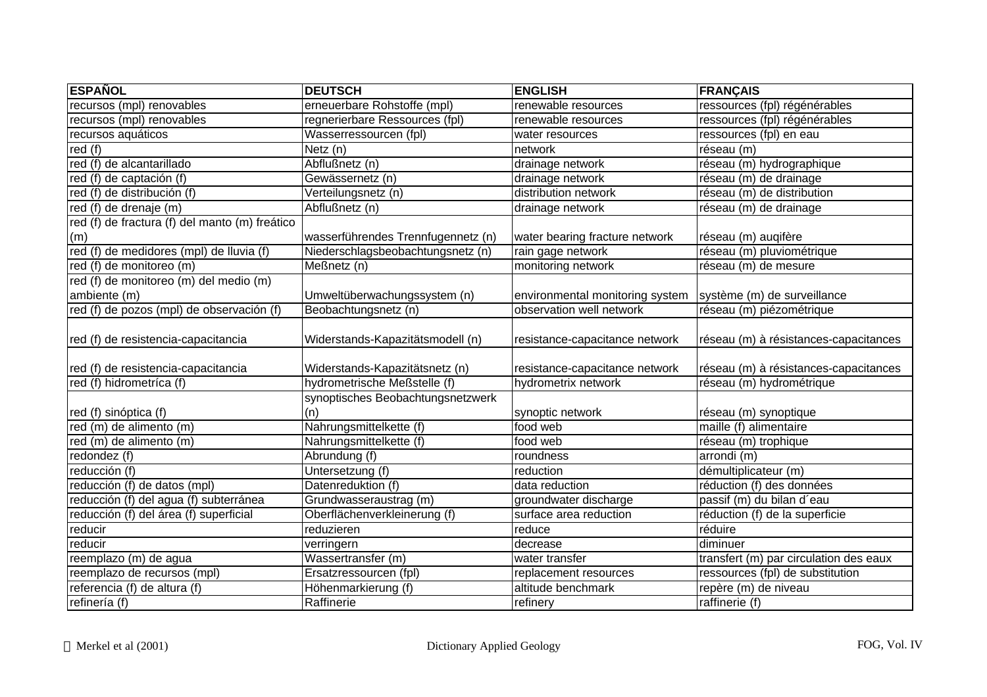| <b>ESPAÑOL</b>                                 | <b>DEUTSCH</b>                     | <b>ENGLISH</b>                  | <b>FRANÇAIS</b>                        |
|------------------------------------------------|------------------------------------|---------------------------------|----------------------------------------|
| recursos (mpl) renovables                      | erneuerbare Rohstoffe (mpl)        | renewable resources             | ressources (fpl) régénérables          |
| recursos (mpl) renovables                      | regnerierbare Ressources (fpl)     | renewable resources             | ressources (fpl) régénérables          |
| recursos aquáticos                             | Wasserressourcen (fpl)             | water resources                 | ressources (fpl) en eau                |
| red $(f)$                                      | Netz (n)                           | network                         | réseau (m)                             |
| red (f) de alcantarillado                      | Abflußnetz (n)                     | drainage network                | réseau (m) hydrographique              |
| red (f) de captación (f)                       | Gewässernetz (n)                   | drainage network                | réseau (m) de drainage                 |
| red (f) de distribución (f)                    | Verteilungsnetz (n)                | distribution network            | réseau (m) de distribution             |
| red (f) de drenaje (m)                         | Abflußnetz (n)                     | drainage network                | réseau (m) de drainage                 |
| red (f) de fractura (f) del manto (m) freático |                                    |                                 |                                        |
| (m)                                            | wasserführendes Trennfugennetz (n) | water bearing fracture network  | réseau (m) auqifère                    |
| red (f) de medidores (mpl) de lluvia (f)       | Niederschlagsbeobachtungsnetz (n)  | rain gage network               | réseau (m) pluviométrique              |
| red (f) de monitoreo (m)                       | Meßnetz (n)                        | monitoring network              | réseau (m) de mesure                   |
| red (f) de monitoreo (m) del medio (m)         |                                    |                                 |                                        |
| ambiente (m)                                   | Umweltüberwachungssystem (n)       | environmental monitoring system | système (m) de surveillance            |
| red (f) de pozos (mpl) de observación (f)      | Beobachtungsnetz (n)               | observation well network        | réseau (m) piézométrique               |
|                                                |                                    |                                 |                                        |
| red (f) de resistencia-capacitancia            | Widerstands-Kapazitätsmodell (n)   | resistance-capacitance network  | réseau (m) à résistances-capacitances  |
|                                                |                                    |                                 |                                        |
| red (f) de resistencia-capacitancia            | Widerstands-Kapazitätsnetz (n)     | resistance-capacitance network  | réseau (m) à résistances-capacitances  |
| red (f) hidrometrica (f)                       | hydrometrische Meßstelle (f)       | hydrometrix network             | réseau (m) hydrométrique               |
|                                                | synoptisches Beobachtungsnetzwerk  |                                 |                                        |
| red (f) sinóptica (f)                          | (n)                                | synoptic network                | réseau (m) synoptique                  |
| red (m) de alimento (m)                        | Nahrungsmittelkette (f)            | food web                        | maille (f) alimentaire                 |
| red (m) de alimento (m)                        | Nahrungsmittelkette (f)            | food web                        | réseau (m) trophique                   |
| redondez (f)                                   | Abrundung (f)                      | roundness                       | arrondi (m)                            |
| reducción (f)                                  | Untersetzung (f)                   | reduction                       | démultiplicateur (m)                   |
| reducción (f) de datos (mpl)                   | Datenreduktion (f)                 | data reduction                  | réduction (f) des données              |
| reducción (f) del agua (f) subterránea         | Grundwasseraustrag (m)             | groundwater discharge           | passif (m) du bilan d'eau              |
| reducción (f) del área (f) superficial         | Oberflächenverkleinerung (f)       | surface area reduction          | réduction (f) de la superficie         |
| reducir                                        | reduzieren                         | reduce                          | réduire                                |
| reducir                                        | verringern                         | decrease                        | diminuer                               |
| reemplazo (m) de agua                          | Wassertransfer (m)                 | water transfer                  | transfert (m) par circulation des eaux |
| reemplazo de recursos (mpl)                    | Ersatzressourcen (fpl)             | replacement resources           | ressources (fpl) de substitution       |
| referencia (f) de altura (f)                   | Höhenmarkierung (f)                | altitude benchmark              | repère (m) de niveau                   |
| refinería (f)                                  | Raffinerie                         | refinery                        | raffinerie (f)                         |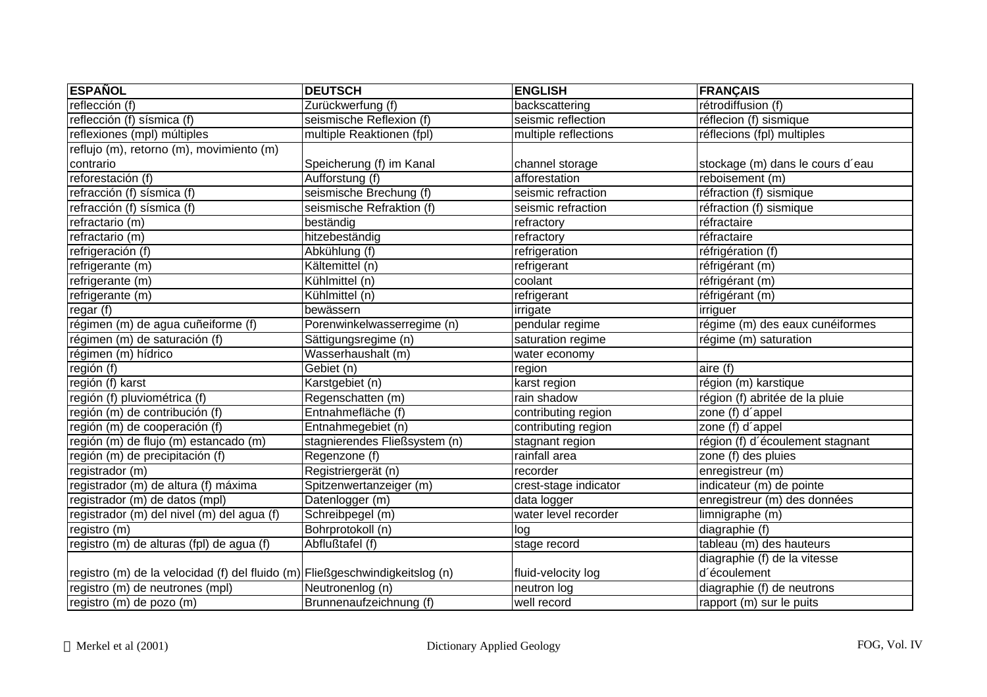| <b>ESPAÑOL</b>                                                               | <b>DEUTSCH</b>                | <b>ENGLISH</b>        | <b>FRANÇAIS</b>                  |
|------------------------------------------------------------------------------|-------------------------------|-----------------------|----------------------------------|
| reflección (f)                                                               | Zurückwerfung (f)             | backscattering        | rétrodiffusion (f)               |
| reflección (f) sísmica (f)                                                   | seismische Reflexion (f)      | seismic reflection    | réflecion (f) sismique           |
| reflexiones (mpl) múltiples                                                  | multiple Reaktionen (fpl)     | multiple reflections  | réflecions (fpl) multiples       |
| reflujo (m), retorno (m), movimiento (m)                                     |                               |                       |                                  |
| contrario                                                                    | Speicherung (f) im Kanal      | channel storage       | stockage (m) dans le cours d'eau |
| reforestación (f)                                                            | Aufforstung (f)               | afforestation         | reboisement (m)                  |
| refracción (f) sísmica (f)                                                   | seismische Brechung (f)       | seismic refraction    | réfraction (f) sismique          |
| refracción (f) sísmica (f)                                                   | seismische Refraktion (f)     | seismic refraction    | réfraction (f) sismique          |
| refractario (m)                                                              | beständig                     | refractory            | réfractaire                      |
| refractario (m)                                                              | hitzebeständig                | refractory            | réfractaire                      |
| refrigeración (f)                                                            | Abkühlung (f)                 | refrigeration         | réfrigération (f)                |
| refrigerante (m)                                                             | Kältemittel (n)               | refrigerant           | réfrigérant (m)                  |
| refrigerante (m)                                                             | Kühlmittel (n)                | coolant               | réfrigérant (m)                  |
| refrigerante (m)                                                             | Kühlmittel (n)                | refrigerant           | réfrigérant (m)                  |
| regar(f)                                                                     | bewässern                     | irrigate              | irriguer                         |
| régimen (m) de agua cuñeiforme (f)                                           | Porenwinkelwasserregime (n)   | pendular regime       | régime (m) des eaux cunéiformes  |
| régimen (m) de saturación (f)                                                | Sättigungsregime (n)          | saturation regime     | régime (m) saturation            |
| régimen (m) hídrico                                                          | Wasserhaushalt (m)            | water economy         |                                  |
| región $(\overline{f})$                                                      | Gebiet (n)                    | region                | aire (f)                         |
| región (f) karst                                                             | Karstgebiet (n)               | karst region          | région (m) karstique             |
| región (f) pluviométrica (f)                                                 | Regenschatten (m)             | rain shadow           | région (f) abritée de la pluie   |
| región (m) de contribución (f)                                               | Entnahmefläche (f)            | contributing region   | zone (f) d'appel                 |
| región (m) de cooperación (f)                                                | Entnahmegebiet (n)            | contributing region   | zone (f) d'appel                 |
| región (m) de flujo (m) estancado (m)                                        | stagnierendes Fließsystem (n) | stagnant region       | région (f) d'écoulement stagnant |
| región (m) de precipitación (f)                                              | Regenzone (f)                 | rainfall area         | zone (f) des pluies              |
| registrador (m)                                                              | Registriergerät (n)           | recorder              | enregistreur (m)                 |
| registrador (m) de altura (f) máxima                                         | Spitzenwertanzeiger (m)       | crest-stage indicator | indicateur (m) de pointe         |
| registrador (m) de datos (mpl)                                               | Datenlogger (m)               | data logger           | enregistreur (m) des données     |
| registrador (m) del nivel (m) del agua (f)                                   | Schreibpegel (m)              | water level recorder  | limnigraphe (m)                  |
| registro (m)                                                                 | Bohrprotokoll (n)             | log                   | diagraphie (f)                   |
| registro (m) de alturas (fpl) de agua (f)                                    | Abflußtafel (f)               | stage record          | tableau (m) des hauteurs         |
|                                                                              |                               |                       | diagraphie (f) de la vitesse     |
| registro (m) de la velocidad (f) del fluido (m) Fließgeschwindigkeitslog (n) |                               | fluid-velocity log    | d'écoulement                     |
| registro (m) de neutrones (mpl)                                              | Neutronenlog (n)              | neutron log           | diagraphie (f) de neutrons       |
| registro (m) de pozo (m)                                                     | Brunnenaufzeichnung (f)       | well record           | rapport (m) sur le puits         |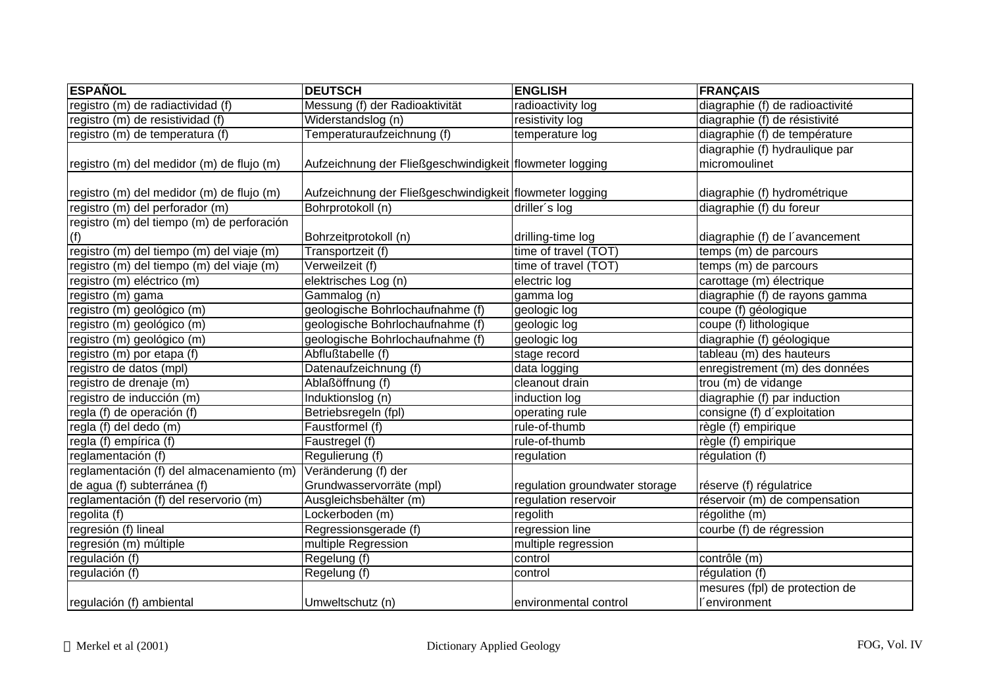| <b>ESPAÑOL</b>                             | <b>DEUTSCH</b>                                          | <b>ENGLISH</b>                 | <b>FRANÇAIS</b>                 |
|--------------------------------------------|---------------------------------------------------------|--------------------------------|---------------------------------|
| registro (m) de radiactividad (f)          | Messung (f) der Radioaktivität                          | radioactivity log              | diagraphie (f) de radioactivité |
| registro (m) de resistividad (f)           | Widerstandslog (n)                                      | resistivity log                | diagraphie (f) de résistivité   |
| registro (m) de temperatura (f)            | Temperaturaufzeichnung (f)                              | temperature log                | diagraphie (f) de température   |
|                                            |                                                         |                                | diagraphie (f) hydraulique par  |
| registro (m) del medidor (m) de flujo (m)  | Aufzeichnung der Fließgeschwindigkeit flowmeter logging |                                | micromoulinet                   |
| registro (m) del medidor (m) de flujo (m)  | Aufzeichnung der Fließgeschwindigkeit flowmeter logging |                                | diagraphie (f) hydrométrique    |
| registro (m) del perforador (m)            | Bohrprotokoll (n)                                       | driller's log                  | diagraphie (f) du foreur        |
| registro (m) del tiempo (m) de perforación |                                                         |                                |                                 |
| (f)                                        | Bohrzeitprotokoll (n)                                   | drilling-time log              | diagraphie (f) de l'avancement  |
| registro (m) del tiempo (m) del viaje (m)  | Transportzeit (f)                                       | time of travel (TOT)           | temps (m) de parcours           |
| registro (m) del tiempo (m) del viaje (m)  | Verweilzeit (f)                                         | time of travel $(TOT)$         | temps (m) de parcours           |
| registro (m) eléctrico (m)                 | elektrisches Log (n)                                    | electric log                   | carottage (m) électrique        |
| registro (m) gama                          | Gammalog (n)                                            | gamma log                      | diagraphie (f) de rayons gamma  |
| registro (m) geológico (m)                 | geologische Bohrlochaufnahme (f)                        | geologic log                   | coupe (f) géologique            |
| registro (m) geológico (m)                 | geologische Bohrlochaufnahme (f)                        | geologic log                   | coupe (f) lithologique          |
| registro (m) geológico (m)                 | geologische Bohrlochaufnahme (f)                        | geologic log                   | diagraphie (f) géologique       |
| registro (m) por etapa (f)                 | Abflußtabelle (f)                                       | stage record                   | tableau (m) des hauteurs        |
| registro de datos (mpl)                    | Datenaufzeichnung (f)                                   | data logging                   | enregistrement (m) des données  |
| registro de drenaje (m)                    | Ablaßöffnung (f)                                        | cleanout drain                 | trou (m) de vidange             |
| registro de inducción (m)                  | Induktionslog (n)                                       | induction log                  | diagraphie (f) par induction    |
| regla (f) de operación (f)                 | Betriebsregeln (fpl)                                    | operating rule                 | consigne (f) d'exploitation     |
| regla (f) del dedo (m)                     | Faustformel (f)                                         | rule-of-thumb                  | règle (f) empirique             |
| regla (f) empírica (f)                     | Faustregel (f)                                          | rule-of-thumb                  | règle (f) empirique             |
| reglamentación (f)                         | Regulierung (f)                                         | regulation                     | régulation (f)                  |
| reglamentación (f) del almacenamiento (m)  | Veränderung (f) der                                     |                                |                                 |
| de agua (f) subterránea (f)                | Grundwasservorräte (mpl)                                | regulation groundwater storage | réserve (f) régulatrice         |
| reglamentación (f) del reservorio (m)      | Ausgleichsbehälter (m)                                  | regulation reservoir           | réservoir (m) de compensation   |
| regolita (f)                               | Lockerboden (m)                                         | regolith                       | régolithe (m)                   |
| regresión (f) lineal                       | Regressionsgerade (f)                                   | regression line                | courbe (f) de régression        |
| regresión (m) múltiple                     | multiple Regression                                     | multiple regression            |                                 |
| regulación (f)                             | Regelung (f)                                            | control                        | contrôle (m)                    |
| regulación (f)                             | Regelung (f)                                            | control                        | régulation (f)                  |
|                                            |                                                         |                                | mesures (fpl) de protection de  |
| regulación (f) ambiental                   | Umweltschutz (n)                                        | environmental control          | l'environment                   |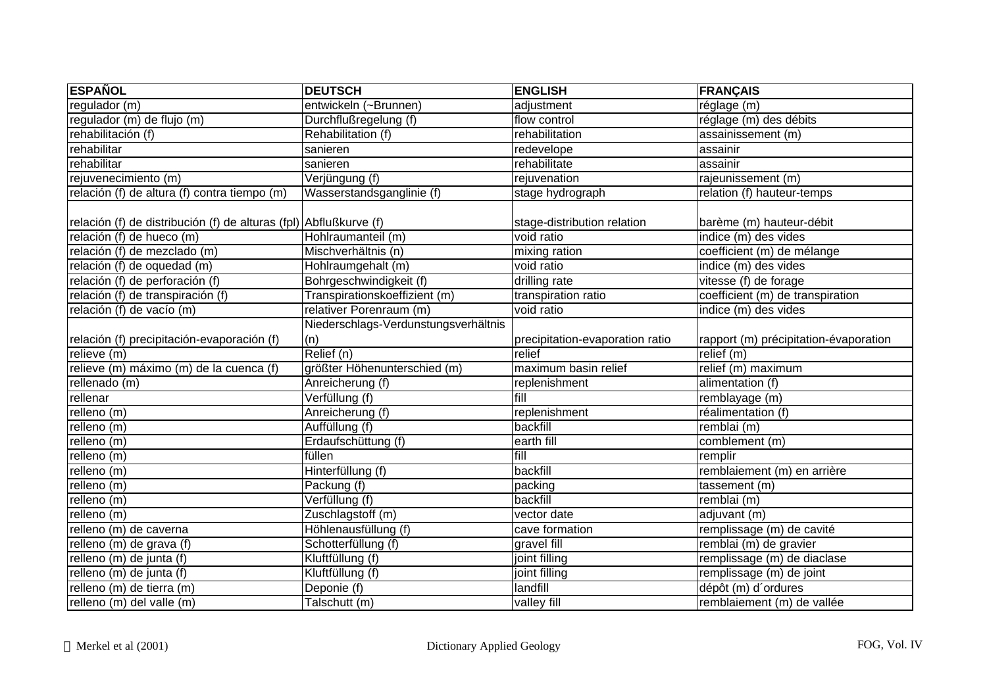| <b>ESPAÑOL</b>                                                    | <b>DEUTSCH</b>                       | <b>ENGLISH</b>                  | <b>FRANÇAIS</b>                       |
|-------------------------------------------------------------------|--------------------------------------|---------------------------------|---------------------------------------|
| regulador (m)                                                     | entwickeln (~Brunnen)                | adjustment                      | réglage (m)                           |
| regulador (m) de flujo (m)                                        | Durchflußregelung (f)                | flow control                    | réglage (m) des débits                |
| rehabilitación (f)                                                | Rehabilitation (f)                   | rehabilitation                  | assainissement (m)                    |
| rehabilitar                                                       | sanieren                             | redevelope                      | assainir                              |
| rehabilitar                                                       | sanieren                             | rehabilitate                    | assainir                              |
| rejuvenecimiento (m)                                              | Verjüngung (f)                       | rejuvenation                    | rajeunissement (m)                    |
| relación (f) de altura (f) contra tiempo (m)                      | Wasserstandsganglinie (f)            | stage hydrograph                | relation (f) hauteur-temps            |
| relación (f) de distribución (f) de alturas (fpl) Abflußkurve (f) |                                      | stage-distribution relation     | barème (m) hauteur-débit              |
| relación (f) de hueco (m)                                         | Hohlraumanteil (m)                   | void ratio                      | indice (m) des vides                  |
| relación (f) de mezclado (m)                                      | Mischverhältnis (n)                  | mixing ration                   | coefficient (m) de mélange            |
| relación (f) de oquedad (m)                                       | Hohlraumgehalt (m)                   | void ratio                      | indice (m) des vides                  |
| relación (f) de perforación (f)                                   | Bohrgeschwindigkeit (f)              | drilling rate                   | vitesse (f) de forage                 |
| relación (f) de transpiración (f)                                 | Transpirationskoeffizient (m)        | transpiration ratio             | coefficient (m) de transpiration      |
| relación (f) de vacío (m)                                         | relativer Porenraum (m)              | void ratio                      | indice (m) des vides                  |
|                                                                   | Niederschlags-Verdunstungsverhältnis |                                 |                                       |
| relación (f) precipitación-evaporación (f)                        | (n)                                  | precipitation-evaporation ratio | rapport (m) précipitation-évaporation |
| relieve (m)                                                       | Relief (n)                           | relief                          | relief (m)                            |
| relieve (m) máximo (m) de la cuenca (f)                           | größter Höhenunterschied (m)         | maximum basin relief            | relief (m) maximum                    |
| rellenado (m)                                                     | Anreicherung (f)                     | replenishment                   | alimentation (f)                      |
| rellenar                                                          | Verfüllung (f)                       | fill                            | remblayage (m)                        |
| relleno(m)                                                        | Anreicherung (f)                     | replenishment                   | réalimentation (f)                    |
| relleno (m)                                                       | Auffüllung (f)                       | backfill                        | remblai (m)                           |
| relleno (m)                                                       | Erdaufschüttung (f)                  | earth fill                      | comblement (m)                        |
| relleno (m)                                                       | füllen                               | fill                            | remplir                               |
| relleno (m)                                                       | Hinterfüllung (f)                    | backfill                        | remblaiement (m) en arrière           |
| relleno (m)                                                       | Packung (f)                          | packing                         | tassement (m)                         |
| relleno (m)                                                       | Verfüllung (f)                       | backfill                        | remblai (m)                           |
| relleno (m)                                                       | Zuschlagstoff (m)                    | vector date                     | adjuvant (m)                          |
| relleno (m) de caverna                                            | Höhlenausfüllung (f)                 | cave formation                  | remplissage (m) de cavité             |
| relleno (m) de grava (f)                                          | Schotterfüllung (f)                  | gravel fill                     | remblai (m) de gravier                |
| relleno (m) de junta (f)                                          | Kluftfüllung (f)                     | joint filling                   | remplissage (m) de diaclase           |
| relleno (m) de junta (f)                                          | Kluftfüllung (f)                     | joint filling                   | remplissage (m) de joint              |
| relleno (m) de tierra (m)                                         | Deponie (f)                          | landfill                        | dépôt (m) d'ordures                   |
| relleno (m) del valle (m)                                         | $\overline{\mathsf{Talschutt}}$ (m)  | valley fill                     | remblaiement (m) de vallée            |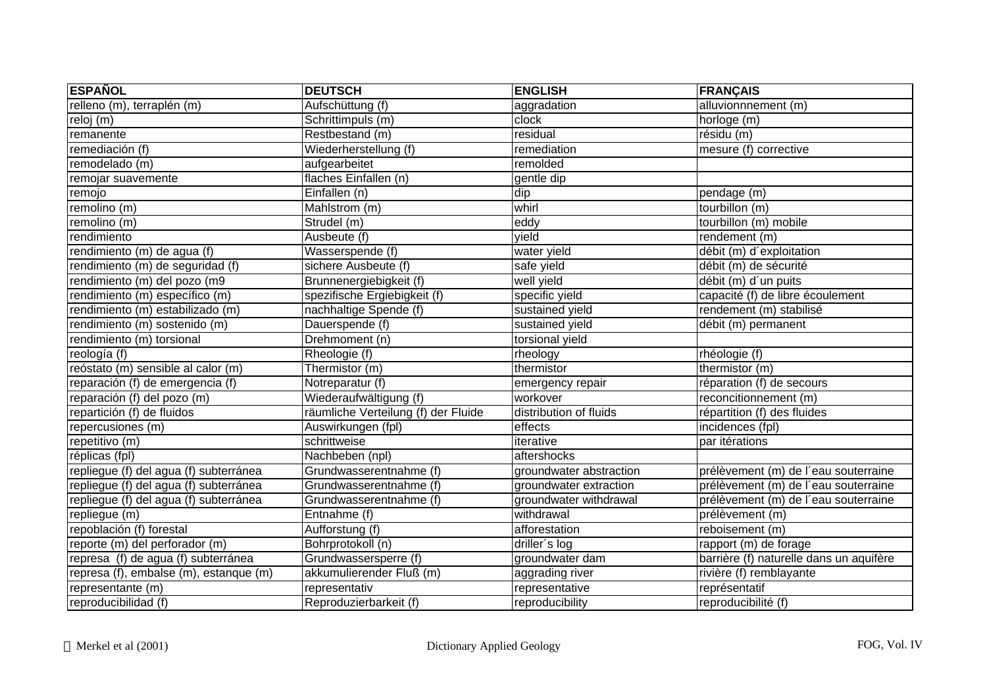| <b>ESPAÑOL</b>                         | <b>DEUTSCH</b>                      | <b>ENGLISH</b>          | <b>FRANÇAIS</b>                         |
|----------------------------------------|-------------------------------------|-------------------------|-----------------------------------------|
| relleno (m), terraplén (m)             | Aufschüttung (f)                    | aggradation             | alluvionnnement (m)                     |
| reloj (m)                              | Schrittimpuls (m)                   | clock                   | horloge (m)                             |
| remanente                              | Restbestand (m)                     | residual                | résidu (m)                              |
| remediación (f)                        | Wiederherstellung (f)               | remediation             | mesure (f) corrective                   |
| remodelado (m)                         | aufgearbeitet                       | remolded                |                                         |
| remojar suavemente                     | flaches Einfallen (n)               | gentle dip              |                                         |
| remojo                                 | Einfallen (n)                       | dip                     | pendage (m)                             |
| remolino (m)                           | Mahlstrom (m)                       | whirl                   | tourbillon (m)                          |
| remolino (m)                           | Strudel (m)                         | eddy                    | tourbillon (m) mobile                   |
| rendimiento                            | Ausbeute (f)                        | yield                   | rendement (m)                           |
| rendimiento (m) de agua (f)            | Wasserspende (f)                    | water yield             | débit (m) d'exploitation                |
| rendimiento (m) de seguridad (f)       | sichere Ausbeute (f)                | safe yield              | débit (m) de sécurité                   |
| rendimiento (m) del pozo (m9           | Brunnenergiebigkeit (f)             | well yield              | débit (m) d'un puits                    |
| rendimiento (m) específico (m)         | spezifische Ergiebigkeit (f)        | specific yield          | capacité (f) de libre écoulement        |
| rendimiento (m) estabilizado (m)       | nachhaltige Spende (f)              | sustained yield         | rendement (m) stabilisé                 |
| rendimiento (m) sostenido (m)          | Dauerspende (f)                     | sustained yield         | débit (m) permanent                     |
| rendimiento (m) torsional              | Drehmoment (n)                      | torsional yield         |                                         |
| reología (f)                           | Rheologie (f)                       | rheology                | rhéologie (f)                           |
| reóstato (m) sensible al calor (m)     | Thermistor (m)                      | thermistor              | thermistor (m)                          |
| reparación (f) de emergencia (f)       | Notreparatur (f)                    | emergency repair        | réparation (f) de secours               |
| reparación (f) del pozo (m)            | Wiederaufwältigung (f)              | workover                | reconcitionnement (m)                   |
| repartición (f) de fluidos             | räumliche Verteilung (f) der Fluide | distribution of fluids  | répartition (f) des fluides             |
| repercusiones (m)                      | Auswirkungen (fpl)                  | effects                 | incidences (fpl)                        |
| repetitivo (m)                         | schrittweise                        | iterative               | par itérations                          |
| réplicas (fpl)                         | Nachbeben (npl)                     | aftershocks             |                                         |
| repliegue (f) del agua (f) subterránea | Grundwasserentnahme (f)             | groundwater abstraction | prélèvement (m) de l'eau souterraine    |
| repliegue (f) del agua (f) subterránea | Grundwasserentnahme (f)             | groundwater extraction  | prélèvement (m) de l'eau souterraine    |
| repliegue (f) del agua (f) subterránea | Grundwasserentnahme (f)             | groundwater withdrawal  | prélèvement (m) de l'eau souterraine    |
| repliegue (m)                          | Entnahme (f)                        | withdrawal              | prélèvement (m)                         |
| repoblación (f) forestal               | Aufforstung (f)                     | afforestation           | reboisement (m)                         |
| reporte (m) del perforador (m)         | Bohrprotokoll (n)                   | driller's log           | rapport (m) de forage                   |
| represa (f) de agua (f) subterránea    | Grundwassersperre (f)               | groundwater dam         | barrière (f) naturelle dans un aquifère |
| represa (f), embalse (m), estanque (m) | akkumulierender Fluß (m)            | aggrading river         | rivière (f) remblayante                 |
| representante (m)                      | representativ                       | representative          | représentatif                           |
| reproducibilidad (f)                   | Reproduzierbarkeit (f)              | reproducibility         | reproducibilité (f)                     |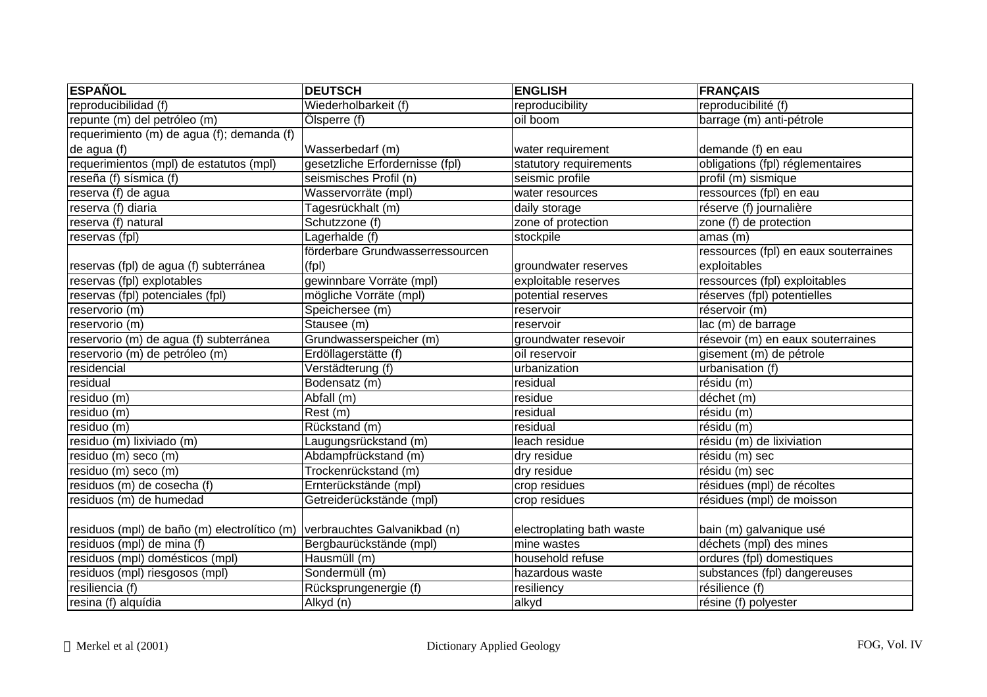| <b>ESPAÑOL</b>                               | <b>DEUTSCH</b>                   | <b>ENGLISH</b>            | <b>FRANÇAIS</b>                       |
|----------------------------------------------|----------------------------------|---------------------------|---------------------------------------|
| reproducibilidad (f)                         | Wiederholbarkeit (f)             | reproducibility           | reproducibilité (f)                   |
| repunte (m) del petróleo (m)                 | Ölsperre (f)                     | oil boom                  | barrage (m) anti-pétrole              |
| requerimiento (m) de agua (f); demanda (f)   |                                  |                           |                                       |
| de agua (f)                                  | Wasserbedarf (m)                 | water requirement         | demande (f) en eau                    |
| requerimientos (mpl) de estatutos (mpl)      | gesetzliche Erfordernisse (fpl)  | statutory requirements    | obligations (fpl) réglementaires      |
| reseña (f) sísmica (f)                       | seismisches Profil (n)           | seismic profile           | profil (m) sismique                   |
| reserva (f) de agua                          | Wasservorräte (mpl)              | water resources           | ressources (fpl) en eau               |
| reserva (f) diaria                           | Tagesrückhalt (m)                | daily storage             | réserve (f) journalière               |
| reserva (f) natural                          | Schutzzone (f)                   | zone of protection        | zone (f) de protection                |
| reservas (fpl)                               | Lagerhalde (f)                   | stockpile                 | amas (m)                              |
|                                              | förderbare Grundwasserressourcen |                           | ressources (fpl) en eaux souterraines |
| reservas (fpl) de agua (f) subterránea       | (fpl)                            | groundwater reserves      | exploitables                          |
| reservas (fpl) explotables                   | gewinnbare Vorräte (mpl)         | exploitable reserves      | ressources (fpl) exploitables         |
| reservas (fpl) potenciales (fpl)             | mögliche Vorräte (mpl)           | potential reserves        | réserves (fpl) potentielles           |
| reservorio (m)                               | Speichersee (m)                  | reservoir                 | réservoir (m)                         |
| reservorio (m)                               | Stausee (m)                      | reservoir                 | lac (m) de barrage                    |
| reservorio (m) de agua (f) subterránea       | Grundwasserspeicher (m)          | groundwater resevoir      | résevoir (m) en eaux souterraines     |
| reservorio (m) de petróleo (m)               | Erdöllagerstätte (f)             | oil reservoir             | gisement (m) de pétrole               |
| residencial                                  | Verstädterung (f)                | urbanization              | urbanisation (f)                      |
| residual                                     | Bodensatz (m)                    | residual                  | résidu (m)                            |
| residuo (m)                                  | Abfall (m)                       | residue                   | déchet (m)                            |
| residuo (m)                                  | Rest (m)                         | residual                  | résidu (m)                            |
| residuo (m)                                  | Rückstand (m)                    | residual                  | résidu (m)                            |
| residuo (m) lixiviado (m)                    | Laugungsrückstand (m)            | leach residue             | résidu (m) de lixiviation             |
| residuo (m) seco (m)                         | Abdampfrückstand (m)             | dry residue               | résidu (m) sec                        |
| residuo (m) seco (m)                         | Trockenrückstand (m)             | dry residue               | résidu (m) sec                        |
| residuos (m) de cosecha (f)                  | Ernterückstände (mpl)            | crop residues             | résidues (mpl) de récoltes            |
| residuos (m) de humedad                      | Getreiderückstände (mpl)         | crop residues             | résidues (mpl) de moisson             |
|                                              |                                  |                           |                                       |
| residuos (mpl) de baño (m) electrolítico (m) | verbrauchtes Galvanikbad (n)     | electroplating bath waste | bain (m) galvanique usé               |
| residuos (mpl) de mina (f)                   | Bergbaurückstände (mpl)          | mine wastes               | déchets (mpl) des mines               |
| residuos (mpl) domésticos (mpl)              | Hausmüll (m)                     | household refuse          | ordures (fpl) domestiques             |
| residuos (mpl) riesgosos (mpl)               | Sondermüll (m)                   | hazardous waste           | substances (fpl) dangereuses          |
| resiliencia (f)                              | Rücksprungenergie (f)            | resiliency                | résilience (f)                        |
| resina (f) alquídia                          | Alkyd (n)                        | alkyd                     | résine (f) polyester                  |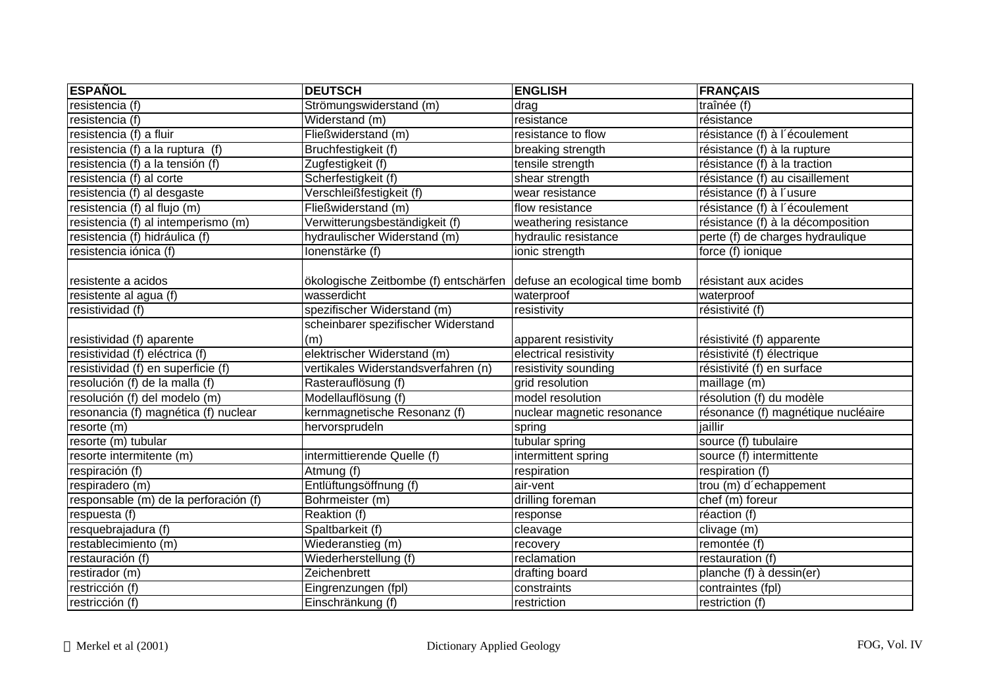| <b>ESPAÑOL</b>                        | <b>DEUTSCH</b>                                                       | <b>ENGLISH</b>             | <b>FRANÇAIS</b>                    |
|---------------------------------------|----------------------------------------------------------------------|----------------------------|------------------------------------|
| resistencia (f)                       | Strömungswiderstand (m)                                              | drag                       | traînée (f)                        |
| resistencia (f)                       | Widerstand (m)                                                       | resistance                 | résistance                         |
| resistencia (f) a fluir               | Fließwiderstand (m)                                                  | resistance to flow         | résistance (f) à l'écoulement      |
| resistencia (f) a la ruptura (f)      | Bruchfestigkeit (f)                                                  | breaking strength          | résistance (f) à la rupture        |
| resistencia (f) a la tensión (f)      | Zugfestigkeit (f)                                                    | tensile strength           | résistance (f) à la traction       |
| resistencia (f) al corte              | Scherfestigkeit (f)                                                  | shear strength             | résistance (f) au cisaillement     |
| resistencia (f) al desgaste           | Verschleißfestigkeit (f)                                             | wear resistance            | résistance (f) à l'usure           |
| resistencia (f) al flujo (m)          | Fließwiderstand (m)                                                  | flow resistance            | résistance (f) à l'écoulement      |
| resistencia (f) al intemperismo (m)   | Verwitterungsbeständigkeit (f)                                       | weathering resistance      | résistance (f) à la décomposition  |
| resistencia (f) hidráulica (f)        | hydraulischer Widerstand (m)                                         | hydraulic resistance       | perte (f) de charges hydraulique   |
| resistencia iónica (f)                | Ionenstärke (f)                                                      | ionic strength             | force (f) ionique                  |
|                                       |                                                                      |                            |                                    |
| resistente a acidos                   | ökologische Zeitbombe (f) entschärfen defuse an ecological time bomb |                            | résistant aux acides               |
| resistente al agua (f)                | wasserdicht                                                          | waterproof                 | waterproof                         |
| resistividad (f)                      | spezifischer Widerstand (m)                                          | resistivity                | résistivité (f)                    |
|                                       | scheinbarer spezifischer Widerstand                                  |                            |                                    |
| resistividad (f) aparente             | (m)                                                                  | apparent resistivity       | résistivité (f) apparente          |
| resistividad (f) eléctrica (f)        | elektrischer Widerstand (m)                                          | electrical resistivity     | résistivité (f) électrique         |
| resistividad (f) en superficie (f)    | vertikales Widerstandsverfahren (n)                                  | resistivity sounding       | résistivité (f) en surface         |
| resolución (f) de la malla (f)        | Rasterauflösung (f)                                                  | grid resolution            | maillage (m)                       |
| resolución (f) del modelo (m)         | Modellauflösung (f)                                                  | model resolution           | résolution (f) du modèle           |
| resonancia (f) magnética (f) nuclear  | kernmagnetische Resonanz (f)                                         | nuclear magnetic resonance | résonance (f) magnétique nucléaire |
| resorte (m)                           | hervorsprudeln                                                       | spring                     | jaillir                            |
| resorte (m) tubular                   |                                                                      | tubular spring             | source (f) tubulaire               |
| resorte intermitente (m)              | intermittierende Quelle (f)                                          | intermittent spring        | source (f) intermittente           |
| respiración $(t)$                     | Atmung (f)                                                           | respiration                | respiration (f)                    |
| respiradero (m)                       | Entlüftungsöffnung (f)                                               | air-vent                   | trou (m) d'echappement             |
| responsable (m) de la perforación (f) | Bohrmeister (m)                                                      | drilling foreman           | chef (m) foreur                    |
| respuesta (f)                         | Reaktion (f)                                                         | response                   | réaction (f)                       |
| resquebrajadura (f)                   | Spaltbarkeit (f)                                                     | cleavage                   | clivage (m)                        |
| restablecimiento (m)                  | Wiederanstieg (m)                                                    | recovery                   | remontée (f)                       |
| restauración (f)                      | Wiederherstellung (f)                                                | reclamation                | restauration (f)                   |
| restirador (m)                        | Zeichenbrett                                                         | drafting board             | planche (f) à dessin(er)           |
| restricción (f)                       | Eingrenzungen (fpl)                                                  | constraints                | contraintes (fpl)                  |
| restricción (f)                       | Einschränkung (f)                                                    | restriction                | restriction (f)                    |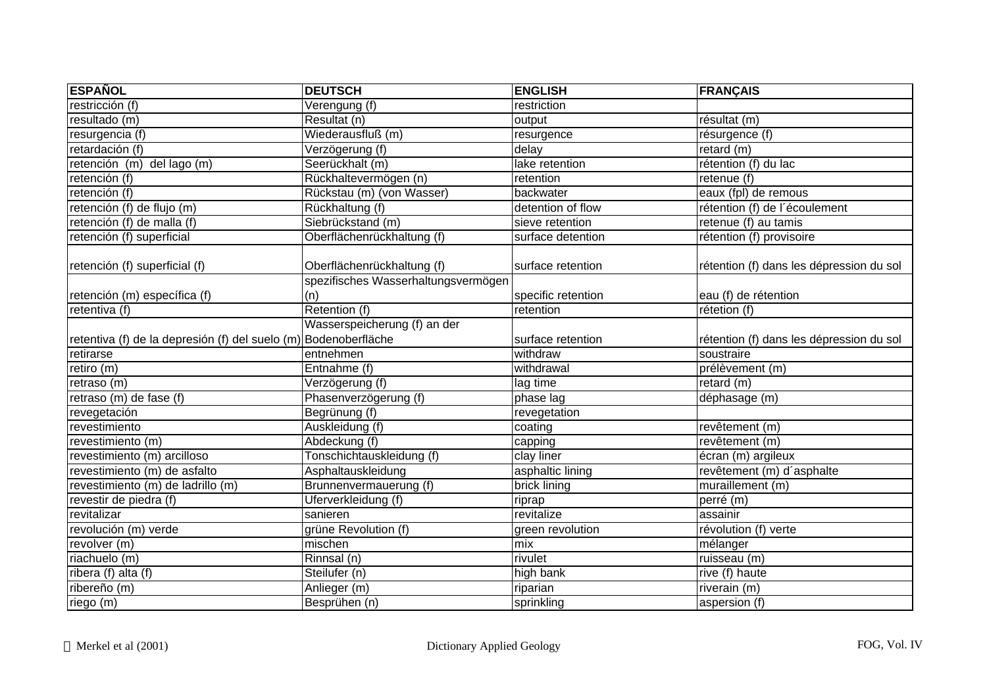| <b>ESPAÑOL</b>                                                  | <b>DEUTSCH</b>                      | <b>ENGLISH</b>                | <b>FRANÇAIS</b>                          |
|-----------------------------------------------------------------|-------------------------------------|-------------------------------|------------------------------------------|
| restricción (f)                                                 | Verengung (f)                       | restriction                   |                                          |
| resultado (m)                                                   | Resultat (n)                        | output                        | résultat (m)                             |
| resurgencia (f)                                                 | Wiederausfluß (m)                   | resurgence                    | résurgence (f)                           |
| retardación (f)                                                 | Verzögerung (f)                     | delay                         | retard $(m)$                             |
| retención (m) del lago (m)                                      | Seerückhalt (m)                     | lake retention                | rétention (f) du lac                     |
| retención $(f)$                                                 | Rückhaltevermögen (n)               | retention                     | retenue (f)                              |
| retención (f)                                                   | Rückstau (m) (von Wasser)           | backwater                     | eaux (fpl) de remous                     |
| retención (f) de flujo (m)                                      | Rückhaltung (f)                     | detention of flow             | rétention (f) de l'écoulement            |
| retención (f) de malla (f)                                      | Siebrückstand (m)                   | sieve retention               | retenue (f) au tamis                     |
| retención (f) superficial                                       | Oberflächenrückhaltung (f)          | surface detention             | rétention (f) provisoire                 |
| retención (f) superficial (f)                                   | Oberflächenrückhaltung (f)          | surface retention             | rétention (f) dans les dépression du sol |
|                                                                 | spezifisches Wasserhaltungsvermögen |                               |                                          |
| retención (m) específica (f)                                    | (n)                                 | specific retention            | eau (f) de rétention                     |
| retentiva (f)                                                   | Retention (f)                       | retention                     | rétetion (f)                             |
|                                                                 | Wasserspeicherung (f) an der        |                               |                                          |
| retentiva (f) de la depresión (f) del suelo (m) Bodenoberfläche |                                     | surface retention             | rétention (f) dans les dépression du sol |
| retirarse                                                       | entnehmen                           | withdraw                      | soustraire                               |
| retiro (m)                                                      | Entnahme (f)                        | withdrawal                    | prélèvement (m)                          |
| retraso (m)                                                     | Verzögerung (f)                     | lag time                      | retard (m)                               |
| retraso (m) de fase (f)                                         | Phasenverzögerung (f)               | phase lag                     | déphasage (m)                            |
| revegetación                                                    | Begrünung (f)                       | revegetation                  |                                          |
| revestimiento                                                   | Auskleidung (f)                     | $\overline{\mathrm{coating}}$ | revêtement (m)                           |
| revestimiento (m)                                               | Abdeckung (f)                       | capping                       | revêtement (m)                           |
| revestimiento (m) arcilloso                                     | Tonschichtauskleidung (f)           | clay liner                    | écran (m) argileux                       |
| revestimiento (m) de asfalto                                    | Asphaltauskleidung                  | asphaltic lining              | revêtement (m) d'asphalte                |
| revestimiento (m) de ladrillo (m)                               | Brunnenvermauerung (f)              | brick lining                  | muraillement (m)                         |
| revestir de piedra (f)                                          | Uferverkleidung (f)                 | riprap                        | perré (m)                                |
| revitalizar                                                     | sanieren                            | revitalize                    | assainir                                 |
| revolución (m) verde                                            | grüne Revolution (f)                | green revolution              | révolution (f) verte                     |
| revolver (m)                                                    | $\overline{\text{m}}$ ischen        | mix                           | mélanger                                 |
| riachuelo (m)                                                   | Rinnsal (n)                         | rivulet                       | ruisseau (m)                             |
| ribera (f) alta (f)                                             | Steilufer (n)                       | high bank                     | rive (f) haute                           |
| ribereño (m)                                                    | Anlieger (m)                        | riparian                      | riverain (m)                             |
| riego (m)                                                       | Besprühen (n)                       | sprinkling                    | aspersion (f)                            |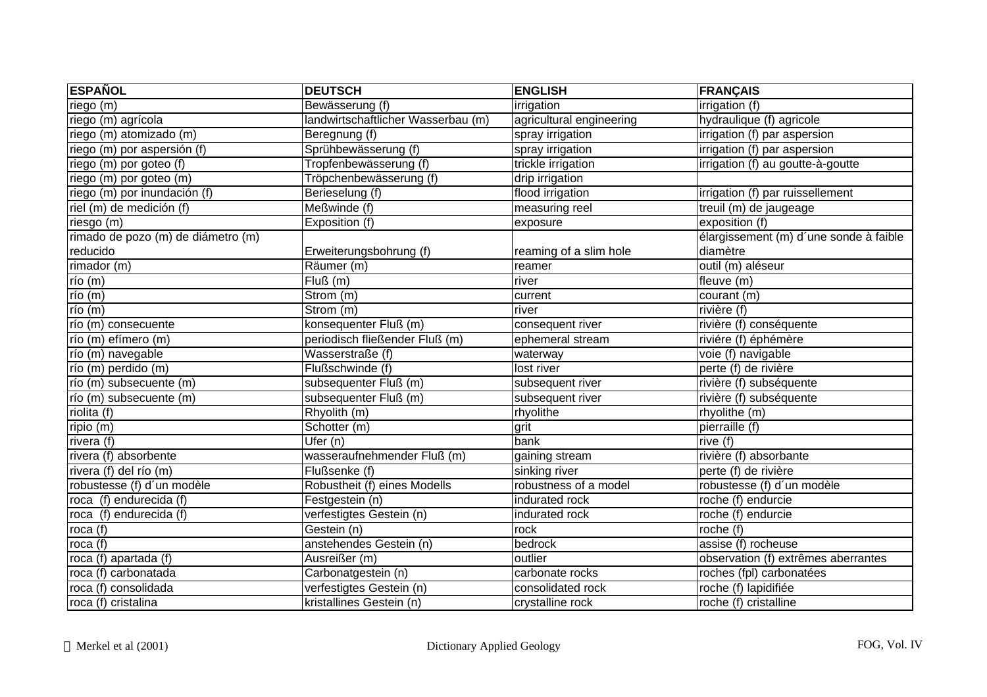| <b>ESPAÑOL</b>                     | <b>DEUTSCH</b>                     | <b>ENGLISH</b>           | <b>FRANÇAIS</b>                        |
|------------------------------------|------------------------------------|--------------------------|----------------------------------------|
| riego (m)                          | Bewässerung (f)                    | irrigation               | irrigation (f)                         |
| riego (m) agrícola                 | landwirtschaftlicher Wasserbau (m) | agricultural engineering | hydraulique (f) agricole               |
| riego (m) atomizado (m)            | Beregnung (f)                      | spray irrigation         | irrigation (f) par aspersion           |
| riego (m) por aspersión (f)        | Sprühbewässerung (f)               | spray irrigation         | irrigation (f) par aspersion           |
| riego (m) por goteo (f)            | Tropfenbewässerung (f)             | trickle irrigation       | irrigation (f) au goutte-à-goutte      |
| riego (m) por goteo (m)            | Tröpchenbewässerung (f)            | drip irrigation          |                                        |
| riego (m) por inundación (f)       | Berieselung (f)                    | flood irrigation         | irrigation (f) par ruissellement       |
| riel (m) de medición (f)           | Meßwinde (f)                       | measuring reel           | treuil (m) de jaugeage                 |
| riesgo (m)                         | Exposition (f)                     | exposure                 | exposition (f)                         |
| rimado de pozo (m) de diámetro (m) |                                    |                          | élargissement (m) d'une sonde à faible |
| reducido                           | Erweiterungsbohrung (f)            | reaming of a slim hole   | diamètre                               |
| rimador (m)                        | Räumer (m)                         | reamer                   | outil (m) aléseur                      |
| río (m)                            | Fluß(m)                            | river                    | fleuve (m)                             |
| río (m)                            | Strom (m)                          | current                  | courant (m)                            |
| $r$ ío (m)                         | Strom (m)                          | river                    | rivière (f)                            |
| río (m) consecuente                | konsequenter Fluß (m)              | consequent river         | rivière (f) conséquente                |
| río (m) efímero (m)                | periodisch fließender Fluß (m)     | ephemeral stream         | riviére (f) éphémère                   |
| río (m) navegable                  | Wasserstraße (f)                   | waterway                 | voie (f) navigable                     |
| río (m) perdido (m)                | Flußschwinde (f)                   | lost river               | perte (f) de rivière                   |
| río (m) subsecuente (m)            | subsequenter Fluß (m)              | subsequent river         | rivière (f) subséquente                |
| río (m) subsecuente (m)            | subsequenter Fluß (m)              | subsequent river         | rivière (f) subséquente                |
| riolita (f)                        | Rhyolith (m)                       | rhyolithe                | rhyolithe (m)                          |
| ripio $(m)$                        | Schotter (m)                       | grit                     | pierraille (f)                         |
| rivera (f)                         | $\overline{U}$ fer (n)             | bank                     | rive (f)                               |
| rivera (f) absorbente              | wasseraufnehmender Fluß (m)        | gaining stream           | rivière (f) absorbante                 |
| rivera (f) del río (m)             | Flußsenke (f)                      | sinking river            | perte (f) de rivière                   |
| robustesse (f) d'un modèle         | Robustheit (f) eines Modells       | robustness of a model    | robustesse (f) d'un modèle             |
| roca (f) endurecida (f)            | Festgestein (n)                    | indurated rock           | roche (f) endurcie                     |
| roca (f) endurecida (f)            | verfestigtes Gestein (n)           | indurated rock           | roche (f) endurcie                     |
| roca $(f)$                         | Gestein (n)                        | rock                     | roche $(f)$                            |
| roca (f)                           | anstehendes Gestein (n)            | bedrock                  | assise (f) rocheuse                    |
| roca (f) apartada (f)              | Ausreißer (m)                      | outlier                  | observation (f) extrêmes aberrantes    |
| roca (f) carbonatada               | Carbonatgestein (n)                | carbonate rocks          | roches (fpl) carbonatées               |
| roca (f) consolidada               | verfestigtes Gestein (n)           | consolidated rock        | roche (f) lapidifiée                   |
| roca (f) cristalina                | kristallines Gestein (n)           | crystalline rock         | roche (f) cristalline                  |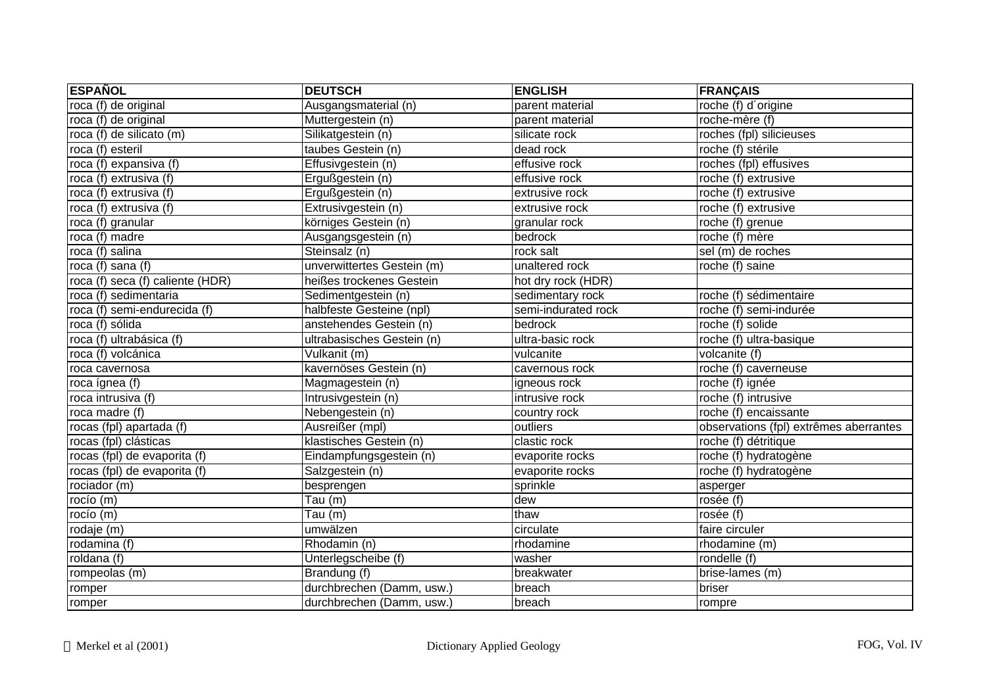| <b>ESPAÑOL</b>                   | <b>DEUTSCH</b>             | <b>ENGLISH</b>      | <b>FRANÇAIS</b>                         |
|----------------------------------|----------------------------|---------------------|-----------------------------------------|
| roca (f) de original             | Ausgangsmaterial (n)       | parent material     | roche (f) d'origine                     |
| roca (f) de original             | Muttergestein (n)          | parent material     | roche-mère (f)                          |
| roca (f) de silicato (m)         | Silikatgestein (n)         | silicate rock       | roches (fpl) silicieuses                |
| roca (f) esteril                 | taubes Gestein (n)         | dead rock           | roche (f) stérile                       |
| roca (f) expansiva (f)           | Effusivgestein (n)         | effusive rock       | roches (fpl) effusives                  |
| roca (f) extrusiva (f)           | Ergußgestein (n)           | effusive rock       | roche (f) extrusive                     |
| roca (f) extrusiva (f)           | Ergußgestein (n)           | extrusive rock      | $\overline{\text{roche}}$ (f) extrusive |
| roca (f) extrusiva (f)           | Extrusivgestein (n)        | extrusive rock      | roche (f) extrusive                     |
| roca (f) granular                | körniges Gestein (n)       | granular rock       | roche (f) grenue                        |
| roca (f) madre                   | Ausgangsgestein (n)        | bedrock             | roche (f) mère                          |
| roca (f) salina                  | Steinsalz (n)              | rock salt           | sel (m) de roches                       |
| roca (f) sana (f)                | unverwittertes Gestein (m) | unaltered rock      | roche (f) saine                         |
| roca (f) seca (f) caliente (HDR) | heißes trockenes Gestein   | hot dry rock (HDR)  |                                         |
| roca (f) sedimentaria            | Sedimentgestein (n)        | sedimentary rock    | roche (f) sédimentaire                  |
| roca (f) semi-endurecida (f)     | halbfeste Gesteine (npl)   | semi-indurated rock | roche (f) semi-indurée                  |
| roca (f) sólida                  | anstehendes Gestein (n)    | bedrock             | roche (f) solide                        |
| roca (f) ultrabásica (f)         | ultrabasisches Gestein (n) | ultra-basic rock    | roche (f) ultra-basique                 |
| roca (f) volcánica               | Vulkanit (m)               | vulcanite           | volcanite (f)                           |
| roca cavernosa                   | kavernöses Gestein (n)     | cavernous rock      | roche (f) caverneuse                    |
| roca ígnea (f)                   | Magmagestein (n)           | igneous rock        | roche (f) ignée                         |
| roca intrusiva (f)               | Intrusivgestein (n)        | intrusive rock      | roche (f) intrusive                     |
| roca madre (f)                   | Nebengestein (n)           | country rock        | roche (f) encaissante                   |
| rocas (fpl) apartada (f)         | Ausreißer (mpl)            | outliers            | observations (fpl) extrêmes aberrantes  |
| rocas (fpl) clásticas            | klastisches Gestein (n)    | clastic rock        | roche (f) détritique                    |
| rocas (fpl) de evaporita (f)     | Eindampfungsgestein (n)    | evaporite rocks     | roche (f) hydratogène                   |
| rocas (fpl) de evaporita (f)     | Salzgestein (n)            | evaporite rocks     | roche (f) hydratogène                   |
| rociador (m)                     | besprengen                 | sprinkle            | asperger                                |
| rocío (m)                        | Tau (m)                    | dew                 | rosée (f)                               |
| rocío (m)                        | Tau $(m)$                  | thaw                | rosée (f)                               |
| rodaje (m)                       | umwälzen                   | circulate           | faire circuler                          |
| rodamina (f)                     | Rhodamin (n)               | rhodamine           | rhodamine (m)                           |
| roldana (f)                      | Unterlegscheibe (f)        | washer              | rondelle (f)                            |
| rompeolas (m)                    | Brandung (f)               | breakwater          | brise-lames (m)                         |
| romper                           | durchbrechen (Damm, usw.)  | breach              | briser                                  |
| romper                           | durchbrechen (Damm, usw.)  | breach              | rompre                                  |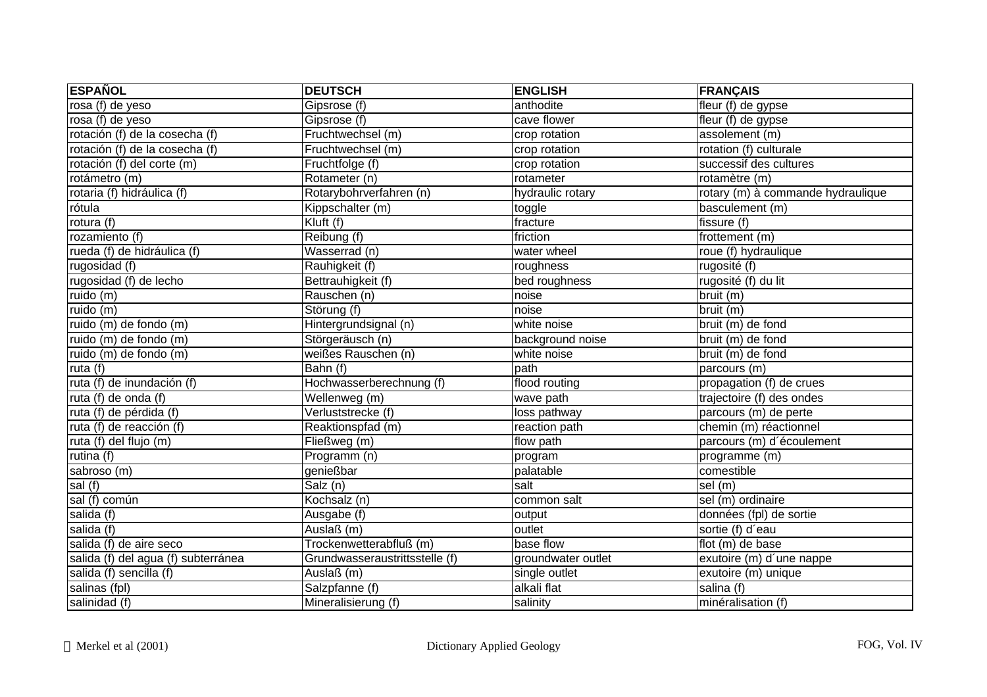| <b>ESPAÑOL</b>                      | <b>DEUTSCH</b>                 | <b>ENGLISH</b>     | <b>FRANÇAIS</b>                   |
|-------------------------------------|--------------------------------|--------------------|-----------------------------------|
| rosa (f) de yeso                    | Gipsrose (f)                   | anthodite          | fleur (f) de gypse                |
| rosa (f) de yeso                    | Gipsrose (f)                   | cave flower        | fleur (f) de gypse                |
| rotación (f) de la cosecha (f)      | Fruchtwechsel (m)              | crop rotation      | assolement (m)                    |
| rotación (f) de la cosecha (f)      | Fruchtwechsel (m)              | crop rotation      | rotation (f) culturale            |
| rotación (f) del corte (m)          | Fruchtfolge (f)                | crop rotation      | successif des cultures            |
| rotámetro (m)                       | Rotameter (n)                  | rotameter          | rotamètre (m)                     |
| rotaria (f) hidráulica (f)          | Rotarybohrverfahren (n)        | hydraulic rotary   | rotary (m) à commande hydraulique |
| rótula                              | Kippschalter (m)               | toggle             | basculement (m)                   |
| rotura (f)                          | Kluft (f)                      | fracture           | fissure (f)                       |
| rozamiento (f)                      | Reibung (f)                    | friction           | frottement (m)                    |
| rueda (f) de hidráulica (f)         | Wasserrad (n)                  | water wheel        | roue (f) hydraulique              |
| rugosidad $(f)$                     | Rauhigkeit (f)                 | roughness          | rugosité (f)                      |
| rugosidad (f) de lecho              | Bettrauhigkeit (f)             | bed roughness      | rugosité (f) du lit               |
| ruido (m)                           | Rauschen (n)                   | noise              | bruit (m)                         |
| ruido (m)                           | Störung (f)                    | noise              | bruit (m)                         |
| ruido (m) de fondo (m)              | Hintergrundsignal (n)          | white noise        | bruit (m) de fond                 |
| ruido (m) de fondo (m)              | Störgeräusch (n)               | background noise   | bruit (m) de fond                 |
| ruido (m) de fondo (m)              | weißes Rauschen (n)            | white noise        | bruit (m) de fond                 |
| ruta $(f)$                          | Bahn (f)                       | path               | parcours (m)                      |
| ruta (f) de inundación (f)          | Hochwasserberechnung (f)       | flood routing      | propagation (f) de crues          |
| ruta (f) de onda (f)                | Wellenweg (m)                  | wave path          | trajectoire (f) des ondes         |
| ruta (f) de pérdida (f)             | Verluststrecke (f)             | loss pathway       | parcours (m) de perte             |
| ruta (f) de reacción (f)            | Reaktionspfad (m)              | reaction path      | chemin (m) réactionnel            |
| ruta (f) del flujo (m)              | Fließweg (m)                   | flow path          | parcours (m) d'écoulement         |
| rutina $(f)$                        | Programm (n)                   | program            | programme (m)                     |
| sabroso (m)                         | genießbar                      | palatable          | comestible                        |
| sal $(f)$                           | Salz(n)                        | salt               | sel (m)                           |
| sal (f) común                       | Kochsalz (n)                   | common salt        | sel (m) ordinaire                 |
| salida (f)                          | Ausgabe (f)                    | output             | données (fpl) de sortie           |
| salida (f)                          | Auslaß (m)                     | outlet             | sortie (f) d'eau                  |
| salida (f) de aire seco             | Trockenwetterabfluß (m)        | base flow          | flot (m) de base                  |
| salida (f) del agua (f) subterránea | Grundwasseraustrittsstelle (f) | groundwater outlet | exutoire (m) d'une nappe          |
| salida (f) sencilla (f)             | Auslaß (m)                     | single outlet      | exutoire (m) unique               |
| salinas (fpl)                       | Salzpfanne (f)                 | alkali flat        | salina (f)                        |
| salinidad (f)                       | Mineralisierung (f)            | salinity           | minéralisation (f)                |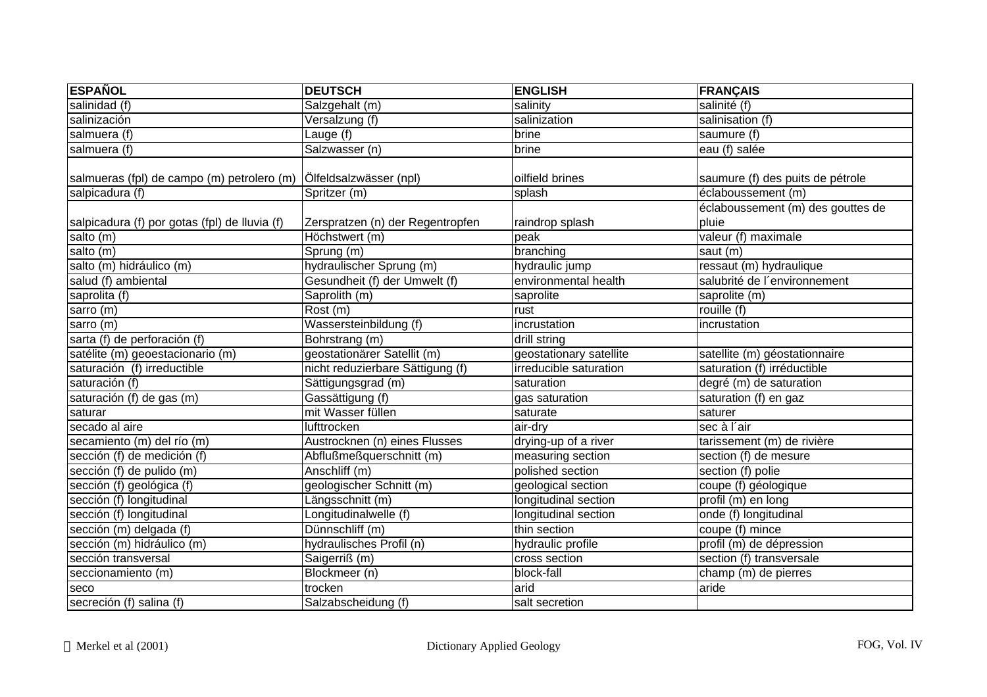| <b>ESPAÑOL</b>                                | <b>DEUTSCH</b>                   | <b>ENGLISH</b>          | <b>FRANÇAIS</b>                   |
|-----------------------------------------------|----------------------------------|-------------------------|-----------------------------------|
| salinidad (f)                                 | Salzgehalt (m)                   | salinity                | salinité (f)                      |
| salinización                                  | Versalzung (f)                   | salinization            | salinisation (f)                  |
| salmuera (f)                                  | Lauge (f)                        | brine                   | saumure (f)                       |
| salmuera (f)                                  | Salzwasser (n)                   | <b>brine</b>            | eau (f) salée                     |
|                                               |                                  |                         |                                   |
| salmueras (fpl) de campo (m) petrolero (m)    | Ölfeldsalzwässer (npl)           | oilfield brines         | saumure (f) des puits de pétrole  |
| salpicadura (f)                               | Spritzer (m)                     | splash                  | éclaboussement (m)                |
|                                               |                                  |                         | éclaboussement (m) des gouttes de |
| salpicadura (f) por gotas (fpl) de lluvia (f) | Zerspratzen (n) der Regentropfen | raindrop splash         | pluie                             |
| salto (m)                                     | Höchstwert (m)                   | peak                    | valeur (f) maximale               |
| salto (m)                                     | Sprung (m)                       | branching               | saut (m)                          |
| salto (m) hidráulico (m)                      | hydraulischer Sprung (m)         | hydraulic jump          | ressaut (m) hydraulique           |
| salud (f) ambiental                           | Gesundheit (f) der Umwelt (f)    | environmental health    | salubrité de l'environnement      |
| saprolita (f)                                 | Saprolith (m)                    | saprolite               | saprolite (m)                     |
| sarro (m)                                     | Rost (m)                         | rust                    | rouille (f)                       |
| sarro $(m)$                                   | Wassersteinbildung (f)           | incrustation            | incrustation                      |
| sarta (f) de perforación (f)                  | Bohrstrang (m)                   | drill string            |                                   |
| satélite (m) geoestacionario (m)              | geostationärer Satellit (m)      | geostationary satellite | satellite (m) géostationnaire     |
| saturación (f) irreductible                   | nicht reduzierbare Sättigung (f) | irreducible saturation  | saturation (f) irréductible       |
| saturación (f)                                | Sättigungsgrad (m)               | saturation              | degré (m) de saturation           |
| saturación (f) de gas (m)                     | Gassättigung (f)                 | gas saturation          | saturation (f) en gaz             |
| saturar                                       | mit Wasser füllen                | saturate                | saturer                           |
| secado al aire                                | lufttrocken                      | air-dry                 | sec à l'air                       |
| secamiento (m) del río (m)                    | Austrocknen (n) eines Flusses    | drying-up of a river    | tarissement (m) de rivière        |
| sección (f) de medición (f)                   | Abflußmeßquerschnitt (m)         | measuring section       | section (f) de mesure             |
| sección (f) de pulido (m)                     | Anschliff (m)                    | polished section        | section (f) polie                 |
| sección (f) geológica (f)                     | geologischer Schnitt (m)         | geological section      | coupe (f) géologique              |
| sección (f) longitudinal                      | Längsschnitt (m)                 | longitudinal section    | profil (m) en long                |
| sección (f) longitudinal                      | Longitudinalwelle (f)            | longitudinal section    | onde (f) longitudinal             |
| sección (m) delgada (f)                       | Dünnschliff (m)                  | thin section            | coupe (f) mince                   |
| sección (m) hidráulico (m)                    | hydraulisches Profil (n)         | hydraulic profile       | profil (m) de dépression          |
| sección transversal                           | Saigerriß (m)                    | cross section           | section (f) transversale          |
| seccionamiento (m)                            | Blockmeer (n)                    | block-fall              | champ (m) de pierres              |
| seco                                          | trocken                          | arid                    | aride                             |
| secreción (f) salina (f)                      | Salzabscheidung (f)              | salt secretion          |                                   |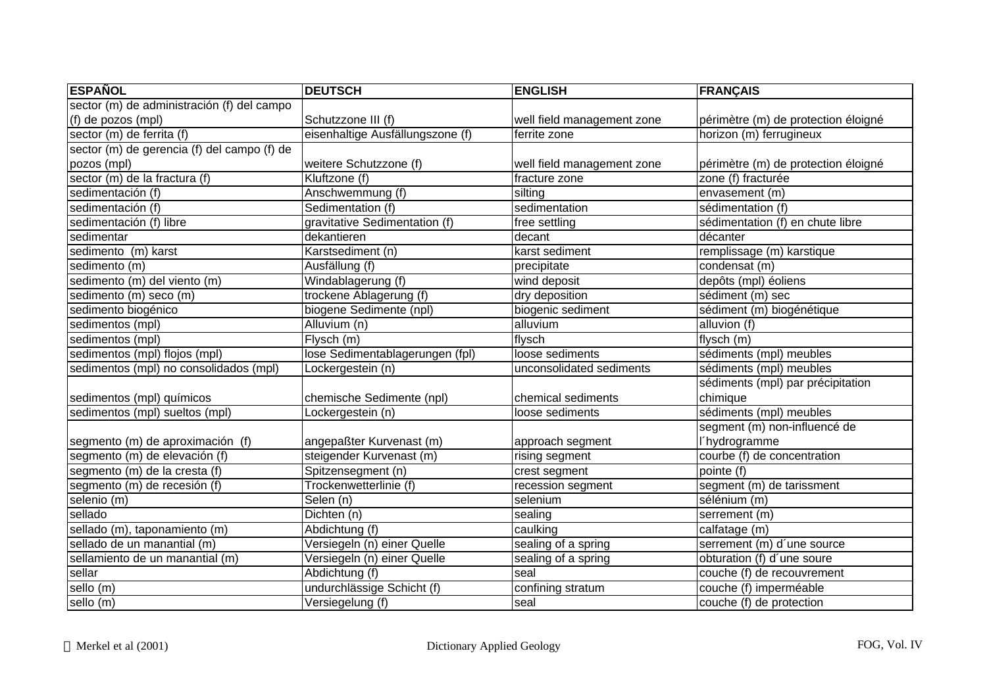| <b>ESPAÑOL</b>                              | <b>DEUTSCH</b>                   | <b>ENGLISH</b>             | <b>FRANÇAIS</b>                     |
|---------------------------------------------|----------------------------------|----------------------------|-------------------------------------|
| sector (m) de administración (f) del campo  |                                  |                            |                                     |
| (f) de pozos (mpl)                          | Schutzzone III (f)               | well field management zone | périmètre (m) de protection éloigné |
| sector (m) de ferrita (f)                   | eisenhaltige Ausfällungszone (f) | ferrite zone               | horizon (m) ferrugineux             |
| sector (m) de gerencia (f) del campo (f) de |                                  |                            |                                     |
| pozos (mpl)                                 | weitere Schutzzone (f)           | well field management zone | périmètre (m) de protection éloigné |
| sector (m) de la fractura (f)               | Kluftzone (f)                    | fracture zone              | zone (f) fracturée                  |
| sedimentación (f)                           | Anschwemmung (f)                 | silting                    | envasement (m)                      |
| sedimentación (f)                           | Sedimentation (f)                | sedimentation              | sédimentation (f)                   |
| sedimentación (f) libre                     | gravitative Sedimentation (f)    | free settling              | sédimentation (f) en chute libre    |
| sedimentar                                  | dekantieren                      | decant                     | décanter                            |
| sedimento (m) karst                         | Karstsediment (n)                | karst sediment             | remplissage (m) karstique           |
| sedimento (m)                               | Ausfällung (f)                   | precipitate                | condensat (m)                       |
| sedimento (m) del viento (m)                | Windablagerung (f)               | wind deposit               | depôts (mpl) éoliens                |
| sedimento (m) seco (m)                      | trockene Ablagerung (f)          | dry deposition             | sédiment (m) sec                    |
| sedimento biogénico                         | biogene Sedimente (npl)          | biogenic sediment          | sédiment (m) biogénétique           |
| sedimentos (mpl)                            | Alluvium (n)                     | alluvium                   | alluvion (f)                        |
| sedimentos (mpl)                            | Flysch (m)                       | flysch                     | flysch $(m)$                        |
| sedimentos (mpl) flojos (mpl)               | lose Sedimentablagerungen (fpl)  | loose sediments            | sédiments (mpl) meubles             |
| sedimentos (mpl) no consolidados (mpl)      | Lockergestein (n)                | unconsolidated sediments   | sédiments (mpl) meubles             |
|                                             |                                  |                            | sédiments (mpl) par précipitation   |
| sedimentos (mpl) químicos                   | chemische Sedimente (npl)        | chemical sediments         | chimique                            |
| sedimentos (mpl) sueltos (mpl)              | Lockergestein (n)                | loose sediments            | sédiments (mpl) meubles             |
|                                             |                                  |                            | segment (m) non-influencé de        |
| segmento (m) de aproximación (f)            | angepaßter Kurvenast (m)         | approach segment           | l'hydrogramme                       |
| segmento (m) de elevación (f)               | steigender Kurvenast (m)         | rising segment             | courbe (f) de concentration         |
| segmento (m) de la cresta (f)               | Spitzensegment (n)               | crest segment              | pointe (f)                          |
| segmento (m) de recesión (f)                | Trockenwetterlinie (f)           | recession segment          | segment (m) de tarissment           |
| selenio (m)                                 | Selen (n)                        | selenium                   | sélénium (m)                        |
| sellado                                     | Dichten (n)                      | sealing                    | serrement (m)                       |
| sellado (m), taponamiento (m)               | Abdichtung (f)                   | caulking                   | calfatage (m)                       |
| sellado de un manantial (m)                 | Versiegeln (n) einer Quelle      | sealing of a spring        | serrement (m) d'une source          |
| sellamiento de un manantial (m)             | Versiegeln (n) einer Quelle      | sealing of a spring        | obturation (f) d'une soure          |
| sellar                                      | Abdichtung (f)                   | seal                       | couche (f) de recouvrement          |
| sello (m)                                   | undurchlässige Schicht (f)       | confining stratum          | couche (f) imperméable              |
| sello (m)                                   | Versiegelung (f)                 | seal                       | couche (f) de protection            |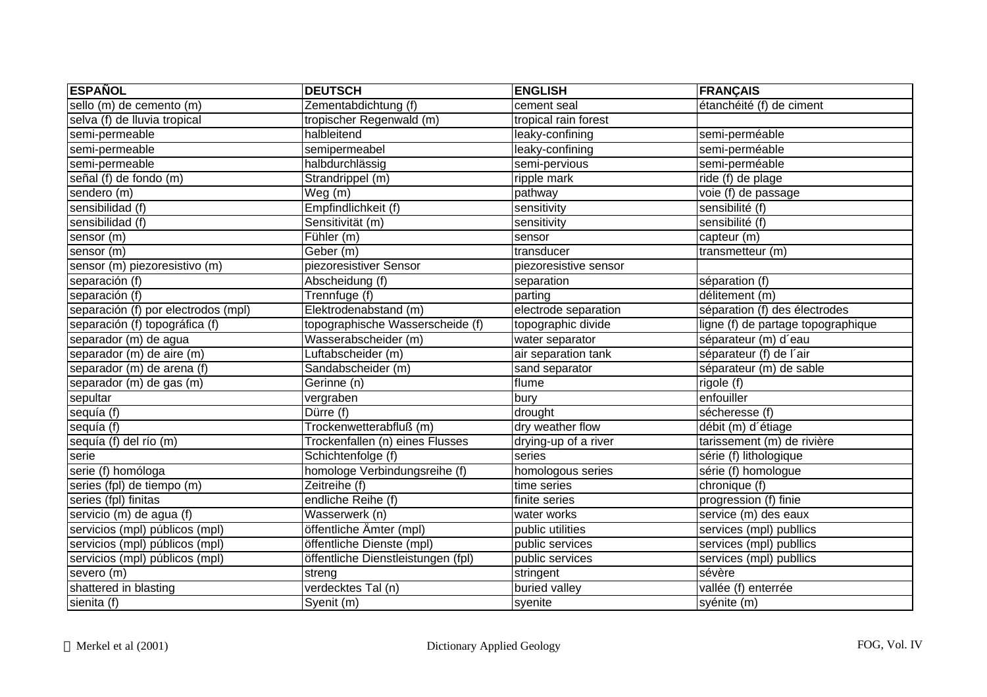| <b>ESPAÑOL</b>                      | <b>DEUTSCH</b>                            | <b>ENGLISH</b>        | <b>FRANÇAIS</b>                    |
|-------------------------------------|-------------------------------------------|-----------------------|------------------------------------|
| sello (m) de cemento (m)            | Zementabdichtung (f)                      | cement seal           | étanchéité (f) de ciment           |
| selva (f) de lluvia tropical        | tropischer Regenwald (m)                  | tropical rain forest  |                                    |
| semi-permeable                      | halbleitend                               | leaky-confining       | semi-perméable                     |
| semi-permeable                      | semipermeabel                             | leaky-confining       | semi-perméable                     |
| semi-permeable                      | halbdurchlässig                           | semi-pervious         | semi-perméable                     |
| señal (f) de fondo (m)              | Strandrippel (m)                          | ripple mark           | ride (f) de plage                  |
| sendero (m)                         | Weg(m)                                    | pathway               | voie (f) de passage                |
| sensibilidad (f)                    | Empfindlichkeit (f)                       | sensitivity           | sensibilité (f)                    |
| sensibilidad (f)                    | Sensitivität (m)                          | sensitivity           | sensibilité (f)                    |
| sensor (m)                          | $\overline{\text{Fühler}}$ (m)            | sensor                | capteur (m)                        |
| sensor (m)                          | $\overline{\mathsf{Geber}\,(\mathsf{m})}$ | transducer            | transmetteur $(m)$                 |
| sensor (m) piezoresistivo (m)       | piezoresistiver Sensor                    | piezoresistive sensor |                                    |
| separación (f)                      | Abscheidung (f)                           | separation            | séparation (f)                     |
| separación (f)                      | Trennfuge (f)                             | parting               | délitement (m)                     |
| separación (f) por electrodos (mpl) | Elektrodenabstand (m)                     | electrode separation  | séparation (f) des électrodes      |
| separación (f) topográfica (f)      | topographische Wasserscheide (f)          | topographic divide    | ligne (f) de partage topographique |
| separador (m) de agua               | Wasserabscheider (m)                      | water separator       | séparateur (m) d'eau               |
| separador (m) de aire (m)           | Luftabscheider (m)                        | air separation tank   | séparateur (f) de l'air            |
| separador (m) de arena (f)          | Sandabscheider (m)                        | sand separator        | séparateur (m) de sable            |
| separador (m) de gas (m)            | Gerinne (n)                               | flume                 | rigole (f)                         |
| sepultar                            | vergraben                                 | bury                  | enfouiller                         |
| sequía (f)                          | Dürre (f)                                 | drought               | sécheresse (f)                     |
| sequía (f)                          | Trockenwetterabfluß (m)                   | dry weather flow      | débit (m) d'étiage                 |
| sequía (f) del río (m)              | Trockenfallen (n) eines Flusses           | drying-up of a river  | tarissement (m) de rivière         |
| serie                               | Schichtenfolge (f)                        | series                | série (f) lithologique             |
| serie (f) homóloga                  | homologe Verbindungsreihe (f)             | homologous series     | série (f) homologue                |
| series (fpl) de tiempo (m)          | Zeitreihe (f)                             | time series           | chronique (f)                      |
| series (fpl) finitas                | endliche Reihe (f)                        | finite series         | progression (f) finie              |
| servicio (m) de agua (f)            | Wasserwerk (n)                            | water works           | service (m) des eaux               |
| servicios (mpl) públicos (mpl)      | öffentliche Ämter (mpl)                   | public utilities      | services (mpl) publlics            |
| servicios (mpl) públicos (mpl)      | öffentliche Dienste (mpl)                 | public services       | services (mpl) publlics            |
| servicios (mpl) públicos (mpl)      | öffentliche Dienstleistungen (fpl)        | public services       | services (mpl) publlics            |
| severo (m)                          | streng                                    | stringent             | sévère                             |
| shattered in blasting               | verdecktes Tal (n)                        | buried valley         | vallée (f) enterrée                |
| sienita (f)                         | Syenit (m)                                | syenite               | syénite (m)                        |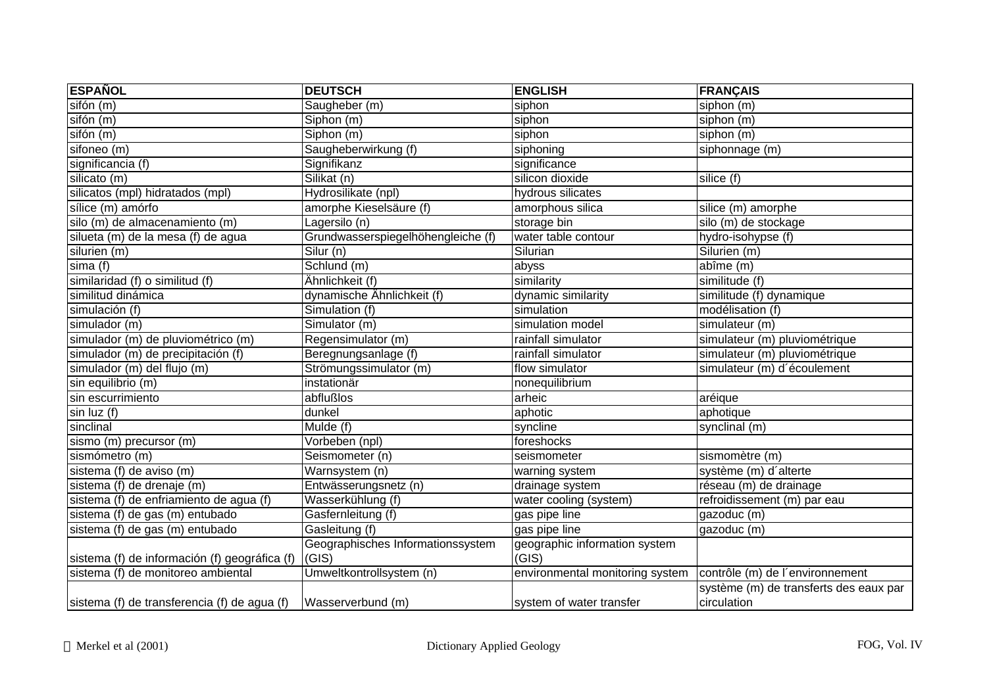| <b>ESPAÑOL</b>                                | <b>DEUTSCH</b>                     | <b>ENGLISH</b>                  | <b>FRANÇAIS</b>                                       |
|-----------------------------------------------|------------------------------------|---------------------------------|-------------------------------------------------------|
| sifón (m)                                     | Saugheber (m)                      | siphon                          | siphon (m)                                            |
| sifón (m)                                     | Siphon (m)                         | siphon                          | siphon (m)                                            |
| sifón (m)                                     | Siphon (m)                         | siphon                          | siphon (m)                                            |
| sifoneo (m)                                   | Saugheberwirkung (f)               | siphoning                       | siphonnage (m)                                        |
| significancia (f)                             | Signifikanz                        | significance                    |                                                       |
| silicato (m)                                  | Silikat (n)                        | silicon dioxide                 | silice (f)                                            |
| silicatos (mpl) hidratados (mpl)              | Hydrosilikate (npl)                | hydrous silicates               |                                                       |
| sílice (m) amórfo                             | amorphe Kieselsäure (f)            | amorphous silica                | silice (m) amorphe                                    |
| silo (m) de almacenamiento (m)                | Lagersilo (n)                      | storage bin                     | silo (m) de stockage                                  |
| silueta (m) de la mesa (f) de agua            | Grundwasserspiegelhöhengleiche (f) | water table contour             | hydro-isohypse (f)                                    |
| silurien (m)                                  | $\overline{\text{Silur}}(n)$       | Silurian                        | Silurien (m)                                          |
| sima(f)                                       | Schlund (m)                        | abyss                           | abîme (m)                                             |
| similaridad (f) o similitud (f)               | Ähnlichkeit (f)                    | similarity                      | similitude (f)                                        |
| similitud dinámica                            | dynamische Ähnlichkeit (f)         | dynamic similarity              | similitude (f) dynamique                              |
| simulación (f)                                | Simulation (f)                     | simulation                      | modélisation (f)                                      |
| simulador (m)                                 | Simulator (m)                      | simulation model                | $sim$ ulateur (m)                                     |
| simulador (m) de pluviométrico (m)            | Regensimulator (m)                 | rainfall simulator              | simulateur (m) pluviométrique                         |
| simulador (m) de precipitación (f)            | Beregnungsanlage (f)               | rainfall simulator              | simulateur (m) pluviométrique                         |
| simulador (m) del flujo (m)                   | Strömungssimulator (m)             | flow simulator                  | simulateur (m) d'écoulement                           |
| sin equilibrio (m)                            | instationär                        | nonequilibrium                  |                                                       |
| sin escurrimiento                             | abflußlos                          | arheic                          | aréique                                               |
| sin luz (f)                                   | dunkel                             | aphotic                         | aphotique                                             |
| sinclinal                                     | Mulde (f)                          | syncline                        | synclinal (m)                                         |
| sismo (m) precursor (m)                       | Vorbeben (npl)                     | foreshocks                      |                                                       |
| sismómetro (m)                                | Seismometer (n)                    | seismometer                     | sismomètre (m)                                        |
| sistema (f) de aviso (m)                      | Warnsystem (n)                     | warning system                  | système (m) d'alterte                                 |
| sistema (f) de drenaje (m)                    | Entwässerungsnetz (n)              | drainage system                 | réseau (m) de drainage                                |
| sistema (f) de enfriamiento de agua (f)       | Wasserkühlung (f)                  | water cooling (system)          | refroidissement (m) par eau                           |
| sistema (f) de gas (m) entubado               | Gasfernleitung (f)                 | gas pipe line                   | gazoduc (m)                                           |
| sistema (f) de gas (m) entubado               | Gasleitung (f)                     | gas pipe line                   | gazoduc (m)                                           |
|                                               | Geographisches Informationssystem  | geographic information system   |                                                       |
| sistema (f) de información (f) geográfica (f) | (GIS)                              | (GIS)                           |                                                       |
| sistema (f) de monitoreo ambiental            | Umweltkontrollsystem (n)           | environmental monitoring system | contrôle (m) de l'environnement                       |
| sistema (f) de transferencia (f) de agua (f)  | Wasserverbund (m)                  | system of water transfer        | système (m) de transferts des eaux par<br>circulation |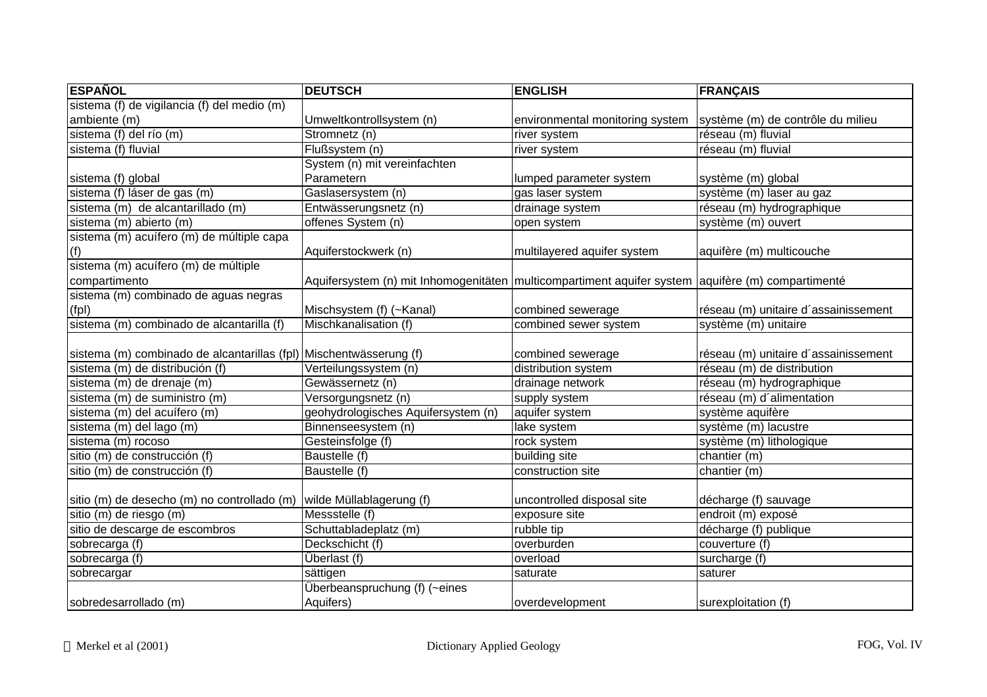| <b>ESPAÑOL</b>                                                     | <b>DEUTSCH</b>                                                                                    | <b>ENGLISH</b>                  | <b>FRANÇAIS</b>                      |
|--------------------------------------------------------------------|---------------------------------------------------------------------------------------------------|---------------------------------|--------------------------------------|
| sistema (f) de vigilancia (f) del medio (m)                        |                                                                                                   |                                 |                                      |
| ambiente (m)                                                       | Umweltkontrollsystem (n)                                                                          | environmental monitoring system | système (m) de contrôle du milieu    |
| sistema (f) del río (m)                                            | Stromnetz (n)                                                                                     | river system                    | réseau (m) fluvial                   |
| sistema (f) fluvial                                                | Flußsystem (n)                                                                                    | river system                    | réseau (m) fluvial                   |
|                                                                    | System (n) mit vereinfachten                                                                      |                                 |                                      |
| sistema (f) global                                                 | Parametern                                                                                        | lumped parameter system         | système (m) global                   |
| sistema (f) láser de gas (m)                                       | Gaslasersystem (n)                                                                                | gas laser system                | système (m) laser au gaz             |
| sistema (m) de alcantarillado (m)                                  | Entwässerungsnetz (n)                                                                             | drainage system                 | réseau (m) hydrographique            |
| sistema (m) abierto (m)                                            | offenes System (n)                                                                                | open system                     | système (m) ouvert                   |
| sistema (m) acuífero (m) de múltiple capa                          |                                                                                                   |                                 |                                      |
| (f)                                                                | Aquiferstockwerk (n)                                                                              | multilayered aquifer system     | aquifère (m) multicouche             |
| sistema (m) acuífero (m) de múltiple                               |                                                                                                   |                                 |                                      |
| compartimento                                                      | Aquifersystem (n) mit Inhomogenitäten multicompartiment aquifer system aquifère (m) compartimenté |                                 |                                      |
| sistema (m) combinado de aguas negras                              |                                                                                                   |                                 |                                      |
| (fpl)                                                              | Mischsystem (f) (~Kanal)                                                                          | combined sewerage               | réseau (m) unitaire d'assainissement |
| sistema (m) combinado de alcantarilla (f)                          | Mischkanalisation (f)                                                                             | combined sewer system           | système (m) unitaire                 |
|                                                                    |                                                                                                   |                                 |                                      |
| sistema (m) combinado de alcantarillas (fpl) Mischentwässerung (f) |                                                                                                   | combined sewerage               | réseau (m) unitaire d'assainissement |
| sistema (m) de distribución (f)                                    | Verteilungssystem (n)                                                                             | distribution system             | réseau (m) de distribution           |
| sistema (m) de drenaje (m)                                         | Gewässernetz (n)                                                                                  | drainage network                | réseau (m) hydrographique            |
| sistema (m) de suministro (m)                                      | Versorgungsnetz (n)                                                                               | supply system                   | réseau (m) d'alimentation            |
| sistema (m) del acuífero (m)                                       | geohydrologisches Aquifersystem (n)                                                               | aquifer system                  | système aquifère                     |
| sistema (m) del lago (m)                                           | Binnenseesystem (n)                                                                               | lake system                     | système (m) lacustre                 |
| sistema (m) rocoso                                                 | Gesteinsfolge (f)                                                                                 | rock system                     | système (m) lithologique             |
| sitio (m) de construcción (f)                                      | Baustelle (f)                                                                                     | building site                   | chantier (m)                         |
| sitio (m) de construcción (f)                                      | Baustelle (f)                                                                                     | construction site               | chantier (m)                         |
|                                                                    |                                                                                                   |                                 |                                      |
| sitio (m) de desecho (m) no controllado (m)                        | wilde Müllablagerung (f)                                                                          | uncontrolled disposal site      | décharge (f) sauvage                 |
| sitio (m) de riesgo (m)                                            | Messstelle (f)                                                                                    | exposure site                   | endroit (m) exposé                   |
| sitio de descarge de escombros                                     | Schuttabladeplatz (m)                                                                             | rubble tip                      | décharge (f) publique                |
| sobrecarga (f)                                                     | Deckschicht (f)                                                                                   | overburden                      | couverture (f)                       |
| sobrecarga (f)                                                     | Überlast (f)                                                                                      | overload                        | surcharge (f)                        |
| sobrecargar                                                        | sättigen                                                                                          | saturate                        | saturer                              |
|                                                                    | Überbeanspruchung (f) (~eines                                                                     |                                 |                                      |
| sobredesarrollado (m)                                              | Aquifers)                                                                                         | overdevelopment                 | surexploitation (f)                  |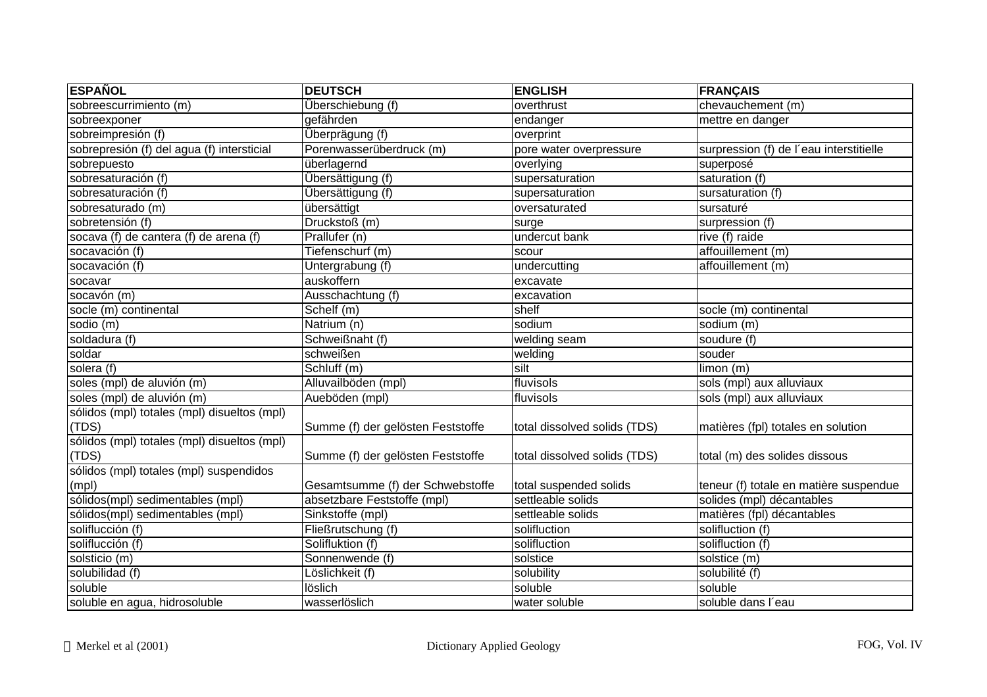| <b>ESPAÑOL</b>                              | <b>DEUTSCH</b>                    | <b>ENGLISH</b>               | <b>FRANÇAIS</b>                         |
|---------------------------------------------|-----------------------------------|------------------------------|-----------------------------------------|
| sobreescurrimiento (m)                      | Überschiebung (f)                 | overthrust                   | chevauchement (m)                       |
| sobreexponer                                | gefährden                         | endanger                     | mettre en danger                        |
| sobreimpresión (f)                          | Überprägung (f)                   | overprint                    |                                         |
| sobrepresión (f) del agua (f) intersticial  | Porenwasserüberdruck (m)          | pore water overpressure      | surpression (f) de l'eau interstitielle |
| sobrepuesto                                 | überlagernd                       | overlying                    | superposé                               |
| sobresaturación (f)                         | Übersättigung (f)                 | supersaturation              | saturation (f)                          |
| sobresaturación (f)                         | Übersättigung (f)                 | supersaturation              | sursaturation (f)                       |
| sobresaturado (m)                           | übersättigt                       | oversaturated                | sursaturé                               |
| sobretensión (f)                            | Druckstoß (m)                     | surge                        | surpression (f)                         |
| socava (f) de cantera (f) de arena (f)      | Prallufer (n)                     | undercut bank                | rive (f) raide                          |
| socavación (f)                              | Tiefenschurf (m)                  | scour                        | affouillement (m)                       |
| socavación (f)                              | Untergrabung (f)                  | undercutting                 | affouillement (m)                       |
| socavar                                     | auskoffern                        | excavate                     |                                         |
| socavón (m)                                 | Ausschachtung (f)                 | excavation                   |                                         |
| socle (m) continental                       | Schelf (m)                        | shelf                        | socle (m) continental                   |
| sodio (m)                                   | Natrium (n)                       | sodium                       | sodium (m)                              |
| soldadura (f)                               | Schweißnaht (f)                   | welding seam                 | soudure (f)                             |
| soldar                                      | schweißen                         | welding                      | souder                                  |
| solera (f)                                  | Schluff (m)                       | silt                         | limon (m)                               |
| soles (mpl) de aluvión (m)                  | Alluvailböden (mpl)               | fluvisols                    | sols (mpl) aux alluviaux                |
| soles (mpl) de aluvión (m)                  | Aueböden (mpl)                    | fluvisols                    | sols (mpl) aux alluviaux                |
| sólidos (mpl) totales (mpl) disueltos (mpl) |                                   |                              |                                         |
| (TDS)                                       | Summe (f) der gelösten Feststoffe | total dissolved solids (TDS) | matières (fpl) totales en solution      |
| sólidos (mpl) totales (mpl) disueltos (mpl) |                                   |                              |                                         |
| (TDS)                                       | Summe (f) der gelösten Feststoffe | total dissolved solids (TDS) | total (m) des solides dissous           |
| sólidos (mpl) totales (mpl) suspendidos     |                                   |                              |                                         |
| (mpl)                                       | Gesamtsumme (f) der Schwebstoffe  | total suspended solids       | teneur (f) totale en matière suspendue  |
| sólidos(mpl) sedimentables (mpl)            | absetzbare Feststoffe (mpl)       | settleable solids            | solides (mpl) décantables               |
| sólidos(mpl) sedimentables (mpl)            | Sinkstoffe (mpl)                  | settleable solids            | matières (fpl) décantables              |
| soliflucción (f)                            | Fließrutschung (f)                | solifluction                 | solifluction (f)                        |
| soliflucción (f)                            | Solifluktion (f)                  | solifluction                 | solifluction (f)                        |
| solsticio (m)                               | Sonnenwende (f)                   | solstice                     | solstice (m)                            |
| solubilidad (f)                             | Löslichkeit (f)                   | solubility                   | solubilité (f)                          |
| soluble                                     | löslich                           | soluble                      | soluble                                 |
| soluble en agua, hidrosoluble               | wasserlöslich                     | water soluble                | soluble dans l'eau                      |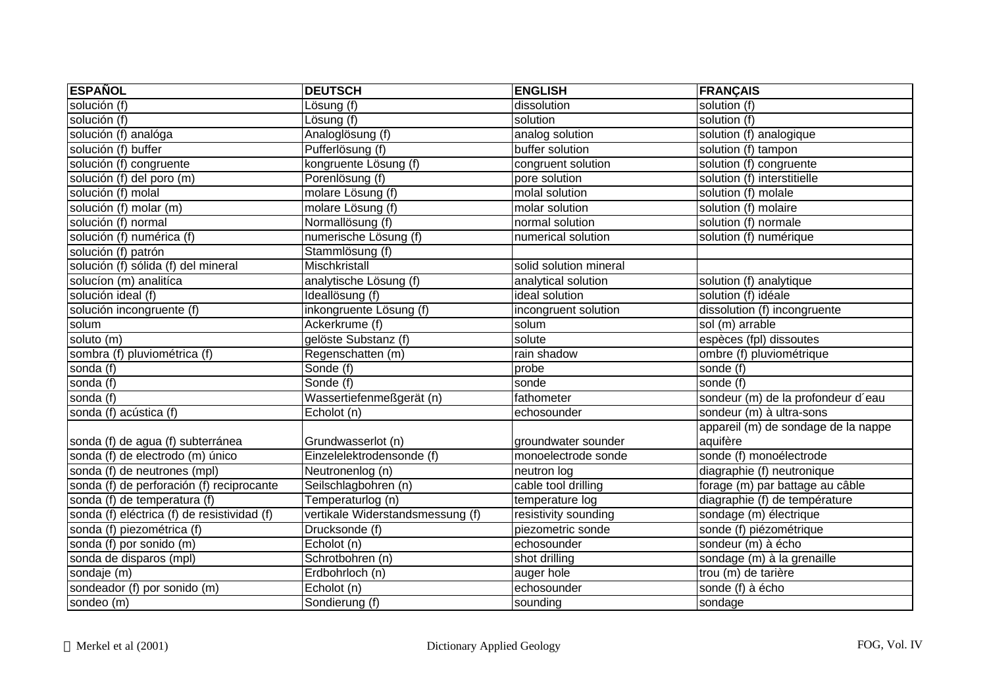| <b>ESPAÑOL</b>                              | <b>DEUTSCH</b>                   | <b>ENGLISH</b>         | <b>FRANÇAIS</b>                     |
|---------------------------------------------|----------------------------------|------------------------|-------------------------------------|
| solución (f)                                | Lösung (f)                       | dissolution            | solution (f)                        |
| solución (f)                                | Lösung (f)                       | solution               | solution (f)                        |
| solución (f) analóga                        | Analoglösung (f)                 | analog solution        | solution (f) analogique             |
| solución (f) buffer                         | Pufferlösung (f)                 | buffer solution        | solution (f) tampon                 |
| solución (f) congruente                     | kongruente Lösung (f)            | congruent solution     | solution (f) congruente             |
| solución (f) del poro (m)                   | Porenlösung (f)                  | pore solution          | solution (f) interstitielle         |
| solución (f) molal                          | molare Lösung (f)                | molal solution         | solution (f) molale                 |
| solución (f) molar (m)                      | molare Lösung (f)                | molar solution         | solution (f) molaire                |
| solución (f) normal                         | Normallösung (f)                 | normal solution        | solution (f) normale                |
| solución (f) numérica (f)                   | numerische Lösung (f)            | numerical solution     | solution (f) numérique              |
| solución (f) patrón                         | Stammlösung (f)                  |                        |                                     |
| solución (f) sólida (f) del mineral         | Mischkristall                    | solid solution mineral |                                     |
| solucíon (m) analitíca                      | analytische Lösung (f)           | analytical solution    | solution (f) analytique             |
| solución ideal (f)                          | Ideallösung (f)                  | ideal solution         | solution (f) idéale                 |
| solución incongruente (f)                   | inkongruente Lösung (f)          | incongruent solution   | dissolution (f) incongruente        |
| solum                                       | Ackerkrume (f)                   | solum                  | sol (m) arrable                     |
| soluto (m)                                  | gelöste Substanz (f)             | solute                 | espèces (fpl) dissoutes             |
| sombra (f) pluviométrica (f)                | Regenschatten (m)                | rain shadow            | ombre (f) pluviométrique            |
| sonda (f)                                   | Sonde (f)                        | probe                  | sonde (f)                           |
| sonda (f)                                   | Sonde (f)                        | sonde                  | sonde (f)                           |
| sonda (f)                                   | Wassertiefenmeßgerät (n)         | fathometer             | sondeur (m) de la profondeur d'eau  |
| sonda (f) acústica (f)                      | Echolot (n)                      | echosounder            | sondeur (m) à ultra-sons            |
|                                             |                                  |                        | appareil (m) de sondage de la nappe |
| sonda (f) de agua (f) subterránea           | Grundwasserlot (n)               | groundwater sounder    | aquifère                            |
| sonda (f) de electrodo (m) único            | Einzelelektrodensonde (f)        | monoelectrode sonde    | sonde (f) monoélectrode             |
| sonda (f) de neutrones (mpl)                | Neutronenlog (n)                 | neutron log            | diagraphie (f) neutronique          |
| sonda (f) de perforación (f) reciprocante   | Seilschlagbohren (n)             | cable tool drilling    | forage (m) par battage au câble     |
| sonda (f) de temperatura (f)                | Temperaturlog (n)                | temperature log        | diagraphie (f) de température       |
| sonda (f) eléctrica (f) de resistividad (f) | vertikale Widerstandsmessung (f) | resistivity sounding   | sondage (m) électrique              |
| sonda (f) piezométrica (f)                  | Drucksonde (f)                   | piezometric sonde      | sonde (f) piézométrique             |
| sonda (f) por sonido (m)                    | Echolot (n)                      | echosounder            | sondeur (m) à écho                  |
| sonda de disparos (mpl)                     | Schrotbohren (n)                 | shot drilling          | sondage (m) à la grenaille          |
| sondaje (m)                                 | Erdbohrloch (n)                  | auger hole             | trou (m) de tarière                 |
| sondeador (f) por sonido (m)                | Echolot (n)                      | echosounder            | sonde (f) à écho                    |
| sondeo (m)                                  | Sondierung (f)                   | sounding               | sondage                             |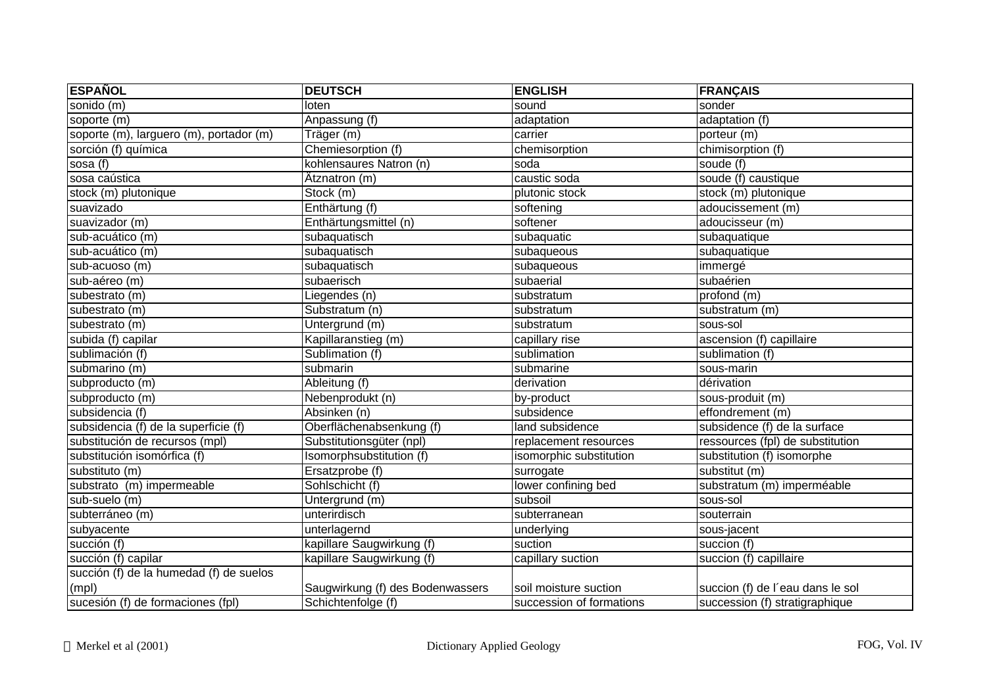| <b>ESPAÑOL</b>                          | <b>DEUTSCH</b>                   | <b>ENGLISH</b>           | <b>FRANÇAIS</b>                  |
|-----------------------------------------|----------------------------------|--------------------------|----------------------------------|
| sonido (m)                              | loten                            | sound                    | sonder                           |
| soporte (m)                             | Anpassung (f)                    | adaptation               | adaptation (f)                   |
| soporte (m), larguero (m), portador (m) | Träger (m)                       | carrier                  | porteur (m)                      |
| sorción (f) química                     | Chemiesorption (f)               | chemisorption            | chimisorption (f)                |
| sosa (f)                                | kohlensaures Natron (n)          | soda                     | soude (f)                        |
| sosa caústica                           | Ätznatron (m)                    | caustic soda             | soude (f) caustique              |
| stock (m) plutonique                    | $\overline{\text{Stock}}$ (m)    | plutonic stock           | stock (m) plutonique             |
| suavizado                               | Enthärtung (f)                   | softening                | adoucissement (m)                |
| suavizador (m)                          | Enthärtungsmittel (n)            | softener                 | adoucisseur (m)                  |
| sub-acuático (m)                        | subaquatisch                     | subaquatic               | subaquatique                     |
| sub-acuático (m)                        | subaquatisch                     | subaqueous               | subaquatique                     |
| sub-acuoso (m)                          | subaquatisch                     | subaqueous               | immergé                          |
| sub-aéreo (m)                           | subaerisch                       | subaerial                | subaérien                        |
| subestrato (m)                          | Liegendes (n)                    | substratum               | profond (m)                      |
| subestrato (m)                          | Substratum (n)                   | substratum               | substratum (m)                   |
| subestrato (m)                          | Untergrund (m)                   | substratum               | sous-sol                         |
| subida (f) capilar                      | Kapillaranstieg (m)              | capillary rise           | ascension (f) capillaire         |
| sublimación (f)                         | Sublimation (f)                  | sublimation              | sublimation (f)                  |
| submarino (m)                           | submarin                         | submarine                | sous-marin                       |
| subproducto (m)                         | Ableitung (f)                    | derivation               | dérivation                       |
| subproducto (m)                         | Nebenprodukt (n)                 | by-product               | sous-produit (m)                 |
| subsidencia (f)                         | Absinken (n)                     | subsidence               | effondrement (m)                 |
| subsidencia (f) de la superficie (f)    | Oberflächenabsenkung (f)         | land subsidence          | subsidence (f) de la surface     |
| substitución de recursos (mpl)          | Substitutionsgüter (npl)         | replacement resources    | ressources (fpl) de substitution |
| substitución isomórfica (f)             | Isomorphsubstitution (f)         | isomorphic substitution  | substitution (f) isomorphe       |
| substituto (m)                          | Ersatzprobe (f)                  | surrogate                | substitut (m)                    |
| substrato (m) impermeable               | Sohlschicht (f)                  | lower confining bed      | substratum (m) imperméable       |
| sub-suelo (m)                           | Untergrund (m)                   | subsoil                  | sous-sol                         |
| subterráneo (m)                         | unterirdisch                     | subterranean             | souterrain                       |
| subyacente                              | unterlagernd                     | underlying               | sous-jacent                      |
| succión (f)                             | kapillare Saugwirkung (f)        | suction                  | succion $(f)$                    |
| succión (f) capilar                     | kapillare Saugwirkung (f)        | capillary suction        | succion (f) capillaire           |
| succión (f) de la humedad (f) de suelos |                                  |                          |                                  |
| (mpl)                                   | Saugwirkung (f) des Bodenwassers | soil moisture suction    | succion (f) de l'eau dans le sol |
| sucesión (f) de formaciones (fpl)       | Schichtenfolge (f)               | succession of formations | succession (f) stratigraphique   |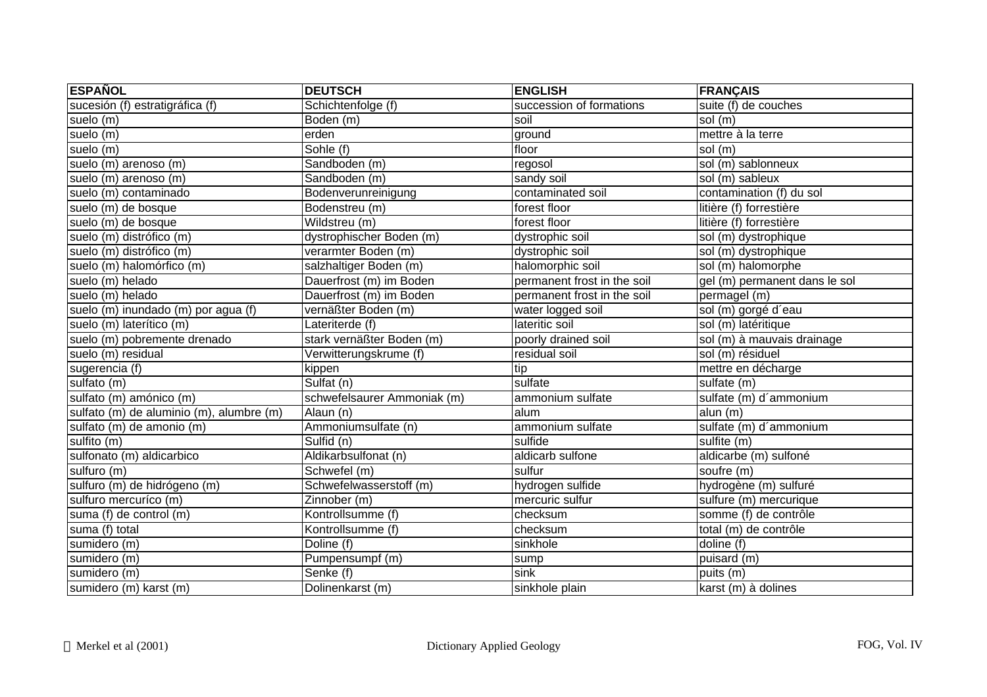| <b>ESPAÑOL</b>                           | <b>DEUTSCH</b>                 | <b>ENGLISH</b>              | <b>FRANÇAIS</b>               |
|------------------------------------------|--------------------------------|-----------------------------|-------------------------------|
| sucesión (f) estratigráfica (f)          | Schichtenfolge (f)             | succession of formations    | suite (f) de couches          |
| suelo (m)                                | Boden (m)                      | soil                        | sol (m)                       |
| suelo (m)                                | erden                          | ground                      | mettre à la terre             |
| suelo (m)                                | Sohle (f)                      | floor                       | sol (m)                       |
| suelo (m) arenoso (m)                    | Sandboden (m)                  | regosol                     | sol (m) sablonneux            |
| suelo (m) arenoso (m)                    | Sandboden (m)                  | sandy soil                  | sol (m) sableux               |
| suelo (m) contaminado                    | Bodenverunreinigung            | contaminated soil           | contamination (f) du sol      |
| suelo (m) de bosque                      | Bodenstreu (m)                 | forest floor                | litière (f) forrestière       |
| suelo (m) de bosque                      | Wildstreu (m)                  | forest floor                | litière (f) forrestière       |
| suelo (m) distrófico (m)                 | dystrophischer Boden (m)       | dystrophic soil             | sol (m) dystrophique          |
| suelo (m) distrófico (m)                 | verarmter Boden (m)            | dystrophic soil             | sol (m) dystrophique          |
| suelo (m) halomórfico (m)                | salzhaltiger Boden (m)         | halomorphic soil            | sol (m) halomorphe            |
| suelo (m) helado                         | Dauerfrost (m) im Boden        | permanent frost in the soil | gel (m) permanent dans le sol |
| suelo (m) helado                         | Dauerfrost (m) im Boden        | permanent frost in the soil | permagel (m)                  |
| suelo (m) inundado (m) por agua (f)      | vernäßter Boden (m)            | water logged soil           | sol (m) gorgé d'eau           |
| suelo (m) laterítico (m)                 | Lateriterde (f)                | lateritic soil              | sol (m) latéritique           |
| suelo (m) pobremente drenado             | stark vernäßter Boden (m)      | poorly drained soil         | sol (m) à mauvais drainage    |
| suelo (m) residual                       | Verwitterungskrume (f)         | residual soil               | sol (m) résiduel              |
| sugerencia (f)                           | kippen                         | tip                         | mettre en décharge            |
| sulfato (m)                              | $\overline{\text{Sulfat}}$ (n) | sulfate                     | sulfate (m)                   |
| sulfato (m) amónico (m)                  | schwefelsaurer Ammoniak (m)    | ammonium sulfate            | sulfate (m) d'ammonium        |
| sulfato (m) de aluminio (m), alumbre (m) | Alaun (n)                      | alum                        | alun (m)                      |
| sulfato (m) de amonio (m)                | Ammoniumsulfate (n)            | ammonium sulfate            | sulfate (m) d'ammonium        |
| sulfito (m)                              | Sulfid (n)                     | sulfide                     | sulfite (m)                   |
| sulfonato (m) aldicarbico                | Aldikarbsulfonat (n)           | aldicarb sulfone            | aldicarbe (m) sulfoné         |
| sulfuro (m)                              | Schwefel (m)                   | sulfur                      | soufre (m)                    |
| sulfuro (m) de hidrógeno (m)             | Schwefelwasserstoff (m)        | hydrogen sulfide            | hydrogène (m) sulfuré         |
| sulfuro mercuríco (m)                    | Zinnober (m)                   | mercuric sulfur             | sulfure (m) mercurique        |
| suma (f) de control (m)                  | Kontrollsumme (f)              | checksum                    | somme (f) de contrôle         |
| suma (f) total                           | Kontrollsumme (f)              | checksum                    | total (m) de contrôle         |
| $sumidero$ (m)                           | Doline (f)                     | sinkhole                    | doline (f)                    |
| sumidero (m)                             | Pumpensumpf (m)                | sump                        | puisard(m)                    |
| sumidero (m)                             | Senke (f)                      | sink                        | puits (m)                     |
| sumidero (m) karst (m)                   | Dolinenkarst (m)               | sinkhole plain              | karst $(m)$ à dolines         |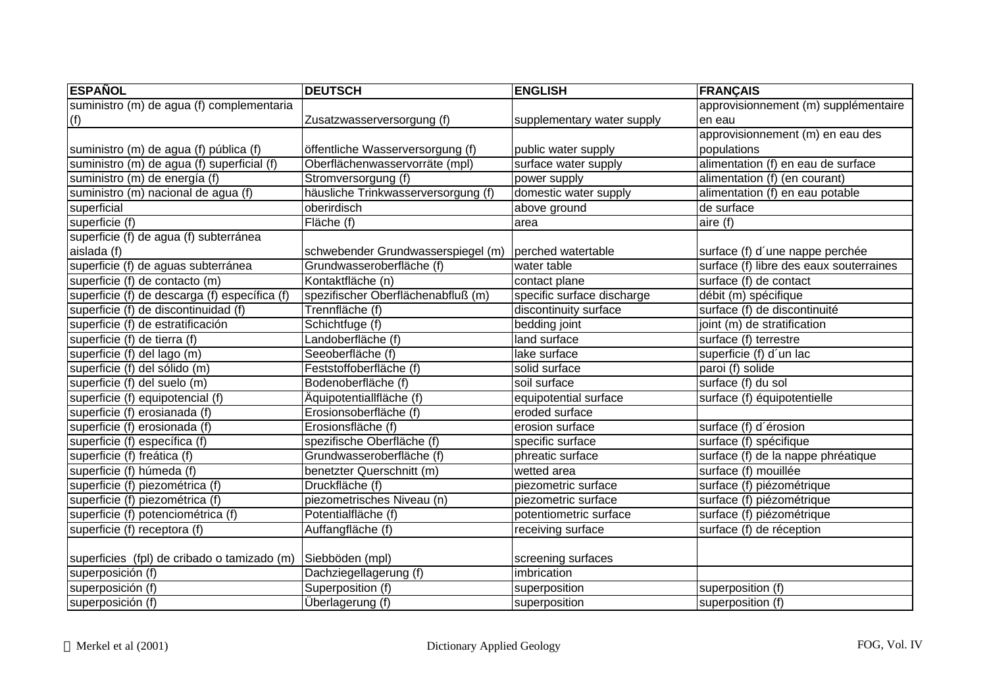| <b>ESPAÑOL</b>                                | <b>DEUTSCH</b>                      | <b>ENGLISH</b>             | <b>FRANÇAIS</b>                         |
|-----------------------------------------------|-------------------------------------|----------------------------|-----------------------------------------|
| suministro (m) de agua (f) complementaria     |                                     |                            | approvisionnement (m) supplémentaire    |
| (f)                                           | Zusatzwasserversorgung (f)          | supplementary water supply | len eau                                 |
|                                               |                                     |                            | approvisionnement (m) en eau des        |
| suministro (m) de agua (f) pública (f)        | öffentliche Wasserversorgung (f)    | public water supply        | populations                             |
| suministro (m) de agua (f) superficial (f)    | Oberflächenwasservorräte (mpl)      | surface water supply       | alimentation (f) en eau de surface      |
| suministro (m) de energía (f)                 | Stromversorgung (f)                 | power supply               | alimentation $(f)$ (en courant)         |
| suministro (m) nacional de agua (f)           | häusliche Trinkwasserversorgung (f) | domestic water supply      | alimentation (f) en eau potable         |
| superficial                                   | oberirdisch                         | above ground               | de surface                              |
| superficie (f)                                | Fläche (f)                          | area                       | aire (f)                                |
| superficie (f) de agua (f) subterránea        |                                     |                            |                                         |
| aislada (f)                                   | schwebender Grundwasserspiegel (m)  | perched watertable         | surface (f) d'une nappe perchée         |
| superficie (f) de aguas subterránea           | Grundwasseroberfläche (f)           | water table                | surface (f) libre des eaux souterraines |
| superficie (f) de contacto (m)                | Kontaktfläche (n)                   | contact plane              | surface (f) de contact                  |
| superficie (f) de descarga (f) específica (f) | spezifischer Oberflächenabfluß (m)  | specific surface discharge | débit (m) spécifique                    |
| superficie (f) de discontinuidad (f)          | Trennfläche (f)                     | discontinuity surface      | surface (f) de discontinuité            |
| superficie (f) de estratificación             | Schichtfuge (f)                     | bedding joint              | joint (m) de stratification             |
| superficie (f) de tierra (f)                  | Landoberfläche (f)                  | land surface               | surface (f) terrestre                   |
| superficie (f) del lago (m)                   | Seeoberfläche (f)                   | lake surface               | superficie (f) d'un lac                 |
| superficie (f) del sólido (m)                 | Feststoffoberfläche (f)             | solid surface              | paroi (f) solide                        |
| superficie (f) del suelo (m)                  | Bodenoberfläche (f)                 | soil surface               | surface (f) du sol                      |
| superficie (f) equipotencial (f)              | Äquipotentiallfläche (f)            | equipotential surface      | surface (f) équipotentielle             |
| superficie (f) erosianada (f)                 | Erosionsoberfläche (f)              | eroded surface             |                                         |
| superficie (f) erosionada (f)                 | Erosionsfläche (f)                  | erosion surface            | surface (f) d'érosion                   |
| superficie (f) específica (f)                 | spezifische Oberfläche (f)          | specific surface           | surface (f) spécifique                  |
| superficie (f) freática (f)                   | Grundwasseroberfläche (f)           | phreatic surface           | surface (f) de la nappe phréatique      |
| superficie (f) húmeda (f)                     | benetzter Querschnitt (m)           | wetted area                | surface (f) mouillée                    |
| superficie (f) piezométrica (f)               | Druckfläche (f)                     | piezometric surface        | surface (f) piézométrique               |
| superficie (f) piezométrica (f)               | piezometrisches Niveau (n)          | piezometric surface        | surface (f) piézométrique               |
| superficie (f) potenciométrica (f)            | Potentialfläche (f)                 | potentiometric surface     | surface (f) piézométrique               |
| superficie (f) receptora (f)                  | Auffangfläche (f)                   | receiving surface          | surface (f) de réception                |
|                                               |                                     |                            |                                         |
| superficies (fpl) de cribado o tamizado (m)   | Siebböden (mpl)                     | screening surfaces         |                                         |
| superposición (f)                             | Dachziegellagerung (f)              | imbrication                |                                         |
| superposición (f)                             | Superposition (f)                   | superposition              | superposition (f)                       |
| superposición (f)                             | Überlagerung (f)                    | superposition              | superposition (f)                       |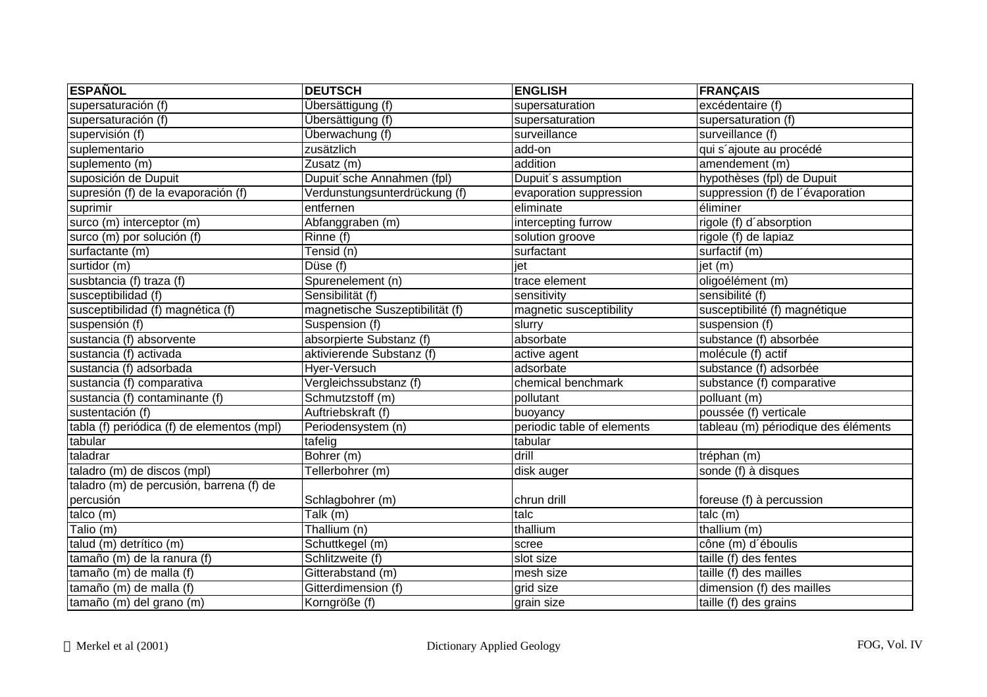| <b>ESPAÑOL</b>                             | <b>DEUTSCH</b>                  | <b>ENGLISH</b>             | <b>FRANÇAIS</b>                     |
|--------------------------------------------|---------------------------------|----------------------------|-------------------------------------|
| supersaturación (f)                        | Übersättigung (f)               | supersaturation            | excédentaire (f)                    |
| supersaturación (f)                        | Übersättigung (f)               | supersaturation            | supersaturation (f)                 |
| supervisión (f)                            | Überwachung (f)                 | surveillance               | surveillance (f)                    |
| suplementario                              | zusätzlich                      | add-on                     | qui s'ajoute au procédé             |
| suplemento (m)                             | Zusatz (m)                      | addition                   | amendement (m)                      |
| suposición de Dupuit                       | Dupuit'sche Annahmen (fpl)      | Dupuit's assumption        | hypothèses (fpl) de Dupuit          |
| supresión (f) de la evaporación (f)        | Verdunstungsunterdrückung (f)   | evaporation suppression    | suppression (f) de l'évaporation    |
| suprimir                                   | entfernen                       | eliminate                  | éliminer                            |
| surco (m) interceptor (m)                  | Abfanggraben (m)                | intercepting furrow        | rigole (f) d'absorption             |
| surco (m) por solución (f)                 | Rinne (f)                       | solution groove            | rigole (f) de lapiaz                |
| surfactante (m)                            | Tensid (n)                      | surfactant                 | surfactif (m)                       |
| surtidor (m)                               | Düse (f)                        | jet                        | jet (m)                             |
| susbtancia (f) traza (f)                   | Spurenelement (n)               | trace element              | oligoélément (m)                    |
| susceptibilidad (f)                        | Sensibilität (f)                | sensitivity                | sensibilité (f)                     |
| susceptibilidad (f) magnética (f)          | magnetische Suszeptibilität (f) | magnetic susceptibility    | susceptibilité (f) magnétique       |
| suspensión (f)                             | Suspension (f)                  | slurry                     | suspension (f)                      |
| sustancia (f) absorvente                   | absorpierte Substanz (f)        | absorbate                  | substance (f) absorbée              |
| sustancia (f) activada                     | aktivierende Substanz (f)       | active agent               | molécule (f) actif                  |
| sustancia (f) adsorbada                    | Hyer-Versuch                    | adsorbate                  | substance (f) adsorbée              |
| sustancia (f) comparativa                  | Vergleichssubstanz (f)          | chemical benchmark         | substance (f) comparative           |
| sustancia (f) contaminante (f)             | Schmutzstoff (m)                | pollutant                  | polluant (m)                        |
| sustentación (f)                           | Auftriebskraft (f)              | buoyancy                   | poussée (f) verticale               |
| tabla (f) periódica (f) de elementos (mpl) | Periodensystem (n)              | periodic table of elements | tableau (m) périodique des éléments |
| tabular                                    | tafelig                         | tabular                    |                                     |
| taladrar                                   | Bohrer (m)                      | drill                      | tréphan (m)                         |
| taladro (m) de discos (mpl)                | Tellerbohrer (m)                | disk auger                 | sonde (f) à disques                 |
| taladro (m) de percusión, barrena (f) de   |                                 |                            |                                     |
| percusión                                  | Schlagbohrer (m)                | chrun drill                | foreuse (f) à percussion            |
| talco (m)                                  | Talk (m)                        | talc                       | talc (m)                            |
| Talio (m)                                  | Thallium (n)                    | thallium                   | thallium (m)                        |
| talud (m) detrítico (m)                    | Schuttkegel (m)                 | scree                      | cône (m) d'éboulis                  |
| tamaño (m) de la ranura (f)                | Schlitzweite (f)                | slot size                  | taille (f) des fentes               |
| tamaño (m) de malla (f)                    | Gitterabstand (m)               | mesh size                  | taille (f) des mailles              |
| tamaño (m) de malla (f)                    | Gitterdimension (f)             | grid size                  | dimension (f) des mailles           |
| tamaño (m) del grano (m)                   | Korngröße (f)                   | grain size                 | taille (f) des grains               |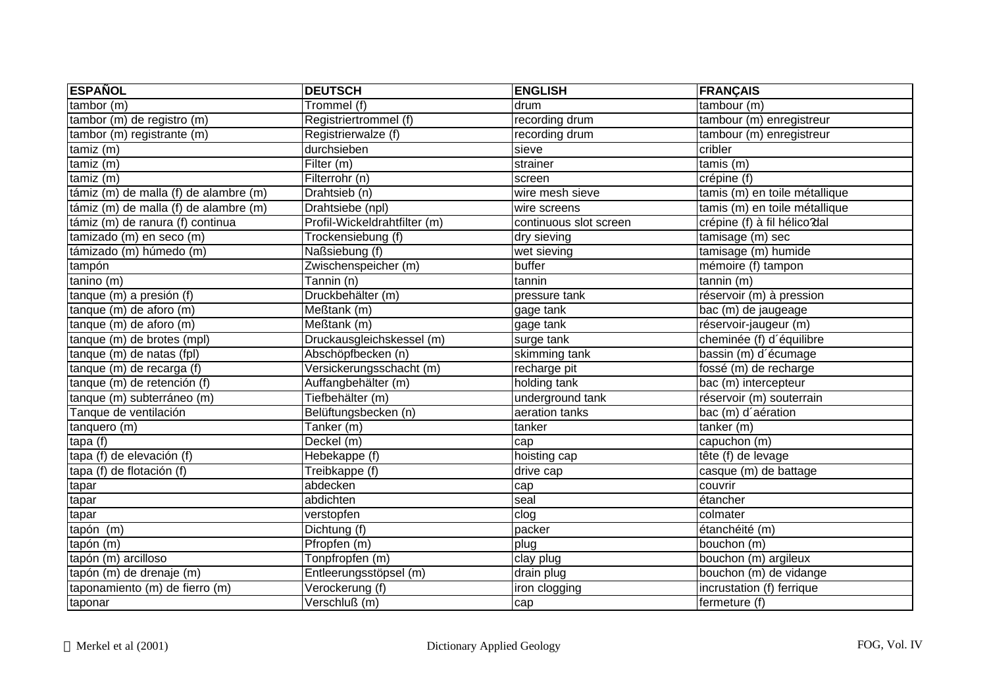| <b>ESPAÑOL</b>                        | <b>DEUTSCH</b>               | <b>ENGLISH</b>         | <b>FRANÇAIS</b>               |
|---------------------------------------|------------------------------|------------------------|-------------------------------|
| tambor (m)                            | Trommel (f)                  | drum                   | tambour (m)                   |
| tambor (m) de registro (m)            | Registriertrommel (f)        | recording drum         | tambour (m) enregistreur      |
| tambor (m) registrante (m)            | Registrierwalze (f)          | recording drum         | tambour (m) enregistreur      |
| tamiz(m)                              | durchsieben                  | sieve                  | cribler                       |
| tamiz(m)                              | Filter $(m)$                 | strainer               | $t$ amis $(m)$                |
| tamiz (m)                             | Filterrohr (n)               | screen                 | crépine (f)                   |
| támiz (m) de malla (f) de alambre (m) | Drahtsieb (n)                | wire mesh sieve        | tamis (m) en toile métallique |
| támiz (m) de malla (f) de alambre (m) | Drahtsiebe (npl)             | wire screens           | tamis (m) en toile métallique |
| támiz (m) de ranura (f) continua      | Profil-Wickeldrahtfilter (m) | continuous slot screen | crépine (f) à fil hélico dal  |
| tamizado (m) en seco (m)              | Trockensiebung (f)           | dry sieving            | tamisage (m) sec              |
| támizado (m) húmedo (m)               | Naßsiebung (f)               | wet sieving            | tamisage (m) humide           |
| tampón                                | Zwischenspeicher (m)         | buffer                 | mémoire (f) tampon            |
| tanino (m)                            | Tannin (n)                   | tannin                 | tannin (m)                    |
| tanque (m) a presión (f)              | Druckbehälter (m)            | pressure tank          | réservoir (m) à pression      |
| tanque (m) de aforo (m)               | Meßtank (m)                  | gage tank              | bac (m) de jaugeage           |
| tanque (m) de aforo (m)               | Meßtank (m)                  | gage tank              | réservoir-jaugeur (m)         |
| tanque (m) de brotes (mpl)            | Druckausgleichskessel (m)    | surge tank             | cheminée (f) d'équilibre      |
| tanque (m) de natas (fpl)             | Abschöpfbecken (n)           | skimming tank          | bassin (m) d'écumage          |
| tanque (m) de recarga (f)             | Versickerungsschacht (m)     | recharge pit           | fossé (m) de recharge         |
| tanque (m) de retención (f)           | Auffangbehälter (m)          | holding tank           | bac (m) intercepteur          |
| tanque (m) subterráneo (m)            | Tiefbehälter (m)             | underground tank       | réservoir (m) souterrain      |
| Tanque de ventilación                 | Belüftungsbecken (n)         | aeration tanks         | bac (m) d'aération            |
| tanquero (m)                          | Tanker (m)                   | tanker                 | $t$ anker $(m)$               |
| tapa (f)                              | Deckel (m)                   | cap                    | capuchon (m)                  |
| tapa (f) de elevación (f)             | Hebekappe (f)                | hoisting cap           | tête (f) de levage            |
| tapa (f) de flotación (f)             | Treibkappe (f)               | drive cap              | casque (m) de battage         |
| tapar                                 | abdecken                     | cap                    | couvrir                       |
| tapar                                 | abdichten                    | seal                   | étancher                      |
| tapar                                 | verstopfen                   | clog                   | colmater                      |
| tapón (m)                             | Dichtung (f)                 | packer                 | étanchéité (m)                |
| tapón (m)                             | Pfropfen $(m)$               | plug                   | bouchon (m)                   |
| tapón (m) arcilloso                   | Tonpfropfen (m)              | clay plug              | bouchon (m) argileux          |
| tapón (m) de drenaje (m)              | Entleerungsstöpsel (m)       | drain plug             | bouchon (m) de vidange        |
| taponamiento (m) de fierro (m)        | Verockerung (f)              | iron clogging          | incrustation (f) ferrique     |
| taponar                               | Verschluß (m)                | cap                    | fermeture (f)                 |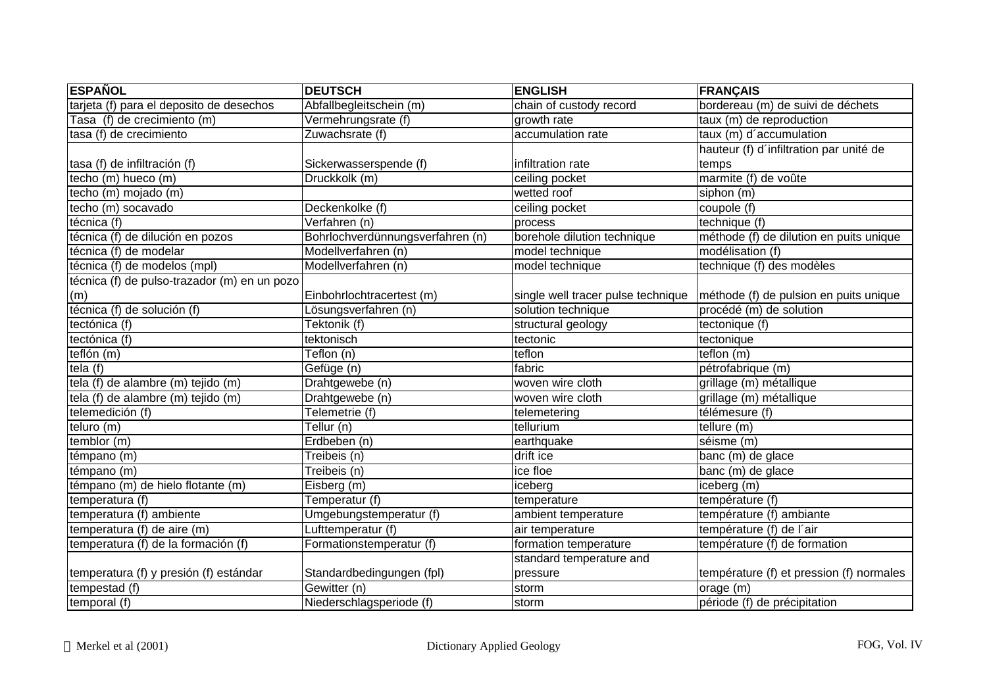| <b>ESPAÑOL</b>                               | <b>DEUTSCH</b>                   | <b>ENGLISH</b>                     | <b>FRANÇAIS</b>                          |
|----------------------------------------------|----------------------------------|------------------------------------|------------------------------------------|
| tarjeta (f) para el deposito de desechos     | Abfallbegleitschein (m)          | chain of custody record            | bordereau (m) de suivi de déchets        |
| Tasa (f) de crecimiento (m)                  | Vermehrungsrate (f)              | growth rate                        | taux (m) de reproduction                 |
| tasa (f) de crecimiento                      | Zuwachsrate (f)                  | accumulation rate                  | taux (m) d'accumulation                  |
|                                              |                                  |                                    | hauteur (f) d'infiltration par unité de  |
| tasa (f) de infiltración (f)                 | Sickerwasserspende (f)           | infiltration rate                  | temps                                    |
| techo (m) hueco (m)                          | Druckkolk (m)                    | ceiling pocket                     | marmite (f) de voûte                     |
| techo (m) mojado (m)                         |                                  | wetted roof                        | siphon (m)                               |
| techo (m) socavado                           | Deckenkolke (f)                  | ceiling pocket                     | coupole (f)                              |
| técnica (f)                                  | Verfahren (n)                    | process                            | technique (f)                            |
| técnica (f) de dilución en pozos             | Bohrlochverdünnungsverfahren (n) | borehole dilution technique        | méthode (f) de dilution en puits unique  |
| técnica (f) de modelar                       | Modellverfahren (n)              | model technique                    | modélisation (f)                         |
| técnica (f) de modelos (mpl)                 | Modellverfahren (n)              | model technique                    | technique (f) des modèles                |
| técnica (f) de pulso-trazador (m) en un pozo |                                  |                                    |                                          |
| (m)                                          | Einbohrlochtracertest (m)        | single well tracer pulse technique | méthode (f) de pulsion en puits unique   |
| técnica (f) de solución (f)                  | Lösungsverfahren (n)             | solution technique                 | procédé (m) de solution                  |
| tectónica (f)                                | Tektonik (f)                     | structural geology                 | tectonique (f)                           |
| tectónica (f)                                | tektonisch                       | tectonic                           | tectonique                               |
| teflón (m)                                   | Teflon (n)                       | teflon                             | teflon (m)                               |
| tela $(f)$                                   | Gefüge (n)                       | fabric                             | pétrofabrique (m)                        |
| tela (f) de alambre (m) tejido (m)           | Drahtgewebe (n)                  | woven wire cloth                   | grillage (m) métallique                  |
| tela (f) de alambre (m) tejido (m)           | Drahtgewebe (n)                  | woven wire cloth                   | grillage (m) métallique                  |
| telemedición (f)                             | Telemetrie (f)                   | telemetering                       | télémesure (f)                           |
| teluro (m)                                   | $\overline{T$ ellur $(n)$        | tellurium                          | tellure (m)                              |
| temblor (m)                                  | Erdbeben (n)                     | earthquake                         | séisme (m)                               |
| témpano (m)                                  | Treibeis (n)                     | drift ice                          | banc (m) de glace                        |
| témpano (m)                                  | Treibeis (n)                     | ice floe                           | banc (m) de glace                        |
| témpano (m) de hielo flotante (m)            | Eisberg (m)                      | iceberg                            | iceberg (m)                              |
| temperatura (f)                              | Temperatur (f)                   | temperature                        | température (f)                          |
| temperatura (f) ambiente                     | Umgebungstemperatur (f)          | ambient temperature                | température (f) ambiante                 |
| temperatura (f) de aire (m)                  | Lufttemperatur (f)               | air temperature                    | température (f) de l'air                 |
| temperatura (f) de la formación (f)          | Formationstemperatur (f)         | formation temperature              | température (f) de formation             |
|                                              |                                  | standard temperature and           |                                          |
| temperatura (f) y presión (f) estándar       | Standardbedingungen (fpl)        | pressure                           | température (f) et pression (f) normales |
| tempestad (f)                                | Gewitter (n)                     | storm                              | orage (m)                                |
| temporal(f)                                  | Niederschlagsperiode (f)         | storm                              | période (f) de précipitation             |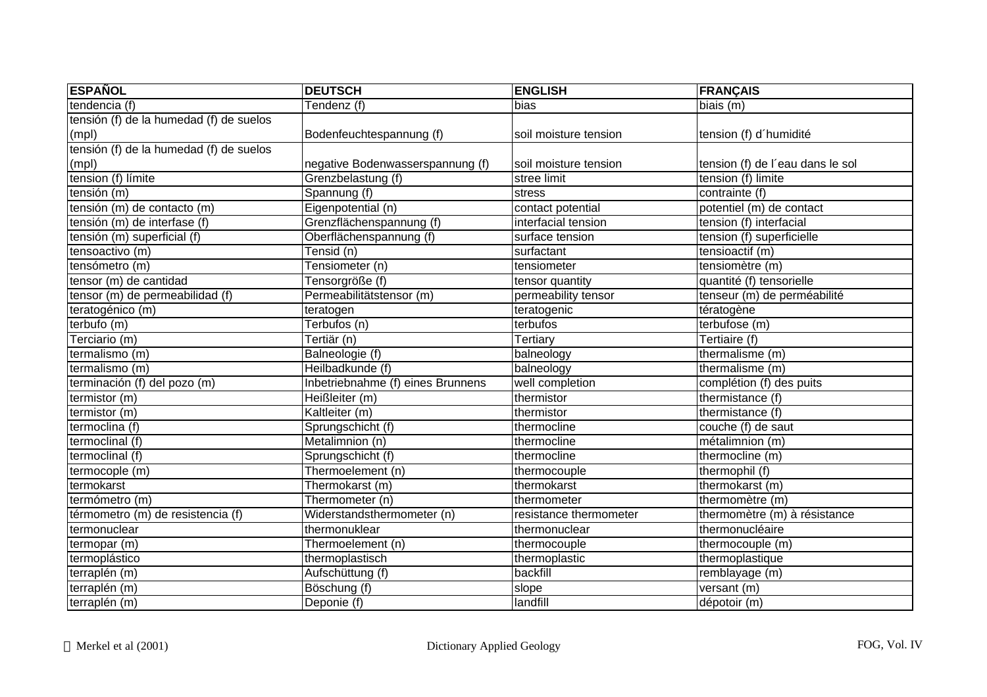| <b>ESPAÑOL</b>                          | <b>DEUTSCH</b>                    | <b>ENGLISH</b>         | <b>FRANÇAIS</b>                  |
|-----------------------------------------|-----------------------------------|------------------------|----------------------------------|
| tendencia (f)                           | Tendenz (f)                       | bias                   | biais (m)                        |
| tensión (f) de la humedad (f) de suelos |                                   |                        |                                  |
| (mpl)                                   | Bodenfeuchtespannung (f)          | soil moisture tension  | tension (f) d'humidité           |
| tensión (f) de la humedad (f) de suelos |                                   |                        |                                  |
| (mpl)                                   | negative Bodenwasserspannung (f)  | soil moisture tension  | tension (f) de l'eau dans le sol |
| tension (f) límite                      | Grenzbelastung (f)                | stree limit            | tension (f) limite               |
| tensión (m)                             | Spannung (f)                      | stress                 | contrainte (f)                   |
| tensión (m) de contacto (m)             | Eigenpotential (n)                | contact potential      | potentiel (m) de contact         |
| tensión (m) de interfase (f)            | Grenzflächenspannung (f)          | interfacial tension    | tension (f) interfacial          |
| tensión (m) superficial (f)             | Oberflächenspannung (f)           | surface tension        | tension (f) superficielle        |
| tensoactivo (m)                         | Tensid (n)                        | surfactant             | tensioactif (m)                  |
| tensómetro (m)                          | Tensiometer (n)                   | tensiometer            | tensiomètre (m)                  |
| tensor (m) de cantidad                  | Tensorgröße (f)                   | tensor quantity        | quantité (f) tensorielle         |
| tensor (m) de permeabilidad (f)         | Permeabilitätstensor (m)          | permeability tensor    | tenseur (m) de perméabilité      |
| teratogénico (m)                        | teratogen                         | teratogenic            | tératogène                       |
| terbufo (m)                             | Terbufos (n)                      | terbufos               | terbufose (m)                    |
| $\overline{\mathsf{T}}$ erciario (m)    | Tertiär (n)                       | Tertiary               | Tertiaire (f)                    |
| termalismo (m)                          | Balneologie (f)                   | balneology             | thermalisme (m)                  |
| termalismo (m)                          | Heilbadkunde (f)                  | balneology             | thermalisme (m)                  |
| terminación (f) del pozo (m)            | Inbetriebnahme (f) eines Brunnens | well completion        | complétion (f) des puits         |
| termistor (m)                           | Heißleiter (m)                    | thermistor             | thermistance (f)                 |
| termistor (m)                           | Kaltleiter (m)                    | thermistor             | thermistance (f)                 |
| termoclina (f)                          | Sprungschicht (f)                 | thermocline            | couche (f) de saut               |
| termoclinal (f)                         | Metalimnion (n)                   | thermocline            | métalimnion (m)                  |
| termoclinal (f)                         | Sprungschicht (f)                 | thermocline            | thermocline (m)                  |
| termocople (m)                          | Thermoelement (n)                 | thermocouple           | thermophil (f)                   |
| termokarst                              | Thermokarst (m)                   | thermokarst            | thermokarst (m)                  |
| termómetro (m)                          | Thermometer (n)                   | thermometer            | thermomètre (m)                  |
| térmometro (m) de resistencia (f)       | Widerstandsthermometer (n)        | resistance thermometer | thermomètre (m) à résistance     |
| termonuclear                            | thermonuklear                     | thermonuclear          | thermonucléaire                  |
| termopar (m)                            | Thermoelement (n)                 | thermocouple           | thermocouple (m)                 |
| termoplástico                           | thermoplastisch                   | thermoplastic          | thermoplastique                  |
| terraplén (m)                           | Aufschüttung (f)                  | backfill               | remblayage (m)                   |
| terraplén (m)                           | Böschung (f)                      | slope                  | versant (m)                      |
| terraplén (m)                           | Deponie (f)                       | landfill               | dépotoir (m)                     |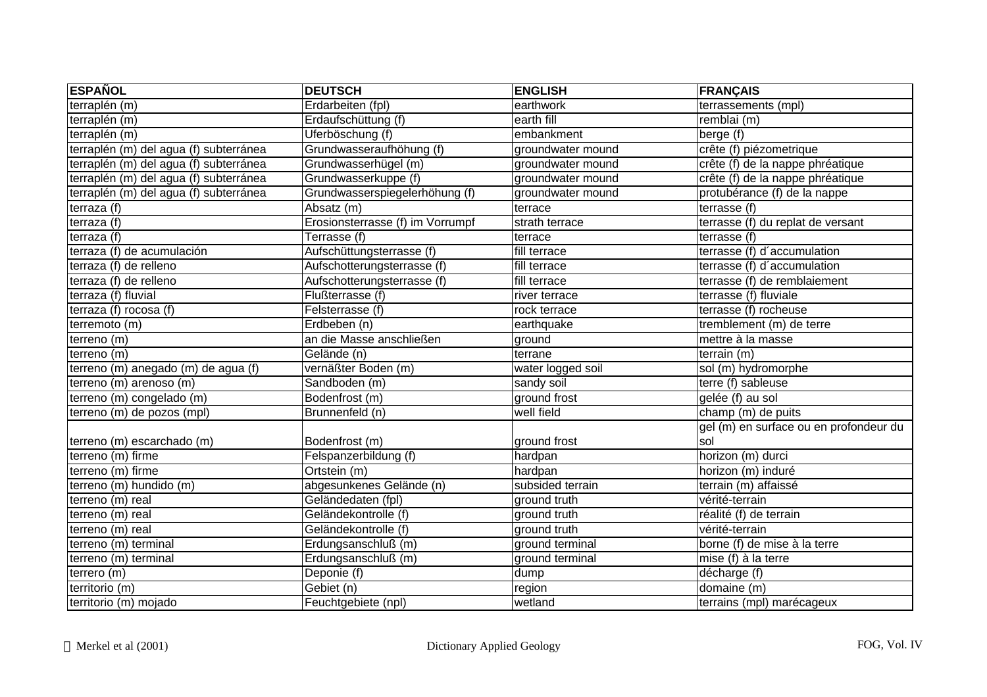| <b>ESPAÑOL</b>                         | <b>DEUTSCH</b>                   | <b>ENGLISH</b>    | <b>FRANÇAIS</b>                        |
|----------------------------------------|----------------------------------|-------------------|----------------------------------------|
| terraplén (m)                          | Erdarbeiten (fpl)                | earthwork         | terrassements (mpl)                    |
| terraplén (m)                          | Erdaufschüttung (f)              | earth fill        | remblai (m)                            |
| terraplén (m)                          | Uferböschung (f)                 | embankment        | $\overline{\text{berge}}$ (f)          |
| terraplén (m) del agua (f) subterránea | Grundwasseraufhöhung (f)         | groundwater mound | crête (f) piézometrique                |
| terraplén (m) del agua (f) subterránea | Grundwasserhügel (m)             | groundwater mound | crête (f) de la nappe phréatique       |
| terraplén (m) del agua (f) subterránea | Grundwasserkuppe (f)             | groundwater mound | crête (f) de la nappe phréatique       |
| terraplén (m) del agua (f) subterránea | Grundwasserspiegelerhöhung (f)   | groundwater mound | protubérance (f) de la nappe           |
| terraza (f)                            | Absatz (m)                       | terrace           | terrasse (f)                           |
| terraza $(f)$                          | Erosionsterrasse (f) im Vorrumpf | strath terrace    | terrasse (f) du replat de versant      |
| terraza (f)                            | Terrasse (f)                     | terrace           | terrasse (f)                           |
| terraza (f) de acumulación             | Aufschüttungsterrasse (f)        | fill terrace      | terrasse (f) d'accumulation            |
| terraza (f) de relleno                 | Aufschotterungsterrasse (f)      | fill terrace      | terrasse (f) d'accumulation            |
| terraza (f) de relleno                 | Aufschotterungsterrasse (f)      | fill terrace      | terrasse (f) de remblaiement           |
| terraza (f) fluvial                    | Flußterrasse (f)                 | river terrace     | terrasse (f) fluviale                  |
| terraza (f) rocosa (f)                 | Felsterrasse (f)                 | rock terrace      | terrasse (f) rocheuse                  |
| terremoto (m)                          | Erdbeben (n)                     | earthquake        | tremblement (m) de terre               |
| terreno (m)                            | an die Masse anschließen         | ground            | mettre à la masse                      |
| terreno (m)                            | Gelände (n)                      | terrane           | terrain (m)                            |
| terreno (m) anegado (m) de agua (f)    | vernäßter Boden (m)              | water logged soil | sol (m) hydromorphe                    |
| terreno (m) arenoso (m)                | Sandboden (m)                    | sandy soil        | terre (f) sableuse                     |
| terreno (m) congelado (m)              | Bodenfrost (m)                   | ground frost      | gelée (f) au sol                       |
| terreno (m) de pozos (mpl)             | Brunnenfeld (n)                  | well field        | champ (m) de puits                     |
|                                        |                                  |                   | gel (m) en surface ou en profondeur du |
| terreno (m) escarchado (m)             | Bodenfrost (m)                   | ground frost      | sol                                    |
| terreno (m) firme                      | Felspanzerbildung (f)            | hardpan           | horizon (m) durci                      |
| terreno (m) firme                      | Ortstein (m)                     | hardpan           | horizon (m) induré                     |
| terreno (m) hundido (m)                | abgesunkenes Gelände (n)         | subsided terrain  | terrain (m) affaissé                   |
| terreno (m) real                       | Geländedaten (fpl)               | ground truth      | vérité-terrain                         |
| terreno (m) real                       | Geländekontrolle (f)             | ground truth      | réalité (f) de terrain                 |
| terreno (m) real                       | Geländekontrolle (f)             | ground truth      | vérité-terrain                         |
| terreno (m) terminal                   | Erdungsanschluß (m)              | ground terminal   | borne (f) de mise à la terre           |
| terreno (m) terminal                   | Erdungsanschluß (m)              | ground terminal   | mise (f) à la terre                    |
| terrero (m)                            | Deponie (f)                      | dump              | décharge (f)                           |
| territorio (m)                         | Gebiet (n)                       | region            | domaine (m)                            |
| territorio (m) mojado                  | Feuchtgebiete (npl)              | wetland           | terrains (mpl) marécageux              |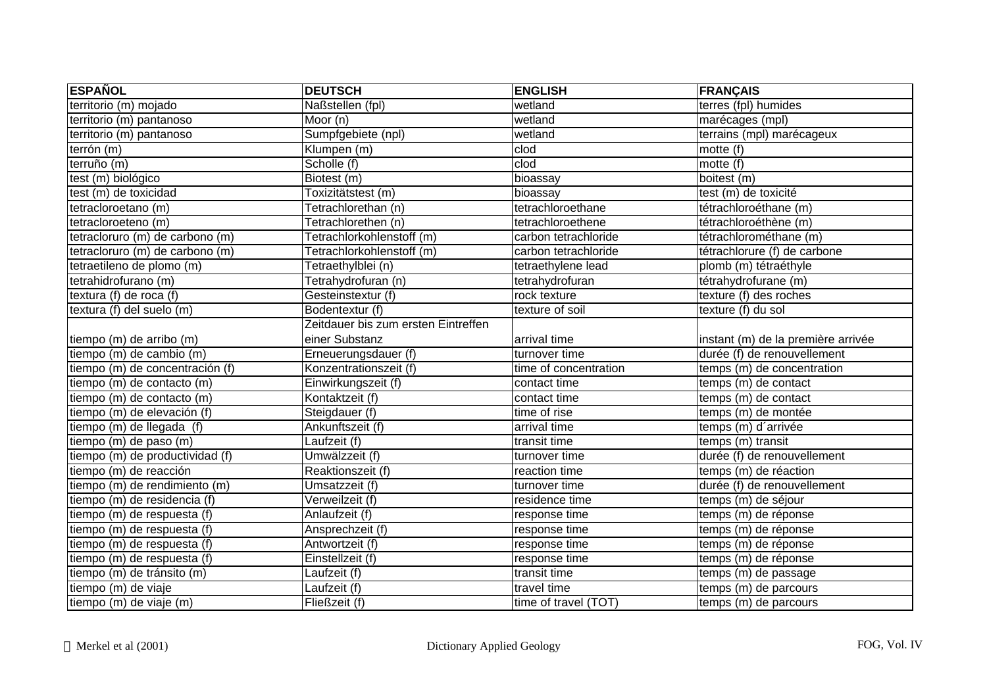| <b>ESPAÑOL</b>                  | <b>DEUTSCH</b>                      | <b>ENGLISH</b>        | <b>FRANÇAIS</b>                    |
|---------------------------------|-------------------------------------|-----------------------|------------------------------------|
| territorio (m) mojado           | Naßstellen (fpl)                    | wetland               | terres (fpl) humides               |
| territorio (m) pantanoso        | Moor (n)                            | wetland               | marécages (mpl)                    |
| territorio (m) pantanoso        | Sumpfgebiete (npl)                  | wetland               | terrains (mpl) marécageux          |
| terrón (m)                      | Klumpen (m)                         | clod                  | motte (f)                          |
| terruño (m)                     | Scholle (f)                         | clod                  | motte $(f)$                        |
| test (m) biológico              | Biotest (m)                         | bioassay              | boitest (m)                        |
| test (m) de toxicidad           | Toxizitätstest (m)                  | bioassay              | test (m) de toxicité               |
| tetracloroetano (m)             | Tetrachlorethan (n)                 | tetrachloroethane     | tétrachloroéthane (m)              |
| tetracloroeteno (m)             | Tetrachlorethen (n)                 | tetrachloroethene     | tétrachloroéthène (m)              |
| tetracloruro (m) de carbono (m) | Tetrachlorkohlenstoff (m)           | carbon tetrachloride  | tétrachlorométhane (m)             |
| tetracloruro (m) de carbono (m) | Tetrachlorkohlenstoff (m)           | carbon tetrachloride  | tétrachlorure (f) de carbone       |
| tetraetileno de plomo (m)       | Tetraethylblei (n)                  | tetraethylene lead    | plomb (m) tétraéthyle              |
| tetrahidrofurano (m)            | Tetrahydrofuran (n)                 | tetrahydrofuran       | tétrahydrofurane (m)               |
| textura (f) de roca (f)         | Gesteinstextur (f)                  | rock texture          | texture (f) des roches             |
| textura (f) del suelo (m)       | Bodentextur (f)                     | texture of soil       | texture (f) du sol                 |
|                                 | Zeitdauer bis zum ersten Eintreffen |                       |                                    |
| tiempo (m) de arribo (m)        | einer Substanz                      | arrival time          | instant (m) de la première arrivée |
| tiempo (m) de cambio (m)        | Erneuerungsdauer (f)                | turnover time         | durée (f) de renouvellement        |
| tiempo (m) de concentración (f) | Konzentrationszeit (f)              | time of concentration | temps (m) de concentration         |
| tiempo (m) de contacto (m)      | Einwirkungszeit (f)                 | contact time          | temps (m) de contact               |
| tiempo (m) de contacto (m)      | Kontaktzeit (f)                     | contact time          | temps (m) de contact               |
| tiempo (m) de elevación (f)     | Steigdauer (f)                      | time of rise          | temps (m) de montée                |
| tiempo (m) de llegada (f)       | Ankunftszeit (f)                    | arrival time          | temps (m) d'arrivée                |
| tiempo (m) de paso (m)          | Laufzeit (f)                        | transit time          | temps (m) transit                  |
| tiempo (m) de productividad (f) | Umwälzzeit (f)                      | turnover time         | durée (f) de renouvellement        |
| tiempo (m) de reacción          | Reaktionszeit (f)                   | reaction time         | temps (m) de réaction              |
| tiempo (m) de rendimiento (m)   | Umsatzzeit (f)                      | turnover time         | durée (f) de renouvellement        |
| tiempo (m) de residencia (f)    | Verweilzeit (f)                     | residence time        | temps (m) de séjour                |
| tiempo (m) de respuesta (f)     | Anlaufzeit (f)                      | response time         | temps (m) de réponse               |
| tiempo (m) de respuesta (f)     | Ansprechzeit (f)                    | response time         | temps (m) de réponse               |
| tiempo (m) de respuesta (f)     | Antwortzeit (f)                     | response time         | temps (m) de réponse               |
| tiempo (m) de respuesta (f)     | Einstellzeit (f)                    | response time         | temps (m) de réponse               |
| tiempo (m) de tránsito (m)      | Laufzeit (f)                        | transit time          | temps (m) de passage               |
| tiempo (m) de viaje             | Laufzeit (f)                        | travel time           | temps (m) de parcours              |
| tiempo (m) de viaje (m)         | Fließzeit (f)                       | time of travel (TOT)  | temps (m) de parcours              |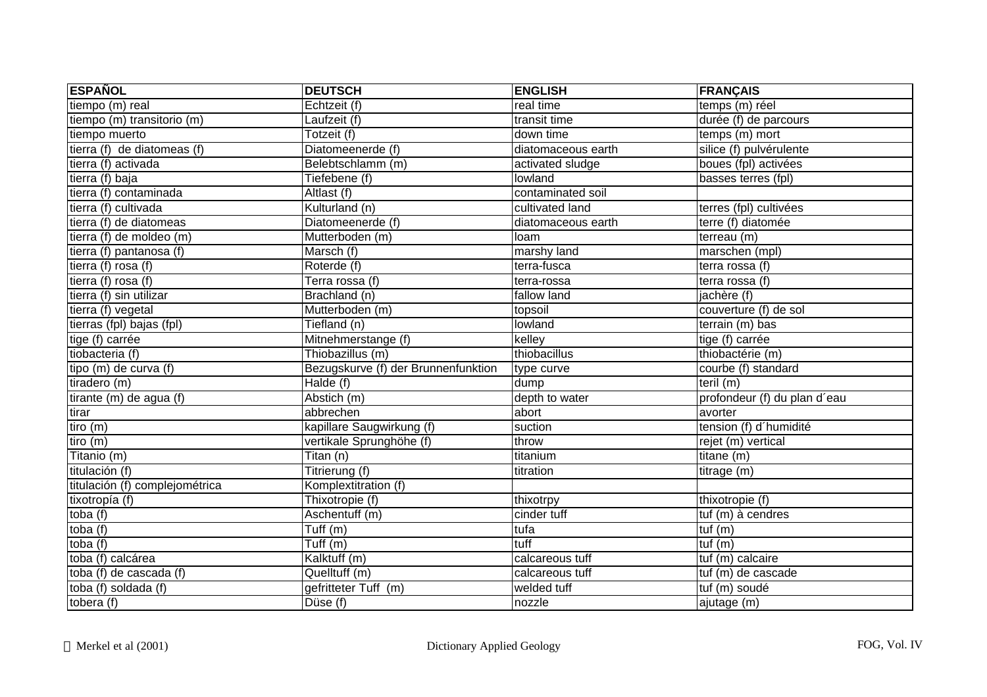| <b>ESPAÑOL</b>                 | <b>DEUTSCH</b>                      | <b>ENGLISH</b>     | <b>FRANÇAIS</b>              |
|--------------------------------|-------------------------------------|--------------------|------------------------------|
| tiempo $(m)$ real              | Echtzeit (f)                        | real time          | temps (m) réel               |
| tiempo (m) transitorio (m)     | Laufzeit (f)                        | transit time       | durée (f) de parcours        |
| tiempo muerto                  | Totzeit (f)                         | down time          | temps (m) mort               |
| tierra (f) de diatomeas (f)    | Diatomeenerde (f)                   | diatomaceous earth | silice (f) pulvérulente      |
| tierra (f) activada            | Belebtschlamm (m)                   | activated sludge   | boues (fpl) activées         |
| tierra (f) baja                | Tiefebene (f)                       | lowland            | basses terres (fpl)          |
| tierra (f) contaminada         | Altlast (f)                         | contaminated soil  |                              |
| tierra (f) cultivada           | Kulturland (n)                      | cultivated land    | terres (fpl) cultivées       |
| tierra (f) de diatomeas        | Diatomeenerde (f)                   | diatomaceous earth | terre (f) diatomée           |
| tierra (f) de moldeo (m)       | Mutterboden (m)                     | loam               | terreau (m)                  |
| tierra (f) pantanosa (f)       | Marsch (f)                          | marshy land        | marschen (mpl)               |
| tierra (f) rosa $(f)$          | Roterde (f)                         | terra-fusca        | terra rossa (f)              |
| tierra (f) rosa (f)            | Terra rossa (f)                     | terra-rossa        | terra rossa (f)              |
| tierra (f) sin utilizar        | Brachland (n)                       | fallow land        | jachère (f)                  |
| tierra (f) vegetal             | Mutterboden (m)                     | topsoil            | couverture (f) de sol        |
| tierras (fpl) bajas (fpl)      | Tiefland (n)                        | lowland            | terrain (m) bas              |
| tige (f) carrée                | Mitnehmerstange (f)                 | kelley             | tige (f) carrée              |
| tiobacteria (f)                | Thiobazillus (m)                    | thiobacillus       | thiobactérie (m)             |
| tipo (m) de curva (f)          | Bezugskurve (f) der Brunnenfunktion | type curve         | courbe (f) standard          |
| tiradero (m)                   | Halde (f)                           | dump               | teril (m)                    |
| tirante (m) de agua (f)        | Abstich (m)                         | depth to water     | profondeur (f) du plan d'eau |
| tirar                          | abbrechen                           | abort              | avorter                      |
| tiro(m)                        | kapillare Saugwirkung (f)           | suction            | tension (f) d'humidité       |
| tiro (m)                       | vertikale Sprunghöhe (f)            | throw              | rejet (m) vertical           |
| Titanio (m)                    | Titan (n)                           | titanium           | titane $(m)$                 |
| titulación (f)                 | Titrierung (f)                      | titration          | titrage (m)                  |
| titulación (f) complejométrica | Komplextitration (f)                |                    |                              |
| tixotropía (f)                 | Thixotropie (f)                     | thixotrpy          | thixotropie (f)              |
| toba $(f)$                     | Aschentuff (m)                      | cinder tuff        | tuf (m) à cendres            |
| toba (f)                       | $\overline{Tuff(m)}$                | tufa               | tuf $(m)$                    |
| toba (f)                       | Tuff $(m)$                          | tuff               | tuf(m)                       |
| toba (f) calcárea              | Kalktuff (m)                        | calcareous tuff    | tuf (m) calcaire             |
| toba (f) de cascada (f)        | Quelltuff (m)                       | calcareous tuff    | tuf (m) de cascade           |
| toba (f) soldada (f)           | gefritteter Tuff (m)                | welded tuff        | tuf (m) soudé                |
| tobera $(f)$                   | Düse (f)                            | nozzle             | ajutage (m)                  |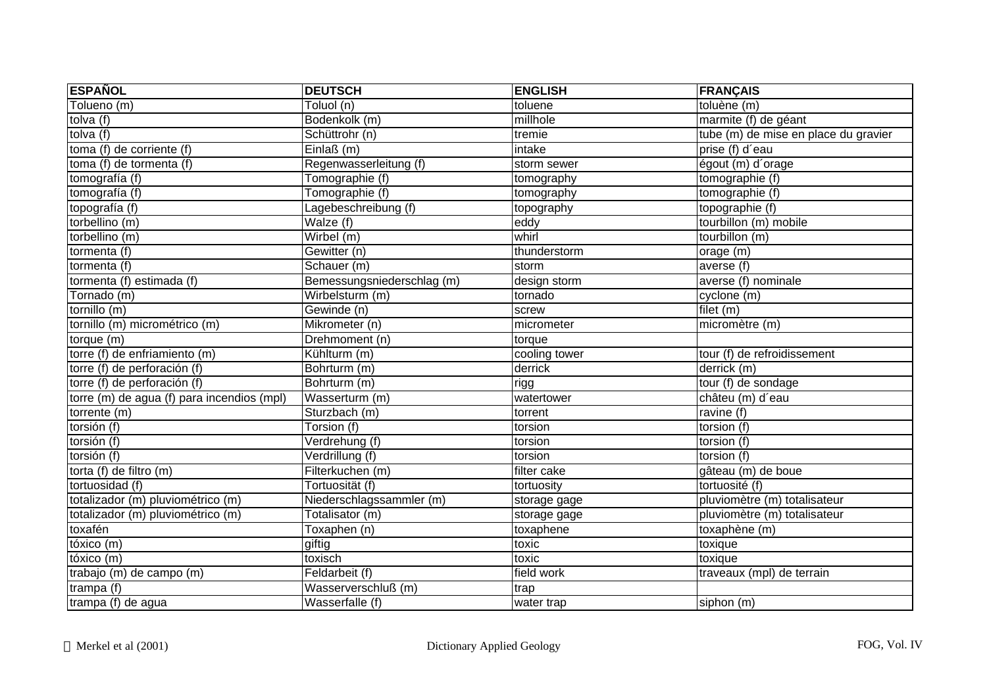| <b>ESPAÑOL</b>                             | <b>DEUTSCH</b>                | <b>ENGLISH</b> | <b>FRANÇAIS</b>                      |
|--------------------------------------------|-------------------------------|----------------|--------------------------------------|
| $\overline{\text{Tolueno}}$ (m)            | $\overline{\text{Toluol}}(n)$ | toluene        | toluène (m)                          |
| tolva (f)                                  | Bodenkolk (m)                 | millhole       | marmite (f) de géant                 |
| tolva (f)                                  | Schüttrohr (n)                | tremie         | tube (m) de mise en place du gravier |
| toma (f) de corriente (f)                  | Einlaß(m)                     | intake         | prise (f) d'eau                      |
| toma (f) de tormenta (f)                   | Regenwasserleitung (f)        | storm sewer    | égout (m) d'orage                    |
| tomografía (f)                             | Tomographie (f)               | tomography     | tomographie (f)                      |
| tomografía (f)                             | Tomographie (f)               | tomography     | tomographie (f)                      |
| topografía (f)                             | Lagebeschreibung (f)          | topography     | topographie (f)                      |
| torbellino (m)                             | Walze (f)                     | eddy           | tourbillon (m) mobile                |
| torbellino (m)                             | Wirbel (m)                    | whirl          | tourbillon (m)                       |
| tormenta (f)                               | Gewitter (n)                  | thunderstorm   | orage (m)                            |
| tormenta (f)                               | Schauer (m)                   | storm          | averse $(t)$                         |
| tormenta (f) estimada (f)                  | Bemessungsniederschlag (m)    | design storm   | averse (f) nominale                  |
| Tornado (m)                                | Wirbelsturm (m)               | tornado        | cyclone (m)                          |
| tornillo (m)                               | Gewinde (n)                   | screw          | filet (m)                            |
| tornillo (m) micrométrico (m)              | Mikrometer (n)                | micrometer     | micromètre (m)                       |
| torque (m)                                 | Drehmoment (n)                | torque         |                                      |
| torre (f) de enfriamiento (m)              | Kühlturm (m)                  | cooling tower  | tour (f) de refroidissement          |
| torre (f) de perforación (f)               | Bohrturm (m)                  | derrick        | derrick (m)                          |
| torre (f) de perforación (f)               | Bohrturm (m)                  | rigg           | tour (f) de sondage                  |
| torre (m) de agua (f) para incendios (mpl) | Wasserturm (m)                | watertower     | châteu (m) d'eau                     |
| torrente (m)                               | Sturzbach (m)                 | torrent        | ravine (f)                           |
| torsión (f)                                | Torsion (f)                   | torsion        | torsion (f)                          |
| torsión (f)                                | Verdrehung (f)                | torsion        | torsion (f)                          |
| torsión (f)                                | Verdrillung (f)               | torsion        | torsion (f)                          |
| torta (f) de filtro (m)                    | Filterkuchen (m)              | filter cake    | gâteau (m) de boue                   |
| tortuosidad (f)                            | Tortuosität (f)               | tortuosity     | tortuosité (f)                       |
| totalizador (m) pluviométrico (m)          | Niederschlagssammler (m)      | storage gage   | pluviomètre (m) totalisateur         |
| totalizador (m) pluviométrico (m)          | Totalisator (m)               | storage gage   | pluviomètre (m) totalisateur         |
| toxafén                                    | Toxaphen (n)                  | toxaphene      | toxaphène (m)                        |
| tóxico (m)                                 | giftig                        | toxic          | toxique                              |
| tóxico (m)                                 | toxisch                       | toxic          | toxique                              |
| trabajo (m) de campo (m)                   | Feldarbeit (f)                | field work     | traveaux (mpl) de terrain            |
| trampa (f)                                 | Wasserverschluß (m)           | trap           |                                      |
| trampa (f) de agua                         | Wasserfalle (f)               | water trap     | siphon (m)                           |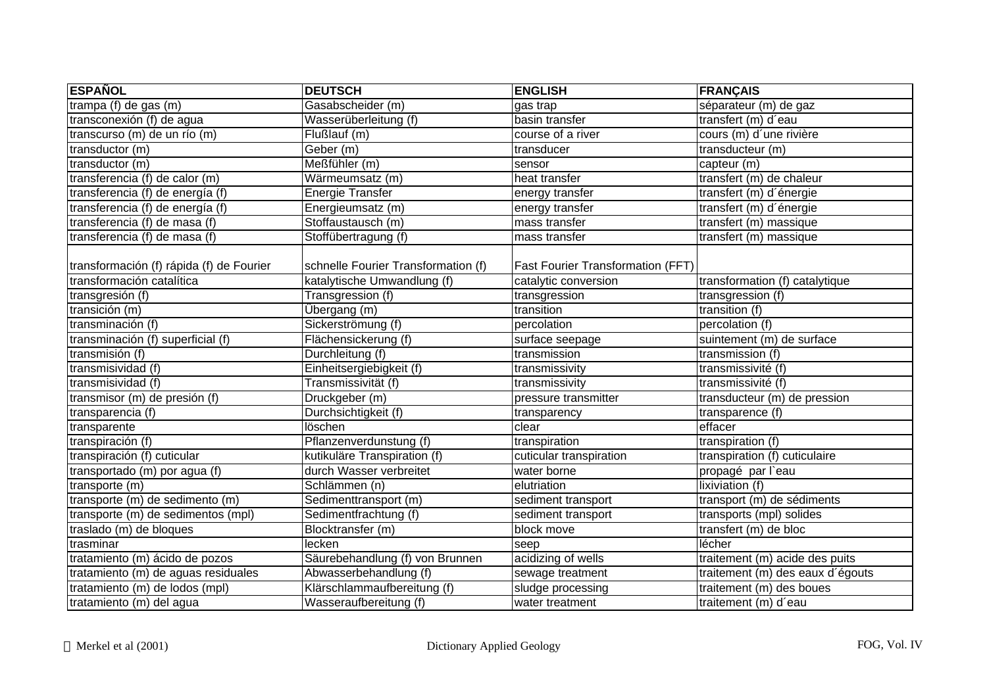| <b>ESPAÑOL</b>                           | <b>DEUTSCH</b>                      | <b>ENGLISH</b>                           | <b>FRANÇAIS</b>                  |
|------------------------------------------|-------------------------------------|------------------------------------------|----------------------------------|
| trampa (f) de gas (m)                    | Gasabscheider (m)                   | gas trap                                 | séparateur (m) de gaz            |
| transconexión (f) de agua                | Wasserüberleitung (f)               | basin transfer                           | transfert (m) d'eau              |
| transcurso (m) de un río (m)             | Flußlauf (m)                        | course of a river                        | cours (m) d'une rivière          |
| transductor (m)                          | Geber (m)                           | transducer                               | transducteur (m)                 |
| transductor (m)                          | Meßfühler (m)                       | sensor                                   | capteur (m)                      |
| transferencia (f) de calor (m)           | Wärmeumsatz (m)                     | heat transfer                            | transfert (m) de chaleur         |
| transferencia (f) de energía (f)         | Energie Transfer                    | energy transfer                          | transfert (m) d'énergie          |
| transferencia (f) de energía (f)         | Energieumsatz (m)                   | energy transfer                          | transfert (m) d'énergie          |
| transferencia (f) de masa (f)            | Stoffaustausch (m)                  | mass transfer                            | transfert (m) massique           |
| transferencia (f) de masa (f)            | Stoffübertragung (f)                | mass transfer                            | transfert (m) massique           |
| transformación (f) rápida (f) de Fourier | schnelle Fourier Transformation (f) | <b>Fast Fourier Transformation (FFT)</b> |                                  |
| transformación catalítica                | katalytische Umwandlung (f)         | catalytic conversion                     | transformation (f) catalytique   |
| transgresión (f)                         | Transgression (f)                   | transgression                            | transgression (f)                |
| transición (m)                           | Übergang (m)                        | transition                               | transition (f)                   |
| transminación (f)                        | Sickerströmung (f)                  | percolation                              | percolation $\overline{f}$       |
| transminación (f) superficial (f)        | Flächensickerung (f)                | surface seepage                          | suintement (m) de surface        |
| transmisión (f)                          | Durchleitung (f)                    | transmission                             | transmission (f)                 |
| transmisividad (f)                       | Einheitsergiebigkeit (f)            | transmissivity                           | transmissivité (f)               |
| transmisividad (f)                       | Transmissivität (f)                 | transmissivity                           | transmissivité (f)               |
| transmisor (m) de presión (f)            | Druckgeber (m)                      | pressure transmitter                     | transducteur (m) de pression     |
| transparencia (f)                        | Durchsichtigkeit (f)                | transparency                             | transparence (f)                 |
| transparente                             | löschen                             | clear                                    | effacer                          |
| transpiración (f)                        | Pflanzenverdunstung (f)             | transpiration                            | transpiration (f)                |
| transpiración (f) cuticular              | kutikuläre Transpiration (f)        | cuticular transpiration                  | transpiration (f) cuticulaire    |
| transportado (m) por agua (f)            | durch Wasser verbreitet             | water borne                              | propagé par l'eau                |
| transporte (m)                           | Schlämmen (n)                       | elutriation                              | lixiviation (f)                  |
| transporte (m) de sedimento (m)          | Sedimenttransport (m)               | sediment transport                       | transport (m) de sédiments       |
| transporte (m) de sedimentos (mpl)       | Sedimentfrachtung (f)               | sediment transport                       | transports (mpl) solides         |
| traslado (m) de bloques                  | Blocktransfer (m)                   | block move                               | transfert $(m)$ de bloc          |
| trasminar                                | lecken                              | seep                                     | lécher                           |
| tratamiento (m) ácido de pozos           | Säurebehandlung (f) von Brunnen     | acidizing of wells                       | traitement (m) acide des puits   |
| tratamiento (m) de aguas residuales      | Abwasserbehandlung (f)              | sewage treatment                         | traitement (m) des eaux d'égouts |
| tratamiento (m) de lodos (mpl)           | Klärschlammaufbereitung (f)         | sludge processing                        | traitement (m) des boues         |
| tratamiento (m) del agua                 | Wasseraufbereitung (f)              | water treatment                          | traitement (m) d'eau             |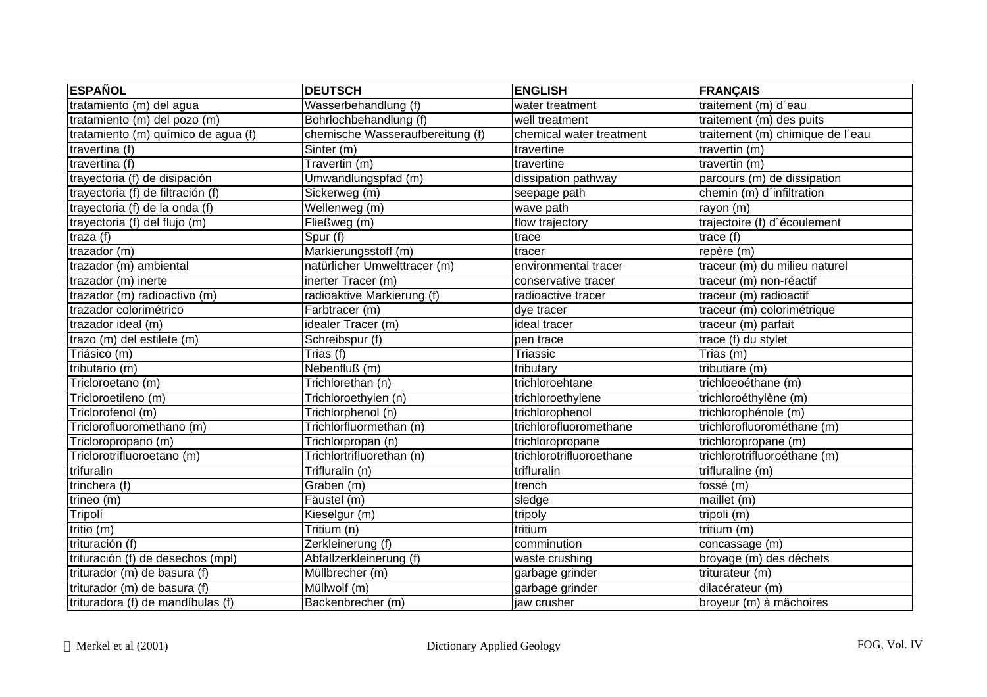| <b>ESPAÑOL</b>                      | <b>DEUTSCH</b>                   | <b>ENGLISH</b>           | <b>FRANÇAIS</b>                  |
|-------------------------------------|----------------------------------|--------------------------|----------------------------------|
| tratamiento (m) del agua            | Wasserbehandlung (f)             | water treatment          | traitement (m) d'eau             |
| tratamiento (m) del pozo (m)        | Bohrlochbehandlung (f)           | well treatment           | traitement (m) des puits         |
| tratamiento (m) químico de agua (f) | chemische Wasseraufbereitung (f) | chemical water treatment | traitement (m) chimique de l'eau |
| travertina (f)                      | Sinter (m)                       | travertine               | travertin (m)                    |
| travertina (f)                      | Travertin (m)                    | travertine               | travertin (m)                    |
| trayectoria (f) de disipación       | Umwandlungspfad (m)              | dissipation pathway      | parcours (m) de dissipation      |
| trayectoria (f) de filtración (f)   | Sickerweg (m)                    | seepage path             | chemin (m) d'infiltration        |
| trayectoria (f) de la onda (f)      | Wellenweg (m)                    | wave path                | rayon (m)                        |
| trayectoria (f) del flujo (m)       | Fließweg (m)                     | flow trajectory          | trajectoire (f) d'écoulement     |
| traza $(f)$                         | Spur (f)                         | trace                    | trace (f)                        |
| trazador (m)                        | Markierungsstoff (m)             | tracer                   | repère (m)                       |
| trazador (m) ambiental              | natürlicher Umwelttracer (m)     | environmental tracer     | traceur (m) du milieu naturel    |
| trazador (m) inerte                 | inerter Tracer (m)               | conservative tracer      | traceur (m) non-réactif          |
| trazador (m) radioactivo (m)        | radioaktive Markierung (f)       | radioactive tracer       | traceur (m) radioactif           |
| trazador colorimétrico              | Farbtracer (m)                   | dye tracer               | traceur (m) colorimétrique       |
| trazador ideal (m)                  | idealer Tracer (m)               | ideal tracer             | traceur (m) parfait              |
| trazo (m) del estilete (m)          | Schreibspur (f)                  | pen trace                | trace (f) du stylet              |
| Triásico (m)                        | Trias (f)                        | Triassic                 | Trias (m)                        |
| tributario (m)                      | Nebenfluß (m)                    | tributary                | tributiare (m)                   |
| Tricloroetano (m)                   | Trichlorethan (n)                | trichloroehtane          | trichloeoéthane (m)              |
| Tricloroetileno (m)                 | Trichloroethylen (n)             | trichloroethylene        | trichloroéthylène (m)            |
| Triclorofenol (m)                   | Trichlorphenol (n)               | trichlorophenol          | trichlorophénole (m)             |
| Triclorofluoromethano (m)           | Trichlorfluormethan (n)          | trichlorofluoromethane   | trichlorofluorométhane (m)       |
| Tricloropropano (m)                 | Trichlorpropan (n)               | trichloropropane         | trichloropropane (m)             |
| Triclorotrifluoroetano (m)          | Trichlortrifluorethan (n)        | trichlorotrifluoroethane | trichlorotrifluoroéthane (m)     |
| trifuralin                          | Trifluralin (n)                  | trifluralin              | trifluraline (m)                 |
| trinchera (f)                       | Graben (m)                       | trench                   | fossé (m)                        |
| trineo (m)                          | Fäustel (m)                      | sledge                   | maillet (m)                      |
| Tripolí                             | Kieselgur (m)                    | tripoly                  | tripoli (m)                      |
| tritio $(m)$                        | Tritium (n)                      | tritium                  | tritium (m)                      |
| trituración (f)                     | Zerkleinerung (f)                | comminution              | concassage (m)                   |
| trituración (f) de desechos (mpl)   | Abfallzerkleinerung (f)          | waste crushing           | broyage (m) des déchets          |
| triturador (m) de basura (f)        | Müllbrecher (m)                  | garbage grinder          | triturateur (m)                  |
| triturador (m) de basura (f)        | Müllwolf (m)                     | garbage grinder          | dilacérateur (m)                 |
| trituradora (f) de mandíbulas (f)   | Backenbrecher (m)                | jaw crusher              | broyeur (m) à mâchoires          |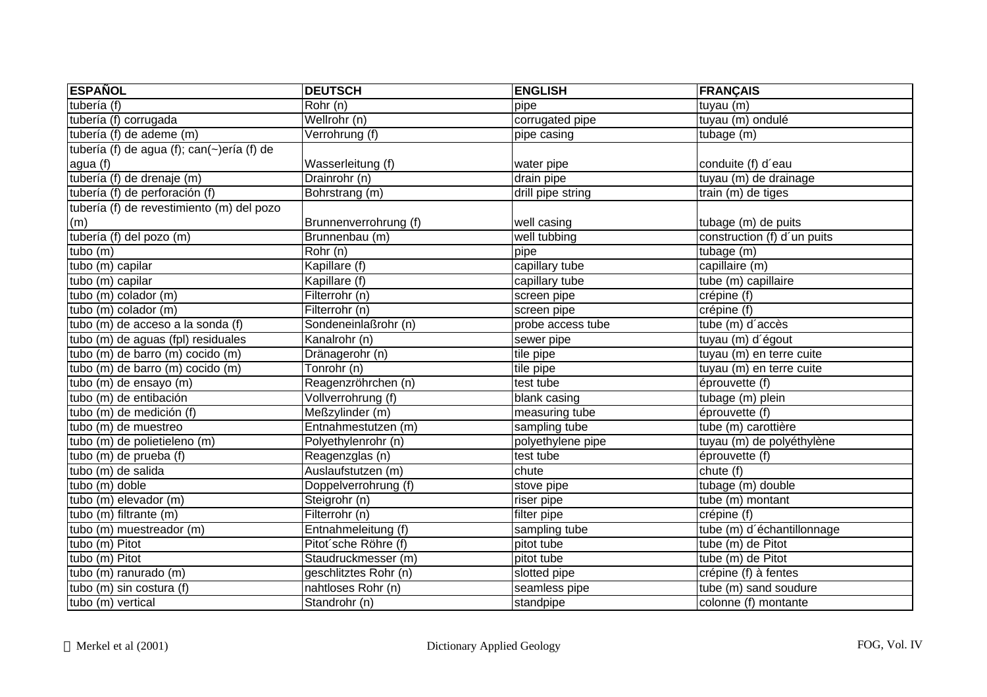| <b>ESPAÑOL</b>                             | <b>DEUTSCH</b>        | <b>ENGLISH</b>    | <b>FRANÇAIS</b>             |
|--------------------------------------------|-----------------------|-------------------|-----------------------------|
| tubería (f)                                | Rohr (n)              | pipe              | tuyau (m)                   |
| tubería (f) corrugada                      | Wellrohr (n)          | corrugated pipe   | tuyau (m) ondulé            |
| tubería (f) de ademe (m)                   | Verrohrung (f)        | pipe casing       | tubage (m)                  |
| tubería (f) de agua (f); can(~)ería (f) de |                       |                   |                             |
| agua (f)                                   | Wasserleitung (f)     | water pipe        | conduite (f) d'eau          |
| tubería (f) de drenaje (m)                 | Drainrohr (n)         | drain pipe        | tuyau (m) de drainage       |
| tubería (f) de perforación (f)             | Bohrstrang (m)        | drill pipe string | train (m) de tiges          |
| tubería (f) de revestimiento (m) del pozo  |                       |                   |                             |
| (m)                                        | Brunnenverrohrung (f) | well casing       | tubage (m) de puits         |
| tubería (f) del pozo (m)                   | Brunnenbau (m)        | well tubbing      | construction (f) d'un puits |
| tubo $(m)$                                 | Rohr(n)               | pipe              | tubage (m)                  |
| tubo (m) capilar                           | Kapillare (f)         | capillary tube    | capillaire (m)              |
| tubo (m) capilar                           | Kapillare (f)         | capillary tube    | tube (m) capillaire         |
| tubo (m) colador (m)                       | Filterrohr (n)        | screen pipe       | crépine (f)                 |
| tubo (m) colador (m)                       | Filterrohr (n)        | screen pipe       | crépine (f)                 |
| tubo (m) de acceso a la sonda (f)          | Sondeneinlaßrohr (n)  | probe access tube | tube (m) d'accès            |
| tubo (m) de aguas (fpl) residuales         | Kanalrohr (n)         | sewer pipe        | tuyau (m) d'égout           |
| tubo (m) de barro (m) cocido (m)           | Dränagerohr (n)       | tile pipe         | tuyau (m) en terre cuite    |
| tubo (m) de barro (m) cocido (m)           | Tonrohr (n)           | tile pipe         | tuyau (m) en terre cuite    |
| tubo (m) de ensayo (m)                     | Reagenzröhrchen (n)   | test tube         | éprouvette (f)              |
| tubo (m) de entibación                     | Vollverrohrung (f)    | blank casing      | tubage (m) plein            |
| tubo (m) de medición (f)                   | Meßzylinder (m)       | measuring tube    | éprouvette (f)              |
| tubo (m) de muestreo                       | Entnahmestutzen (m)   | sampling tube     | tube (m) carottière         |
| tubo (m) de polietieleno (m)               | Polyethylenrohr (n)   | polyethylene pipe | tuyau (m) de polyéthylène   |
| tubo (m) de prueba (f)                     | Reagenzglas (n)       | test tube         | éprouvette (f)              |
| tubo (m) de salida                         | Auslaufstutzen (m)    | chute             | chute(f)                    |
| tubo (m) doble                             | Doppelverrohrung (f)  | stove pipe        | tubage (m) double           |
| tubo (m) elevador (m)                      | Steigrohr (n)         | riser pipe        | tube (m) montant            |
| tubo (m) filtrante (m)                     | Filterrohr (n)        | filter pipe       | crépine (f)                 |
| tubo (m) muestreador (m)                   | Entnahmeleitung (f)   | sampling tube     | tube (m) d'échantillonnage  |
| tubo (m) Pitot                             | Pitot'sche Röhre (f)  | pitot tube        | tube $(m)$ de Pitot         |
| $tubo$ (m) Pitot                           | Staudruckmesser (m)   | pitot tube        | tube (m) de Pitot           |
| tubo (m) ranurado (m)                      | geschlitztes Rohr (n) | slotted pipe      | crépine (f) à fentes        |
| tubo (m) sin costura (f)                   | nahtloses Rohr (n)    | seamless pipe     | tube (m) sand soudure       |
| tubo (m) vertical                          | Standrohr (n)         | standpipe         | colonne (f) montante        |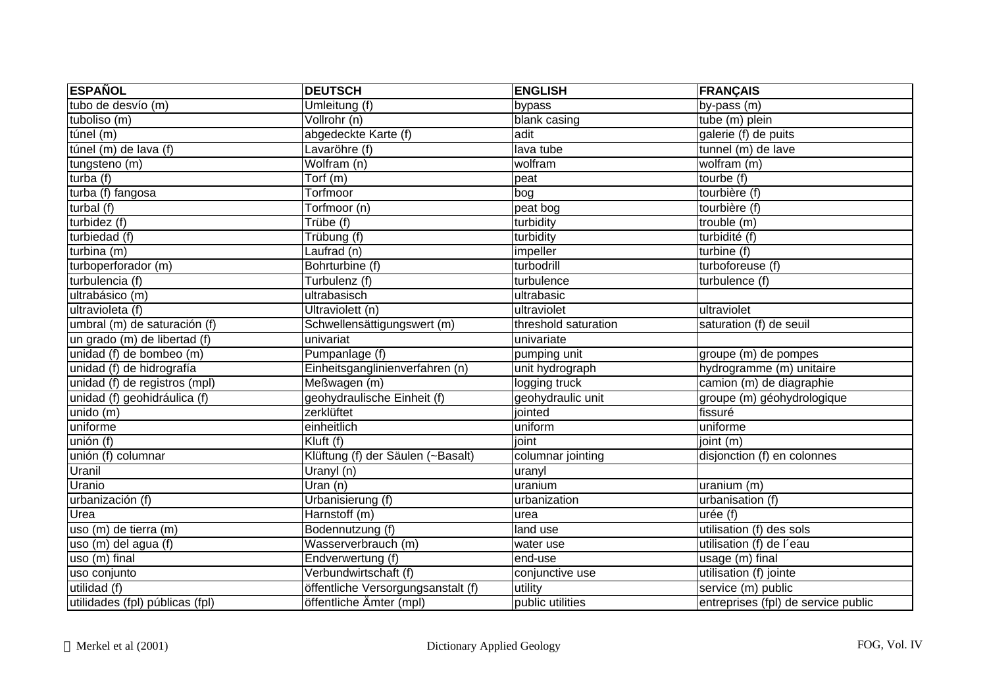| <b>ESPAÑOL</b>                  | <b>DEUTSCH</b>                     | <b>ENGLISH</b>       | <b>FRANÇAIS</b>                     |
|---------------------------------|------------------------------------|----------------------|-------------------------------------|
| tubo de desvío (m)              | Umleitung (f)                      | bypass               | by-pass (m)                         |
| tuboliso (m)                    | Vollrohr (n)                       | blank casing         | tube (m) plein                      |
| túnel $(m)$                     | abgedeckte Karte (f)               | adit                 | galerie (f) de puits                |
| túnel (m) de lava (f)           | Lavaröhre (f)                      | lava tube            | tunnel (m) de lave                  |
| tungsteno (m)                   | Wolfram (n)                        | wolfram              | wolfram (m)                         |
| turba $(t)$                     | Torf (m)                           | peat                 | tourbe (f)                          |
| turba (f) fangosa               | Torfmoor                           | bog                  | tourbière (f)                       |
| turbal $(f)$                    | Torfmoor (n)                       | peat bog             | tourbière (f)                       |
| turbidez (f)                    | Trübe (f)                          | turbidity            | trouble (m)                         |
| turbiedad (f)                   | Trübung (f)                        | turbidity            | turbidité (f)                       |
| turbina (m)                     | Laufrad (n)                        | impeller             | turbine (f)                         |
| turboperforador (m)             | Bohrturbine (f)                    | turbodrill           | turboforeuse (f)                    |
| turbulencia (f)                 | Turbulenz (f)                      | turbulence           | turbulence (f)                      |
| ultrabásico (m)                 | ultrabasisch                       | ultrabasic           |                                     |
| ultravioleta (f)                | Ultraviolett (n)                   | ultraviolet          | ultraviolet                         |
| umbral (m) de saturación (f)    | Schwellensättigungswert (m)        | threshold saturation | saturation (f) de seuil             |
| un grado (m) de libertad (f)    | univariat                          | univariate           |                                     |
| unidad (f) de bombeo (m)        | Pumpanlage (f)                     | pumping unit         | groupe (m) de pompes                |
| unidad (f) de hidrografía       | Einheitsganglinienverfahren (n)    | unit hydrograph      | hydrogramme (m) unitaire            |
| unidad (f) de registros (mpl)   | Meßwagen (m)                       | logging truck        | camion (m) de diagraphie            |
| unidad (f) geohidráulica (f)    | geohydraulische Einheit (f)        | geohydraulic unit    | groupe (m) géohydrologique          |
| unido(m)                        | zerklüftet                         | jointed              | fissuré                             |
| uniforme                        | einheitlich                        | uniform              | uniforme                            |
| unión (f)                       | Kluft (f)                          | joint                | joint (m)                           |
| unión (f) columnar              | Klüftung (f) der Säulen (~Basalt)  | columnar jointing    | disjonction (f) en colonnes         |
| Uranil                          | Uranyl (n)                         | uranyl               |                                     |
| Uranio                          | Uran (n)                           | uranium              | uranium (m)                         |
| urbanización (f)                | Urbanisierung (f)                  | urbanization         | urbanisation (f)                    |
| Urea                            | Harnstoff (m)                      | urea                 | urée (f)                            |
| uso (m) de tierra (m)           | Bodennutzung (f)                   | land use             | utilisation (f) des sols            |
| uso (m) del agua (f)            | Wasserverbrauch (m)                | water use            | utilisation (f) de l'eau            |
| uso (m) final                   | Endverwertung (f)                  | end-use              | usage (m) final                     |
| uso conjunto                    | Verbundwirtschaft (f)              | conjunctive use      | utilisation (f) jointe              |
| utilidad (f)                    | öffentliche Versorgungsanstalt (f) | utility              | service (m) public                  |
| utilidades (fpl) públicas (fpl) | öffentliche Ämter (mpl)            | public utilities     | entreprises (fpl) de service public |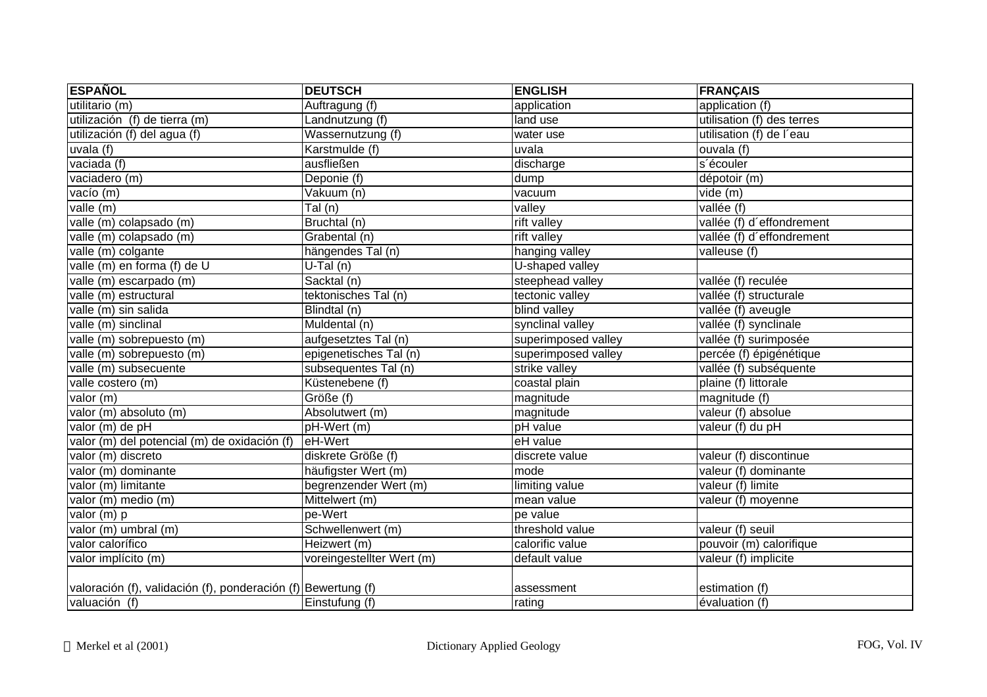| <b>ESPAÑOL</b>                                                | <b>DEUTSCH</b>             | <b>ENGLISH</b>      | <b>FRANÇAIS</b>            |
|---------------------------------------------------------------|----------------------------|---------------------|----------------------------|
| utilitario (m)                                                | Auftragung (f)             | application         | application (f)            |
| utilización (f) de tierra (m)                                 | Landnutzung (f)            | land use            | utilisation (f) des terres |
| utilización (f) del agua (f)                                  | Wassernutzung (f)          | water use           | utilisation (f) de l'eau   |
| uvala(f)                                                      | Karstmulde (f)             | uvala               | $overline{a}$ (f)          |
| vaciada (f)                                                   | ausfließen                 | discharge           | s'écouler                  |
| vaciadero (m)                                                 | Deponie (f)                | dump                | dépotoir (m)               |
| vacío (m)                                                     | Vakuum (n)                 | vacuum              | vide (m)                   |
| value(m)                                                      | $\overline{\text{Tal}(n)}$ | valley              | vallée (f)                 |
| valle (m) colapsado (m)                                       | Bruchtal (n)               | rift valley         | vallée (f) d'effondrement  |
| valle (m) colapsado (m)                                       | Grabental (n)              | rift valley         | vallée (f) d'effondrement  |
| valle (m) colgante                                            | hängendes Tal (n)          | hanging valley      | valleuse (f)               |
| valle (m) en forma (f) de U                                   | $U-Tal(n)$                 | U-shaped valley     |                            |
| valle (m) escarpado (m)                                       | Sacktal (n)                | steephead valley    | vallée (f) reculée         |
| valle (m) estructural                                         | tektonisches Tal (n)       | tectonic valley     | vallée (f) structurale     |
| valle (m) sin salida                                          | Blindtal (n)               | blind valley        | vallée (f) aveugle         |
| valle (m) sinclinal                                           | Muldental (n)              | synclinal valley    | vallée (f) synclinale      |
| valle (m) sobrepuesto (m)                                     | aufgesetztes Tal (n)       | superimposed valley | vallée (f) surimposée      |
| valle (m) sobrepuesto (m)                                     | epigenetisches Tal (n)     | superimposed valley | percée (f) épigénétique    |
| valle (m) subsecuente                                         | subsequentes Tal (n)       | strike valley       | vallée (f) subséquente     |
| valle costero (m)                                             | Küstenebene (f)            | coastal plain       | plaine (f) littorale       |
| valor (m)                                                     | Größe (f)                  | magnitude           | magnitude (f)              |
| valor (m) absoluto (m)                                        | Absolutwert (m)            | magnitude           | valeur (f) absolue         |
| valor (m) de pH                                               | pH-Wert (m)                | pH value            | valeur (f) du pH           |
| valor (m) del potencial (m) de oxidación (f)                  | eH-Wert                    | eH value            |                            |
| valor (m) discreto                                            | diskrete Größe (f)         | discrete value      | valeur (f) discontinue     |
| valor (m) dominante                                           | häufigster Wert (m)        | mode                | valeur (f) dominante       |
| valor (m) limitante                                           | begrenzender Wert (m)      | limiting value      | valeur (f) limite          |
| valor (m) medio (m)                                           | Mittelwert (m)             | mean value          | valeur (f) moyenne         |
| valor $(m)$ p                                                 | pe-Wert                    | pe value            |                            |
| valor (m) umbral (m)                                          | Schwellenwert (m)          | threshold value     | valeur (f) seuil           |
| valor calorífico                                              | Heizwert (m)               | calorific value     | pouvoir (m) calorifique    |
| valor implícito (m)                                           | voreingestellter Wert (m)  | default value       | valeur (f) implicite       |
| valoración (f), validación (f), ponderación (f) Bewertung (f) |                            | assessment          | estimation (f)             |
| valuación (f)                                                 | Einstufung (f)             | rating              | évaluation (f)             |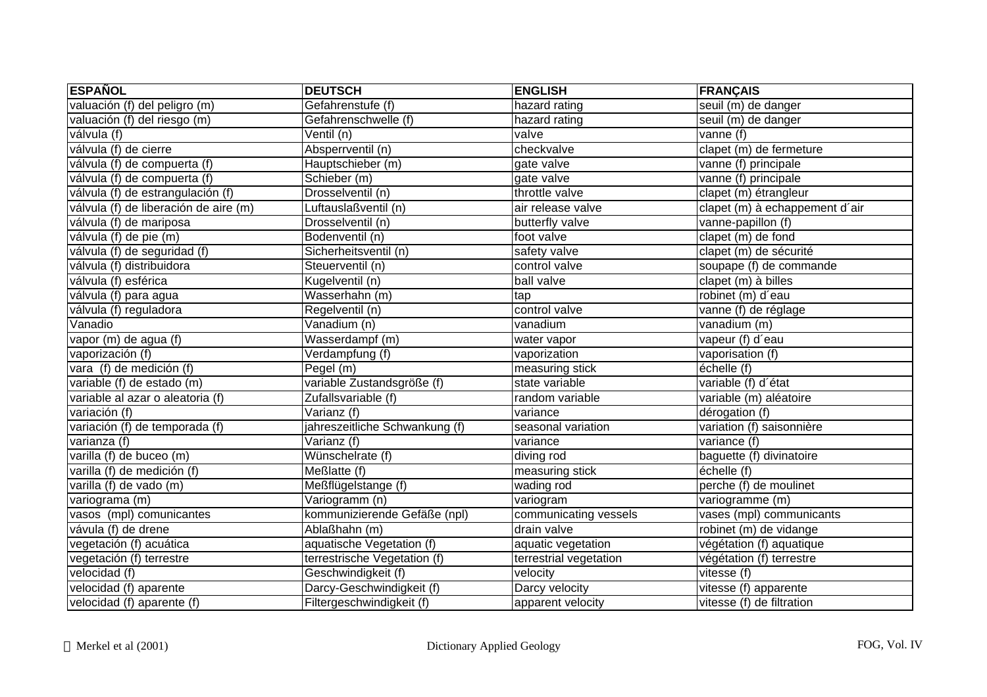| <b>ESPAÑOL</b>                        | <b>DEUTSCH</b>                 | <b>ENGLISH</b>         | <b>FRANÇAIS</b>                |
|---------------------------------------|--------------------------------|------------------------|--------------------------------|
| valuación (f) del peligro (m)         | Gefahrenstufe (f)              | hazard rating          | seuil (m) de danger            |
| valuación (f) del riesgo (m)          | Gefahrenschwelle (f)           | hazard rating          | seuil (m) de danger            |
| válvula (f)                           | Ventil (n)                     | valve                  | vanne (f)                      |
| válvula (f) de cierre                 | Absperrventil (n)              | checkvalve             | clapet (m) de fermeture        |
| válvula (f) de compuerta (f)          | Hauptschieber (m)              | gate valve             | vanne (f) principale           |
| válvula (f) de compuerta (f)          | Schieber (m)                   | gate valve             | vanne (f) principale           |
| válvula (f) de estrangulación (f)     | Drosselventil (n)              | throttle valve         | clapet (m) étrangleur          |
| válvula (f) de liberación de aire (m) | Luftauslaßventil (n)           | air release valve      | clapet (m) à echappement d'air |
| válvula (f) de mariposa               | Drosselventil (n)              | butterfly valve        | vanne-papillon (f)             |
| válvula (f) de pie (m)                | Bodenventil (n)                | foot valve             | clapet (m) de fond             |
| válvula (f) de seguridad (f)          | Sicherheitsventil (n)          | safety valve           | clapet (m) de sécurité         |
| válvula (f) distribuidora             | Steuerventil (n)               | control valve          | soupape (f) de commande        |
| válvula (f) esférica                  | Kugelventil (n)                | ball valve             | clapet (m) à billes            |
| válvula (f) para agua                 | Wasserhahn (m)                 | tap                    | robinet (m) d'eau              |
| válvula (f) reguladora                | Regelventil (n)                | control valve          | vanne (f) de réglage           |
| Vanadio                               | Vanadium (n)                   | vanadium               | vanadium (m)                   |
| vapor (m) de agua (f)                 | Wasserdampf (m)                | water vapor            | vapeur (f) d'eau               |
| vaporización (f)                      | Verdampfung (f)                | vaporization           | vaporisation (f)               |
| vara (f) de medición (f)              | Pegel (m)                      | measuring stick        | échelle (f)                    |
| variable (f) de estado (m)            | variable Zustandsgröße (f)     | state variable         | variable (f) d'état            |
| variable al azar o aleatoria (f)      | Zufallsvariable (f)            | random variable        | variable (m) aléatoire         |
| variación (f)                         | Varianz (f)                    | variance               | dérogation (f)                 |
| variación (f) de temporada (f)        | jahreszeitliche Schwankung (f) | seasonal variation     | variation (f) saisonnière      |
| varianza (f)                          | Varianz (f)                    | variance               | variance (f)                   |
| varilla (f) de buceo (m)              | Wünschelrate (f)               | diving rod             | baguette (f) divinatoire       |
| varilla (f) de medición (f)           | Meßlatte (f)                   | measuring stick        | échelle (f)                    |
| varilla (f) de vado (m)               | Meßflügelstange (f)            | wading rod             | perche (f) de moulinet         |
| variograma (m)                        | Variogramm (n)                 | variogram              | variogramme (m)                |
| vasos (mpl) comunicantes              | kommunizierende Gefäße (npl)   | communicating vessels  | vases (mpl) communicants       |
| vávula (f) de drene                   | Ablaßhahn (m)                  | drain valve            | robinet (m) de vidange         |
| vegetación (f) acuática               | aquatische Vegetation (f)      | aquatic vegetation     | végétation (f) aquatique       |
| vegetación (f) terrestre              | terrestrische Vegetation (f)   | terrestrial vegetation | végétation (f) terrestre       |
| velocidad (f)                         | Geschwindigkeit (f)            | velocity               | vitesse (f)                    |
| velocidad (f) aparente                | Darcy-Geschwindigkeit (f)      | Darcy velocity         | vitesse (f) apparente          |
| velocidad (f) aparente (f)            | Filtergeschwindigkeit (f)      | apparent velocity      | vitesse (f) de filtration      |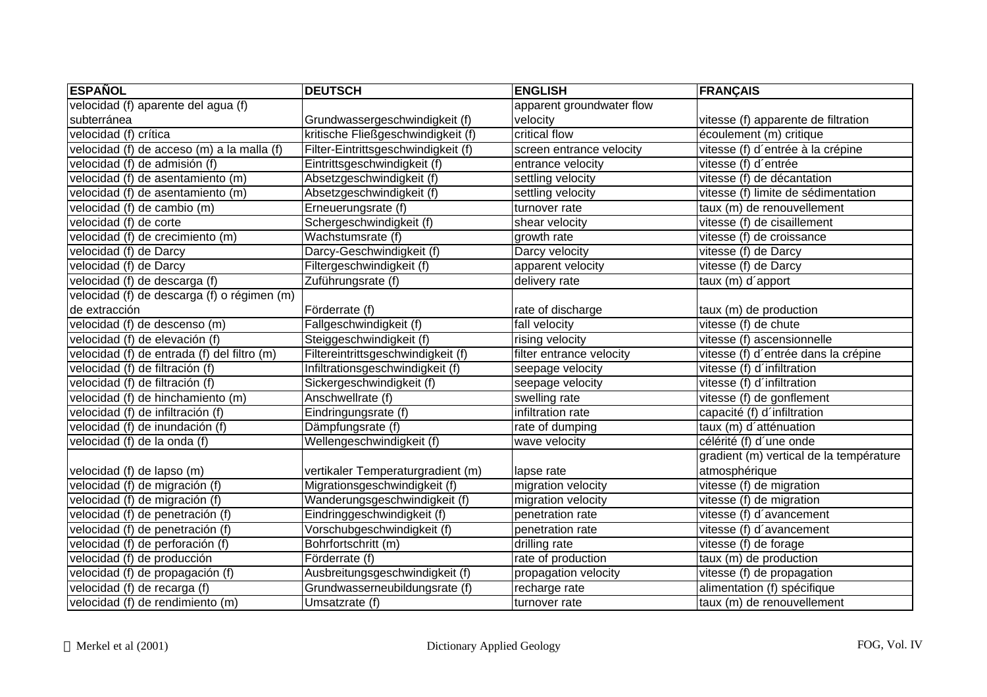| <b>ESPAÑOL</b>                              | <b>DEUTSCH</b>                      | <b>ENGLISH</b>            | <b>FRANÇAIS</b>                         |
|---------------------------------------------|-------------------------------------|---------------------------|-----------------------------------------|
| velocidad (f) aparente del agua (f)         |                                     | apparent groundwater flow |                                         |
| subterránea                                 | Grundwassergeschwindigkeit (f)      | velocity                  | vitesse (f) apparente de filtration     |
| velocidad (f) crítica                       | kritische Fließgeschwindigkeit (f)  | critical flow             | écoulement (m) critique                 |
| velocidad (f) de acceso (m) a la malla (f)  | Filter-Eintrittsgeschwindigkeit (f) | screen entrance velocity  | vitesse (f) d'entrée à la crépine       |
| velocidad (f) de admisión (f)               | Eintrittsgeschwindigkeit (f)        | entrance velocity         | vitesse (f) d'entrée                    |
| velocidad (f) de asentamiento (m)           | Absetzgeschwindigkeit (f)           | settling velocity         | vitesse (f) de décantation              |
| velocidad (f) de asentamiento (m)           | Absetzgeschwindigkeit (f)           | settling velocity         | vitesse (f) limite de sédimentation     |
| velocidad (f) de cambio (m)                 | Erneuerungsrate (f)                 | turnover rate             | taux (m) de renouvellement              |
| velocidad (f) de corte                      | Schergeschwindigkeit (f)            | shear velocity            | vitesse (f) de cisaillement             |
| velocidad (f) de crecimiento (m)            | Wachstumsrate (f)                   | growth rate               | vitesse (f) de croissance               |
| velocidad (f) de Darcy                      | Darcy-Geschwindigkeit (f)           | Darcy velocity            | vitesse (f) de Darcy                    |
| velocidad (f) de Darcy                      | Filtergeschwindigkeit (f)           | apparent velocity         | vitesse (f) de Darcy                    |
| velocidad (f) de descarga (f)               | Zuführungsrate (f)                  | delivery rate             | taux (m) d'apport                       |
| velocidad (f) de descarga (f) o régimen (m) |                                     |                           |                                         |
| de extracción                               | Förderrate (f)                      | rate of discharge         | taux (m) de production                  |
| velocidad (f) de descenso (m)               | Fallgeschwindigkeit (f)             | fall velocity             | vitesse (f) de chute                    |
| velocidad (f) de elevación (f)              | Steiggeschwindigkeit (f)            | rising velocity           | vitesse (f) ascensionnelle              |
| velocidad (f) de entrada (f) del filtro (m) | Filtereintrittsgeschwindigkeit (f)  | filter entrance velocity  | vitesse (f) d'entrée dans la crépine    |
| velocidad (f) de filtración (f)             | Infiltrationsgeschwindigkeit (f)    | seepage velocity          | vitesse (f) d'infiltration              |
| velocidad (f) de filtración (f)             | Sickergeschwindigkeit (f)           | seepage velocity          | vitesse (f) d'infiltration              |
| velocidad (f) de hinchamiento (m)           | Anschwellrate (f)                   | swelling rate             | vitesse (f) de gonflement               |
| velocidad (f) de infiltración (f)           | Eindringungsrate (f)                | infiltration rate         | capacité (f) d'infiltration             |
| velocidad (f) de inundación (f)             | Dämpfungsrate (f)                   | rate of dumping           | taux (m) d'atténuation                  |
| velocidad (f) de la onda (f)                | Wellengeschwindigkeit (f)           | wave velocity             | célérité (f) d'une onde                 |
|                                             |                                     |                           | gradient (m) vertical de la température |
| velocidad (f) de lapso (m)                  | vertikaler Temperaturgradient (m)   | lapse rate                | atmosphérique                           |
| velocidad (f) de migración (f)              | Migrationsgeschwindigkeit (f)       | migration velocity        | vitesse (f) de migration                |
| velocidad (f) de migración (f)              | Wanderungsgeschwindigkeit (f)       | migration velocity        | vitesse (f) de migration                |
| velocidad (f) de penetración (f)            | Eindringgeschwindigkeit (f)         | penetration rate          | vitesse (f) d'avancement                |
| velocidad (f) de penetración (f)            | Vorschubgeschwindigkeit (f)         | penetration rate          | vitesse (f) d'avancement                |
| velocidad (f) de perforación (f)            | Bohrfortschritt (m)                 | drilling rate             | vitesse (f) de forage                   |
| velocidad (f) de producción                 | Förderrate (f)                      | rate of production        | taux (m) de production                  |
| velocidad (f) de propagación (f)            | Ausbreitungsgeschwindigkeit (f)     | propagation velocity      | vitesse (f) de propagation              |
| velocidad (f) de recarga (f)                | Grundwasserneubildungsrate (f)      | recharge rate             | alimentation (f) spécifique             |
| velocidad (f) de rendimiento (m)            | Umsatzrate (f)                      | turnover rate             | taux (m) de renouvellement              |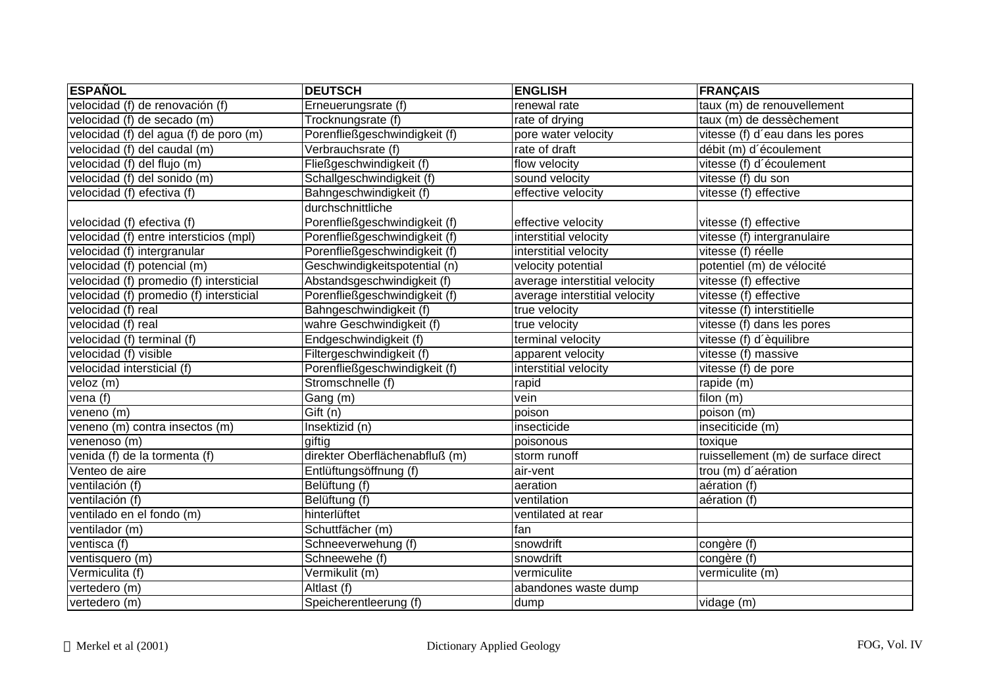| <b>ESPAÑOL</b>                          | <b>DEUTSCH</b>                 | <b>ENGLISH</b>                | <b>FRANÇAIS</b>                     |
|-----------------------------------------|--------------------------------|-------------------------------|-------------------------------------|
| velocidad (f) de renovación (f)         | Erneuerungsrate (f)            | renewal rate                  | taux (m) de renouvellement          |
| velocidad (f) de secado (m)             | Trocknungsrate (f)             | rate of drying                | taux (m) de dessèchement            |
| velocidad (f) del agua (f) de poro (m)  | Porenfließgeschwindigkeit (f)  | pore water velocity           | vitesse (f) d'eau dans les pores    |
| velocidad (f) del caudal (m)            | Verbrauchsrate (f)             | rate of draft                 | débit (m) d'écoulement              |
| velocidad (f) del flujo (m)             | Fließgeschwindigkeit (f)       | flow velocity                 | vitesse (f) d'écoulement            |
| velocidad (f) del sonido (m)            | Schallgeschwindigkeit (f)      | sound velocity                | vitesse (f) du son                  |
| velocidad (f) efectiva (f)              | Bahngeschwindigkeit (f)        | effective velocity            | vitesse (f) effective               |
|                                         | durchschnittliche              |                               |                                     |
| velocidad (f) efectiva (f)              | Porenfließgeschwindigkeit (f)  | effective velocity            | vitesse (f) effective               |
| velocidad (f) entre intersticios (mpl)  | Porenfließgeschwindigkeit (f)  | interstitial velocity         | vitesse (f) intergranulaire         |
| velocidad (f) intergranular             | Porenfließgeschwindigkeit (f)  | interstitial velocity         | vitesse (f) réelle                  |
| velocidad (f) potencial (m)             | Geschwindigkeitspotential (n)  | velocity potential            | potentiel (m) de vélocité           |
| velocidad (f) promedio (f) intersticial | Abstandsgeschwindigkeit (f)    | average interstitial velocity | vitesse (f) effective               |
| velocidad (f) promedio (f) intersticial | Porenfließgeschwindigkeit (f)  | average interstitial velocity | vitesse (f) effective               |
| velocidad (f) real                      | Bahngeschwindigkeit (f)        | true velocity                 | vitesse (f) interstitielle          |
| velocidad (f) real                      | wahre Geschwindigkeit (f)      | true velocity                 | vitesse (f) dans les pores          |
| velocidad (f) terminal (f)              | Endgeschwindigkeit (f)         | terminal velocity             | vitesse (f) d'èquilibre             |
| velocidad (f) visible                   | Filtergeschwindigkeit (f)      | apparent velocity             | vitesse (f) massive                 |
| velocidad intersticial (f)              | Porenfließgeschwindigkeit (f)  | interstitial velocity         | vitesse (f) de pore                 |
| veloz (m)                               | Stromschnelle (f)              | rapid                         | rapide (m)                          |
| vena (f)                                | Gang (m)                       | vein                          | filon (m)                           |
| veneno $(m)$                            | Gift (n)                       | poison                        | poison (m)                          |
| veneno (m) contra insectos (m)          | Insektizid (n)                 | insecticide                   | inseciticide (m)                    |
| venenoso (m)                            | giftig                         | poisonous                     | toxique                             |
| venida (f) de la tormenta (f)           | direkter Oberflächenabfluß (m) | storm runoff                  | ruissellement (m) de surface direct |
| Venteo de aire                          | Entlüftungsöffnung (f)         | air-vent                      | trou (m) d'aération                 |
| ventilación (f)                         | Belüftung (f)                  | aeration                      | aération (f)                        |
| ventilación (f)                         | Belüftung (f)                  | ventilation                   | aération (f)                        |
| ventilado en el fondo (m)               | hinterlüftet                   | ventilated at rear            |                                     |
| ventilador (m)                          | Schuttfächer (m)               | fan                           |                                     |
| ventisca (f)                            | Schneeverwehung (f)            | snowdrift                     | congère (f)                         |
| ventisquero (m)                         | Schneewehe (f)                 | snowdrift                     | congère (f)                         |
| Vermiculita (f)                         | Vermikulit (m)                 | vermiculite                   | vermiculite (m)                     |
| vertedero (m)                           | Altlast (f)                    | abandones waste dump          |                                     |
| vertedero (m)                           | Speicherentleerung (f)         | dump                          | vidage (m)                          |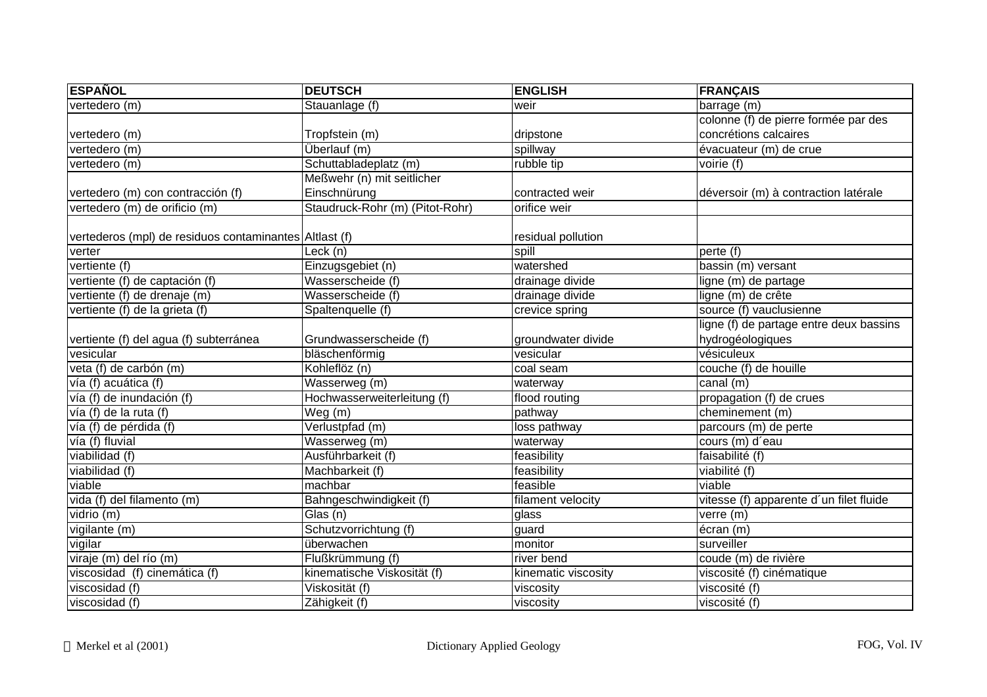| <b>ESPAÑOL</b>                                         | <b>DEUTSCH</b>                  | <b>ENGLISH</b>      | <b>FRANÇAIS</b>                         |
|--------------------------------------------------------|---------------------------------|---------------------|-----------------------------------------|
| vertedero (m)                                          | Stauanlage (f)                  | weir                | barrage (m)                             |
|                                                        |                                 |                     | colonne (f) de pierre formée par des    |
| vertedero (m)                                          | Tropfstein (m)                  | dripstone           | concrétions calcaires                   |
| vertedero (m)                                          | Überlauf (m)                    | spillway            | évacuateur (m) de crue                  |
| vertedero (m)                                          | Schuttabladeplatz (m)           | rubble tip          | voirie (f)                              |
|                                                        | Meßwehr (n) mit seitlicher      |                     |                                         |
| vertedero (m) con contracción (f)                      | Einschnürung                    | contracted weir     | déversoir (m) à contraction latérale    |
| vertedero (m) de orificio (m)                          | Staudruck-Rohr (m) (Pitot-Rohr) | orifice weir        |                                         |
|                                                        |                                 |                     |                                         |
| vertederos (mpl) de residuos contaminantes Altlast (f) |                                 | residual pollution  |                                         |
| verter                                                 | Leck (n)                        | spill               | perte (f)                               |
| vertiente (f)                                          | Einzugsgebiet (n)               | watershed           | bassin (m) versant                      |
| vertiente (f) de captación (f)                         | Wasserscheide (f)               | drainage divide     | ligne (m) de partage                    |
| vertiente (f) de drenaje (m)                           | Wasserscheide (f)               | drainage divide     | ligne (m) de crête                      |
| vertiente (f) de la grieta (f)                         | Spaltenquelle (f)               | crevice spring      | source (f) vauclusienne                 |
|                                                        |                                 |                     | ligne (f) de partage entre deux bassins |
| vertiente (f) del agua (f) subterránea                 | Grundwasserscheide (f)          | groundwater divide  | hydrogéologiques                        |
| vesicular                                              | bläschenförmig                  | vesicular           | vésiculeux                              |
| veta (f) de carbón (m)                                 | Kohleflöz (n)                   | coal seam           | couche (f) de houille                   |
| vía (f) acuática (f)                                   | Wasserweg (m)                   | waterway            | canal (m)                               |
| vía (f) de inundación (f)                              | Hochwasserweiterleitung (f)     | flood routing       | propagation (f) de crues                |
| vía (f) de la ruta (f)                                 | Weg(m)                          | pathway             | cheminement (m)                         |
| vía (f) de pérdida (f)                                 | Verlustpfad (m)                 | loss pathway        | parcours (m) de perte                   |
| vía (f) fluvial                                        | Wasserweg (m)                   | waterway            | cours (m) d'eau                         |
| viabilidad (f)                                         | Ausführbarkeit (f)              | feasibility         | faisabilité (f)                         |
| viabilidad (f)                                         | Machbarkeit (f)                 | feasibility         | viabilité (f)                           |
| viable                                                 | machbar                         | feasible            | viable                                  |
| vida (f) del filamento (m)                             | Bahngeschwindigkeit (f)         | filament velocity   | vitesse (f) apparente d'un filet fluide |
| vidrio $(m)$                                           | Glas (n)                        | glass               | verre (m)                               |
| vigilante (m)                                          | Schutzvorrichtung (f)           | guard               | écran (m)                               |
| vigilar                                                | überwachen                      | monitor             | surveiller                              |
| viraje (m) del río (m)                                 | Flußkrümmung (f)                | river bend          | coude (m) de rivière                    |
| viscosidad (f) cinemática (f)                          | kinematische Viskosität (f)     | kinematic viscosity | viscosité (f) cinématique               |
| viscosidad (f)                                         | Viskosität (f)                  | viscosity           | viscosité (f)                           |
| viscosidad (f)                                         | Zähigkeit (f)                   | viscosity           | viscosité (f)                           |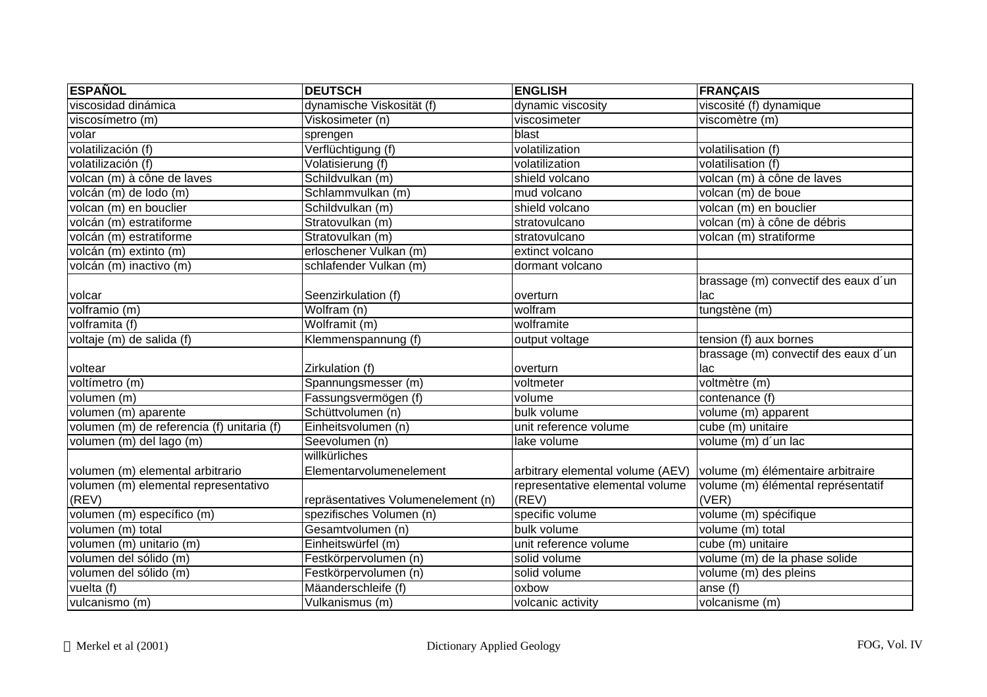| <b>ESPAÑOL</b>                             | <b>DEUTSCH</b>                     | <b>ENGLISH</b>                   | <b>FRANÇAIS</b>                      |
|--------------------------------------------|------------------------------------|----------------------------------|--------------------------------------|
| viscosidad dinámica                        | dynamische Viskosität (f)          | dynamic viscosity                | viscosité (f) dynamique              |
| viscosímetro (m)                           | Viskosimeter (n)                   | viscosimeter                     | viscomètre (m)                       |
| volar                                      | sprengen                           | blast                            |                                      |
| volatilización (f)                         | Verflüchtigung (f)                 | volatilization                   | volatilisation (f)                   |
| volatilización (f)                         | Volatisierung (f)                  | volatilization                   | volatilisation (f)                   |
| volcan (m) à cône de laves                 | Schildvulkan (m)                   | shield volcano                   | volcan (m) à cône de laves           |
| volcán (m) de lodo (m)                     | Schlammvulkan (m)                  | mud volcano                      | volcan (m) de boue                   |
| volcan (m) en bouclier                     | Schildvulkan (m)                   | shield volcano                   | volcan (m) en bouclier               |
| volcán (m) estratiforme                    | Stratovulkan (m)                   | stratovulcano                    | volcan (m) à cône de débris          |
| volcán (m) estratiforme                    | Stratovulkan (m)                   | stratovulcano                    | volcan (m) stratiforme               |
| volcán (m) extinto (m)                     | erloschener Vulkan (m)             | extinct volcano                  |                                      |
| volcán (m) inactivo (m)                    | schlafender Vulkan (m)             | dormant volcano                  |                                      |
|                                            |                                    |                                  | brassage (m) convectif des eaux d'un |
| volcar                                     | Seenzirkulation (f)                | overturn                         | llac                                 |
| volframio (m)                              | $\overline{\text{Wolfram}}$ (n)    | wolfram                          | tungstène (m)                        |
| volframita (f)                             | Wolframit (m)                      | wolframite                       |                                      |
| voltaje (m) de salida (f)                  | Klemmenspannung (f)                | output voltage                   | tension (f) aux bornes               |
|                                            |                                    |                                  | brassage (m) convectif des eaux d'un |
| voltear                                    | Zirkulation (f)                    | overturn                         | llac                                 |
| voltímetro (m)                             | Spannungsmesser (m)                | voltmeter                        | voltmètre (m)                        |
| volumen (m)                                | Fassungsvermögen (f)               | volume                           | contenance (f)                       |
| volumen (m) aparente                       | Schüttvolumen (n)                  | bulk volume                      | volume (m) apparent                  |
| volumen (m) de referencia (f) unitaria (f) | Einheitsvolumen (n)                | unit reference volume            | cube (m) unitaire                    |
| volumen (m) del lago (m)                   | Seevolumen (n)                     | lake volume                      | volume (m) d'un lac                  |
|                                            | willkürliches                      |                                  |                                      |
| volumen (m) elemental arbitrario           | Elementarvolumenelement            | arbitrary elemental volume (AEV) | volume (m) élémentaire arbitraire    |
| volumen (m) elemental representativo       |                                    | representative elemental volume  | volume (m) élémental représentatif   |
| (REV)                                      | repräsentatives Volumenelement (n) | (REV)                            | (VER)                                |
| volumen (m) específico (m)                 | spezifisches Volumen (n)           | specific volume                  | volume (m) spécifique                |
| volumen (m) total                          | Gesamtvolumen (n)                  | bulk volume                      | volume (m) total                     |
| volumen (m) unitario (m)                   | Einheitswürfel (m)                 | unit reference volume            | cube (m) unitaire                    |
| volumen del sólido (m)                     | Festkörpervolumen (n)              | solid volume                     | volume (m) de la phase solide        |
| volumen del sólido (m)                     | Festkörpervolumen (n)              | solid volume                     | volume (m) des pleins                |
| vuelta (f)                                 | Mäanderschleife (f)                | oxbow                            | anse (f)                             |
| vulcanismo (m)                             | Vulkanismus (m)                    | volcanic activity                | volcanisme (m)                       |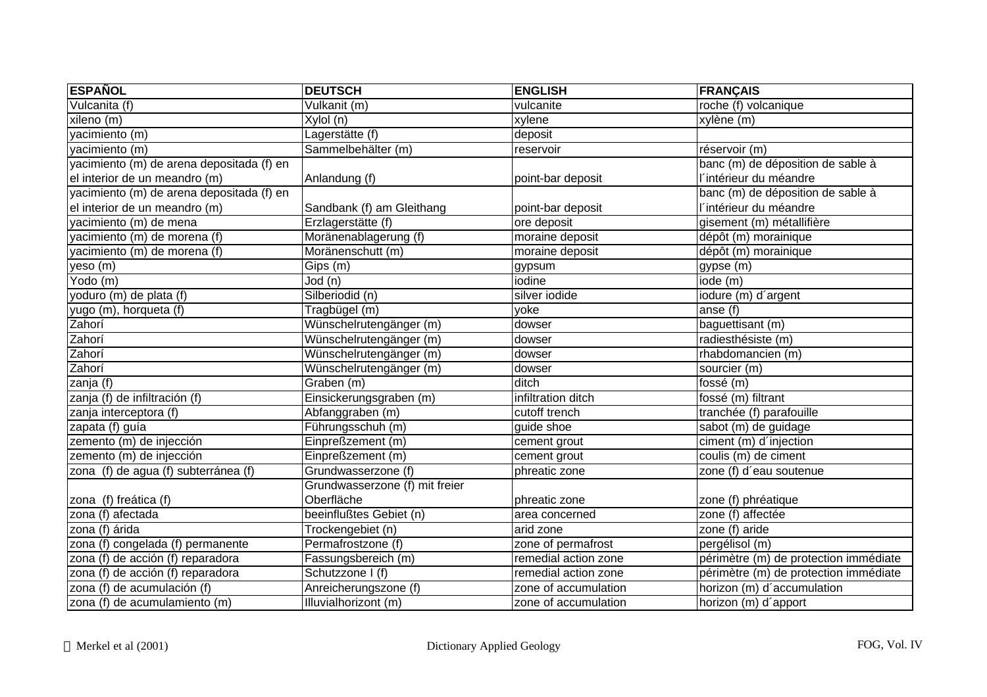| <b>ESPAÑOL</b>                            | <b>DEUTSCH</b>                 | <b>ENGLISH</b>       | <b>FRANÇAIS</b>                       |
|-------------------------------------------|--------------------------------|----------------------|---------------------------------------|
| Vulcanita (f)                             | Vulkanit (m)                   | vulcanite            | roche (f) volcanique                  |
| xileno (m)                                | Xylol (n)                      | xylene               | xylène (m)                            |
| yacimiento (m)                            | Lagerstätte (f)                | deposit              |                                       |
| yacimiento (m)                            | Sammelbehälter (m)             | reservoir            | réservoir (m)                         |
| yacimiento (m) de arena depositada (f) en |                                |                      | banc (m) de déposition de sable à     |
| el interior de un meandro (m)             | Anlandung (f)                  | point-bar deposit    | l'intérieur du méandre                |
| yacimiento (m) de arena depositada (f) en |                                |                      | banc (m) de déposition de sable à     |
| el interior de un meandro (m)             | Sandbank (f) am Gleithang      | point-bar deposit    | l'intérieur du méandre                |
| yacimiento (m) de mena                    | Erzlagerstätte (f)             | ore deposit          | gisement (m) métallifière             |
| yacimiento (m) de morena (f)              | Moränenablagerung (f)          | moraine deposit      | dépôt (m) morainique                  |
| yacimiento (m) de morena (f)              | Moränenschutt (m)              | moraine deposit      | dépôt (m) morainique                  |
| yeso (m)                                  | Gips (m)                       | gypsum               | gypse (m)                             |
| Yodo (m)                                  | Jod (n)                        | iodine               | iode (m)                              |
| yoduro (m) de plata (f)                   | Silberiodid (n)                | silver iodide        | iodure (m) d'argent                   |
| yugo (m), horqueta (f)                    | Tragbügel (m)                  | yoke                 | anse (f)                              |
| Zahorí                                    | Wünschelrutengänger (m)        | dowser               | baguettisant (m)                      |
| Zahorí                                    | Wünschelrutengänger (m)        | dowser               | radiesthésiste (m)                    |
| Zahorí                                    | Wünschelrutengänger (m)        | dowser               | $r$ habdomancien $(m)$                |
| Zahorí                                    | Wünschelrutengänger (m)        | dowser               | sourcier (m)                          |
| zanja (f)                                 | Graben (m)                     | ditch                | fossé (m)                             |
| zanja (f) de infiltración (f)             | Einsickerungsgraben (m)        | infiltration ditch   | fossé (m) filtrant                    |
| zanja interceptora (f)                    | Abfanggraben (m)               | cutoff trench        | tranchée (f) parafouille              |
| zapata (f) guía                           | Führungsschuh (m)              | guide shoe           | sabot (m) de guidage                  |
| zemento (m) de injección                  | Einpreßzement (m)              | cement grout         | ciment (m) d'injection                |
| zemento (m) de injección                  | Einpreßzement (m)              | cement grout         | coulis (m) de ciment                  |
| zona (f) de agua (f) subterránea (f)      | Grundwasserzone (f)            | phreatic zone        | zone (f) d'eau soutenue               |
|                                           | Grundwasserzone (f) mit freier |                      |                                       |
| zona (f) freática (f)                     | Oberfläche                     | phreatic zone        | zone (f) phréatique                   |
| zona (f) afectada                         | beeinflußtes Gebiet (n)        | area concerned       | zone (f) affectée                     |
| zona (f) árida                            | Trockengebiet (n)              | arid zone            | zone (f) aride                        |
| zona (f) congelada (f) permanente         | Permafrostzone (f)             | zone of permafrost   | pergélisol (m)                        |
| zona (f) de acción (f) reparadora         | Fassungsbereich (m)            | remedial action zone | périmètre (m) de protection immédiate |
| zona (f) de acción (f) reparadora         | Schutzzone I (f)               | remedial action zone | périmètre (m) de protection immédiate |
| zona (f) de acumulación (f)               | Anreicherungszone (f)          | zone of accumulation | horizon (m) d'accumulation            |
| zona (f) de acumulamiento (m)             | Illuvialhorizont (m)           | zone of accumulation | horizon (m) d'apport                  |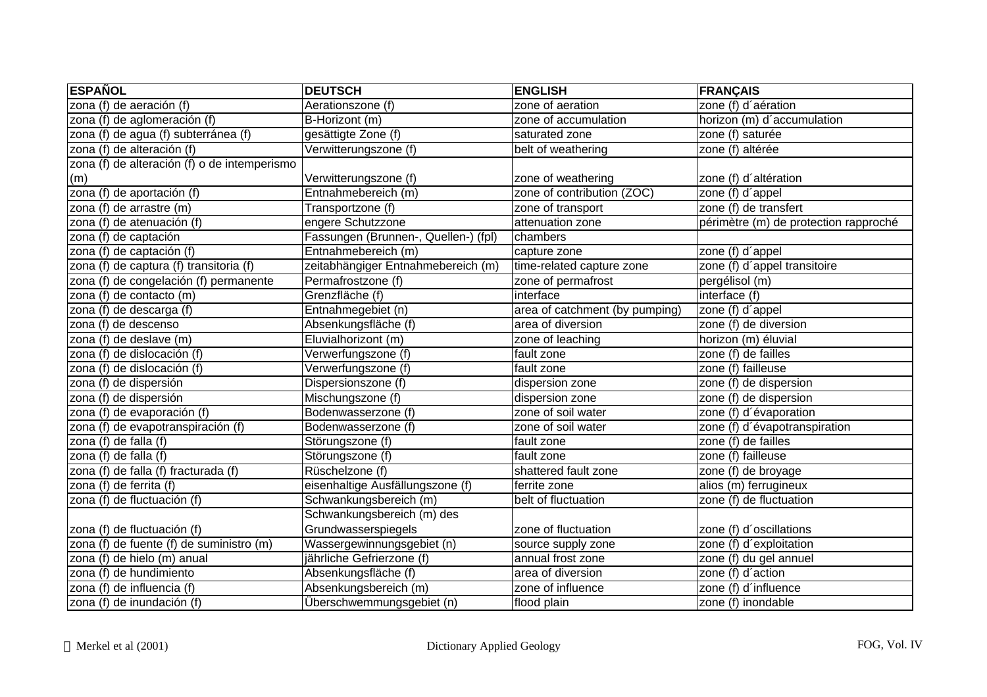| <b>ESPAÑOL</b>                               | <b>DEUTSCH</b>                       | <b>ENGLISH</b>                 | <b>FRANÇAIS</b>                       |
|----------------------------------------------|--------------------------------------|--------------------------------|---------------------------------------|
| zona (f) de aeración (f)                     | Aerationszone (f)                    | zone of aeration               | zone (f) d'aération                   |
| zona (f) de aglomeración (f)                 | B-Horizont (m)                       | zone of accumulation           | horizon (m) d'accumulation            |
| zona (f) de agua (f) subterránea (f)         | gesättigte Zone (f)                  | saturated zone                 | zone (f) saturée                      |
| zona (f) de alteración (f)                   | Verwitterungszone (f)                | belt of weathering             | zone (f) altérée                      |
| zona (f) de alteración (f) o de intemperismo |                                      |                                |                                       |
| (m)                                          | Verwitterungszone (f)                | zone of weathering             | zone (f) d'altération                 |
| zona (f) de aportación (f)                   | Entnahmebereich (m)                  | zone of contribution (ZOC)     | zone (f) d'appel                      |
| zona (f) de arrastre (m)                     | Transportzone (f)                    | zone of transport              | zone (f) de transfert                 |
| zona (f) de atenuación (f)                   | engere Schutzzone                    | attenuation zone               | périmètre (m) de protection rapproché |
| zona (f) de captación                        | Fassungen (Brunnen-, Quellen-) (fpl) | chambers                       |                                       |
| zona (f) de captación (f)                    | Entnahmebereich (m)                  | capture zone                   | zone (f) d'appel                      |
| zona (f) de captura (f) transitoria (f)      | zeitabhängiger Entnahmebereich (m)   | time-related capture zone      | zone (f) d'appel transitoire          |
| zona (f) de congelación (f) permanente       | Permafrostzone (f)                   | zone of permafrost             | pergélisol (m)                        |
| zona (f) de contacto (m)                     | Grenzfläche (f)                      | interface                      | interface (f)                         |
| zona (f) de descarga (f)                     | Entnahmegebiet (n)                   | area of catchment (by pumping) | zone (f) d'appel                      |
| zona (f) de descenso                         | Absenkungsfläche (f)                 | area of diversion              | zone (f) de diversion                 |
| zona (f) de deslave (m)                      | Eluvialhorizont (m)                  | zone of leaching               | horizon (m) éluvial                   |
| zona (f) de dislocación (f)                  | Verwerfungszone (f)                  | fault zone                     | zone (f) de failles                   |
| zona (f) de dislocación (f)                  | Verwerfungszone (f)                  | fault zone                     | zone (f) failleuse                    |
| zona (f) de dispersión                       | Dispersionszone (f)                  | dispersion zone                | zone (f) de dispersion                |
| zona (f) de dispersión                       | Mischungszone (f)                    | dispersion zone                | zone (f) de dispersion                |
| zona $(\overline{f})$ de evaporación $(f)$   | Bodenwasserzone (f)                  | zone of soil water             | zone (f) d'évaporation                |
| zona (f) de evapotranspiración (f)           | Bodenwasserzone (f)                  | zone of soil water             | zone (f) d'évapotranspiration         |
| zona (f) de falla (f)                        | Störungszone (f)                     | fault zone                     | zone (f) de failles                   |
| zona (f) de falla (f)                        | Störungszone (f)                     | fault zone                     | zone (f) failleuse                    |
| zona (f) de falla (f) fracturada (f)         | Rüschelzone (f)                      | shattered fault zone           | zone (f) de broyage                   |
| zona (f) de ferrita (f)                      | eisenhaltige Ausfällungszone (f)     | ferrite zone                   | alios (m) ferrugineux                 |
| zona (f) de fluctuación (f)                  | Schwankungsbereich (m)               | belt of fluctuation            | zone (f) de fluctuation               |
|                                              | Schwankungsbereich (m) des           |                                |                                       |
| zona (f) de fluctuación (f)                  | Grundwasserspiegels                  | zone of fluctuation            | zone (f) d'oscillations               |
| zona (f) de fuente (f) de suministro (m)     | Wassergewinnungsgebiet (n)           | source supply zone             | zone (f) d'exploitation               |
| zona (f) de hielo (m) anual                  | jährliche Gefrierzone (f)            | annual frost zone              | zone (f) du gel annuel                |
| zona (f) de hundimiento                      | Absenkungsfläche (f)                 | area of diversion              | zone (f) d'action                     |
| zona (f) de influencia (f)                   | Absenkungsbereich (m)                | zone of influence              | zone (f) d'influence                  |
| zona (f) de inundación (f)                   | Überschwemmungsgebiet (n)            | flood plain                    | zone (f) inondable                    |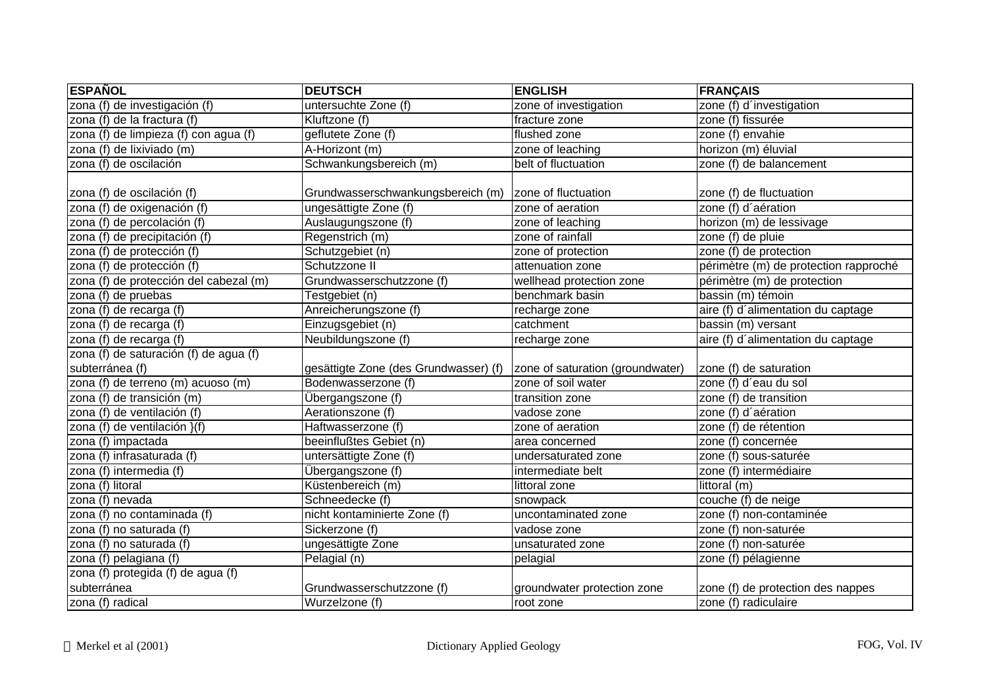| <b>ESPAÑOL</b>                         | <b>DEUTSCH</b>                        | <b>ENGLISH</b>                   | <b>FRANÇAIS</b>                       |
|----------------------------------------|---------------------------------------|----------------------------------|---------------------------------------|
| zona (f) de investigación (f)          | untersuchte Zone (f)                  | zone of investigation            | zone (f) d'investigation              |
| zona (f) de la fractura (f)            | Kluftzone (f)                         | fracture zone                    | zone (f) fissurée                     |
| zona (f) de limpieza (f) con agua (f)  | geflutete Zone (f)                    | flushed zone                     | zone (f) envahie                      |
| zona (f) de lixiviado (m)              | A-Horizont (m)                        | zone of leaching                 | horizon (m) éluvial                   |
| zona (f) de oscilación                 | Schwankungsbereich (m)                | belt of fluctuation              | zone (f) de balancement               |
| zona (f) de oscilación (f)             | Grundwasserschwankungsbereich (m)     | zone of fluctuation              | zone (f) de fluctuation               |
| zona (f) de oxigenación (f)            | ungesättigte Zone (f)                 | zone of aeration                 | zone (f) d'aération                   |
| zona (f) de percolación (f)            | Auslaugungszone (f)                   | zone of leaching                 | horizon (m) de lessivage              |
| zona (f) de precipitación (f)          | Regenstrich (m)                       | zone of rainfall                 | zone (f) de pluie                     |
| zona (f) de protección (f)             | Schutzgebiet (n)                      | zone of protection               | zone (f) de protection                |
| zona (f) de protección (f)             | Schutzzone II                         | attenuation zone                 | périmètre (m) de protection rapproché |
| zona (f) de protección del cabezal (m) | Grundwasserschutzzone (f)             | wellhead protection zone         | périmètre (m) de protection           |
| zona (f) de pruebas                    | Testgebiet (n)                        | benchmark basin                  | bassin (m) témoin                     |
| zona (f) de recarga (f)                | Anreicherungszone (f)                 | recharge zone                    | aire (f) d'alimentation du captage    |
| zona (f) de recarga (f)                | Einzugsgebiet (n)                     | catchment                        | bassin (m) versant                    |
| zona (f) de recarga (f)                | Neubildungszone (f)                   | recharge zone                    | aire (f) d'alimentation du captage    |
| zona (f) de saturación (f) de agua (f) |                                       |                                  |                                       |
| subterránea (f)                        | gesättigte Zone (des Grundwasser) (f) | zone of saturation (groundwater) | zone (f) de saturation                |
| zona (f) de terreno (m) acuoso (m)     | Bodenwasserzone (f)                   | zone of soil water               | zone (f) d'eau du sol                 |
| zona (f) de transición (m)             | Übergangszone (f)                     | transition zone                  | zone (f) de transition                |
| zona (f) de ventilación (f)            | Aerationszone (f)                     | vadose zone                      | zone (f) d'aération                   |
| zona (f) de ventilación }(f)           | Haftwasserzone (f)                    | zone of aeration                 | zone (f) de rétention                 |
| zona (f) impactada                     | beeinflußtes Gebiet (n)               | area concerned                   | zone (f) concernée                    |
| zona (f) infrasaturada (f)             | untersättigte Zone (f)                | undersaturated zone              | zone (f) sous-saturée                 |
| zona (f) intermedia (f)                | Übergangszone (f)                     | intermediate belt                | zone (f) intermédiaire                |
| zona (f) litoral                       | Küstenbereich (m)                     | littoral zone                    | littoral (m)                          |
| zona (f) nevada                        | Schneedecke (f)                       | snowpack                         | couche (f) de neige                   |
| zona (f) no contaminada (f)            | nicht kontaminierte Zone (f)          | uncontaminated zone              | zone (f) non-contaminée               |
| zona (f) no saturada (f)               | Sickerzone (f)                        | vadose zone                      | zone (f) non-saturée                  |
| zona (f) no saturada (f)               | ungesättigte Zone                     | unsaturated zone                 | zone (f) non-saturée                  |
| zona (f) pelagiana (f)                 | Pelagial (n)                          | pelagial                         | zone (f) pélagienne                   |
| zona (f) protegida (f) de agua (f)     |                                       |                                  |                                       |
| subterránea                            | Grundwasserschutzzone (f)             | groundwater protection zone      | zone (f) de protection des nappes     |
| zona (f) radical                       | Wurzelzone (f)                        | root zone                        | zone (f) radiculaire                  |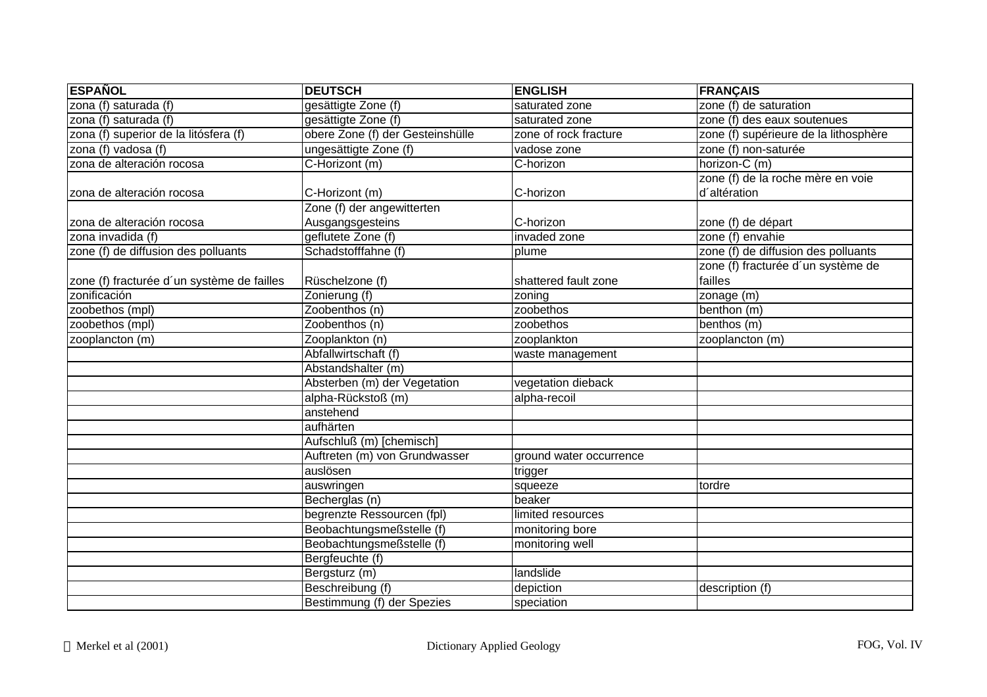| <b>ESPAÑOL</b>                             | <b>DEUTSCH</b>                   | <b>ENGLISH</b>          | <b>FRANÇAIS</b>                       |
|--------------------------------------------|----------------------------------|-------------------------|---------------------------------------|
| zona (f) saturada (f)                      | gesättigte Zone (f)              | saturated zone          | zone (f) de saturation                |
| zona (f) saturada (f)                      | gesättigte Zone (f)              | saturated zone          | zone (f) des eaux soutenues           |
| zona (f) superior de la litósfera (f)      | obere Zone (f) der Gesteinshülle | zone of rock fracture   | zone (f) supérieure de la lithosphère |
| zona (f) vadosa (f)                        | ungesättigte Zone (f)            | vadose zone             | zone (f) non-saturée                  |
| zona de alteración rocosa                  | C-Horizont (m)                   | C-horizon               | horizon-C (m)                         |
|                                            |                                  |                         | zone (f) de la roche mère en voie     |
| zona de alteración rocosa                  | C-Horizont (m)                   | C-horizon               | d'altération                          |
|                                            | Zone (f) der angewitterten       |                         |                                       |
| Izona de alteración rocosa                 | Ausgangsgesteins                 | C-horizon               | zone (f) de départ                    |
| zona invadida (f)                          | geflutete Zone (f)               | invaded zone            | zone (f) envahie                      |
| zone (f) de diffusion des polluants        | Schadstofffahne (f)              | plume                   | zone (f) de diffusion des polluants   |
|                                            |                                  |                         | zone (f) fracturée d'un système de    |
| zone (f) fracturée d'un système de failles | Rüschelzone (f)                  | shattered fault zone    | failles                               |
| zonificación                               | Zonierung (f)                    | zoning                  | zonage (m)                            |
| zoobethos (mpl)                            | Zoobenthos (n)                   | zoobethos               | benthon (m)                           |
| zoobethos (mpl)                            | Zoobenthos (n)                   | zoobethos               | benthos (m)                           |
| zooplancton (m)                            | Zooplankton (n)                  | zooplankton             | zooplancton (m)                       |
|                                            | Abfallwirtschaft (f)             | waste management        |                                       |
|                                            | Abstandshalter (m)               |                         |                                       |
|                                            | Absterben (m) der Vegetation     | vegetation dieback      |                                       |
|                                            | alpha-Rückstoß (m)               | alpha-recoil            |                                       |
|                                            | anstehend                        |                         |                                       |
|                                            | aufhärten                        |                         |                                       |
|                                            | Aufschluß (m) [chemisch]         |                         |                                       |
|                                            | Auftreten (m) von Grundwasser    | ground water occurrence |                                       |
|                                            | auslösen                         | trigger                 |                                       |
|                                            | auswringen                       | squeeze                 | tordre                                |
|                                            | Becherglas (n)                   | beaker                  |                                       |
|                                            | begrenzte Ressourcen (fpl)       | limited resources       |                                       |
|                                            | Beobachtungsmeßstelle (f)        | monitoring bore         |                                       |
|                                            | Beobachtungsmeßstelle (f)        | monitoring well         |                                       |
|                                            | Bergfeuchte (f)                  |                         |                                       |
|                                            | Bergsturz (m)                    | landslide               |                                       |
|                                            | Beschreibung (f)                 | depiction               | description (f)                       |
|                                            | Bestimmung (f) der Spezies       | speciation              |                                       |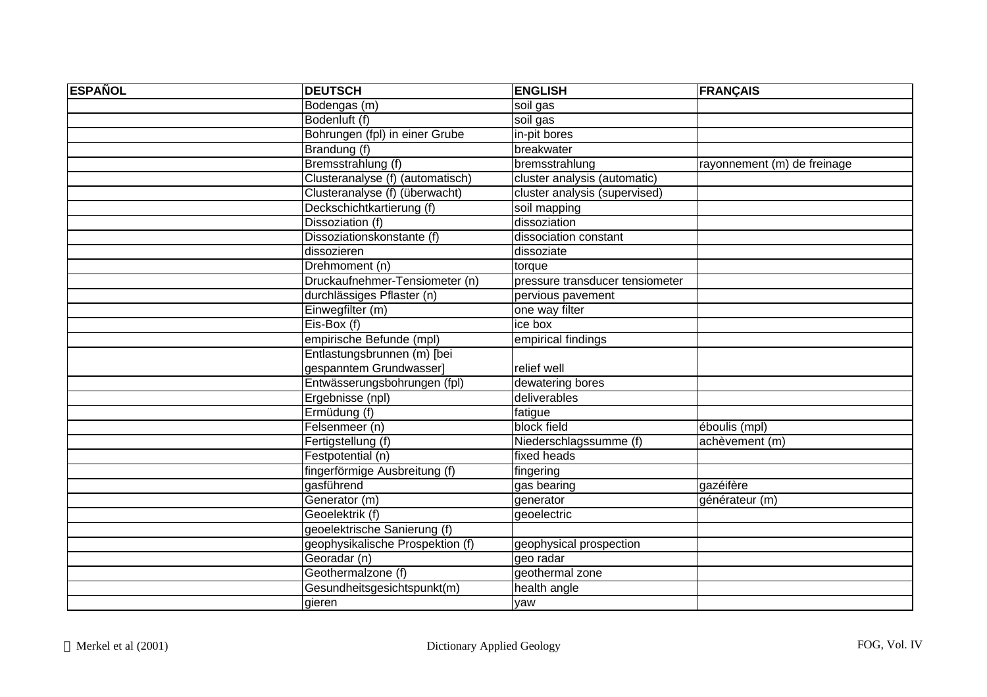| <b>ESPAÑOL</b> | <b>DEUTSCH</b>                   | <b>ENGLISH</b>                  | <b>FRANÇAIS</b>             |
|----------------|----------------------------------|---------------------------------|-----------------------------|
|                | Bodengas (m)                     | soil gas                        |                             |
|                | Bodenluft (f)                    | soil gas                        |                             |
|                | Bohrungen (fpl) in einer Grube   | in-pit bores                    |                             |
|                | Brandung (f)                     | breakwater                      |                             |
|                | Bremsstrahlung (f)               | bremsstrahlung                  | rayonnement (m) de freinage |
|                | Clusteranalyse (f) (automatisch) | cluster analysis (automatic)    |                             |
|                | Clusteranalyse (f) (überwacht)   | cluster analysis (supervised)   |                             |
|                | Deckschichtkartierung (f)        | soil mapping                    |                             |
|                | Dissoziation (f)                 | dissoziation                    |                             |
|                | Dissoziationskonstante (f)       | dissociation constant           |                             |
|                | dissozieren                      | dissoziate                      |                             |
|                | Drehmoment (n)                   | torque                          |                             |
|                | Druckaufnehmer-Tensiometer (n)   | pressure transducer tensiometer |                             |
|                | durchlässiges Pflaster (n)       | pervious pavement               |                             |
|                | Einwegfilter (m)                 | one way filter                  |                             |
|                | Eis-Box (f)                      | ice box                         |                             |
|                | empirische Befunde (mpl)         | empirical findings              |                             |
|                | Entlastungsbrunnen (m) [bei      |                                 |                             |
|                | gespanntem Grundwasser]          | relief well                     |                             |
|                | Entwässerungsbohrungen (fpl)     | dewatering bores                |                             |
|                | Ergebnisse (npl)                 | deliverables                    |                             |
|                | Ermüdung (f)                     | fatigue                         |                             |
|                | Felsenmeer (n)                   | block field                     | éboulis (mpl)               |
|                | Fertigstellung (f)               | Niederschlagssumme (f)          | achèvement (m)              |
|                | Festpotential (n)                | fixed heads                     |                             |
|                | fingerförmige Ausbreitung (f)    | fingering                       |                             |
|                | qasführend                       | gas bearing                     | gazéifère                   |
|                | Generator (m)                    | generator                       | générateur (m)              |
|                | Geoelektrik (f)                  | geoelectric                     |                             |
|                | geoelektrische Sanierung (f)     |                                 |                             |
|                | geophysikalische Prospektion (f) | geophysical prospection         |                             |
|                | Georadar (n)                     | geo radar                       |                             |
|                | Geothermalzone (f)               | geothermal zone                 |                             |
|                | Gesundheitsgesichtspunkt(m)      | health angle                    |                             |
|                | gieren                           | yaw                             |                             |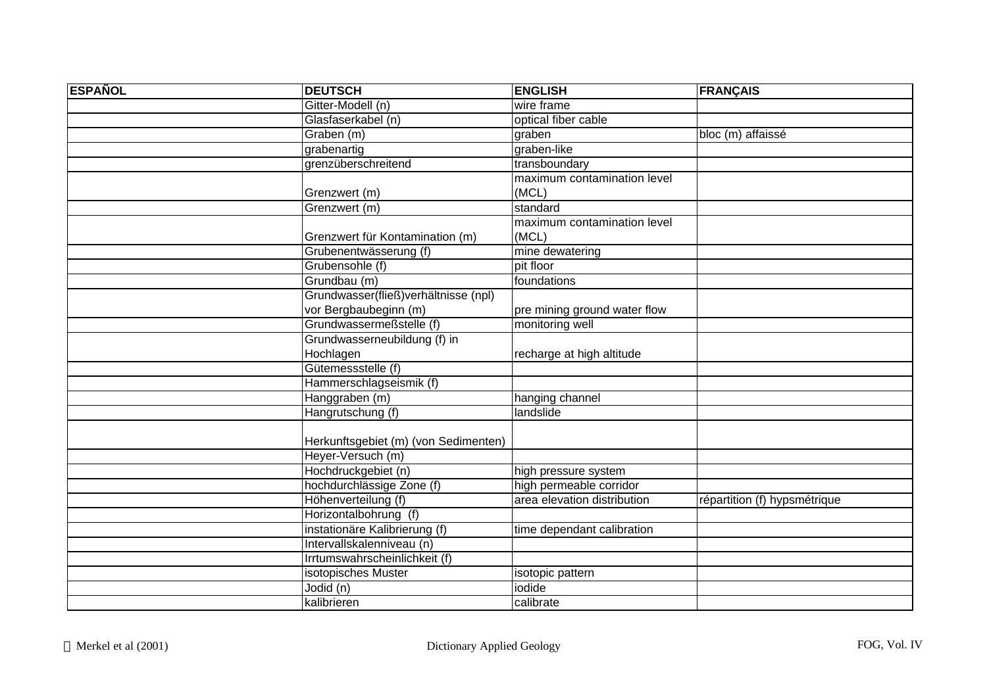| <b>ESPAÑOL</b> | <b>DEUTSCH</b>                        | <b>ENGLISH</b>               | <b>FRANÇAIS</b>              |
|----------------|---------------------------------------|------------------------------|------------------------------|
|                | Gitter-Modell (n)                     | wire frame                   |                              |
|                | Glasfaserkabel (n)                    | optical fiber cable          |                              |
|                | Graben (m)                            | graben                       | bloc (m) affaissé            |
|                | grabenartig                           | graben-like                  |                              |
|                | grenzüberschreitend                   | transboundary                |                              |
|                |                                       | maximum contamination level  |                              |
|                | Grenzwert (m)                         | (MCL)                        |                              |
|                | Grenzwert (m)                         | standard                     |                              |
|                |                                       | maximum contamination level  |                              |
|                | Grenzwert für Kontamination (m)       | (MCL)                        |                              |
|                | Grubenentwässerung (f)                | mine dewatering              |                              |
|                | Grubensohle (f)                       | pit floor                    |                              |
|                | Grundbau (m)                          | foundations                  |                              |
|                | Grundwasser(fließ) verhältnisse (npl) |                              |                              |
|                | vor Bergbaubeginn (m)                 | pre mining ground water flow |                              |
|                | Grundwassermeßstelle (f)              | monitoring well              |                              |
|                | Grundwasserneubildung (f) in          |                              |                              |
|                | Hochlagen                             | recharge at high altitude    |                              |
|                | Gütemessstelle (f)                    |                              |                              |
|                | Hammerschlagseismik (f)               |                              |                              |
|                | Hanggraben (m)                        | hanging channel              |                              |
|                | Hangrutschung (f)                     | landslide                    |                              |
|                |                                       |                              |                              |
|                | Herkunftsgebiet (m) (von Sedimenten)  |                              |                              |
|                | Heyer-Versuch (m)                     |                              |                              |
|                | Hochdruckgebiet (n)                   | high pressure system         |                              |
|                | hochdurchlässige Zone (f)             | high permeable corridor      |                              |
|                | Höhenverteilung (f)                   | area elevation distribution  | répartition (f) hypsmétrique |
|                | Horizontalbohrung (f)                 |                              |                              |
|                | instationäre Kalibrierung (f)         | time dependant calibration   |                              |
|                | Intervallskalenniveau (n)             |                              |                              |
|                | Irrtumswahrscheinlichkeit (f)         |                              |                              |
|                | isotopisches Muster                   | isotopic pattern             |                              |
|                | Jodid (n)                             | iodide                       |                              |
|                | kalibrieren                           | calibrate                    |                              |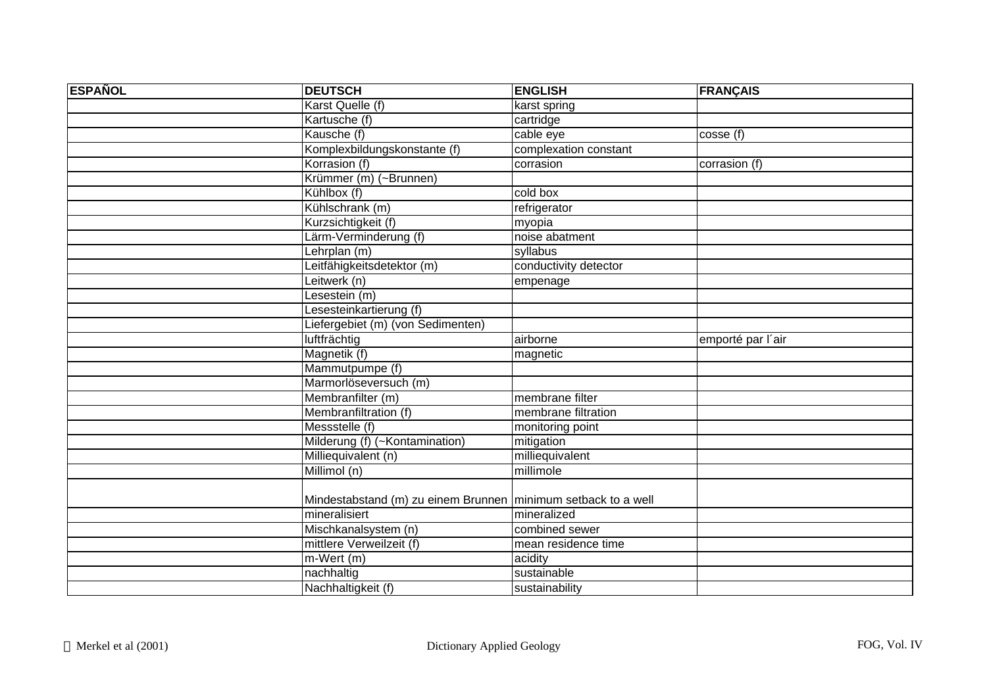| <b>ESPAÑOL</b> | <b>DEUTSCH</b>                                                  | <b>ENGLISH</b>        | <b>FRANÇAIS</b>      |
|----------------|-----------------------------------------------------------------|-----------------------|----------------------|
|                | Karst Quelle (f)                                                | karst spring          |                      |
|                | Kartusche (f)                                                   | cartridge             |                      |
|                | Kausche (f)                                                     | cable eye             | $\csc(\overline{f})$ |
|                | Komplexbildungskonstante (f)                                    | complexation constant |                      |
|                | Korrasion (f)                                                   | corrasion             | corrasion (f)        |
|                | Krümmer (m) (~Brunnen)                                          |                       |                      |
|                | Kühlbox (f)                                                     | cold box              |                      |
|                | Kühlschrank (m)                                                 | refrigerator          |                      |
|                | Kurzsichtigkeit (f)                                             | myopia                |                      |
|                | Lärm-Verminderung (f)                                           | noise abatment        |                      |
|                | Lehrplan (m)                                                    | syllabus              |                      |
|                | Leitfähigkeitsdetektor (m)                                      | conductivity detector |                      |
|                | Leitwerk (n)                                                    | empenage              |                      |
|                | Lesestein (m)                                                   |                       |                      |
|                | Lesesteinkartierung (f)                                         |                       |                      |
|                | Liefergebiet (m) (von Sedimenten)                               |                       |                      |
|                | luftfrächtig                                                    | airborne              | emporté par l'air    |
|                | Magnetik (f)                                                    | magnetic              |                      |
|                | Mammutpumpe (f)                                                 |                       |                      |
|                | Marmorlöseversuch (m)                                           |                       |                      |
|                | Membranfilter (m)                                               | membrane filter       |                      |
|                | Membranfiltration (f)                                           | membrane filtration   |                      |
|                | Messstelle (f)                                                  | monitoring point      |                      |
|                | Milderung (f) (~Kontamination)                                  | mitigation            |                      |
|                | Milliequivalent (n)                                             | milliequivalent       |                      |
|                | Millimol (n)                                                    | millimole             |                      |
|                |                                                                 |                       |                      |
|                | Mindestabstand (m) zu einem Brunnen   minimum setback to a well |                       |                      |
|                | mineralisiert                                                   | mineralized           |                      |
|                | Mischkanalsystem (n)                                            | combined sewer        |                      |
|                | mittlere Verweilzeit (f)                                        | mean residence time   |                      |
|                | m-Wert (m)                                                      | acidity               |                      |
|                | nachhaltig                                                      | sustainable           |                      |
|                | Nachhaltigkeit (f)                                              | sustainability        |                      |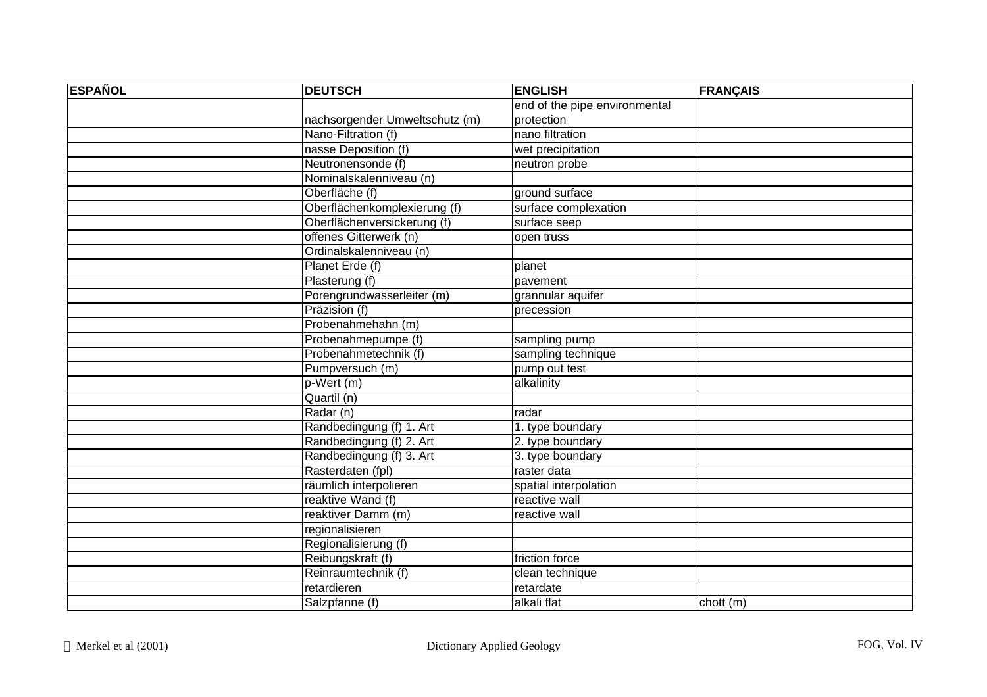| <b>ESPAÑOL</b> | <b>DEUTSCH</b>                 | <b>ENGLISH</b>                | <b>FRANÇAIS</b> |
|----------------|--------------------------------|-------------------------------|-----------------|
|                |                                | end of the pipe environmental |                 |
|                | nachsorgender Umweltschutz (m) | protection                    |                 |
|                | Nano-Filtration (f)            | nano filtration               |                 |
|                | nasse Deposition (f)           | wet precipitation             |                 |
|                | Neutronensonde (f)             | neutron probe                 |                 |
|                | Nominalskalenniveau (n)        |                               |                 |
|                | Oberfläche (f)                 | ground surface                |                 |
|                | Oberflächenkomplexierung (f)   | surface complexation          |                 |
|                | Oberflächenversickerung (f)    | surface seep                  |                 |
|                | offenes Gitterwerk (n)         | open truss                    |                 |
|                | Ordinalskalenniveau (n)        |                               |                 |
|                | Planet Erde (f)                | planet                        |                 |
|                | Plasterung (f)                 | pavement                      |                 |
|                | Porengrundwasserleiter (m)     | grannular aquifer             |                 |
|                | Präzision (f)                  | precession                    |                 |
|                | Probenahmehahn (m)             |                               |                 |
|                | Probenahmepumpe (f)            | sampling pump                 |                 |
|                | Probenahmetechnik (f)          | sampling technique            |                 |
|                | Pumpversuch (m)                | pump out test                 |                 |
|                | $p-Wert(m)$                    | alkalinity                    |                 |
|                | Quartil (n)                    |                               |                 |
|                | Radar (n)                      | radar                         |                 |
|                | Randbedingung (f) 1. Art       | 1. type boundary              |                 |
|                | Randbedingung (f) 2. Art       | 2. type boundary              |                 |
|                | Randbedingung (f) 3. Art       | 3. type boundary              |                 |
|                | Rasterdaten (fpl)              | raster data                   |                 |
|                | räumlich interpolieren         | spatial interpolation         |                 |
|                | reaktive Wand (f)              | reactive wall                 |                 |
|                | reaktiver Damm (m)             | reactive wall                 |                 |
|                | regionalisieren                |                               |                 |
|                | Regionalisierung (f)           |                               |                 |
|                | Reibungskraft (f)              | friction force                |                 |
|                | Reinraumtechnik (f)            | clean technique               |                 |
|                | retardieren                    | retardate                     |                 |
|                | Salzpfanne (f)                 | alkali flat                   | chott(m)        |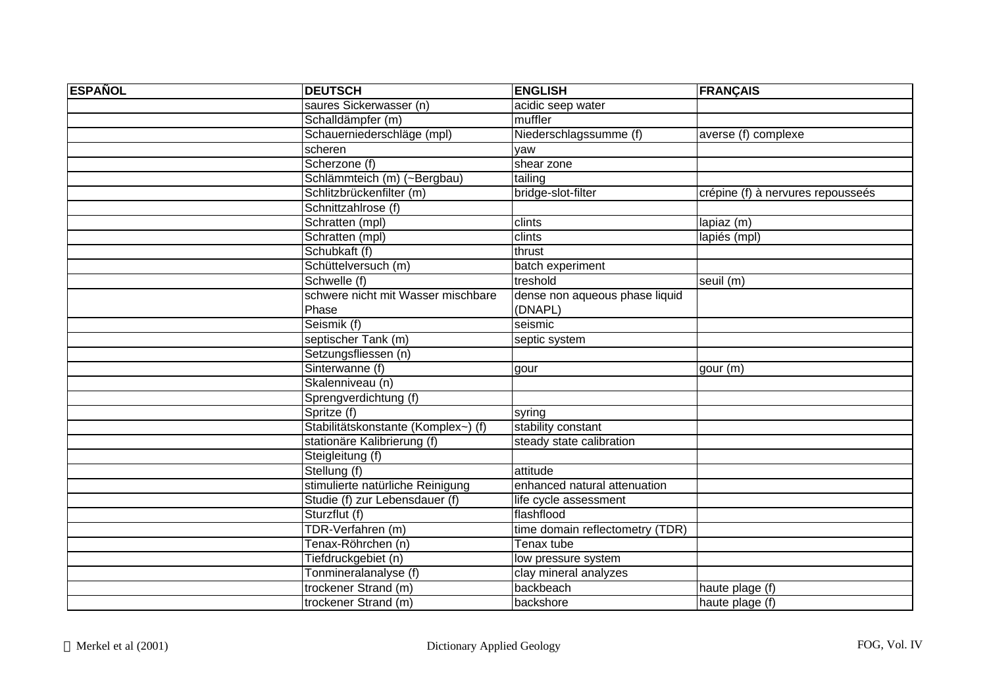| <b>ESPAÑOL</b> | <b>DEUTSCH</b>                      | <b>ENGLISH</b>                  | <b>FRANÇAIS</b>                   |
|----------------|-------------------------------------|---------------------------------|-----------------------------------|
|                | saures Sickerwasser (n)             | acidic seep water               |                                   |
|                | Schalldämpfer (m)                   | muffler                         |                                   |
|                | Schauerniederschläge (mpl)          | Niederschlagssumme (f)          | averse (f) complexe               |
|                | scheren                             | yaw                             |                                   |
|                | Scherzone (f)                       | shear zone                      |                                   |
|                | Schlämmteich (m) (~Bergbau)         | tailing                         |                                   |
|                | Schlitzbrückenfilter (m)            | bridge-slot-filter              | crépine (f) à nervures repousseés |
|                | Schnittzahlrose (f)                 |                                 |                                   |
|                | Schratten (mpl)                     | clints                          | lapiaz (m)                        |
|                | Schratten (mpl)                     | clints                          | lapiés (mpl)                      |
|                | Schubkaft (f)                       | thrust                          |                                   |
|                | Schüttelversuch (m)                 | batch experiment                |                                   |
|                | Schwelle (f)                        | treshold                        | seuil (m)                         |
|                | schwere nicht mit Wasser mischbare  | dense non aqueous phase liquid  |                                   |
|                | Phase                               | (DNAPL)                         |                                   |
|                | Seismik (f)                         | seismic                         |                                   |
|                | septischer Tank (m)                 | septic system                   |                                   |
|                | Setzungsfliessen (n)                |                                 |                                   |
|                | Sinterwanne (f)                     | gour                            | gour (m)                          |
|                | Skalenniveau (n)                    |                                 |                                   |
|                | Sprengverdichtung (f)               |                                 |                                   |
|                | Spritze (f)                         | syring                          |                                   |
|                | Stabilitätskonstante (Komplex~) (f) | stability constant              |                                   |
|                | stationäre Kalibrierung (f)         | steady state calibration        |                                   |
|                | Steigleitung (f)                    |                                 |                                   |
|                | Stellung (f)                        | attitude                        |                                   |
|                | stimulierte natürliche Reinigung    | enhanced natural attenuation    |                                   |
|                | Studie (f) zur Lebensdauer (f)      | life cycle assessment           |                                   |
|                | Sturzflut (f)                       | flashflood                      |                                   |
|                | TDR-Verfahren (m)                   | time domain reflectometry (TDR) |                                   |
|                | Tenax-Röhrchen (n)                  | Tenax tube                      |                                   |
|                | Tiefdruckgebiet (n)                 | low pressure system             |                                   |
|                | Tonmineralanalyse (f)               | clay mineral analyzes           |                                   |
|                | trockener Strand (m)                | backbeach                       | haute plage (f)                   |
|                | trockener Strand (m)                | backshore                       | haute plage (f)                   |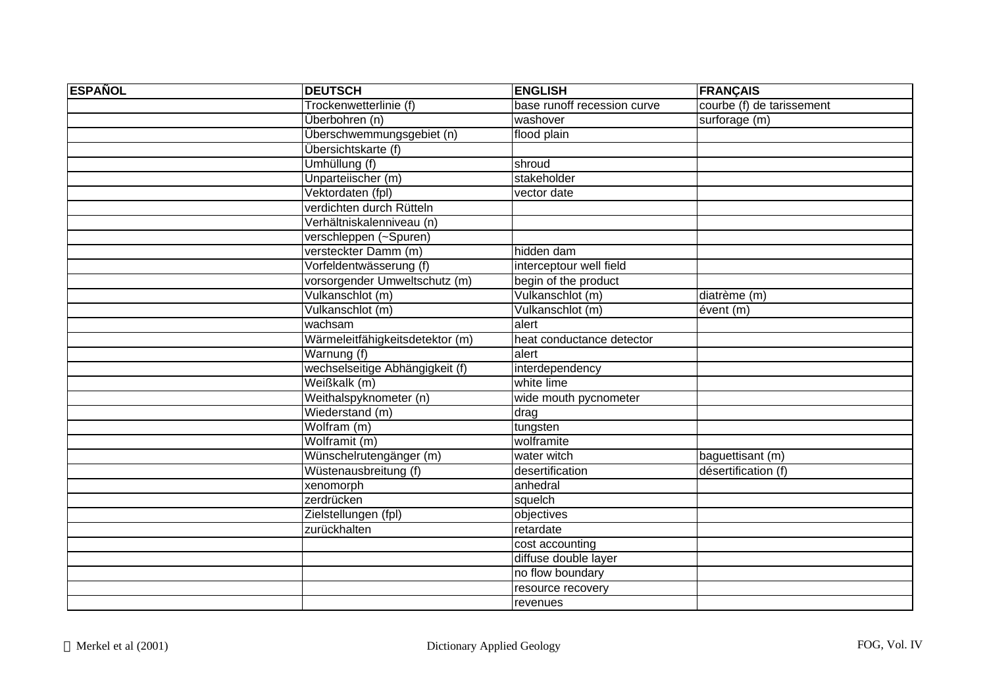| <b>ESPAÑOL</b> | <b>DEUTSCH</b>                  | <b>ENGLISH</b>              | <b>FRANÇAIS</b>           |
|----------------|---------------------------------|-----------------------------|---------------------------|
|                | Trockenwetterlinie (f)          | base runoff recession curve | courbe (f) de tarissement |
|                | Überbohren (n)                  | washover                    | surforage (m)             |
|                | Überschwemmungsgebiet (n)       | flood plain                 |                           |
|                | Übersichtskarte (f)             |                             |                           |
|                | Umhüllung (f)                   | shroud                      |                           |
|                | Unparteiischer (m)              | stakeholder                 |                           |
|                | Vektordaten (fpl)               | vector date                 |                           |
|                | verdichten durch Rütteln        |                             |                           |
|                | Verhältniskalenniveau (n)       |                             |                           |
|                | verschleppen (~Spuren)          |                             |                           |
|                | versteckter Damm (m)            | hidden dam                  |                           |
|                | Vorfeldentwässerung (f)         | interceptour well field     |                           |
|                | vorsorgender Umweltschutz (m)   | begin of the product        |                           |
|                | Vulkanschlot (m)                | Vulkanschlot (m)            | diatrème (m)              |
|                | Vulkanschlot (m)                | Vulkanschlot (m)            | évent (m)                 |
|                | wachsam                         | alert                       |                           |
|                | Wärmeleitfähigkeitsdetektor (m) | heat conductance detector   |                           |
|                | Warnung (f)                     | alert                       |                           |
|                | wechselseitige Abhängigkeit (f) | interdependency             |                           |
|                | Weißkalk (m)                    | white lime                  |                           |
|                | Weithalspyknometer (n)          | wide mouth pycnometer       |                           |
|                | Wiederstand (m)                 | drag                        |                           |
|                | Wolfram (m)                     | tungsten                    |                           |
|                | Wolframit (m)                   | wolframite                  |                           |
|                | Wünschelrutengänger (m)         | water witch                 | baguettisant (m)          |
|                | Wüstenausbreitung (f)           | desertification             | désertification (f)       |
|                | xenomorph                       | anhedral                    |                           |
|                | zerdrücken                      | squelch                     |                           |
|                | Zielstellungen (fpl)            | objectives                  |                           |
|                | zurückhalten                    | retardate                   |                           |
|                |                                 | cost accounting             |                           |
|                |                                 | diffuse double layer        |                           |
|                |                                 | no flow boundary            |                           |
|                |                                 | resource recovery           |                           |
|                |                                 | revenues                    |                           |